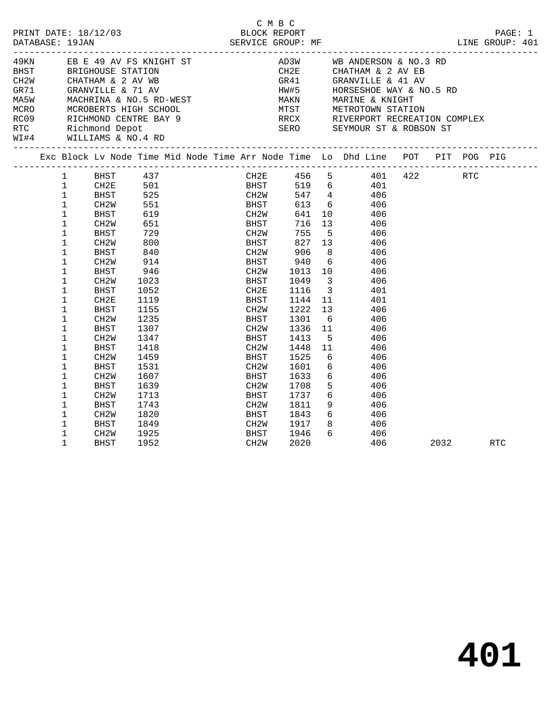|                                                                          |                                                                                                                                                                                                                                                                                                                             |                                                                                                                                                                                                                                                           |                                                                                                                                                                                                        |              |                                                                                                                                                                            | C M B C |                                                                                                                                 |                                                                                                                                                |                                                                                                                                           |                                                                                                                     |                                                                                                                                               |      |         |
|--------------------------------------------------------------------------|-----------------------------------------------------------------------------------------------------------------------------------------------------------------------------------------------------------------------------------------------------------------------------------------------------------------------------|-----------------------------------------------------------------------------------------------------------------------------------------------------------------------------------------------------------------------------------------------------------|--------------------------------------------------------------------------------------------------------------------------------------------------------------------------------------------------------|--------------|----------------------------------------------------------------------------------------------------------------------------------------------------------------------------|---------|---------------------------------------------------------------------------------------------------------------------------------|------------------------------------------------------------------------------------------------------------------------------------------------|-------------------------------------------------------------------------------------------------------------------------------------------|---------------------------------------------------------------------------------------------------------------------|-----------------------------------------------------------------------------------------------------------------------------------------------|------|---------|
| PRINT DATE: 18/12/03<br>DATABASE: 19JAN                                  |                                                                                                                                                                                                                                                                                                                             |                                                                                                                                                                                                                                                           |                                                                                                                                                                                                        | BLOCK REPORT |                                                                                                                                                                            |         |                                                                                                                                 |                                                                                                                                                |                                                                                                                                           |                                                                                                                     |                                                                                                                                               |      | PAGE: 1 |
| BHST BRIGHOUSE STATION<br>CH2W<br>GR71<br>RTC<br>WI#4 WILLIAMS & NO.4 RD |                                                                                                                                                                                                                                                                                                                             | CHATHAM & 2 AV WB<br>GRANVILLE & 71 AV<br>Richmond Depot                                                                                                                                                                                                  | 49KN EB E 49 AV FS KNIGHT ST<br>MASW MACHRINA & NO.5 RD-WEST MAKN MARINE & KNIGHT<br>MCRO MCROBERTS HIGH SCHOOL MIST METROTOWN STATION<br>RCO9 RICHMOND CENTRE BAY 9 RRCX RIVERPORT RECREATION COMPLEX |              |                                                                                                                                                                            |         |                                                                                                                                 |                                                                                                                                                |                                                                                                                                           |                                                                                                                     | AD3W WB ANDERSON & NO.3 RD<br>CH2E CHATHAM & 2 AV EB<br>GR41 GRANVILLE & 41 AV<br>HW#5 HORSESHOE WAY & NO.5 RD<br>SERO SEYMOUR ST & ROBSON ST |      |         |
|                                                                          |                                                                                                                                                                                                                                                                                                                             |                                                                                                                                                                                                                                                           | Exc Block Lv Node Time Mid Node Time Arr Node Time Lo Dhd Line POT PIT POG PIG                                                                                                                         |              |                                                                                                                                                                            |         |                                                                                                                                 |                                                                                                                                                |                                                                                                                                           |                                                                                                                     |                                                                                                                                               |      |         |
|                                                                          | $\mathbf{1}$<br>$\mathbf{1}$<br>$\mathbf{1}$<br>$\mathbf 1$<br>$\mathbf{1}$<br>1<br>$\mathbf{1}$<br>$\mathbf{1}$<br>$\mathbf{1}$<br>$\mathbf{1}$<br>$\mathbf{1}$<br>$\mathbf{1}$<br>$\mathbf 1$<br>$\mathbf 1$<br>$\mathbf{1}$<br>$\mathbf 1$<br>$\mathbf{1}$<br>$\mathbf{1}$<br>$\mathbf 1$<br>$\mathbf{1}$<br>$\mathbf 1$ | CH2E<br>BHST<br>CH2W<br>BHST<br>CH2W<br>BHST<br>CH <sub>2</sub> W<br>BHST<br>CH <sub>2</sub> W<br>BHST<br>CH <sub>2</sub> W<br>BHST<br>CH2E<br>BHST<br>CH <sub>2</sub> W<br>BHST<br>CH <sub>2</sub> W<br>BHST<br>CH2W<br><b>BHST</b><br>CH <sub>2</sub> W | 1 BHST 437<br>501<br>525<br>551<br>619<br>651<br>729<br>800<br>840<br>914<br>946<br>1023<br>1052<br>1119<br>1155<br>1235<br>1307<br>1347<br>1418<br>1459<br>1531<br>1607                               |              | <b>BHST</b><br>CH2W<br>BHST<br><b>BHST</b><br>CH2W<br>BHST<br>CH2W<br>BHST<br>CH2W<br>BHST<br>CH2E<br>BHST<br>CH2W<br>BHST<br>CH2W<br>BHST<br>CH2W<br>BHST<br>CH2W<br>BHST |         | 641<br>755<br>827<br>906<br>940<br>1013<br>1049<br>1116<br>1144<br>1222<br>1301<br>1336<br>1413<br>1448<br>1525<br>1601<br>1633 | 716 13<br>5<br>827 13<br>8 <sup>8</sup><br>6<br>$\overline{\mathbf{3}}$<br>$\overline{\mathbf{3}}$<br>11<br>13<br>6<br>11<br>$5^{\circ}$<br>11 | BHST 519 6 401<br>CH2W 547 4 406<br>613 6 406<br>10 406<br>10<br>6<br>6<br>6                                                              | 406<br>406<br>406<br>406<br>406<br>406<br>406<br>401<br>401<br>406<br>406<br>406<br>406<br>406<br>406<br>406<br>406 | CH2E 456 5 401 422 RTC                                                                                                                        |      |         |
|                                                                          | $\mathbf 1$<br>$\mathbf{1}$<br>$\mathbf 1$<br>$\mathbf{1}$<br>$\mathbf{1}$<br>$\mathbf{1}$<br>$\mathbf 1$                                                                                                                                                                                                                   | BHST<br>CH <sub>2</sub> W<br>BHST<br>CH <sub>2</sub> W<br>BHST<br>CH2W<br><b>BHST</b>                                                                                                                                                                     | 1639<br>1713<br>1743<br>1820<br>1849<br>1925<br>1952                                                                                                                                                   |              | CH2W<br>BHST<br>CH2W<br>BHST<br>CH2W<br>BHST<br>CH <sub>2</sub> W                                                                                                          |         | 1708<br>1737<br>1811<br>1843<br>1917<br>1946<br>2020                                                                            |                                                                                                                                                | 5 <sup>5</sup><br>$6\overline{6}$<br>9<br>6<br>$\begin{array}{c c}\n\text{3} & \text{100} \\ \text{8} & \text{406}\n\end{array}$<br>6 406 | - 406<br>406<br>406<br>406<br>406                                                                                   |                                                                                                                                               | 2032 | RTC     |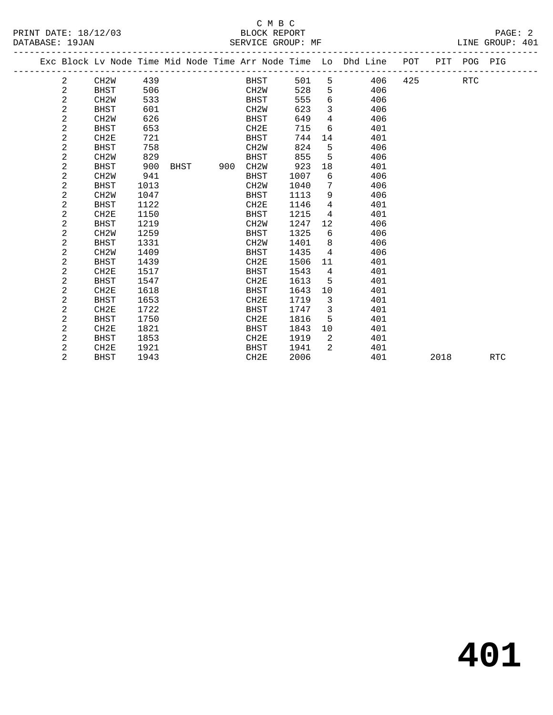#### C M B C<br>BLOCK REPORT PRINT DATE: 18/12/03 BLOCK REPORT PAGE: 2 SERVICE GROUP: MF

|  |                | Exc Block Lv Node Time Mid Node Time Arr Node Time Lo Dhd Line |      |      |     |                   |             |      |                |             |     | POT     | PIT POG PIG |  |
|--|----------------|----------------------------------------------------------------|------|------|-----|-------------------|-------------|------|----------------|-------------|-----|---------|-------------|--|
|  | $\overline{a}$ | CH2W                                                           | 439  |      |     |                   | <b>BHST</b> | 501  |                | $5^{\circ}$ |     | 406 425 | <b>RTC</b>  |  |
|  | 2              | BHST                                                           | 506  |      |     | CH2W              |             | 528  | 5              |             | 406 |         |             |  |
|  | 2              | CH <sub>2</sub> W                                              | 533  |      |     | BHST              |             | 555  | 6              |             | 406 |         |             |  |
|  | 2              | <b>BHST</b>                                                    | 601  |      |     | CH <sub>2</sub> W |             | 623  | 3              |             | 406 |         |             |  |
|  | 2              | CH <sub>2</sub> W                                              | 626  |      |     | BHST              |             | 649  | $\overline{4}$ |             | 406 |         |             |  |
|  | 2              | BHST                                                           | 653  |      |     | CH2E              |             | 715  | 6              |             | 401 |         |             |  |
|  | 2              | CH <sub>2E</sub>                                               | 721  |      |     | BHST              |             | 744  | 14             |             | 401 |         |             |  |
|  | 2              | <b>BHST</b>                                                    | 758  |      |     | CH <sub>2</sub> M |             | 824  | 5              |             | 406 |         |             |  |
|  | 2              | CH <sub>2</sub> W                                              | 829  |      |     | <b>BHST</b>       |             | 855  | 5              |             | 406 |         |             |  |
|  | 2              | BHST                                                           | 900  | BHST | 900 | CH2W              |             | 923  | 18             |             | 401 |         |             |  |
|  | 2              | CH <sub>2</sub> W                                              | 941  |      |     | BHST              |             | 1007 | 6              |             | 406 |         |             |  |
|  | 2              | BHST                                                           | 1013 |      |     | CH <sub>2</sub> W |             | 1040 | 7              |             | 406 |         |             |  |
|  | 2              | CH <sub>2</sub> M                                              | 1047 |      |     | BHST              |             | 1113 | 9              |             | 406 |         |             |  |
|  | 2              | BHST                                                           | 1122 |      |     | CH2E              |             | 1146 | 4              |             | 401 |         |             |  |
|  | 2              | CH2E                                                           | 1150 |      |     | BHST              |             | 1215 | $\overline{4}$ |             | 401 |         |             |  |
|  | 2              | BHST                                                           | 1219 |      |     | CH <sub>2</sub> W |             | 1247 | 12             |             | 406 |         |             |  |
|  | $\overline{a}$ | CH <sub>2</sub> M                                              | 1259 |      |     | BHST              |             | 1325 | 6              |             | 406 |         |             |  |
|  | 2              | <b>BHST</b>                                                    | 1331 |      |     | CH <sub>2</sub> W |             | 1401 | 8              |             | 406 |         |             |  |
|  | 2              | CH <sub>2</sub> W                                              | 1409 |      |     | BHST              |             | 1435 | 4              |             | 406 |         |             |  |
|  | 2              | <b>BHST</b>                                                    | 1439 |      |     | CH <sub>2E</sub>  |             | 1506 | 11             |             | 401 |         |             |  |
|  | 2              | CH2E                                                           | 1517 |      |     | BHST              |             | 1543 | $\overline{4}$ |             | 401 |         |             |  |
|  | 2              | <b>BHST</b>                                                    | 1547 |      |     | CH <sub>2E</sub>  |             | 1613 | 5              |             | 401 |         |             |  |
|  | 2              | CH2E                                                           | 1618 |      |     | BHST              |             | 1643 | 10             |             | 401 |         |             |  |
|  | 2              | BHST                                                           | 1653 |      |     | CH <sub>2E</sub>  |             | 1719 | $\overline{3}$ |             | 401 |         |             |  |
|  | 2              | CH2E                                                           | 1722 |      |     | BHST              |             | 1747 | $\overline{3}$ |             | 401 |         |             |  |
|  | $\overline{2}$ | <b>BHST</b>                                                    | 1750 |      |     | CH <sub>2E</sub>  |             | 1816 | 5              |             | 401 |         |             |  |
|  | $\overline{2}$ | CH2E                                                           | 1821 |      |     | BHST              |             | 1843 | 10             |             | 401 |         |             |  |

 2 BHST 1853 CH2E 1919 2 401 2 CH2E 1921 BHST 1941 2 401

2 BHST 1943 CH2E 2006 401 2018 RTC

**401**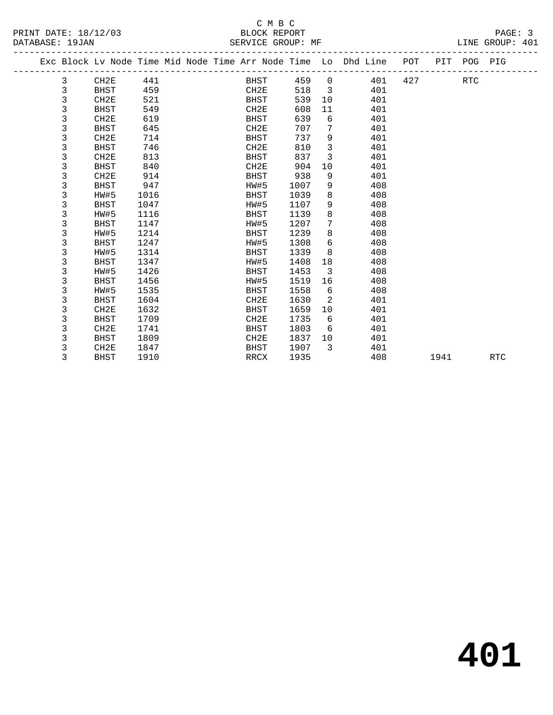|  |   | Exc Block Lv Node Time Mid Node Time Arr Node Time Lo Dhd Line POT |      |  |                  |      |                          |     |     |      | PIT POG PIG |            |
|--|---|--------------------------------------------------------------------|------|--|------------------|------|--------------------------|-----|-----|------|-------------|------------|
|  | 3 | CH2E                                                               | 441  |  | BHST             | 459  | $\overline{0}$           | 401 | 427 |      | RTC         |            |
|  | 3 | <b>BHST</b>                                                        | 459  |  | CH2E             | 518  | $\overline{\phantom{a}}$ | 401 |     |      |             |            |
|  | 3 | CH2E                                                               | 521  |  | <b>BHST</b>      | 539  | 10                       | 401 |     |      |             |            |
|  | 3 | <b>BHST</b>                                                        | 549  |  | CH2E             | 608  | 11                       | 401 |     |      |             |            |
|  | 3 | CH2E                                                               | 619  |  | <b>BHST</b>      | 639  | 6                        | 401 |     |      |             |            |
|  | 3 | <b>BHST</b>                                                        | 645  |  | CH2E             | 707  | 7                        | 401 |     |      |             |            |
|  | 3 | CH2E                                                               | 714  |  | <b>BHST</b>      | 737  | 9                        | 401 |     |      |             |            |
|  | 3 | <b>BHST</b>                                                        | 746  |  | CH2E             | 810  | 3                        | 401 |     |      |             |            |
|  | 3 | CH2E                                                               | 813  |  | <b>BHST</b>      | 837  | 3                        | 401 |     |      |             |            |
|  | 3 | <b>BHST</b>                                                        | 840  |  | CH2E             | 904  | 10                       | 401 |     |      |             |            |
|  | 3 | CH2E                                                               | 914  |  | BHST             | 938  | 9                        | 401 |     |      |             |            |
|  | 3 | <b>BHST</b>                                                        | 947  |  | HW#5             | 1007 | 9                        | 408 |     |      |             |            |
|  | 3 | HW#5                                                               | 1016 |  | <b>BHST</b>      | 1039 | 8                        | 408 |     |      |             |            |
|  | 3 | <b>BHST</b>                                                        | 1047 |  | HW#5             | 1107 | 9                        | 408 |     |      |             |            |
|  | 3 | HW#5                                                               | 1116 |  | BHST             | 1139 | 8                        | 408 |     |      |             |            |
|  | 3 | BHST                                                               | 1147 |  | HW#5             | 1207 | 7                        | 408 |     |      |             |            |
|  | 3 | HW#5                                                               | 1214 |  | BHST             | 1239 | 8                        | 408 |     |      |             |            |
|  | 3 | <b>BHST</b>                                                        | 1247 |  | HW#5             | 1308 | 6                        | 408 |     |      |             |            |
|  | 3 | HW#5                                                               | 1314 |  | BHST             | 1339 | 8                        | 408 |     |      |             |            |
|  | 3 | <b>BHST</b>                                                        | 1347 |  | HW#5             | 1408 | 18                       | 408 |     |      |             |            |
|  | 3 | HW#5                                                               | 1426 |  | BHST             | 1453 | $\overline{3}$           | 408 |     |      |             |            |
|  | 3 | <b>BHST</b>                                                        | 1456 |  | HW#5             | 1519 | 16                       | 408 |     |      |             |            |
|  | 3 | HW#5                                                               | 1535 |  | <b>BHST</b>      | 1558 | 6                        | 408 |     |      |             |            |
|  | 3 | <b>BHST</b>                                                        | 1604 |  | CH2E             | 1630 | 2                        | 401 |     |      |             |            |
|  | 3 | CH <sub>2E</sub>                                                   | 1632 |  | BHST             | 1659 | 10                       | 401 |     |      |             |            |
|  | 3 | <b>BHST</b>                                                        | 1709 |  | CH <sub>2E</sub> | 1735 | 6                        | 401 |     |      |             |            |
|  | 3 | CH <sub>2E</sub>                                                   | 1741 |  | <b>BHST</b>      | 1803 | 6                        | 401 |     |      |             |            |
|  | 3 | <b>BHST</b>                                                        | 1809 |  | CH2E             | 1837 | 10                       | 401 |     |      |             |            |
|  | 3 | CH <sub>2E</sub>                                                   | 1847 |  | BHST             | 1907 | 3                        | 401 |     |      |             |            |
|  | 3 | <b>BHST</b>                                                        | 1910 |  | <b>RRCX</b>      | 1935 |                          | 408 |     | 1941 |             | <b>RTC</b> |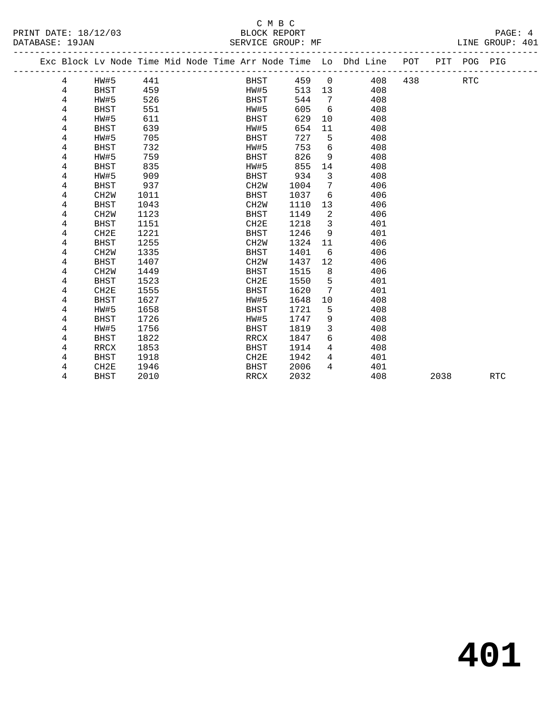|  |   |                   |      |  |                   |      |                 | Exc Block Lv Node Time Mid Node Time Arr Node Time Lo Dhd Line POT |     |      | PIT POG PIG |            |
|--|---|-------------------|------|--|-------------------|------|-----------------|--------------------------------------------------------------------|-----|------|-------------|------------|
|  | 4 | HW#5              | 441  |  | <b>BHST</b>       | 459  | 0               | 408                                                                | 438 |      | <b>RTC</b>  |            |
|  | 4 | <b>BHST</b>       | 459  |  | HW#5              | 513  | 13              | 408                                                                |     |      |             |            |
|  | 4 | HW#5              | 526  |  | <b>BHST</b>       | 544  | $7\phantom{.0}$ | 408                                                                |     |      |             |            |
|  | 4 | <b>BHST</b>       | 551  |  | HW#5              | 605  | 6               | 408                                                                |     |      |             |            |
|  | 4 | HW#5              | 611  |  | BHST              | 629  | 10              | 408                                                                |     |      |             |            |
|  | 4 | BHST              | 639  |  | HW#5              | 654  | 11              | 408                                                                |     |      |             |            |
|  | 4 | HW#5              | 705  |  | BHST              | 727  | 5               | 408                                                                |     |      |             |            |
|  | 4 | <b>BHST</b>       | 732  |  | HW#5              | 753  | 6               | 408                                                                |     |      |             |            |
|  | 4 | HW#5              | 759  |  | <b>BHST</b>       | 826  | 9               | 408                                                                |     |      |             |            |
|  | 4 | <b>BHST</b>       | 835  |  | HW#5              | 855  | 14              | 408                                                                |     |      |             |            |
|  | 4 | HW#5              | 909  |  | <b>BHST</b>       | 934  | 3               | 408                                                                |     |      |             |            |
|  | 4 | <b>BHST</b>       | 937  |  | CH <sub>2</sub> W | 1004 | 7               | 406                                                                |     |      |             |            |
|  | 4 | CH <sub>2</sub> W | 1011 |  | <b>BHST</b>       | 1037 | 6               | 406                                                                |     |      |             |            |
|  | 4 | <b>BHST</b>       | 1043 |  | CH <sub>2</sub> W | 1110 | 13              | 406                                                                |     |      |             |            |
|  | 4 | CH <sub>2</sub> W | 1123 |  | <b>BHST</b>       | 1149 | 2               | 406                                                                |     |      |             |            |
|  | 4 | BHST              | 1151 |  | CH2E              | 1218 | 3               | 401                                                                |     |      |             |            |
|  | 4 | CH2E              | 1221 |  | <b>BHST</b>       | 1246 | 9               | 401                                                                |     |      |             |            |
|  | 4 | <b>BHST</b>       | 1255 |  | CH <sub>2</sub> W | 1324 | 11              | 406                                                                |     |      |             |            |
|  | 4 | CH <sub>2</sub> W | 1335 |  | <b>BHST</b>       | 1401 | 6               | 406                                                                |     |      |             |            |
|  | 4 | <b>BHST</b>       | 1407 |  | CH <sub>2</sub> M | 1437 | 12              | 406                                                                |     |      |             |            |
|  | 4 | CH <sub>2</sub> W | 1449 |  | <b>BHST</b>       | 1515 | 8               | 406                                                                |     |      |             |            |
|  | 4 | <b>BHST</b>       | 1523 |  | CH2E              | 1550 | 5               | 401                                                                |     |      |             |            |
|  | 4 | CH2E              | 1555 |  | <b>BHST</b>       | 1620 | 7               | 401                                                                |     |      |             |            |
|  | 4 | <b>BHST</b>       | 1627 |  | HW#5              | 1648 | 10              | 408                                                                |     |      |             |            |
|  | 4 | HW#5              | 1658 |  | <b>BHST</b>       | 1721 | 5               | 408                                                                |     |      |             |            |
|  | 4 | <b>BHST</b>       | 1726 |  | HW#5              | 1747 | 9               | 408                                                                |     |      |             |            |
|  | 4 | HW#5              | 1756 |  | <b>BHST</b>       | 1819 | 3               | 408                                                                |     |      |             |            |
|  | 4 | <b>BHST</b>       | 1822 |  | <b>RRCX</b>       | 1847 | 6               | 408                                                                |     |      |             |            |
|  | 4 | RRCX              | 1853 |  | <b>BHST</b>       | 1914 | 4               | 408                                                                |     |      |             |            |
|  | 4 | <b>BHST</b>       | 1918 |  | CH <sub>2E</sub>  | 1942 | 4               | 401                                                                |     |      |             |            |
|  | 4 | CH2E              | 1946 |  | <b>BHST</b>       | 2006 | 4               | 401                                                                |     |      |             |            |
|  | 4 | <b>BHST</b>       | 2010 |  | <b>RRCX</b>       | 2032 |                 | 408                                                                |     | 2038 |             | <b>RTC</b> |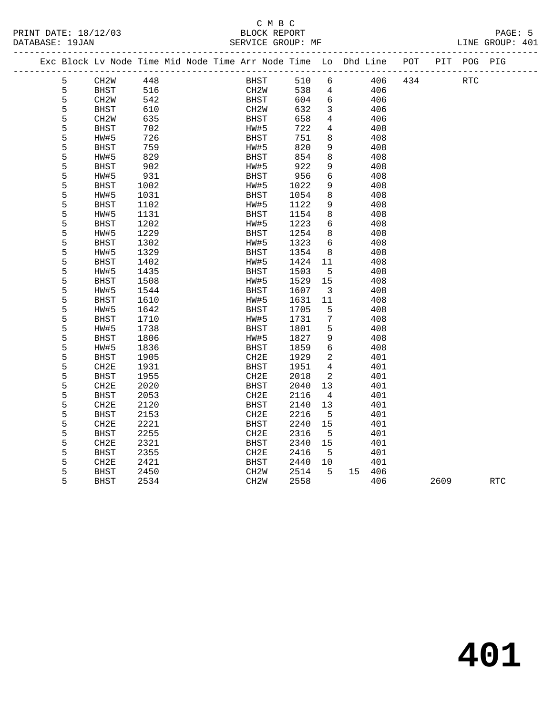PRINT DATE: 18/12/03 BLOCK REPORT PAGE: 5 DATABASE: 19JAN

## C M B C<br>BLOCK REPORT

| DAIADASE. |   |                                                                    |      |  |             | DANILA UNUUF WIR |                         |     |     |             |  |
|-----------|---|--------------------------------------------------------------------|------|--|-------------|------------------|-------------------------|-----|-----|-------------|--|
|           |   | Exc Block Lv Node Time Mid Node Time Arr Node Time Lo Dhd Line POT |      |  |             |                  |                         |     |     | PIT POG PIG |  |
|           | 5 | CH2W                                                               | 448  |  | BHST        | 510              | 6                       | 406 | 434 | <b>RTC</b>  |  |
|           | 5 | <b>BHST</b>                                                        | 516  |  | CH2W        | 538              | $4\overline{ }$         | 406 |     |             |  |
|           | 5 | CH2W                                                               | 542  |  | BHST        | 604              | $6\overline{6}$         | 406 |     |             |  |
|           | 5 | BHST                                                               | 610  |  | CH2W        | 632              | $\mathbf{3}$            | 406 |     |             |  |
|           | 5 | CH <sub>2</sub> W                                                  | 635  |  | BHST        | 658              | $4\overline{ }$         | 406 |     |             |  |
|           | 5 | <b>BHST</b>                                                        | 702  |  | HW#5        | 722              | $\overline{4}$          | 408 |     |             |  |
|           | 5 | HW#5                                                               | 726  |  | BHST        | 751              | 8                       | 408 |     |             |  |
|           | 5 | <b>BHST</b>                                                        | 759  |  | HW#5        | 820              | 9                       | 408 |     |             |  |
|           | 5 | HW#5                                                               | 829  |  | BHST        | 854              | 8                       | 408 |     |             |  |
|           | 5 | <b>BHST</b>                                                        | 902  |  | HW#5        | 922              | 9                       | 408 |     |             |  |
|           | 5 | HW#5                                                               | 931  |  | BHST        | 956              | $6\overline{6}$         | 408 |     |             |  |
|           | 5 | <b>BHST</b>                                                        | 1002 |  | HW#5        | 1022             | 9                       | 408 |     |             |  |
|           | 5 | HW#5                                                               | 1031 |  | BHST        | 1054             | 8                       | 408 |     |             |  |
|           | 5 | <b>BHST</b>                                                        | 1102 |  | HW#5        | 1122             | 9                       | 408 |     |             |  |
|           | 5 | HW#5                                                               | 1131 |  | BHST        | 1154             | 8                       | 408 |     |             |  |
|           | 5 | <b>BHST</b>                                                        | 1202 |  | HW#5        | 1223             | 6                       | 408 |     |             |  |
|           | 5 | HW#5                                                               | 1229 |  | BHST        | 1254             | 8                       | 408 |     |             |  |
|           | 5 | <b>BHST</b>                                                        | 1302 |  | HW#5        | 1323             | 6                       | 408 |     |             |  |
|           | 5 | HW#5                                                               | 1329 |  | BHST        | 1354             | 8                       | 408 |     |             |  |
|           | 5 | BHST                                                               | 1402 |  | HW#5        | 1424             | 11                      | 408 |     |             |  |
|           | 5 | HW#5                                                               | 1435 |  | BHST        | 1503             | 5                       | 408 |     |             |  |
|           | 5 | <b>BHST</b>                                                        | 1508 |  | HW#5        | 1529             | 15                      | 408 |     |             |  |
|           | 5 | HW#5                                                               | 1544 |  | BHST        | 1607             | $\overline{\mathbf{3}}$ | 408 |     |             |  |
|           | 5 | <b>BHST</b>                                                        | 1610 |  | HW#5        | 1631             | 11                      | 408 |     |             |  |
|           | 5 | HW#5                                                               | 1642 |  | BHST        | 1705             | 5                       | 408 |     |             |  |
|           | 5 | <b>BHST</b>                                                        | 1710 |  | HW#5        | 1731             | 7                       | 408 |     |             |  |
|           | 5 | HW#5                                                               | 1738 |  | BHST        | 1801             | 5                       | 408 |     |             |  |
|           | 5 | <b>BHST</b>                                                        | 1806 |  | HW#5        | 1827             | 9                       | 408 |     |             |  |
|           | 5 | HW#5                                                               | 1836 |  | BHST        | 1859             | 6                       | 408 |     |             |  |
|           | 5 | <b>BHST</b>                                                        | 1905 |  | CH2E        | 1929             | $\overline{a}$          | 401 |     |             |  |
|           | 5 | CH2E                                                               | 1931 |  | <b>BHST</b> | 1951             | $\overline{4}$          | 401 |     |             |  |
|           | 5 | <b>BHST</b>                                                        | 1955 |  | CH2E        | 2018             | 2                       | 401 |     |             |  |
|           | 5 | CH <sub>2E</sub>                                                   | 2020 |  | BHST        | 2040             | 13                      | 401 |     |             |  |
|           | 5 | <b>BHST</b>                                                        | 2053 |  | CH2E        | 2116             | $\overline{4}$          | 401 |     |             |  |
|           | 5 | CH2E                                                               | 2120 |  | BHST        | 2140             | 13                      | 401 |     |             |  |
|           | 5 | <b>BHST</b>                                                        | 2153 |  | CH2E        | 2216             | 5                       | 401 |     |             |  |
|           | 5 | CH2E                                                               | 2221 |  | BHST        | 2240             | 15                      | 401 |     |             |  |
|           | 5 | <b>BHST</b>                                                        | 2255 |  | CH2E        | 2316             | 5                       | 401 |     |             |  |

5 BHST 2534 CH2W 2558 406 2609 RTC

 5 BHST 2255 CH2E 2316 5 401 5 CH2E 2321 BHST 2340 15 401 5 BHST 2355 CH2E 2416 5 401 5 CH2E 2421 BHST 2440 10 401 5 BHST 2450 CH2W 2514 5 15 406

**401**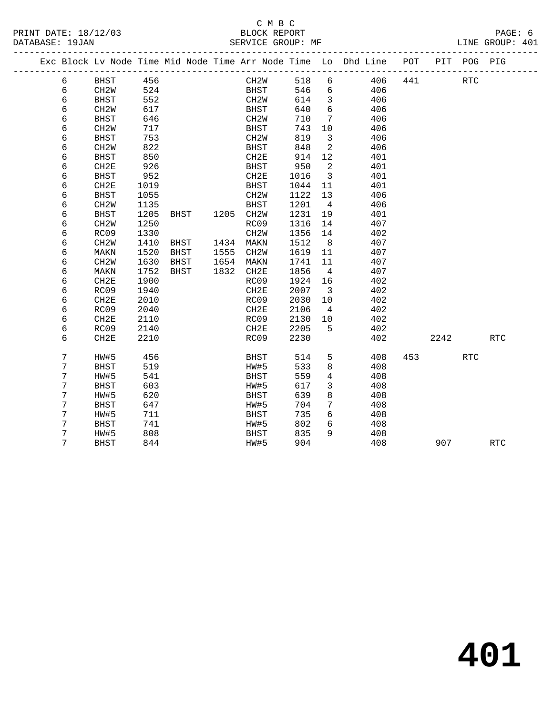PRINT DATE: 18/12/03 BLOCK REPORT PAGE: 6 DATABASE: 19JAN

## C M B C<br>BLOCK REPORT

|  | DAIADAJL. IJUAN |                   |      |      |      | DAVICA GROUP. MP  |      |                |                                                                                |         | TALME AVONA. TAT |
|--|-----------------|-------------------|------|------|------|-------------------|------|----------------|--------------------------------------------------------------------------------|---------|------------------|
|  |                 |                   |      |      |      |                   |      |                | Exc Block Lv Node Time Mid Node Time Arr Node Time Lo Dhd Line POT PIT POG PIG |         |                  |
|  | 6               | BHST              | 456  |      |      | CH2W              | 518  |                | 406<br>$6 \quad \sigma$                                                        | 441 RTC |                  |
|  | 6               | CH2W              | 524  |      |      | BHST              | 546  |                | $6 \left( \frac{1}{2} \right)$<br>406                                          |         |                  |
|  | 6               | BHST              | 552  |      |      | CH2W              | 614  | 3              | 406                                                                            |         |                  |
|  | 6               | CH2W              | 617  |      |      | BHST              | 640  | 6              | 406                                                                            |         |                  |
|  | 6               | BHST              | 646  |      |      | CH2W              | 710  | 7              | 406                                                                            |         |                  |
|  | 6               | CH <sub>2</sub> W | 717  |      |      | BHST              | 743  | 10             | 406                                                                            |         |                  |
|  | 6               | BHST              | 753  |      |      | CH2W              | 819  | 3              | 406                                                                            |         |                  |
|  | 6               | CH <sub>2</sub> W | 822  |      |      | BHST              | 848  | 2              | 406                                                                            |         |                  |
|  | 6               | BHST              | 850  |      |      | CH2E              | 914  | 12             | 401                                                                            |         |                  |
|  | 6               | CH2E              | 926  |      |      | BHST              | 950  | 2              | 401                                                                            |         |                  |
|  | 6               | BHST              | 952  |      |      | CH2E              | 1016 | 3              | 401                                                                            |         |                  |
|  | 6               | CH2E              | 1019 |      |      | BHST              | 1044 | 11             | 401                                                                            |         |                  |
|  | 6               | BHST              | 1055 |      |      | CH2W              | 1122 | 13             | 406                                                                            |         |                  |
|  | 6               | CH <sub>2</sub> W | 1135 |      |      | BHST              | 1201 | $\overline{4}$ | 406                                                                            |         |                  |
|  | 6               | BHST              | 1205 | BHST | 1205 | CH2W              | 1231 | 19             | 401                                                                            |         |                  |
|  | 6               | CH <sub>2</sub> W | 1250 |      |      | RC09              | 1316 | 14             | 407                                                                            |         |                  |
|  | 6               | RC09              | 1330 |      |      | CH <sub>2</sub> W | 1356 | 14             | 402                                                                            |         |                  |
|  | 6               | CH <sub>2</sub> W | 1410 | BHST | 1434 | MAKN              | 1512 | 8              | 407                                                                            |         |                  |
|  | 6               | MAKN              | 1520 | BHST | 1555 | CH2W              | 1619 | 11             | 407                                                                            |         |                  |
|  | 6               | CH <sub>2</sub> W | 1630 | BHST | 1654 | MAKN              | 1741 | 11             | 407                                                                            |         |                  |
|  | 6               | MAKN              | 1752 | BHST | 1832 | CH2E              | 1856 | $\overline{4}$ | 407                                                                            |         |                  |
|  | 6               | CH2E              | 1900 |      |      | RC09              | 1924 | 16             | 402                                                                            |         |                  |
|  | 6               | RC09              | 1940 |      |      | CH2E              | 2007 | 3              | 402                                                                            |         |                  |
|  | 6               | CH2E              | 2010 |      |      | RC09              | 2030 | 10             | 402                                                                            |         |                  |
|  | 6               | RC09              | 2040 |      |      | CH2E              | 2106 | $\overline{4}$ | 402                                                                            |         |                  |
|  |                 |                   |      |      |      |                   |      |                |                                                                                |         |                  |

6 CH2E 2110 RC09 2130 10 402

6 CH2E 2210 RC09 2230 402 2242 RTC

7 BHST 844 HW#5 904 408 907 RTC

7 HW#5 456 BHST 514 5 408 453 RTC

6 RC09 2140 CH2E 2205 5 402

 7 BHST 519 HW#5 533 8 408 7 HW#5 541 BHST 559 4 408 7 BHST 603 HW#5 617 3 408 7 HW#5 620 BHST 639 8 408 7 BHST 647 HW#5 704 7 408 7 HW#5 711 BHST 735 6 408 7 BHST 741 HW#5 802 6 408 7 HW#5 808 BHST 835 9 408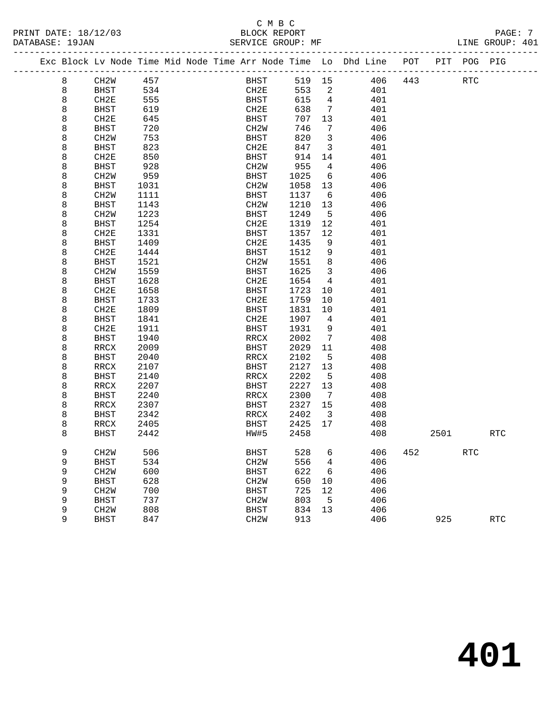#### C M B C<br>BLOCK REPORT SERVICE GROUP: MF

PRINT DATE: 18/12/03 BLOCK REPORT PAGE: 7

|  |   | Exc Block Lv Node Time Mid Node Time Arr Node Time Lo Dhd Line |      |  |                   |      |        |                            |       |     | POT |      | PIT POG PIG |            |
|--|---|----------------------------------------------------------------|------|--|-------------------|------|--------|----------------------------|-------|-----|-----|------|-------------|------------|
|  | 8 | CH2W                                                           | 457  |  |                   | BHST | 519 15 |                            |       | 406 | 443 |      | <b>RTC</b>  |            |
|  | 8 | BHST                                                           | 534  |  | CH2E              |      | 553    | $\overline{\phantom{0}}^2$ |       | 401 |     |      |             |            |
|  | 8 | CH2E                                                           | 555  |  | BHST              |      | 615    | $\overline{4}$             |       | 401 |     |      |             |            |
|  | 8 | BHST                                                           | 619  |  | CH2E              |      | 638    | $\overline{7}$             |       | 401 |     |      |             |            |
|  | 8 | CH2E                                                           | 645  |  | BHST              |      | 707    | 13                         |       | 401 |     |      |             |            |
|  | 8 | <b>BHST</b>                                                    | 720  |  | CH2W              |      | 746    | $\overline{7}$             |       | 406 |     |      |             |            |
|  | 8 | CH <sub>2</sub> M                                              | 753  |  | BHST              |      | 820    | $\overline{\mathbf{3}}$    |       | 406 |     |      |             |            |
|  | 8 | <b>BHST</b>                                                    | 823  |  | CH2E              |      | 847    | $\mathbf{3}$               |       | 401 |     |      |             |            |
|  | 8 | CH2E                                                           | 850  |  | BHST              |      | 914    | 14                         |       | 401 |     |      |             |            |
|  | 8 | <b>BHST</b>                                                    | 928  |  | CH2W              |      | 955    | $\overline{4}$             |       | 406 |     |      |             |            |
|  | 8 | CH <sub>2</sub> W                                              | 959  |  | BHST              |      | 1025   | 6                          |       | 406 |     |      |             |            |
|  | 8 | BHST                                                           | 1031 |  | CH2W              |      | 1058   | 13                         |       | 406 |     |      |             |            |
|  | 8 | CH <sub>2</sub> M                                              | 1111 |  | BHST              |      | 1137   | 6                          |       | 406 |     |      |             |            |
|  | 8 | <b>BHST</b>                                                    | 1143 |  | CH2W              |      | 1210   | 13                         |       | 406 |     |      |             |            |
|  | 8 | CH <sub>2</sub> M                                              | 1223 |  | BHST              |      | 1249   | $5^{\circ}$                |       | 406 |     |      |             |            |
|  | 8 | <b>BHST</b>                                                    | 1254 |  | CH2E              |      | 1319   | 12                         |       | 401 |     |      |             |            |
|  | 8 | CH2E                                                           | 1331 |  | BHST              |      | 1357   | 12                         |       | 401 |     |      |             |            |
|  | 8 | BHST                                                           | 1409 |  | CH2E              |      | 1435   | 9                          |       | 401 |     |      |             |            |
|  | 8 | CH2E                                                           | 1444 |  | BHST              |      | 1512   | 9                          |       | 401 |     |      |             |            |
|  | 8 | BHST                                                           | 1521 |  | CH2W              |      | 1551   | 8                          |       | 406 |     |      |             |            |
|  | 8 | CH <sub>2</sub> M                                              | 1559 |  | BHST              |      | 1625   | $\overline{3}$             |       | 406 |     |      |             |            |
|  | 8 | <b>BHST</b>                                                    | 1628 |  | CH2E              |      | 1654   | $\overline{4}$             |       | 401 |     |      |             |            |
|  | 8 | CH2E                                                           | 1658 |  | BHST              |      | 1723   | 10                         |       | 401 |     |      |             |            |
|  | 8 | <b>BHST</b>                                                    | 1733 |  | CH2E              |      | 1759   | $10 \,$                    |       | 401 |     |      |             |            |
|  | 8 | CH2E                                                           | 1809 |  | BHST              |      | 1831   | 10                         |       | 401 |     |      |             |            |
|  | 8 | <b>BHST</b>                                                    | 1841 |  | CH2E              |      | 1907   | $\overline{4}$             |       | 401 |     |      |             |            |
|  | 8 | CH2E                                                           | 1911 |  | BHST              |      | 1931   | $\overline{9}$             |       | 401 |     |      |             |            |
|  | 8 | <b>BHST</b>                                                    | 1940 |  | RRCX              |      | 2002   | $7\phantom{.0}$            |       | 408 |     |      |             |            |
|  | 8 | RRCX                                                           | 2009 |  | BHST              |      | 2029   | 11                         |       | 408 |     |      |             |            |
|  | 8 | <b>BHST</b>                                                    | 2040 |  | RRCX              |      | 2102   | $5^{\circ}$                |       | 408 |     |      |             |            |
|  | 8 | RRCX                                                           | 2107 |  | BHST              |      | 2127   | 13                         |       | 408 |     |      |             |            |
|  | 8 | BHST                                                           | 2140 |  | RRCX              |      | 2202   | $5^{\circ}$                |       | 408 |     |      |             |            |
|  | 8 | RRCX                                                           | 2207 |  | BHST              |      | 2227   | 13                         |       | 408 |     |      |             |            |
|  | 8 | <b>BHST</b>                                                    | 2240 |  | RRCX              |      | 2300   | $\overline{7}$             |       | 408 |     |      |             |            |
|  | 8 | RRCX                                                           | 2307 |  | BHST              |      | 2327   | 15                         |       | 408 |     |      |             |            |
|  | 8 | BHST                                                           | 2342 |  | RRCX              |      | 2402   | $\overline{\mathbf{3}}$    |       | 408 |     |      |             |            |
|  | 8 | RRCX                                                           | 2405 |  | BHST              |      | 2425   | 17                         |       | 408 |     |      |             |            |
|  | 8 | BHST                                                           | 2442 |  | HW#5              |      | 2458   |                            |       | 408 |     | 2501 |             | RTC        |
|  |   |                                                                |      |  |                   |      |        |                            |       |     |     |      |             |            |
|  | 9 | CH2W                                                           | 506  |  | $_{\rm BHST}$     |      |        |                            | 528 6 | 406 | 452 |      | RTC         |            |
|  | 9 | <b>BHST</b>                                                    | 534  |  | CH <sub>2</sub> M |      | 556    | 4                          |       | 406 |     |      |             |            |
|  | 9 | CH2W                                                           | 600  |  | <b>BHST</b>       |      | 622    | 6                          |       | 406 |     |      |             |            |
|  | 9 | <b>BHST</b>                                                    | 628  |  | CH <sub>2</sub> M |      | 650    | 10                         |       | 406 |     |      |             |            |
|  | 9 | CH <sub>2</sub> W                                              | 700  |  | <b>BHST</b>       |      | 725    | 12                         |       | 406 |     |      |             |            |
|  | 9 | <b>BHST</b>                                                    | 737  |  | CH <sub>2</sub> W |      | 803    | 5                          |       | 406 |     |      |             |            |
|  | 9 | CH <sub>2</sub> W                                              | 808  |  | <b>BHST</b>       |      | 834    | 13                         |       | 406 |     |      |             |            |
|  | 9 | <b>BHST</b>                                                    | 847  |  | CH2W              |      | 913    |                            |       | 406 |     | 925  |             | <b>RTC</b> |
|  |   |                                                                |      |  |                   |      |        |                            |       |     |     |      |             |            |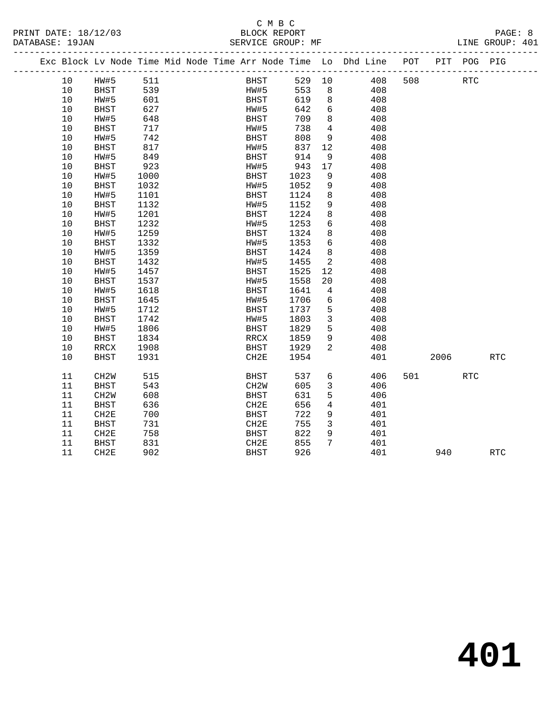#### C M B C<br>BLOCK REPORT SERVICE GROUP: MF

|  |    |                   |      |  |                   |      |                | Exc Block Lv Node Time Mid Node Time Arr Node Time Lo Dhd Line POT |     |      | PIT POG PIG          |            |
|--|----|-------------------|------|--|-------------------|------|----------------|--------------------------------------------------------------------|-----|------|----------------------|------------|
|  | 10 | HW#5              | 511  |  | BHST              | 529  | 10             | 408                                                                | 508 |      | $\operatorname{RTC}$ |            |
|  | 10 | <b>BHST</b>       | 539  |  | HW#5              | 553  | 8              | 408                                                                |     |      |                      |            |
|  | 10 | HW#5              | 601  |  | <b>BHST</b>       | 619  | 8              | 408                                                                |     |      |                      |            |
|  | 10 | <b>BHST</b>       | 627  |  | HW#5              | 642  | 6              | 408                                                                |     |      |                      |            |
|  | 10 | HW#5              | 648  |  | <b>BHST</b>       | 709  | 8              | 408                                                                |     |      |                      |            |
|  | 10 | <b>BHST</b>       | 717  |  | HW#5              | 738  | $\overline{4}$ | 408                                                                |     |      |                      |            |
|  | 10 | HW#5              | 742  |  | BHST              | 808  | 9              | 408                                                                |     |      |                      |            |
|  | 10 | <b>BHST</b>       | 817  |  | HW#5              | 837  | 12             | 408                                                                |     |      |                      |            |
|  | 10 | HW#5              | 849  |  | <b>BHST</b>       | 914  | 9              | 408                                                                |     |      |                      |            |
|  | 10 | <b>BHST</b>       | 923  |  | HW#5              | 943  | 17             | 408                                                                |     |      |                      |            |
|  | 10 | HW#5              | 1000 |  | BHST              | 1023 | 9              | 408                                                                |     |      |                      |            |
|  | 10 | <b>BHST</b>       | 1032 |  | HW#5              | 1052 | 9              | 408                                                                |     |      |                      |            |
|  | 10 | HW#5              | 1101 |  | <b>BHST</b>       | 1124 | 8              | 408                                                                |     |      |                      |            |
|  | 10 | <b>BHST</b>       | 1132 |  | HW#5              | 1152 | 9              | 408                                                                |     |      |                      |            |
|  | 10 | HW#5              | 1201 |  | <b>BHST</b>       | 1224 | 8              | 408                                                                |     |      |                      |            |
|  | 10 | <b>BHST</b>       | 1232 |  | HW#5              | 1253 | 6              | 408                                                                |     |      |                      |            |
|  | 10 | HW#5              | 1259 |  | BHST              | 1324 | 8              | 408                                                                |     |      |                      |            |
|  | 10 | <b>BHST</b>       | 1332 |  | HW#5              | 1353 | 6              | 408                                                                |     |      |                      |            |
|  | 10 | HW#5              | 1359 |  | <b>BHST</b>       | 1424 | 8              | 408                                                                |     |      |                      |            |
|  | 10 | <b>BHST</b>       | 1432 |  | HW#5              | 1455 | 2              | 408                                                                |     |      |                      |            |
|  | 10 | HW#5              | 1457 |  | BHST              | 1525 | 12             | 408                                                                |     |      |                      |            |
|  | 10 | <b>BHST</b>       | 1537 |  | HW#5              | 1558 | 20             | 408                                                                |     |      |                      |            |
|  | 10 | HW#5              | 1618 |  | <b>BHST</b>       | 1641 | $\overline{4}$ | 408                                                                |     |      |                      |            |
|  | 10 | <b>BHST</b>       | 1645 |  | HW#5              | 1706 | 6              | 408                                                                |     |      |                      |            |
|  | 10 | HW#5              | 1712 |  | <b>BHST</b>       | 1737 | 5              | 408                                                                |     |      |                      |            |
|  | 10 | <b>BHST</b>       | 1742 |  | HW#5              | 1803 | 3              | 408                                                                |     |      |                      |            |
|  | 10 | HW#5              | 1806 |  | BHST              | 1829 | 5              | 408                                                                |     |      |                      |            |
|  | 10 | <b>BHST</b>       | 1834 |  | RRCX              | 1859 | 9              | 408                                                                |     |      |                      |            |
|  | 10 | RRCX              | 1908 |  | <b>BHST</b>       | 1929 | 2              | 408                                                                |     |      |                      |            |
|  | 10 | <b>BHST</b>       | 1931 |  | CH2E              | 1954 |                | 401                                                                |     | 2006 |                      | <b>RTC</b> |
|  | 11 | CH <sub>2</sub> M | 515  |  | BHST              | 537  | 6              | 406                                                                | 501 |      | <b>RTC</b>           |            |
|  | 11 | <b>BHST</b>       | 543  |  | CH <sub>2</sub> W | 605  | 3              | 406                                                                |     |      |                      |            |
|  | 11 | CH <sub>2</sub> W | 608  |  | <b>BHST</b>       | 631  | 5              | 406                                                                |     |      |                      |            |

11 CH2E 758 BHST 822 9 401<br>
11 BHST 831 CH2E 855 7 401<br>
11 CH2E 902 BHST 926 401 940 RTC

 11 BHST 636 CH2E 656 4 401 11 CH2E 700 BHST 722 9 401 11 BHST 731 CH2E 755 3 401 11 CH2E 758 BHST 822 9 401 11 BHST 831 CH2E 855 7 401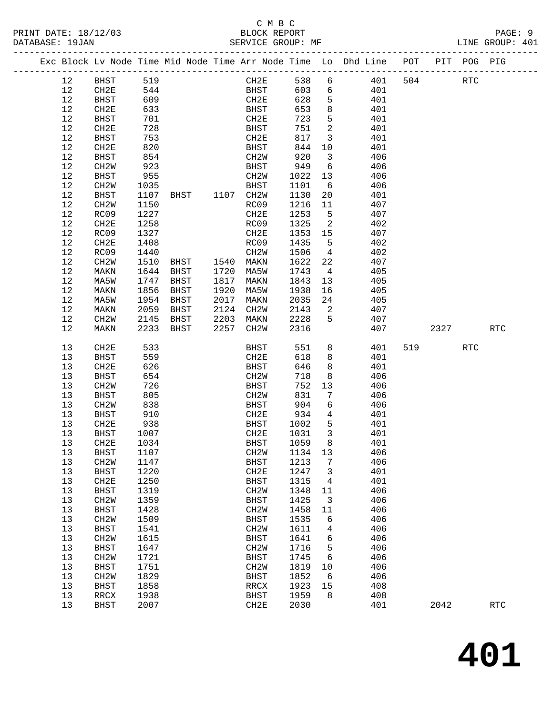#### C M B C<br>BLOCK REPORT PRINT DATE: 18/12/03 BLOCK REPORT PAGE: 9 SERVICE GROUP: MF

|  |          | Exc Block Lv Node Time Mid Node Time Arr Node Time Lo Dhd Line POT PIT POG PIG |              |      |                |                   |              |                              |            |     |      |     |                      |
|--|----------|--------------------------------------------------------------------------------|--------------|------|----------------|-------------------|--------------|------------------------------|------------|-----|------|-----|----------------------|
|  | 12       | BHST                                                                           | 519          |      |                | CH2E              | 538          | 6                            | 401        | 504 |      | RTC |                      |
|  | 12       | CH2E                                                                           | 544          |      |                | BHST              | 603          | 6                            | 401        |     |      |     |                      |
|  | 12       | BHST                                                                           | 609          |      |                | CH2E              | 628          | 5                            | 401        |     |      |     |                      |
|  | 12       | CH2E                                                                           | 633          |      |                | BHST              | 653          | 8                            | 401        |     |      |     |                      |
|  | 12       | <b>BHST</b>                                                                    | 701          |      |                | CH2E              | 723          | 5                            | 401        |     |      |     |                      |
|  | 12       | CH2E                                                                           | 728          |      |                | BHST              | 751          | 2                            | 401        |     |      |     |                      |
|  | 12       | <b>BHST</b>                                                                    | 753          |      |                | CH2E              | 817          | $\overline{3}$               | 401        |     |      |     |                      |
|  | 12       | CH2E                                                                           | 820          |      |                | BHST              | 844          | 10                           | 401        |     |      |     |                      |
|  | 12       | BHST                                                                           | 854          |      |                | CH <sub>2</sub> W | 920          | $\overline{\mathbf{3}}$      | 406        |     |      |     |                      |
|  | 12       | CH <sub>2</sub> W                                                              | 923          |      |                | BHST              | 949          | 6                            | 406        |     |      |     |                      |
|  | 12       | <b>BHST</b>                                                                    | 955          |      |                | CH2W              | 1022         | 13                           | 406        |     |      |     |                      |
|  | 12       | CH <sub>2</sub> W                                                              | 1035         |      |                | BHST              | 1101         | 6                            | 406        |     |      |     |                      |
|  | 12       | BHST                                                                           | 1107         |      | BHST 1107 CH2W |                   | 1130         | 20                           | 401        |     |      |     |                      |
|  | 12       | CH <sub>2</sub> W                                                              | 1150         |      |                | RC09              | 1216         | 11                           | 407        |     |      |     |                      |
|  | 12       | RC09                                                                           | 1227         |      |                | CH2E              | 1253         | $5^{\circ}$                  | 407        |     |      |     |                      |
|  | 12       | CH2E                                                                           | 1258         |      |                | RC09              | 1325         | 2                            | 402        |     |      |     |                      |
|  | 12       | RC09                                                                           | 1327         |      |                | CH2E              | 1353         | 15                           | 407        |     |      |     |                      |
|  | 12       | CH2E                                                                           | 1408         |      |                | RC09              | 1435         | 5                            | 402        |     |      |     |                      |
|  | 12       | RC09                                                                           | 1440         |      |                | CH2W              | 1506         | $\overline{4}$               | 402        |     |      |     |                      |
|  | 12       | CH <sub>2</sub> W                                                              | 1510         | BHST | 1540 MAKN      |                   | 1622         | 22                           | 407        |     |      |     |                      |
|  | 12       | MAKN                                                                           | 1644         | BHST | 1720           | MA5W              | 1743         | $\overline{4}$               | 405        |     |      |     |                      |
|  | 12       | MA5W                                                                           | 1747         | BHST | 1817           | MAKN              | 1843         | 13                           | 405        |     |      |     |                      |
|  | 12       | MAKN                                                                           | 1856         | BHST | 1920           | MA5W              | 1938         | 16                           | 405        |     |      |     |                      |
|  | 12       | MA5W                                                                           | 1954         | BHST | 2017           | MAKN              | 2035         | 24                           | 405        |     |      |     |                      |
|  | 12       | MAKN                                                                           | 2059         | BHST | 2124           | CH2W              | 2143         | $\overline{\phantom{a}}^2$   | 407        |     |      |     |                      |
|  | 12<br>12 | CH <sub>2</sub> W                                                              | 2145<br>2233 | BHST | 2203<br>2257   | MAKN              | 2228<br>2316 | 5                            | 407<br>407 |     | 2327 |     | <b>RTC</b>           |
|  |          | MAKN                                                                           |              | BHST |                | CH2W              |              |                              |            |     |      |     |                      |
|  | 13       | CH2E                                                                           | 533          |      |                | BHST              | 551          | 8                            | 401        | 519 |      | RTC |                      |
|  | 13       | <b>BHST</b>                                                                    | 559          |      |                | CH2E              | 618          | 8                            | 401        |     |      |     |                      |
|  | 13       | CH2E                                                                           | 626          |      |                | BHST              | 646          | 8                            | 401        |     |      |     |                      |
|  | 13       | <b>BHST</b>                                                                    | 654          |      |                | CH2W              | 718          | 8                            | 406        |     |      |     |                      |
|  | 13       | CH <sub>2</sub> W                                                              | 726          |      |                | BHST              | 752          | 13                           | 406        |     |      |     |                      |
|  | 13       | <b>BHST</b>                                                                    | 805          |      |                | CH <sub>2</sub> W | 831          | 7                            | 406        |     |      |     |                      |
|  | 13       | CH <sub>2</sub> W                                                              | 838          |      |                | BHST              | 904          | 6                            | 406        |     |      |     |                      |
|  | 13       | BHST                                                                           | 910          |      |                | CH2E              | 934          | $\overline{4}$               | 401        |     |      |     |                      |
|  | 13<br>13 | CH2E                                                                           | 938          |      |                | BHST<br>CH2E      | 1002<br>1031 | 5<br>$\overline{\mathbf{3}}$ | 401<br>401 |     |      |     |                      |
|  | 13       | BHST<br>CH2E                                                                   | 1007<br>1034 |      |                | BHST              | 1059         | 8                            | 401        |     |      |     |                      |
|  | 13       | <b>BHST</b>                                                                    | 1107         |      |                |                   | CH2W 1134 13 |                              | 406        |     |      |     |                      |
|  | 13       | CH2W                                                                           | 1147         |      |                | <b>BHST</b>       | 1213         | 7                            | 406        |     |      |     |                      |
|  | 13       | <b>BHST</b>                                                                    | 1220         |      |                | CH2E              | 1247         | 3                            | 401        |     |      |     |                      |
|  | 13       | CH2E                                                                           | 1250         |      |                | <b>BHST</b>       | 1315         | 4                            | 401        |     |      |     |                      |
|  | 13       | <b>BHST</b>                                                                    | 1319         |      |                | CH <sub>2</sub> M | 1348         | 11                           | 406        |     |      |     |                      |
|  | 13       | CH2W                                                                           | 1359         |      |                | <b>BHST</b>       | 1425         | 3                            | 406        |     |      |     |                      |
|  | 13       | <b>BHST</b>                                                                    | 1428         |      |                | CH2W              | 1458         | 11                           | 406        |     |      |     |                      |
|  | 13       | CH <sub>2</sub> W                                                              | 1509         |      |                | <b>BHST</b>       | 1535         | 6                            | 406        |     |      |     |                      |
|  | 13       | <b>BHST</b>                                                                    | 1541         |      |                | CH <sub>2</sub> M | 1611         | 4                            | 406        |     |      |     |                      |
|  | 13       | CH <sub>2</sub> W                                                              | 1615         |      |                | <b>BHST</b>       | 1641         | 6                            | 406        |     |      |     |                      |
|  | 13       | <b>BHST</b>                                                                    | 1647         |      |                | CH <sub>2</sub> M | 1716         | 5                            | 406        |     |      |     |                      |
|  | 13       | CH <sub>2</sub> W                                                              | 1721         |      |                | <b>BHST</b>       | 1745         | 6                            | 406        |     |      |     |                      |
|  | 13       | <b>BHST</b>                                                                    | 1751         |      |                | CH <sub>2</sub> M | 1819         | 10                           | 406        |     |      |     |                      |
|  | 13       | CH <sub>2</sub> W                                                              | 1829         |      |                | <b>BHST</b>       | 1852         | 6                            | 406        |     |      |     |                      |
|  | 13       | <b>BHST</b>                                                                    | 1858         |      |                | RRCX              | 1923         | 15                           | 408        |     |      |     |                      |
|  | 13       | RRCX                                                                           | 1938         |      |                | <b>BHST</b>       | 1959         | 8                            | 408        |     |      |     |                      |
|  | 13       | <b>BHST</b>                                                                    | 2007         |      |                | CH2E              | 2030         |                              | 401        |     | 2042 |     | $\operatorname{RTC}$ |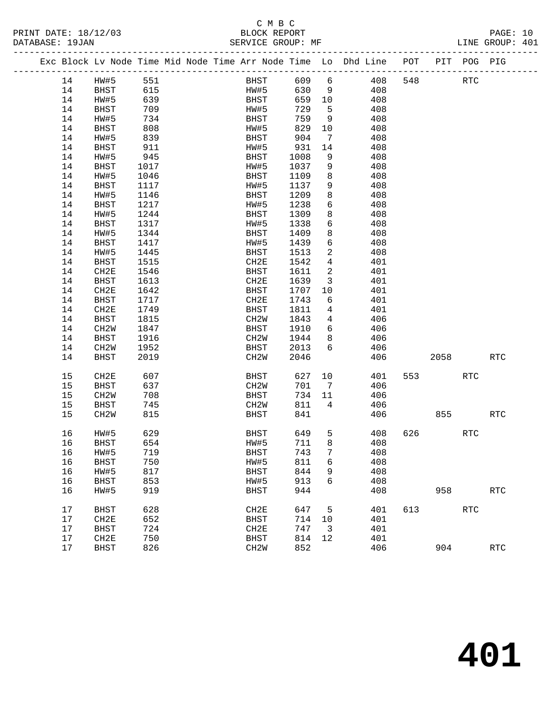PRINT DATE: 18/12/03 BLOCK REPORT BATABASE: 19JAN BLOCK REPORT

## C M B C<br>BLOCK REPORT

PAGE: 10<br>LINE GROUP: 401

|  |         |                   | Exc Block Lv Node Time Mid Node Time Arr Node Time Lo Dhd Line POT |  |                   |             |        |                         |     |     |                          | PIT POG PIG |            |
|--|---------|-------------------|--------------------------------------------------------------------|--|-------------------|-------------|--------|-------------------------|-----|-----|--------------------------|-------------|------------|
|  | 14      | HW#5              | 551                                                                |  |                   | <b>BHST</b> | 609 6  |                         | 408 | 548 |                          | RTC         |            |
|  | 14      | BHST              | 615                                                                |  |                   | <b>HW#5</b> | 630    | 9                       | 408 |     |                          |             |            |
|  | 14      | HW#5              | 639                                                                |  |                   | <b>BHST</b> | 659 10 |                         | 408 |     |                          |             |            |
|  | 14      | BHST              | 709                                                                |  | HW#5              |             | 729    | $-5$                    | 408 |     |                          |             |            |
|  | 14      | HW#5              | 734                                                                |  | BHST              |             | 759    | 9                       | 408 |     |                          |             |            |
|  | 14      | BHST              | 808                                                                |  | HW#5              |             | 829    | 10                      | 408 |     |                          |             |            |
|  | 14      | HW#5              | 839                                                                |  | BHST              |             | 904    | $\overline{7}$          | 408 |     |                          |             |            |
|  | 14      | <b>BHST</b>       | 911                                                                |  | HW#5              |             | 931    | 14                      | 408 |     |                          |             |            |
|  | 14      | HW#5              | 945                                                                |  | BHST              |             | 1008   | 9                       | 408 |     |                          |             |            |
|  | 14      | BHST              | 1017                                                               |  | HW#5              |             | 1037   | 9                       | 408 |     |                          |             |            |
|  | 14      | HW#5              | 1046                                                               |  | BHST              |             | 1109   | 8                       | 408 |     |                          |             |            |
|  | 14      | BHST              | 1117                                                               |  | HW#5              |             | 1137   | 9                       | 408 |     |                          |             |            |
|  | 14      | HW#5              | 1146                                                               |  | BHST              |             | 1209   | 8                       | 408 |     |                          |             |            |
|  | 14      | <b>BHST</b>       | 1217                                                               |  | HW#5              |             | 1238   | 6                       | 408 |     |                          |             |            |
|  | 14      | HW#5              | 1244                                                               |  | BHST              |             | 1309   | 8                       | 408 |     |                          |             |            |
|  | 14      | <b>BHST</b>       | 1317                                                               |  | HW#5              |             | 1338   | 6                       | 408 |     |                          |             |            |
|  | 14      | HW#5              | 1344                                                               |  | BHST              |             | 1409   | 8                       | 408 |     |                          |             |            |
|  | 14      | <b>BHST</b>       | 1417                                                               |  | HW#5              |             | 1439   | 6                       | 408 |     |                          |             |            |
|  | 14      | HW#5              | 1445                                                               |  | BHST              |             | 1513   | 2                       | 408 |     |                          |             |            |
|  | 14      | BHST              | 1515                                                               |  | CH2E              |             | 1542   | $4\overline{ }$         | 401 |     |                          |             |            |
|  | 14      | CH2E              | 1546                                                               |  | BHST              |             | 1611   | 2                       | 401 |     |                          |             |            |
|  | 14      | BHST              | 1613                                                               |  | CH2E              |             | 1639   | $\overline{3}$          | 401 |     |                          |             |            |
|  | 14      | CH2E              | 1642                                                               |  | BHST              |             | 1707   | 10                      | 401 |     |                          |             |            |
|  | 14      | BHST              | 1717                                                               |  | CH2E              |             | 1743   | 6                       | 401 |     |                          |             |            |
|  | 14      | CH2E              | 1749                                                               |  | <b>BHST</b>       |             | 1811   | $4\overline{ }$         | 401 |     |                          |             |            |
|  | 14      | BHST              | 1815                                                               |  | CH2W              |             | 1843   | $4\overline{ }$         | 406 |     |                          |             |            |
|  | 14      | CH2W              | 1847                                                               |  | BHST              |             | 1910   | 6                       | 406 |     |                          |             |            |
|  | 14      | BHST              | 1916                                                               |  | CH2W              |             | 1944   | 8                       | 406 |     |                          |             |            |
|  | 14      | CH2W              | 1952                                                               |  | BHST              |             | 2013   | 6                       | 406 |     |                          |             |            |
|  | 14      | BHST              | 2019                                                               |  | CH2W              |             | 2046   |                         | 406 |     | 2058                     |             | <b>RTC</b> |
|  | 15      | CH2E              | 607                                                                |  | BHST              |             | 627    | 10                      | 401 |     | 553 and $\overline{553}$ | <b>RTC</b>  |            |
|  | 15      | BHST              | 637                                                                |  | CH2W              |             | 701    | $\overline{7}$          | 406 |     |                          |             |            |
|  | 15      | CH <sub>2</sub> W | 708                                                                |  | BHST              |             | 734    | 11                      | 406 |     |                          |             |            |
|  | 15      | BHST              | 745                                                                |  | CH2W              |             | 811    | $4\overline{ }$         | 406 |     |                          |             |            |
|  | 15      | CH <sub>2</sub> W | 815                                                                |  | <b>BHST</b>       |             | 841    |                         | 406 |     | 855                      |             | <b>RTC</b> |
|  | 16      | HW#5              | 629                                                                |  | <b>BHST</b>       |             | 649    | 5                       | 408 | 626 |                          | RTC         |            |
|  | 16      | BHST              | 654                                                                |  | HW#5              |             | 711    | 8                       | 408 |     |                          |             |            |
|  | 16 HW#5 |                   | 719                                                                |  | $_{\rm BHST}$     |             | 743    | 7 <sup>7</sup>          | 408 |     |                          |             |            |
|  | 16      | BHST              | 750                                                                |  | HW#5              |             | 811    | 6                       | 408 |     |                          |             |            |
|  | 16      | HW#5              | 817                                                                |  | <b>BHST</b>       |             | 844    | 9                       | 408 |     |                          |             |            |
|  | 16      | <b>BHST</b>       | 853                                                                |  | HW#5              |             | 913    | 6                       | 408 |     |                          |             |            |
|  | 16      | HW#5              | 919                                                                |  | <b>BHST</b>       |             | 944    |                         | 408 |     | 958                      |             | <b>RTC</b> |
|  |         |                   |                                                                    |  |                   |             |        |                         |     |     |                          |             |            |
|  | 17      | <b>BHST</b>       | 628                                                                |  | CH2E              |             | 647    | 5                       | 401 | 613 |                          | <b>RTC</b>  |            |
|  | 17      | CH <sub>2E</sub>  | 652                                                                |  | BHST              |             | 714    | 10                      | 401 |     |                          |             |            |
|  | 17      | <b>BHST</b>       | 724                                                                |  | CH2E              |             | 747    | $\overline{\mathbf{3}}$ | 401 |     |                          |             |            |
|  | 17      | CH2E              | 750                                                                |  | <b>BHST</b>       |             | 814    | 12                      | 401 |     |                          |             |            |
|  | 17      | <b>BHST</b>       | 826                                                                |  | CH <sub>2</sub> M |             | 852    |                         | 406 |     | 904                      |             | <b>RTC</b> |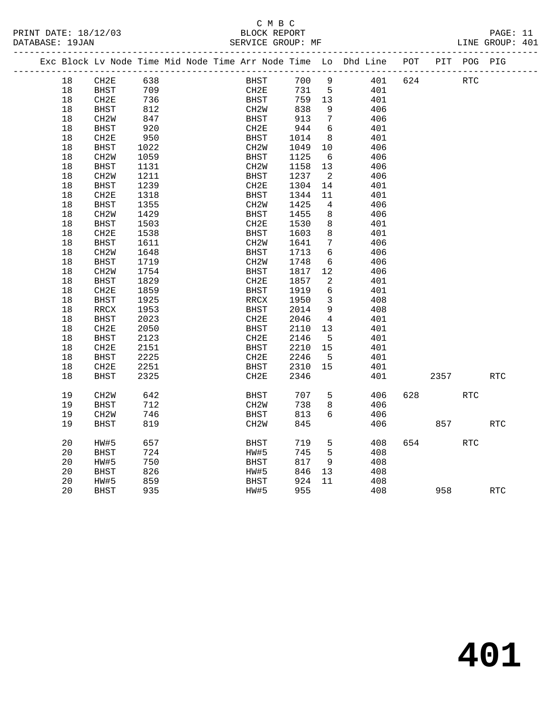### C M B C

| PRINT DATE: 18/12/03<br>DATABASE: 19JAN |      |                   |      |  | C M B C<br>BLOCK REPORT<br>SERVICE GROUP: MF |      |                 |                                                                    |         |     |                      | PAGE: 11<br>LINE GROUP: 401 |  |
|-----------------------------------------|------|-------------------|------|--|----------------------------------------------|------|-----------------|--------------------------------------------------------------------|---------|-----|----------------------|-----------------------------|--|
|                                         |      |                   |      |  |                                              |      |                 | Exc Block Lv Node Time Mid Node Time Arr Node Time Lo Dhd Line POT |         |     | PIT POG PIG          |                             |  |
|                                         | 18   | CH2E              | 638  |  | BHST                                         | 700  | 9               |                                                                    | 401 624 |     | <b>RTC</b>           |                             |  |
|                                         | 18   | BHST              | 709  |  | CH2E                                         |      | 731 5           | 401                                                                |         |     |                      |                             |  |
|                                         | 18   | CH2E              | 736  |  | BHST                                         | 759  | 13              | 401                                                                |         |     |                      |                             |  |
|                                         | 18   | <b>BHST</b>       | 812  |  | CH2W                                         | 838  | 9               | 406                                                                |         |     |                      |                             |  |
|                                         | 18   | CH2W              | 847  |  | BHST                                         | 913  | $7\overline{ }$ | 406                                                                |         |     |                      |                             |  |
|                                         | 18   | <b>BHST</b>       | 920  |  | CH2E                                         | 944  | 6               | 401                                                                |         |     |                      |                             |  |
|                                         | 18   | CH2E              | 950  |  | BHST                                         | 1014 | 8               | 401                                                                |         |     |                      |                             |  |
|                                         | 18   | <b>BHST</b>       | 1022 |  | CH <sub>2</sub> W                            | 1049 | 10              | 406                                                                |         |     |                      |                             |  |
|                                         | 18   | CH2W              | 1059 |  | BHST                                         | 1125 | $6\overline{6}$ | 406                                                                |         |     |                      |                             |  |
|                                         | 18   | BHST              | 1131 |  | CH2W                                         | 1158 | 13              | 406                                                                |         |     |                      |                             |  |
|                                         | 18   | CH <sub>2</sub> W | 1211 |  | <b>BHST</b>                                  | 1237 | $\overline{2}$  | 406                                                                |         |     |                      |                             |  |
|                                         | $18$ | BHST              | 1239 |  | CH2E                                         | 1304 | 14              | 401                                                                |         |     |                      |                             |  |
|                                         | 18   | CH2E              | 1318 |  | BHST                                         | 1344 | 11              | 401                                                                |         |     |                      |                             |  |
|                                         | 18   | BHST              | 1355 |  | CH2W                                         | 1425 | $\overline{4}$  | 406                                                                |         |     |                      |                             |  |
|                                         | $18$ | CH <sub>2</sub> W | 1429 |  | <b>BHST</b>                                  | 1455 | 8               | 406                                                                |         |     |                      |                             |  |
|                                         | $18$ | BHST              | 1503 |  | CH2E                                         | 1530 | 8               | 401                                                                |         |     |                      |                             |  |
|                                         | $18$ | CH2E              | 1538 |  | <b>BHST</b>                                  | 1603 | 8               | 401                                                                |         |     |                      |                             |  |
|                                         | 18   | BHST              | 1611 |  | CH2W                                         | 1641 | $7\phantom{.0}$ | 406                                                                |         |     |                      |                             |  |
|                                         | 18   | CH <sub>2</sub> W | 1648 |  | <b>BHST</b>                                  | 1713 | 6               | 406                                                                |         |     |                      |                             |  |
|                                         | $18$ | BHST              | 1719 |  | CH2W                                         | 1748 | 6               | 406                                                                |         |     |                      |                             |  |
|                                         | 18   | CH <sub>2</sub> W | 1754 |  | <b>BHST</b>                                  | 1817 | 12              | 406                                                                |         |     |                      |                             |  |
|                                         | 18   | BHST              | 1829 |  | CH2E                                         | 1857 | 2               | 401                                                                |         |     |                      |                             |  |
|                                         | 18   | CH2E              | 1859 |  | <b>BHST</b>                                  | 1919 | 6               | 401                                                                |         |     |                      |                             |  |
|                                         | 18   | <b>BHST</b>       | 1925 |  | RRCX                                         | 1950 | $\overline{3}$  | 408                                                                |         |     |                      |                             |  |
|                                         | 18   | RRCX              | 1953 |  | <b>BHST</b>                                  | 2014 | 9               | 408                                                                |         |     |                      |                             |  |
|                                         | 18   | BHST              | 2023 |  | CH2E                                         | 2046 | $\overline{4}$  | 401                                                                |         |     |                      |                             |  |
|                                         | 18   | CH2E              | 2050 |  | BHST                                         | 2110 | 13              | 401                                                                |         |     |                      |                             |  |
|                                         | 18   | <b>BHST</b>       | 2123 |  | CH2E                                         | 2146 | 5               | 401                                                                |         |     |                      |                             |  |
|                                         | 18   | CH2E              | 2151 |  | BHST                                         | 2210 | 15              | 401                                                                |         |     |                      |                             |  |
|                                         | 18   | BHST              | 2225 |  | CH2E                                         | 2246 | 5               | 401                                                                |         |     |                      |                             |  |
|                                         | 18   | CH2E              | 2251 |  | BHST                                         | 2310 | 15              | 401                                                                |         |     |                      |                             |  |
|                                         | 18   | <b>BHST</b>       | 2325 |  | CH2E                                         | 2346 |                 | 401                                                                |         |     | 2357                 | <b>RTC</b>                  |  |
|                                         | 19   | CH <sub>2</sub> M | 642  |  | BHST                                         | 707  | 5               | 406                                                                | 628     |     | RTC                  |                             |  |
|                                         | 19   | <b>BHST</b>       | 712  |  | CH <sub>2</sub> W                            | 738  | 8               | 406                                                                |         |     |                      |                             |  |
|                                         | 19   | CH <sub>2</sub> M | 746  |  | BHST                                         | 813  | 6               | 406                                                                |         |     |                      |                             |  |
|                                         | 19   | <b>BHST</b>       | 819  |  | CH <sub>2</sub> W                            | 845  |                 | 406                                                                |         | 857 |                      | <b>RTC</b>                  |  |
|                                         | 20   | HW#5              | 657  |  | <b>BHST</b>                                  | 719  | 5               | 408                                                                | 654     |     | $\operatorname{RTC}$ |                             |  |
|                                         | 20   | <b>BHST</b>       | 724  |  | HW#5                                         | 745  | 5               | 408                                                                |         |     |                      |                             |  |
|                                         | 20   | HW#5              | 750  |  | <b>BHST</b>                                  | 817  | 9               | 408                                                                |         |     |                      |                             |  |
|                                         | 20   | <b>BHST</b>       | 826  |  | HW#5                                         | 846  | 13              | 408                                                                |         |     |                      |                             |  |
|                                         | 20   | HW#5              | 859  |  | <b>BHST</b>                                  | 924  | 11              | 408                                                                |         |     |                      |                             |  |
|                                         | 20   | <b>BHST</b>       | 935  |  | HW#5                                         | 955  |                 | 408                                                                |         | 958 |                      | RTC                         |  |
|                                         |      |                   |      |  |                                              |      |                 |                                                                    |         |     |                      |                             |  |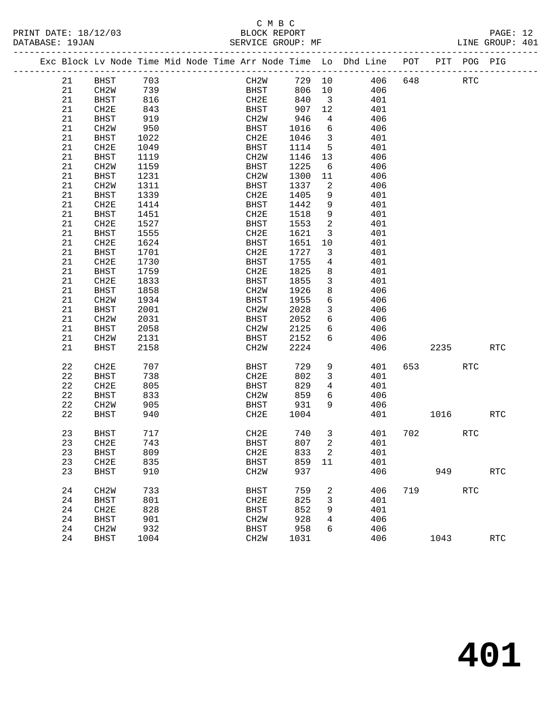## C M B C<br>BLOCK REPORT

PAGE: 12<br>LINE GROUP: 401

PRINT DATE: 18/12/03 BLOCK REPORT BATABASE: 19JAN BLOCK REPORT

|  |          |                   |            |  |                     |            |                         | Exc Block Lv Node Time Mid Node Time Arr Node Time Lo Dhd Line POT PIT POG PIG |     |      |            |            |
|--|----------|-------------------|------------|--|---------------------|------------|-------------------------|--------------------------------------------------------------------------------|-----|------|------------|------------|
|  | 21       | BHST              | 703        |  | CH2W                | 729 10     |                         | 406                                                                            | 648 |      | RTC        |            |
|  | 21       | CH2W              | 739        |  | <b>BHST</b>         | 806        | 10                      | 406                                                                            |     |      |            |            |
|  | 21       | BHST              | 816        |  | CH2E                | 840        | $\overline{\mathbf{3}}$ | 401                                                                            |     |      |            |            |
|  | 21       | CH2E              | 843        |  | BHST                | 907        | 12                      | 401                                                                            |     |      |            |            |
|  | 21       | BHST              | 919        |  | CH2W                | 946        | $\overline{4}$          | 406                                                                            |     |      |            |            |
|  | 21       | CH <sub>2</sub> M | 950        |  | BHST                | 1016       | $6\overline{6}$         | 406                                                                            |     |      |            |            |
|  | 21       | BHST              | 1022       |  | CH2E                | 1046       | $\overline{\mathbf{3}}$ | 401                                                                            |     |      |            |            |
|  | 21       | CH2E              | 1049       |  | BHST                | 1114       | $5^{\circ}$             | 401                                                                            |     |      |            |            |
|  | 21       | BHST              | 1119       |  | CH2W                | 1146       | 13                      | 406                                                                            |     |      |            |            |
|  | 21       | CH2W              | 1159       |  | BHST                | 1225       | 6                       | 406                                                                            |     |      |            |            |
|  | 21       | BHST              | 1231       |  | CH2W                | 1300       | 11                      | 406                                                                            |     |      |            |            |
|  | 21       | CH2W              | 1311       |  | BHST                | 1337       | 2                       | 406                                                                            |     |      |            |            |
|  | 21       | BHST              | 1339       |  | CH2E                | 1405       | 9                       | 401                                                                            |     |      |            |            |
|  | 21       | CH2E              | 1414       |  | BHST                | 1442       | 9                       | 401                                                                            |     |      |            |            |
|  | 21       | BHST              | 1451       |  | CH2E                | 1518       | 9                       | 401                                                                            |     |      |            |            |
|  | 21       | CH2E              | 1527       |  | BHST                | 1553       | 2                       | 401                                                                            |     |      |            |            |
|  | 21       | <b>BHST</b>       | 1555       |  | CH2E                | 1621       | $\overline{\mathbf{3}}$ | 401                                                                            |     |      |            |            |
|  | 21       | CH2E              | 1624       |  | BHST                | 1651       | 10                      | 401                                                                            |     |      |            |            |
|  | 21       | BHST              | 1701       |  | CH2E                | 1727       | $\overline{\mathbf{3}}$ | 401                                                                            |     |      |            |            |
|  | 21       | CH2E              | 1730       |  | BHST                | 1755       | 4                       | 401                                                                            |     |      |            |            |
|  | 21       | BHST              | 1759       |  | CH2E                | 1825       | 8                       | 401                                                                            |     |      |            |            |
|  | 21       | CH2E              | 1833       |  | BHST                | 1855       | $\mathbf{3}$            | 401                                                                            |     |      |            |            |
|  | 21       | <b>BHST</b>       | 1858       |  | CH <sub>2</sub> W   | 1926       | 8                       | 406                                                                            |     |      |            |            |
|  | 21       | CH2W              | 1934       |  | BHST                | 1955       | 6                       | 406                                                                            |     |      |            |            |
|  | 21       | BHST              | 2001       |  | CH <sub>2</sub> W   | 2028       | $\mathbf{3}$            | 406                                                                            |     |      |            |            |
|  | 21       | CH2W              | 2031       |  | BHST                | 2052       | 6                       | 406                                                                            |     |      |            |            |
|  | 21       | BHST              | 2058       |  | CH2W                | 2125       | 6                       | 406                                                                            |     |      |            |            |
|  | 21       | CH2W              | 2131       |  | BHST                | 2152       | 6                       | 406                                                                            |     |      |            |            |
|  | 21       | BHST              | 2158       |  | CH <sub>2</sub> W   | 2224       |                         | 406                                                                            |     | 2235 |            | <b>RTC</b> |
|  | 22       | CH2E              | 707        |  | BHST                | 729        | 9                       | 401                                                                            | 653 |      | <b>RTC</b> |            |
|  | 22       | BHST              | 738        |  | CH2E                | 802        | 3                       | 401                                                                            |     |      |            |            |
|  | 22       | CH2E              | 805        |  | BHST                | 829        | $\overline{4}$          | 401                                                                            |     |      |            |            |
|  | 22       | BHST              | 833        |  | CH2W                | 859        | 6                       | 406                                                                            |     |      |            |            |
|  | 22       | CH2W              | 905        |  | BHST                | 931        | 9                       | 406                                                                            |     |      |            |            |
|  | 22       | BHST              | 940        |  | CH2E                | 1004       |                         | 401                                                                            |     | 1016 |            | <b>RTC</b> |
|  |          |                   |            |  |                     |            |                         |                                                                                |     |      |            |            |
|  | 23<br>23 | BHST              | 717<br>743 |  | CH2E<br><b>BHST</b> | 740<br>807 | $\overline{3}$<br>2     | 401<br>401                                                                     | 702 |      | RTC        |            |
|  | 23       | CH2E              |            |  |                     | 833        | $\overline{a}$          |                                                                                |     |      |            |            |
|  | 23       | BHST<br>CH2E      | 809<br>835 |  | CH2E<br><b>BHST</b> | 859 11     |                         | 401<br>401                                                                     |     |      |            |            |
|  | 23       | <b>BHST</b>       | 910        |  | CH <sub>2</sub> W   | 937        |                         | 406                                                                            |     | 949  |            | <b>RTC</b> |
|  |          |                   |            |  |                     |            |                         |                                                                                |     |      |            |            |
|  | 24       | CH <sub>2</sub> M | 733        |  | <b>BHST</b>         | 759        | 2                       | 406                                                                            | 719 |      | RTC        |            |
|  | 24       | BHST              | 801        |  | CH2E                | 825        | 3                       | 401                                                                            |     |      |            |            |
|  | 24       | CH2E              | 828        |  | <b>BHST</b>         | 852        | 9                       | 401                                                                            |     |      |            |            |
|  | 24       | <b>BHST</b>       | 901        |  | CH <sub>2</sub> W   | 928        | 4                       | 406                                                                            |     |      |            |            |
|  | 24       | CH <sub>2</sub> M | 932        |  | BHST                | 958        | 6                       | 406                                                                            |     |      |            |            |
|  | 24       | <b>BHST</b>       | 1004       |  | CH2W                | 1031       |                         | 406                                                                            |     | 1043 |            | RTC        |
|  |          |                   |            |  |                     |            |                         |                                                                                |     |      |            |            |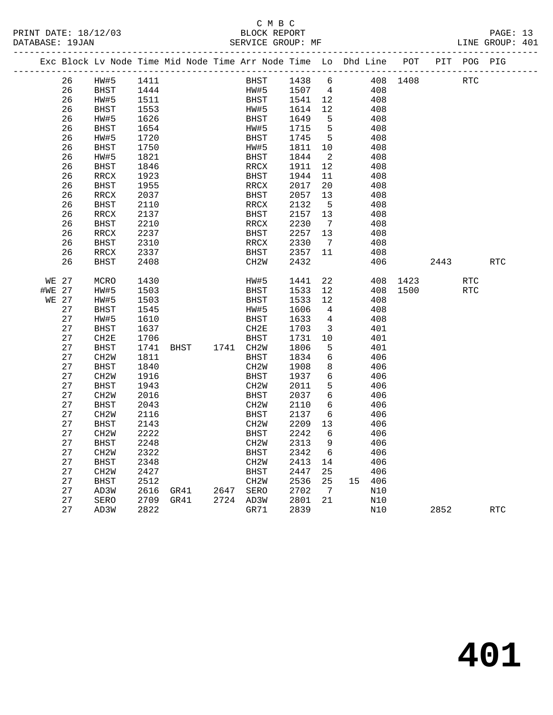| PRINT DATE: 18/12/03 | BLOCK REPORT      | PAGE: 13        |
|----------------------|-------------------|-----------------|
| DATABASE: 19JAN      | SERVICE GROUP: MF | LINE GROUP: 401 |

|              | Exc Block Lv Node Time Mid Node Time Arr Node Time Lo Dhd Line POT |                   |      |      |      |                |                   |              |                            |            |          |      | PIT POG PIG |            |
|--------------|--------------------------------------------------------------------|-------------------|------|------|------|----------------|-------------------|--------------|----------------------------|------------|----------|------|-------------|------------|
|              | 26                                                                 | HW#5              | 1411 |      |      |                | BHST              | 1438         | 6                          |            | 408 1408 |      | <b>RTC</b>  |            |
|              | 26                                                                 | <b>BHST</b>       | 1444 |      |      |                | HW#5              | 1507 4       |                            | 408        |          |      |             |            |
|              | 26                                                                 | HW#5              | 1511 |      |      |                | BHST              | 1541 12      |                            | 408        |          |      |             |            |
|              | 26                                                                 | BHST              | 1553 |      |      |                | HW#5              | 1614 12      |                            | 408        |          |      |             |            |
|              | 26                                                                 | HW#5              | 1626 |      |      |                | BHST              | 1649         | $5^{\circ}$                | 408        |          |      |             |            |
|              | 26                                                                 | <b>BHST</b>       | 1654 |      |      |                | HW#5              | 1715         | $5^{\circ}$                | 408        |          |      |             |            |
|              | 26                                                                 | HW#5              | 1720 |      |      |                | BHST              | 1745         | $5^{\circ}$                | 408        |          |      |             |            |
|              | 26                                                                 | <b>BHST</b>       | 1750 |      |      |                | HW#5              | 1811 10      |                            | 408        |          |      |             |            |
|              | 26                                                                 | HW#5              | 1821 |      |      |                | BHST              | 1844         | $\overline{\phantom{a}}^2$ | 408        |          |      |             |            |
|              | 26                                                                 | <b>BHST</b>       | 1846 |      |      |                | RRCX              | 1911         | 12                         | 408        |          |      |             |            |
|              | 26                                                                 | RRCX              | 1923 |      |      |                | BHST              | 1944         | 11                         | 408        |          |      |             |            |
|              | 26                                                                 | <b>BHST</b>       | 1955 |      |      |                | RRCX              | 2017         | 20                         | 408        |          |      |             |            |
|              | 26                                                                 | RRCX              | 2037 |      |      |                | <b>BHST</b>       | 2057         | 13                         | 408        |          |      |             |            |
|              | 26                                                                 | <b>BHST</b>       | 2110 |      |      |                | RRCX              | 2132         | $5^{\circ}$                | 408        |          |      |             |            |
|              | 26                                                                 | RRCX              | 2137 |      |      |                | <b>BHST</b>       | 2157         | 13                         | 408        |          |      |             |            |
|              | 26                                                                 | <b>BHST</b>       | 2210 |      |      |                | RRCX              | 2230         | $\overline{7}$             | 408        |          |      |             |            |
|              | 26                                                                 | RRCX              | 2237 |      |      |                | BHST              | 2257         | 13                         | 408        |          |      |             |            |
|              | 26                                                                 | <b>BHST</b>       | 2310 |      |      |                | RRCX              | 2330         | $\overline{7}$             | 408        |          |      |             |            |
|              | 26<br>26                                                           | RRCX              | 2337 |      |      |                | BHST              | 2357<br>2432 | 11                         | 408<br>406 |          | 2443 |             |            |
|              |                                                                    | <b>BHST</b>       | 2408 |      |      |                | CH <sub>2</sub> M |              |                            |            |          |      |             | <b>RTC</b> |
|              | <b>WE 27</b>                                                       | MCRO              | 1430 |      |      |                | HW#5              | 1441         | 22                         |            | 408 1423 |      | RTC         |            |
| #WE 27       |                                                                    | HW#5              | 1503 |      |      |                | BHST              | 1533         | 12                         | 408        | 1500     |      | RTC         |            |
| <b>WE 27</b> |                                                                    | HW#5              | 1503 |      |      |                | BHST              | 1533         | 12                         | 408        |          |      |             |            |
|              | 27                                                                 | BHST              | 1545 |      |      |                | HW#5              | 1606         | $\overline{4}$             | 408        |          |      |             |            |
|              | 27                                                                 | HW#5              | 1610 |      |      |                | BHST              | 1633         | $\overline{4}$             | 408        |          |      |             |            |
|              | 27                                                                 | <b>BHST</b>       | 1637 |      |      |                | CH2E              | 1703         | $\overline{\mathbf{3}}$    | 401        |          |      |             |            |
|              | 27                                                                 | CH2E              | 1706 |      |      |                | <b>BHST</b>       | 1731         | 10                         | 401        |          |      |             |            |
|              | 27                                                                 | <b>BHST</b>       | 1741 |      | BHST | 1741 CH2W      |                   | 1806         | $5^{\circ}$                | 401        |          |      |             |            |
|              | 27                                                                 | CH <sub>2</sub> W | 1811 |      |      |                | <b>BHST</b>       | 1834         | 6                          | 406        |          |      |             |            |
|              | 27                                                                 | <b>BHST</b>       | 1840 |      |      |                | CH <sub>2</sub> M | 1908         | 8                          | 406        |          |      |             |            |
|              | 27                                                                 | CH <sub>2</sub> M | 1916 |      |      |                | BHST              | 1937         | 6                          | 406        |          |      |             |            |
|              | 27                                                                 | <b>BHST</b>       | 1943 |      |      |                | CH <sub>2</sub> W | 2011         | 5                          | 406        |          |      |             |            |
|              | 27                                                                 | CH <sub>2</sub> W | 2016 |      |      |                | BHST              | 2037         | 6                          | 406        |          |      |             |            |
|              | 27                                                                 | <b>BHST</b>       | 2043 |      |      |                | CH <sub>2</sub> W | 2110         | 6                          | 406        |          |      |             |            |
|              | 27                                                                 | CH <sub>2</sub> M | 2116 |      |      |                | BHST              | 2137         | 6                          | 406        |          |      |             |            |
|              | 27                                                                 | <b>BHST</b>       | 2143 |      |      |                | CH <sub>2</sub> W | 2209         | 13                         | 406        |          |      |             |            |
|              | 27                                                                 | CH <sub>2</sub> W | 2222 |      |      |                | BHST              | 2242         | - 6                        | 406        |          |      |             |            |
|              | 27                                                                 | <b>BHST</b>       | 2248 |      |      |                | CH <sub>2</sub> W | 2313         | 9                          | 406        |          |      |             |            |
|              | 27                                                                 | CH <sub>2</sub> W | 2322 |      |      |                | BHST              | 2342         | 6                          | 406        |          |      |             |            |
|              | 27                                                                 | <b>BHST</b>       | 2348 |      |      |                | CH <sub>2</sub> W | 2413         | 14                         | 406        |          |      |             |            |
|              | 27                                                                 | CH <sub>2</sub> M | 2427 |      |      |                | BHST              | 2447         | 25                         | 406        |          |      |             |            |
|              | 27                                                                 | <b>BHST</b>       | 2512 |      |      |                | CH <sub>2</sub> W | 2536         | 25                         | 15 406     |          |      |             |            |
|              | 27                                                                 | AD3W              | 2616 |      |      | GR41 2647 SERO |                   | 2702         | $\overline{7}$             | N10        |          |      |             |            |
|              | 27                                                                 | SERO              | 2709 | GR41 |      | 2724 AD3W      |                   | 2801         | 21                         | N10        |          |      |             |            |
|              | 27                                                                 | AD3W              | 2822 |      |      |                | GR71              | 2839         |                            | N10        |          | 2852 |             | RTC        |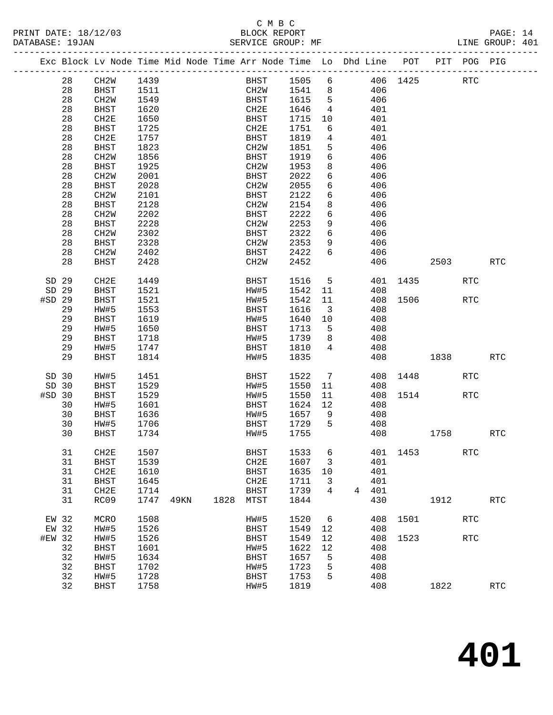#### C M B C<br>BLOCK REPORT SERVICE GROUP: MF

PRINT DATE: 18/12/03 BLOCK REPORT PAGE: 14

|        |    |                   |      |      |      | Exc Block Lv Node Time Mid Node Time Arr Node Time Lo Dhd Line POT PIT POG PIG |      |                         |   |     |                 |      |            |                      |
|--------|----|-------------------|------|------|------|--------------------------------------------------------------------------------|------|-------------------------|---|-----|-----------------|------|------------|----------------------|
|        | 28 | CH2W              | 1439 |      |      | <b>BHST</b>                                                                    | 1505 | 6                       |   |     | 406 1425        |      | RTC        |                      |
|        | 28 | BHST              | 1511 |      |      | CH2W                                                                           | 1541 | 8                       |   | 406 |                 |      |            |                      |
|        | 28 | CH2W              | 1549 |      |      | BHST                                                                           | 1615 | $5^{\circ}$             |   | 406 |                 |      |            |                      |
|        | 28 | BHST              | 1620 |      |      | CH2E                                                                           | 1646 | $\overline{4}$          |   | 401 |                 |      |            |                      |
|        |    |                   |      |      |      | BHST                                                                           |      |                         |   | 401 |                 |      |            |                      |
|        | 28 | CH2E              | 1650 |      |      |                                                                                | 1715 | 10                      |   |     |                 |      |            |                      |
|        | 28 | <b>BHST</b>       | 1725 |      |      | CH2E                                                                           | 1751 | 6                       |   | 401 |                 |      |            |                      |
|        | 28 | CH2E              | 1757 |      |      | BHST                                                                           | 1819 | $4\overline{ }$         |   | 401 |                 |      |            |                      |
|        | 28 | <b>BHST</b>       | 1823 |      |      | CH2W                                                                           | 1851 | 5                       |   | 406 |                 |      |            |                      |
|        | 28 | CH <sub>2</sub> W | 1856 |      |      | BHST                                                                           | 1919 | 6                       |   | 406 |                 |      |            |                      |
|        | 28 | <b>BHST</b>       | 1925 |      |      | CH2W                                                                           | 1953 | 8                       |   | 406 |                 |      |            |                      |
|        | 28 | CH <sub>2</sub> W | 2001 |      |      | BHST                                                                           | 2022 | 6                       |   | 406 |                 |      |            |                      |
|        | 28 | <b>BHST</b>       | 2028 |      |      | CH2W                                                                           | 2055 | 6                       |   | 406 |                 |      |            |                      |
|        | 28 | CH <sub>2</sub> W | 2101 |      |      | BHST                                                                           | 2122 | 6                       |   | 406 |                 |      |            |                      |
|        | 28 | <b>BHST</b>       | 2128 |      |      | CH2W                                                                           | 2154 | 8                       |   | 406 |                 |      |            |                      |
|        | 28 | CH <sub>2</sub> W | 2202 |      |      | BHST                                                                           | 2222 | $6\overline{6}$         |   | 406 |                 |      |            |                      |
|        | 28 | <b>BHST</b>       | 2228 |      |      | CH2W                                                                           | 2253 | 9                       |   | 406 |                 |      |            |                      |
|        | 28 | CH <sub>2</sub> W | 2302 |      |      | BHST                                                                           | 2322 | 6                       |   | 406 |                 |      |            |                      |
|        | 28 | <b>BHST</b>       | 2328 |      |      | CH2W                                                                           | 2353 | 9                       |   | 406 |                 |      |            |                      |
|        | 28 | CH <sub>2</sub> W | 2402 |      |      | BHST                                                                           | 2422 | 6                       |   | 406 |                 |      |            |                      |
|        | 28 | <b>BHST</b>       | 2428 |      |      | CH2W                                                                           | 2452 |                         |   | 406 |                 | 2503 |            | <b>RTC</b>           |
| SD 29  |    | CH <sub>2E</sub>  | 1449 |      |      | BHST                                                                           | 1516 | $5\overline{)}$         |   | 401 | 1435            |      | <b>RTC</b> |                      |
| SD 29  |    | <b>BHST</b>       | 1521 |      |      | HW#5                                                                           | 1542 | 11                      |   | 408 |                 |      |            |                      |
| #SD 29 |    | <b>BHST</b>       | 1521 |      |      | HW#5                                                                           | 1542 | 11                      |   | 408 | 1506            |      | RTC        |                      |
|        | 29 | HW#5              | 1553 |      |      | BHST                                                                           | 1616 | $\overline{\mathbf{3}}$ |   | 408 |                 |      |            |                      |
|        | 29 | <b>BHST</b>       | 1619 |      |      | HW#5                                                                           | 1640 | 10                      |   | 408 |                 |      |            |                      |
|        | 29 | HW#5              | 1650 |      |      | BHST                                                                           | 1713 | 5                       |   | 408 |                 |      |            |                      |
|        | 29 | BHST              | 1718 |      |      | HW#5                                                                           | 1739 | 8                       |   | 408 |                 |      |            |                      |
|        | 29 | HW#5              | 1747 |      |      | BHST                                                                           | 1810 | 4                       |   | 408 |                 |      |            |                      |
|        | 29 | <b>BHST</b>       | 1814 |      |      | HW#5                                                                           | 1835 |                         |   | 408 |                 | 1838 |            | <b>RTC</b>           |
|        |    |                   |      |      |      |                                                                                |      |                         |   |     |                 |      |            |                      |
| SD 30  |    | HW#5              | 1451 |      |      | BHST                                                                           | 1522 | $7\phantom{.0}$         |   |     | 408 1448        |      | RTC        |                      |
| SD 30  |    | <b>BHST</b>       | 1529 |      |      | HW#5                                                                           | 1550 | 11                      |   | 408 |                 |      |            |                      |
| #SD 30 |    | <b>BHST</b>       | 1529 |      |      | HW#5                                                                           | 1550 | 11                      |   | 408 | 1514            |      | <b>RTC</b> |                      |
|        | 30 | HW#5              | 1601 |      |      | BHST                                                                           | 1624 | 12                      |   | 408 |                 |      |            |                      |
|        | 30 | BHST              | 1636 |      |      | HW#5                                                                           | 1657 | 9                       |   | 408 |                 |      |            |                      |
|        | 30 | HW#5              | 1706 |      |      | BHST                                                                           | 1729 | $5^{\circ}$             |   | 408 |                 |      |            |                      |
|        | 30 | <b>BHST</b>       | 1734 |      |      | HW#5                                                                           | 1755 |                         |   | 408 |                 | 1758 |            | <b>RTC</b>           |
|        | 31 | CH2E              | 1507 |      |      | <b>BHST</b>                                                                    |      |                         |   |     | 1533 6 401 1453 |      | RTC        |                      |
|        | 31 | <b>BHST</b>       | 1539 |      |      | CH2E                                                                           | 1607 | 3                       |   | 401 |                 |      |            |                      |
|        | 31 | CH2E              | 1610 |      |      | <b>BHST</b>                                                                    | 1635 | 10                      |   | 401 |                 |      |            |                      |
|        | 31 | <b>BHST</b>       | 1645 |      |      | CH2E                                                                           | 1711 | 3                       |   | 401 |                 |      |            |                      |
|        | 31 | CH2E              | 1714 |      |      | <b>BHST</b>                                                                    | 1739 | 4                       | 4 | 401 |                 |      |            |                      |
|        | 31 | RC09              | 1747 | 49KN | 1828 | MTST                                                                           | 1844 |                         |   | 430 |                 | 1912 |            | $\operatorname{RTC}$ |
| EW 32  |    | MCRO              | 1508 |      |      | HW#5                                                                           | 1520 | 6                       |   | 408 | 1501            |      | <b>RTC</b> |                      |
| EW 32  |    | HW#5              | 1526 |      |      | <b>BHST</b>                                                                    | 1549 | 12                      |   | 408 |                 |      |            |                      |
| #EW 32 |    | HW#5              | 1526 |      |      | <b>BHST</b>                                                                    | 1549 | 12                      |   | 408 | 1523            |      | <b>RTC</b> |                      |
|        | 32 | <b>BHST</b>       | 1601 |      |      | HW#5                                                                           | 1622 | 12                      |   | 408 |                 |      |            |                      |
|        | 32 | HW#5              | 1634 |      |      | BHST                                                                           | 1657 | 5                       |   | 408 |                 |      |            |                      |
|        | 32 | <b>BHST</b>       | 1702 |      |      | HW#5                                                                           | 1723 | 5                       |   | 408 |                 |      |            |                      |
|        | 32 | HW#5              | 1728 |      |      | BHST                                                                           | 1753 | 5                       |   | 408 |                 |      |            |                      |
|        | 32 | <b>BHST</b>       | 1758 |      |      | HW#5                                                                           | 1819 |                         |   | 408 |                 | 1822 |            | $\operatorname{RTC}$ |
|        |    |                   |      |      |      |                                                                                |      |                         |   |     |                 |      |            |                      |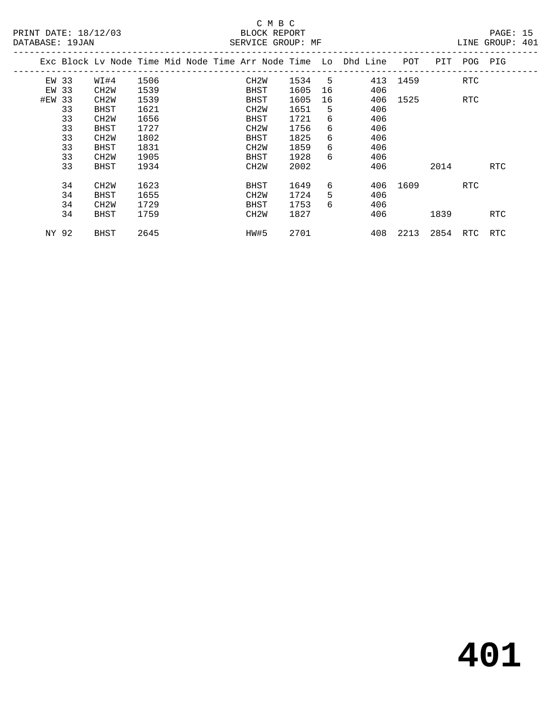# C M B C<br>
PRINT DATE: 18/12/03 BLOCK REPOR

| DATABASE: 19JAN |    |                   |      |  | SERVICE GROUP: MF |        |    |                                                                    |                       |      |             | LINE GROUP: 401 |  |
|-----------------|----|-------------------|------|--|-------------------|--------|----|--------------------------------------------------------------------|-----------------------|------|-------------|-----------------|--|
|                 |    |                   |      |  |                   |        |    | Exc Block Lv Node Time Mid Node Time Arr Node Time Lo Dhd Line POT |                       |      | PIT POG PIG |                 |  |
| EW 33           |    | WI#4              | 1506 |  | CH2W              | 1534 5 |    |                                                                    | 413 1459              |      | RTC         |                 |  |
| EW 33           |    | CH <sub>2</sub> W | 1539 |  | BHST              | 1605   | 16 | 406                                                                |                       |      |             |                 |  |
| #EW 33          |    | CH <sub>2</sub> W | 1539 |  | BHST              | 1605   | 16 |                                                                    | 406 1525              |      | RTC         |                 |  |
|                 | 33 | BHST              | 1621 |  | CH2W              | 1651   | 5  | 406                                                                |                       |      |             |                 |  |
|                 | 33 | CH <sub>2</sub> M | 1656 |  | BHST              | 1721   | 6  | 406                                                                |                       |      |             |                 |  |
|                 | 33 | BHST              | 1727 |  | CH2W              | 1756   | 6  | 406                                                                |                       |      |             |                 |  |
|                 | 33 | CH <sub>2</sub> M | 1802 |  | BHST              | 1825   | 6  | 406                                                                |                       |      |             |                 |  |
|                 | 33 | BHST              | 1831 |  | CH2W              | 1859   | 6  | 406                                                                |                       |      |             |                 |  |
|                 | 33 | CH <sub>2</sub> W | 1905 |  | BHST              | 1928   | 6  | 406                                                                |                       |      |             |                 |  |
|                 | 33 | BHST              | 1934 |  | CH2W              | 2002   |    | 406                                                                |                       | 2014 |             | <b>RTC</b>      |  |
|                 | 34 | CH <sub>2</sub> W | 1623 |  | BHST              | 1649   | 6  |                                                                    | 406 1609              |      | RTC         |                 |  |
|                 | 34 | BHST              | 1655 |  | CH <sub>2</sub> W | 1724   | 5  | 406                                                                |                       |      |             |                 |  |
|                 | 34 | CH <sub>2</sub> M | 1729 |  | BHST              | 1753   | 6  | 406                                                                |                       |      |             |                 |  |
|                 | 34 | BHST              | 1759 |  | CH2W              | 1827   |    | 406                                                                |                       | 1839 |             | RTC             |  |
| NY 92           |    | BHST              | 2645 |  | HW#5              | 2701   |    |                                                                    | 408 2213 2854 RTC RTC |      |             |                 |  |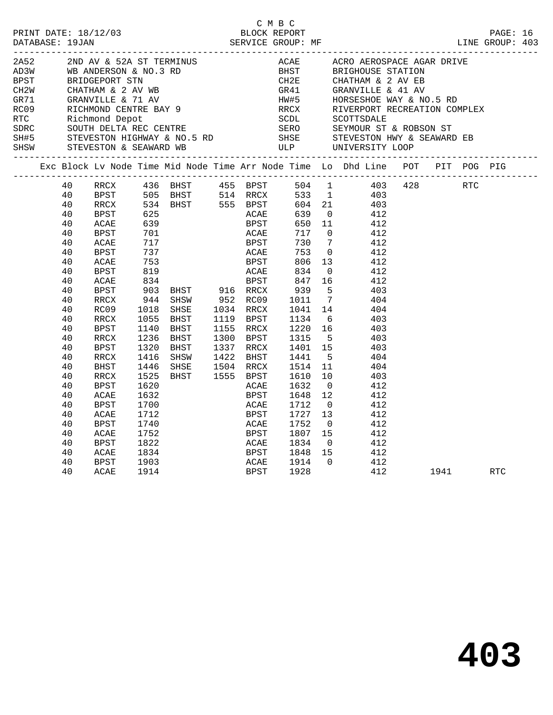|                                         |    |      |                                        |                                                  |      | C M B C      |        |                                                                                                                                                                                                                                      |          |  |          |  |
|-----------------------------------------|----|------|----------------------------------------|--------------------------------------------------|------|--------------|--------|--------------------------------------------------------------------------------------------------------------------------------------------------------------------------------------------------------------------------------------|----------|--|----------|--|
| PRINT DATE: 18/12/03<br>DATABASE: 19JAN |    |      |                                        |                                                  |      | BLOCK REPORT |        | DESCRIPTION DESCRIPTION DESCRIPTION DESCRIPTION DESCRIPTION DESCRIPTION DESCRIPTION DESCRIPTION DESCRIPTION DE<br>DATABASE: 19JAN SERVICE GROUP: MF LINE GROUP: 403                                                                  |          |  | PAGE: 16 |  |
|                                         |    |      |                                        |                                                  |      |              |        |                                                                                                                                                                                                                                      |          |  |          |  |
|                                         |    |      |                                        |                                                  |      |              |        |                                                                                                                                                                                                                                      |          |  |          |  |
|                                         |    |      |                                        |                                                  |      |              |        |                                                                                                                                                                                                                                      |          |  |          |  |
|                                         |    |      |                                        |                                                  |      |              |        |                                                                                                                                                                                                                                      |          |  |          |  |
|                                         |    |      |                                        |                                                  |      |              |        |                                                                                                                                                                                                                                      |          |  |          |  |
|                                         |    |      |                                        |                                                  |      |              |        |                                                                                                                                                                                                                                      |          |  |          |  |
|                                         |    |      |                                        |                                                  |      |              |        |                                                                                                                                                                                                                                      |          |  |          |  |
|                                         |    |      |                                        |                                                  |      |              |        |                                                                                                                                                                                                                                      |          |  |          |  |
|                                         |    |      |                                        |                                                  |      |              |        |                                                                                                                                                                                                                                      |          |  |          |  |
|                                         |    |      |                                        |                                                  |      |              |        |                                                                                                                                                                                                                                      |          |  |          |  |
|                                         |    |      |                                        |                                                  |      |              |        |                                                                                                                                                                                                                                      |          |  |          |  |
|                                         |    |      |                                        |                                                  |      |              |        | Exc Block Lv Node Time Mid Node Time Arr Node Time Lo Dhd Line POT PIT POG PIG                                                                                                                                                       |          |  |          |  |
|                                         | 40 |      |                                        |                                                  |      |              |        | RRCX 436 BHST 455 BPST 504 1 403 428 RTC<br>BPST 505 BHST 514 RRCX 533 1 403<br>RRCX 534 BHST 555 BPST 604 21 403<br>BPST 625 ACAE 639 0 412                                                                                         |          |  |          |  |
|                                         | 40 |      |                                        |                                                  |      |              |        |                                                                                                                                                                                                                                      |          |  |          |  |
|                                         | 40 |      |                                        |                                                  |      |              |        |                                                                                                                                                                                                                                      |          |  |          |  |
|                                         | 40 |      |                                        |                                                  |      |              |        |                                                                                                                                                                                                                                      |          |  |          |  |
|                                         | 40 | ACAE |                                        |                                                  |      |              |        |                                                                                                                                                                                                                                      |          |  |          |  |
|                                         | 40 | BPST |                                        |                                                  |      |              |        |                                                                                                                                                                                                                                      |          |  |          |  |
|                                         | 40 | ACAE |                                        |                                                  |      |              |        |                                                                                                                                                                                                                                      |          |  |          |  |
|                                         | 40 | BPST |                                        |                                                  |      |              |        |                                                                                                                                                                                                                                      |          |  |          |  |
|                                         | 40 | ACAE | 625<br>639<br>701<br>717<br>737<br>753 |                                                  |      |              |        | ACAE 659 0 412<br>BPST 650 11 412<br>ACAE 717 0 412<br>BPST 730 7 412<br>ACAE 753 0 412<br>BPST 806 13 412                                                                                                                           |          |  |          |  |
|                                         | 40 | BPST |                                        |                                                  |      |              |        | 819<br>819<br>834<br>834<br>903 BHST 916 RRCX 939 5<br>944 SHSW 952 RC09 1011 7<br>1018 SHSE 1034 RRCX 1041 14<br>1055 BHST 1119 BPST 1134 6<br>404<br>1055 BHST 1119 BPST 1134 6<br>404<br>404<br>1055 BHST 1119 BPST 1134 6<br>403 |          |  |          |  |
|                                         | 40 | ACAE |                                        |                                                  |      |              |        |                                                                                                                                                                                                                                      |          |  |          |  |
|                                         | 40 | BPST |                                        |                                                  |      |              |        |                                                                                                                                                                                                                                      |          |  |          |  |
|                                         | 40 | RRCX |                                        |                                                  |      |              |        |                                                                                                                                                                                                                                      |          |  |          |  |
|                                         | 40 | RC09 |                                        |                                                  |      |              |        |                                                                                                                                                                                                                                      |          |  |          |  |
|                                         | 40 | RRCX |                                        |                                                  |      |              |        |                                                                                                                                                                                                                                      |          |  |          |  |
|                                         | 40 | BPST | 1140                                   | EXERNAL SEAL<br>BHST 1155 RRCX<br>BHST 1300 BPST |      |              |        | $1220$ 16 $403$<br>1315 5 403                                                                                                                                                                                                        |          |  |          |  |
|                                         | 40 | RRCX | 1236                                   |                                                  |      |              |        |                                                                                                                                                                                                                                      |          |  |          |  |
|                                         | 40 | BPST | 1320                                   | BHST 1337 RRCX<br>SHSW 1422 BHST                 |      |              |        | 1401 15 403                                                                                                                                                                                                                          |          |  |          |  |
|                                         | 40 | RRCX | 1416                                   |                                                  |      |              | 1441 5 | 404                                                                                                                                                                                                                                  |          |  |          |  |
|                                         | 40 | BHST | 1446                                   | SHSE 1504 RRCX<br>BHST 1555 BPST                 |      |              |        | 1514 11 404                                                                                                                                                                                                                          |          |  |          |  |
|                                         | 40 | RRCX | 1525                                   |                                                  |      |              |        | $\begin{array}{cccc} 1610 & 10 & & 403 \\ 1632 & 0 & & 412 \end{array}$                                                                                                                                                              |          |  |          |  |
|                                         | 40 | BPST | 1620                                   |                                                  | ACAE |              |        |                                                                                                                                                                                                                                      |          |  |          |  |
|                                         | 40 | ACAE | 1632                                   |                                                  | BPST |              |        | $\begin{array}{cccc} 1648 & 12 & & 412 \\ 1712 & 0 & & 412 \end{array}$                                                                                                                                                              |          |  |          |  |
|                                         | 40 | BPST | 1700                                   |                                                  | ACAE |              |        |                                                                                                                                                                                                                                      |          |  |          |  |
|                                         | 40 | ACAE | 1712                                   |                                                  | BPST |              |        | $\begin{array}{cccc} 1727 & 13 & & 412 \\ 1752 & 0 & & 412 \end{array}$                                                                                                                                                              |          |  |          |  |
|                                         | 40 | BPST | 1740                                   |                                                  | ACAE |              |        |                                                                                                                                                                                                                                      |          |  |          |  |
|                                         | 40 | ACAE | 1752                                   |                                                  | BPST |              |        | $1752$ $412$<br>$1807$ $15$ $412$<br>$1834$ 0 $412$                                                                                                                                                                                  |          |  |          |  |
|                                         | 40 | BPST | 1822                                   |                                                  | ACAE |              |        |                                                                                                                                                                                                                                      |          |  |          |  |
|                                         | 40 | ACAE | 1834                                   | -----<br>BPST<br>ACAE<br>BPST                    |      |              |        | 1848  15  412                                                                                                                                                                                                                        |          |  |          |  |
|                                         | 40 | BPST | 1903                                   |                                                  |      |              |        | $\begin{array}{cccc} 1914 & 0 & & 412 \\ 1928 & & & 412 \end{array}$                                                                                                                                                                 |          |  |          |  |
|                                         | 40 | ACAE | 1914                                   |                                                  |      |              |        |                                                                                                                                                                                                                                      | 1941 RTC |  |          |  |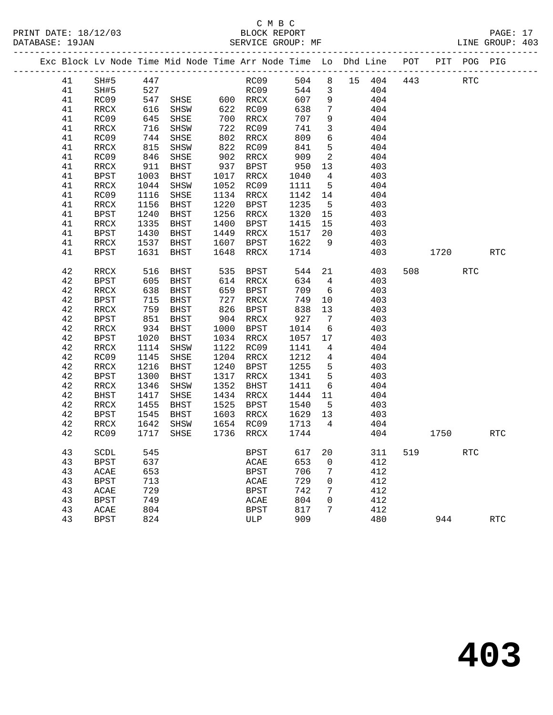|  |          |             |              | Exc Block Lv Node Time Mid Node Time Arr Node Time Lo Dhd Line POT |      |                |              |                 |                  |     |      |        | PIT POG PIG |            |
|--|----------|-------------|--------------|--------------------------------------------------------------------|------|----------------|--------------|-----------------|------------------|-----|------|--------|-------------|------------|
|  | 41       | SH#5 447    |              |                                                                    |      | RC09<br>RC09   |              |                 | 504 8 15 404 443 |     |      |        | RTC         |            |
|  | 41       | SH#5        | 527          |                                                                    |      |                |              |                 | 544 3            | 404 |      |        |             |            |
|  | 41       | RC09        |              | 547 SHSE 600 RRCX                                                  |      |                | 607          | 9               | 404              |     |      |        |             |            |
|  | 41       | RRCX        | 616          | SHSW                                                               |      | 622 RC09       | 638          | $7\overline{ }$ | 404              |     |      |        |             |            |
|  | 41       | RC09        | 645          | SHSE                                                               |      | 700 RRCX       | 707          | 9               |                  | 404 |      |        |             |            |
|  | 41       | RRCX        | 716          | SHSW                                                               |      | 722 RC09       | 741          | $\mathbf{3}$    |                  | 404 |      |        |             |            |
|  | 41       | RC09        | 744          | SHSE                                                               |      | 802 RRCX       | 809          | $6\overline{6}$ |                  | 404 |      |        |             |            |
|  | 41       | RRCX        | 815          | SHSW                                                               |      | 822 RC09       | 841          | 5               | 404              |     |      |        |             |            |
|  | 41       | RC09        | 846          | SHSE                                                               | 902  | RRCX           | 909<br>950   | $\overline{2}$  |                  | 404 |      |        |             |            |
|  | 41       | RRCX        | 911          | BHST                                                               |      | $937BPST$      |              | 13              |                  | 403 |      |        |             |            |
|  | 41       | BPST        | 1003         | BHST                                                               | 1017 | RRCX           | 1040         | $\overline{4}$  |                  | 403 |      |        |             |            |
|  | 41       | RRCX        | 1044         | SHSW                                                               | 1052 | RC09           | 1111         | $5^{\circ}$     | 404              |     |      |        |             |            |
|  | 41       | RC09        | 1116         | SHSE                                                               |      | 1134 RRCX      | 1142         | 14              |                  | 404 |      |        |             |            |
|  | 41       | RRCX        | 1156         | BHST                                                               | 1220 | BPST           | 1235         | $5^{\circ}$     |                  | 403 |      |        |             |            |
|  | 41       | BPST        | 1240         | BHST                                                               | 1256 | RRCX           | 1320         | 15              |                  | 403 |      |        |             |            |
|  | 41       | RRCX        | 1335         | BHST                                                               | 1400 | BPST           | 1415         | 15              |                  | 403 |      |        |             |            |
|  | 41       | BPST        | 1430         | BHST                                                               | 1449 | RRCX           | 1517 20      |                 |                  | 403 |      |        |             |            |
|  | 41       | RRCX        | 1537         | BHST                                                               | 1607 | BPST           | 1622         | 9               |                  | 403 |      |        |             |            |
|  | 41       | BPST        | 1631         | BHST                                                               | 1648 | RRCX           | 1714         |                 |                  | 403 |      | 1720   |             | <b>RTC</b> |
|  | 42       | RRCX        | 516          | BHST                                                               | 535  | BPST           | 544          | 21              |                  | 403 |      | 508 30 | <b>RTC</b>  |            |
|  | 42       | BPST        | 605          | BHST                                                               |      | 614 RRCX       |              | 634 4           |                  | 403 |      |        |             |            |
|  | 42       | RRCX        | 638          | BHST                                                               | 659  | BPST           | 709          | 6               |                  | 403 |      |        |             |            |
|  | 42       | BPST        | 715          | BHST                                                               | 727  | RRCX           | 749          | 10              |                  | 403 |      |        |             |            |
|  | 42       | RRCX        | 759          | BHST                                                               | 826  | BPST           | 838          | 13              |                  | 403 |      |        |             |            |
|  | 42       | BPST        | 851          | BHST                                                               |      | 904 RRCX       | $927$ $1014$ | $\overline{7}$  |                  | 403 |      |        |             |            |
|  | 42       | RRCX        | 934          | BHST                                                               | 1000 | BPST           | 1014         | 6               |                  | 403 |      |        |             |            |
|  | 42       | BPST        | 1020         | BHST                                                               |      | 1034 RRCX      | 1057 17      |                 |                  | 403 |      |        |             |            |
|  | 42       | RRCX        | 1114         | SHSW                                                               | 1122 | RC09           | 1141         | $\overline{4}$  |                  | 404 |      |        |             |            |
|  | 42       | RC09        | 1145         | SHSE                                                               |      | 1204 RRCX      | 1212         | $\overline{4}$  |                  | 404 |      |        |             |            |
|  | 42       | RRCX        | 1216         | BHST                                                               | 1240 | BPST           | 1255         | $5^{\circ}$     |                  | 403 |      |        |             |            |
|  | 42       | BPST        | 1300         | BHST                                                               | 1317 | RRCX           | 1341         | $5^{\circ}$     |                  | 403 |      |        |             |            |
|  | 42       | RRCX        | 1346         | SHSW                                                               | 1352 | BHST           | 1411         | 6               |                  | 404 |      |        |             |            |
|  | 42       | BHST        | 1417         | SHSE                                                               | 1434 | RRCX           | 1444         | 11              |                  | 404 |      |        |             |            |
|  | 42       | RRCX        | 1455         | BHST                                                               |      | 1525 BPST      | 1540         | $5^{\circ}$     | 403              | 403 |      |        |             |            |
|  | 42       | BPST        | 1545         | BHST                                                               | 1603 | RRCX           | 1629 13      |                 |                  |     |      |        |             |            |
|  | 42<br>42 | RRCX        | 1642<br>1717 | SHSW                                                               |      | 1654 RC09 1713 | 1744         | $\overline{4}$  | 404              | 404 | 1750 |        |             | <b>RTC</b> |
|  |          | RC09        |              | SHSE                                                               |      | 1736 RRCX      |              |                 |                  |     |      |        |             |            |
|  | 43       | SCDL        | 545          |                                                                    |      | BPST           |              |                 | 617 20 311       |     | 519  |        | RTC         |            |
|  | 43       | BPST        | 637          |                                                                    |      | ACAE           | 653          | 0               |                  | 412 |      |        |             |            |
|  | 43       | ACAE        | 653          |                                                                    |      | <b>BPST</b>    | 706          | 7               |                  | 412 |      |        |             |            |
|  | 43       | <b>BPST</b> | 713          |                                                                    |      | ACAE           | 729          | 0               |                  | 412 |      |        |             |            |
|  | 43       | ACAE        | 729          |                                                                    |      | <b>BPST</b>    | 742          | 7               |                  | 412 |      |        |             |            |
|  | 43       | <b>BPST</b> | 749          |                                                                    |      | ACAE           | 804          | 0               |                  | 412 |      |        |             |            |
|  | 43       | ACAE        | 804          |                                                                    |      | <b>BPST</b>    | 817          | 7               |                  | 412 |      |        |             |            |
|  | 43       | <b>BPST</b> | 824          |                                                                    |      | ULP            | 909          |                 |                  | 480 |      | 944    |             | <b>RTC</b> |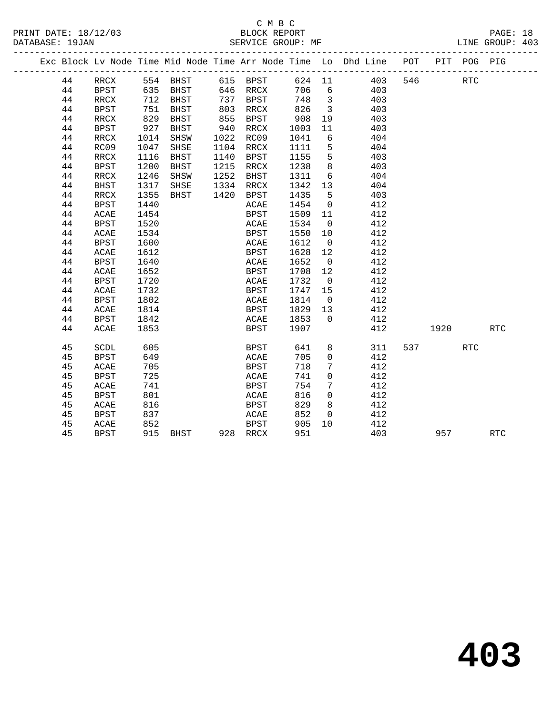|    |             |     |          |          |        |     | Exc Block Lv Node Time Mid Node Time Arr Node Time Lo Dhd Line POT PIT POG PIG |     |      |  |
|----|-------------|-----|----------|----------|--------|-----|--------------------------------------------------------------------------------|-----|------|--|
| 44 | RRCX        |     | 554 BHST | 615 BPST | 624 11 |     | 403                                                                            | 546 | RTC. |  |
| 44 | BPST        |     | 635 BHST | 646 RRCX | 706    | - 6 | 403                                                                            |     |      |  |
| 44 | RRCX        |     | 712 BHST | 737 RPST | 748    |     | 403                                                                            |     |      |  |
| 44 | <b>BPST</b> | 751 | BHST     | 803 RRCX | 826    |     | 403                                                                            |     |      |  |

| 44 | <b>BPST</b> | 751  | <b>BHST</b> | 803  | <b>RRCX</b> | 826  | 3           | 403 |     |      |                      |            |
|----|-------------|------|-------------|------|-------------|------|-------------|-----|-----|------|----------------------|------------|
| 44 | RRCX        | 829  | <b>BHST</b> | 855  | <b>BPST</b> | 908  | 19          | 403 |     |      |                      |            |
| 44 | <b>BPST</b> | 927  | <b>BHST</b> | 940  | RRCX        | 1003 | $11\,$      | 403 |     |      |                      |            |
| 44 | RRCX        | 1014 | SHSW        | 1022 | RC09        | 1041 | 6           | 404 |     |      |                      |            |
| 44 | RC09        | 1047 | SHSE        | 1104 | RRCX        | 1111 | 5           | 404 |     |      |                      |            |
| 44 | RRCX        | 1116 | <b>BHST</b> | 1140 | <b>BPST</b> | 1155 | 5           | 403 |     |      |                      |            |
| 44 | <b>BPST</b> | 1200 | <b>BHST</b> | 1215 | RRCX        | 1238 | 8           | 403 |     |      |                      |            |
| 44 | RRCX        | 1246 | SHSW        | 1252 | <b>BHST</b> | 1311 | 6           | 404 |     |      |                      |            |
| 44 | BHST        | 1317 | SHSE        | 1334 | RRCX        | 1342 | 13          | 404 |     |      |                      |            |
| 44 | RRCX        | 1355 | <b>BHST</b> | 1420 | <b>BPST</b> | 1435 | 5           | 403 |     |      |                      |            |
| 44 | <b>BPST</b> | 1440 |             |      | ACAE        | 1454 | 0           | 412 |     |      |                      |            |
| 44 | $\sf ACAE$  | 1454 |             |      | <b>BPST</b> | 1509 | $11\,$      | 412 |     |      |                      |            |
| 44 | <b>BPST</b> | 1520 |             |      | ACAE        | 1534 | 0           | 412 |     |      |                      |            |
| 44 | ACAE        | 1534 |             |      | <b>BPST</b> | 1550 | 10          | 412 |     |      |                      |            |
| 44 | <b>BPST</b> | 1600 |             |      | ACAE        | 1612 | 0           | 412 |     |      |                      |            |
| 44 | ACAE        | 1612 |             |      | <b>BPST</b> | 1628 | 12          | 412 |     |      |                      |            |
| 44 | <b>BPST</b> | 1640 |             |      | ACAE        | 1652 | 0           | 412 |     |      |                      |            |
| 44 | ACAE        | 1652 |             |      | <b>BPST</b> | 1708 | 12          | 412 |     |      |                      |            |
| 44 | <b>BPST</b> | 1720 |             |      | ACAE        | 1732 | $\mathsf 0$ | 412 |     |      |                      |            |
| 44 | ACAE        | 1732 |             |      | <b>BPST</b> | 1747 | 15          | 412 |     |      |                      |            |
| 44 | <b>BPST</b> | 1802 |             |      | ACAE        | 1814 | $\mathsf 0$ | 412 |     |      |                      |            |
| 44 | ACAE        | 1814 |             |      | <b>BPST</b> | 1829 | 13          | 412 |     |      |                      |            |
| 44 | <b>BPST</b> | 1842 |             |      | ACAE        | 1853 | 0           | 412 |     |      |                      |            |
| 44 | ACAE        | 1853 |             |      | <b>BPST</b> | 1907 |             | 412 |     | 1920 |                      | <b>RTC</b> |
|    |             |      |             |      |             |      |             |     |     |      |                      |            |
| 45 | <b>SCDL</b> | 605  |             |      | <b>BPST</b> | 641  | 8           | 311 | 537 |      | $\operatorname{RTC}$ |            |
| 45 | <b>BPST</b> | 649  |             |      | ACAE        | 705  | 0           | 412 |     |      |                      |            |
| 45 | ACAE        | 705  |             |      | <b>BPST</b> | 718  | 7           | 412 |     |      |                      |            |
| 45 | <b>BPST</b> | 725  |             |      | ACAE        | 741  | 0           | 412 |     |      |                      |            |
| 45 | ACAE        | 741  |             |      | <b>BPST</b> | 754  | 7           | 412 |     |      |                      |            |
| 45 | <b>BPST</b> | 801  |             |      | $\sf ACAE$  | 816  | 0           | 412 |     |      |                      |            |
| 45 | ACAE        | 816  |             |      | <b>BPST</b> | 829  | 8           | 412 |     |      |                      |            |
| 45 | <b>BPST</b> | 837  |             |      | ACAE        | 852  | 0           | 412 |     |      |                      |            |
| 45 | ACAE        | 852  |             |      | <b>BPST</b> | 905  | 10          | 412 |     |      |                      |            |
| 45 | <b>BPST</b> | 915  | <b>BHST</b> | 928  | <b>RRCX</b> | 951  |             | 403 |     | 957  |                      | <b>RTC</b> |
|    |             |      |             |      |             |      |             |     |     |      |                      |            |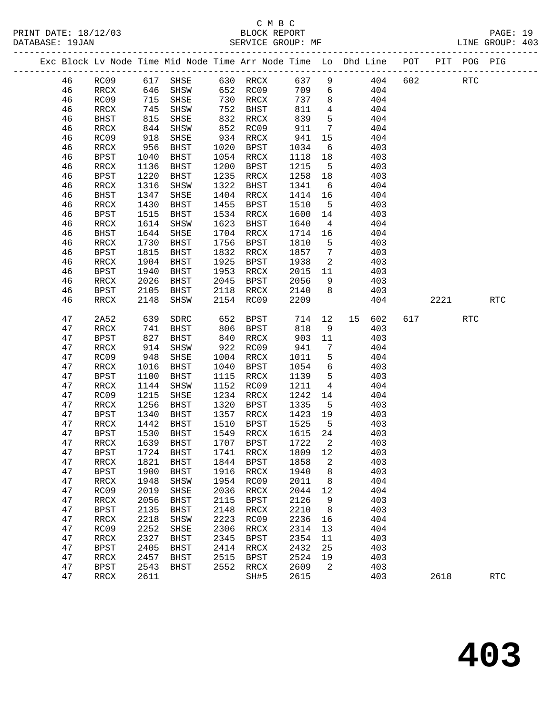|  |    |             |      |             |      |             |      |          | Exc Block Lv Node Time Mid Node Time Arr Node Time Lo Dhd Line | POT | PIT | POG PIG |  |
|--|----|-------------|------|-------------|------|-------------|------|----------|----------------------------------------------------------------|-----|-----|---------|--|
|  | 46 | RC09        | 617  | SHSE        | 630  | RRCX        | 637  | 9        | 404                                                            | 602 |     | RTC     |  |
|  | 46 | RRCX        | 646  | SHSW        | 652  | RC09        | 709  | 6        | 404                                                            |     |     |         |  |
|  | 46 | RC09        | 715  | SHSE        | 730  | RRCX        | 737  | 8        | 404                                                            |     |     |         |  |
|  | 46 | RRCX        | 745  | SHSW        | 752  | BHST        | 811  | 4        | 404                                                            |     |     |         |  |
|  | 46 | BHST        | 815  | SHSE        | 832  | RRCX        | 839  | 5        | 404                                                            |     |     |         |  |
|  | 46 | RRCX        | 844  | SHSW        | 852  | RC09        | 911  | 7        | 404                                                            |     |     |         |  |
|  | 46 | RC09        | 918  | SHSE        | 934  | RRCX        | 941  | 15       | 404                                                            |     |     |         |  |
|  | 46 | RRCX        | 956  | BHST        | 1020 | BPST        | 1034 | 6        | 403                                                            |     |     |         |  |
|  | 46 | BPST        | 1040 | <b>BHST</b> | 1054 | RRCX        | 1118 | 18       | 403                                                            |     |     |         |  |
|  | 46 | RRCX        | 1136 | <b>BHST</b> | 1200 | BPST        | 1215 | 5        | 403                                                            |     |     |         |  |
|  | 46 | BPST        | 1220 | BHST        | 1235 | RRCX        | 1258 | 18       | 403                                                            |     |     |         |  |
|  | 46 | RRCX        | 1316 | SHSW        | 1322 | BHST        | 1341 | 6        | 404                                                            |     |     |         |  |
|  | 46 | BHST        | 1347 | SHSE        | 1404 | RRCX        | 1414 | 16       | 404                                                            |     |     |         |  |
|  | 46 | RRCX        | 1430 | <b>BHST</b> | 1455 | BPST        | 1510 | 5        | 403                                                            |     |     |         |  |
|  | 46 | BPST        | 1515 | <b>BHST</b> | 1534 | RRCX        | 1600 | 14       | 403                                                            |     |     |         |  |
|  | 46 | RRCX        | 1614 | SHSW        | 1623 | BHST        | 1640 | 4        | 404                                                            |     |     |         |  |
|  | 46 | BHST        | 1644 | SHSE        | 1704 | RRCX        | 1714 | 16       | 404                                                            |     |     |         |  |
|  | 46 | RRCX        | 1730 | <b>BHST</b> | 1756 | BPST        | 1810 | 5        | 403                                                            |     |     |         |  |
|  | 46 | BPST        | 1815 | <b>BHST</b> | 1832 | RRCX        | 1857 | 7        | 403                                                            |     |     |         |  |
|  | 46 | RRCX        | 1904 | BHST        | 1925 | BPST        | 1938 | 2        | 403                                                            |     |     |         |  |
|  | 46 | BPST        | 1940 | <b>BHST</b> | 1953 | RRCX        | 2015 | 11       | 403                                                            |     |     |         |  |
|  | 46 | <b>PPAY</b> | 2025 | <b>RUCT</b> | 2045 | <b>RDCT</b> | 2056 | $\Omega$ | 403                                                            |     |     |         |  |

| 46 | BPST        | 1940 | BHST        | 1953 | RRCX        | 2015 | 11             |    | 403 |     |      |            |            |  |
|----|-------------|------|-------------|------|-------------|------|----------------|----|-----|-----|------|------------|------------|--|
| 46 | RRCX        | 2026 | <b>BHST</b> | 2045 | <b>BPST</b> | 2056 | 9              |    | 403 |     |      |            |            |  |
| 46 | <b>BPST</b> | 2105 | <b>BHST</b> | 2118 | RRCX        | 2140 | 8              |    | 403 |     |      |            |            |  |
| 46 | RRCX        | 2148 | SHSW        | 2154 | RC09        | 2209 |                |    | 404 |     | 2221 |            | <b>RTC</b> |  |
|    |             |      |             |      |             |      |                |    |     |     |      |            |            |  |
| 47 | 2A52        | 639  | SDRC        | 652  | BPST        | 714  | 12             | 15 | 602 | 617 |      | <b>RTC</b> |            |  |
| 47 | <b>RRCX</b> | 741  | <b>BHST</b> | 806  | <b>BPST</b> | 818  | 9              |    | 403 |     |      |            |            |  |
| 47 | <b>BPST</b> | 827  | <b>BHST</b> | 840  | RRCX        | 903  | 11             |    | 403 |     |      |            |            |  |
| 47 | RRCX        | 914  | SHSW        | 922  | RC09        | 941  | 7              |    | 404 |     |      |            |            |  |
| 47 | RC09        | 948  | SHSE        | 1004 | RRCX        | 1011 | 5              |    | 404 |     |      |            |            |  |
| 47 | RRCX        | 1016 | <b>BHST</b> | 1040 | <b>BPST</b> | 1054 | 6              |    | 403 |     |      |            |            |  |
| 47 | BPST        | 1100 | <b>BHST</b> | 1115 | RRCX        | 1139 | 5              |    | 403 |     |      |            |            |  |
| 47 | RRCX        | 1144 | SHSW        | 1152 | RC09        | 1211 | 4              |    | 404 |     |      |            |            |  |
| 47 | RC09        | 1215 | SHSE        | 1234 | RRCX        | 1242 | 14             |    | 404 |     |      |            |            |  |
| 47 | RRCX        | 1256 | <b>BHST</b> | 1320 | <b>BPST</b> | 1335 | 5              |    | 403 |     |      |            |            |  |
| 47 | BPST        | 1340 | <b>BHST</b> | 1357 | RRCX        | 1423 | 19             |    | 403 |     |      |            |            |  |
| 47 | RRCX        | 1442 | <b>BHST</b> | 1510 | <b>BPST</b> | 1525 | 5              |    | 403 |     |      |            |            |  |
| 47 | <b>BPST</b> | 1530 | <b>BHST</b> | 1549 | RRCX        | 1615 | 24             |    | 403 |     |      |            |            |  |
| 47 | RRCX        | 1639 | <b>BHST</b> | 1707 | <b>BPST</b> | 1722 | $\overline{a}$ |    | 403 |     |      |            |            |  |
| 47 | <b>BPST</b> | 1724 | <b>BHST</b> | 1741 | RRCX        | 1809 | 12             |    | 403 |     |      |            |            |  |
| 47 | RRCX        | 1821 | <b>BHST</b> | 1844 | <b>BPST</b> | 1858 | 2              |    | 403 |     |      |            |            |  |
| 47 | <b>BPST</b> | 1900 | <b>BHST</b> | 1916 | <b>RRCX</b> | 1940 | 8              |    | 403 |     |      |            |            |  |
| 47 | RRCX        | 1948 | SHSW        | 1954 | RC09        | 2011 | 8              |    | 404 |     |      |            |            |  |
| 47 | RC09        | 2019 | SHSE        | 2036 | RRCX        | 2044 | 12             |    | 404 |     |      |            |            |  |
| 47 | RRCX        | 2056 | <b>BHST</b> | 2115 | <b>BPST</b> | 2126 | 9              |    | 403 |     |      |            |            |  |
| 47 | <b>BPST</b> | 2135 | <b>BHST</b> | 2148 | RRCX        | 2210 | 8              |    | 403 |     |      |            |            |  |
| 47 | RRCX        | 2218 | SHSW        | 2223 | RC09        | 2236 | 16             |    | 404 |     |      |            |            |  |
| 47 | RC09        | 2252 | SHSE        | 2306 | RRCX        | 2314 | 13             |    | 404 |     |      |            |            |  |
| 47 | <b>RRCX</b> | 2327 | <b>BHST</b> | 2345 | <b>BPST</b> | 2354 | 11             |    | 403 |     |      |            |            |  |
| 47 | <b>BPST</b> | 2405 | BHST        | 2414 | RRCX        | 2432 | 25             |    | 403 |     |      |            |            |  |
| 47 | RRCX        | 2457 | <b>BHST</b> | 2515 | <b>BPST</b> | 2524 | 19             |    | 403 |     |      |            |            |  |
| 47 | <b>BPST</b> | 2543 | <b>BHST</b> | 2552 | RRCX        | 2609 | 2              |    | 403 |     |      |            |            |  |
| 47 | RRCX        | 2611 |             |      | SH#5        | 2615 |                |    | 403 |     | 2618 |            | <b>RTC</b> |  |
|    |             |      |             |      |             |      |                |    |     |     |      |            |            |  |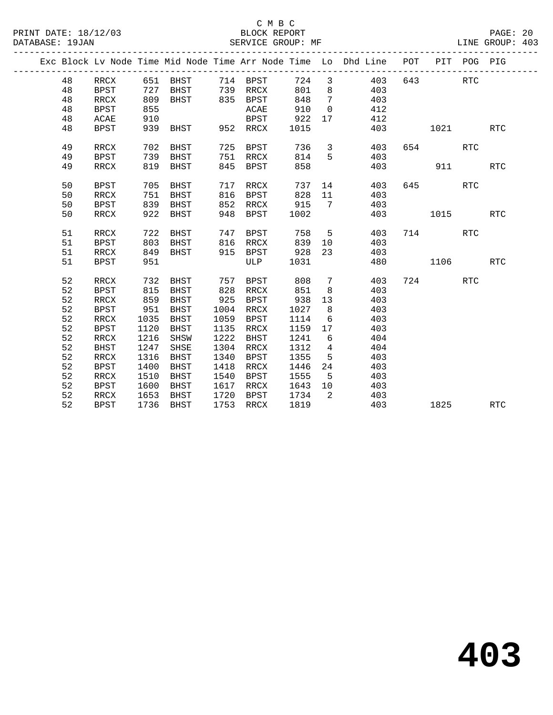|  |    |             |      |          |      |             |      |                         | Exc Block Lv Node Time Mid Node Time Arr Node Time Lo Dhd Line POT |           | PIT POG PIG |            |
|--|----|-------------|------|----------|------|-------------|------|-------------------------|--------------------------------------------------------------------|-----------|-------------|------------|
|  | 48 | RRCX        |      | 651 BHST |      | 714 BPST    | 724  | $\overline{\mathbf{3}}$ | 403                                                                | 643       | RTC         |            |
|  | 48 | <b>BPST</b> | 727  | BHST     |      | 739 RRCX    | 801  | 8 <sup>8</sup>          | 403                                                                |           |             |            |
|  | 48 | RRCX        | 809  | BHST     |      | 835 BPST    | 848  | $\overline{7}$          | 403                                                                |           |             |            |
|  | 48 | BPST        | 855  |          |      | ACAE        | 910  | $\overline{0}$          | 412                                                                |           |             |            |
|  | 48 | ACAE        | 910  |          |      | BPST        | 922  | 17                      | 412                                                                |           |             |            |
|  | 48 | BPST        | 939  | BHST     |      | 952 RRCX    | 1015 |                         | 403                                                                | 1021 702  |             | <b>RTC</b> |
|  | 49 | RRCX        | 702  | BHST     | 725  | BPST        | 736  | $\mathbf{3}$            | 403                                                                | 654       | <b>RTC</b>  |            |
|  | 49 | <b>BPST</b> | 739  | BHST     | 751  | RRCX        | 814  | 5                       | 403                                                                |           |             |            |
|  | 49 | RRCX        | 819  | BHST     | 845  | BPST        | 858  |                         | 403                                                                | 911       |             | RTC        |
|  | 50 | <b>BPST</b> | 705  | BHST     | 717  | RRCX        | 737  | 14                      | 403                                                                | 645 — 100 | <b>RTC</b>  |            |
|  | 50 | RRCX        | 751  | BHST     | 816  | BPST        | 828  | 11                      | 403                                                                |           |             |            |
|  | 50 | <b>BPST</b> | 839  | BHST     | 852  | RRCX        | 915  | $7\phantom{0}$          | 403                                                                |           |             |            |
|  | 50 | RRCX        | 922  | BHST     | 948  | BPST        | 1002 |                         | 403                                                                | 1015      |             | <b>RTC</b> |
|  |    |             |      |          |      |             |      |                         |                                                                    |           |             |            |
|  | 51 | RRCX        | 722  | BHST     | 747  | BPST        | 758  | $5^{\circ}$             | 403                                                                | 714       | RTC         |            |
|  | 51 | <b>BPST</b> | 803  | BHST     | 816  | RRCX        | 839  | 10                      | 403                                                                |           |             |            |
|  | 51 | RRCX        | 849  | BHST     |      | $915$ BPST  | 928  | 23                      | 403                                                                |           |             |            |
|  | 51 | BPST        | 951  |          |      | ULP         | 1031 |                         | 480                                                                | 1106      |             | <b>RTC</b> |
|  | 52 | RRCX        | 732  | BHST     | 757  | BPST        | 808  | $7\phantom{.0}$         | 403                                                                | 724       | RTC         |            |
|  | 52 | BPST        | 815  | BHST     | 828  | RRCX        | 851  | 8                       | 403                                                                |           |             |            |
|  | 52 | RRCX        | 859  | BHST     | 925  | <b>BPST</b> | 938  | 13                      | 403                                                                |           |             |            |
|  | 52 | BPST        | 951  | BHST     | 1004 | RRCX        | 1027 | 8                       | 403                                                                |           |             |            |
|  | 52 | RRCX        | 1035 | BHST     | 1059 | BPST        | 1114 | 6                       | 403                                                                |           |             |            |
|  | 52 | BPST        | 1120 | BHST     | 1135 | RRCX        | 1159 | 17                      | 403                                                                |           |             |            |
|  | 52 | RRCX        | 1216 | SHSW     | 1222 | <b>BHST</b> | 1241 | 6                       | 404                                                                |           |             |            |
|  | 52 | <b>BHST</b> | 1247 | SHSE     | 1304 | RRCX        | 1312 | $\overline{4}$          | 404                                                                |           |             |            |
|  | 52 | RRCX        | 1316 | BHST     | 1340 | BPST        | 1355 | 5                       | 403                                                                |           |             |            |
|  | 52 | <b>BPST</b> | 1400 | BHST     | 1418 | RRCX        | 1446 | 24                      | 403                                                                |           |             |            |
|  | 52 | RRCX        | 1510 | BHST     | 1540 | BPST        | 1555 | $5^{\circ}$             | 403                                                                |           |             |            |
|  | 52 | BPST        | 1600 | BHST     | 1617 | RRCX        | 1643 | 10                      | 403                                                                |           |             |            |
|  | 52 | RRCX        | 1653 | BHST     | 1720 | BPST        | 1734 | 2                       | 403                                                                |           |             |            |
|  | 52 | BPST        | 1736 | BHST     | 1753 | RRCX        | 1819 |                         | 403                                                                | 1825      |             | <b>RTC</b> |
|  |    |             |      |          |      |             |      |                         |                                                                    |           |             |            |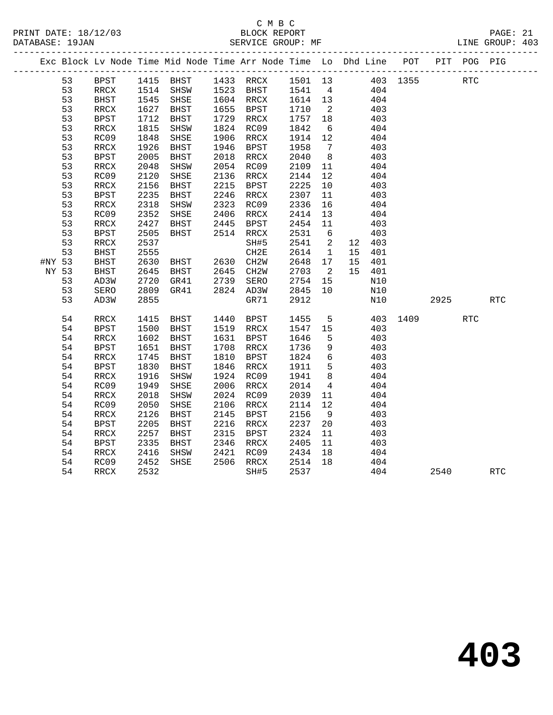|        |    |                          |      |                                  |      | Exc Block Lv Node Time Mid Node Time Arr Node Time Lo Dhd Line POT |                   |                          |     |          |          |      | PIT POG PIG |     |
|--------|----|--------------------------|------|----------------------------------|------|--------------------------------------------------------------------|-------------------|--------------------------|-----|----------|----------|------|-------------|-----|
|        | 53 | BPST                     |      | 1415 BHST                        |      | 1433 RRCX 1501 13                                                  |                   |                          |     | 403 1355 |          |      | <b>RTC</b>  |     |
|        | 53 | RRCX                     |      |                                  |      | 1514 SHSW 1523 BHST 1541 4                                         |                   |                          | 404 |          |          |      |             |     |
|        | 53 | BHST                     | 1545 | SHSE                             |      | 1604 RRCX                                                          |                   |                          |     | 404      |          |      |             |     |
|        | 53 | RRCX                     | 1627 | BHST                             |      | 1655 BPST                                                          | 1614 13<br>1710 2 |                          |     | 403      |          |      |             |     |
|        | 53 | <b>BPST</b>              | 1712 | BHST                             |      | 1729 RRCX                                                          | 1757 18           |                          |     | 403      |          |      |             |     |
|        | 53 | RRCX                     | 1815 | SHSW                             |      | 1824 RC09                                                          | 1842              | 6                        |     | 404      |          |      |             |     |
|        | 53 | RC09                     | 1848 | SHSE                             |      | 1906 RRCX                                                          | 1914 12           |                          |     | 404      |          |      |             |     |
|        | 53 | $\verb!RRCX!$            | 1926 | BHST                             | 1946 | BPST                                                               | 1958              | $7\overline{ }$          |     | 403      |          |      |             |     |
|        | 53 | <b>BPST</b>              | 2005 | BHST                             | 2018 | RRCX                                                               | 2040              | 8 <sup>8</sup>           |     | 403      |          |      |             |     |
|        | 53 | RRCX                     | 2048 | SHSW                             |      | 2054 RC09                                                          | 2109              | 11                       |     | 404      |          |      |             |     |
|        | 53 | RC09                     | 2120 | SHSE                             |      | 2136 RRCX                                                          | 2144              | 12                       |     | 404      |          |      |             |     |
|        | 53 | RRCX                     | 2156 | BHST                             |      | 2215 BPST                                                          | 2225              | 10                       |     | 403      |          |      |             |     |
|        | 53 | <b>BPST</b>              | 2235 | BHST                             |      | 2246 RRCX                                                          | 2307              | 11                       |     | 403      |          |      |             |     |
|        | 53 | RRCX                     | 2318 | SHSW                             | 2323 | RC09                                                               | 2336              | 16                       |     | 404      |          |      |             |     |
|        | 53 | RC09                     | 2352 | SHSE                             |      | 2406 RRCX                                                          | 2414              | 13                       |     | 404      |          |      |             |     |
|        | 53 | $\mathop{\mathrm{RRCX}}$ | 2427 | BHST                             | 2445 | BPST                                                               | 2454              | 11                       |     | 403      |          |      |             |     |
|        | 53 | <b>BPST</b>              | 2505 | BHST                             |      | 2514 RRCX                                                          | 2531              | $6\overline{6}$          |     | 403      |          |      |             |     |
|        | 53 | RRCX                     | 2537 |                                  |      | SH#5                                                               | 2541              | $\overline{\phantom{a}}$ |     | 12 403   |          |      |             |     |
|        | 53 | BHST                     | 2555 |                                  |      | CH2E                                                               | 2614              | $\overline{1}$           |     | 15 401   |          |      |             |     |
| #NY 53 |    | <b>BHST</b>              | 2630 | BHST 2630 CH2W<br>BHST 2645 CH2W |      |                                                                    | 2648              | 17                       | 15  | 401      |          |      |             |     |
| NY 53  |    | <b>BHST</b>              | 2645 |                                  |      |                                                                    | 2703              | $\overline{2}$           |     | 15 401   |          |      |             |     |
|        | 53 | AD3W                     | 2720 | GR41                             |      | 2739 SERO                                                          | 2754              | 15                       |     | N10      |          |      |             |     |
|        | 53 | SERO                     | 2809 | GR41                             |      | 2824 AD3W                                                          | 2845              | 10                       |     | N10      |          |      |             |     |
|        | 53 | AD3W                     | 2855 |                                  |      | GR71                                                               | 2912              |                          |     | N10      |          | 2925 |             | RTC |
|        | 54 | RRCX                     | 1415 | BHST                             |      | 1440 BPST                                                          | 1455              | 5 <sup>5</sup>           |     |          | 403 1409 |      | <b>RTC</b>  |     |
|        | 54 | <b>BPST</b>              | 1500 | <b>BHST</b>                      |      | 1519 RRCX                                                          | 1547 15           |                          |     | 403      |          |      |             |     |
|        | 54 | $\mathop{\mathrm{RRCX}}$ | 1602 | BHST                             |      | 1631 BPST                                                          | 1646              | $5^{\circ}$              |     | 403      |          |      |             |     |
|        | 54 | <b>BPST</b>              | 1651 | BHST                             |      | 1708 RRCX                                                          | 1736              | 9                        |     | 403      |          |      |             |     |
|        | 54 | RRCX                     | 1745 | BHST                             |      | 1810 BPST                                                          | 1824              | $6\overline{6}$          |     | 403      |          |      |             |     |
|        | 54 | BPST                     | 1830 | BHST                             | 1846 | RRCX                                                               | 1911              | $5^{\circ}$              |     | 403      |          |      |             |     |
|        | 54 | RRCX                     | 1916 | SHSW                             | 1924 | RC09                                                               | 1941              | 8 <sup>8</sup>           |     | 404      |          |      |             |     |
|        | 54 | RC09                     | 1949 | SHSE                             |      | 2006 RRCX                                                          | 2014              | $\overline{4}$           |     | 404      |          |      |             |     |
|        | 54 | RRCX                     | 2018 | SHSW                             |      | 2024 RC09                                                          | 2039              | 11                       |     | 404      |          |      |             |     |
|        | 54 | RC09                     | 2050 | SHSE                             | 2106 | RRCX                                                               | 2114              | 12                       |     | 404      |          |      |             |     |
|        | 54 | $\mathop{\mathrm{RRCX}}$ | 2126 | BHST                             | 2145 | BPST                                                               | 2156              | 9                        |     | 403      |          |      |             |     |
|        | 54 | BPST                     | 2205 | BHST                             | 2216 | RRCX                                                               | 2237              | 20                       |     | 403      |          |      |             |     |
|        | 54 | RRCX                     | 2257 | BHST                             | 2315 | BPST                                                               | 2324              | 11                       |     | 403      |          |      |             |     |
|        | 54 | <b>BPST</b>              | 2335 | BHST                             |      | 2346 RRCX                                                          | 2405              | 11                       |     | 403      |          |      |             |     |
|        | 54 | RRCX                     | 2416 | SHSW                             | 2421 | RC09                                                               | 2434              | 18                       |     | 404      |          |      |             |     |
|        | 54 | RC09                     | 2452 | SHSE                             |      | 2506 RRCX                                                          | 2514              | 18                       |     | 404      |          |      |             |     |
|        | 54 | RRCX                     | 2532 |                                  |      | SH#5                                                               | 2537              |                          |     | 404      |          | 2540 |             | RTC |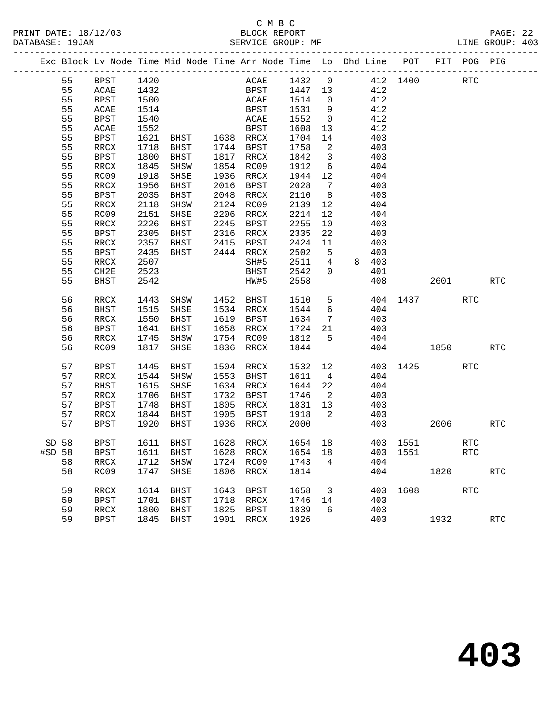# C M B C

| DATABASE: 19JAN |         |                              |      |                                                                    |      |                        |                 |                         |                                                          |                                                      |                                                             |          |                      | BLOCK REPORT PAGE: 22<br>SERVICE GROUP: MF LINE GROUP: 403 |  |
|-----------------|---------|------------------------------|------|--------------------------------------------------------------------|------|------------------------|-----------------|-------------------------|----------------------------------------------------------|------------------------------------------------------|-------------------------------------------------------------|----------|----------------------|------------------------------------------------------------|--|
|                 |         |                              |      | Exc Block Lv Node Time Mid Node Time Arr Node Time Lo Dhd Line POT |      |                        |                 |                         |                                                          |                                                      |                                                             |          |                      | PIT POG PIG                                                |  |
|                 | 55 BPST |                              | 1420 |                                                                    |      |                        |                 |                         |                                                          |                                                      | ACAE 1432 0 412 1400<br>BPST 1447 13 412<br>ACAE 1514 0 412 |          | RTC                  |                                                            |  |
|                 | 55      | ACAE                         |      |                                                                    |      |                        |                 |                         |                                                          |                                                      |                                                             |          |                      |                                                            |  |
|                 | 55      | <b>BPST</b>                  |      | 1432<br>1500<br>1514                                               |      |                        |                 |                         |                                                          |                                                      |                                                             |          |                      |                                                            |  |
|                 | 55      | ACAE                         |      |                                                                    |      | BPST                   | 1531 9 412      |                         |                                                          |                                                      |                                                             |          |                      |                                                            |  |
|                 | 55      | <b>BPST</b>                  | 1540 |                                                                    |      | <b>ACAE</b>            | 1552            |                         | $\begin{array}{ccc} 0 & & 412 \\ 13 & & 412 \end{array}$ |                                                      |                                                             |          |                      |                                                            |  |
|                 | 55      | $\ensuremath{\mathsf{ACAE}}$ | 1552 |                                                                    |      | <b>BPST</b>            | 1608            | 13                      |                                                          |                                                      |                                                             |          |                      |                                                            |  |
|                 | 55      | <b>BPST</b>                  |      | 1621 BHST 1638 RRCX                                                |      |                        | 1704            |                         | $14$ $403$                                               |                                                      |                                                             |          |                      |                                                            |  |
|                 | 55      | RRCX                         | 1718 | BHST 1744 BPST                                                     |      |                        | 1758            |                         | 2 403                                                    |                                                      |                                                             |          |                      |                                                            |  |
|                 | 55      | <b>BPST</b>                  | 1800 | BHST                                                               |      | 1817 RRCX              | 1842            |                         | $3 \t 403$                                               |                                                      |                                                             |          |                      |                                                            |  |
|                 | 55      | RRCX                         | 1845 | SHSW                                                               |      | 1854 RC09              | 1912            | $6\overline{6}$         |                                                          | 404                                                  |                                                             |          |                      |                                                            |  |
|                 | 55      | RC09                         | 1918 | SHSE                                                               |      | 1936 RRCX              | $1944$ 12 $404$ |                         |                                                          |                                                      |                                                             |          |                      |                                                            |  |
|                 | 55      | RRCX                         | 1956 | BHST                                                               |      | 2016 BPST              | 2028            |                         | 7 403                                                    |                                                      |                                                             |          |                      |                                                            |  |
|                 | 55      | <b>BPST</b>                  | 2035 | BHST                                                               |      | 2048 RRCX              | 2110            | 8 <sup>8</sup>          | 403                                                      |                                                      |                                                             |          |                      |                                                            |  |
|                 | 55      | RRCX                         | 2118 | SHSW                                                               |      | 2124 RC09              | 2139            | 12                      |                                                          | 404                                                  |                                                             |          |                      |                                                            |  |
|                 | 55      | RC09                         | 2151 | SHSE                                                               |      | 2206 RRCX              | 2214            |                         | $\frac{12}{12}$ $\frac{404}{404}$                        |                                                      |                                                             |          |                      |                                                            |  |
|                 | 55      | RRCX                         | 2226 | BHST                                                               |      | 2245 BPST              | 2255            | 10                      | 403                                                      |                                                      |                                                             |          |                      |                                                            |  |
|                 | 55      | BPST                         | 2305 | BHST                                                               |      | 2316 RRCX              | 2335            | 22                      |                                                          | 403                                                  |                                                             |          |                      |                                                            |  |
|                 | 55      | RRCX                         | 2357 | BHST                                                               |      | 2415 BPST<br>2444 RRCX | 2424<br>2502    | 11                      | $\frac{1}{4}$                                            | 403                                                  |                                                             |          |                      |                                                            |  |
|                 | 55      | BPST                         | 2435 | BHST                                                               |      |                        |                 |                         | 4 8 403                                                  | 403                                                  |                                                             |          |                      |                                                            |  |
|                 | 55      | RRCX                         | 2507 |                                                                    |      |                        | SH#5 2511       |                         |                                                          |                                                      |                                                             |          |                      |                                                            |  |
|                 | 55      | CH2E                         | 2523 |                                                                    |      | <b>BHST</b>            | 2542            | $\Omega$                |                                                          | 401                                                  |                                                             |          |                      |                                                            |  |
|                 | 55      | <b>BHST</b>                  | 2542 |                                                                    |      | HW#5                   | 2558            |                         |                                                          | 408                                                  |                                                             | 2601 RTC |                      |                                                            |  |
|                 | 56      | RRCX                         | 1443 | SHSW 1452 BHST                                                     |      |                        | 1510            |                         | 5 <sup>1</sup>                                           |                                                      | 404 1437                                                    |          | <b>RTC</b>           |                                                            |  |
|                 | 56      | BHST                         | 1515 | SHSE                                                               |      | 1534 RRCX              | 1544            |                         | 6 404                                                    |                                                      |                                                             |          |                      |                                                            |  |
|                 | 56      | RRCX                         | 1550 | BHST                                                               |      | 1619 BPST              | 1634            |                         |                                                          | $\begin{array}{ccc} 7 & 403 \\ 21 & 403 \end{array}$ |                                                             |          |                      |                                                            |  |
|                 | 56      | BPST                         |      | 1641 BHST                                                          |      | 1658 RRCX              | 1724 21         |                         |                                                          |                                                      |                                                             |          |                      |                                                            |  |
|                 | 56      | RRCX                         | 1745 | SHSW                                                               |      | 1754 RC09              | 1812 5          |                         |                                                          | 404                                                  |                                                             |          |                      |                                                            |  |
|                 | 56      | RC09                         | 1817 | SHSE                                                               |      | 1836 RRCX              | 1844            |                         |                                                          |                                                      | 404 1850 RTC                                                |          |                      |                                                            |  |
|                 | 57      | <b>BPST</b>                  | 1445 | BHST                                                               |      | 1504 RRCX              | 1532            |                         | 12                                                       |                                                      | 403 1425                                                    |          | RTC                  |                                                            |  |
|                 | 57      | RRCX                         | 1544 | SHSW                                                               |      | 1553 BHST              | 1611            |                         | $4\overline{ }$                                          | 404                                                  |                                                             |          |                      |                                                            |  |
|                 | 57      | BHST                         | 1615 | SHSE                                                               |      | 1634 RRCX              | 1644            |                         | 22 404                                                   |                                                      |                                                             |          |                      |                                                            |  |
|                 | 57      | RRCX                         | 1706 | BHST                                                               | 1732 | BPST                   | 1746            |                         | 2 403                                                    |                                                      |                                                             |          |                      |                                                            |  |
|                 | 57      | BPST                         | 1748 | BHST                                                               |      | 1805 RRCX              | 1831 13         |                         |                                                          |                                                      |                                                             |          |                      |                                                            |  |
|                 | 57      | RRCX                         |      | 1844 BHST                                                          |      | 1905 BPST              | 1918            | $\overline{\mathbf{c}}$ |                                                          | $\begin{array}{c} 403 \\ 403 \end{array}$            |                                                             |          |                      |                                                            |  |
|                 | 57      | <b>BPST</b>                  |      | 1920 BHST                                                          |      | 1936 RRCX              | 2000            |                         |                                                          |                                                      | 403 2006                                                    |          |                      | <b>RTC</b>                                                 |  |
|                 | SD 58   | BPST                         | 1611 | BHST                                                               | 1628 | RRCX                   | 1654            | 18                      |                                                          |                                                      | 403 1551                                                    |          | $\operatorname{RTC}$ |                                                            |  |
| #SD 58          |         | <b>BPST</b>                  | 1611 | BHST                                                               | 1628 | RRCX                   | 1654            | 18                      |                                                          | 403                                                  | 1551                                                        |          | RTC                  |                                                            |  |
|                 | 58      | RRCX                         | 1712 | SHSW                                                               | 1724 | RC09                   | 1743            | 4                       |                                                          | 404                                                  |                                                             |          |                      |                                                            |  |
|                 | 58      | RC09                         | 1747 | SHSE                                                               | 1806 | RRCX                   | 1814            |                         |                                                          | 404                                                  |                                                             | 1820     |                      | <b>RTC</b>                                                 |  |
|                 | 59      | RRCX                         | 1614 | <b>BHST</b>                                                        | 1643 | BPST                   | 1658            | $\overline{3}$          |                                                          | 403                                                  | 1608                                                        |          | RTC                  |                                                            |  |
|                 | 59      | <b>BPST</b>                  | 1701 | BHST                                                               | 1718 | RRCX                   | 1746            | 14                      |                                                          | 403                                                  |                                                             |          |                      |                                                            |  |
|                 | 59      | RRCX                         | 1800 | BHST                                                               | 1825 | BPST                   | 1839            | 6                       |                                                          | 403                                                  |                                                             |          |                      |                                                            |  |
|                 | 59      | <b>BPST</b>                  | 1845 | <b>BHST</b>                                                        | 1901 | RRCX                   | 1926            |                         |                                                          | 403                                                  |                                                             | 1932     |                      | RTC                                                        |  |
|                 |         |                              |      |                                                                    |      |                        |                 |                         |                                                          |                                                      |                                                             |          |                      |                                                            |  |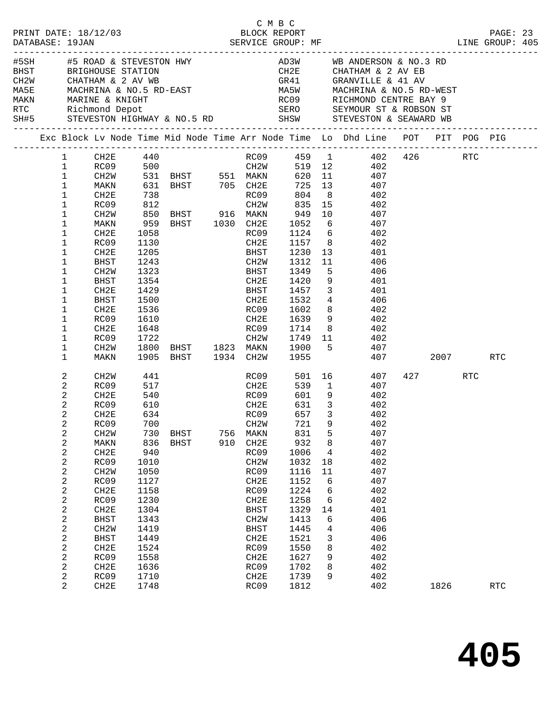|                                    |            |                         |                   |                   | C M B C     |                         |                                                                                                                                                                                                                                                                                                                                                                                                                                                      |     |             |            |  |
|------------------------------------|------------|-------------------------|-------------------|-------------------|-------------|-------------------------|------------------------------------------------------------------------------------------------------------------------------------------------------------------------------------------------------------------------------------------------------------------------------------------------------------------------------------------------------------------------------------------------------------------------------------------------------|-----|-------------|------------|--|
|                                    |            |                         |                   |                   |             |                         |                                                                                                                                                                                                                                                                                                                                                                                                                                                      |     |             |            |  |
|                                    |            |                         |                   |                   |             |                         |                                                                                                                                                                                                                                                                                                                                                                                                                                                      |     |             |            |  |
|                                    |            |                         |                   |                   |             |                         | $\begin{tabular}{lllllllllllllllllllll} \texttt{\#5SH} & \texttt{\#5 ROAD & $\&$ STEVESTON & $\texttt{HWY}$ & $\&$AD3W & $\texttt{WB}~\texttt{ANDERSON} $\&$NO.3 & $\texttt{RD}$ \\ \texttt{BHST} & \texttt{BRIGHOUSE} & \texttt{STATION} & \texttt{CH2E} & \texttt{CHATHAM & $\&$ 2 & $\texttt{AV}~\texttt{EB}$ \\ \texttt{CH2W} & \texttt{CHATHAM & $\&$ 2 & $\texttt{AV}~\texttt{WB}$ & $\&$GRANVILLE & $\&$ 41 & $\texttt{AV}$ \\ \texttt{MASE}$ |     |             |            |  |
|                                    |            |                         |                   |                   |             |                         |                                                                                                                                                                                                                                                                                                                                                                                                                                                      |     |             |            |  |
|                                    |            |                         |                   |                   |             |                         |                                                                                                                                                                                                                                                                                                                                                                                                                                                      |     |             |            |  |
|                                    |            |                         |                   |                   |             |                         |                                                                                                                                                                                                                                                                                                                                                                                                                                                      |     |             |            |  |
|                                    |            |                         |                   |                   |             |                         |                                                                                                                                                                                                                                                                                                                                                                                                                                                      |     |             |            |  |
|                                    |            |                         |                   |                   |             |                         |                                                                                                                                                                                                                                                                                                                                                                                                                                                      |     |             |            |  |
|                                    |            |                         |                   |                   |             |                         | SH#5 STEVESTON HIGHWAY & NO.5 RD SHSW STEVESTON & SEAWARD WB                                                                                                                                                                                                                                                                                                                                                                                         |     |             |            |  |
|                                    |            |                         |                   |                   |             |                         | Exc Block Lv Node Time Mid Node Time Arr Node Time Lo Dhd Line POT PIT POG PIG                                                                                                                                                                                                                                                                                                                                                                       |     |             |            |  |
| $\mathbf{1}$                       |            |                         |                   |                   |             |                         | CH2E 440 RC09 459 1 402 426 RTC                                                                                                                                                                                                                                                                                                                                                                                                                      |     |             |            |  |
| $\mathbf{1}$                       |            |                         |                   |                   |             |                         | RC09 500 CH2W 519 12 402<br>CH2W 531 BHST 551 MAKN 620 11 407<br>MAKN 631 BHST 705 CH2E 725 13 407                                                                                                                                                                                                                                                                                                                                                   |     |             |            |  |
| $\mathbf{1}$                       |            |                         |                   |                   |             |                         |                                                                                                                                                                                                                                                                                                                                                                                                                                                      |     |             |            |  |
| $\mathbf{1}$                       |            |                         |                   |                   |             |                         |                                                                                                                                                                                                                                                                                                                                                                                                                                                      |     |             |            |  |
| $\mathbf{1}$<br>CH2E               | 738        |                         |                   | RC09              | 804         |                         | 8 402                                                                                                                                                                                                                                                                                                                                                                                                                                                |     |             |            |  |
| $\mathbf{1}$<br>RC09               |            |                         |                   |                   |             |                         |                                                                                                                                                                                                                                                                                                                                                                                                                                                      |     |             |            |  |
| 1<br>CH2W                          |            |                         |                   |                   |             |                         |                                                                                                                                                                                                                                                                                                                                                                                                                                                      |     |             |            |  |
| $\mathbf 1$<br>MAKN<br>1<br>CH2E   | 1058       |                         |                   |                   |             |                         | RC09 1124 6 402                                                                                                                                                                                                                                                                                                                                                                                                                                      |     |             |            |  |
| RC09<br>1                          | 1130       |                         |                   | CH2E              |             |                         |                                                                                                                                                                                                                                                                                                                                                                                                                                                      |     |             |            |  |
| 1<br>CH2E                          |            |                         |                   | BHST              |             |                         | 1157 8 402<br>1230 13 401                                                                                                                                                                                                                                                                                                                                                                                                                            |     |             |            |  |
| $\mathbf 1$<br>BHST                |            | 1205<br>1243            |                   | CH <sub>2</sub> W | 1312        |                         | $11$ 406                                                                                                                                                                                                                                                                                                                                                                                                                                             |     |             |            |  |
| 1<br>CH <sub>2</sub> W             | 1323       | <b>EXECUTE SHEAFERE</b> |                   |                   | 1349        |                         | 5 406                                                                                                                                                                                                                                                                                                                                                                                                                                                |     |             |            |  |
| $\mathbf 1$<br>BHST                | 1354       |                         |                   | CH2E              | 1420        |                         | 9 401                                                                                                                                                                                                                                                                                                                                                                                                                                                |     |             |            |  |
| 1<br>CH2E                          |            |                         |                   | BHST              | 1457        |                         |                                                                                                                                                                                                                                                                                                                                                                                                                                                      |     |             |            |  |
| $\mathbf 1$<br>BHST                |            | 1429<br>1500            |                   | CH2E              | 1532        |                         | $\begin{array}{ccc} 3 & 401 \\ 4 & 406 \end{array}$                                                                                                                                                                                                                                                                                                                                                                                                  |     |             |            |  |
| $\mathbf 1$<br>CH2E                | 1536       |                         |                   |                   | RC09 1602   |                         | 8<br>402                                                                                                                                                                                                                                                                                                                                                                                                                                             |     |             |            |  |
| 1<br>RC09                          | 1610       |                         |                   | CH2E              | 1639        |                         | 9 402                                                                                                                                                                                                                                                                                                                                                                                                                                                |     |             |            |  |
| 1<br>CH2E                          | 1648       |                         |                   | RC09              |             |                         | $1714$ 8 $402$<br>$1749$ 11 $402$                                                                                                                                                                                                                                                                                                                                                                                                                    |     |             |            |  |
| 1<br>RC09                          | 1722       |                         |                   | CH2W              |             |                         |                                                                                                                                                                                                                                                                                                                                                                                                                                                      |     |             |            |  |
| 1<br>CH2W                          |            |                         |                   |                   |             |                         | 1800 BHST 1823 MAKN 1900 5 407                                                                                                                                                                                                                                                                                                                                                                                                                       |     |             |            |  |
| 1<br>MAKN                          |            | 1905 BHST 1934 CH2W     |                   |                   | 1955        |                         |                                                                                                                                                                                                                                                                                                                                                                                                                                                      | 407 | 2007 - 2007 | RTC        |  |
| 2<br>CH2W                          | 441        |                         |                   |                   | RC09 501 16 |                         | 407                                                                                                                                                                                                                                                                                                                                                                                                                                                  |     | 427 RTC     |            |  |
| 2<br>RC09                          | 517        |                         |                   | CH2E              |             |                         | 539 1<br>407                                                                                                                                                                                                                                                                                                                                                                                                                                         |     |             |            |  |
| 2<br>CH2E                          | 540        | RCO <sub>9</sub>        |                   |                   | 601         |                         | 9 402                                                                                                                                                                                                                                                                                                                                                                                                                                                |     |             |            |  |
| 2<br>RC09                          | 610        |                         |                   | CH2E<br>RC09      | 631         | $\overline{\mathbf{3}}$ | 402                                                                                                                                                                                                                                                                                                                                                                                                                                                  |     |             |            |  |
| 2<br>CH2E                          | 634        |                         |                   |                   |             | 657 3                   | 402                                                                                                                                                                                                                                                                                                                                                                                                                                                  |     |             |            |  |
| 2<br>RC09                          | 700        |                         | CH <sub>2</sub> W |                   | 721         |                         | 9 402                                                                                                                                                                                                                                                                                                                                                                                                                                                |     |             |            |  |
| 2<br>CH <sub>2</sub> M             | 730        | <b>BHST</b>             | 756<br>910        | MAKN              | 831<br>932  | 5                       | 407<br>407                                                                                                                                                                                                                                                                                                                                                                                                                                           |     |             |            |  |
| 2<br>MAKN<br>2<br>CH2E             | 836<br>940 | BHST                    |                   | CH2E<br>RC09      | 1006        | 8<br>4                  | 402                                                                                                                                                                                                                                                                                                                                                                                                                                                  |     |             |            |  |
| RC09<br>2                          | 1010       |                         |                   | CH <sub>2</sub> W | 1032        | 18                      | 402                                                                                                                                                                                                                                                                                                                                                                                                                                                  |     |             |            |  |
| 2<br>CH <sub>2</sub> M             | 1050       |                         |                   | RC09              | 1116        | 11                      | 407                                                                                                                                                                                                                                                                                                                                                                                                                                                  |     |             |            |  |
| 2<br>RC09                          | 1127       |                         |                   | CH2E              | 1152        | 6                       | 407                                                                                                                                                                                                                                                                                                                                                                                                                                                  |     |             |            |  |
| $\boldsymbol{2}$<br>CH2E           | 1158       |                         |                   | RC09              | 1224        | 6                       | 402                                                                                                                                                                                                                                                                                                                                                                                                                                                  |     |             |            |  |
| 2<br>RC09                          | 1230       |                         |                   | CH2E              | 1258        | 6                       | 402                                                                                                                                                                                                                                                                                                                                                                                                                                                  |     |             |            |  |
| 2<br>CH2E                          | 1304       |                         |                   | BHST              | 1329        | 14                      | 401                                                                                                                                                                                                                                                                                                                                                                                                                                                  |     |             |            |  |
| 2<br><b>BHST</b>                   | 1343       |                         |                   | CH <sub>2</sub> W | 1413        | 6                       | 406                                                                                                                                                                                                                                                                                                                                                                                                                                                  |     |             |            |  |
| 2<br>CH <sub>2</sub> W             | 1419       |                         |                   | <b>BHST</b>       | 1445        | 4                       | 406                                                                                                                                                                                                                                                                                                                                                                                                                                                  |     |             |            |  |
| 2<br><b>BHST</b>                   | 1449       |                         |                   | CH2E              | 1521        | 3                       | 406                                                                                                                                                                                                                                                                                                                                                                                                                                                  |     |             |            |  |
| 2<br>CH2E                          | 1524       |                         |                   | RC09              | 1550        | 8                       | 402                                                                                                                                                                                                                                                                                                                                                                                                                                                  |     |             |            |  |
| 2<br>RC09                          | 1558       |                         |                   | CH2E              | 1627        | 9                       | 402                                                                                                                                                                                                                                                                                                                                                                                                                                                  |     |             |            |  |
| $\overline{c}$<br>CH <sub>2E</sub> | 1636       |                         |                   | RC09              | 1702        | 8                       | 402                                                                                                                                                                                                                                                                                                                                                                                                                                                  |     |             |            |  |
| 2<br>RC09                          | 1710       |                         |                   | CH2E              | 1739        | 9                       | 402                                                                                                                                                                                                                                                                                                                                                                                                                                                  |     |             |            |  |
| 2<br>CH2E                          | 1748       |                         |                   | RC09              | 1812        |                         | 402                                                                                                                                                                                                                                                                                                                                                                                                                                                  |     | 1826        | <b>RTC</b> |  |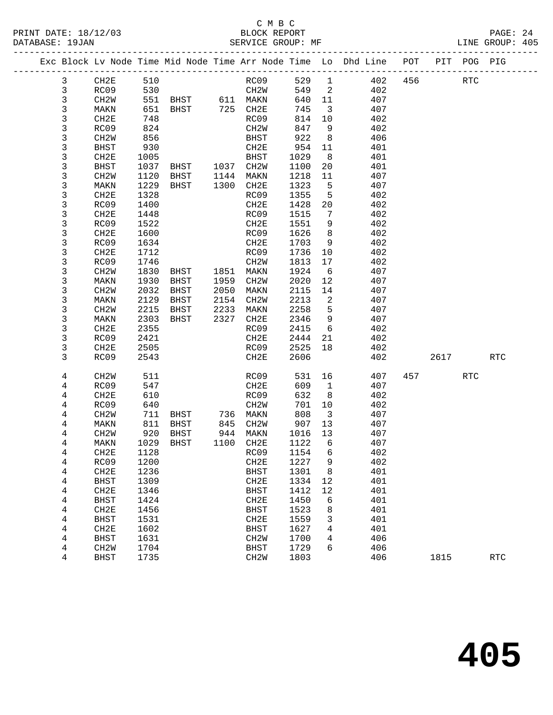#### C M B C<br>BLOCK REPORT PRINT DATE: 18/12/03 BLOCK REPORT BATABASE: 19JAN BLOCK REPORT

| PRINT DATE: 18/12/03<br>DATABASE: 19JAN |                   |      |                     |      | BLOCK REPORT                |          |                         |                                                                                |         |       | PAGE: 24<br>LINE GROUP: 405 |  |
|-----------------------------------------|-------------------|------|---------------------|------|-----------------------------|----------|-------------------------|--------------------------------------------------------------------------------|---------|-------|-----------------------------|--|
|                                         |                   |      |                     |      |                             |          |                         | Exc Block Lv Node Time Mid Node Time Arr Node Time Lo Dhd Line POT PIT POG PIG |         |       |                             |  |
| $\mathbf{3}$                            | CH2E              | 510  |                     |      | RC09                        |          |                         | 529 1 402                                                                      | 456 RTC |       |                             |  |
| 3                                       | RC09              |      | 530                 |      | CH2W                        |          |                         | 549 2 402                                                                      |         |       |                             |  |
| 3                                       | CH2W              |      | 551 BHST 611 MAKN   |      |                             |          |                         | 640 11<br>407                                                                  |         |       |                             |  |
| 3                                       | MAKN              |      | 651 BHST            |      | 725 CH2E                    | 745      |                         | $\overline{3}$<br>407                                                          |         |       |                             |  |
| 3                                       | CH2E              | 748  |                     |      | RC09                        | 814      | 10                      | 402                                                                            |         |       |                             |  |
| 3                                       | RC09              | 824  |                     |      | CH2W                        | 847      | 9                       | 402                                                                            |         |       |                             |  |
| 3                                       | CH2W              | 856  |                     |      | BHST                        | 922      | 8 <sup>8</sup>          | 406                                                                            |         |       |                             |  |
| 3                                       | BHST              | 930  |                     |      | CH2E                        | 954      |                         | 401<br>11                                                                      |         |       |                             |  |
| 3                                       | CH2E              | 1005 |                     |      | BHST                        | 1029     |                         | $8 \overline{)}$<br>401                                                        |         |       |                             |  |
| 3                                       | BHST              |      | 1037 BHST 1037 CH2W |      |                             | 1100     |                         | 20<br>401                                                                      |         |       |                             |  |
| 3                                       | CH2W              |      | 1120 BHST           | 1144 | MAKN                        | 1218     | 11                      | 407                                                                            |         |       |                             |  |
| 3                                       | MAKN              |      | 1229 BHST           |      | 1300 CH2E                   | 1323     | 5 <sup>5</sup>          | 407                                                                            |         |       |                             |  |
| 3                                       | CH2E              | 1328 |                     |      | RC09                        | 1355     |                         | $5^{\circ}$<br>402                                                             |         |       |                             |  |
| 3                                       | RC09              | 1400 |                     |      | CH2E                        | 1428     |                         | 402<br>20                                                                      |         |       |                             |  |
| 3                                       | CH2E              | 1448 |                     |      | RC09                        | 1515     | $7\overline{ }$         | 402                                                                            |         |       |                             |  |
| 3                                       | RC09              | 1522 |                     |      | CH2E                        | 1551     | 9                       | 402                                                                            |         |       |                             |  |
| 3                                       | CH2E              | 1600 |                     |      | RC09                        | 1626     | 8 <sup>8</sup>          | 402                                                                            |         |       |                             |  |
| 3                                       | RC09              | 1634 |                     |      | CH2E                        | 1703     | 9                       | 402                                                                            |         |       |                             |  |
| 3                                       | CH2E              | 1712 |                     |      | RC09                        | 1736     | 10                      | 402                                                                            |         |       |                             |  |
| 3                                       | RC09              | 1746 |                     |      | CH2W                        | 1813     |                         | 402                                                                            |         |       |                             |  |
| 3                                       | CH2W              |      | 1830 BHST           | 1851 | MAKN                        | 1924     |                         | 407<br>$6\overline{6}$                                                         |         |       |                             |  |
| 3                                       | MAKN              | 1930 | BHST                | 1959 | CH2W                        | 2020     |                         | 12<br>407                                                                      |         |       |                             |  |
| 3                                       | CH <sub>2</sub> W | 2032 | BHST                | 2050 | MAKN                        | 2115     | 14                      | 407                                                                            |         |       |                             |  |
| 3                                       | MAKN              | 2129 | BHST                | 2154 | CH2W                        | 2213     | $\overline{\mathbf{2}}$ | 407                                                                            |         |       |                             |  |
| 3                                       | CH <sub>2</sub> W | 2215 | BHST                | 2233 | MAKN                        | 2258     | 5 <sup>5</sup>          | 407                                                                            |         |       |                             |  |
| 3                                       | MAKN              | 2303 | BHST                | 2327 | CH2E                        | 2346     |                         | 9<br>407                                                                       |         |       |                             |  |
| 3                                       | CH2E              | 2355 |                     |      | RC09                        | 2415     | 6                       | 402                                                                            |         |       |                             |  |
| 3                                       | RC09              | 2421 |                     |      | CH2E                        | 2444 21  |                         | 402                                                                            |         |       |                             |  |
| 3                                       | CH2E              | 2505 |                     |      | RC09                        | 2525 18  |                         | 402                                                                            |         |       |                             |  |
| $\overline{ }$                          | $\overline{D}$    |      |                     |      | $\sim$ $\sim$ $\sim$ $\sim$ | $\Omega$ |                         | $\sqrt{2}$                                                                     |         | 0.017 | $n^{m}$                     |  |

| د              | ∪⊓∠r              | ددد ک |             |      | にしり               | 44 L D | O  | 4 U Z |     |      |     |            |
|----------------|-------------------|-------|-------------|------|-------------------|--------|----|-------|-----|------|-----|------------|
| 3              | RC09              | 2421  |             |      | CH2E              | 2444   | 21 | 402   |     |      |     |            |
| 3              | CH <sub>2E</sub>  | 2505  |             |      | RC09              | 2525   | 18 | 402   |     |      |     |            |
| 3              | RC09              | 2543  |             |      | CH2E              | 2606   |    | 402   |     | 2617 |     | <b>RTC</b> |
|                |                   |       |             |      |                   |        |    |       |     |      |     |            |
| 4              | CH <sub>2</sub> W | 511   |             |      | RC09              | 531    | 16 | 407   | 457 |      | RTC |            |
| 4              | RC09              | 547   |             |      | CH2E              | 609    | 1  | 407   |     |      |     |            |
| 4              | CH <sub>2E</sub>  | 610   |             |      | RC09              | 632    | 8  | 402   |     |      |     |            |
| 4              | RC09              | 640   |             |      | CH <sub>2</sub> W | 701    | 10 | 402   |     |      |     |            |
| 4              | CH <sub>2</sub> W | 711   | <b>BHST</b> | 736  | MAKN              | 808    | 3  | 407   |     |      |     |            |
| 4              | MAKN              | 811   | <b>BHST</b> | 845  | CH <sub>2</sub> W | 907    | 13 | 407   |     |      |     |            |
| 4              | CH <sub>2</sub> W | 920   | <b>BHST</b> | 944  | MAKN              | 1016   | 13 | 407   |     |      |     |            |
| 4              | MAKN              | 1029  | BHST        | 1100 | CH2E              | 1122   | 6  | 407   |     |      |     |            |
| 4              | CH <sub>2E</sub>  | 1128  |             |      | RC09              | 1154   | 6  | 402   |     |      |     |            |
| 4              | RC09              | 1200  |             |      | CH2E              | 1227   | 9  | 402   |     |      |     |            |
| 4              | CH <sub>2E</sub>  | 1236  |             |      | BHST              | 1301   | 8  | 401   |     |      |     |            |
| 4              | BHST              | 1309  |             |      | CH2E              | 1334   | 12 | 401   |     |      |     |            |
| 4              | CH <sub>2E</sub>  | 1346  |             |      | <b>BHST</b>       | 1412   | 12 | 401   |     |      |     |            |
| 4              | BHST              | 1424  |             |      | CH2E              | 1450   | 6  | 401   |     |      |     |            |
| 4              | CH <sub>2E</sub>  | 1456  |             |      | <b>BHST</b>       | 1523   | 8  | 401   |     |      |     |            |
| 4              | <b>BHST</b>       | 1531  |             |      | CH2E              | 1559   | 3  | 401   |     |      |     |            |
| $\overline{4}$ | CH <sub>2E</sub>  | 1602  |             |      | <b>BHST</b>       | 1627   | 4  | 401   |     |      |     |            |
| 4              | BHST              | 1631  |             |      | CH <sub>2</sub> W | 1700   | 4  | 406   |     |      |     |            |
| 4              | CH <sub>2</sub> W | 1704  |             |      | <b>BHST</b>       | 1729   | 6  | 406   |     |      |     |            |
| 4              | <b>BHST</b>       | 1735  |             |      | CH <sub>2</sub> W | 1803   |    | 406   |     | 1815 |     | <b>RTC</b> |
|                |                   |       |             |      |                   |        |    |       |     |      |     |            |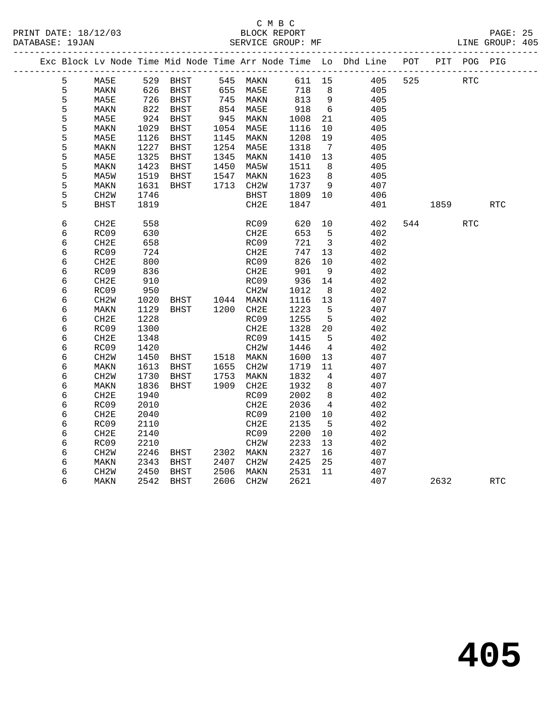|  |        |                   |              |                                  |      |                          |              |                                  | Exc Block Lv Node Time Mid Node Time Arr Node Time Lo Dhd Line POT |     |         | PIT POG PIG |            |
|--|--------|-------------------|--------------|----------------------------------|------|--------------------------|--------------|----------------------------------|--------------------------------------------------------------------|-----|---------|-------------|------------|
|  | 5      | MA5E              |              | 529 BHST                         |      | 545 MAKN                 |              |                                  | 611 15 405                                                         | 525 |         | <b>RTC</b>  |            |
|  | 5      | MAKN              | 626          | BHST                             |      | 655 MA5E                 | 718          | 8 <sup>8</sup>                   | 405                                                                |     |         |             |            |
|  | 5      | MA5E              |              | BHST                             |      |                          | 813 9        |                                  | 405                                                                |     |         |             |            |
|  | 5      | MAKN              | 726<br>822   | BHST                             |      | 745 MAKN<br>854 MA5E     | 918          | 6                                | 405                                                                |     |         |             |            |
|  | 5      | MA5E              | 924          | BHST                             | 945  | MAKN                     | 1008         | 21                               | 405                                                                |     |         |             |            |
|  | 5      | MAKN              | 1029         | BHST                             | 1054 | MA5E                     | 1116         | 10                               | 405                                                                |     |         |             |            |
|  | 5      | MA5E              | 1126         | BHST                             | 1145 | MAKN                     | 1208         | 19                               | 405                                                                |     |         |             |            |
|  | 5      | MAKN              | 1227         | BHST                             | 1254 | MA5E                     | 1318         | $\overline{7}$                   | 405                                                                |     |         |             |            |
|  | 5      | MA5E              | 1325         | BHST                             | 1345 | MAKN                     | 1410         | 13                               | 405                                                                |     |         |             |            |
|  | 5      | MAKN              | 1423         | BHST                             | 1450 | MA5W                     | 1511         | 8                                | 405                                                                |     |         |             |            |
|  | 5      | MA5W              | 1519         | BHST                             | 1547 | MAKN                     | 1623         | 8 <sup>8</sup>                   | 405                                                                |     |         |             |            |
|  | 5      | MAKN              | 1631         | BHST                             |      | 1713 CH2W                | 1737         | 9                                | 407                                                                |     |         |             |            |
|  | 5      | CH2W              | 1746         |                                  |      | <b>BHST</b>              | 1809         | 10                               | 406                                                                |     |         |             |            |
|  | 5      | <b>BHST</b>       | 1819         |                                  |      | CH2E                     | 1847         |                                  | 401                                                                |     | 1859 18 |             | <b>RTC</b> |
|  | 6      | CH <sub>2E</sub>  | 558          |                                  |      | RC09                     | 620          | 10                               | 402                                                                |     | 544 200 | RTC         |            |
|  | 6      | RC09              | 630          |                                  |      | CH2E                     | 653          | $5\overline{5}$                  | 402                                                                |     |         |             |            |
|  | 6      | CH2E              | 658          |                                  |      | RC09                     | 721          | $\overline{\mathbf{3}}$          | 402                                                                |     |         |             |            |
|  | 6      | RC09              | 724          |                                  |      | CH2E                     | 747          | 13                               | 402                                                                |     |         |             |            |
|  | 6      | CH <sub>2E</sub>  | 800          |                                  |      | RC09                     | 826          | 10                               | 402                                                                |     |         |             |            |
|  | 6      | RC09              | 836          |                                  |      | CH2E                     | 901          | 9                                | 402                                                                |     |         |             |            |
|  | 6      | CH2E              | 910          |                                  |      | RC09                     | 936          | 14                               | 402                                                                |     |         |             |            |
|  | 6      | RC09              | 950          |                                  |      | CH2W                     | 1012         | 8                                | 402                                                                |     |         |             |            |
|  | 6      | CH <sub>2</sub> W | 1020         | BHST 1044 MAKN<br>BHST 1200 CH2E |      |                          | 1116         | 13                               | 407                                                                |     |         |             |            |
|  | 6      | MAKN              | 1129         |                                  |      |                          | 1223         | $5^{\circ}$                      | 407                                                                |     |         |             |            |
|  | 6      | CH2E              | 1228         |                                  |      | RC09                     | 1255         | 5                                | 402                                                                |     |         |             |            |
|  | 6      | RC09              | 1300         |                                  |      | CH2E                     | 1328         | 20                               | 402                                                                |     |         |             |            |
|  | 6      | CH <sub>2E</sub>  | 1348         |                                  |      | RC09                     | 1415         | $-5$                             | 402                                                                |     |         |             |            |
|  | 6      | RC09              | 1420         |                                  |      | CH2W                     | 1446         | $\overline{4}$                   | 402                                                                |     |         |             |            |
|  | 6      | CH2W              | 1450         | <b>BHST</b>                      |      | 1518 MAKN                | 1600         | 13                               | 407                                                                |     |         |             |            |
|  | 6      | MAKN              | 1613         | BHST                             |      | 1655 CH2W                | 1719         | 11                               | 407                                                                |     |         |             |            |
|  | 6      | CH <sub>2</sub> M | 1730         | BHST                             |      | 1753 MAKN<br>1909 CH2E   | 1832<br>1932 | $\overline{4}$<br>8 <sup>8</sup> | 407                                                                |     |         |             |            |
|  | 6      | MAKN              | 1836         | BHST                             |      |                          | 2002         |                                  | 407                                                                |     |         |             |            |
|  | 6      | CH2E              | 1940         |                                  |      | RC09                     |              | 8                                | 402                                                                |     |         |             |            |
|  | 6<br>6 | RC09<br>CH2E      | 2010<br>2040 |                                  |      | CH <sub>2E</sub><br>RC09 | 2036<br>2100 | $\overline{4}$<br>10             | 402<br>402                                                         |     |         |             |            |
|  | 6      | RC09              | 2110         |                                  |      | CH2E                     | 2135         | - 5                              | 402                                                                |     |         |             |            |
|  | 6      | CH2E              | 2140         |                                  |      | RC09                     | 2200         | 10                               | 402                                                                |     |         |             |            |
|  | 6      | RC09              | 2210         |                                  |      | CH <sub>2</sub> W        | 2233         | 13                               | 402                                                                |     |         |             |            |
|  | 6      | CH <sub>2</sub> W | 2246         | BHST                             |      | 2302 MAKN                | 2327         | 16                               | 407                                                                |     |         |             |            |
|  | 6      | MAKN              | 2343         | BHST                             |      | 2407 CH2W                | 2425         | 25                               | 407                                                                |     |         |             |            |
|  | 6      | CH2W              | 2450         | BHST                             | 2506 | MAKN                     | 2531         | 11                               | 407                                                                |     |         |             |            |
|  | 6      | MAKN              | 2542         | <b>BHST</b>                      |      | 2606 CH2W                | 2621         |                                  | 407                                                                |     | 2632    |             | <b>RTC</b> |
|  |        |                   |              |                                  |      |                          |              |                                  |                                                                    |     |         |             |            |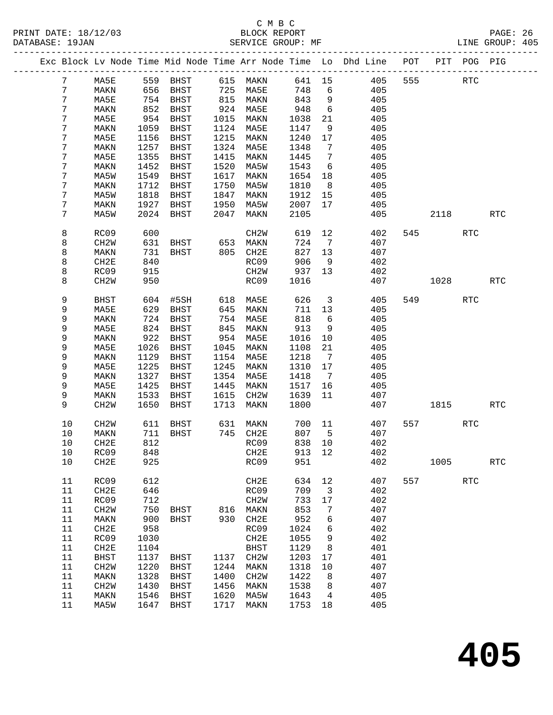|  |    |                   |      |             |      |                   |        |                         | Exc Block Lv Node Time Mid Node Time Arr Node Time Lo Dhd Line POT |     |           | PIT POG PIG |                      |
|--|----|-------------------|------|-------------|------|-------------------|--------|-------------------------|--------------------------------------------------------------------|-----|-----------|-------------|----------------------|
|  | 7  | MA5E              |      | 559 BHST    |      | 615 MAKN          | 641 15 |                         | 405                                                                | 555 |           | RTC         |                      |
|  | 7  | MAKN              | 656  | BHST        |      | 725 MA5E          | 748    | 6                       | 405                                                                |     |           |             |                      |
|  | 7  | MA5E              |      | 754 BHST    |      | 815 MAKN          | 843    | 9                       | 405                                                                |     |           |             |                      |
|  | 7  | MAKN              | 852  | BHST        |      | 924 MA5E          | 948    | 6                       | 405                                                                |     |           |             |                      |
|  | 7  | MA5E              | 954  | BHST        | 1015 | MAKN              | 1038   | 21                      | 405                                                                |     |           |             |                      |
|  | 7  | MAKN              | 1059 | BHST        |      | 1124 MA5E         | 1147   | 9                       | 405                                                                |     |           |             |                      |
|  | 7  | MA5E              | 1156 | BHST        | 1215 | MAKN              | 1240   | 17                      | 405                                                                |     |           |             |                      |
|  | 7  | MAKN              | 1257 | BHST        | 1324 | MA5E              | 1348   | $\overline{7}$          | 405                                                                |     |           |             |                      |
|  | 7  | MA5E              | 1355 | BHST        | 1415 | MAKN              | 1445   | 7                       | 405                                                                |     |           |             |                      |
|  | 7  | MAKN              | 1452 | BHST        | 1520 | MA5W              | 1543   | 6                       | 405                                                                |     |           |             |                      |
|  | 7  | MA5W              | 1549 | BHST        | 1617 | MAKN              | 1654   | 18                      | 405                                                                |     |           |             |                      |
|  | 7  | MAKN              | 1712 | BHST        | 1750 | MA5W              | 1810   | 8 <sup>8</sup>          | 405                                                                |     |           |             |                      |
|  | 7  | MA5W              | 1818 | BHST        | 1847 | MAKN              | 1912   | 15                      | 405                                                                |     |           |             |                      |
|  | 7  | MAKN              | 1927 | BHST        | 1950 | MA5W              | 2007   | 17                      | 405                                                                |     |           |             |                      |
|  | 7  | MA5W              | 2024 | BHST        | 2047 | MAKN              | 2105   |                         | 405                                                                |     | 2118      |             | <b>RTC</b>           |
|  |    |                   |      |             |      |                   |        |                         |                                                                    |     |           |             |                      |
|  | 8  | RC09              | 600  |             |      | CH <sub>2</sub> W | 619    | 12                      | 402                                                                |     | 545       | <b>RTC</b>  |                      |
|  | 8  | CH <sub>2</sub> W | 631  | BHST        | 653  | MAKN              | 724    | 7                       | 407                                                                |     |           |             |                      |
|  | 8  | MAKN              | 731  | BHST        | 805  | CH2E              | 827    | 13                      | 407                                                                |     |           |             |                      |
|  | 8  | CH2E              | 840  |             |      | RC09              | 906    | 9                       | 402                                                                |     |           |             |                      |
|  | 8  | RC09              | 915  |             |      | CH2W              | 937    | 13                      | 402                                                                |     |           |             |                      |
|  | 8  | CH <sub>2</sub> W | 950  |             |      | RC09              | 1016   |                         | 407                                                                |     | 1028      |             | <b>RTC</b>           |
|  | 9  | <b>BHST</b>       | 604  | #5SH        | 618  | MA5E              | 626    | $\overline{\mathbf{3}}$ | 405                                                                |     | 549       | <b>RTC</b>  |                      |
|  | 9  | MA5E              | 629  | BHST        | 645  | MAKN              | 711    | 13                      | 405                                                                |     |           |             |                      |
|  | 9  | MAKN              | 724  | BHST        | 754  | MA5E              | 818    | 6                       | 405                                                                |     |           |             |                      |
|  | 9  | MA5E              | 824  | BHST        | 845  | MAKN              | 913    | 9                       | 405                                                                |     |           |             |                      |
|  | 9  | MAKN              | 922  | BHST        | 954  | MA5E              | 1016   | 10                      | 405                                                                |     |           |             |                      |
|  | 9  | MA5E              | 1026 | BHST        | 1045 | MAKN              | 1108   | 21                      | 405                                                                |     |           |             |                      |
|  | 9  | MAKN              | 1129 | BHST        | 1154 | MA5E              | 1218   | 7                       | 405                                                                |     |           |             |                      |
|  | 9  | MA5E              | 1225 | BHST        | 1245 | MAKN              | 1310   | 17                      | 405                                                                |     |           |             |                      |
|  | 9  | MAKN              | 1327 | BHST        | 1354 | MA5E              | 1418   | $\overline{7}$          | 405                                                                |     |           |             |                      |
|  | 9  | MA5E              | 1425 | BHST        | 1445 | MAKN              | 1517   | 16                      | 405                                                                |     |           |             |                      |
|  | 9  | MAKN              | 1533 | BHST        | 1615 | CH2W              | 1639   | 11                      | 407                                                                |     |           |             |                      |
|  | 9  | CH <sub>2</sub> W | 1650 | BHST        | 1713 | MAKN              | 1800   |                         | 407                                                                |     | 1815      |             | <b>RTC</b>           |
|  |    |                   |      |             |      |                   |        |                         |                                                                    |     |           |             |                      |
|  | 10 | CH <sub>2</sub> W | 611  | BHST        | 631  | MAKN              | 700 11 |                         | 407                                                                |     | 557 — 100 | <b>RTC</b>  |                      |
|  | 10 | MAKN              | 711  | BHST        |      | 745 CH2E          | 807    | 5                       | 407                                                                |     |           |             |                      |
|  | 10 | CH2E              | 812  |             |      | RC09              | 838 10 |                         | 402                                                                |     |           |             |                      |
|  | 10 | RC09              | 848  |             |      | CH2E              | 913 12 |                         | 402                                                                |     |           |             |                      |
|  | 10 | CH2E              | 925  |             |      | RC09              | 951    |                         | 402                                                                |     | 1005      |             | $\operatorname{RTC}$ |
|  | 11 | RC09              | 612  |             |      | CH2E              | 634    | 12                      | 407                                                                | 557 |           | <b>RTC</b>  |                      |
|  | 11 | CH2E              | 646  |             |      | RC09              | 709    | $\overline{\mathbf{3}}$ | 402                                                                |     |           |             |                      |
|  | 11 | RC09              | 712  |             |      | CH2W              | 733    | 17                      | 402                                                                |     |           |             |                      |
|  | 11 | CH2W              | 750  | BHST        | 816  | MAKN              | 853    | 7                       | 407                                                                |     |           |             |                      |
|  | 11 | MAKN              | 900  | <b>BHST</b> | 930  | CH2E              | 952    | 6                       | 407                                                                |     |           |             |                      |
|  | 11 | CH2E              | 958  |             |      | RC09              | 1024   | 6                       | 402                                                                |     |           |             |                      |
|  | 11 | RC09              | 1030 |             |      | CH2E              | 1055   | 9                       | 402                                                                |     |           |             |                      |
|  | 11 | CH2E              | 1104 |             |      | <b>BHST</b>       | 1129   | 8                       | 401                                                                |     |           |             |                      |
|  | 11 | <b>BHST</b>       | 1137 | BHST        | 1137 | CH2W              | 1203   | 17                      | 401                                                                |     |           |             |                      |
|  | 11 | CH <sub>2</sub> W | 1220 | BHST        | 1244 | MAKN              | 1318   | 10                      | 407                                                                |     |           |             |                      |
|  | 11 | MAKN              | 1328 | <b>BHST</b> | 1400 | CH <sub>2</sub> M | 1422   | 8                       | 407                                                                |     |           |             |                      |
|  | 11 | CH <sub>2</sub> W | 1430 | BHST        | 1456 | MAKN              | 1538   | 8                       | 407                                                                |     |           |             |                      |
|  | 11 | MAKN              | 1546 | BHST        | 1620 | MA5W              | 1643   | 4                       | 405                                                                |     |           |             |                      |
|  | 11 | MA5W              | 1647 | BHST        | 1717 | MAKN              | 1753   | 18                      | 405                                                                |     |           |             |                      |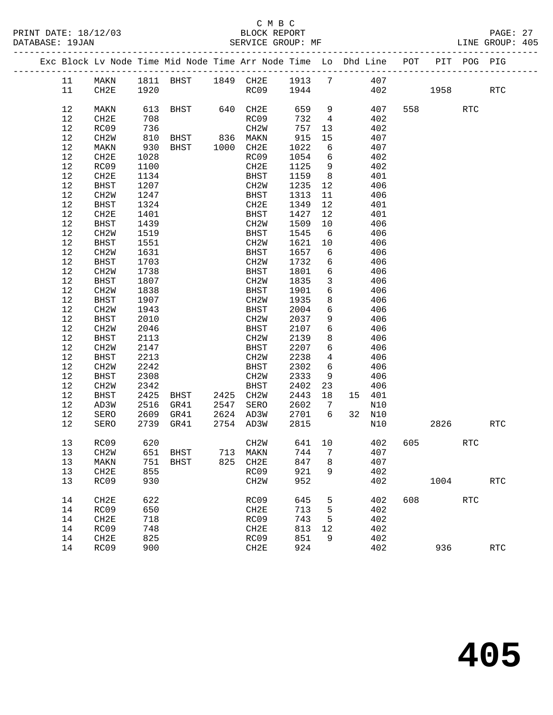PRINT DATE: 18/12/03 BLOCK REPORT BATABASE: 19JAN BLOCK REPORT

### C M B C<br>BLOCK REPORT

|  |      |                   |      | Exc Block Lv Node Time Mid Node Time Arr Node Time Lo Dhd Line POT |      |                   |        |                 |    |        |     |         | PIT POG PIG |                      |
|--|------|-------------------|------|--------------------------------------------------------------------|------|-------------------|--------|-----------------|----|--------|-----|---------|-------------|----------------------|
|  | 11   | MAKN              |      | 1811 BHST 1849 CH2E 1913 7 407                                     |      |                   |        |                 |    |        |     |         |             |                      |
|  | 11   | CH2E              | 1920 |                                                                    |      | RC09              | 1944   |                 |    | 402    |     | 1958    |             | <b>RTC</b>           |
|  |      |                   |      |                                                                    |      |                   |        |                 |    |        |     |         |             |                      |
|  | 12   | MAKN              | 613  | BHST                                                               |      | 640 CH2E          | 659    | 9               |    | 407    |     | 558 31  | <b>RTC</b>  |                      |
|  | 12   | CH2E              | 708  |                                                                    |      | RC09              | 732    | $\overline{4}$  |    | 402    |     |         |             |                      |
|  | 12   | RC09              | 736  |                                                                    |      | CH2W              | 757    | 13              |    | 402    |     |         |             |                      |
|  | 12   | CH2W              | 810  | BHST                                                               |      | 836 MAKN          | 915    | 15              |    | 407    |     |         |             |                      |
|  | $12$ | MAKN              | 930  | BHST                                                               |      | 1000 CH2E         | 1022   | 6               |    | 407    |     |         |             |                      |
|  | 12   | CH2E              | 1028 |                                                                    |      | RC09              | 1054   | 6               |    | 402    |     |         |             |                      |
|  | 12   | RC09              | 1100 |                                                                    |      | CH2E              | 1125   | 9               |    | 402    |     |         |             |                      |
|  | 12   | CH2E              | 1134 |                                                                    |      | BHST              | 1159   | 8 <sup>8</sup>  |    | 401    |     |         |             |                      |
|  | 12   | BHST              | 1207 |                                                                    |      | CH2W              | 1235   | 12              |    | 406    |     |         |             |                      |
|  | 12   | CH <sub>2</sub> W | 1247 |                                                                    |      | BHST              | 1313   | 11              |    | 406    |     |         |             |                      |
|  | 12   | <b>BHST</b>       | 1324 |                                                                    |      | CH2E              | 1349   | 12              |    | 401    |     |         |             |                      |
|  | 12   | CH2E              | 1401 |                                                                    |      | BHST              | 1427   | 12              |    | 401    |     |         |             |                      |
|  | 12   | <b>BHST</b>       | 1439 |                                                                    |      | CH2W              | 1509   | 10              |    | 406    |     |         |             |                      |
|  | 12   | CH2W              | 1519 |                                                                    |      | BHST              | 1545   | 6               |    | 406    |     |         |             |                      |
|  | 12   | BHST              | 1551 |                                                                    |      | CH2W              | 1621   | 10              |    | 406    |     |         |             |                      |
|  | 12   | CH2W              | 1631 |                                                                    |      | BHST              | 1657   | 6               |    | 406    |     |         |             |                      |
|  | 12   | BHST              | 1703 |                                                                    |      | CH2W              | 1732   | 6               |    | 406    |     |         |             |                      |
|  | 12   | CH2W              | 1738 |                                                                    |      | BHST              | 1801   | $6\overline{6}$ |    | 406    |     |         |             |                      |
|  | 12   | <b>BHST</b>       | 1807 |                                                                    |      | CH2W              | 1835   | $\overline{3}$  |    | 406    |     |         |             |                      |
|  | 12   | CH2W              | 1838 |                                                                    |      | <b>BHST</b>       | 1901   | $6\overline{6}$ |    | 406    |     |         |             |                      |
|  | 12   | BHST              | 1907 |                                                                    |      | CH2W              | 1935   | 8               |    | 406    |     |         |             |                      |
|  | 12   | CH <sub>2</sub> W | 1943 |                                                                    |      | <b>BHST</b>       | 2004   | 6               |    | 406    |     |         |             |                      |
|  | 12   | BHST              | 2010 |                                                                    |      | CH2W              | 2037   | 9               |    | 406    |     |         |             |                      |
|  | 12   | CH2W              | 2046 |                                                                    |      | BHST              | 2107   | $6\overline{6}$ |    | 406    |     |         |             |                      |
|  | 12   | BHST              | 2113 |                                                                    |      | CH2W              | 2139   | 8               |    | 406    |     |         |             |                      |
|  | 12   | CH2W              | 2147 |                                                                    |      | BHST              | 2207   | 6               |    | 406    |     |         |             |                      |
|  | 12   | BHST              | 2213 |                                                                    |      | CH2W              | 2238   | $\overline{4}$  |    | 406    |     |         |             |                      |
|  | 12   | CH <sub>2</sub> W | 2242 |                                                                    |      | <b>BHST</b>       | 2302   | 6               |    | 406    |     |         |             |                      |
|  | 12   | BHST              | 2308 |                                                                    |      | CH2W              | 2333   | 9               |    | 406    |     |         |             |                      |
|  | $12$ | CH2W              | 2342 |                                                                    |      | BHST              | 2402   | 23              |    | 406    |     |         |             |                      |
|  | 12   | BHST              | 2425 | BHST                                                               |      | 2425 CH2W         | 2443   | 18              |    | 15 401 |     |         |             |                      |
|  | 12   | AD3W              | 2516 | GR41                                                               | 2547 | SERO              | 2602   | $\overline{7}$  |    | N10    |     |         |             |                      |
|  | 12   | SERO              |      | 2609 GR41                                                          |      | 2624 AD3W         | 2701   | 6               | 32 | N10    |     |         |             |                      |
|  | 12   | SERO              |      | 2739 GR41                                                          |      | 2754 AD3W         | 2815   |                 |    | N10    |     | 2826    |             | <b>RTC</b>           |
|  | 13   | RC09              | 620  |                                                                    |      | CH <sub>2</sub> W | 641 10 |                 |    | 402    |     | 605 000 | <b>RTC</b>  |                      |
|  |      | 13 CH2W 651 BHST  |      |                                                                    |      | 713 MAKN 744 7    |        |                 |    | 407    |     |         |             |                      |
|  | 13   | MAKN              | 751  | BHST                                                               | 825  | CH2E              | 847    | 8               |    | 407    |     |         |             |                      |
|  | 13   | CH2E              | 855  |                                                                    |      | RC09              | 921    | 9               |    | 402    |     |         |             |                      |
|  | 13   | RC09              | 930  |                                                                    |      | CH <sub>2</sub> M | 952    |                 |    | 402    |     | 1004    |             | <b>RTC</b>           |
|  | 14   | CH2E              | 622  |                                                                    |      | RC09              | 645    | 5               |    | 402    | 608 |         | <b>RTC</b>  |                      |
|  | 14   | RC09              | 650  |                                                                    |      | CH2E              | 713    | 5               |    | 402    |     |         |             |                      |
|  | 14   | CH2E              | 718  |                                                                    |      | RC09              | 743    | 5               |    | 402    |     |         |             |                      |
|  | 14   | RC09              | 748  |                                                                    |      | CH2E              | 813    | 12              |    | 402    |     |         |             |                      |
|  | 14   | CH <sub>2E</sub>  | 825  |                                                                    |      | RC09              | 851    | 9               |    | 402    |     |         |             |                      |
|  | 14   | RC09              | 900  |                                                                    |      | CH2E              | 924    |                 |    | 402    |     | 936     |             | $\operatorname{RTC}$ |
|  |      |                   |      |                                                                    |      |                   |        |                 |    |        |     |         |             |                      |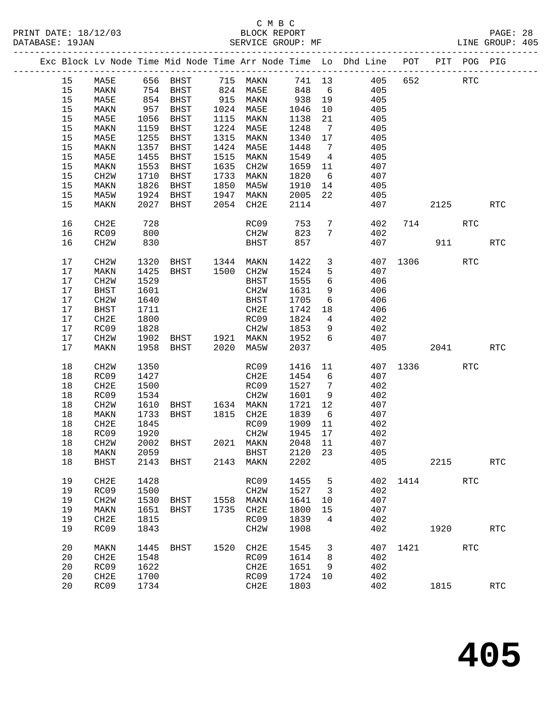PRINT DATE: 18/12/03 BLOCK REPORT BATABASE: 19JAN BLOCK REPORT

# C M B C<br>BLOCK REPORT

PAGE: 28<br>LINE GROUP: 405

|  |        |                   |      |                                          |      |                   |                     |                 | Exc Block Lv Node Time Mid Node Time Arr Node Time Lo Dhd Line POT PIT POG PIG |          |           |            |                      |
|--|--------|-------------------|------|------------------------------------------|------|-------------------|---------------------|-----------------|--------------------------------------------------------------------------------|----------|-----------|------------|----------------------|
|  | 15     | MA5E              |      | 656 BHST 715 MAKN                        |      |                   |                     |                 | 741 13 405 652                                                                 |          |           | <b>RTC</b> |                      |
|  | 15     | MAKN              |      |                                          |      | 824 MA5E          | 848 6               |                 | 405                                                                            |          |           |            |                      |
|  | 15     | MA5E              |      | 754 BHST<br>854 BHST<br>957 BHST         |      | 915 MAKN          |                     | 19              | 405                                                                            |          |           |            |                      |
|  | 15     | MAKN              |      |                                          |      | 1024 MA5E         | 938<br>1046<br>1046 | 10              | 405                                                                            |          |           |            |                      |
|  | 15     | MA5E              | 1056 | BHST                                     |      | 1115 MAKN         | 1138                | 21              | 405                                                                            |          |           |            |                      |
|  | 15     | MAKN              | 1159 | BHST                                     |      | 1224 MA5E         | 1248                | $\overline{7}$  | 405                                                                            |          |           |            |                      |
|  | 15     | MA5E              | 1255 | BHST                                     | 1315 | MAKN              | 1340                | 17              | 405                                                                            |          |           |            |                      |
|  | 15     | MAKN              | 1357 | BHST                                     | 1424 | MA5E              | 1448                | $7\overline{ }$ | 405                                                                            |          |           |            |                      |
|  | 15     | MA5E              | 1455 | BHST                                     | 1515 | MAKN              | 1549                | $\overline{4}$  | 405                                                                            |          |           |            |                      |
|  | 15     | MAKN              | 1553 | BHST                                     | 1635 | CH2W              | 1659                | 11              | 407                                                                            |          |           |            |                      |
|  | 15     | CH2W              | 1710 | BHST                                     | 1733 | MAKN              | 1820                | 6               | 407                                                                            |          |           |            |                      |
|  | 15     | MAKN              | 1826 | BHST                                     | 1850 | MA5W              | 1910                | 14              | 405                                                                            |          |           |            |                      |
|  | 15     | MA5W              | 1924 | BHST                                     | 1947 | MAKN              | 2005                | 22              | 405                                                                            |          |           |            |                      |
|  | 15     | MAKN              | 2027 | BHST                                     |      | 2054 CH2E         | 2114                |                 | 407                                                                            |          | 2125      |            | <b>RTC</b>           |
|  | 16     | CH2E              | 728  |                                          |      | RC09              | 753                 |                 | $7\overline{ }$<br>402                                                         |          | 714       | <b>RTC</b> |                      |
|  | 16     | RC09              | 800  |                                          |      | CH2W              | 823                 | 7               | 402                                                                            |          |           |            |                      |
|  | 16     | CH2W              | 830  |                                          |      | BHST              | 857                 |                 |                                                                                | 407      | 911       |            | <b>RTC</b>           |
|  | 17     | CH2W              | 1320 | BHST 1344 MAKN                           |      |                   | 1422                | $\mathbf{3}$    |                                                                                | 407 1306 |           | RTC        |                      |
|  | 17     | MAKN              | 1425 | BHST                                     |      | 1500 CH2W         | 1524                | 5               | 407                                                                            |          |           |            |                      |
|  | 17     | CH2W              | 1529 |                                          |      | BHST              | 1555                | 6               | 406                                                                            |          |           |            |                      |
|  | 17     | BHST              | 1601 |                                          |      | CH2W              | 1631                | 9               | 406                                                                            |          |           |            |                      |
|  | 17     | CH <sub>2</sub> W | 1640 |                                          |      | <b>BHST</b>       | 1705                | 6               | 406                                                                            |          |           |            |                      |
|  | 17     | BHST              | 1711 |                                          |      | CH2E              | 1742                | 18              | 406                                                                            |          |           |            |                      |
|  | 17     | CH2E              | 1800 |                                          |      | RC09              | 1824                | $\overline{4}$  | 402                                                                            |          |           |            |                      |
|  | 17     | RC09              | 1828 | CH2W<br>BHST 1921 MAKN<br>BHST 2020 MA5W |      | CH2W              | 1853                | 9               | 402                                                                            |          |           |            |                      |
|  | 17     | CH2W              | 1902 |                                          |      |                   | 1952                | 6               | 407                                                                            |          |           |            |                      |
|  | 17     | MAKN              |      | 1958 BHST                                |      |                   | 2037                |                 | 405                                                                            |          | 2041 2012 |            | <b>RTC</b>           |
|  | 18     | CH <sub>2</sub> W | 1350 |                                          |      | RC09              | 1416                | 11              |                                                                                | 407 1336 |           | <b>RTC</b> |                      |
|  | 18     | RC09              | 1427 |                                          |      | CH2E              | 1454                | 6               | 407                                                                            |          |           |            |                      |
|  | $18\,$ | CH2E              | 1500 |                                          |      | RC09              | 1527                | $7\overline{ }$ | 402                                                                            |          |           |            |                      |
|  | 18     | RC09              | 1534 |                                          |      | CH2W              | 1601                | 9               | 402                                                                            |          |           |            |                      |
|  | 18     | CH2W              | 1610 | BHST 1634 MAKN                           |      |                   | 1721                | 12              | 407                                                                            |          |           |            |                      |
|  | $18\,$ | MAKN              | 1733 | BHST                                     |      | 1815 CH2E         | 1839                | 6               | 407                                                                            |          |           |            |                      |
|  | $18\,$ | CH2E              | 1845 |                                          |      | RC09              | 1909                | 11              | 402                                                                            |          |           |            |                      |
|  | $18\,$ | RC09              | 1920 |                                          |      | CH2W              | 1945                | 17              | 402                                                                            |          |           |            |                      |
|  | 18     | CH2W              |      | 2002 BHST 2021 MAKN                      |      |                   | 2048                | -11             | 407                                                                            |          |           |            |                      |
|  |        | 18 MAKN 2059      |      |                                          |      | BHST 2120 23      |                     |                 | 405                                                                            |          |           |            |                      |
|  | 18     | <b>BHST</b>       | 2143 | BHST                                     | 2143 | MAKN              | 2202                |                 | 405                                                                            |          | 2215      |            | $\operatorname{RTC}$ |
|  | 19     | CH2E              | 1428 |                                          |      | RC09              | 1455                | 5               | 402                                                                            | 1414     |           | <b>RTC</b> |                      |
|  | 19     | RC09              | 1500 |                                          |      | CH <sub>2</sub> M | 1527                | 3               | 402                                                                            |          |           |            |                      |
|  | 19     | CH2W              | 1530 | BHST                                     | 1558 | MAKN              | 1641                | 10              | 407                                                                            |          |           |            |                      |
|  | 19     | MAKN              | 1651 | <b>BHST</b>                              | 1735 | CH2E              | 1800                | 15              | 407                                                                            |          |           |            |                      |
|  | 19     | CH2E              | 1815 |                                          |      | RC09              | 1839                | 4               | 402                                                                            |          |           |            |                      |
|  | 19     | RC09              | 1843 |                                          |      | CH <sub>2</sub> M | 1908                |                 | 402                                                                            |          | 1920      |            | $\operatorname{RTC}$ |
|  | 20     | MAKN              | 1445 | BHST                                     | 1520 | CH2E              | 1545                | 3               | 407                                                                            | 1421     |           | RTC        |                      |
|  | 20     | CH2E              | 1548 |                                          |      | RC09              | 1614                | 8               | 402                                                                            |          |           |            |                      |
|  | 20     | RC09              | 1622 |                                          |      | CH2E              | 1651                | 9               | 402                                                                            |          |           |            |                      |
|  | 20     | CH2E              | 1700 |                                          |      | RC09              | 1724                | 10              | 402                                                                            |          |           |            |                      |
|  | 20     | RC09              | 1734 |                                          |      | CH2E              | 1803                |                 | 402                                                                            |          | 1815      |            | <b>RTC</b>           |
|  |        |                   |      |                                          |      |                   |                     |                 |                                                                                |          |           |            |                      |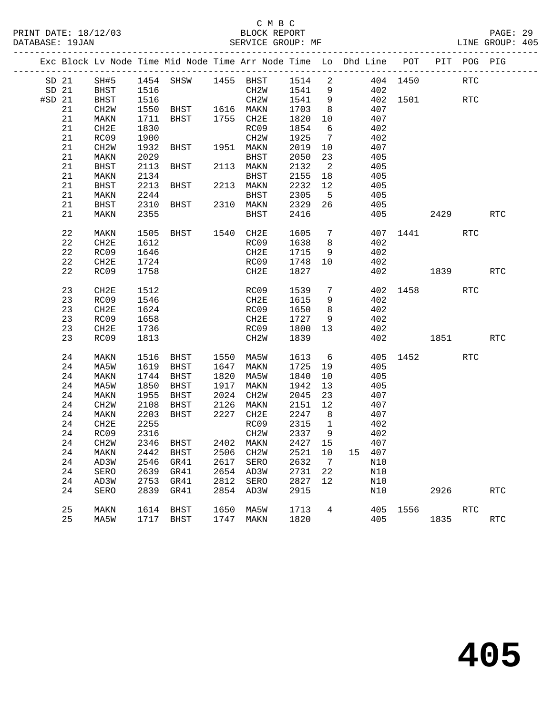#### C M B C<br>BLOCK REPORT PRINT DATE: 18/12/03 BLOCK REPORT PAGE: 29 SERVICE GROUP: MF

|          |          |              |              | Exc Block Lv Node Time Mid Node Time Arr Node Time Lo Dhd Line POT PIT POG PIG |      |                             |                                                        |                            |     |            |          |      |            |            |
|----------|----------|--------------|--------------|--------------------------------------------------------------------------------|------|-----------------------------|--------------------------------------------------------|----------------------------|-----|------------|----------|------|------------|------------|
|          | SD 21    |              |              |                                                                                |      |                             |                                                        |                            |     |            | 404 1450 |      | <b>RTC</b> |            |
|          | SD 21    | <b>BHST</b>  |              |                                                                                |      |                             |                                                        |                            |     | 402        |          |      |            |            |
| $#SD$ 21 |          | <b>BHST</b>  | 1516         |                                                                                |      | CH2W 1541 9                 |                                                        |                            |     |            | 402 1501 |      | <b>RTC</b> |            |
|          | 21       | CH2W         |              | 1550 BHST 1616 MAKN 1703<br>1711 BHST 1755 CH2E 1820                           |      |                             |                                                        | 8 <sup>8</sup>             |     | 407        |          |      |            |            |
|          | 21       | MAKN         |              |                                                                                |      |                             | 1820 10                                                |                            |     | 407        |          |      |            |            |
|          | 21       | CH2E         | 1830         |                                                                                |      | RC09                        | 1854                                                   | 6                          |     | 402        |          |      |            |            |
|          | 21       | RC09         | 1900         |                                                                                |      | CH2W                        | 1925                                                   | $7\overline{ }$            |     | 402        |          |      |            |            |
|          | 21       | CH2W         | 1932         | BHST 1951 MAKN                                                                 |      |                             | 2019                                                   | 10                         |     | 407        |          |      |            |            |
|          | 21       | MAKN         | 2029         |                                                                                |      | BHST                        | 2050<br>2132                                           | 23                         |     | 405        |          |      |            |            |
|          | 21       | BHST         |              | 2113 BHST                                                                      |      | 2113 MAKN                   |                                                        | $\overline{\phantom{a}}$ 2 |     | 405        |          |      |            |            |
|          | 21       | MAKN         | 2134         |                                                                                |      | BHST 2155 18                |                                                        |                            |     | 405        |          |      |            |            |
|          | 21       | BHST         | 2213         | BHST 2213 MAKN                                                                 |      |                             | 2232 12                                                |                            |     | 405        |          |      |            |            |
|          | 21       | MAKN         | 2244         |                                                                                |      | BHST 2305<br>2310 MAKN 2329 |                                                        | $5^{\circ}$                |     | 405        |          |      |            |            |
|          | 21       | BHST         | 2310         | <b>BHST</b>                                                                    |      |                             |                                                        | 26                         |     | 405        |          |      |            |            |
|          | 21       | MAKN         | 2355         |                                                                                |      | BHST                        | 2416                                                   |                            |     |            | 405      | 2429 |            | <b>RTC</b> |
|          | 22       | MAKN         | 1505         |                                                                                |      |                             |                                                        |                            |     |            | 407 1441 |      | RTC        |            |
|          | 22       | CH2E         | 1612         | BHST 1540 CH2E 1605 7<br>RC09 1638 8                                           |      |                             |                                                        |                            |     | 402        |          |      |            |            |
|          | 22       | RC09         | 1646         |                                                                                |      | CH2E                        | 1715 9                                                 |                            |     | 402        |          |      |            |            |
|          | 22       | CH2E         | 1724         |                                                                                |      | RC09                        | 1748 10                                                |                            | 402 |            |          |      |            |            |
|          | 22       | RC09         | 1758         |                                                                                |      | CH2E                        | 1827                                                   |                            |     |            | 402 1839 |      |            | <b>RTC</b> |
|          | 23       | CH2E         | 1512         |                                                                                |      | RC09                        | 1539                                                   | $7\overline{ }$            |     |            | 402 1458 |      | <b>RTC</b> |            |
|          | 23       | RC09         | 1546         |                                                                                |      | CH2E                        | 1615                                                   | 9                          |     | 402        |          |      |            |            |
|          | 23       | CH2E         | 1624         |                                                                                |      | RC09                        | 1650                                                   | 8 <sup>8</sup>             |     | 402        |          |      |            |            |
|          | 23       | RC09         | 1658         |                                                                                |      | CH2E                        | 1727 9                                                 |                            |     | 402        |          |      |            |            |
|          | 23       | CH2E         | 1736         |                                                                                |      | RC09 1800 13                |                                                        |                            |     | 402        |          |      |            |            |
|          | 23       | RC09         | 1813         |                                                                                |      | CH2W                        | 1839                                                   |                            |     |            | 402 1851 |      |            | RTC        |
|          |          |              |              |                                                                                |      |                             |                                                        |                            |     |            |          |      |            |            |
|          | 24       | MAKN         | 1516         | BHST 1550 MA5W                                                                 |      |                             | 1613                                                   | $6\overline{6}$            |     |            | 405 1452 |      | RTC        |            |
|          | 24       | MA5W         |              | 1619 BHST                                                                      |      | 1647 MAKN                   | 1725 19                                                |                            |     | 405        |          |      |            |            |
|          | 24       | MAKN         | 1744         | BHST                                                                           |      | 1820 MA5W<br>1917 MAKN      | 1840<br>1942                                           | 10                         |     | 405<br>405 |          |      |            |            |
|          | 24<br>24 | MA5W         | 1850<br>1955 | BHST                                                                           |      |                             | 2045                                                   | 13<br>23                   |     | 407        |          |      |            |            |
|          | 24       | MAKN<br>CH2W |              | BHST<br>2108 BHST                                                              |      | 2024 CH2W<br>2126 MAKN      | $\begin{bmatrix} 2 & 1 & 1 \\ 2 & 1 & 5 \end{bmatrix}$ |                            |     | 407        |          |      |            |            |
|          | 24       | MAKN         | 2203         | BHST                                                                           |      | 2227 CH2E                   | 2247 8                                                 |                            |     | 407        |          |      |            |            |
|          | 24       | CH2E         | 2255         |                                                                                |      | RC09                        | 2315                                                   | $\overline{\mathbf{1}}$    |     | 402        |          |      |            |            |
|          | 24       | RC09         | 2316         |                                                                                |      | CH2W                        | 2337                                                   | 9                          |     | 402        |          |      |            |            |
|          | 24       | CH2W         |              | 2346 BHST                                                                      |      | 2402 MAKN                   | 2427 15                                                |                            |     | 407        |          |      |            |            |
|          |          |              |              | 24 MAKN 2442 BHST 2506 CH2W 2521 10 15 407                                     |      |                             |                                                        |                            |     |            |          |      |            |            |
|          | 24       | AD3W         | 2546         | GR41                                                                           | 2617 | SERO                        | 2632                                                   | 7                          |     | N10        |          |      |            |            |
|          | 24       | SERO         | 2639         | GR41                                                                           | 2654 | AD3W                        | 2731                                                   | 22                         |     | N10        |          |      |            |            |
|          | 24       | AD3W         | 2753         | GR41                                                                           | 2812 | SERO                        | 2827                                                   | 12                         |     | N10        |          |      |            |            |
|          | 24       | SERO         | 2839         | GR41                                                                           | 2854 | AD3W                        | 2915                                                   |                            |     | N10        |          | 2926 |            | <b>RTC</b> |
|          | 25       | MAKN         | 1614         | BHST                                                                           | 1650 | MA5W                        | 1713                                                   | 4                          |     | 405        | 1556     |      | <b>RTC</b> |            |
|          | 25       | MA5W         |              | 1717 BHST                                                                      | 1747 | MAKN                        | 1820                                                   |                            |     | 405        |          | 1835 |            | <b>RTC</b> |
|          |          |              |              |                                                                                |      |                             |                                                        |                            |     |            |          |      |            |            |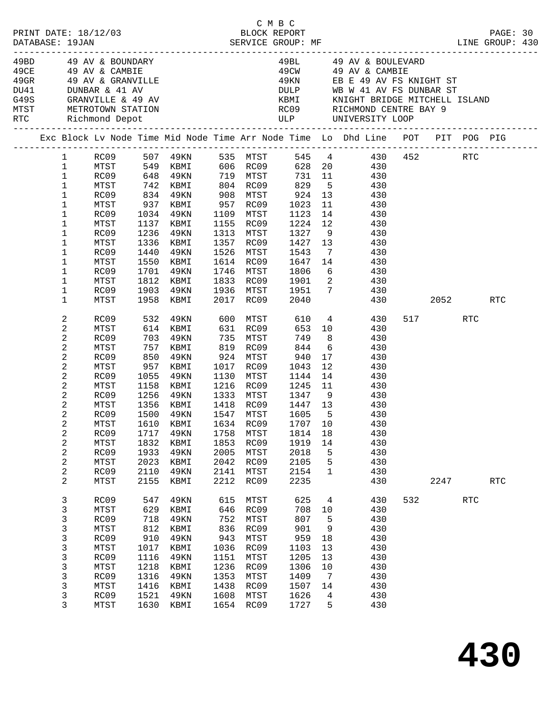|  | PRINT DATE: 18/12/03<br>DATABASE: 19JAN                                                                        |                                                                                                                                      |                                                                                         | 12/03<br>BLOCK REPORT<br>SERVICE GROUP: MF                                                                                                                                                             |                                                                                         |                                                                                                                                       | C M B C                                                                                                                          |                                                                                  | LINE GROUP: 430                                                                                                                                                                                                                                                                     |     |                 |     | PAGE: 30 |  |
|--|----------------------------------------------------------------------------------------------------------------|--------------------------------------------------------------------------------------------------------------------------------------|-----------------------------------------------------------------------------------------|--------------------------------------------------------------------------------------------------------------------------------------------------------------------------------------------------------|-----------------------------------------------------------------------------------------|---------------------------------------------------------------------------------------------------------------------------------------|----------------------------------------------------------------------------------------------------------------------------------|----------------------------------------------------------------------------------|-------------------------------------------------------------------------------------------------------------------------------------------------------------------------------------------------------------------------------------------------------------------------------------|-----|-----------------|-----|----------|--|
|  |                                                                                                                | $DU41$ DUNBAR & 41 AV                                                                                                                |                                                                                         | 49BD 49 AV & BOUNDARY<br>49CE 49 AV & CAMBIE<br>49GR 49 AV & GRANVILLE<br>G49S GRANVILLE & 49 AV<br>MTST METROTOWN STATION<br>RTC Richmond Depot                                                       |                                                                                         |                                                                                                                                       |                                                                                                                                  |                                                                                  | 49BL 49 AV & BOULEVARD<br>49CW 49 AV & CAMBIE<br>49KN EB E 49 AV FS KNIGHT ST<br>DULP WB W 41 AV FS DUNBAR ST                                                                                                                                                                       |     |                 |     |          |  |
|  |                                                                                                                |                                                                                                                                      |                                                                                         |                                                                                                                                                                                                        |                                                                                         |                                                                                                                                       |                                                                                                                                  |                                                                                  | Exc Block Lv Node Time Mid Node Time Arr Node Time Lo Dhd Line POT PIT POG PIG                                                                                                                                                                                                      |     |                 |     |          |  |
|  | $\mathbf{1}$<br>$\mathbf{1}$<br>$\mathbf{1}$<br>$\mathbf{1}$<br>1<br>1<br>1<br>1<br>1<br>1<br>1<br>1<br>1<br>1 | MTST<br>RC09<br>MTST<br>RC09<br>MTST<br>RC09<br>MTST<br>RC09<br>MTST<br>RC09                                                         | 1440                                                                                    | RC09 648 49KN 719 MTST<br>MTST 742 KBMI 804 RC09<br>RC09 834 49KN 908 MTST<br>937 KBMI<br>1034 49KN<br>1137 KBMI<br>1236 49KN<br>1336 KBMI<br>49KN<br>1550 KBMI<br>1701 49KN<br>1812 KBMI<br>1903 49KN |                                                                                         | 957 RC09<br>1109 MTST<br>1155 RC09<br>1313 MTST<br>1357 RC09<br>1526 MTST<br>1614 RC09<br>1746 MTST<br>1833 RC09<br>1936 MTST         | 1023<br>1123<br>1224<br>1327<br>1427<br>1543<br>1647<br>1806<br>1901                                                             | 12<br>$6\overline{6}$                                                            | 1 RC09 507 49KN 535 MTST 545 4 430 452 RTC<br>MTST 549 KBMI 606 RC09 628 20 430<br>731 11 430<br>829 5 430<br>924 13 430<br>11 430<br>14 430<br>$\begin{array}{ccc} 12 & \quad & 430 \\ 9 & \quad & 430 \end{array}$<br>13 430<br>7 430<br>$14$ $430$<br>430<br>2 430<br>1951 7 430 |     |                 |     |          |  |
|  | 1                                                                                                              | MTST                                                                                                                                 |                                                                                         | 1958 KBMI                                                                                                                                                                                              |                                                                                         | 2017 RC09                                                                                                                             | 2040                                                                                                                             |                                                                                  |                                                                                                                                                                                                                                                                                     | 430 | 2052 10         |     | RTC      |  |
|  | 2<br>2<br>2<br>2<br>2<br>2<br>2<br>2<br>2<br>2<br>2<br>2<br>2<br>2<br>$\overline{\mathbf{c}}$<br>2<br>2<br>2   | MTST<br>RC09<br>MTST<br>RC09<br>MTST<br>RC09<br>MTST<br>RC09<br>MTST<br>RC09<br>MTST<br>RC09<br>MTST<br>RC09<br>MTST<br>RC09<br>MTST | 1055<br>1500<br>1717<br>1832<br>1933<br>2023<br>2110<br>2155                            | 614 KBMI<br>703 49KN<br>757 KBMI<br>850 49KN<br>957 KBMI<br>49KN<br>1158 KBMI<br>1256 49KN<br>1356 KBMI<br>49KN<br>1610 KBMI 1634 RC09 1707 10<br>49KN<br>KBMI<br>49KN<br>KBMI<br>49KN<br>KBMI         | 1758<br>1853<br>2005<br>2042<br>2141<br>2212                                            | 631 RC09<br>924 MTST<br>1017 RC09<br>1130 MTST<br>1216 RC09<br>1333 MTST<br>1547 MTST<br>MTST<br>RC09<br>MTST<br>RC09<br>MTST<br>RC09 | 653 10<br>749<br>844<br>940<br>1043<br>1144<br>1245<br>1418 RC09 1447 13<br>1605<br>1814<br>1919<br>2018<br>2105<br>2154<br>2235 | 8<br>$6\overline{6}$<br>12<br>14<br>11<br>$5^{\circ}$<br>18<br>14<br>5<br>5<br>1 | RC09 532 49KN 600 MTST 610 4 430<br>430<br>430<br>430<br>17 430<br>430<br>430<br>430<br>$1347$ 9 430<br>430<br>430<br>430<br>430<br>430<br>430<br>430<br>430<br>430                                                                                                                 |     | 517 RTC<br>2247 |     | RTC      |  |
|  | 3<br>3<br>3<br>3<br>3<br>3<br>3<br>3<br>3<br>3<br>3<br>3                                                       | RC09<br>MTST<br>RC09<br>MTST<br>RC09<br>MTST<br>RC09<br>MTST<br>RC09<br>MTST<br>RC09<br>MTST                                         | 547<br>629<br>718<br>812<br>910<br>1017<br>1116<br>1218<br>1316<br>1416<br>1521<br>1630 | 49KN<br>KBMI<br>49KN<br>KBMI<br>49KN<br>KBMI<br>49KN<br>KBMI<br>49KN<br>KBMI<br>49KN<br>KBMI                                                                                                           | 615<br>646<br>752<br>836<br>943<br>1036<br>1151<br>1236<br>1353<br>1438<br>1608<br>1654 | MTST<br>RC09<br>MTST<br>RC09<br>MTST<br>RC09<br>MTST<br>RC09<br>MTST<br>RC09<br>MTST<br>RC09                                          | 625<br>708<br>807<br>901<br>959<br>1103<br>1205<br>1306<br>1409<br>1507<br>1626<br>1727                                          | 4<br>10<br>5<br>9<br>$18\,$<br>13<br>13<br>10<br>7<br>14<br>4<br>5               | 430<br>430<br>430<br>430<br>430<br>430<br>430<br>430<br>430<br>430<br>430<br>430                                                                                                                                                                                                    | 532 |                 | RTC |          |  |

**430**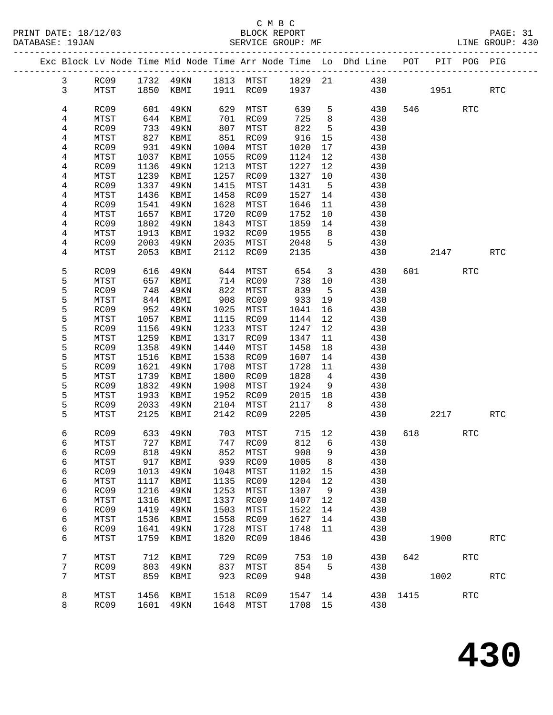|                | Exc Block Lv Node Time Mid Node Time Arr Node Time Lo Dhd Line POT |      |                              |      |           |         |                         |                                 |     |           | PIT POG PIG |            |
|----------------|--------------------------------------------------------------------|------|------------------------------|------|-----------|---------|-------------------------|---------------------------------|-----|-----------|-------------|------------|
| 3              | RC09                                                               |      |                              |      |           |         |                         | 1732 49KN 1813 MTST 1829 21 430 |     |           |             |            |
| $\mathbf{3}$   | MTST                                                               |      | 1850 KBMI 1911 RC09 1937     |      |           |         |                         |                                 | 430 | 1951 1995 |             | <b>RTC</b> |
|                |                                                                    |      |                              |      |           |         |                         |                                 |     |           |             |            |
| 4              | RC09                                                               | 601  | 49KN                         |      | 629 MTST  | 639     | 5                       | 430                             |     | 546 72    | <b>RTC</b>  |            |
| 4              | MTST                                                               | 644  | KBMI                         |      | 701 RC09  | 725     | 8 <sup>8</sup>          | 430                             |     |           |             |            |
| 4              | RC09                                                               | 733  | 49KN                         |      | 807 MTST  | 822     | $5^{\circ}$             | 430                             |     |           |             |            |
| 4              | MTST                                                               | 827  | KBMI                         |      | 851 RC09  | 916     | 15                      | 430                             |     |           |             |            |
| 4              | RC09                                                               | 931  | 49KN                         |      | 1004 MTST | 1020    | 17                      | 430                             |     |           |             |            |
| 4              | MTST                                                               | 1037 | KBMI                         |      | 1055 RC09 | 1124    | 12                      | 430                             |     |           |             |            |
| 4              | RC09                                                               | 1136 | 49KN                         |      | 1213 MTST | 1227    | 12                      | 430                             |     |           |             |            |
| 4              | MTST                                                               | 1239 | KBMI                         | 1257 | RC09      | 1327    | 10                      | 430                             |     |           |             |            |
| 4              | RC09                                                               | 1337 | 49KN                         | 1415 | MTST      | 1431    | $5^{\circ}$             | 430                             |     |           |             |            |
| 4              | MTST                                                               | 1436 | KBMI                         | 1458 | RC09      | 1527    | 14                      | 430                             |     |           |             |            |
| 4              | RC09                                                               | 1541 | 49KN                         | 1628 | MTST      | 1646    | 11                      | 430                             |     |           |             |            |
| 4              | MTST                                                               | 1657 | KBMI                         | 1720 | RC09      | 1752    | 10                      | 430                             |     |           |             |            |
| 4              | RC09                                                               | 1802 | 49KN                         | 1843 | MTST      | 1859    | 14                      | 430                             |     |           |             |            |
| 4              | MTST                                                               | 1913 | KBMI                         |      | 1932 RC09 | 1955    | 8 <sup>8</sup>          | 430                             |     |           |             |            |
| $\overline{4}$ | RC09                                                               | 2003 | 49KN                         |      | 2035 MTST | 2048    | $-5$                    | 430                             |     |           |             |            |
| 4              | MTST                                                               | 2053 | KBMI                         |      | 2112 RC09 | 2135    |                         | 430                             |     | 2147      |             | RTC        |
|                |                                                                    |      |                              |      |           |         |                         |                                 |     |           |             |            |
| 5              | RC09                                                               | 616  | 49KN                         |      | 644 MTST  | 654     | $\overline{\mathbf{3}}$ | 430                             |     | 601 700   | <b>RTC</b>  |            |
| 5              | MTST                                                               | 657  | KBMI                         |      | 714 RC09  | 738     | 10                      | 430                             |     |           |             |            |
| 5              | RC09                                                               | 748  | 49KN                         | 822  | MTST      | 839     | $5^{\circ}$             | 430                             |     |           |             |            |
| 5              | MTST                                                               | 844  | KBMI                         | 908  | RC09      | 933     | 19                      | 430                             |     |           |             |            |
| 5              | RC09                                                               | 952  | 49KN                         | 1025 | MTST      | 1041    | 16                      | 430                             |     |           |             |            |
| 5              | MTST                                                               | 1057 | KBMI                         |      | 1115 RC09 | 1144    | 12                      | 430                             |     |           |             |            |
| 5              | RC09                                                               | 1156 | 49KN                         | 1233 | MTST      | 1247    | 12                      | 430                             |     |           |             |            |
| 5              | MTST                                                               | 1259 | KBMI                         | 1317 | RC09      | 1347    | 11                      | 430                             |     |           |             |            |
| 5              | RC09                                                               | 1358 | 49KN                         | 1440 | MTST      | 1458    | 18                      | 430                             |     |           |             |            |
| 5              | MTST                                                               | 1516 | KBMI                         | 1538 | RC09      | 1607    | 14                      | 430                             |     |           |             |            |
| 5              | RC09                                                               | 1621 | 49KN                         | 1708 | MTST      | 1728    | 11                      | 430                             |     |           |             |            |
| 5              | MTST                                                               | 1739 | KBMI                         | 1800 | RC09      | 1828    | $\overline{4}$          | 430                             |     |           |             |            |
| 5              | RC09                                                               | 1832 | 49KN                         | 1908 | MTST      | 1924    | 9                       | 430                             |     |           |             |            |
| 5              | MTST                                                               | 1933 | KBMI                         | 1952 | RC09      | 2015    | 18                      | 430                             |     |           |             |            |
| 5              | RC09                                                               | 2033 | 49KN                         | 2104 | MTST      | 2117    | 8 <sup>8</sup>          | 430                             |     |           |             |            |
| 5              | MTST                                                               | 2125 | KBMI                         |      | 2142 RC09 | 2205    |                         | 430                             |     | 2217      |             | RTC        |
| 6              | RC09                                                               | 633  | 49KN                         |      | 703 MTST  | 715 12  |                         | 430                             | 618 |           | <b>RTC</b>  |            |
| 6              | MTST                                                               |      | 727 KBMI                     |      | 747 RC09  | 812     | 6                       | 430                             |     |           |             |            |
| 6              |                                                                    |      | RC09 818 49KN 852 MTST 908 9 |      |           |         |                         | 430                             |     |           |             |            |
| 6              | MTST                                                               | 917  | KBMI                         | 939  | RC09      | 1005    | 8                       | 430                             |     |           |             |            |
| 6              | RC09                                                               | 1013 | 49KN                         | 1048 | MTST      | 1102    | 15                      | 430                             |     |           |             |            |
| 6              | MTST                                                               | 1117 | KBMI                         | 1135 | RC09      | 1204    | 12                      | 430                             |     |           |             |            |
| 6              | RC09                                                               | 1216 | 49KN                         | 1253 | MTST      | 1307    | 9                       | 430                             |     |           |             |            |
| 6              | MTST                                                               | 1316 | KBMI                         | 1337 | RC09      | 1407    | 12                      | 430                             |     |           |             |            |
| 6              | RC09                                                               | 1419 | 49KN                         | 1503 | MTST      | 1522    | 14                      | 430                             |     |           |             |            |
| 6              | MTST                                                               | 1536 | KBMI                         | 1558 | RC09      | 1627    | 14                      | 430                             |     |           |             |            |
| 6              | RC09                                                               | 1641 | 49KN                         | 1728 | MTST      | 1748    | 11                      | 430                             |     |           |             |            |
| 6              | MTST                                                               | 1759 | KBMI                         | 1820 | RC09      | 1846    |                         | 430                             |     | 1900      |             | <b>RTC</b> |
|                |                                                                    |      |                              |      |           |         |                         |                                 |     |           |             |            |
| 7              | MTST                                                               | 712  | KBMI                         | 729  | RC09      | 753     | 10                      | 430                             |     | 642       | RTC         |            |
| 7              | RC09                                                               | 803  | 49KN                         | 837  | MTST      | 854     | $5^{\circ}$             | 430                             |     |           |             |            |
| 7              | MTST                                                               | 859  | KBMI                         | 923  | RC09      | 948     |                         | 430                             |     | 1002      |             | <b>RTC</b> |
|                |                                                                    |      |                              |      |           |         |                         |                                 |     |           |             |            |
| 8              | MTST                                                               | 1456 | KBMI                         | 1518 | RC09      | 1547 14 |                         | 430                             |     | 1415      | <b>RTC</b>  |            |
| 8              | RC09                                                               |      | 1601 49KN                    | 1648 | MTST      | 1708 15 |                         | 430                             |     |           |             |            |
|                |                                                                    |      |                              |      |           |         |                         |                                 |     |           |             |            |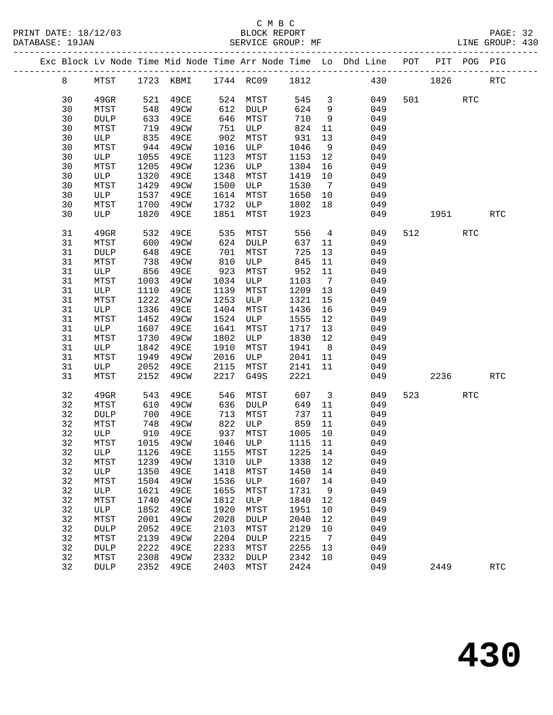|  |    |             |            |                               |                  |             |         |                         | Exc Block Lv Node Time Mid Node Time Arr Node Time Lo Dhd Line POT PIT POG PIG |                          |            |            |
|--|----|-------------|------------|-------------------------------|------------------|-------------|---------|-------------------------|--------------------------------------------------------------------------------|--------------------------|------------|------------|
|  | 8  |             |            | MTST 1723 KBMI 1744 RC09 1812 |                  |             |         |                         | 430 1826                                                                       |                          |            | <b>RTC</b> |
|  | 30 | $49$ GR     |            | 521 49CE                      | 524 MTST         |             | 545     | $\overline{\mathbf{3}}$ | 049                                                                            | 501                      | <b>RTC</b> |            |
|  | 30 | MTST        | 548        | 49CW                          | 612              | DULP        | 624     | 9                       | 049                                                                            |                          |            |            |
|  | 30 | <b>DULP</b> | 633        | 49CE                          |                  | 646 MTST    | 710     | 9                       | 049                                                                            |                          |            |            |
|  | 30 | MTST        | 719        | 49CW                          | 751              | ULP         | 824     | 11                      | 049                                                                            |                          |            |            |
|  | 30 | ULP         | 835        | 49CE                          | 902 MTST         |             | 931     | 13                      | 049                                                                            |                          |            |            |
|  | 30 | MTST        | 944        | 49CW                          |                  | 1016 ULP    | 1046    | 9                       | 049                                                                            |                          |            |            |
|  | 30 | ULP         | 1055       | 49CE                          | 1123             | MTST        | 1153    | 12                      | 049                                                                            |                          |            |            |
|  | 30 | MTST        | 1205       | 49CW                          | 1236             | ULP         | 1304    | 16                      | 049                                                                            |                          |            |            |
|  | 30 | ULP         | 1320       | 49CE                          | 1348             | MTST        | 1419    | 10                      | 049                                                                            |                          |            |            |
|  | 30 | MTST        | 1429       | 49CW                          | 1500             | ULP         | 1530    | $\overline{7}$          | 049                                                                            |                          |            |            |
|  | 30 | ULP         | 1537       | 49CE                          | 1614             | MTST        | 1650    | 10                      | 049                                                                            |                          |            |            |
|  | 30 | MTST        | 1700       | 49CW                          | 1732             | ULP         | 1802    | 18                      | 049                                                                            |                          |            |            |
|  | 30 | ULP         | 1820       | 49CE                          | 1851             | MTST        | 1923    |                         | 049                                                                            | 1951 1990                |            | <b>RTC</b> |
|  |    |             |            |                               |                  |             |         |                         |                                                                                |                          |            |            |
|  | 31 | 49GR        | 532<br>600 | 49CE                          | $\frac{535}{27}$ | MTST        | 556     | $\overline{4}$          | 049                                                                            | 512                      | RTC        |            |
|  | 31 | MTST        |            | 49CW                          |                  | 624 DULP    | 637     | 11                      | 049                                                                            |                          |            |            |
|  | 31 | <b>DULP</b> | 648        | 49CE                          | 701              | MTST        | 725     | 13                      | 049                                                                            |                          |            |            |
|  | 31 | MTST        | 738        | 49CW                          | 810              | ULP         | 845     | 11                      | 049                                                                            |                          |            |            |
|  | 31 | ULP         | 856        | 49CE                          | 923              | MTST        | 952     | 11                      | 049                                                                            |                          |            |            |
|  | 31 | MTST        | 1003       | 49CW                          |                  | 1034 ULP    | 1103    | $7\overline{ }$         | 049                                                                            |                          |            |            |
|  | 31 | ULP         | 1110       | 49CE                          | 1139             | MTST        | 1209    | 13                      | 049                                                                            |                          |            |            |
|  | 31 | MTST        | 1222       | 49CW                          | 1253             | ULP         | 1321    | 15                      | 049                                                                            |                          |            |            |
|  | 31 | ULP         | 1336       | 49CE                          | 1404             | MTST        | 1436    | 16                      | 049                                                                            |                          |            |            |
|  | 31 | MTST        | 1452       | 49CW                          | 1524             | ULP         | 1555    | 12                      | 049                                                                            |                          |            |            |
|  | 31 | ULP         | 1607       | 49CE                          | 1641             | MTST        | 1717    | 13                      | 049                                                                            |                          |            |            |
|  | 31 | MTST        | 1730       | 49CW                          | 1802             | ULP         | 1830    | 12                      | 049                                                                            |                          |            |            |
|  | 31 | ULP         | 1842       | 49CE                          | 1910             | MTST        | 1941    | 8 <sup>8</sup>          | 049                                                                            |                          |            |            |
|  | 31 | MTST        | 1949       | 49CW                          | 2016             | ULP         | 2041 11 |                         | 049                                                                            |                          |            |            |
|  | 31 | ULP         | 2052       | 49CE                          | 2115             | MTST        | 2141    | 11                      | 049                                                                            |                          |            |            |
|  | 31 | MTST        | 2152       | 49CW                          | 2217             | G49S        | 2221    |                         | 049                                                                            | 2236                     |            | <b>RTC</b> |
|  | 32 | 49GR        | 543        | 49CE                          | 546              | MTST        | 607     | $\overline{\mathbf{3}}$ | 049                                                                            | 523 and $\overline{523}$ | RTC        |            |
|  | 32 | MTST        | 610        | 49CW                          | 636              | DULP        | 649     | 11                      | 049                                                                            |                          |            |            |
|  | 32 | <b>DULP</b> | 700        | 49CE                          | 713              | MTST        | 737     | 11                      | 049                                                                            |                          |            |            |
|  | 32 | MTST        | 748        | 49CW                          | 822              | ULP         | 859     | 11                      | 049                                                                            |                          |            |            |
|  | 32 | ULP         | 910        | 49CE                          | 937              | MTST        | 1005 10 |                         | 049                                                                            |                          |            |            |
|  | 32 | MTST        |            | 1015 49CW                     |                  | 1046 ULP    | 1115 11 |                         | 049                                                                            |                          |            |            |
|  |    |             |            | 32 ULP 1126 49CE 1155 MTST    |                  |             |         |                         | 1225 14 049                                                                    |                          |            |            |
|  | 32 | MTST        | 1239       | 49CW                          | 1310             | ULP         | 1338    | 12                      | 049                                                                            |                          |            |            |
|  | 32 | ULP         | 1350       | 49CE                          | 1418             | MTST        | 1450    | 14                      | 049                                                                            |                          |            |            |
|  | 32 | MTST        | 1504       | 49CW                          | 1536             | ULP         | 1607    | 14                      | 049                                                                            |                          |            |            |
|  | 32 | ULP         | 1621       | 49CE                          | 1655             | MTST        | 1731    | 9                       | 049                                                                            |                          |            |            |
|  | 32 | MTST        | 1740       | 49CW                          | 1812             | ULP         | 1840    | 12                      | 049                                                                            |                          |            |            |
|  | 32 | ULP         | 1852       | 49CE                          | 1920             | MTST        | 1951    | 10                      | 049                                                                            |                          |            |            |
|  | 32 | MTST        | 2001       | 49CW                          | 2028             | <b>DULP</b> | 2040    | 12                      | 049                                                                            |                          |            |            |
|  | 32 | DULP        | 2052       | 49CE                          | 2103             | MTST        | 2129    | 10                      | 049                                                                            |                          |            |            |
|  | 32 | MTST        | 2139       | 49CW                          | 2204             | <b>DULP</b> | 2215    | $\overline{7}$          | 049                                                                            |                          |            |            |
|  | 32 | DULP        | 2222       | 49CE                          | 2233             | MTST        | 2255    | 13                      | 049                                                                            |                          |            |            |
|  | 32 | MTST        | 2308       | 49CW                          | 2332             | DULP        | 2342    | 10                      | 049                                                                            |                          |            |            |
|  | 32 | DULP        | 2352       | 49CE                          | 2403             | MTST        | 2424    |                         | 049                                                                            | 2449                     |            | <b>RTC</b> |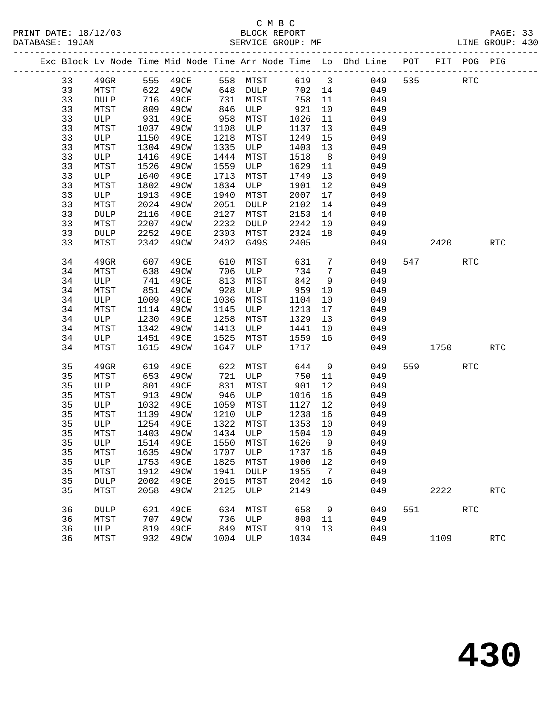|    |                 |      |           |            |                |        |                 | Exc Block Lv Node Time Mid Node Time Arr Node Time Lo Dhd Line POT PIT POG PIG |     |            |            |                      |
|----|-----------------|------|-----------|------------|----------------|--------|-----------------|--------------------------------------------------------------------------------|-----|------------|------------|----------------------|
| 33 | $49$ GR         |      | 555 49CE  |            | 558 MTST 619 3 |        |                 | 049                                                                            | 535 | <b>RTC</b> |            |                      |
| 33 | MTST            |      | 622 49CW  |            | 648 DULP       | 702 14 |                 | 049                                                                            |     |            |            |                      |
| 33 | <b>DULP</b>     | 716  | 49CE      | 731        | MTST           | 758    | 11              | 049                                                                            |     |            |            |                      |
| 33 | MTST            | 809  | 49CW      | 846<br>958 | ULP            | 921    | 10              | 049                                                                            |     |            |            |                      |
| 33 | ULP             | 931  | 49CE      | 958        | MTST           | 1026   | 11              | 049                                                                            |     |            |            |                      |
| 33 | MTST            | 1037 | 49CW      | 1108       | ULP            | 1137   | 13              | 049                                                                            |     |            |            |                      |
| 33 | ULP             | 1150 | 49CE      | 1218       | MTST           | 1249   | 15              | 049                                                                            |     |            |            |                      |
| 33 | MTST            | 1304 | 49CW      | 1335       | ULP            | 1403   | 13              | 049                                                                            |     |            |            |                      |
| 33 | ULP             | 1416 | 49CE      | 1444       | MTST           | 1518   | 8 <sup>8</sup>  | 049                                                                            |     |            |            |                      |
| 33 | MTST            | 1526 | 49CW      | 1559       | ULP            | 1629   | 11              | 049                                                                            |     |            |            |                      |
| 33 | ULP             | 1640 | 49CE      | 1713       | MTST           | 1749   | 13              | 049                                                                            |     |            |            |                      |
| 33 | MTST            | 1802 | 49CW      | 1834       | ULP            | 1901   | 12              | 049                                                                            |     |            |            |                      |
| 33 | ULP             | 1913 | 49CE      | 1940       | MTST           | 2007   | 17              | 049                                                                            |     |            |            |                      |
| 33 | MTST            | 2024 | 49CW      | 2051       | DULP           | 2102   | 14              | 049                                                                            |     |            |            |                      |
| 33 | $\texttt{DULP}$ | 2116 | 49CE      | 2127       | MTST           | 2153   | 14              | 049                                                                            |     |            |            |                      |
| 33 | MTST            | 2207 | 49CW      | 2232       | DULP           | 2242   | 10              | 049                                                                            |     |            |            |                      |
| 33 | DULP            | 2252 | 49CE      | 2303       | MTST           | 2324   | 18              | 049                                                                            |     |            |            |                      |
| 33 | MTST            | 2342 | 49CW      | 2402       | G49S           | 2405   |                 | 049                                                                            |     | 2420       |            | RTC                  |
| 34 | 49GR            | 607  | 49CE      | 610        | MTST           | 631    | $7\phantom{.0}$ | 049                                                                            |     | 547        | <b>RTC</b> |                      |
| 34 | MTST            | 638  | 49CW      | 706        | ULP            | 734    | $\overline{7}$  | 049                                                                            |     |            |            |                      |
| 34 | ULP             |      | 741 49CE  | 813        | MTST           | 842    | 9               | 049                                                                            |     |            |            |                      |
| 34 | MTST            | 851  | 49CW      | 928        | ULP            | 959    | 10              | 049                                                                            |     |            |            |                      |
| 34 | ULP             | 1009 | 49CE      | 1036       | MTST           | 1104   | 10              | 049                                                                            |     |            |            |                      |
| 34 | MTST            | 1114 | 49CW      | 1145       | ULP            | 1213   | 17              | 049                                                                            |     |            |            |                      |
| 34 | ULP             | 1230 | 49CE      | 1258       | MTST           | 1329   | 13              | 049                                                                            |     |            |            |                      |
| 34 | MTST            | 1342 | 49CW      | 1413       | ULP            | 1441   | 10              | 049                                                                            |     |            |            |                      |
| 34 | ULP             | 1451 | 49CE      | 1525       | MTST           | 1559   | 16              | 049                                                                            |     |            |            |                      |
| 34 | MTST            | 1615 | 49CW      | 1647       | ULP            | 1717   |                 | 049                                                                            |     | 1750       |            | <b>RTC</b>           |
| 35 | 49GR            | 619  | 49CE      | 622        | MTST           | 644    | 9               | 049                                                                            |     | 559 75     | <b>RTC</b> |                      |
| 35 | MTST            | 653  | 49CW      | 721        | ULP            | 750    | 11              | 049                                                                            |     |            |            |                      |
| 35 | ULP             | 801  | 49CE      | 831        | MTST           | 901    | 12              | 049                                                                            |     |            |            |                      |
| 35 | MTST            | 913  | 49CW      | 946        | ULP            | 1016   | 16              | 049                                                                            |     |            |            |                      |
| 35 | ULP             | 1032 | 49CE      | 1059       | MTST           | 1127   | 12              | 049                                                                            |     |            |            |                      |
| 35 | MTST            | 1139 | 49CW      | 1210       | ULP            | 1238   | 16              | 049                                                                            |     |            |            |                      |
| 35 | ULP             | 1254 | 49CE      | 1322       | MTST           | 1353   | 10              | 049                                                                            |     |            |            |                      |
| 35 | MTST            | 1403 | 49CW      |            | 1434 ULP       | 1504   | 10              | 049                                                                            |     |            |            |                      |
| 35 | ULP             |      | 1514 49CE |            | 1550 MTST      | 1626   | $\overline{9}$  | 049                                                                            |     |            |            |                      |
| 35 | MTST            |      | 1635 49CW |            |                |        |                 | 1707 ULP 1737 16 049                                                           |     |            |            |                      |
| 35 | ULP             | 1753 | 49CE      | 1825       | MTST           | 1900   | 12              | 049                                                                            |     |            |            |                      |
| 35 | MTST            | 1912 | 49CW      | 1941       | <b>DULP</b>    | 1955   | $\overline{7}$  | 049                                                                            |     |            |            |                      |
| 35 | DULP            | 2002 | 49CE      | 2015       | MTST           | 2042   | 16              | 049                                                                            |     |            |            |                      |
| 35 | MTST            | 2058 | 49CW      | 2125       | ULP            | 2149   |                 | 049                                                                            |     | 2222       |            | <b>RTC</b>           |
| 36 | DULP            | 621  | 49CE      | 634        | MTST           | 658    | 9               | 049                                                                            | 551 |            | RTC        |                      |
| 36 | MTST            | 707  | 49CW      | 736        | ULP            | 808    | 11              | 049                                                                            |     |            |            |                      |
| 36 | ULP             | 819  | 49CE      | 849        | MTST           | 919    | 13              | 049                                                                            |     |            |            |                      |
| 36 | MTST            | 932  | 49CW      | 1004       | ULP            | 1034   |                 | 049                                                                            |     | 1109       |            | $\operatorname{RTC}$ |
|    |                 |      |           |            |                |        |                 |                                                                                |     |            |            |                      |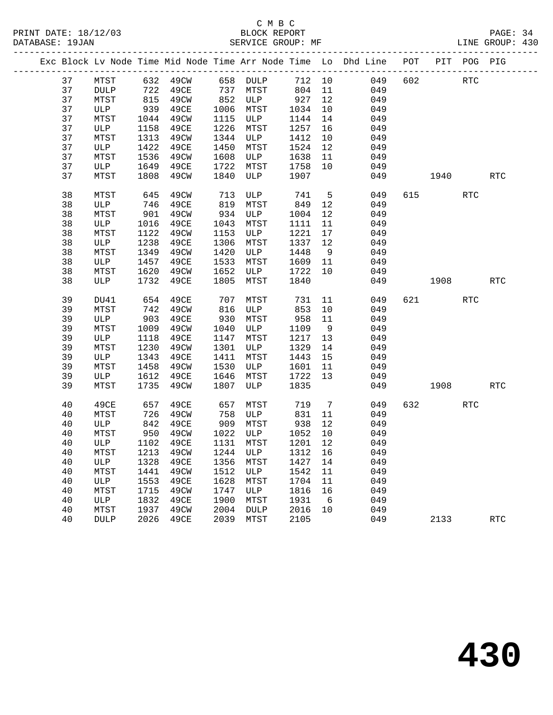|  |    |             |      | Exc Block Lv Node Time Mid Node Time Arr Node Time Lo Dhd Line POT PIT POG PIG |      |           |         |                |     |     |          |            |            |
|--|----|-------------|------|--------------------------------------------------------------------------------|------|-----------|---------|----------------|-----|-----|----------|------------|------------|
|  | 37 | MTST        |      | 632 49CW 658 DULP                                                              |      |           | 712 10  |                | 049 | 602 |          | <b>RTC</b> |            |
|  | 37 | DULP        | 722  | 49CE                                                                           | 737  | MTST      | 804 11  |                | 049 |     |          |            |            |
|  | 37 | MTST        | 815  | 49CW                                                                           | 852  | ULP       | 927     | 12             | 049 |     |          |            |            |
|  | 37 | ULP         | 939  | 49CE                                                                           | 1006 | MTST      | 1034    | 10             | 049 |     |          |            |            |
|  | 37 | MTST        | 1044 | 49CW                                                                           | 1115 | ULP       | 1144    | 14             | 049 |     |          |            |            |
|  | 37 | ULP         | 1158 | 49CE                                                                           | 1226 | MTST      | 1257    | 16             | 049 |     |          |            |            |
|  | 37 | MTST        | 1313 | 49CW                                                                           | 1344 | ULP       | 1412    | 10             | 049 |     |          |            |            |
|  | 37 | ULP         | 1422 | 49CE                                                                           | 1450 | MTST      | 1524    | 12             | 049 |     |          |            |            |
|  | 37 | MTST        | 1536 | 49CW                                                                           | 1608 | ULP       | 1638    | 11             | 049 |     |          |            |            |
|  | 37 | ULP         |      | 1649 49CE                                                                      | 1722 | MTST      | 1758    | 10             | 049 |     |          |            |            |
|  | 37 | MTST        | 1808 | 49CW                                                                           | 1840 | ULP       | 1907    |                | 049 |     | 1940     |            | <b>RTC</b> |
|  | 38 | MTST        | 645  | 49CW                                                                           | 713  | ULP       | 741     | $5^{\circ}$    | 049 |     | 615 — 10 | <b>RTC</b> |            |
|  | 38 | ULP         | 746  | 49CE                                                                           | 819  | MTST      | 849     | 12             | 049 |     |          |            |            |
|  | 38 | MTST        | 901  | 49CW                                                                           | 934  | ULP       | 1004    | 12             | 049 |     |          |            |            |
|  | 38 | ULP         | 1016 | 49CE                                                                           | 1043 | MTST      | 1111    | 11             | 049 |     |          |            |            |
|  | 38 | MTST        | 1122 | 49CW                                                                           | 1153 | ULP       | 1221    | 17             | 049 |     |          |            |            |
|  | 38 | ULP         | 1238 | 49CE                                                                           | 1306 | MTST      | 1337    | 12             | 049 |     |          |            |            |
|  | 38 | MTST        | 1349 | 49CW                                                                           | 1420 | ULP       | 1448    | 9              | 049 |     |          |            |            |
|  | 38 | ULP         | 1457 | 49CE                                                                           | 1533 | MTST      | 1609    | 11             | 049 |     |          |            |            |
|  | 38 | MTST        | 1620 | 49CW                                                                           | 1652 | ULP       | 1722    | 10             | 049 |     |          |            |            |
|  | 38 | ULP         | 1732 | 49CE                                                                           | 1805 | MTST      | 1840    |                | 049 |     | 1908     |            | <b>RTC</b> |
|  | 39 | DU41        | 654  | 49CE                                                                           | 707  | MTST      | 731     | 11             | 049 |     | 621 000  | RTC        |            |
|  | 39 | MTST        | 742  | 49CW                                                                           | 816  | ULP       | 853     | 10             | 049 |     |          |            |            |
|  | 39 | ULP         | 903  | 49CE                                                                           | 930  | MTST      | 958     | 11             | 049 |     |          |            |            |
|  | 39 | MTST        | 1009 | 49CW                                                                           | 1040 | ULP       | 1109    | $\overline{9}$ | 049 |     |          |            |            |
|  | 39 | ULP         | 1118 | 49CE                                                                           | 1147 | MTST      | 1217    | 13             | 049 |     |          |            |            |
|  | 39 | MTST        | 1230 | 49CW                                                                           | 1301 | ULP       | 1329    | 14             | 049 |     |          |            |            |
|  | 39 | ULP         | 1343 | 49CE                                                                           | 1411 | MTST      | 1443    | 15             | 049 |     |          |            |            |
|  | 39 | MTST        | 1458 | 49CW                                                                           | 1530 | ULP       | 1601    | 11             | 049 |     |          |            |            |
|  | 39 | ULP         | 1612 | 49CE                                                                           | 1646 | MTST      | 1722    | 13             | 049 |     |          |            |            |
|  | 39 | MTST        | 1735 | 49CW                                                                           | 1807 | ULP       | 1835    |                | 049 |     | 1908     |            | <b>RTC</b> |
|  | 40 | 49CE        | 657  | 49CE                                                                           | 657  | MTST      | 719     | $\overline{7}$ | 049 |     | 632 639  | RTC        |            |
|  | 40 | MTST        | 726  | 49CW                                                                           | 758  | ULP       | 831     | 11             | 049 |     |          |            |            |
|  | 40 | ULP         | 842  | 49CE                                                                           | 909  | MTST      | 938     | 12             | 049 |     |          |            |            |
|  | 40 | MTST        | 950  | 49CW                                                                           |      | 1022 ULP  | 1052    | 10             | 049 |     |          |            |            |
|  | 40 | ULP         |      | 1102 49CE                                                                      |      | 1131 MTST | 1201 12 |                | 049 |     |          |            |            |
|  | 40 | MTST        |      | 1213  49CW  1244  ULP  1312  16  049                                           |      |           |         |                |     |     |          |            |            |
|  | 40 | ULP         | 1328 | 49CE                                                                           | 1356 | MTST      | 1427    | 14             | 049 |     |          |            |            |
|  | 40 | MTST        | 1441 | 49CW                                                                           | 1512 | ULP       | 1542    | 11             | 049 |     |          |            |            |
|  | 40 | ULP         | 1553 | 49CE                                                                           | 1628 | MTST      | 1704    | 11             | 049 |     |          |            |            |
|  | 40 | MTST        | 1715 | 49CW                                                                           | 1747 | ULP       | 1816    | 16             | 049 |     |          |            |            |
|  | 40 | ULP         | 1832 | 49CE                                                                           | 1900 | MTST      | 1931    | 6              | 049 |     |          |            |            |
|  | 40 | MTST        | 1937 | 49CW                                                                           | 2004 | DULP      | 2016    | 10             | 049 |     |          |            |            |
|  | 40 | <b>DULP</b> | 2026 | 49CE                                                                           | 2039 | MTST      | 2105    |                | 049 |     | 2133     |            | <b>RTC</b> |
|  |    |             |      |                                                                                |      |           |         |                |     |     |          |            |            |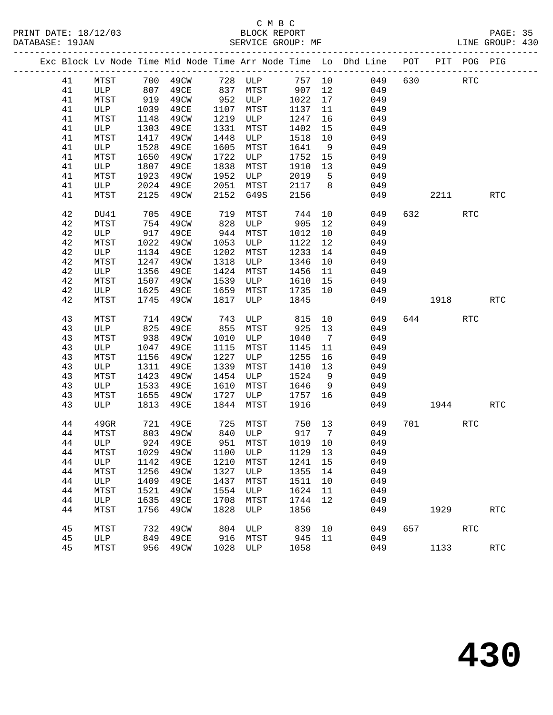|  |    |              |      |          |      | Exc Block Lv Node Time Mid Node Time Arr Node Time Lo Dhd Line POT PIT POG PIG |         |                |     |     |                        |            |                      |
|--|----|--------------|------|----------|------|--------------------------------------------------------------------------------|---------|----------------|-----|-----|------------------------|------------|----------------------|
|  | 41 | MTST         |      |          |      | 700 49CW 728 ULP                                                               | 757 10  |                | 049 | 630 |                        | RTC        |                      |
|  | 41 | ULP 807      |      | 49CE     |      | 837 MTST                                                                       | 907     | 12             | 049 |     |                        |            |                      |
|  | 41 | MTST         | 919  | 49CW     |      | 952 ULP 1022                                                                   |         | 17             | 049 |     |                        |            |                      |
|  | 41 | ULP          | 1039 | 49CE     | 1107 | MTST                                                                           | 1137    | 11             | 049 |     |                        |            |                      |
|  | 41 | MTST         | 1148 | 49CW     | 1219 | ULP                                                                            | 1247    | 16             | 049 |     |                        |            |                      |
|  | 41 | ULP          | 1303 | 49CE     | 1331 | MTST                                                                           | 1402    | 15             | 049 |     |                        |            |                      |
|  | 41 | MTST         | 1417 | 49CW     | 1448 | ULP                                                                            | 1518    | 10             | 049 |     |                        |            |                      |
|  | 41 | ULP          | 1528 | 49CE     | 1605 | MTST                                                                           | 1641    | 9              | 049 |     |                        |            |                      |
|  | 41 | MTST         | 1650 | 49CW     | 1722 | ULP                                                                            | 1752    | 15             | 049 |     |                        |            |                      |
|  | 41 | ULP          | 1807 | 49CE     | 1838 | MTST                                                                           | 1910    | 13             | 049 |     |                        |            |                      |
|  | 41 | MTST         | 1923 | 49CW     | 1952 | <b>ULP</b>                                                                     | 2019    | $5^{\circ}$    | 049 |     |                        |            |                      |
|  | 41 | ULP          | 2024 | 49CE     | 2051 | MTST                                                                           | 2117    | 8 <sup>8</sup> | 049 |     |                        |            |                      |
|  | 41 | MTST         | 2125 | 49CW     | 2152 | G49S                                                                           | 2156    |                | 049 |     | 2211                   |            | <b>RTC</b>           |
|  | 42 | DU41         | 705  | 49CE     | 719  | MTST                                                                           | 744     | 10             | 049 |     | 632 and $\overline{a}$ | <b>RTC</b> |                      |
|  | 42 | MTST         | 754  | 49CW     | 828  | ULP                                                                            | 905     | 12             | 049 |     |                        |            |                      |
|  | 42 | ULP          | 917  | 49CE     | 944  | MTST                                                                           | 1012    | 10             | 049 |     |                        |            |                      |
|  | 42 | MTST         | 1022 | 49CW     | 1053 | ULP                                                                            | 1122    | 12             | 049 |     |                        |            |                      |
|  | 42 | ULP          | 1134 | 49CE     | 1202 | MTST                                                                           | 1233    | 14             | 049 |     |                        |            |                      |
|  | 42 | MTST         | 1247 | 49CW     | 1318 | ULP                                                                            | 1346    | 10             | 049 |     |                        |            |                      |
|  | 42 | ULP          | 1356 | 49CE     | 1424 | MTST                                                                           | 1456    | 11             | 049 |     |                        |            |                      |
|  | 42 | MTST         | 1507 | 49CW     | 1539 | ULP                                                                            | 1610    | 15             | 049 |     |                        |            |                      |
|  | 42 | ULP          | 1625 | 49CE     | 1659 | MTST                                                                           | 1735    | 10             | 049 |     |                        |            |                      |
|  | 42 | MTST         | 1745 | 49CW     | 1817 | ULP                                                                            | 1845    |                | 049 |     | 1918                   |            | $\operatorname{RTC}$ |
|  | 43 | MTST         | 714  | 49CW     | 743  | ULP                                                                            | 815     | 10             | 049 |     | 644                    | RTC        |                      |
|  | 43 | ULP          | 825  | 49CE     | 855  | MTST                                                                           | 925     | 13             | 049 |     |                        |            |                      |
|  | 43 | MTST         | 938  | 49CW     | 1010 | ULP                                                                            | 1040    | $\overline{7}$ | 049 |     |                        |            |                      |
|  | 43 | ULP          | 1047 | 49CE     | 1115 | MTST                                                                           | 1145    | 11             | 049 |     |                        |            |                      |
|  | 43 | MTST         | 1156 | 49CW     | 1227 | ULP                                                                            | 1255    | 16             | 049 |     |                        |            |                      |
|  | 43 | ULP          | 1311 | 49CE     | 1339 | MTST                                                                           | 1410    | 13             | 049 |     |                        |            |                      |
|  | 43 | MTST         | 1423 | 49CW     | 1454 | ULP                                                                            | 1524    | $\overline{9}$ | 049 |     |                        |            |                      |
|  | 43 | ULP          | 1533 | 49CE     | 1610 | MTST                                                                           | 1646    | 9              | 049 |     |                        |            |                      |
|  | 43 | MTST         | 1655 | 49CW     | 1727 | ULP                                                                            | 1757    | 16             | 049 |     |                        |            |                      |
|  | 43 | ULP          | 1813 | 49CE     | 1844 | MTST                                                                           | 1916    |                | 049 |     | 1944                   |            | RTC                  |
|  | 44 | 49GR         | 721  | 49CE     | 725  | MTST                                                                           | 750 13  |                | 049 |     | 701                    | RTC        |                      |
|  | 44 | MTST         | 803  | 49CW     |      | 840 ULP<br>951 MTST                                                            | 917     | $7\phantom{0}$ | 049 |     |                        |            |                      |
|  | 44 | ULP          |      | 924 49CE |      |                                                                                | 1019 10 |                | 049 |     |                        |            |                      |
|  | 44 |              |      |          |      | MTST 1029 49CW 1100 ULP 1129 13 049                                            |         |                |     |     |                        |            |                      |
|  | 44 | ULP          | 1142 | 49CE     | 1210 | MTST                                                                           | 1241    | 15             | 049 |     |                        |            |                      |
|  | 44 | ${\tt MTST}$ | 1256 | 49CW     | 1327 | ULP                                                                            | 1355    | 14             | 049 |     |                        |            |                      |
|  | 44 | ULP          | 1409 | 49CE     | 1437 | MTST                                                                           | 1511    | 10             | 049 |     |                        |            |                      |
|  | 44 | MTST         | 1521 | 49CW     | 1554 | ULP                                                                            | 1624    | 11             | 049 |     |                        |            |                      |
|  | 44 | ULP          | 1635 | 49CE     | 1708 | MTST                                                                           | 1744    | 12             | 049 |     |                        |            |                      |
|  | 44 | MTST         | 1756 | 49CW     | 1828 | ULP                                                                            | 1856    |                | 049 |     | 1929                   |            | <b>RTC</b>           |
|  | 45 | MTST         | 732  | 49CW     | 804  | ULP                                                                            | 839     | 10             | 049 | 657 |                        | <b>RTC</b> |                      |
|  | 45 | ULP          | 849  | 49CE     | 916  | MTST                                                                           | 945     | 11             | 049 |     |                        |            |                      |
|  | 45 | MTST         | 956  | 49CW     |      | 1028 ULP                                                                       | 1058    |                | 049 |     | 1133                   |            | <b>RTC</b>           |
|  |    |              |      |          |      |                                                                                |         |                |     |     |                        |            |                      |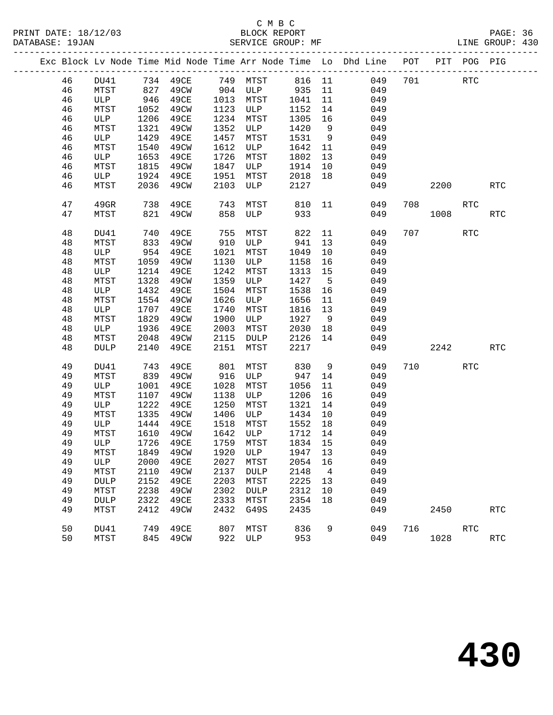|  |    |             |                  |            |      |                 |         |      | Exc Block Lv Node Time Mid Node Time Arr Node Time Lo Dhd Line POT PIT POG PIG |     |      |            |                      |
|--|----|-------------|------------------|------------|------|-----------------|---------|------|--------------------------------------------------------------------------------|-----|------|------------|----------------------|
|  | 46 | DU41        |                  | 734 49CE   |      | 749 MTST        | 816 11  |      | 049                                                                            | 701 |      | <b>RTC</b> |                      |
|  | 46 | MTST        | 827              | 49CW       |      | 904 ULP 935     |         | 11   | 049                                                                            |     |      |            |                      |
|  | 46 | ULP         | $\frac{946}{10}$ | 49CE       | 1013 | MTST            | 1041    | 11   | 049                                                                            |     |      |            |                      |
|  | 46 | MTST        | 1052             | 49CW       | 1123 | ULP             | 1152    | 14   | 049                                                                            |     |      |            |                      |
|  | 46 | ULP         | 1206             | 49CE       | 1234 | MTST            | 1305    | 16   | 049                                                                            |     |      |            |                      |
|  | 46 | MTST        | 1321             | 49CW       | 1352 | ULP             | 1420    | 9    | 049                                                                            |     |      |            |                      |
|  | 46 | ULP         | 1429             | 49CE       | 1457 | MTST            | 1531    | 9    | 049                                                                            |     |      |            |                      |
|  | 46 | MTST        | 1540             | 49CW       | 1612 | ULP             | 1642    | 11   | 049                                                                            |     |      |            |                      |
|  | 46 | ULP         | 1653             | 49CE       | 1726 | MTST            | 1802    | 13   | 049                                                                            |     |      |            |                      |
|  | 46 | MTST        | 1815             | 49CW       | 1847 | ULP             | 1914    | 10   | 049                                                                            |     |      |            |                      |
|  | 46 | ULP         | 1924             | 49CE       | 1951 | MTST            | 2018    | 18   | 049                                                                            |     |      |            |                      |
|  | 46 | MTST        | 2036             | 49CW       | 2103 | ULP             | 2127    |      | 049                                                                            |     | 2200 |            | RTC                  |
|  | 47 | 49GR        | 738              | 49CE       | 743  | MTST            | 810     | 11   | 049                                                                            | 708 |      | <b>RTC</b> |                      |
|  | 47 | MTST        | 821              | 49CW       | 858  | ULP             | 933     |      | 049                                                                            |     | 1008 |            | RTC                  |
|  | 48 | DU41        | 740              | 49CE       | 755  | MTST            | 822     | 11   | 049                                                                            |     | 707  | <b>RTC</b> |                      |
|  | 48 | MTST        | 833              | 49CW       | 910  | ULP             | 941     | 13   | 049                                                                            |     |      |            |                      |
|  | 48 | ULP         | 954              | 49CE       | 1021 | MTST            | 1049    | 10   | 049                                                                            |     |      |            |                      |
|  | 48 | MTST        | 1059             | 49CW       | 1130 | ULP             | 1158    | 16   | 049                                                                            |     |      |            |                      |
|  | 48 | ULP         | 1214             | 49CE       | 1242 | MTST            | 1313    | 15   | 049                                                                            |     |      |            |                      |
|  | 48 | MTST        | 1328             | 49CW       | 1359 | ULP             | 1427    | $-5$ | 049                                                                            |     |      |            |                      |
|  | 48 | ULP         | 1432             | 49CE       | 1504 | MTST            | 1538    | 16   | 049                                                                            |     |      |            |                      |
|  | 48 | MTST        | 1554             | 49CW       | 1626 | ULP             | 1656    | 11   | 049                                                                            |     |      |            |                      |
|  | 48 | ULP         | 1707             | 49CE       | 1740 | MTST            | 1816    | 13   | 049                                                                            |     |      |            |                      |
|  | 48 | MTST        | 1829             | 49CW       | 1900 | ULP             | 1927    | 9    | 049                                                                            |     |      |            |                      |
|  | 48 | ULP         | 1936             | 49CE       | 2003 | MTST            | 2030    | 18   | 049                                                                            |     |      |            |                      |
|  | 48 | MTST        | 2048             | 49CW       | 2115 | DULP            | 2126    | 14   | 049                                                                            |     |      |            |                      |
|  | 48 | <b>DULP</b> | 2140             | 49CE       | 2151 | MTST            | 2217    |      | 049                                                                            |     | 2242 |            | RTC                  |
|  | 49 | DU41        | 743              | 49CE       | 801  | MTST            | 830     | 9    | 049                                                                            | 710 |      | <b>RTC</b> |                      |
|  | 49 | MTST        | 839              | 49CW       | 916  | ULP             | 947     | 14   | 049                                                                            |     |      |            |                      |
|  | 49 | ULP         | 1001             | 49CE       | 1028 | MTST            | 1056    | 11   | 049                                                                            |     |      |            |                      |
|  | 49 | MTST        | 1107             | 49CW       | 1138 | ULP             | 1206    | 16   | 049                                                                            |     |      |            |                      |
|  | 49 | ULP         | 1222             | 49CE       | 1250 | MTST            | 1321    | 14   | 049                                                                            |     |      |            |                      |
|  | 49 | MTST        | 1335             | 49CW       | 1406 | ULP             | 1434    | 10   | 049                                                                            |     |      |            |                      |
|  | 49 | ULP         | 1444             | 49CE       | 1518 | MTST            | 1552    | 18   | 049                                                                            |     |      |            |                      |
|  | 49 | MTST        | 1610             | 49CW       | 1642 | ULP             | 1712    | 14   | 049                                                                            |     |      |            |                      |
|  | 49 | ULP         | 1726             | 49CE       |      | 1759 MTST       | 1834 15 |      | 049                                                                            |     |      |            |                      |
|  | 49 | MTST        |                  | 1849  49CW |      | 1920 ULP        | 1947 13 |      | 049                                                                            |     |      |            |                      |
|  | 49 | ULP         | 2000             | 49CE       | 2027 | MTST            | 2054    | 16   | 049                                                                            |     |      |            |                      |
|  | 49 | MTST        | 2110             | 49CW       | 2137 | <b>DULP</b>     | 2148    | 4    | 049                                                                            |     |      |            |                      |
|  | 49 | <b>DULP</b> | 2152             | 49CE       | 2203 | MTST            | 2225    | 13   | 049                                                                            |     |      |            |                      |
|  | 49 | MTST        | 2238             | 49CW       | 2302 | $\texttt{DULP}$ | 2312    | 10   | 049                                                                            |     |      |            |                      |
|  | 49 | <b>DULP</b> | 2322             | 49CE       | 2333 | MTST            | 2354    | 18   | 049                                                                            |     |      |            |                      |
|  | 49 | MTST        | 2412             | 49CW       | 2432 | G49S            | 2435    |      | 049                                                                            |     | 2450 |            | $\operatorname{RTC}$ |
|  | 50 | DU41        | 749              | 49CE       | 807  | MTST            | 836     | 9    | 049                                                                            | 716 |      | <b>RTC</b> |                      |
|  | 50 | MTST        | 845              | 49CW       | 922  | ULP             | 953     |      | 049                                                                            |     | 1028 |            | $\operatorname{RTC}$ |
|  |    |             |                  |            |      |                 |         |      |                                                                                |     |      |            |                      |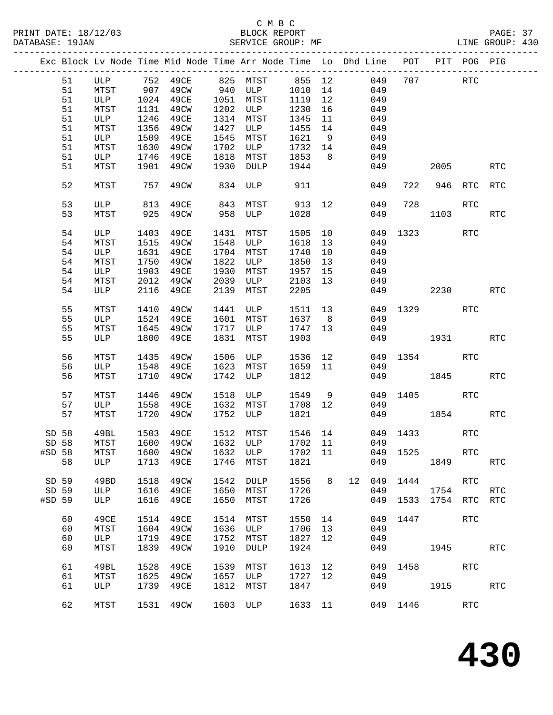# C M B C<br>
PRINT DATE: 18/12/03 BLOCK REPOR

| DATABASE: 19JAN |       |          |      | SERVICE GROUP: MF                                                              |      |             |         |                |         |     |          |             |            | LINE GROUP: 430 |  |
|-----------------|-------|----------|------|--------------------------------------------------------------------------------|------|-------------|---------|----------------|---------|-----|----------|-------------|------------|-----------------|--|
|                 |       |          |      | Exc Block Lv Node Time Mid Node Time Arr Node Time Lo Dhd Line POT PIT POG PIG |      |             |         |                |         |     |          |             |            |                 |  |
|                 | 51    |          |      | ULP 752 49CE 825 MTST 855 12                                                   |      |             |         |                |         | 049 | 707      | <b>RTC</b>  |            |                 |  |
|                 | 51    | MTST 907 |      | 49CW 940 ULP                                                                   |      |             | 1010    | 14             |         | 049 |          |             |            |                 |  |
|                 | 51    | ULP      |      | 1024 49CE                                                                      |      | 1051 MTST   | 1119    | 12             |         | 049 |          |             |            |                 |  |
|                 | 51    | MTST     | 1131 | 49CW                                                                           |      | 1202 ULP    | 1230    | 16             |         | 049 |          |             |            |                 |  |
|                 | 51    | ULP      | 1246 | 49CE                                                                           |      | 1314 MTST   | 1345    | 11             |         | 049 |          |             |            |                 |  |
|                 |       |          |      |                                                                                |      |             |         |                |         |     |          |             |            |                 |  |
|                 | 51    | MTST     | 1356 | 49CW                                                                           |      | 1427 ULP    | 1455    | 14             |         | 049 |          |             |            |                 |  |
|                 | 51    | ULP      | 1509 | 49CE                                                                           | 1545 | MTST        | 1621    | 9              |         | 049 |          |             |            |                 |  |
|                 | 51    | MTST     | 1630 | 49CW                                                                           |      | 1702 ULP    | 1732    | 14             |         | 049 |          |             |            |                 |  |
|                 | 51    | ULP      |      | 1746 49CE                                                                      | 1818 | MTST        | 1853    | 8 <sup>8</sup> |         | 049 |          |             |            |                 |  |
|                 | 51    | MTST     |      | 1901 49CW                                                                      | 1930 | <b>DULP</b> | 1944    |                |         | 049 |          | 2005        |            | <b>RTC</b>      |  |
|                 | 52    | MTST     | 757  | 49CW                                                                           |      | 834 ULP     | 911     |                |         | 049 | 722      | 946 RTC     |            | RTC             |  |
|                 | 53    | ULP      | 813  | 49CE                                                                           | 843  | MTST        | 913     | 12             |         | 049 | 728      |             | <b>RTC</b> |                 |  |
|                 | 53    | MTST     | 925  | 49CW                                                                           | 958  | ULP         | 1028    |                |         | 049 |          | 1103        |            | <b>RTC</b>      |  |
|                 | 54    | ULP      | 1403 | 49CE                                                                           | 1431 | MTST        | 1505 10 |                |         |     | 049 1323 |             | RTC        |                 |  |
|                 | 54    | MTST     | 1515 | 49CW                                                                           | 1548 | ULP         | 1618    | 13             |         | 049 |          |             |            |                 |  |
|                 | 54    | ULP      | 1631 | 49CE                                                                           |      | 1704 MTST   | 1740    | 10             |         | 049 |          |             |            |                 |  |
|                 | 54    | MTST     | 1750 | 49CW                                                                           | 1822 | ULP         | 1850    | 13             |         | 049 |          |             |            |                 |  |
|                 | 54    | ULP      | 1903 | 49CE                                                                           | 1930 | MTST        | 1957    | 15             |         | 049 |          |             |            |                 |  |
|                 | 54    | MTST     | 2012 | 49CW                                                                           | 2039 | ULP         | 2103    | 13             |         | 049 |          |             |            |                 |  |
|                 | 54    | ULP      | 2116 | 49CE                                                                           | 2139 | MTST        | 2205    |                |         |     | 049      |             | 2230       | <b>RTC</b>      |  |
|                 |       |          |      |                                                                                |      |             |         |                |         |     |          |             |            |                 |  |
|                 | 55    | MTST     | 1410 | 49CW                                                                           |      | 1441 ULP    | 1511 13 |                |         |     | 049 1329 |             | RTC        |                 |  |
|                 | 55    | ULP      | 1524 | 49CE                                                                           |      | 1601 MTST   | 1637    | 8 <sup>8</sup> |         | 049 |          |             |            |                 |  |
|                 | 55    | MTST     | 1645 | 49CW                                                                           | 1717 | ULP         | 1747 13 |                |         | 049 |          |             |            |                 |  |
|                 | 55    | ULP      | 1800 | 49CE                                                                           | 1831 | MTST        | 1903    |                |         |     | 049 1931 |             |            | RTC             |  |
|                 | 56    | MTST     | 1435 | 49CW                                                                           | 1506 | ULP         | 1536    | 12             |         |     | 049 1354 |             | RTC        |                 |  |
|                 | 56    | ULP      | 1548 | 49CE                                                                           | 1623 | MTST        | 1659    | 11             |         | 049 |          |             |            |                 |  |
|                 | 56    | MTST     | 1710 | 49CW                                                                           | 1742 | ULP         | 1812    |                |         |     | 049      | 1845        |            | <b>RTC</b>      |  |
|                 |       |          |      |                                                                                |      |             |         |                |         |     |          |             |            |                 |  |
|                 | 57    | MTST     | 1446 | 49CW                                                                           |      | 1518 ULP    | 1549    | 9              |         |     | 049 1405 |             | RTC        |                 |  |
|                 | 57    | ULP      | 1558 | 49CE                                                                           |      | 1632 MTST   | 1708 12 |                |         | 049 |          |             |            |                 |  |
|                 | 57    | MTST     | 1720 | 49CW                                                                           | 1752 | ULP         | 1821    |                |         |     | 049 1854 |             |            | RTC             |  |
| SD 58           |       | 49BL     |      | 1503 49CE                                                                      |      | 1512 MTST   |         |                | 1546 14 |     | 049 1433 |             | <b>RTC</b> |                 |  |
|                 | SD 58 |          |      | MTST 1600 49CW 1632 ULP 1702 11 049                                            |      |             |         |                |         |     |          |             |            |                 |  |
| #SD 58          |       | MTST     | 1600 | 49CW                                                                           |      | 1632 ULP    | 1702 11 |                |         | 049 |          | 1525   1525 | <b>RTC</b> |                 |  |
|                 | 58    | ULP      | 1713 | 49CE                                                                           | 1746 | MTST        | 1821    |                |         | 049 |          |             | 1849       | <b>RTC</b>      |  |
| SD 59           |       | 49BD     | 1518 | 49CW                                                                           | 1542 | DULP        | 1556    | 8              | 12      | 049 |          | 1444        | <b>RTC</b> |                 |  |
| SD 59           |       | ULP      | 1616 | 49CE                                                                           | 1650 | MTST        | 1726    |                |         | 049 |          | 1754        |            | <b>RTC</b>      |  |
| #SD 59          |       | ULP      | 1616 | 49CE                                                                           | 1650 | MTST        | 1726    |                |         | 049 | 1533     | 1754        | RTC        | RTC             |  |
|                 |       |          |      |                                                                                |      |             |         |                |         |     |          |             |            |                 |  |
|                 | 60    | 49CE     | 1514 | 49CE                                                                           | 1514 | MTST        | 1550 14 |                |         | 049 | 1447     |             | <b>RTC</b> |                 |  |
|                 | 60    | MTST     | 1604 | 49CW                                                                           | 1636 | ULP         | 1706    | 13             |         | 049 |          |             |            |                 |  |
|                 | 60    | ULP      | 1719 | 49CE                                                                           | 1752 | MTST        | 1827    | 12             |         | 049 |          |             |            |                 |  |
|                 | 60    | MTST     | 1839 | 49CW                                                                           | 1910 | <b>DULP</b> | 1924    |                |         | 049 |          | 1945        |            | <b>RTC</b>      |  |
|                 | 61    | 49BL     | 1528 | 49CE                                                                           | 1539 | MTST        | 1613    | 12             |         | 049 |          | 1458 3      | RTC        |                 |  |
|                 | 61    | MTST     | 1625 | 49CW                                                                           | 1657 | ULP         | 1727    | 12             |         | 049 |          |             |            |                 |  |
|                 | 61    | ULP      | 1739 | 49CE                                                                           | 1812 | MTST        | 1847    |                |         | 049 |          | 1915        |            | RTC             |  |
|                 | 62    | MTST     |      | 1531  49CW  1603  ULP                                                          |      |             |         |                | 1633 11 |     | 049 1446 |             | RTC        |                 |  |
|                 |       |          |      |                                                                                |      |             |         |                |         |     |          |             |            |                 |  |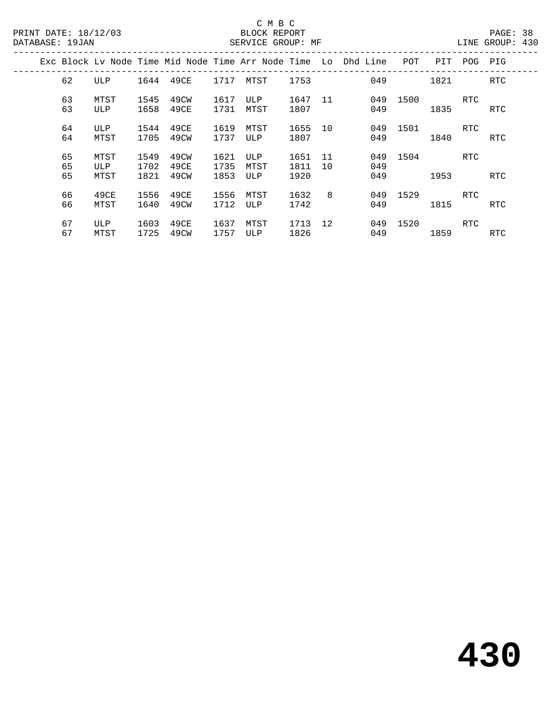|  |                |                     |                      |                      |                      |                    |                      |          | Exc Block Ly Node Time Mid Node Time Arr Node Time Lo Dhd Line | POT  | PIT  | POG        | PIG        |
|--|----------------|---------------------|----------------------|----------------------|----------------------|--------------------|----------------------|----------|----------------------------------------------------------------|------|------|------------|------------|
|  | 62             | <b>ULP</b>          | 1644                 | 49CE                 | 1717                 | MTST               | 1753                 |          | 049                                                            |      | 1821 |            | RTC        |
|  | 63<br>63       | MTST<br>ULP         | 1545<br>1658         | 49CW<br>49CE         | 1617<br>1731         | ULP<br>MTST        | 1647<br>1807         | 11       | 049<br>049                                                     | 1500 | 1835 | RTC        | RTC        |
|  | 64<br>64       | ULP<br>MTST         | 1544<br>1705         | 49CE<br>49CW         | 1619<br>1737         | MTST<br>ULP        | 1655<br>1807         | 10       | 049<br>049                                                     | 1501 | 1840 | RTC        | RTC        |
|  | 65<br>65<br>65 | MTST<br>ULP<br>MTST | 1549<br>1702<br>1821 | 49CW<br>49CE<br>49CW | 1621<br>1735<br>1853 | ULP<br>MTST<br>ULP | 1651<br>1811<br>1920 | 11<br>10 | 049<br>049<br>049                                              | 1504 | 1953 | RTC        | <b>RTC</b> |
|  | 66<br>66       | 49CE<br>MTST        | 1556<br>1640         | 49CE<br>49CW         | 1556<br>1712         | MTST<br>ULP        | 1632<br>1742         | 8        | 049<br>049                                                     | 1529 | 1815 | <b>RTC</b> | RTC        |
|  | 67<br>67       | ULP<br>MTST         | 1603<br>1725         | 49CE<br>49CW         | 1637<br>1757         | MTST<br>ULP        | 1713<br>1826         | 12       | 049<br>049                                                     | 1520 | 1859 | RTC        | RTC.       |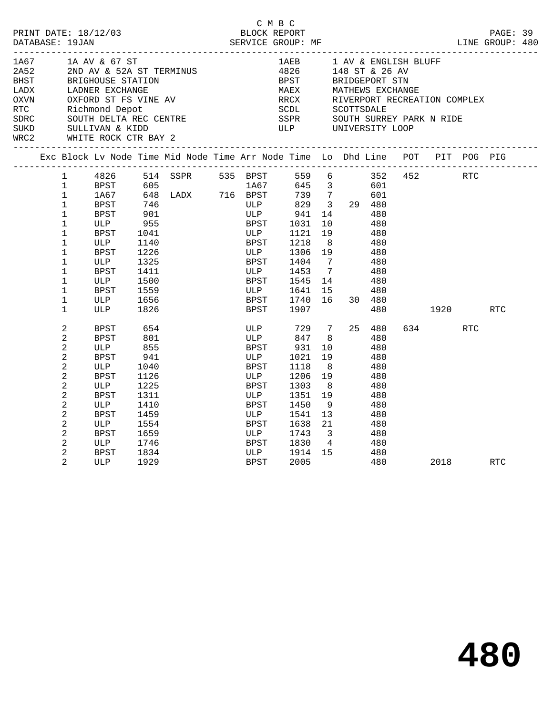| PRINT DATE: 18/12/03<br>DATABASE: 19JAN                                    |                                                                                                                                                                                               |                                                                                                               |                                                                                                                  |                                                                                                             |                                                                                                              | C M B C                                                                                                                                                       |                                                                                                                                                                               |                                                           |                                                                                                   |                                                                                  |                        |                    |     |  |
|----------------------------------------------------------------------------|-----------------------------------------------------------------------------------------------------------------------------------------------------------------------------------------------|---------------------------------------------------------------------------------------------------------------|------------------------------------------------------------------------------------------------------------------|-------------------------------------------------------------------------------------------------------------|--------------------------------------------------------------------------------------------------------------|---------------------------------------------------------------------------------------------------------------------------------------------------------------|-------------------------------------------------------------------------------------------------------------------------------------------------------------------------------|-----------------------------------------------------------|---------------------------------------------------------------------------------------------------|----------------------------------------------------------------------------------|------------------------|--------------------|-----|--|
| 1A67<br>2A52<br><b>BHST</b><br>LADX<br>OXVN<br>RTC<br>SDRC<br>SUKD<br>WRC2 |                                                                                                                                                                                               | 1A AV & 67 ST<br>SULLIVAN & KIDD<br>WHITE ROCK CTR BAY 2                                                      |                                                                                                                  | 2ND AV & 52A ST TERMINUS<br>BRIGHOUSE STATION<br>BRIGHOODE DINE<br>Richmond Depot<br>SOUTH DELTA REC CENTRE |                                                                                                              | 1AEB<br>4826<br>4826<br>BPST BRIDGEPORT STN<br>MAEX MATHEWS EXCHANGE<br>RRCX RIVERPORT RECREAT<br>SCDL<br>SSPR<br><b>ULP</b><br>_____________________________ |                                                                                                                                                                               | 148 ST & 26 AV<br>SCOTTSDALE<br>UNIVERSITY LOOP           |                                                                                                   | 1 AV & ENGLISH BLUFF<br>RIVERPORT RECREATION COMPLEX<br>SOUTH SURREY PARK N RIDE |                        |                    |     |  |
|                                                                            |                                                                                                                                                                                               |                                                                                                               |                                                                                                                  | Exc Block Lv Node Time Mid Node Time Arr Node Time Lo Dhd Line POT PIT POG PIG                              |                                                                                                              |                                                                                                                                                               |                                                                                                                                                                               |                                                           |                                                                                                   |                                                                                  |                        |                    |     |  |
|                                                                            | $\mathbf{1}$<br>1<br>$\mathbf{1}$<br>$\mathbf{1}$<br>$\mathbf{1}$<br>$\mathbf{1}$<br>$\mathbf 1$<br>$\mathbf 1$<br>$\mathbf{1}$<br>$\mathbf 1$<br>$\mathbf{1}$<br>$\mathbf 1$<br>$\mathbf{1}$ | 1A67<br>BPST<br>BPST<br>ULP<br>BPST<br>ULP<br>BPST<br>ULP<br>BPST<br>ULP<br>BPST<br>ULP<br>ULP                | 746<br>$\frac{1}{901}$<br>955<br>1041<br>1140<br>1226<br>1325<br>1411<br>1500<br>1559<br>1656<br>1826            | 1 4826 514 SSPR 535 BPST<br>1 BPST 605 1A67<br>605 1A67<br>648 LADX 716 BPST                                | ULP<br>ULP<br>BPST<br>ULP<br>BPST<br>ULP<br><b>BPST</b><br>ULP<br>BPST<br>ULP<br>BPST<br>BPST                | 829<br>941<br>1031<br>1121<br>1218<br>1306<br>1404<br>1453<br>1545<br>1641<br>1740<br>1907                                                                    | 10<br>19<br>8 <sup>8</sup><br>19<br>$\overline{7}$<br>7<br>14<br>15<br>16                                                                                                     | $-5$ b 352<br>645 3 601<br>720<br>739 7<br>3 29 480<br>14 | 601<br>480<br>480<br>480<br>480<br>480<br>480<br>480<br>480<br>480<br>30 480<br>480               |                                                                                  | 452 RTC<br>1920 — 1920 |                    | RTC |  |
|                                                                            | 2<br>2<br>2<br>2<br>2<br>2<br>2<br>2<br>2<br>2<br>2<br>2<br>2<br>2<br>$\overline{2}$                                                                                                          | BPST<br>BPST<br>ULP<br>BPST<br>ULP<br>BPST<br>ULP<br>BPST<br>ULP<br>BPST<br>ULP<br>BPST<br>ULP<br>BPST<br>ULP | 654<br>801<br>855<br>941<br>1040<br>1126<br>1225<br>1311<br>1410<br>1459<br>1554<br>1659<br>1746<br>1834<br>1929 |                                                                                                             | ULP<br>ULP<br>BPST<br>ULP<br>BPST<br>ULP<br>BPST<br>ULP<br>BPST<br>ULP<br>BPST<br>ULP<br>BPST<br>ULP<br>BPST | 847<br>931<br>1021<br>1118<br>1206<br>1303<br>1351<br>1450<br>1541<br>1638<br>1743<br>1830<br>1914<br>2005                                                    | 729 7<br>8 <sup>8</sup><br>10<br>19<br>8 <sup>8</sup><br>19<br>8 <sup>8</sup><br>19<br>- 9<br>13<br>21<br>$\overline{\mathbf{3}}$<br>$4\phantom{.00000000000000000000}$<br>15 | 480                                                       | 25 480<br>480<br>480<br>480<br>480<br>480<br>480<br>480<br>480<br>480<br>480<br>480<br>480<br>480 |                                                                                  | 634 639                | <b>RTC</b><br>2018 | RTC |  |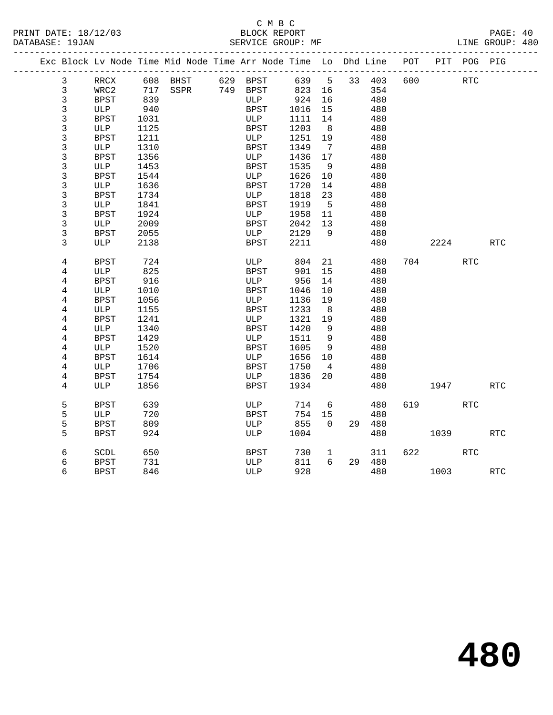#### C M B C<br>BLOCK REPORT PRINT DATE: 18/12/03 BLOCK REPORT PAGE: 40 SERVICE GROUP: MF

|  |                | Exc Block Lv Node Time Mid Node Time Arr Node Time Lo Dhd Line POT |                   |  |             |     |        |                |        |     |                        | PIT POG PIG |            |
|--|----------------|--------------------------------------------------------------------|-------------------|--|-------------|-----|--------|----------------|--------|-----|------------------------|-------------|------------|
|  | 3              | RRCX                                                               | 608 BHST 629 BPST |  |             |     |        | 639 5          | 33 403 | 600 |                        | RTC         |            |
|  | $\mathbf{3}$   | WRC2                                                               | 717 SSPR 749 BPST |  |             |     | 823 16 |                | 354    |     |                        |             |            |
|  | 3              | <b>BPST</b>                                                        | 839               |  | ULP         |     | 924    | 16             | 480    |     |                        |             |            |
|  | 3              | ULP                                                                | 940               |  | BPST        |     | 1016   | 15             | 480    |     |                        |             |            |
|  | 3              | <b>BPST</b>                                                        | 1031              |  | ULP         |     | 1111   | 14             | 480    |     |                        |             |            |
|  | 3              | ULP                                                                | 1125              |  | <b>BPST</b> |     | 1203   | 8              | 480    |     |                        |             |            |
|  | 3              | <b>BPST</b>                                                        | 1211              |  | ULP         |     | 1251   | 19             | 480    |     |                        |             |            |
|  | 3              | ULP                                                                | 1310              |  | BPST        |     | 1349   | $\overline{7}$ | 480    |     |                        |             |            |
|  | 3              | <b>BPST</b>                                                        | 1356              |  | ULP         |     | 1436   | 17             | 480    |     |                        |             |            |
|  | 3              | ULP                                                                | 1453              |  | <b>BPST</b> |     | 1535   | - 9            | 480    |     |                        |             |            |
|  | 3              | <b>BPST</b>                                                        | 1544              |  | ULP         |     | 1626   | 10             | 480    |     |                        |             |            |
|  | 3              | ULP                                                                | 1636              |  | <b>BPST</b> |     | 1720   | 14             | 480    |     |                        |             |            |
|  | 3              | BPST                                                               | 1734              |  | ULP         |     | 1818   | 23             | 480    |     |                        |             |            |
|  | 3              | ULP                                                                | 1841              |  | <b>BPST</b> |     | 1919   | $5^{\circ}$    | 480    |     |                        |             |            |
|  | 3              | BPST                                                               | 1924              |  | ULP         |     | 1958   | 11             | 480    |     |                        |             |            |
|  | 3              | ULP                                                                | 2009              |  | BPST        |     | 2042   | 13             | 480    |     |                        |             |            |
|  | 3              | BPST                                                               | 2055              |  | ULP         |     | 2129   | - 9            | 480    |     |                        |             |            |
|  | 3              | ULP                                                                | 2138              |  | BPST        |     | 2211   |                | 480    |     | 2224                   |             | RTC        |
|  | 4              | <b>BPST</b>                                                        | 724               |  | ULP         |     | 804    | 21             | 480    |     | 704                    | <b>RTC</b>  |            |
|  | 4              | ULP                                                                | 825               |  | <b>BPST</b> |     | 901    | 15             | 480    |     |                        |             |            |
|  | 4              | BPST                                                               | 916               |  | ULP         |     | 956    | 14             | 480    |     |                        |             |            |
|  | 4              | ULP                                                                | 1010              |  | <b>BPST</b> |     | 1046   | 10             | 480    |     |                        |             |            |
|  | 4              | BPST                                                               | 1056              |  | ULP         |     | 1136   | 19             | 480    |     |                        |             |            |
|  | 4              | ULP                                                                | 1155              |  | <b>BPST</b> |     | 1233   | 8              | 480    |     |                        |             |            |
|  | 4              | <b>BPST</b>                                                        | 1241              |  | ULP         |     | 1321   | 19             | 480    |     |                        |             |            |
|  | 4              | ULP                                                                | 1340              |  | <b>BPST</b> |     | 1420   | 9              | 480    |     |                        |             |            |
|  | 4              | <b>BPST</b>                                                        | 1429              |  | ULP         |     | 1511   | $\overline{9}$ | 480    |     |                        |             |            |
|  | 4              | ULP                                                                | 1520              |  | <b>BPST</b> |     | 1605   | 9              | 480    |     |                        |             |            |
|  | 4              | BPST                                                               | 1614              |  | ULP         |     | 1656   | 10             | 480    |     |                        |             |            |
|  | $\overline{4}$ | ULP                                                                | 1706              |  | <b>BPST</b> |     | 1750   | $\overline{4}$ | 480    |     |                        |             |            |
|  | 4              | BPST                                                               | 1754              |  |             | ULP | 1836   | 20             | 480    |     |                        |             |            |
|  | 4              | ULP                                                                | 1856              |  | <b>BPST</b> |     | 1934   |                | 480    |     | 1947                   |             | <b>RTC</b> |
|  | 5              | <b>BPST</b>                                                        | 639               |  | ULP         |     | 714    | 6              | 480    | 619 |                        | RTC         |            |
|  | 5              | ULP                                                                | 720               |  | BPST        |     | 754    | 15             | 480    |     |                        |             |            |
|  | 5              | BPST                                                               | 809               |  | ULP         |     | 855    | $\Omega$       | 29 480 |     |                        |             |            |
|  | 5              | <b>BPST</b>                                                        | 924               |  | ULP         |     | 1004   |                | 480    |     | 1039                   |             | <b>RTC</b> |
|  | б              | SCDL                                                               | 650               |  | BPST        |     | 730    | $\mathbf{1}$   | 311    |     | 622 and $\overline{a}$ | RTC         |            |
|  | 6              | BPST                                                               | 731               |  | ULP         |     | 811    | 6              | 29 480 |     |                        |             |            |
|  | 6              | BPST                                                               | 846               |  | ULP         |     | 928    |                | 480    |     | 1003                   |             | RTC        |
|  |                |                                                                    |                   |  |             |     |        |                |        |     |                        |             |            |

**480**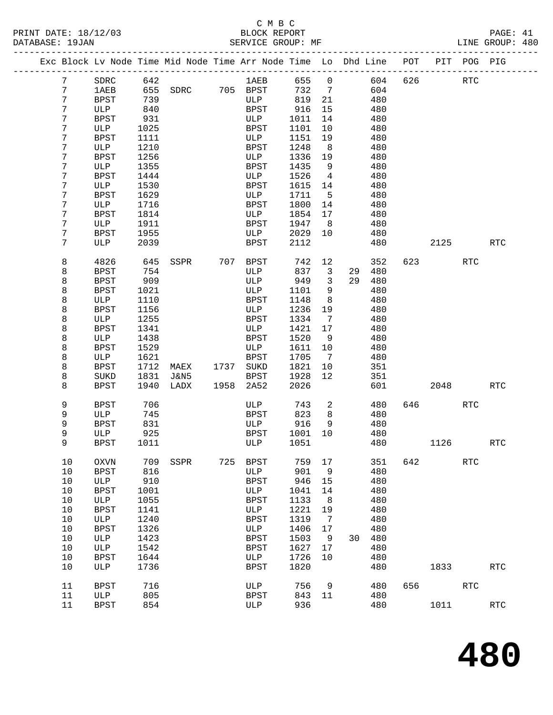#### C M B C<br>BLOCK REPORT PRINT DATE: 18/12/03 BLOCK REPORT PAGE: 41 SERVICE GROUP: MF

|   |                 |             |      | Exc Block Lv Node Time Mid Node Time Arr Node Time Lo Dhd Line POT PIT POG PIG |     |             |        |                         |    |        |     |                           |            |                      |
|---|-----------------|-------------|------|--------------------------------------------------------------------------------|-----|-------------|--------|-------------------------|----|--------|-----|---------------------------|------------|----------------------|
|   | $7\phantom{.}$  | SDRC 642    |      |                                                                                |     | <b>1AEB</b> | 655 0  |                         |    | 604    | 626 |                           | <b>RTC</b> |                      |
|   | $7\phantom{.0}$ | 1AEB        |      | 655 SDRC 705 BPST                                                              |     |             | 732    | $\overline{7}$          |    | 604    |     |                           |            |                      |
|   | 7               | BPST        | 739  |                                                                                |     | ULP         | 819 21 |                         |    | 480    |     |                           |            |                      |
|   | 7               | ULP         | 840  |                                                                                |     | BPST        | 916    | 15                      |    | 480    |     |                           |            |                      |
|   | 7               | BPST        | 931  |                                                                                |     | ULP         | 1011   | 14                      |    | 480    |     |                           |            |                      |
|   | 7               | ULP         | 1025 |                                                                                |     | BPST        | 1101   | 10                      |    | 480    |     |                           |            |                      |
|   | 7               | BPST        | 1111 |                                                                                |     | ULP         | 1151   | 19                      |    | 480    |     |                           |            |                      |
|   | 7               | ULP         | 1210 |                                                                                |     | BPST        | 1248   | 8                       |    | 480    |     |                           |            |                      |
|   | 7               | BPST        | 1256 |                                                                                |     | ULP         | 1336   | 19                      |    | 480    |     |                           |            |                      |
|   | 7               | ULP         | 1355 |                                                                                |     | BPST        | 1435   | 9                       |    | 480    |     |                           |            |                      |
|   | 7               | BPST        | 1444 |                                                                                |     | ULP         | 1526   | 4                       |    | 480    |     |                           |            |                      |
|   | 7               | ULP         | 1530 |                                                                                |     | BPST        | 1615   | 14                      |    | 480    |     |                           |            |                      |
|   | 7               |             | 1629 |                                                                                |     | ULP         | 1711   | $5^{\circ}$             |    |        |     |                           |            |                      |
|   | 7               | BPST        |      |                                                                                |     |             |        |                         |    | 480    |     |                           |            |                      |
|   |                 | ULP         | 1716 |                                                                                |     | BPST        | 1800   | 14                      |    | 480    |     |                           |            |                      |
|   | 7               | BPST        | 1814 |                                                                                |     | ULP         | 1854   | 17                      |    | 480    |     |                           |            |                      |
|   | 7               | ULP         | 1911 |                                                                                |     | BPST        | 1947   | 8                       |    | 480    |     |                           |            |                      |
|   | 7               | BPST        | 1955 |                                                                                |     | ULP         | 2029   | 10                      |    | 480    |     |                           |            |                      |
|   | 7               | ULP         | 2039 |                                                                                |     | <b>BPST</b> | 2112   |                         |    | 480    |     | 2125                      |            | RTC                  |
|   | 8               | 4826        | 645  | SSPR 707 BPST                                                                  |     |             | 742    | 12                      |    | 352    |     | 623 and the set of $\sim$ | <b>RTC</b> |                      |
|   | 8               | BPST        | 754  |                                                                                |     | ULP         | 837    | $\overline{\mathbf{3}}$ |    | 29 480 |     |                           |            |                      |
| 8 |                 | BPST        | 909  |                                                                                |     | ULP         | 949    | $\overline{3}$          |    | 29 480 |     |                           |            |                      |
| 8 |                 | BPST        | 1021 |                                                                                |     | ULP         | 1101   | 9                       |    | 480    |     |                           |            |                      |
|   | 8               | ULP         | 1110 |                                                                                |     | BPST        | 1148   | 8                       |    | 480    |     |                           |            |                      |
|   | 8               | BPST        | 1156 |                                                                                |     | ULP         | 1236   | 19                      |    | 480    |     |                           |            |                      |
|   | 8               | ULP         | 1255 |                                                                                |     | BPST        | 1334   | $\overline{7}$          |    | 480    |     |                           |            |                      |
| 8 |                 | BPST        | 1341 |                                                                                |     | ULP         | 1421   | 17                      |    | 480    |     |                           |            |                      |
| 8 |                 | ULP         | 1438 |                                                                                |     | BPST        | 1520   | - 9                     |    | 480    |     |                           |            |                      |
|   | 8               | BPST        | 1529 |                                                                                |     | ULP         | 1611   | 10                      |    | 480    |     |                           |            |                      |
|   | 8               | ULP         | 1621 |                                                                                |     | <b>BPST</b> | 1705   | $\overline{7}$          |    | 480    |     |                           |            |                      |
|   | 8               | BPST        | 1712 | MAEX 1737 SUKD                                                                 |     |             | 1821   | 10                      |    | 351    |     |                           |            |                      |
|   | 8               | SUKD        | 1831 | J&N5                                                                           |     | BPST        | 1928   | 12                      |    | 351    |     |                           |            |                      |
|   | 8               | BPST        | 1940 | LADX                                                                           |     | 1958 2A52   | 2026   |                         |    | 601    |     | 2048                      |            | <b>RTC</b>           |
|   | 9               | BPST        | 706  |                                                                                |     | ULP         | 743    | $\overline{a}$          |    | 480    |     | 646 64                    | RTC        |                      |
|   | 9               | ULP         | 745  |                                                                                |     | BPST        | 823    | 8 <sup>8</sup>          |    | 480    |     |                           |            |                      |
|   | 9               | BPST        | 831  |                                                                                |     | ULP         | 916    | 9                       |    | 480    |     |                           |            |                      |
|   | 9               | ULP         | 925  |                                                                                |     | BPST        | 1001   | 10                      |    | 480    |     |                           |            |                      |
| 9 |                 | BPST        | 1011 |                                                                                |     | ULP         | 1051   |                         |    | 480    |     | 1126                      |            | RTC                  |
|   |                 |             |      |                                                                                |     |             |        |                         |    |        |     |                           |            |                      |
|   | 10              | <b>OXVN</b> | 709  | SSPR                                                                           | 725 | <b>BPST</b> | 759    | 17                      |    | 351    | 642 |                           | <b>RTC</b> |                      |
|   | $10$            | <b>BPST</b> | 816  |                                                                                |     | ULP         | 901    | 9                       |    | 480    |     |                           |            |                      |
|   | $10$            | ULP         | 910  |                                                                                |     | <b>BPST</b> | 946    | 15                      |    | 480    |     |                           |            |                      |
|   | $10$            | <b>BPST</b> | 1001 |                                                                                |     | ULP         | 1041   | 14                      |    | 480    |     |                           |            |                      |
|   | 10              | ULP         | 1055 |                                                                                |     | <b>BPST</b> | 1133   | 8                       |    | 480    |     |                           |            |                      |
|   | $10$            | <b>BPST</b> | 1141 |                                                                                |     | ULP         | 1221   | 19                      |    | 480    |     |                           |            |                      |
|   | $10$            | ULP         | 1240 |                                                                                |     | <b>BPST</b> | 1319   | 7                       |    | 480    |     |                           |            |                      |
|   | $10$            | <b>BPST</b> | 1326 |                                                                                |     | ULP         | 1406   | 17                      |    | 480    |     |                           |            |                      |
|   | 10              | ULP         | 1423 |                                                                                |     | <b>BPST</b> | 1503   | 9                       | 30 | 480    |     |                           |            |                      |
|   | $10$            | ULP         | 1542 |                                                                                |     | <b>BPST</b> | 1627   | 17                      |    | 480    |     |                           |            |                      |
|   | $10$            | <b>BPST</b> | 1644 |                                                                                |     | ULP         | 1726   | 10                      |    | 480    |     |                           |            |                      |
|   | 10              | ULP         | 1736 |                                                                                |     | <b>BPST</b> | 1820   |                         |    | 480    |     | 1833                      |            | $\operatorname{RTC}$ |
|   | 11              | <b>BPST</b> | 716  |                                                                                |     | ULP         | 756    | 9                       |    | 480    | 656 |                           | <b>RTC</b> |                      |
|   | 11              | ULP         | 805  |                                                                                |     | <b>BPST</b> | 843    | 11                      |    | 480    |     |                           |            |                      |
|   | 11              | <b>BPST</b> | 854  |                                                                                |     | ULP         | 936    |                         |    | 480    |     | 1011                      |            | $\operatorname{RTC}$ |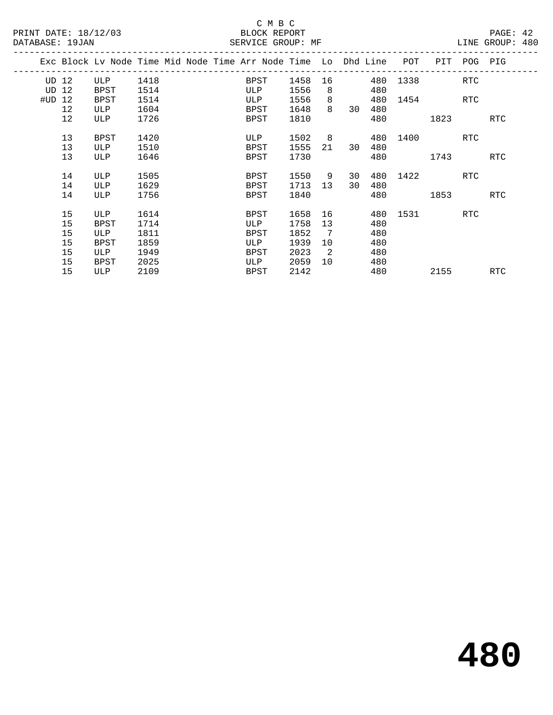|        | Exc Block Lv Node Time Mid Node Time Arr Node Time Lo Dhd Line |      |  |      |      |                |        |     | POT      | PIT      | POG PIG |            |
|--------|----------------------------------------------------------------|------|--|------|------|----------------|--------|-----|----------|----------|---------|------------|
| UD 12  | ULP                                                            | 1418 |  | BPST | 1458 |                |        | 480 | 1338     |          | RTC     |            |
| UD 12  | BPST                                                           | 1514 |  | ULP  | 1556 | 8              |        | 480 |          |          |         |            |
| #UD 12 | BPST                                                           | 1514 |  | ULP  | 1556 | 8              |        | 480 |          | 1454 RTC |         |            |
| 12     | ULP                                                            | 1604 |  | BPST | 1648 | 8              | 30     | 480 |          |          |         |            |
| 12     | ULP                                                            | 1726 |  | BPST | 1810 |                |        | 480 |          | 1823     |         | RTC        |
| 13     | BPST                                                           | 1420 |  | ULP  | 1502 |                | 8 - 10 |     | 480 1400 |          | RTC     |            |
| 13     | ULP                                                            | 1510 |  | BPST | 1555 | 21             | 30     | 480 |          |          |         |            |
|        |                                                                |      |  |      |      |                |        |     |          |          |         |            |
| 13     | ULP                                                            | 1646 |  | BPST | 1730 |                |        | 480 |          | 1743     |         | RTC        |
| 14     | ULP                                                            | 1505 |  | BPST | 1550 | 9              | 30     | 480 | 1422     |          | RTC     |            |
| 14     | ULP                                                            | 1629 |  | BPST | 1713 | 13             | 30     | 480 |          |          |         |            |
| 14     | ULP                                                            | 1756 |  | BPST | 1840 |                |        | 480 |          | 1853     |         | RTC        |
|        |                                                                |      |  |      |      |                |        |     |          |          |         |            |
| 15     | ULP                                                            | 1614 |  | BPST | 1658 | 16             |        |     | 480 1531 |          | RTC     |            |
| 15     | <b>BPST</b>                                                    | 1714 |  | ULP  | 1758 | 13             |        | 480 |          |          |         |            |
| 15     | ULP                                                            | 1811 |  | BPST | 1852 | 7              |        | 480 |          |          |         |            |
| 15     | <b>BPST</b>                                                    | 1859 |  | ULP  | 1939 | 10             |        | 480 |          |          |         |            |
| 15     | ULP                                                            | 1949 |  | BPST | 2023 | $\overline{2}$ |        | 480 |          |          |         |            |
| 15     | <b>BPST</b>                                                    | 2025 |  | ULP  | 2059 | 10             |        | 480 |          |          |         |            |
| 15     | ULP                                                            | 2109 |  | BPST | 2142 |                |        | 480 |          | 2155     |         | <b>RTC</b> |
|        |                                                                |      |  |      |      |                |        |     |          |          |         |            |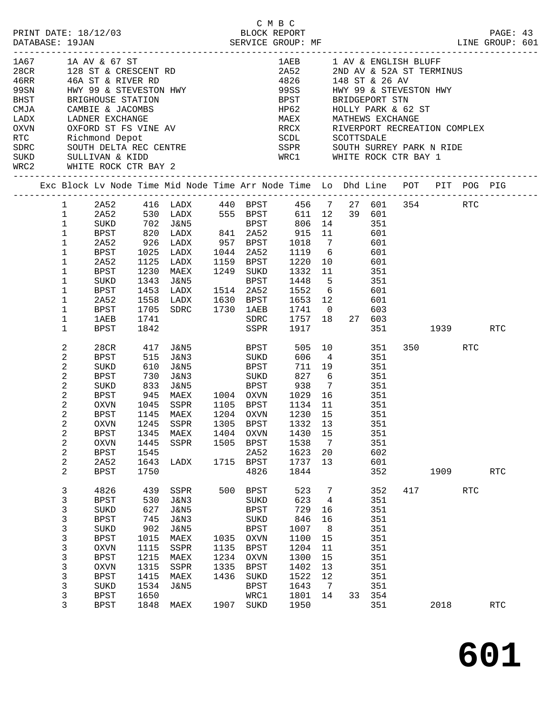|                                                                                                                                                                                                                                                                                |                                                                                                                                                              |                                                                                                                                                              |                                                                                                 |                                                                                                                                                                                      |                                                     |                                                                                                                                                | C M B C                                                                                                                                                                                                                                                                                                      |                                                                  |                                                                                                                      |                                                                                                       |     |                 |            | PAGE: 43<br>LINE GROUP: 601 |  |
|--------------------------------------------------------------------------------------------------------------------------------------------------------------------------------------------------------------------------------------------------------------------------------|--------------------------------------------------------------------------------------------------------------------------------------------------------------|--------------------------------------------------------------------------------------------------------------------------------------------------------------|-------------------------------------------------------------------------------------------------|--------------------------------------------------------------------------------------------------------------------------------------------------------------------------------------|-----------------------------------------------------|------------------------------------------------------------------------------------------------------------------------------------------------|--------------------------------------------------------------------------------------------------------------------------------------------------------------------------------------------------------------------------------------------------------------------------------------------------------------|------------------------------------------------------------------|----------------------------------------------------------------------------------------------------------------------|-------------------------------------------------------------------------------------------------------|-----|-----------------|------------|-----------------------------|--|
| 1A67 1A AV & 67 ST<br>28CR 128 ST & CRESCENT RD<br>46RR 46A ST & RIVER RD<br>99SN HWY 99 & STEVESTON HWY<br>BHST REIGNONGE CHARLES<br>BHST<br>CMJA<br>LADX<br>OXVN<br>RTC           Richmond Depot<br>SDRC        SOUTH DELTA REC CENTRE<br>SUKD       SULLIVAN & KIDD<br>WRC2 |                                                                                                                                                              | BRIGHOUSE STATION<br>CAMBIE & JACOMBS<br>LADNER EXCHANGE<br>LADNER EXCHANGE<br>WHITE ROCK CTR BAY 2<br>-----------------------                               |                                                                                                 | OXFORD ST FS VINE AV                                                                                                                                                                 |                                                     |                                                                                                                                                | 1AEB 1 AV & ENGLISH BLUFF<br>2A52 2ND AV & 52A ST TERMINUS<br>4826 148 ST & 26 AV<br>99SS <b>1988</b><br>BPST<br>HP62 HOLLY PARK & 62 ST<br>MAEX MATHEWS EXCHANGE<br>MAEX<br>RRCX RIVERPORT RECREATION COMPLEX<br>SCDL SCOTTSDALE<br>SSPR        SOUTH SURREY PARK N RIDE<br>WRC1       WHITE ROCK CTR BAY 1 |                                                                  |                                                                                                                      | HWY 99 & STEVESTON HWY<br>BRIDGEPORT STN<br>MATHEWS EXCHANGE                                          |     |                 |            |                             |  |
| Exc Block Lv Node Time Mid Node Time Arr Node Time Lo Dhd Line POT PIT POG PIG                                                                                                                                                                                                 |                                                                                                                                                              |                                                                                                                                                              |                                                                                                 |                                                                                                                                                                                      |                                                     |                                                                                                                                                |                                                                                                                                                                                                                                                                                                              |                                                                  |                                                                                                                      |                                                                                                       |     |                 |            |                             |  |
|                                                                                                                                                                                                                                                                                | $\mathbf{1}$<br>$\mathbf 1$<br>$\mathbf{1}$<br>1<br>$\mathbf 1$<br>$\mathbf 1$<br>$\mathbf 1$<br>1<br>1<br>$\mathbf 1$<br>$\mathbf 1$<br>1<br>1              | 2A52<br>SUKD<br>BPST<br>2A52<br>BPST<br>2A52<br><b>BPST</b><br>SUKD<br>BPST<br>2A52<br>BPST<br>1AEB<br>BPST                                                  | 926<br>1025<br>1125<br>1230<br>1343<br>1453<br>1558<br>1705<br>1741<br>1842                     | 1 2A52 416 LADX 440 BPST 456 7 27 601 354 RTC<br>530 LADX 555 BPST<br>702 J&N5<br>820 LADX<br>LADX<br>LADX<br>LADX<br>MAEX<br>J&N5<br>LADX<br>LADX $1630$ BPST<br>SDRC $1730$ $1AEB$ |                                                     | <b>BPST</b><br>1044 2A52<br>1159 BPST<br>1249 SUKD<br>BPST<br>1514 2A52<br>SDRC<br>SSPR                                                        | 806<br>915 11<br>$957$ BPST $1018$ 7 601<br>1220<br>1332 11<br>1448<br>1653 12<br>1741 0<br>1757 18 27 603<br>1917                                                                                                                                                                                           |                                                                  | 611 12 39 601<br>14 351<br>1119 6 601<br>10 601<br>$\begin{array}{cc} 11 & 351 \\ 5 & 351 \end{array}$<br>1552 6 601 | 601<br>601<br>603                                                                                     |     | 351 1939 RTC    |            |                             |  |
|                                                                                                                                                                                                                                                                                | 2<br>2<br>2<br>2<br>$\mathbf{2}$<br>$\overline{a}$<br>2<br>$\overline{2}$<br>$\overline{a}$<br>$\sqrt{2}$<br>$\sqrt{2}$<br>$\mathbf{2}$<br>$\mathbf{2}$<br>2 | 28CR<br>BPST<br>SUKD<br>BPST<br>SUKD<br>BPST<br>OXVN<br><b>BPST</b><br>OXVN<br><b>BPST</b><br><b>OXVN</b><br><b>BPST</b><br>2A52<br><b>BPST</b>              | 417<br>515<br>610<br>730<br>833<br>945<br>1145<br>1345<br>1445<br>1545<br>1643<br>1750          | J&N5<br>J&N3<br>J&N5<br>J&N3<br>1045 SSPR<br>MAEX<br>1245 SSPR 1305 BPST 1332 13<br>MAEX<br>SSPR<br>LADX                                                                             | 1404<br>1505<br>1715                                | BPST<br>SUKD<br><b>BPST</b><br>SUKD<br>1204 OXVN<br><b>OXVN</b><br><b>BPST</b><br>2A52<br><b>BPST</b><br>4826                                  | 1105 BPST 1134 11<br>1430<br>1538<br>1623<br>1737<br>1844                                                                                                                                                                                                                                                    | 606 4<br>711 19<br>827 6<br>1230 15<br>15<br>7<br>20<br>13       |                                                                                                                      | 505 10 351<br>351<br>351<br>351<br>351<br>351<br>351<br>351<br>351<br>351<br>351<br>602<br>601<br>352 |     | 350 RTC<br>1909 |            | $\operatorname{RTC}$        |  |
|                                                                                                                                                                                                                                                                                | 3<br>3<br>3<br>3<br>3<br>3<br>3<br>3<br>3<br>3<br>3<br>3<br>3                                                                                                | 4826<br><b>BPST</b><br>SUKD<br><b>BPST</b><br>SUKD<br><b>BPST</b><br><b>OXVN</b><br><b>BPST</b><br><b>OXVN</b><br><b>BPST</b><br>SUKD<br><b>BPST</b><br>BPST | 439<br>530<br>627<br>745<br>902<br>1015<br>1115<br>1215<br>1315<br>1415<br>1534<br>1650<br>1848 | SSPR<br><b>J&amp;N3</b><br><b>J&amp;N5</b><br><b>J&amp;N3</b><br><b>J&amp;N5</b><br>MAEX<br>SSPR<br>MAEX<br>SSPR<br>MAEX<br><b>J&amp;N5</b><br>MAEX                                  | 500<br>1035<br>1135<br>1234<br>1335<br>1436<br>1907 | <b>BPST</b><br>SUKD<br><b>BPST</b><br>SUKD<br><b>BPST</b><br><b>OXVN</b><br><b>BPST</b><br>OXVN<br><b>BPST</b><br>SUKD<br>BPST<br>WRC1<br>SUKD | 523<br>623<br>729<br>846<br>1007<br>1100<br>1204<br>1300<br>1402<br>1522<br>1643<br>1801<br>1950                                                                                                                                                                                                             | 7<br>4<br>16<br>16<br>8<br>15<br>11<br>15<br>13<br>12<br>7<br>14 | 33                                                                                                                   | 352<br>351<br>351<br>351<br>351<br>351<br>351<br>351<br>351<br>351<br>351<br>354<br>351               | 417 | 2018            | <b>RTC</b> | RTC                         |  |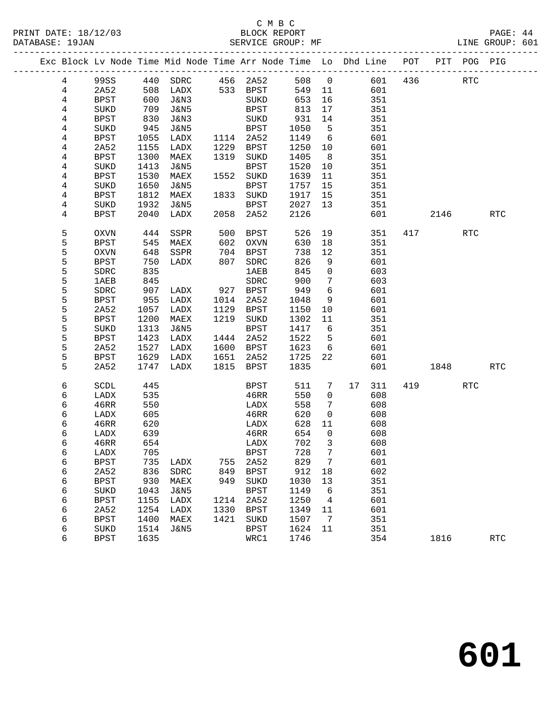#### C M B C<br>BLOCK REPORT PRINT DATE: 18/12/03 BLOCK REPORT PAGE: 44 SERVICE GROUP: MF

|  |                |              |      | Exc Block Lv Node Time Mid Node Time Arr Node Time Lo Dhd Line POT |      |             |      |                 |    |     |     |            | PIT POG PIG |            |
|--|----------------|--------------|------|--------------------------------------------------------------------|------|-------------|------|-----------------|----|-----|-----|------------|-------------|------------|
|  | 4              | 99SS         |      | 440 SDRC 456 2A52                                                  |      |             | 508  | $\overline{0}$  |    | 601 | 436 | <b>RTC</b> |             |            |
|  | $\overline{4}$ | 2A52         |      | 508 LADX                                                           |      | 533 BPST    | 549  | 11              |    | 601 |     |            |             |            |
|  | 4              | <b>BPST</b>  | 600  | J&N3                                                               |      | SUKD        | 653  | 16              |    | 351 |     |            |             |            |
|  | 4              | SUKD         | 709  | J&N5                                                               |      | BPST        | 813  | 17              |    | 351 |     |            |             |            |
|  | 4              | <b>BPST</b>  | 830  | J&N3                                                               |      | SUKD        | 931  | 14              |    | 351 |     |            |             |            |
|  | 4              | SUKD         | 945  | J&N5                                                               |      | <b>BPST</b> | 1050 | $5^{\circ}$     |    | 351 |     |            |             |            |
|  | 4              | <b>BPST</b>  | 1055 | LADX                                                               |      | 1114 2A52   | 1149 | $6\overline{6}$ |    | 601 |     |            |             |            |
|  | 4              | 2A52         | 1155 | LADX                                                               |      | 1229 BPST   | 1250 | 10              |    | 601 |     |            |             |            |
|  | 4              | <b>BPST</b>  | 1300 | MAEX                                                               |      | 1319 SUKD   | 1405 | 8 <sup>8</sup>  |    | 351 |     |            |             |            |
|  | 4              | SUKD         | 1413 | J&N5                                                               |      | BPST        | 1520 | 10              |    | 351 |     |            |             |            |
|  | 4              | BPST         | 1530 | MAEX                                                               |      | 1552 SUKD   | 1639 | 11              |    | 351 |     |            |             |            |
|  | 4              | SUKD         | 1650 | J&N5                                                               |      | BPST        | 1757 | 15              |    | 351 |     |            |             |            |
|  | 4              | <b>BPST</b>  | 1812 | MAEX                                                               |      | 1833 SUKD   | 1917 | 15              |    | 351 |     |            |             |            |
|  | 4              | SUKD         | 1932 | J&N5                                                               |      | BPST        | 2027 | 13              |    | 351 |     |            |             |            |
|  | 4              | <b>BPST</b>  | 2040 | LADX                                                               | 2058 | 2A52        | 2126 |                 |    | 601 |     | 2146       |             | <b>RTC</b> |
|  | 5              | OXVN         | 444  | SSPR                                                               | 500  | BPST        | 526  | 19              |    | 351 |     | 417        | RTC         |            |
|  | 5              | <b>BPST</b>  |      | 545 MAEX                                                           | 602  | OXVN        | 630  | 18              |    | 351 |     |            |             |            |
|  | 5              | OXVN         | 648  | SSPR                                                               | 704  | BPST        | 738  | 12              |    | 351 |     |            |             |            |
|  | 5              | <b>BPST</b>  | 750  | LADX                                                               | 807  | SDRC        | 826  | 9               |    | 601 |     |            |             |            |
|  | 5              | ${\tt SDRC}$ | 835  |                                                                    |      | 1AEB        | 845  | $\mathbf 0$     |    | 603 |     |            |             |            |
|  | 5              | 1AEB         | 845  |                                                                    |      | SDRC        | 900  | $7\phantom{.0}$ |    | 603 |     |            |             |            |
|  | 5              | ${\tt SDRC}$ | 907  | LADX                                                               | 927  | <b>BPST</b> | 949  | $6\overline{6}$ |    | 601 |     |            |             |            |
|  | 5              | <b>BPST</b>  | 955  | LADX                                                               | 1014 | 2A52        | 1048 | 9               |    | 601 |     |            |             |            |
|  | 5              | 2A52         | 1057 | LADX                                                               | 1129 | BPST        | 1150 | 10              |    | 601 |     |            |             |            |
|  | 5              | <b>BPST</b>  | 1200 | MAEX                                                               |      | 1219 SUKD   | 1302 | 11              |    | 351 |     |            |             |            |
|  | 5              | SUKD         | 1313 | J&N5                                                               |      | BPST        | 1417 | 6               |    | 351 |     |            |             |            |
|  | 5              | <b>BPST</b>  | 1423 | LADX                                                               | 1444 | 2A52        | 1522 | $5^{\circ}$     |    | 601 |     |            |             |            |
|  | 5              | 2A52         | 1527 | LADX                                                               | 1600 | BPST        | 1623 | $6\overline{6}$ |    | 601 |     |            |             |            |
|  | 5              | <b>BPST</b>  | 1629 | LADX                                                               | 1651 | 2A52        | 1725 | 22              |    | 601 |     |            |             |            |
|  | 5              | 2A52         |      | 1747 LADX                                                          |      | 1815 BPST   | 1835 |                 |    | 601 |     | 1848       |             | <b>RTC</b> |
|  | 6              | SCDL         | 445  |                                                                    |      | BPST        | 511  | 7               | 17 | 311 |     | 419        | RTC         |            |
|  | 6              | LADX         | 535  |                                                                    |      | 46RR        | 550  | $\overline{0}$  |    | 608 |     |            |             |            |
|  | 6              | 46RR         | 550  |                                                                    |      | LADX        | 558  | $7\phantom{.0}$ |    | 608 |     |            |             |            |
|  | 6              | LADX         | 605  |                                                                    |      | 46RR        | 620  | $\overline{0}$  |    | 608 |     |            |             |            |
|  | 6              | 46RR         | 620  |                                                                    |      | LADX        | 628  | 11              |    | 608 |     |            |             |            |
|  | 6              | LADX         | 639  |                                                                    |      | 46RR        | 654  | $\overline{0}$  |    | 608 |     |            |             |            |
|  | 6              | 46RR         | 654  |                                                                    |      | LADX        | 702  | $\overline{3}$  |    | 608 |     |            |             |            |
|  | 6              | LADX         | 705  |                                                                    |      | BPST        | 728  | $7\overline{ }$ |    | 601 |     |            |             |            |
|  | 6              | <b>BPST</b>  | 735  | LADX                                                               | 755  | 2A52        | 829  | 7               |    | 601 |     |            |             |            |
|  | 6              | 2A52         | 836  | ${\tt SDRC}$                                                       | 849  | <b>BPST</b> | 912  | 18              |    | 602 |     |            |             |            |
|  | 6              | <b>BPST</b>  | 930  | MAEX                                                               | 949  | SUKD        | 1030 | 13              |    | 351 |     |            |             |            |
|  | 6              | SUKD         | 1043 | J&N5                                                               |      | BPST        | 1149 | 6               |    | 351 |     |            |             |            |
|  | 6              | <b>BPST</b>  | 1155 | LADX                                                               | 1214 | 2A52        | 1250 | $\overline{4}$  |    | 601 |     |            |             |            |
|  | 6              | 2A52         | 1254 | LADX                                                               | 1330 | BPST        | 1349 | 11              |    | 601 |     |            |             |            |
|  | 6              | <b>BPST</b>  | 1400 | MAEX                                                               | 1421 | SUKD        | 1507 | $\overline{7}$  |    | 351 |     |            |             |            |
|  | 6              | SUKD         | 1514 | J&N5                                                               |      | BPST        | 1624 | 11              |    | 351 |     |            |             |            |
|  | 6              | <b>BPST</b>  | 1635 |                                                                    |      | WRC1        | 1746 |                 |    | 354 |     | 1816       |             | <b>RTC</b> |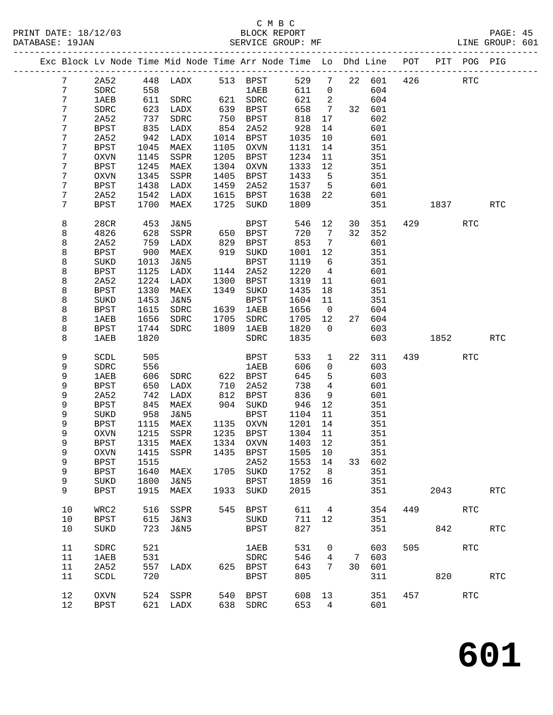|  |                 |                     |              | Exc Block Lv Node Time Mid Node Time Arr Node Time Lo Dhd Line POT |              |                        |              |                      |    |            |     |      | PIT POG PIG |            |
|--|-----------------|---------------------|--------------|--------------------------------------------------------------------|--------------|------------------------|--------------|----------------------|----|------------|-----|------|-------------|------------|
|  | $7\phantom{.0}$ | 2A52                |              | 448 LADX                                                           |              | 513 BPST               | 529          | $7\overline{ }$      |    | 22 601     | 426 |      | <b>RTC</b>  |            |
|  | 7               | SDRC                | 558          |                                                                    |              | <b>1AEB</b>            | 611          | $\mathbf 0$          |    | 604        |     |      |             |            |
|  | 7               | <b>1AEB</b>         | 611          | SDRC                                                               |              | 621 SDRC               | 621          | 2                    |    | 604        |     |      |             |            |
|  | 7               | SDRC                | 623          | LADX                                                               | 639          | BPST                   | 658          | $7\overline{ }$      |    | 32 601     |     |      |             |            |
|  | 7               | 2A52                | 737          | SDRC                                                               | 750          | BPST                   | 818          | 17                   |    | 602        |     |      |             |            |
|  | 7               | BPST                | 835          | LADX                                                               | 854          | 2A52                   | 928          | 14                   |    | 601        |     |      |             |            |
|  | 7               | 2A52                | 942          | LADX                                                               | 1014         | BPST                   | 1035         | 10                   |    | 601        |     |      |             |            |
|  | 7               | BPST                | 1045         | MAEX                                                               | 1105         | OXVN                   | 1131         | 14                   |    | 351        |     |      |             |            |
|  | 7<br>7          | OXVN                | 1145         | SSPR                                                               | 1205         | BPST<br><b>OXVN</b>    | 1234         | 11                   |    | 351        |     |      |             |            |
|  | 7               | <b>BPST</b><br>OXVN | 1245<br>1345 | MAEX<br>SSPR                                                       | 1304<br>1405 | BPST                   | 1333<br>1433 | 12<br>$5^{\circ}$    |    | 351<br>351 |     |      |             |            |
|  | 7               | BPST                | 1438         | LADX                                                               | 1459         | 2A52                   | 1537         | $5^{\circ}$          |    | 601        |     |      |             |            |
|  | 7               | 2A52                | 1542         | LADX                                                               | 1615         | BPST                   | 1638         | 22                   |    | 601        |     |      |             |            |
|  | 7               | BPST                | 1700         | MAEX                                                               | 1725         | SUKD                   | 1809         |                      |    | 351        |     | 1837 |             | <b>RTC</b> |
|  |                 |                     |              |                                                                    |              |                        |              |                      |    |            |     |      |             |            |
|  | 8               | 28CR                | 453          | <b>J&amp;N5</b>                                                    |              | BPST                   | 546          | 12                   | 30 | 351        | 429 |      | <b>RTC</b>  |            |
|  | 8               | 4826                | 628          | SSPR                                                               | 650          | BPST                   | 720          | $\overline{7}$       | 32 | 352        |     |      |             |            |
|  | 8               | 2A52                | 759          | LADX                                                               | 829          | BPST                   | 853          | 7                    |    | 601        |     |      |             |            |
|  | 8               | <b>BPST</b>         | 900          | MAEX                                                               | 919          | SUKD                   | 1001         | 12                   |    | 351        |     |      |             |            |
|  | 8               | SUKD                | 1013         | J&N5                                                               |              | BPST                   | 1119         | 6                    |    | 351        |     |      |             |            |
|  | 8               | BPST                | 1125         | LADX                                                               | 1144         | 2A52                   | 1220         | $\overline{4}$       |    | 601        |     |      |             |            |
|  | 8               | 2A52                | 1224         | LADX                                                               | 1300         | BPST                   | 1319         | 11                   |    | 601        |     |      |             |            |
|  | 8               | <b>BPST</b>         | 1330<br>1453 | MAEX                                                               | 1349         | SUKD                   | 1435         | 18                   |    | 351        |     |      |             |            |
|  | 8<br>8          | SUKD<br><b>BPST</b> | 1615         | J&N5<br>SDRC                                                       | 1639         | <b>BPST</b><br>1AEB    | 1604<br>1656 | 11<br>$\overline{0}$ |    | 351<br>604 |     |      |             |            |
|  | 8               | <b>1AEB</b>         | 1656         | SDRC                                                               | 1705         | SDRC                   | 1705         | 12                   | 27 | 604        |     |      |             |            |
|  | 8               | BPST                | 1744         | SDRC                                                               | 1809         | 1AEB                   | 1820         | $\Omega$             |    | 603        |     |      |             |            |
|  | 8               | <b>1AEB</b>         | 1820         |                                                                    |              | SDRC                   | 1835         |                      |    | 603        |     | 1852 |             | <b>RTC</b> |
|  |                 |                     |              |                                                                    |              |                        |              |                      |    |            |     |      |             |            |
|  | 9               | SCDL                | 505          |                                                                    |              | BPST                   | 533          | $\mathbf{1}$         | 22 | 311        |     | 439  | <b>RTC</b>  |            |
|  | 9               | SDRC                | 556          |                                                                    |              | <b>1AEB</b>            | 606          | $\mathbf 0$          |    | 603        |     |      |             |            |
|  | 9               | <b>1AEB</b>         | 606          | SDRC                                                               |              | 622 BPST               | 645          | 5                    |    | 603        |     |      |             |            |
|  | 9               | BPST                | 650          | LADX                                                               | 710          | 2A52                   | 738          | 4                    |    | 601        |     |      |             |            |
|  | 9               | 2A52                | 742          | LADX                                                               | 812          | BPST                   | 836          | 9                    |    | 601        |     |      |             |            |
|  | 9               | <b>BPST</b>         | 845          | MAEX                                                               | 904          | SUKD                   | 946          | 12                   |    | 351        |     |      |             |            |
|  | 9<br>9          | SUKD                | 958          | J&N5                                                               |              | <b>BPST</b>            | 1104         | 11                   |    | 351        |     |      |             |            |
|  | 9               | BPST<br>OXVN        | 1115<br>1215 | MAEX<br>SSPR                                                       |              | 1135 OXVN<br>1235 BPST | 1201<br>1304 | 14<br>11             |    | 351<br>351 |     |      |             |            |
|  | 9               | <b>BPST</b>         | 1315         | MAEX                                                               |              | 1334 OXVN              | 1403 12      |                      |    | 351        |     |      |             |            |
|  | 9               | OXVN                |              | 1415 SSPR                                                          |              | 1435 BPST 1505 10      |              |                      |    | 351        |     |      |             |            |
|  | 9               | <b>BPST</b>         | 1515         |                                                                    |              | 2A52                   | 1553         | 14                   | 33 | 602        |     |      |             |            |
|  | 9               | <b>BPST</b>         | 1640         | MAEX                                                               | 1705         | $\rm SUKD$             | 1752         | 8                    |    | 351        |     |      |             |            |
|  | 9               | SUKD                | 1800         | <b>J&amp;N5</b>                                                    |              | <b>BPST</b>            | 1859         | 16                   |    | 351        |     |      |             |            |
|  | 9               | <b>BPST</b>         | 1915         | MAEX                                                               | 1933         | SUKD                   | 2015         |                      |    | 351        |     | 2043 |             | <b>RTC</b> |
|  |                 |                     |              |                                                                    |              |                        |              |                      |    |            |     |      |             |            |
|  | 10              | WRC2                | 516          | SSPR                                                               | 545          | <b>BPST</b>            | 611          | 4                    |    | 354        | 449 |      | <b>RTC</b>  |            |
|  | 10<br>10        | <b>BPST</b>         | 615<br>723   | <b>J&amp;N3</b>                                                    |              | SUKD                   | 711<br>827   | 12                   |    | 351<br>351 |     | 842  |             |            |
|  |                 | SUKD                |              | <b>J&amp;N5</b>                                                    |              | <b>BPST</b>            |              |                      |    |            |     |      |             | RTC        |
|  | 11              | SDRC                | 521          |                                                                    |              | 1AEB                   | 531          | 0                    |    | 603        | 505 |      | <b>RTC</b>  |            |
|  | 11              | 1AEB                | 531          |                                                                    |              | SDRC                   | 546          | 4                    | 7  | 603        |     |      |             |            |
|  | 11              | 2A52                | 557          | LADX                                                               | 625          | BPST                   | 643          | 7                    | 30 | 601        |     |      |             |            |
|  | 11              | SCDL                | 720          |                                                                    |              | <b>BPST</b>            | 805          |                      |    | 311        |     | 820  |             | <b>RTC</b> |
|  |                 |                     |              |                                                                    |              |                        |              |                      |    |            |     |      |             |            |
|  | 12              | <b>OXVN</b>         | 524          | SSPR                                                               | 540          | <b>BPST</b>            | 608          | 13                   |    | 351        | 457 |      | <b>RTC</b>  |            |
|  | 12              | <b>BPST</b>         | 621          | LADX                                                               | 638          | SDRC                   | 653          | 4                    |    | 601        |     |      |             |            |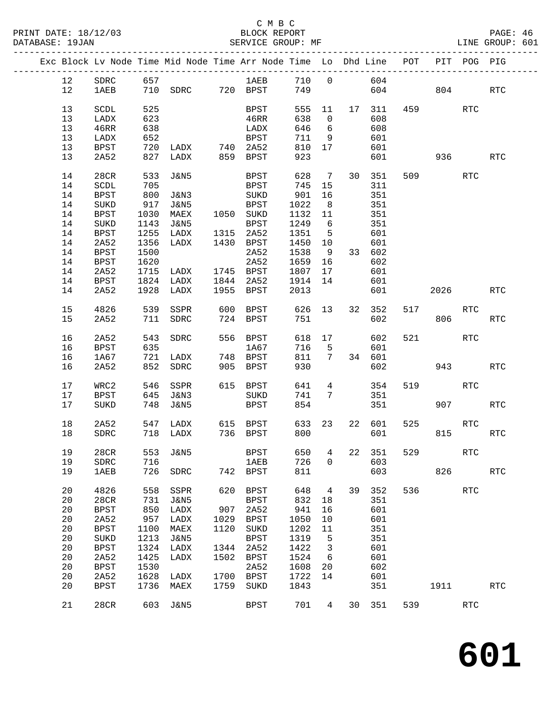# C M B C<br>BLOCK REPORT

|    |                 |      | Exc Block Lv Node Time Mid Node Time Arr Node Time Lo Dhd Line POT |      |                      |              |                 |        |               |     |                        | PIT POG PIG          |                      |
|----|-----------------|------|--------------------------------------------------------------------|------|----------------------|--------------|-----------------|--------|---------------|-----|------------------------|----------------------|----------------------|
| 12 | SDRC            |      | 657                                                                |      |                      |              |                 |        |               |     |                        |                      |                      |
| 12 | 1AEB            |      |                                                                    |      |                      |              |                 |        |               |     | 604 804                |                      | RTC                  |
|    |                 |      |                                                                    |      |                      |              |                 |        |               |     |                        |                      |                      |
| 13 | SCDL            | 525  |                                                                    |      | BPST                 |              |                 |        | 555 11 17 311 |     | 459 and $\overline{a}$ | <b>RTC</b>           |                      |
| 13 | LADX            | 623  |                                                                    |      | 46RR                 | 638          | $\overline{0}$  |        | 608           |     |                        |                      |                      |
| 13 | 46RR            | 638  |                                                                    |      | LADX                 | 646          | 6               |        | 608           |     |                        |                      |                      |
| 13 | LADX            | 652  |                                                                    |      | BPST                 | 711 9        |                 |        | 601           |     |                        |                      |                      |
| 13 | <b>BPST</b>     | 720  | LADX 740 2A52                                                      |      |                      | 810 17       |                 |        | 601           |     |                        |                      |                      |
| 13 | 2A52            |      | 827 LADX                                                           |      | 859 BPST             | 923          |                 |        | 601           |     |                        | 936 — 10             | <b>RTC</b>           |
|    |                 |      |                                                                    |      |                      |              |                 |        |               |     |                        |                      |                      |
| 14 | 28CR            | 533  | J&N5                                                               |      | <b>BPST</b>          |              |                 |        | 628 7 30 351  |     | 509                    | RTC                  |                      |
| 14 | SCDL            | 705  |                                                                    |      | BPST                 | 745 15       |                 |        | 311           |     |                        |                      |                      |
|    |                 |      |                                                                    |      |                      |              |                 |        |               |     |                        |                      |                      |
| 14 | BPST            | 800  | J&N3                                                               |      | SUKD                 | 901          | 16              |        | 351           |     |                        |                      |                      |
| 14 | $\rm SUKD$      | 917  | J&N5                                                               |      | BPST                 | 1022         | 8 <sup>8</sup>  |        | 351           |     |                        |                      |                      |
| 14 | BPST            | 1030 | MAEX                                                               |      | 1050 SUKD            | 1132 11      |                 |        | 351           |     |                        |                      |                      |
| 14 | $\rm SUKD$      | 1143 | J&N5                                                               |      | BPST                 | 1249 6       |                 |        | 351           |     |                        |                      |                      |
| 14 | <b>BPST</b>     | 1255 | LADX                                                               |      | 1315 2A52            | 1351 5       |                 |        | 601           |     |                        |                      |                      |
| 14 | 2A52            | 1356 | LADX                                                               |      | 1430 BPST            | 1450 10      |                 |        | 601           |     |                        |                      |                      |
| 14 | <b>BPST</b>     | 1500 |                                                                    |      | 2A52                 | 1538         | 9               |        | 33 602        |     |                        |                      |                      |
| 14 | BPST            | 1620 |                                                                    |      | 2A52                 | 1659 16      |                 |        | 602           |     |                        |                      |                      |
| 14 | 2A52            | 1715 | LADX                                                               |      | 1745 BPST            | 1807         | 17              |        | 601           |     |                        |                      |                      |
|    |                 |      |                                                                    |      |                      |              |                 |        |               |     |                        |                      |                      |
| 14 | <b>BPST</b>     | 1824 | LADX                                                               |      | 1844 2A52            | 1914 14      |                 |        | 601           |     |                        |                      |                      |
| 14 | 2A52            |      | 1928 LADX                                                          |      | 1955 BPST            | 2013         |                 |        | 601           |     | 2026 70                |                      | <b>RTC</b>           |
| 15 | 4826            | 539  | SSPR                                                               |      | 600 BPST             | 626 13       |                 |        | 32 352        |     | 517 RTC                |                      |                      |
| 15 | 2A52            |      | 711 SDRC                                                           |      | 724 BPST             | 751          |                 |        | 602           |     | 806 —                  |                      | RTC                  |
|    |                 |      |                                                                    |      |                      |              |                 |        |               |     |                        |                      |                      |
|    |                 |      |                                                                    |      |                      |              |                 |        |               |     | <b>RTC</b>             |                      |                      |
| 16 | 2A52            |      | 543 SDRC                                                           |      | 556 BPST             |              |                 | 618 17 | 602           | 521 |                        |                      |                      |
| 16 | BPST            | 635  |                                                                    |      | 1A67                 | 716          | $5^{\circ}$     |        | 601           |     |                        |                      |                      |
| 16 | 1A67            |      | 721 LADX                                                           |      | 748 BPST<br>905 BPST | 811          | 7               |        | 34 601        |     |                        |                      |                      |
| 16 | 2A52            |      | 852 SDRC                                                           |      | 905 BPST             | 930          |                 |        | 602           |     |                        | 943 — 10             | RTC                  |
|    |                 |      |                                                                    |      |                      |              |                 |        |               |     |                        |                      |                      |
| 17 | WRC2            | 546  | SSPR                                                               |      | 615 BPST             | 641          | 4               |        | 354           |     | 519                    | RTC                  |                      |
| 17 | BPST            |      | 645 J&N3                                                           |      | SUKD                 | 741          | $7\phantom{0}$  |        | 351           |     |                        |                      |                      |
| 17 | SUKD            |      | 748 J&N5                                                           |      | BPST                 | 854          |                 |        | 351           |     |                        | 907 — 100            | <b>RTC</b>           |
|    |                 |      |                                                                    |      |                      |              |                 |        |               |     |                        |                      |                      |
| 18 | 2A52            |      | 547 LADX                                                           |      | 615 BPST             | 633 23       |                 |        | 22 601        | 525 | RTC                    |                      |                      |
| 18 | SDRC            |      | 718 LADX                                                           |      | 736 BPST             | 800          |                 |        | 601           |     | 815                    |                      | RTC                  |
|    |                 |      |                                                                    |      |                      |              |                 |        |               |     |                        |                      |                      |
| 19 | $28\mathrm{CR}$ |      | 553 J&N5                                                           |      | BPST                 | 650 4 22 351 |                 |        |               |     | 529                    | $\operatorname{RTC}$ |                      |
|    |                 |      |                                                                    |      |                      |              |                 |        |               |     |                        |                      |                      |
| 19 | SDRC            | 716  |                                                                    |      | 1AEB                 | 726          | 0               |        | 603           |     |                        |                      |                      |
| 19 | <b>1AEB</b>     | 726  | SDRC                                                               |      | 742 BPST             | 811          |                 |        | 603           |     | 826                    |                      | $\operatorname{RTC}$ |
|    |                 |      |                                                                    |      |                      |              |                 |        |               |     |                        |                      |                      |
| 20 | 4826            | 558  | SSPR                                                               | 620  | BPST                 | 648          | $\overline{4}$  | 39     | 352           | 536 |                        | RTC                  |                      |
| 20 | 28CR            | 731  | J&N5                                                               |      | BPST                 | 832          | 18              |        | 351           |     |                        |                      |                      |
| 20 | <b>BPST</b>     | 850  | LADX                                                               | 907  | 2A52                 | 941          | 16              |        | 601           |     |                        |                      |                      |
| 20 | 2A52            | 957  | LADX                                                               | 1029 | BPST                 | 1050         | 10              |        | 601           |     |                        |                      |                      |
| 20 | <b>BPST</b>     | 1100 | MAEX                                                               | 1120 | SUKD                 | 1202         | 11              |        | 351           |     |                        |                      |                      |
| 20 | SUKD            | 1213 | J&N5                                                               |      | <b>BPST</b>          | 1319         | $5^{\circ}$     |        | 351           |     |                        |                      |                      |
| 20 | <b>BPST</b>     | 1324 | LADX                                                               | 1344 | 2A52                 | 1422         | 3               |        | 601           |     |                        |                      |                      |
| 20 | 2A52            | 1425 | LADX                                                               | 1502 | BPST                 | 1524         | $6\overline{6}$ |        | 601           |     |                        |                      |                      |
| 20 | <b>BPST</b>     | 1530 |                                                                    |      | 2A52                 | 1608         | 20              |        | 602           |     |                        |                      |                      |
|    |                 |      |                                                                    |      |                      |              |                 |        |               |     |                        |                      |                      |
| 20 | 2A52            | 1628 | LADX                                                               | 1700 | BPST                 | 1722         | 14              |        | 601           |     |                        |                      |                      |
| 20 | <b>BPST</b>     | 1736 | MAEX                                                               | 1759 | SUKD                 | 1843         |                 |        | 351           |     | 1911                   |                      | <b>RTC</b>           |
|    |                 |      |                                                                    |      |                      |              |                 |        |               |     |                        |                      |                      |
| 21 | 28CR            |      | 603 J&N5                                                           |      | BPST                 | 701          | 4               |        | 30 351        | 539 |                        | RTC                  |                      |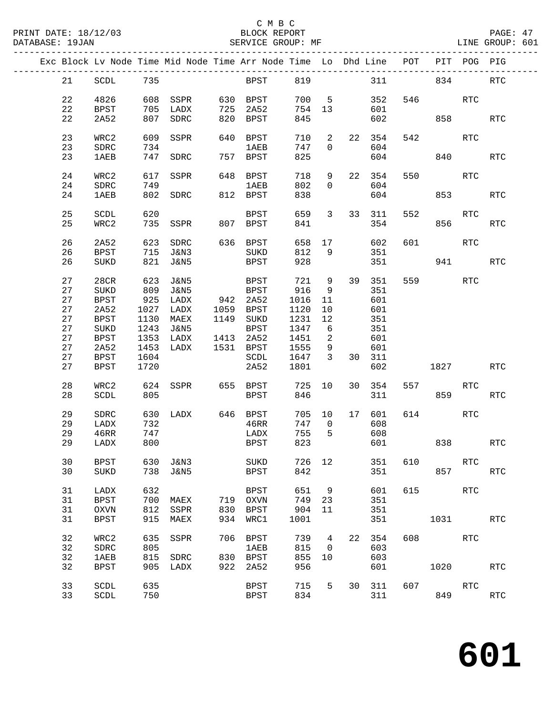# C M B C<br>
PRINT DATE: 18/12/03 BLOCK REPOR

| DATABASE: 19JAN |    |             |       | SERVICE GROUP: MF                                                              |     |                      |        |                         |    |           |         |            |              | LINE GROUP: 601 |  |
|-----------------|----|-------------|-------|--------------------------------------------------------------------------------|-----|----------------------|--------|-------------------------|----|-----------|---------|------------|--------------|-----------------|--|
|                 |    |             |       | Exc Block Lv Node Time Mid Node Time Arr Node Time Lo Dhd Line POT PIT POG PIG |     |                      |        |                         |    |           |         |            |              |                 |  |
|                 |    | 21 SCDL 735 |       |                                                                                |     | BPST 819 311 834     |        |                         |    |           |         |            |              | RTC             |  |
|                 | 22 | 4826        |       |                                                                                |     |                      |        |                         |    | 700 5 352 |         | 546 RTC    |              |                 |  |
|                 | 22 | BPST        |       | 705 LADX                                                                       |     |                      | 754    | 13                      |    | 601       |         |            |              |                 |  |
|                 | 22 | 2A52        |       | 807 SDRC                                                                       |     | 725 2A52<br>820 BPST | 845    |                         |    | 602       |         |            | 858 30       | RTC             |  |
|                 |    |             |       |                                                                                |     |                      |        |                         |    |           |         |            |              |                 |  |
|                 | 23 | WRC2        | 609   | SSPR                                                                           |     | 640 BPST             | 710    | $\overline{a}$          |    | 22 354    |         | 542        | RTC          |                 |  |
|                 | 23 | SDRC        | 734   |                                                                                |     | 1 AE B               | 747    | $\Omega$                |    | 604       |         |            |              |                 |  |
|                 | 23 | 1AEB        |       | 747 SDRC                                                                       |     | 757 BPST             | 825    |                         |    | 604       |         |            | 840 340      | <b>RTC</b>      |  |
|                 | 24 |             |       | SSPR                                                                           |     |                      | 718    |                         |    | 22 354    |         |            | RTC          |                 |  |
|                 |    | WRC2        | 617   |                                                                                |     | 648 BPST             |        | 9                       |    |           |         |            |              |                 |  |
|                 | 24 | SDRC        | 749   |                                                                                |     | <b>1AEB</b>          | 802    | $\Omega$                |    | 604       |         |            |              |                 |  |
|                 | 24 | <b>1AEB</b> |       | 802 SDRC 812 BPST                                                              |     |                      | 838    |                         |    | 604       |         |            | 853 and 1980 | <b>RTC</b>      |  |
|                 | 25 | SCDL        | 620   |                                                                                |     | BPST                 | 659    | 3                       |    | 33 311    | 552     |            | RTC          |                 |  |
|                 | 25 | WRC2        |       | 735 SSPR                                                                       |     | 807 BPST             | 841    |                         |    | 354       |         | 856        |              | RTC             |  |
|                 |    |             |       |                                                                                |     |                      |        |                         |    |           |         |            |              |                 |  |
|                 | 26 | 2A52        |       | 623 SDRC                                                                       |     | 636 BPST             |        | 658 17                  |    | 602       | 601     |            | RTC          |                 |  |
|                 | 26 | BPST        | 715   | J&N3                                                                           |     | SUKD                 | 812    | 9                       |    | 351       |         |            |              |                 |  |
|                 | 26 | SUKD        | 821   | J&N5                                                                           |     | BPST                 | 928    |                         |    | 351       |         |            | 941          | <b>RTC</b>      |  |
|                 |    |             |       |                                                                                |     |                      | 721 9  |                         |    | 39 351    |         | 559 75     |              |                 |  |
|                 | 27 | 28CR        | 623   | J&N5                                                                           |     | BPST                 |        |                         |    |           |         |            | RTC          |                 |  |
|                 | 27 | $\rm SUKD$  | 809   | J&N5                                                                           |     | <b>BPST</b>          | 916    | 9                       |    | 351       |         |            |              |                 |  |
|                 | 27 | BPST        | 925   | LADX                                                                           |     | 942 2A52             | 1016   | 11                      |    | 601       |         |            |              |                 |  |
|                 | 27 | 2A52        | 1027  | LADX                                                                           |     | 1059 BPST            | 1120   | 10                      |    | 601       |         |            |              |                 |  |
|                 | 27 | BPST        | 1130  | MAEX                                                                           |     | 1149 SUKD            | 1231   | 12                      |    | 351       |         |            |              |                 |  |
|                 | 27 | SUKD        | 1243  | J&N5                                                                           |     | BPST                 | 1347   | 6                       |    | 351       |         |            |              |                 |  |
|                 | 27 | BPST        | 1353  | LADX                                                                           |     | 1413 2A52            | 1451   | $\overline{a}$          |    | 601       |         |            |              |                 |  |
|                 | 27 | 2A52        | 1453  | LADX                                                                           |     | 1531 BPST            | 1555   | 9                       |    | 601       |         |            |              |                 |  |
|                 | 27 | BPST        | 1604  |                                                                                |     | SCDL                 | 1647   | $\overline{\mathbf{3}}$ |    | 30 311    |         |            |              |                 |  |
|                 | 27 | BPST        | 1720  |                                                                                |     | 2A52                 | 1801   |                         |    | 602       |         |            | 1827 — 1820  | RTC             |  |
|                 |    |             |       |                                                                                |     |                      |        |                         |    |           |         |            |              |                 |  |
|                 | 28 | WRC2        | 624   |                                                                                |     | SSPR 655 BPST        | 725    | 10                      |    | 30 354    |         | 557 000    | RTC          |                 |  |
|                 | 28 | SCDL        | 805   |                                                                                |     | <b>BPST</b>          | 846    |                         |    | 311       |         |            | 859 — 10     | <b>RTC</b>      |  |
|                 | 29 |             | 630   |                                                                                |     |                      |        |                         |    | 17 601    |         | 614        | RTC          |                 |  |
|                 |    | SDRC        |       | LADX 646 BPST                                                                  |     |                      | 705 10 |                         |    |           |         |            |              |                 |  |
|                 | 29 | LADX        | 732   |                                                                                |     | 46RR                 | 747    | $\overline{0}$          |    | 608       |         |            |              |                 |  |
|                 | 29 | 46RR        | $747$ |                                                                                |     | LADX                 | 755    | $5^{\circ}$             |    | 608       |         |            |              |                 |  |
|                 |    | 29 LADX 800 |       |                                                                                |     | <b>BPST</b>          |        |                         |    |           | 823 601 | 838        |              | RTC             |  |
|                 | 30 | <b>BPST</b> | 630   | J&N3                                                                           |     | $\rm SUKD$           | 726    | 12                      |    | 351       | 610     |            | RTC          |                 |  |
|                 | 30 | SUKD        |       | 738 J&N5                                                                       |     | BPST                 | 842    |                         |    | 351       |         |            | 857          | RTC             |  |
|                 |    |             |       |                                                                                |     |                      |        |                         |    |           |         |            |              |                 |  |
|                 | 31 | LADX        | 632   |                                                                                |     | <b>BPST</b>          | 651    | 9                       |    | 601       | 615     |            | RTC          |                 |  |
|                 | 31 | <b>BPST</b> | 700   | MAEX                                                                           | 719 | OXVN                 | 749    | 23                      |    | 351       |         |            |              |                 |  |
|                 | 31 | <b>OXVN</b> | 812   | SSPR                                                                           | 830 | <b>BPST</b>          | 904    | 11                      |    | 351       |         |            |              |                 |  |
|                 | 31 | <b>BPST</b> | 915   | MAEX                                                                           | 934 | WRC1                 | 1001   |                         |    | 351       |         |            | 1031 RTC     |                 |  |
|                 |    |             |       |                                                                                |     |                      |        |                         |    |           |         |            |              |                 |  |
|                 | 32 | WRC2        | 635   | SSPR                                                                           | 706 | <b>BPST</b>          | 739    | $\overline{4}$          | 22 | 354       | 608     | <b>RTC</b> |              |                 |  |
|                 | 32 | SDRC        | 805   |                                                                                |     | <b>1AEB</b>          | 815    | $\overline{\mathbf{0}}$ |    | 603       |         |            |              |                 |  |
|                 | 32 | 1AEB        | 815   | SDRC                                                                           | 830 | BPST                 | 855    | 10                      |    | 603       |         |            |              |                 |  |
|                 | 32 | BPST        | 905   | LADX                                                                           | 922 | 2A52                 | 956    |                         |    | 601       |         | 1020       |              | <b>RTC</b>      |  |
|                 | 33 | SCDL        | 635   |                                                                                |     | BPST                 | 715    | 5                       |    | 30 311    | 607     |            | RTC          |                 |  |
|                 | 33 |             | 750   |                                                                                |     |                      | 834    |                         |    | 311       |         |            | 849          |                 |  |
|                 |    | SCDL        |       |                                                                                |     | BPST                 |        |                         |    |           |         |            |              | RTC             |  |
|                 |    |             |       |                                                                                |     |                      |        |                         |    |           |         |            |              |                 |  |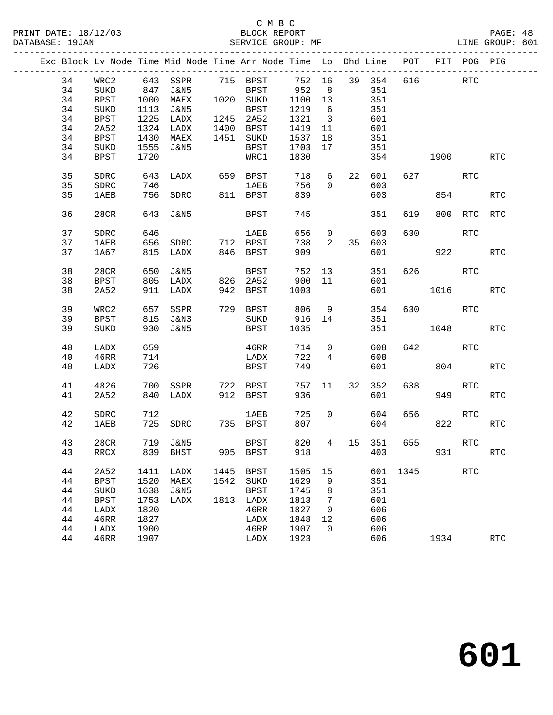|  |    |             |      | Exc Block Lv Node Time Mid Node Time Arr Node Time Lo Dhd Line |      |              |         |                         |          |          | POT PIT POG PIG |            |                      |
|--|----|-------------|------|----------------------------------------------------------------|------|--------------|---------|-------------------------|----------|----------|-----------------|------------|----------------------|
|  | 34 | WRC2        |      | 643 SSPR 715 BPST                                              |      |              | 752 16  |                         | 39 354   |          | 616 RTC         |            |                      |
|  | 34 | SUKD        | 847  | J&N5                                                           |      | BPST 952     |         | 8                       | 351      |          |                 |            |                      |
|  | 34 | BPST        | 1000 | <b>MAEX</b>                                                    |      | 1020 SUKD    | 1100 13 |                         | 351      |          |                 |            |                      |
|  |    |             |      |                                                                |      |              |         |                         |          |          |                 |            |                      |
|  | 34 | SUKD        | 1113 | J&N5                                                           |      | BPST         | 1219    | 6                       | 351      |          |                 |            |                      |
|  | 34 | <b>BPST</b> | 1225 | LADX                                                           |      | 1245 2A52    | 1321    | $\overline{\mathbf{3}}$ | 601      |          |                 |            |                      |
|  | 34 | 2A52        | 1324 | LADX                                                           |      | 1400 BPST    | 1419    | 11                      | 601      |          |                 |            |                      |
|  | 34 | BPST        | 1430 | MAEX                                                           |      | 1451 SUKD    | 1537    | 18                      | 351      |          |                 |            |                      |
|  | 34 | SUKD        | 1555 | J&N5                                                           |      | BPST         | 1703    | 17                      | 351      |          |                 |            |                      |
|  | 34 | BPST        | 1720 |                                                                |      | WRC1         | 1830    |                         | 354      |          | 1900            |            | RTC                  |
|  | 35 | SDRC        |      | 643 LADX                                                       |      | 659 BPST 718 |         |                         | 6 22 601 |          | 627 — 100       | RTC        |                      |
|  | 35 | SDRC        | 746  |                                                                |      | 1AEB         | 756     | $\overline{0}$          | 603      |          |                 |            |                      |
|  | 35 | 1AEB        |      | 756 SDRC 811 BPST                                              |      |              | 839     |                         | 603      |          |                 | 854        | <b>RTC</b>           |
|  | 36 | 28CR        | 643  | J&N5                                                           |      | BPST         | 745     |                         | 351      | 619      | 800             | RTC        | <b>RTC</b>           |
|  | 37 | SDRC        | 646  |                                                                |      | <b>1AEB</b>  | 656     | $\overline{0}$          | 603      | 630      |                 | RTC        |                      |
|  | 37 | 1AEB        |      | 656 SDRC 712 BPST                                              |      |              | 738     | 2                       | 35 603   |          |                 |            |                      |
|  | 37 | 1A67        |      | 815 LADX                                                       |      | 846 BPST     | 909     |                         | 601      |          | 922             |            | RTC                  |
|  |    |             |      |                                                                |      |              |         |                         |          |          |                 |            |                      |
|  | 38 | 28CR        | 650  | J&N5                                                           |      | BPST         | 752     | 13                      | 351      |          | 626 RTC         |            |                      |
|  | 38 | BPST        | 805  | LADX                                                           |      | 826 2A52     | 900 11  |                         | 601      |          |                 |            |                      |
|  | 38 | 2A52        |      | 911 LADX                                                       |      | 942 BPST     | 1003    |                         | 601      |          | 1016            |            | <b>RTC</b>           |
|  |    |             |      |                                                                |      |              |         |                         |          |          |                 |            |                      |
|  | 39 | WRC2        | 657  | SSPR                                                           |      | 729 BPST     | 806     | 9                       | 354      |          | 630 RTC         |            |                      |
|  | 39 | BPST        |      | 815 J&N3                                                       |      | SUKD         | 916 14  |                         | 351      |          |                 |            |                      |
|  | 39 | SUKD        | 930  | J&N5                                                           |      | BPST         | 1035    |                         | 351      |          | 1048            |            | RTC                  |
|  |    |             |      |                                                                |      |              |         |                         |          |          |                 |            |                      |
|  | 40 | LADX        | 659  |                                                                |      | 46RR         | 714     | $\overline{0}$          | 608      |          | 642             | RTC        |                      |
|  | 40 | 46RR        | 714  |                                                                |      | LADX         | 722     | $\overline{4}$          | 608      |          |                 |            |                      |
|  | 40 | LADX        | 726  |                                                                |      | BPST         | 749     |                         | 601      |          |                 | 804        | <b>RTC</b>           |
|  | 41 | 4826        | 700  | SSPR                                                           |      | 722 BPST     | 757 11  |                         | 32 352   | 638      |                 | RTC        |                      |
|  | 41 | 2A52        | 840  | LADX                                                           |      | 912 BPST     | 936     |                         | 601      |          | 949             |            | RTC                  |
|  |    |             |      |                                                                |      |              |         |                         |          |          |                 |            |                      |
|  | 42 | SDRC        | 712  |                                                                |      | 1AEB         | 725     | $\overline{0}$          | 604      | 656      |                 | RTC        |                      |
|  | 42 | 1AEB        |      | 725 SDRC                                                       |      | 735 BPST     | 807     |                         | 604      |          |                 | 822 32     | RTC                  |
|  |    |             |      |                                                                |      |              |         |                         |          |          |                 |            |                      |
|  | 43 | 28CR        |      | 719 J&N5                                                       |      | BPST         | 820     | 4                       | 15 351   | 655      |                 | RTC        |                      |
|  | 43 | RRCX        |      | 839 BHST                                                       |      | 905 BPST     |         |                         |          | 918 403  |                 | 931 000    | $\operatorname{RTC}$ |
|  |    |             |      |                                                                |      |              |         |                         |          |          |                 |            |                      |
|  | 44 | 2A52        | 1411 | LADX                                                           | 1445 | BPST         | 1505    | 15                      |          | 601 1345 |                 | <b>RTC</b> |                      |
|  | 44 | <b>BPST</b> | 1520 | MAEX                                                           | 1542 | SUKD         | 1629    | 9                       | 351      |          |                 |            |                      |
|  | 44 | SUKD        | 1638 | J&N5                                                           |      | <b>BPST</b>  | 1745    | 8                       | 351      |          |                 |            |                      |
|  | 44 | <b>BPST</b> | 1753 | LADX                                                           | 1813 | LADX         | 1813    | 7                       | 601      |          |                 |            |                      |
|  | 44 | LADX        | 1820 |                                                                |      | 46RR         | 1827    | 0                       | 606      |          |                 |            |                      |
|  | 44 | 46RR        | 1827 |                                                                |      | LADX         | 1848    | 12                      | 606      |          |                 |            |                      |
|  | 44 | LADX        | 1900 |                                                                |      | 46RR         | 1907    | $\mathbf 0$             | 606      |          |                 |            |                      |
|  | 44 | 46RR        | 1907 |                                                                |      | LADX         | 1923    |                         | 606      |          | 1934            |            | $\operatorname{RTC}$ |
|  |    |             |      |                                                                |      |              |         |                         |          |          |                 |            |                      |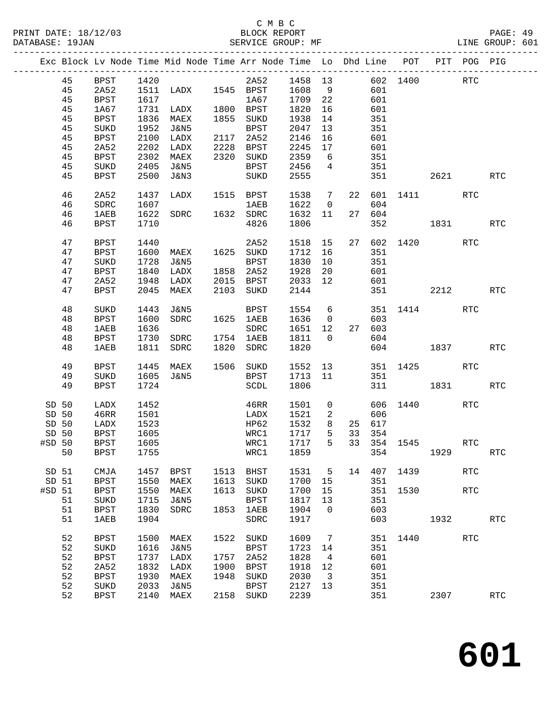|                   |          |                     |              |                     |      | Exc Block Lv Node Time Mid Node Time Arr Node Time Lo Dhd Line POT |              |                         |    |        |             |        | PIT POG PIG |            |
|-------------------|----------|---------------------|--------------|---------------------|------|--------------------------------------------------------------------|--------------|-------------------------|----|--------|-------------|--------|-------------|------------|
|                   | 45       | BPST                |              |                     |      | 2A52 1458 13                                                       |              |                         |    |        | 602 1400    |        | RTC         |            |
|                   | 45       | 2A52                | 1420<br>1511 | 1511 LADX 1545 BPST |      |                                                                    | 1608         | 9                       |    | 601    |             |        |             |            |
|                   | 45       | BPST                | 1617         |                     |      | 1A67                                                               | 1709 22      |                         |    | 601    |             |        |             |            |
|                   | 45       | 1A67                | 1731         | LADX                |      | 1800 BPST                                                          | 1820         | 16                      |    | 601    |             |        |             |            |
|                   | 45       | BPST                | 1836         | MAEX                |      | 1855 SUKD                                                          | 1938         | 14                      |    | 351    |             |        |             |            |
|                   | 45       | SUKD                | 1952         | J&N5                |      | BPST                                                               | 2047         | 13                      |    | 351    |             |        |             |            |
|                   | 45       | BPST                | 2100         | LADX                |      | 2117 2A52                                                          | 2146         | 16                      |    | 601    |             |        |             |            |
|                   | 45       | 2A52                | 2202         | LADX                | 2228 | BPST                                                               | 2245         | 17                      |    | 601    |             |        |             |            |
|                   | 45       | <b>BPST</b>         | 2302         | MAEX                | 2320 | SUKD                                                               | 2359         | 6                       |    | 351    |             |        |             |            |
|                   | 45       | SUKD                | 2405         | J&N5                |      | BPST                                                               | 2456         | $\overline{4}$          |    | 351    |             |        |             |            |
|                   | 45       | BPST                | 2500         | J&N3                |      | SUKD                                                               | 2555         |                         |    | 351    |             | 2621   |             | RTC        |
|                   | 46       | 2A52                | 1437         | LADX                |      | 1515 BPST                                                          | 1538         | $\overline{7}$          | 22 |        | 601 1411    |        | <b>RTC</b>  |            |
|                   | 46       | SDRC                | 1607         |                     |      | <b>1AEB</b>                                                        | 1622         | $\overline{0}$          |    | 604    |             |        |             |            |
|                   | 46       | <b>1AEB</b>         | 1622         | SDRC                |      | 1632 SDRC                                                          | 1632         | 11                      |    | 27 604 |             |        |             |            |
|                   | 46       | BPST                | 1710         |                     |      | 4826                                                               | 1806         |                         |    | 352    | 1831        |        |             | <b>RTC</b> |
|                   |          |                     |              |                     |      |                                                                    |              |                         |    |        |             |        |             |            |
|                   | 47       | <b>BPST</b>         | 1440         |                     |      | 2A52                                                               | 1518 15      |                         |    |        | 27 602 1420 |        | <b>RTC</b>  |            |
|                   | 47       | BPST                | 1600         | MAEX                |      | 1625 SUKD                                                          | 1712         | 16                      |    | 351    |             |        |             |            |
|                   | 47       | SUKD                | 1728         | J&N5                |      | BPST                                                               | 1830         | 10                      |    | 351    |             |        |             |            |
|                   | 47       | <b>BPST</b>         | 1840         | LADX                | 1858 | 2A52                                                               | 1928         | 20                      |    | 601    |             |        |             |            |
|                   | 47       | 2A52                | 1948         | LADX                |      | 2015 BPST                                                          | 2033         | 12                      |    | 601    |             |        |             |            |
|                   | 47       | BPST                | 2045         | MAEX                | 2103 | SUKD                                                               | 2144         |                         |    |        |             | 2212   |             | RTC        |
|                   | 48       | SUKD                | 1443         | J&N5                |      | BPST                                                               | 1554         | 6                       |    |        | 351 1414    |        | RTC         |            |
|                   | 48       | <b>BPST</b>         | 1600         | SDRC                |      | 1625 1AEB                                                          | 1636         | $\overline{0}$          |    | 603    |             |        |             |            |
|                   | 48       | <b>1AEB</b>         | 1636         |                     |      | SDRC                                                               | 1651 12      |                         |    | 27 603 |             |        |             |            |
|                   | 48       | BPST                | 1730         | SDRC                |      | 1754 1AEB                                                          | 1811         | $\overline{0}$          |    | 604    |             |        |             |            |
|                   | 48       | 1AEB                | 1811         | SDRC                | 1820 | SDRC                                                               | 1820         |                         |    |        | 604 1837    |        |             | RTC        |
|                   | 49       | BPST                | 1445         | MAEX                |      | 1506 SUKD                                                          | 1552         | 13                      |    |        | 351 1425    |        | <b>RTC</b>  |            |
|                   | 49       | <b>SUKD</b>         | 1605         | J&N5                |      | BPST                                                               | 1713         | 11                      |    | 351    |             |        |             |            |
|                   | 49       | <b>BPST</b>         | 1724         |                     |      | SCDL                                                               | 1806         |                         |    |        | 311 7       | 1831 \ |             | <b>RTC</b> |
|                   |          |                     |              |                     |      |                                                                    |              |                         |    |        |             |        |             |            |
| SD 50             |          | LADX                | 1452         |                     |      | 46RR                                                               | 1501         | $\mathsf{O}$            |    |        | 606 1440    |        | <b>RTC</b>  |            |
| SD 50             |          | 46RR                | 1501         |                     |      | LADX                                                               | 1521         | 2                       |    | 606    |             |        |             |            |
| SD 50             |          | LADX                | 1523         |                     |      | HP62                                                               | 1532         | 8                       |    | 25 617 |             |        |             |            |
| SD 50             |          | <b>BPST</b>         | 1605         |                     |      | WRC1                                                               | 1717         | 5 <sup>5</sup>          | 33 | 354    |             |        |             |            |
| #SD 50            |          | BPST                | 1605         |                     |      | WRC1                                                               | 1717         | 5 <sup>5</sup>          |    |        | 33 354 1545 |        | <b>RTC</b>  |            |
|                   | 50 BPST  |                     | 1755         |                     |      | WRC1 1859 354 1929                                                 |              |                         |    |        |             |        |             | RTC        |
|                   | SD 51    | CMJA                | 1457         | BPST                | 1513 | BHST                                                               | 1531         | $5^{\circ}$             | 14 | 407    | 1439        |        | <b>RTC</b>  |            |
| SD 51             |          | <b>BPST</b>         | 1550         | MAEX                | 1613 | SUKD                                                               | 1700         | 15                      |    | 351    |             |        |             |            |
| #SD <sub>51</sub> |          | <b>BPST</b>         | 1550         | MAEX                | 1613 | SUKD                                                               | 1700         | 15                      |    | 351    | 1530        |        | <b>RTC</b>  |            |
|                   | 51       | SUKD                | 1715         | J&N5                |      | <b>BPST</b>                                                        | 1817         | 13                      |    | 351    |             |        |             |            |
|                   | 51       | <b>BPST</b>         | 1830         | <b>SDRC</b>         | 1853 | 1AEB                                                               | 1904         | $\overline{0}$          |    | 603    |             |        |             |            |
|                   | 51       | <b>1AEB</b>         | 1904         |                     |      | SDRC                                                               | 1917         |                         |    | 603    |             | 1932   |             | RTC        |
|                   |          |                     |              |                     |      |                                                                    |              |                         |    |        |             |        |             |            |
|                   | 52<br>52 | <b>BPST</b><br>SUKD | 1500<br>1616 | MAEX<br>J&N5        | 1522 | SUKD<br><b>BPST</b>                                                | 1609<br>1723 | $\overline{7}$<br>14    |    | 351    | 351 1440    |        | RTC         |            |
|                   | 52       | <b>BPST</b>         | 1737         | LADX                | 1757 | 2A52                                                               | 1828         | $\overline{4}$          |    | 601    |             |        |             |            |
|                   | 52       | 2A52                | 1832         | LADX                | 1900 | <b>BPST</b>                                                        | 1918         | 12                      |    | 601    |             |        |             |            |
|                   | 52       | <b>BPST</b>         | 1930         | MAEX                | 1948 | SUKD                                                               | 2030         | $\overline{\mathbf{3}}$ |    | 351    |             |        |             |            |
|                   | 52       | SUKD                | 2033         | J&N5                |      | <b>BPST</b>                                                        | 2127         | 13                      |    | 351    |             |        |             |            |
|                   | 52       | <b>BPST</b>         | 2140         | MAEX                | 2158 | SUKD                                                               | 2239         |                         |    | 351    |             | 2307   |             | RTC        |
|                   |          |                     |              |                     |      |                                                                    |              |                         |    |        |             |        |             |            |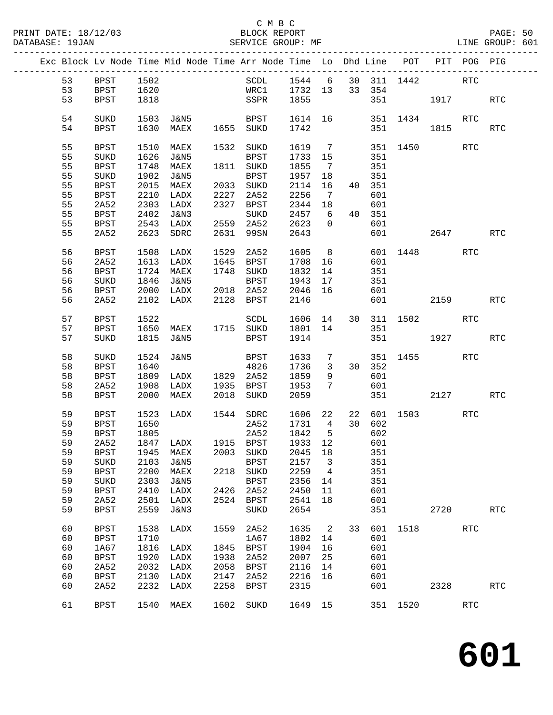|    |             |      |                     |      | Exc Block Lv Node Time Mid Node Time Arr Node Time Lo Dhd Line POT PIT POG PIG |         |                          |    |        |          |          |            |                      |
|----|-------------|------|---------------------|------|--------------------------------------------------------------------------------|---------|--------------------------|----|--------|----------|----------|------------|----------------------|
| 53 | BPST        | 1502 |                     |      | SCDL 1544 6 30 311 1442                                                        |         |                          |    |        |          |          | <b>RTC</b> |                      |
| 53 | <b>BPST</b> | 1620 |                     |      | WRC1 1732 13 33 354                                                            |         |                          |    |        |          |          |            |                      |
| 53 | BPST        | 1818 |                     |      | SSPR 1855                                                                      |         |                          |    |        |          | 351 1917 |            | $\operatorname{RTC}$ |
|    |             |      |                     |      |                                                                                |         |                          |    |        |          |          |            |                      |
| 54 | SUKD        | 1503 | J&N5                |      | BPST 1614 16                                                                   |         |                          |    |        |          | 351 1434 | <b>RTC</b> |                      |
| 54 | BPST        | 1630 | MAEX                |      | 1655 SUKD                                                                      | 1742    |                          |    |        | 351      | 1815     |            | $\operatorname{RTC}$ |
|    |             |      |                     |      |                                                                                |         |                          |    |        |          |          |            |                      |
| 55 | BPST        | 1510 | MAEX                |      | 1532 SUKD                                                                      | 1619 7  |                          |    |        | 351 1450 |          | RTC        |                      |
| 55 | SUKD        | 1626 | J&N5                |      | BPST                                                                           | 1733 15 |                          |    | 351    |          |          |            |                      |
| 55 | BPST        | 1748 | MAEX                |      | 1811 SUKD                                                                      | 1855    | $\overline{7}$           |    | 351    |          |          |            |                      |
| 55 | SUKD        | 1902 | J&N5                |      | BPST                                                                           | 1957    | 18                       |    | 351    |          |          |            |                      |
| 55 | BPST        | 2015 | MAEX                |      | 2033 SUKD                                                                      | 2114    | 16                       |    | 40 351 |          |          |            |                      |
| 55 | BPST        | 2210 | LADX                | 2227 | 2A52                                                                           | 2256    | $\overline{7}$           |    | 601    |          |          |            |                      |
| 55 |             |      |                     |      | 2327 BPST                                                                      |         |                          |    |        |          |          |            |                      |
|    | 2A52        | 2303 | LADX                |      |                                                                                | 2344 18 |                          |    | 601    |          |          |            |                      |
| 55 | BPST        | 2402 | J&N3                |      | SUKD                                                                           | 2457    | 6                        |    | 40 351 |          |          |            |                      |
| 55 | BPST        | 2543 | LADX                |      | 2559 2A52                                                                      | 2623    | $\overline{0}$           |    | 601    |          |          |            |                      |
| 55 | 2A52        | 2623 | SDRC                | 2631 | 99SN                                                                           | 2643    |                          |    |        | 601 000  | 2647     |            | <b>RTC</b>           |
|    |             |      |                     |      |                                                                                |         |                          |    |        |          |          |            |                      |
| 56 | <b>BPST</b> |      | 1508 LADX           | 1529 | 2A52                                                                           | 1605    |                          | 8  |        |          | 601 1448 | <b>RTC</b> |                      |
| 56 | 2A52        | 1613 | LADX                |      | 1645 BPST                                                                      | 1708 16 |                          |    | 601    |          |          |            |                      |
| 56 | <b>BPST</b> | 1724 | MAEX                |      | 1748 SUKD                                                                      | 1832    | 14                       |    | 351    |          |          |            |                      |
| 56 | $\rm SUKD$  | 1846 | J&N5                |      | BPST                                                                           | 1943    | 17                       |    | 351    |          |          |            |                      |
| 56 | <b>BPST</b> | 2000 | LADX                |      | 2018 2A52                                                                      | 2046 16 |                          |    | 601    |          |          |            |                      |
| 56 | 2A52        | 2102 | LADX                |      | 2128 BPST                                                                      | 2146    |                          |    |        | 601 000  | 2159     |            | <b>RTC</b>           |
|    |             |      |                     |      |                                                                                |         |                          |    |        |          |          |            |                      |
| 57 | BPST        | 1522 |                     |      | SCDL 1606 14 30 311 1502                                                       |         |                          |    |        |          |          | RTC        |                      |
| 57 | BPST        | 1650 | MAEX 1715 SUKD      |      |                                                                                | 1801 14 |                          |    | 351    |          |          |            |                      |
| 57 | SUKD        | 1815 | J&N5                |      | BPST                                                                           | 1914    |                          |    |        |          | 351 1927 |            | $\operatorname{RTC}$ |
|    |             |      |                     |      |                                                                                |         |                          |    |        |          |          |            |                      |
| 58 | SUKD        | 1524 | J&N5                |      | BPST                                                                           | 1633    | $7\overline{ }$          |    |        |          | 351 1455 | <b>RTC</b> |                      |
| 58 | <b>BPST</b> | 1640 |                     |      | 4826                                                                           | 1736    | $\overline{\mathbf{3}}$  |    | 30 352 |          |          |            |                      |
| 58 | BPST        | 1809 | LADX 1829 2A52      |      |                                                                                | 1859    | 9                        |    | 601    |          |          |            |                      |
| 58 | 2A52        | 1908 | LADX 1935 BPST      |      |                                                                                | 1953    | $7\overline{ }$          |    | 601    |          |          |            |                      |
|    |             |      |                     |      |                                                                                |         |                          |    |        |          |          |            |                      |
| 58 | BPST        | 2000 | MAEX                |      | 2018 SUKD                                                                      | 2059    |                          |    |        | 351      | 2127     |            | RTC                  |
| 59 | BPST        | 1523 | LADX                |      | 1544 SDRC                                                                      | 1606 22 |                          | 22 |        | 601 1503 |          | RTC        |                      |
| 59 | BPST        | 1650 |                     |      | 2A52                                                                           | 1731    | $4\overline{4}$          |    | 30 602 |          |          |            |                      |
|    |             |      |                     |      |                                                                                |         |                          |    |        |          |          |            |                      |
| 59 | <b>BPST</b> | 1805 |                     |      | 2A52                                                                           | 1842    | $5^{\circ}$              |    | 602    |          |          |            |                      |
| 59 | 2A52        |      | 1847 LADX 1915 BPST |      |                                                                                | 1933 12 |                          |    | 601    |          |          |            |                      |
| 59 |             |      |                     |      | BPST 1945 MAEX 2003 SUKD 2045 18 351                                           |         |                          |    |        |          |          |            |                      |
| 59 | SUKD        | 2103 | J&N5                |      | BPST                                                                           | 2157    | $\overline{\phantom{a}}$ |    | 351    |          |          |            |                      |
| 59 | BPST        | 2200 | MAEX                |      | 2218 SUKD                                                                      | 2259    | $\overline{4}$           |    | 351    |          |          |            |                      |
| 59 | SUKD        | 2303 | J&N5                |      | <b>BPST</b>                                                                    | 2356    | 14                       |    | 351    |          |          |            |                      |
| 59 | BPST        | 2410 | LADX                | 2426 | 2A52                                                                           | 2450    | 11                       |    | 601    |          |          |            |                      |
| 59 | 2A52        | 2501 | LADX                | 2524 | BPST                                                                           | 2541    | 18                       |    | 601    |          |          |            |                      |
| 59 | <b>BPST</b> | 2559 | J&N3                |      | SUKD                                                                           | 2654    |                          |    | 351    |          | 2720     |            | $\operatorname{RTC}$ |
|    |             |      |                     |      |                                                                                |         |                          |    |        |          |          |            |                      |
| 60 | <b>BPST</b> | 1538 | LADX                | 1559 | 2A52                                                                           | 1635    | $\overline{\mathbf{c}}$  | 33 |        | 601 1518 |          | <b>RTC</b> |                      |
| 60 | BPST        | 1710 |                     |      | 1A67                                                                           | 1802    | 14                       |    | 601    |          |          |            |                      |
| 60 | 1A67        | 1816 | LADX                | 1845 | <b>BPST</b>                                                                    | 1904    | 16                       |    | 601    |          |          |            |                      |
| 60 | <b>BPST</b> | 1920 | LADX                | 1938 | 2A52                                                                           | 2007    | 25                       |    | 601    |          |          |            |                      |
| 60 | 2A52        | 2032 | LADX                | 2058 | BPST                                                                           | 2116    | 14                       |    | 601    |          |          |            |                      |
|    |             |      |                     |      |                                                                                |         |                          |    |        |          |          |            |                      |
| 60 | BPST        | 2130 | LADX                | 2147 | 2A52                                                                           | 2216    | 16                       |    | 601    |          |          |            |                      |
| 60 | 2A52        | 2232 | LADX                | 2258 | BPST                                                                           | 2315    |                          |    | 601    |          | 2328     |            | $\operatorname{RTC}$ |
| 61 | BPST        |      | 1540 MAEX           | 1602 | SUKD                                                                           | 1649 15 |                          |    |        | 351 1520 |          | RTC        |                      |
|    |             |      |                     |      |                                                                                |         |                          |    |        |          |          |            |                      |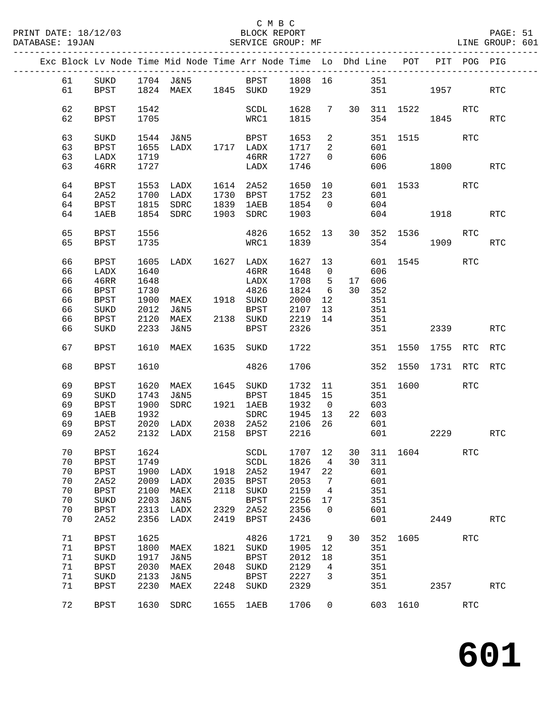| DATABASE: 19JAN |          |                     |              | SERVICE GROUP: MF                                                              |              |                                             |                          |                                  |    |               |                                     |      |            | LINE GROUP: 601      |  |
|-----------------|----------|---------------------|--------------|--------------------------------------------------------------------------------|--------------|---------------------------------------------|--------------------------|----------------------------------|----|---------------|-------------------------------------|------|------------|----------------------|--|
|                 |          |                     |              | Exc Block Lv Node Time Mid Node Time Arr Node Time Lo Dhd Line POT PIT POG PIG |              |                                             |                          |                                  |    |               |                                     |      |            |                      |  |
|                 |          |                     |              | 61 SUKD 1704 J&N5 BPST 1808 16 351                                             |              |                                             |                          |                                  |    |               |                                     |      |            |                      |  |
|                 | 61       |                     |              | BPST 1824 MAEX 1845 SUKD 1929                                                  |              |                                             |                          |                                  |    |               | 351 1957 RTC                        |      |            |                      |  |
|                 |          |                     |              |                                                                                |              |                                             |                          |                                  |    |               |                                     |      |            |                      |  |
|                 | 62<br>62 | BPST<br>BPST        | 1542<br>1705 |                                                                                |              | SCDL<br>WRC1                                | 1815                     |                                  |    |               | 1628 7 30 311 1522 RTC<br>354       |      | 1845       | RTC                  |  |
|                 |          |                     |              |                                                                                |              |                                             |                          |                                  |    |               |                                     |      |            |                      |  |
|                 | 63       | SUKD                |              | 1544 J&N5                                                                      |              | BPST                                        | 1653                     | $\overline{a}$                   |    |               | 351 1515                            |      | RTC        |                      |  |
|                 | 63<br>63 | BPST<br>LADX        | 1719         | 1655 LADX 1717 LADX                                                            |              | 46RR                                        | 1717<br>$\frac{-}{1727}$ | $\overline{2}$<br>$\overline{0}$ |    | 601<br>606    |                                     |      |            |                      |  |
|                 | 63       | 46RR                | 1727         |                                                                                |              | LADX                                        | 1746                     |                                  |    |               | 606 1800 RTC                        |      |            |                      |  |
|                 |          |                     |              |                                                                                |              |                                             |                          |                                  |    |               |                                     |      |            |                      |  |
|                 | 64<br>64 | BPST<br>2A52        |              | 1553 LADX 1614 2A52<br>1700 LADX 1730 BPST                                     |              |                                             | 1752 23                  |                                  |    | 601           | 601 1533 RTC                        |      |            |                      |  |
|                 | 64       | BPST                | 1815         | SDRC 1839 1AEB                                                                 |              |                                             | 1854                     | $\overline{0}$                   |    | 604           |                                     |      |            |                      |  |
|                 | 64       | 1AEB                |              | 1854 SDRC                                                                      |              | 1903 SDRC                                   | 1903                     |                                  |    |               | 604 1918                            |      |            | <b>RTC</b>           |  |
|                 |          |                     |              |                                                                                |              |                                             |                          |                                  |    |               |                                     |      |            |                      |  |
|                 | 65<br>65 | BPST<br>BPST        | 1556<br>1735 |                                                                                |              | 4826<br>WRC1                                | 1839                     |                                  |    |               | 1652 13 30 352 1536 RTC<br>354 1909 |      |            | <b>RTC</b>           |  |
|                 |          |                     |              |                                                                                |              |                                             |                          |                                  |    |               |                                     |      |            |                      |  |
|                 | 66       | BPST                | 1605         | LADX 1627 LADX                                                                 |              |                                             | 1627 13                  |                                  |    |               | 601 1545                            |      | RTC        |                      |  |
|                 | 66<br>66 | LADX<br>46RR        | 1640<br>1648 |                                                                                |              | 46RR<br>LADX                                | 1648<br>1708             | $\overline{0}$<br>5 <sup>5</sup> |    | 606<br>17 606 |                                     |      |            |                      |  |
|                 | 66       | BPST                | 1730         |                                                                                |              | 4826                                        | 1824                     | $6\overline{6}$                  |    | 30 352        |                                     |      |            |                      |  |
|                 | 66       | <b>BPST</b>         | 1900         | MAEX 1918 SUKD                                                                 |              |                                             | 2000                     | 12                               |    | 351           |                                     |      |            |                      |  |
|                 | 66       | SUKD                | 2012         |                                                                                |              |                                             |                          |                                  |    | 351           |                                     |      |            |                      |  |
|                 | 66       | BPST                | 2120         |                                                                                |              | J&N5 BPST 2107 13<br>MAEX 2138 SUKD 2219 14 |                          |                                  |    | 351           |                                     |      |            |                      |  |
|                 | 66       | SUKD                | 2233         | J&N5                                                                           |              | BPST                                        | 2326                     |                                  |    |               | 351 000                             |      | 2339       | <b>RTC</b>           |  |
|                 | 67       | BPST                |              | 1610 MAEX 1635 SUKD                                                            |              |                                             | 1722                     |                                  |    |               | 351 1550 1755 RTC                   |      |            | RTC                  |  |
|                 | 68       | BPST                | 1610         |                                                                                |              | 4826                                        | 1706                     |                                  |    |               | 352 1550 1731 RTC                   |      |            | RTC                  |  |
|                 | 69       | <b>BPST</b>         | 1620         | MAEX 1645 SUKD                                                                 |              |                                             | 1732 11                  |                                  |    |               | 351 1600                            |      | RTC        |                      |  |
|                 | 69       | SUKD                | 1743         | J&N5                                                                           |              | BPST                                        | 1845 15                  |                                  |    | 351           |                                     |      |            |                      |  |
|                 | 69       | BPST                | 1900         | SDRC                                                                           |              | 1921 1AEB                                   | 1932                     | $\overline{0}$                   |    | 603           |                                     |      |            |                      |  |
|                 | 69       | <b>1AEB</b>         | 1932         |                                                                                |              | SDRC                                        | 1945 13 22 603           |                                  |    |               |                                     |      |            |                      |  |
|                 | 69<br>69 | <b>BPST</b><br>2A52 |              | 1932 5DRC 1945<br>2020 LADX 2038 2A52 2106<br>2132 LADX 2158 BPST 2216         |              |                                             |                          | 26                               |    | 601           | 601 000                             |      | 2229       | <b>RTC</b>           |  |
|                 |          |                     |              |                                                                                |              |                                             |                          |                                  |    |               |                                     |      |            |                      |  |
|                 | 70       | <b>BPST</b>         | 1624         |                                                                                |              | SCDL                                        | 1707                     | 12                               | 30 | 311           | 1604                                |      | <b>RTC</b> |                      |  |
|                 | 70       | <b>BPST</b>         | 1749         |                                                                                |              | SCDL                                        | 1826                     | 4                                | 30 | 311           |                                     |      |            |                      |  |
|                 | 70<br>70 | <b>BPST</b><br>2A52 | 1900<br>2009 | LADX                                                                           | 1918<br>2035 | 2A52                                        | 1947<br>2053             | 22<br>7                          |    | 601<br>601    |                                     |      |            |                      |  |
|                 | 70       | <b>BPST</b>         | 2100         | LADX<br>MAEX                                                                   | 2118         | <b>BPST</b><br>SUKD                         | 2159                     | 4                                |    | 351           |                                     |      |            |                      |  |
|                 | 70       | SUKD                | 2203         | <b>J&amp;N5</b>                                                                |              | <b>BPST</b>                                 | 2256                     | 17                               |    | 351           |                                     |      |            |                      |  |
|                 | 70       | <b>BPST</b>         | 2313         | LADX                                                                           | 2329         | 2A52                                        | 2356                     | $\mathbf 0$                      |    | 601           |                                     |      |            |                      |  |
|                 | 70       | 2A52                | 2356         | LADX                                                                           | 2419         | <b>BPST</b>                                 | 2436                     |                                  |    | 601           |                                     | 2449 |            | $\operatorname{RTC}$ |  |
|                 | 71       | <b>BPST</b>         | 1625         |                                                                                |              | 4826                                        | 1721                     | 9                                | 30 | 352           | 1605                                |      | <b>RTC</b> |                      |  |
|                 | 71       | <b>BPST</b>         | 1800         | MAEX                                                                           | 1821         | SUKD                                        | 1905                     | 12                               |    | 351           |                                     |      |            |                      |  |
|                 | 71       | SUKD                | 1917         | <b>J&amp;N5</b>                                                                |              | <b>BPST</b>                                 | 2012                     | 18                               |    | 351           |                                     |      |            |                      |  |
|                 | 71       | <b>BPST</b>         | 2030         | MAEX                                                                           | 2048         | SUKD                                        | 2129                     | 4                                |    | 351           |                                     |      |            |                      |  |
|                 | 71       | SUKD                | 2133         | J&N5                                                                           |              | <b>BPST</b>                                 | 2227                     | 3                                |    | 351           |                                     |      |            |                      |  |
|                 | 71       | BPST                | 2230         | MAEX                                                                           | 2248         | $\rm SUKD$                                  | 2329                     |                                  |    | 351           |                                     | 2357 |            | RTC                  |  |
|                 | 72       | BPST                | 1630         | SDRC                                                                           | 1655         | 1AEB                                        | 1706                     | 0                                |    |               | 603 1610                            |      | RTC        |                      |  |
|                 |          |                     |              |                                                                                |              |                                             |                          |                                  |    |               |                                     |      |            |                      |  |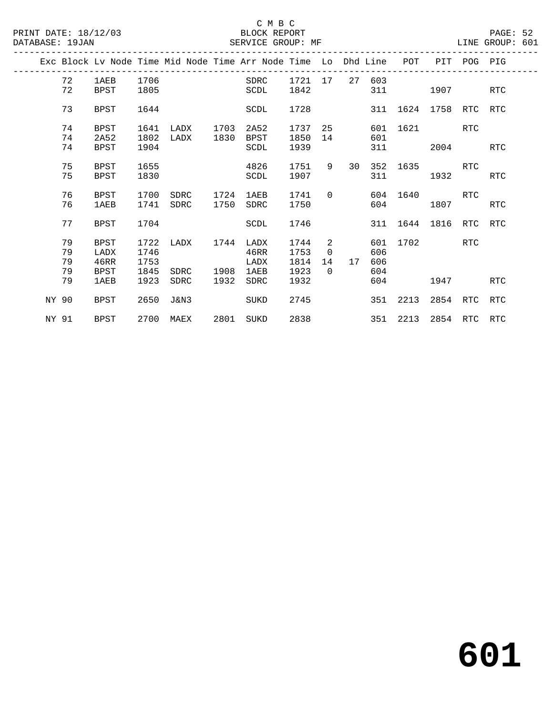#### C M B C<br>BLOCK REPORT SERVICE GROUP: MF

|       |    |             |      |      |      | Exc Block Lv Node Time Mid Node Time Arr Node Time Lo Dhd Line |         |                |    |     | POT      | PIT                   | POG PIG    |            |
|-------|----|-------------|------|------|------|----------------------------------------------------------------|---------|----------------|----|-----|----------|-----------------------|------------|------------|
|       | 72 | 1AEB        | 1706 |      |      | SDRC                                                           | 1721 17 |                | 27 | 603 |          |                       |            |            |
|       | 72 | <b>BPST</b> | 1805 |      |      | SCDL                                                           | 1842    |                |    | 311 |          | 1907                  |            | <b>RTC</b> |
|       | 73 | BPST        | 1644 |      |      | SCDL                                                           | 1728    |                |    |     |          | 311 1624 1758 RTC     |            | RTC        |
|       | 74 | BPST        | 1641 | LADX | 1703 | 2A52                                                           | 1737    | 25             |    | 601 | 1621     |                       | RTC        |            |
|       | 74 | 2A52        | 1802 | LADX | 1830 | BPST                                                           | 1850    | 14             |    | 601 |          |                       |            |            |
|       | 74 | <b>BPST</b> | 1904 |      |      | SCDL                                                           | 1939    |                |    | 311 |          | 2004                  |            | <b>RTC</b> |
|       | 75 | BPST        | 1655 |      |      | 4826                                                           | 1751    | 9              | 30 | 352 | 1635     |                       | RTC        |            |
|       | 75 | <b>BPST</b> | 1830 |      |      | SCDL                                                           | 1907    |                |    | 311 |          | 1932                  |            | <b>RTC</b> |
|       | 76 | <b>BPST</b> | 1700 | SDRC | 1724 | 1AEB                                                           | 1741    | $\Omega$       |    |     | 604 1640 |                       | <b>RTC</b> |            |
|       | 76 | 1AEB        | 1741 | SDRC | 1750 | SDRC                                                           | 1750    |                |    | 604 |          | 1807                  |            | <b>RTC</b> |
|       | 77 | BPST        | 1704 |      |      | SCDL                                                           | 1746    |                |    |     |          | 311 1644 1816 RTC RTC |            |            |
|       |    |             |      |      |      |                                                                |         |                |    |     |          |                       |            |            |
|       | 79 | BPST        | 1722 | LADX | 1744 | LADX                                                           | 1744    | 2              |    |     | 601 1702 |                       | RTC        |            |
|       | 79 | LADX        | 1746 |      |      | 46RR                                                           | 1753    | $\overline{0}$ |    | 606 |          |                       |            |            |
|       | 79 | 46RR        | 1753 |      |      | LADX                                                           | 1814    | 14             | 17 | 606 |          |                       |            |            |
|       | 79 | <b>BPST</b> | 1845 | SDRC | 1908 | 1AEB                                                           | 1923    | $\Omega$       |    | 604 |          |                       |            |            |
|       | 79 | 1AEB        | 1923 | SDRC | 1932 | SDRC                                                           | 1932    |                |    | 604 |          | 1947                  |            | <b>RTC</b> |
| NY 90 |    | BPST        | 2650 | J&N3 |      | SUKD                                                           | 2745    |                |    | 351 | 2213     | 2854                  | RTC        | RTC        |
| NY 91 |    | BPST        | 2700 | MAEX | 2801 | SUKD                                                           | 2838    |                |    |     | 351 2213 | 2854 RTC RTC          |            |            |
|       |    |             |      |      |      |                                                                |         |                |    |     |          |                       |            |            |

**601**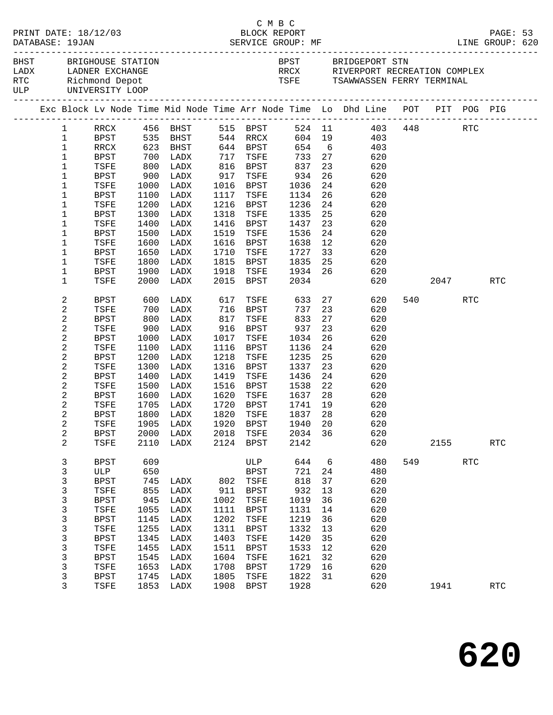|  | DATABASE: 19JAN        | PRINT DATE: 18/12/03                                                                        |                 |                   |              | C M B C<br>BLOCK REPORT |                    |          | DESCRIPTION ME<br>DATABASE: 19JAN SERVICE GROUP: MF LINE GROUP: 620                        |        |         |      | PAGE: 53   |  |
|--|------------------------|---------------------------------------------------------------------------------------------|-----------------|-------------------|--------------|-------------------------|--------------------|----------|--------------------------------------------------------------------------------------------|--------|---------|------|------------|--|
|  |                        | BHST BRIGHOUSE STATION<br>LADX LADNER EXCHANGE<br>RTC Richmond Depot<br>ULP UNIVERSITY LOOP |                 |                   |              |                         |                    |          | BPST BRIDGEPORT STN<br>RRCX RIVERPORT RECREATION COMPLEX<br>TSFE TSAWWASSEN FERRY TERMINAL |        |         |      |            |  |
|  |                        |                                                                                             |                 |                   |              |                         |                    |          | Exc Block Lv Node Time Mid Node Time Arr Node Time Lo Dhd Line POT PIT POG PIG             |        |         |      |            |  |
|  | $1 \quad \blacksquare$ |                                                                                             |                 |                   |              |                         |                    |          | RRCX 456 BHST 515 BPST 524 11 403 448 RTC<br>BPST 535 BHST 544 RRCX 604 19 403             |        |         |      |            |  |
|  | $\mathbf{1}$           |                                                                                             |                 |                   |              |                         |                    |          |                                                                                            |        |         |      |            |  |
|  | $\mathbf{1}$           | RRCX                                                                                        |                 | 623 BHST 644 BPST |              |                         |                    |          | 654 6<br>403                                                                               |        |         |      |            |  |
|  | $\mathbf{1}$           | BPST                                                                                        | $700\n800\n900$ | LADX              | 717          | TSFE                    | 733 27             |          | 620                                                                                        |        |         |      |            |  |
|  | $\mathbf 1$            | TSFE                                                                                        |                 | LADX              |              | 816 BPST<br>917 TSFE    | 837<br>934         | 23       | 620                                                                                        |        |         |      |            |  |
|  | $\mathbf 1$            | BPST                                                                                        |                 | LADX              |              |                         |                    | 26       | 620                                                                                        |        |         |      |            |  |
|  | 1                      | TSFE                                                                                        | 1000            | LADX              |              | $1016$ BPST             | 1036               | 24       | 620                                                                                        |        |         |      |            |  |
|  | 1                      | BPST                                                                                        | 1100            | LADX              | 1117         | TSFE                    | 1134               | 26       | 620                                                                                        |        |         |      |            |  |
|  | 1                      | TSFE                                                                                        | 1200            | LADX              | 1216         | BPST                    | 1236               | 24       | 620                                                                                        |        |         |      |            |  |
|  | 1<br>1                 | BPST                                                                                        | 1300            | LADX<br>LADX      | 1318<br>1416 | TSFE                    | 1335<br>1437       | 25<br>23 | 620                                                                                        |        |         |      |            |  |
|  | 1                      | TSFE<br>BPST                                                                                | 1400<br>1500    | LADX              | 1519         | BPST<br>TSFE            | 1536               | 24       | 620<br>620                                                                                 |        |         |      |            |  |
|  | 1                      | TSFE                                                                                        | 1600            | LADX              | 1616         | BPST                    | 1638               | 12       | 620                                                                                        |        |         |      |            |  |
|  | 1                      | BPST                                                                                        | 1650            | LADX              | 1710         | TSFE                    | 1727               | 33       | 620                                                                                        |        |         |      |            |  |
|  | 1                      | TSFE                                                                                        | 1800            | LADX              | 1815         | BPST                    | 1835               |          | 25<br>620                                                                                  |        |         |      |            |  |
|  | 1                      | <b>BPST</b>                                                                                 | 1900            | LADX              | 1918         | TSFE                    | 1934 26            |          | 620                                                                                        |        |         |      |            |  |
|  | $\mathbf 1$            | TSFE                                                                                        | 2000            | LADX              |              | 2015 BPST               | 2034               |          |                                                                                            | 620 30 |         | 2047 | <b>RTC</b> |  |
|  | 2                      | BPST                                                                                        | 600             | LADX              | 617          | TSFE                    | 633                |          | 27<br>620                                                                                  |        | 540 RTC |      |            |  |
|  | 2                      | TSFE                                                                                        | 700             | LADX              | 716          | BPST                    | 737                | 23       | 620                                                                                        |        |         |      |            |  |
|  | 2                      | BPST                                                                                        | 800             | LADX              | 817          | TSFE                    | 833                | 27       | 620                                                                                        |        |         |      |            |  |
|  | $\overline{c}$         | TSFE                                                                                        | 900             | LADX              | 916          | BPST                    | 937                | 23       | 620                                                                                        |        |         |      |            |  |
|  | 2                      | BPST                                                                                        | 1000            | LADX              | 1017         | TSFE                    | 1034               | 26       | 620                                                                                        |        |         |      |            |  |
|  | 2                      | TSFE                                                                                        | 1100            | LADX              | 1116         | BPST                    | 1136               | 24       | 620                                                                                        |        |         |      |            |  |
|  | 2                      | BPST                                                                                        | 1200            | LADX              | 1218         | TSFE                    | 1235               | 25       | 620                                                                                        |        |         |      |            |  |
|  | 2                      | TSFE                                                                                        | 1300            | LADX              | 1316         | BPST                    | 1337               | 23       | 620                                                                                        |        |         |      |            |  |
|  | 2                      | BPST                                                                                        | 1400            | LADX              | 1419         | TSFE                    | 1436               | 24       | 620                                                                                        |        |         |      |            |  |
|  | 2                      | TSFE                                                                                        | 1500            | LADX              | 1516         | BPST                    | 1538               | 22       | 620                                                                                        |        |         |      |            |  |
|  | 2                      | BPST                                                                                        | 1600            | LADX              | 1620         | TSFE                    | 1637               | 28       | 620                                                                                        |        |         |      |            |  |
|  | 2                      | TSFE                                                                                        | 1705            | LADX              | 1720         | BPST                    |                    | 19       | 620                                                                                        |        |         |      |            |  |
|  | 2                      | <b>BPST</b>                                                                                 |                 | 1800 LADX         |              | 1820 TSFE               | 1741 19<br>1837 28 |          | 620                                                                                        |        |         |      |            |  |
|  | 2                      |                                                                                             |                 |                   |              |                         |                    |          | TSFE 1905 LADX 1920 BPST 1940 20 620                                                       |        |         |      |            |  |
|  | 2                      | BPST                                                                                        | 2000            | LADX              | 2018         | TSFE                    | 2034 36            |          | 620                                                                                        |        |         |      |            |  |
|  | 2                      | TSFE                                                                                        | 2110            | LADX              |              | 2124 BPST               | 2142               |          | 620                                                                                        |        | 2155    |      | RTC        |  |
|  | 3                      | <b>BPST</b>                                                                                 | 609             |                   |              | ULP                     | 644                | 6        | 480                                                                                        |        | 549     | RTC  |            |  |
|  | 3                      | ULP                                                                                         | 650             |                   |              | <b>BPST</b>             | 721                | 24       | 480                                                                                        |        |         |      |            |  |
|  | 3                      | <b>BPST</b>                                                                                 | 745             | LADX              | 802          | TSFE                    | 818                | 37       | 620                                                                                        |        |         |      |            |  |
|  | 3                      | TSFE                                                                                        | 855             | LADX              | 911          | BPST                    | 932                | 13       | 620                                                                                        |        |         |      |            |  |
|  | 3                      | <b>BPST</b>                                                                                 | 945             | LADX              | 1002         | TSFE                    | 1019               | 36       | 620                                                                                        |        |         |      |            |  |
|  | 3                      | <b>TSFE</b>                                                                                 | 1055            | LADX              | 1111         | BPST                    | 1131               | 14       | 620                                                                                        |        |         |      |            |  |
|  | 3                      | <b>BPST</b>                                                                                 | 1145            | LADX              | 1202         | TSFE                    | 1219               | 36       | 620                                                                                        |        |         |      |            |  |
|  | $\mathsf{3}$           | TSFE                                                                                        | 1255            | LADX              | 1311         | <b>BPST</b>             | 1332               | 13       | 620                                                                                        |        |         |      |            |  |
|  | 3                      | <b>BPST</b>                                                                                 | 1345            | LADX              | 1403         | TSFE                    | 1420               | 35       | 620                                                                                        |        |         |      |            |  |
|  | 3                      | TSFE                                                                                        | 1455            | LADX              | 1511         | BPST                    | 1533               | 12       | 620                                                                                        |        |         |      |            |  |
|  | 3                      | <b>BPST</b>                                                                                 | 1545            | LADX              | 1604         | TSFE                    | 1621               | 32       | 620                                                                                        |        |         |      |            |  |
|  | $\mathbf{3}$           | TSFE                                                                                        | 1653            | LADX              | 1708         | BPST                    | 1729               | 16       | 620                                                                                        |        |         |      |            |  |
|  | 3                      | <b>BPST</b>                                                                                 | 1745            | LADX              | 1805         | TSFE                    | 1822               | 31       | 620                                                                                        |        |         |      |            |  |
|  | 3                      | TSFE                                                                                        |                 | 1853 LADX         | 1908         | BPST                    | 1928               |          | 620                                                                                        |        | 1941    |      | <b>RTC</b> |  |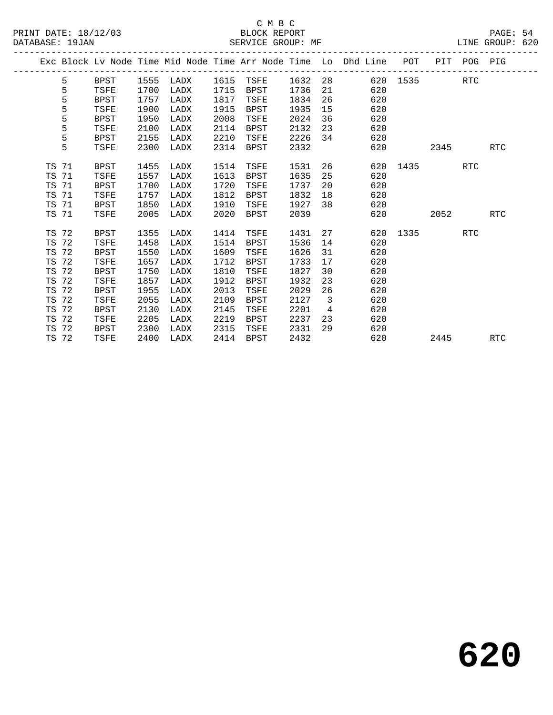|           |    |             |      |      |      |             |      |                          | Exc Block Lv Node Time Mid Node Time Arr Node Time Lo Dhd Line POT PIT POG PIG |          |      |            |            |
|-----------|----|-------------|------|------|------|-------------|------|--------------------------|--------------------------------------------------------------------------------|----------|------|------------|------------|
|           | 5  | BPST        | 1555 | LADX | 1615 | TSFE        | 1632 |                          | 28 and $\sim$                                                                  | 620 1535 |      | <b>RTC</b> |            |
|           | 5  | TSFE        | 1700 | LADX | 1715 | <b>BPST</b> | 1736 | 21                       | 620                                                                            |          |      |            |            |
|           | 5  | BPST        | 1757 | LADX | 1817 | TSFE        | 1834 | 26                       | 620                                                                            |          |      |            |            |
|           | 5  | TSFE        | 1900 | LADX | 1915 | BPST        | 1935 | 15                       | 620                                                                            |          |      |            |            |
|           | 5  | BPST        | 1950 | LADX | 2008 | TSFE        | 2024 | 36                       | 620                                                                            |          |      |            |            |
|           | 5  | TSFE        | 2100 | LADX | 2114 | <b>BPST</b> | 2132 | 23                       | 620                                                                            |          |      |            |            |
|           | 5  | BPST        | 2155 | LADX | 2210 | TSFE        | 2226 | 34                       | 620                                                                            |          |      |            |            |
|           | 5  | TSFE        | 2300 | LADX | 2314 | BPST        | 2332 |                          | 620                                                                            |          | 2345 |            | RTC        |
|           |    |             |      |      |      |             |      |                          |                                                                                |          |      |            |            |
| TS 71     |    | BPST        | 1455 | LADX | 1514 | TSFE        | 1531 | 26                       | 620                                                                            | 1435     |      | <b>RTC</b> |            |
| TS        | 71 | TSFE        | 1557 | LADX | 1613 | <b>BPST</b> | 1635 | 25                       | 620                                                                            |          |      |            |            |
| TS 71     |    | BPST        | 1700 | LADX | 1720 | TSFE        | 1737 | 20                       | 620                                                                            |          |      |            |            |
| TS 71     |    | TSFE        | 1757 | LADX | 1812 | BPST        | 1832 | 18                       | 620                                                                            |          |      |            |            |
| TS        | 71 | BPST        | 1850 | LADX | 1910 | TSFE        | 1927 | 38                       | 620                                                                            |          |      |            |            |
| TS 71     |    | TSFE        | 2005 | LADX | 2020 | BPST        | 2039 |                          | 620                                                                            |          | 2052 |            | RTC        |
|           |    |             |      |      |      |             |      |                          |                                                                                |          |      |            |            |
| TS 72     |    | BPST        | 1355 | LADX | 1414 | TSFE        | 1431 | 27                       |                                                                                | 620 1335 |      | RTC        |            |
| TS 72     |    | TSFE        | 1458 | LADX | 1514 | BPST        | 1536 | 14                       | 620                                                                            |          |      |            |            |
| TS        | 72 | <b>BPST</b> | 1550 | LADX | 1609 | TSFE        | 1626 | 31                       | 620                                                                            |          |      |            |            |
| TS 72     |    | TSFE        | 1657 | LADX | 1712 | <b>BPST</b> | 1733 | 17                       | 620                                                                            |          |      |            |            |
| <b>TS</b> | 72 | <b>BPST</b> | 1750 | LADX | 1810 | TSFE        | 1827 | 30                       | 620                                                                            |          |      |            |            |
| <b>TS</b> | 72 | TSFE        | 1857 | LADX | 1912 | <b>BPST</b> | 1932 | 23                       | 620                                                                            |          |      |            |            |
| TS 72     |    | BPST        | 1955 | LADX | 2013 | TSFE        | 2029 | 26                       | 620                                                                            |          |      |            |            |
| TS        | 72 | TSFE        | 2055 | LADX | 2109 | <b>BPST</b> | 2127 | $\overline{\phantom{a}}$ | 620                                                                            |          |      |            |            |
| TS 72     |    | <b>BPST</b> | 2130 | LADX | 2145 | TSFE        | 2201 | $\overline{4}$           | 620                                                                            |          |      |            |            |
| TS        | 72 | TSFE        | 2205 | LADX | 2219 | <b>BPST</b> | 2237 | 23                       | 620                                                                            |          |      |            |            |
| TS        | 72 | BPST        | 2300 | LADX | 2315 | TSFE        | 2331 | 29                       | 620                                                                            |          |      |            |            |
| TS 72     |    | TSFE        | 2400 | LADX | 2414 | BPST        | 2432 |                          | 620                                                                            |          | 2445 |            | <b>RTC</b> |
|           |    |             |      |      |      |             |      |                          |                                                                                |          |      |            |            |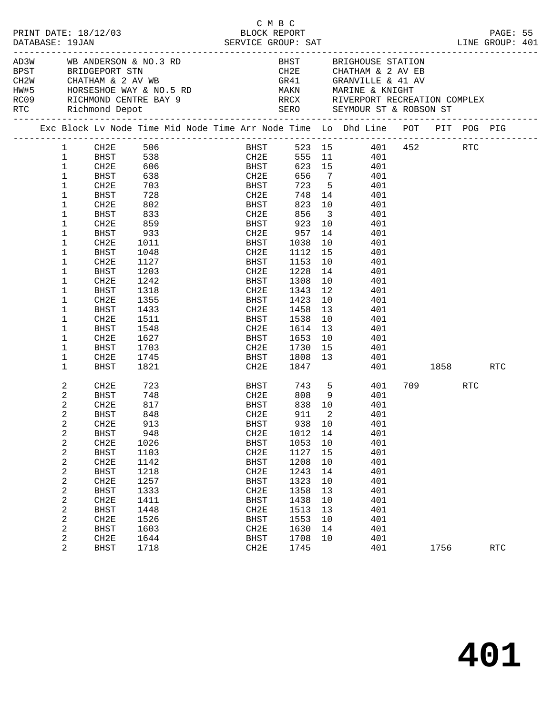| PRINT DATE: 18/12/03<br>DATABASE: 19JAN |             |                                                                                                                                                                                                                                                                                                                                                                                                          |  |              | C M B C<br>BLOCK REPORT<br>SERVICE GROUP: SAT |                            |                                                                                                                                                           |          |         | PAGE: 55<br>LINE GROUP: 401 |  |
|-----------------------------------------|-------------|----------------------------------------------------------------------------------------------------------------------------------------------------------------------------------------------------------------------------------------------------------------------------------------------------------------------------------------------------------------------------------------------------------|--|--------------|-----------------------------------------------|----------------------------|-----------------------------------------------------------------------------------------------------------------------------------------------------------|----------|---------|-----------------------------|--|
|                                         |             | AD3W WB ANDERSON & NO.3 RD<br>BPST BRIDGEPORT STN<br>CH2W CHATHAM & 2 AV WB<br>${\tt HW\#5} \hspace{1.5cm} {\tt HORSESHOE\ WAY\ \&\ NO.5\ RD} \hspace{2.5cm} {\tt MD} \hspace{2.5cm} {\tt MAKN} \hspace{1.5cm} {\tt MARKN} \hspace{1.5cm} {\tt MARKN} \hspace{2.5cm} {\tt MARKN} \hspace{2.5cm} {\tt MARKN} \hspace{1.5cm} {\tt NARINE\ \&\ KNIGHT}$<br>RC09 RICHMOND CENTRE BAY 9<br>RTC Richmond Depot |  |              |                                               |                            | BHST BRIGHOUSE STATION<br>CH2E CHATHAM & 2 AV EB<br>GR41 GRANVILLE & 41 AV<br>RRCX       RIVERPORT RECREATION COMPLEX<br>SERO      SEYMOUR ST & ROBSON ST |          |         |                             |  |
|                                         |             | Exc Block Lv Node Time Mid Node Time Arr Node Time Lo Dhd Line POT PIT POG PIG                                                                                                                                                                                                                                                                                                                           |  |              |                                               |                            |                                                                                                                                                           |          |         |                             |  |
|                                         |             | 1 CH2E 506<br>1 BHST 538                                                                                                                                                                                                                                                                                                                                                                                 |  |              |                                               |                            | BHST 523 15 401 452 RTC                                                                                                                                   |          |         |                             |  |
|                                         |             |                                                                                                                                                                                                                                                                                                                                                                                                          |  |              |                                               |                            | CH2E 555 11 401                                                                                                                                           |          |         |                             |  |
| $\mathbf 1$                             | CH2E        | 606                                                                                                                                                                                                                                                                                                                                                                                                      |  | <b>BHST</b>  |                                               |                            | 623 15 401                                                                                                                                                |          |         |                             |  |
| $\mathbf 1$                             | BHST        | 638                                                                                                                                                                                                                                                                                                                                                                                                      |  | CH2E         |                                               |                            | 656 7 401                                                                                                                                                 |          |         |                             |  |
| $\mathbf 1$                             | CH2E        |                                                                                                                                                                                                                                                                                                                                                                                                          |  | BHST<br>CH2E | 723 5                                         |                            | 401                                                                                                                                                       |          |         |                             |  |
| $\mathbf 1$                             | BHST        | 703<br>728                                                                                                                                                                                                                                                                                                                                                                                               |  |              |                                               |                            | $748$ 14 $401$                                                                                                                                            |          |         |                             |  |
| 1                                       | CH2E        | 802                                                                                                                                                                                                                                                                                                                                                                                                      |  | <b>BHST</b>  |                                               |                            | 823 10<br>401                                                                                                                                             |          |         |                             |  |
| 1                                       | BHST        | 833                                                                                                                                                                                                                                                                                                                                                                                                      |  | CH2E         | 856 3                                         |                            | 401                                                                                                                                                       |          |         |                             |  |
| 1                                       | CH2E        | 859                                                                                                                                                                                                                                                                                                                                                                                                      |  | BHST         |                                               |                            | 401                                                                                                                                                       |          |         |                             |  |
| 1                                       | BHST        | 933                                                                                                                                                                                                                                                                                                                                                                                                      |  | CH2E         | 923 10<br>957 14                              |                            | 401                                                                                                                                                       |          |         |                             |  |
| 1                                       | CH2E        | 1011                                                                                                                                                                                                                                                                                                                                                                                                     |  |              | BHST 1038                                     | 10                         | 401                                                                                                                                                       |          |         |                             |  |
| 1                                       | BHST        | 1048                                                                                                                                                                                                                                                                                                                                                                                                     |  | CH2E         | 1112 15                                       |                            | 401                                                                                                                                                       |          |         |                             |  |
| 1                                       | CH2E        | 1127                                                                                                                                                                                                                                                                                                                                                                                                     |  | BHST         | 1153 10                                       |                            | 401                                                                                                                                                       |          |         |                             |  |
| 1                                       | BHST        | 1203                                                                                                                                                                                                                                                                                                                                                                                                     |  | CH2E         | $\frac{1}{1228}$                              | 14                         | 401                                                                                                                                                       |          |         |                             |  |
| 1                                       | CH2E        | 1242                                                                                                                                                                                                                                                                                                                                                                                                     |  |              | BHST 1308                                     | 10                         | 401                                                                                                                                                       |          |         |                             |  |
| 1                                       |             |                                                                                                                                                                                                                                                                                                                                                                                                          |  |              |                                               | 12                         | 401                                                                                                                                                       |          |         |                             |  |
|                                         | BHST        | 1318                                                                                                                                                                                                                                                                                                                                                                                                     |  | CH2E         | 1343                                          |                            | 401                                                                                                                                                       |          |         |                             |  |
| 1                                       | CH2E        | 1355                                                                                                                                                                                                                                                                                                                                                                                                     |  | BHST         | 1423    10<br>1458    13                      |                            |                                                                                                                                                           |          |         |                             |  |
| 1                                       | BHST        | 1433                                                                                                                                                                                                                                                                                                                                                                                                     |  | CH2E         | BHST 1538 10                                  |                            | 401                                                                                                                                                       |          |         |                             |  |
| 1                                       | CH2E        | 1511                                                                                                                                                                                                                                                                                                                                                                                                     |  |              |                                               |                            | 401                                                                                                                                                       |          |         |                             |  |
| 1                                       | <b>BHST</b> | 1548                                                                                                                                                                                                                                                                                                                                                                                                     |  |              | CH2E 1614 13                                  |                            | 401                                                                                                                                                       |          |         |                             |  |
| 1                                       | CH2E        | 1627                                                                                                                                                                                                                                                                                                                                                                                                     |  | BHST         |                                               |                            | BHST 1653 10 401<br>CH2E 1730 15 401                                                                                                                      |          |         |                             |  |
| 1                                       | BHST        | 1703                                                                                                                                                                                                                                                                                                                                                                                                     |  |              |                                               |                            | 401                                                                                                                                                       |          |         |                             |  |
| 1                                       | CH2E        | 1745                                                                                                                                                                                                                                                                                                                                                                                                     |  |              | BHST 1808 13                                  |                            | 401                                                                                                                                                       |          |         |                             |  |
| 1                                       | <b>BHST</b> | 1821                                                                                                                                                                                                                                                                                                                                                                                                     |  | CH2E         | 1847                                          |                            |                                                                                                                                                           | 401 1858 |         | RTC                         |  |
| 2                                       | CH2E        | 723<br>748                                                                                                                                                                                                                                                                                                                                                                                               |  |              |                                               |                            | BHST 743 5 401                                                                                                                                            |          | 709 RTC |                             |  |
| 2                                       | <b>BHST</b> |                                                                                                                                                                                                                                                                                                                                                                                                          |  |              |                                               |                            | CH2E 808 9 401                                                                                                                                            |          |         |                             |  |
| 2                                       | CH2E        | 817                                                                                                                                                                                                                                                                                                                                                                                                      |  | BHST         | 838 10                                        |                            | 401                                                                                                                                                       |          |         |                             |  |
| 2                                       | BHST        | 848                                                                                                                                                                                                                                                                                                                                                                                                      |  | CH2E         | 911                                           | $\overline{\phantom{0}}^2$ | 401                                                                                                                                                       |          |         |                             |  |
| 2                                       | CH2E        | 913                                                                                                                                                                                                                                                                                                                                                                                                      |  | <b>BHST</b>  | 938 10                                        |                            | 401                                                                                                                                                       |          |         |                             |  |
| 2                                       | BHST        | 948                                                                                                                                                                                                                                                                                                                                                                                                      |  | CH2E         | 1012                                          | 14                         | 401                                                                                                                                                       |          |         |                             |  |
| 2                                       | CH2E        | 1026                                                                                                                                                                                                                                                                                                                                                                                                     |  | <b>BHST</b>  | 1053                                          | 10                         | 401                                                                                                                                                       |          |         |                             |  |
| 2                                       | <b>BHST</b> | 1103                                                                                                                                                                                                                                                                                                                                                                                                     |  | CH2E         | 1127                                          | 15                         | 401                                                                                                                                                       |          |         |                             |  |
| 2                                       | CH2E        | 1142                                                                                                                                                                                                                                                                                                                                                                                                     |  | <b>BHST</b>  | 1208                                          | 10                         | 401                                                                                                                                                       |          |         |                             |  |
| 2                                       | <b>BHST</b> | 1218                                                                                                                                                                                                                                                                                                                                                                                                     |  | CH2E         | 1243                                          | 14                         | 401                                                                                                                                                       |          |         |                             |  |
| 2                                       | CH2E        | 1257                                                                                                                                                                                                                                                                                                                                                                                                     |  | <b>BHST</b>  | 1323                                          | 10                         | 401                                                                                                                                                       |          |         |                             |  |
| 2                                       | <b>BHST</b> | 1333                                                                                                                                                                                                                                                                                                                                                                                                     |  | CH2E         | 1358                                          | 13                         | 401                                                                                                                                                       |          |         |                             |  |
| 2                                       | CH2E        | 1411                                                                                                                                                                                                                                                                                                                                                                                                     |  | <b>BHST</b>  | 1438                                          | 10                         | 401                                                                                                                                                       |          |         |                             |  |
| 2                                       | <b>BHST</b> | 1448                                                                                                                                                                                                                                                                                                                                                                                                     |  | CH2E         | 1513                                          | 13                         | 401                                                                                                                                                       |          |         |                             |  |
| 2                                       | CH2E        | 1526                                                                                                                                                                                                                                                                                                                                                                                                     |  | <b>BHST</b>  | 1553                                          | 10                         | 401                                                                                                                                                       |          |         |                             |  |
| 2                                       | <b>BHST</b> | 1603                                                                                                                                                                                                                                                                                                                                                                                                     |  | CH2E         | 1630                                          | 14                         | 401                                                                                                                                                       |          |         |                             |  |
| 2                                       | CH2E        | 1644                                                                                                                                                                                                                                                                                                                                                                                                     |  | <b>BHST</b>  | 1708                                          | 10                         | 401                                                                                                                                                       |          |         |                             |  |
| $\overline{a}$                          | <b>BHST</b> | 1718                                                                                                                                                                                                                                                                                                                                                                                                     |  | CH2E         | 1745                                          |                            | 401                                                                                                                                                       |          | 1756    | RTC                         |  |
|                                         |             |                                                                                                                                                                                                                                                                                                                                                                                                          |  |              |                                               |                            |                                                                                                                                                           |          |         |                             |  |

# **401**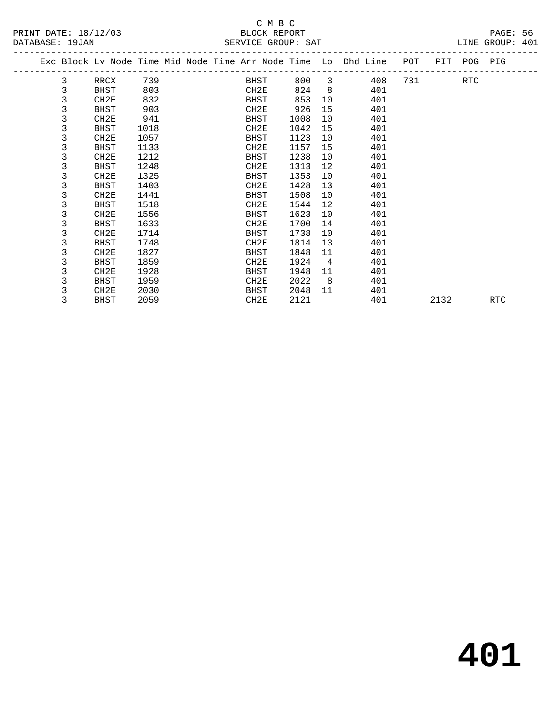|   |                  |      |  |                  |      |                | Exc Block Lv Node Time Mid Node Time Arr Node Time Lo Dhd Line | POT |      | PIT POG PIG |            |  |
|---|------------------|------|--|------------------|------|----------------|----------------------------------------------------------------|-----|------|-------------|------------|--|
| 3 | RRCX             | 739  |  | BHST             | 800  | 3              | 408                                                            | 731 |      | <b>RTC</b>  |            |  |
| 3 | BHST             | 803  |  | CH2E             | 824  | 8              | 401                                                            |     |      |             |            |  |
| 3 | CH2E             | 832  |  | BHST             | 853  | 10             | 401                                                            |     |      |             |            |  |
| 3 | BHST             | 903  |  | CH2E             | 926  | 15             | 401                                                            |     |      |             |            |  |
| 3 | CH <sub>2E</sub> | 941  |  | BHST             | 1008 | 10             | 401                                                            |     |      |             |            |  |
| 3 | BHST             | 1018 |  | CH2E             | 1042 | 15             | 401                                                            |     |      |             |            |  |
| 3 | CH2E             | 1057 |  | BHST             | 1123 | 10             | 401                                                            |     |      |             |            |  |
| 3 | BHST             | 1133 |  | CH2E             | 1157 | 15             | 401                                                            |     |      |             |            |  |
| 3 | CH2E             | 1212 |  | BHST             | 1238 | 10             | 401                                                            |     |      |             |            |  |
| 3 | <b>BHST</b>      | 1248 |  | CH2E             | 1313 | 12             | 401                                                            |     |      |             |            |  |
| 3 | CH2E             | 1325 |  | BHST             | 1353 | 10             | 401                                                            |     |      |             |            |  |
| 3 | BHST             | 1403 |  | CH2E             | 1428 | 13             | 401                                                            |     |      |             |            |  |
| 3 | CH <sub>2E</sub> | 1441 |  | BHST             | 1508 | 10             | 401                                                            |     |      |             |            |  |
| 3 | BHST             | 1518 |  | CH <sub>2E</sub> | 1544 | 12             | 401                                                            |     |      |             |            |  |
| 3 | CH <sub>2E</sub> | 1556 |  | BHST             | 1623 | 10             | 401                                                            |     |      |             |            |  |
| 3 | BHST             | 1633 |  | CH2E             | 1700 | 14             | 401                                                            |     |      |             |            |  |
| 3 | CH2E             | 1714 |  | <b>BHST</b>      | 1738 | 10             | 401                                                            |     |      |             |            |  |
| 3 | <b>BHST</b>      | 1748 |  | CH2E             | 1814 | 13             | 401                                                            |     |      |             |            |  |
| 3 | CH2E             | 1827 |  | BHST             | 1848 | 11             | 401                                                            |     |      |             |            |  |
| 3 | BHST             | 1859 |  | CH2E             | 1924 | 4              | 401                                                            |     |      |             |            |  |
| 3 | CH2E             | 1928 |  | BHST             | 1948 | 11             | 401                                                            |     |      |             |            |  |
| 3 | BHST             | 1959 |  | CH2E             | 2022 | 8 <sup>8</sup> | 401                                                            |     |      |             |            |  |
| 3 | CH2E             | 2030 |  | BHST             | 2048 | 11             | 401                                                            |     |      |             |            |  |
| 3 | BHST             | 2059 |  | CH2E             | 2121 |                | 401                                                            |     | 2132 |             | <b>RTC</b> |  |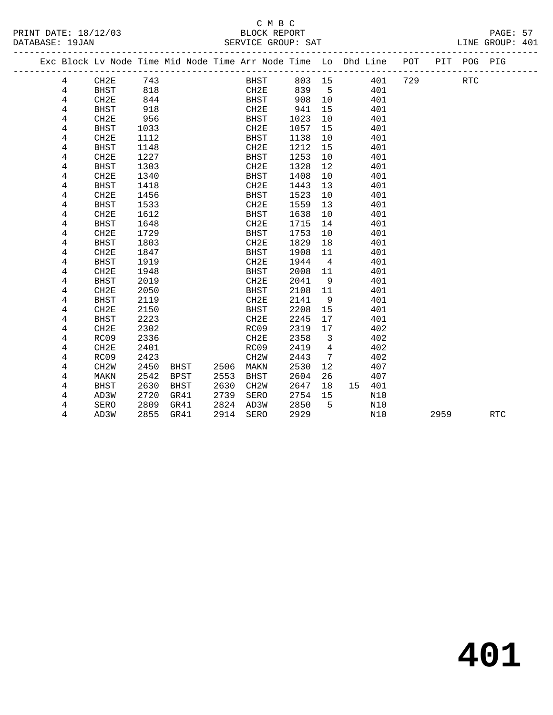|  |       | Exc Block Lv Node Time Mid Node Time Arr Node Time Lo Dhd Line POT |      |      |      | __________________________________ |       |                            |        |     |     |      | PIT POG PIG |            |
|--|-------|--------------------------------------------------------------------|------|------|------|------------------------------------|-------|----------------------------|--------|-----|-----|------|-------------|------------|
|  | 4     | CH2E                                                               | 743  |      |      | <b>BHST</b>                        |       |                            | 803 15 | 401 | 729 |      | <b>RTC</b>  |            |
|  | 4     | BHST                                                               | 818  |      |      | CH2E                               | 839 5 |                            |        | 401 |     |      |             |            |
|  | 4     | CH2E                                                               | 844  |      |      | BHST                               | 908   | 10                         |        | 401 |     |      |             |            |
|  | 4     | BHST                                                               | 918  |      |      | CH2E                               | 941   | 15                         |        | 401 |     |      |             |            |
|  | 4     | CH2E                                                               | 956  |      |      | BHST                               | 1023  | 10                         |        | 401 |     |      |             |            |
|  | 4     | <b>BHST</b>                                                        | 1033 |      |      | CH2E                               | 1057  | 15                         |        | 401 |     |      |             |            |
|  | 4     | CH2E                                                               | 1112 |      |      | BHST                               | 1138  | 10                         |        | 401 |     |      |             |            |
|  | 4     | BHST                                                               | 1148 |      |      | CH2E                               | 1212  | 15                         |        | 401 |     |      |             |            |
|  | 4     | CH2E                                                               | 1227 |      |      | <b>BHST</b>                        | 1253  | 10                         |        | 401 |     |      |             |            |
|  | 4     | <b>BHST</b>                                                        | 1303 |      |      | CH2E                               | 1328  | 12                         |        | 401 |     |      |             |            |
|  | 4     | CH2E                                                               | 1340 |      |      | BHST                               | 1408  | 10                         |        | 401 |     |      |             |            |
|  | 4     | <b>BHST</b>                                                        | 1418 |      |      | CH2E                               | 1443  | 13                         |        | 401 |     |      |             |            |
|  | 4     | CH <sub>2E</sub>                                                   | 1456 |      |      | BHST                               | 1523  | 10                         |        | 401 |     |      |             |            |
|  | 4     | BHST                                                               | 1533 |      |      | CH2E                               | 1559  | 13                         |        | 401 |     |      |             |            |
|  | 4     | CH2E                                                               | 1612 |      |      | BHST                               | 1638  | 10                         |        | 401 |     |      |             |            |
|  | 4     | <b>BHST</b>                                                        | 1648 |      |      | CH2E                               | 1715  | 14                         |        | 401 |     |      |             |            |
|  | 4     | CH2E                                                               | 1729 |      |      | BHST                               | 1753  | 10                         |        | 401 |     |      |             |            |
|  | 4     | <b>BHST</b>                                                        | 1803 |      |      | CH2E                               | 1829  | 18                         |        | 401 |     |      |             |            |
|  | 4     | CH2E                                                               | 1847 |      |      | <b>BHST</b>                        | 1908  | 11                         |        | 401 |     |      |             |            |
|  | 4     | <b>BHST</b>                                                        | 1919 |      |      | CH2E                               | 1944  | $\overline{4}$             |        | 401 |     |      |             |            |
|  | $\,4$ | CH2E                                                               | 1948 |      |      | <b>BHST</b>                        | 2008  | 11                         |        | 401 |     |      |             |            |
|  | 4     | <b>BHST</b>                                                        | 2019 |      |      | CH2E                               | 2041  | 9                          |        | 401 |     |      |             |            |
|  | 4     | CH2E                                                               | 2050 |      |      | <b>BHST</b>                        | 2108  | 11                         |        | 401 |     |      |             |            |
|  | 4     | BHST                                                               | 2119 |      |      | CH2E                               | 2141  | 9                          |        | 401 |     |      |             |            |
|  | 4     | CH2E                                                               | 2150 |      |      | <b>BHST</b>                        | 2208  | 15                         |        | 401 |     |      |             |            |
|  | 4     | <b>BHST</b>                                                        | 2223 |      |      | CH2E                               | 2245  | 17                         |        | 401 |     |      |             |            |
|  | 4     | CH2E                                                               | 2302 |      |      | RC09                               | 2319  | 17                         |        | 402 |     |      |             |            |
|  | 4     | RC09                                                               | 2336 |      |      | CH2E                               | 2358  | $\overline{\phantom{a}}$ 3 |        | 402 |     |      |             |            |
|  | 4     | CH2E                                                               | 2401 |      |      | RC09                               | 2419  | $\overline{4}$             |        | 402 |     |      |             |            |
|  | 4     | RC09                                                               | 2423 |      |      | CH <sub>2</sub> W                  | 2443  | 7                          |        | 402 |     |      |             |            |
|  | 4     | CH <sub>2</sub> W                                                  | 2450 | BHST | 2506 | MAKN                               | 2530  | 12                         |        | 407 |     |      |             |            |
|  | 4     | MAKN                                                               | 2542 | BPST | 2553 | BHST                               | 2604  | 26                         |        | 407 |     |      |             |            |
|  | 4     | BHST                                                               | 2630 | BHST | 2630 | CH2W                               | 2647  | 18                         | 15     | 401 |     |      |             |            |
|  | 4     | AD3W                                                               | 2720 | GR41 | 2739 | SERO                               | 2754  | 15                         |        | N10 |     |      |             |            |
|  | 4     | SERO                                                               | 2809 | GR41 | 2824 | AD3W                               | 2850  | 5                          |        | N10 |     |      |             |            |
|  | 4     | AD3W                                                               | 2855 | GR41 | 2914 | <b>SERO</b>                        | 2929  |                            |        | N10 |     | 2959 |             | <b>RTC</b> |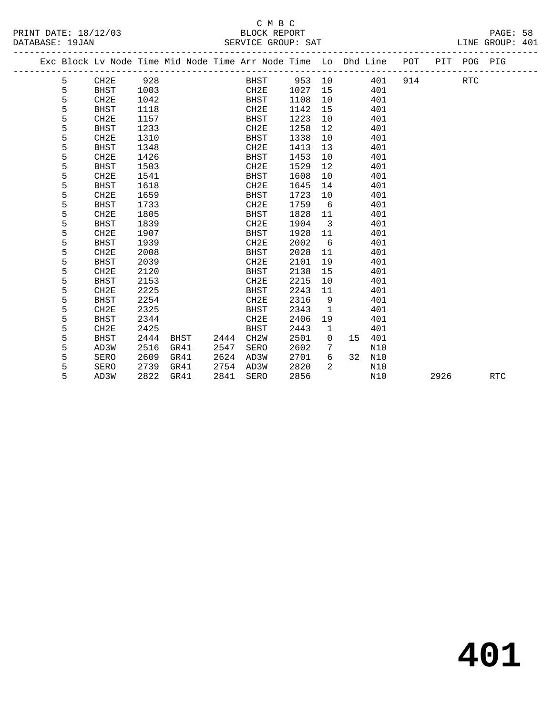|  |   |                  |      |      |      | Exc Block Lv Node Time Mid Node Time Arr Node Time Lo Dhd Line |      |                   |    |     | POT |      | PIT POG PIG |            |
|--|---|------------------|------|------|------|----------------------------------------------------------------|------|-------------------|----|-----|-----|------|-------------|------------|
|  | 5 | CH2E             | 928  |      |      | <b>BHST</b>                                                    | 953  | 10                |    | 401 | 914 |      | <b>RTC</b>  |            |
|  | 5 | <b>BHST</b>      | 1003 |      |      | CH2E                                                           | 1027 | 15                |    | 401 |     |      |             |            |
|  | 5 | CH2E             | 1042 |      |      | BHST                                                           | 1108 | 10                |    | 401 |     |      |             |            |
|  | 5 | <b>BHST</b>      | 1118 |      |      | CH2E                                                           | 1142 | 15                |    | 401 |     |      |             |            |
|  | 5 | CH2E             | 1157 |      |      | BHST                                                           | 1223 | 10                |    | 401 |     |      |             |            |
|  | 5 | <b>BHST</b>      | 1233 |      |      | CH2E                                                           | 1258 | $12 \overline{ }$ |    | 401 |     |      |             |            |
|  | 5 | CH <sub>2E</sub> | 1310 |      |      | <b>BHST</b>                                                    | 1338 | 10                |    | 401 |     |      |             |            |
|  | 5 | <b>BHST</b>      | 1348 |      |      | CH2E                                                           | 1413 | 13                |    | 401 |     |      |             |            |
|  | 5 | CH2E             | 1426 |      |      | BHST                                                           | 1453 | 10                |    | 401 |     |      |             |            |
|  | 5 | <b>BHST</b>      | 1503 |      |      | CH2E                                                           | 1529 | $12 \overline{ }$ |    | 401 |     |      |             |            |
|  | 5 | CH2E             | 1541 |      |      | BHST                                                           | 1608 | 10                |    | 401 |     |      |             |            |
|  | 5 | <b>BHST</b>      | 1618 |      |      | CH2E                                                           | 1645 | 14                |    | 401 |     |      |             |            |
|  | 5 | CH2E             | 1659 |      |      | <b>BHST</b>                                                    | 1723 | 10                |    | 401 |     |      |             |            |
|  | 5 | <b>BHST</b>      | 1733 |      |      | ${\tt CH2E}$                                                   | 1759 | 6                 |    | 401 |     |      |             |            |
|  | 5 | CH2E             | 1805 |      |      | BHST                                                           | 1828 | 11                |    | 401 |     |      |             |            |
|  | 5 | <b>BHST</b>      | 1839 |      |      | CH <sub>2E</sub>                                               | 1904 | 3                 |    | 401 |     |      |             |            |
|  | 5 | CH2E             | 1907 |      |      | <b>BHST</b>                                                    | 1928 | 11                |    | 401 |     |      |             |            |
|  | 5 | <b>BHST</b>      | 1939 |      |      | CH2E                                                           | 2002 | 6                 |    | 401 |     |      |             |            |
|  | 5 | CH <sub>2E</sub> | 2008 |      |      | BHST                                                           | 2028 | 11                |    | 401 |     |      |             |            |
|  | 5 | <b>BHST</b>      | 2039 |      |      | CH2E                                                           | 2101 | 19                |    | 401 |     |      |             |            |
|  | 5 | CH2E             | 2120 |      |      | BHST                                                           | 2138 | 15                |    | 401 |     |      |             |            |
|  | 5 | <b>BHST</b>      | 2153 |      |      | CH2E                                                           | 2215 | 10                |    | 401 |     |      |             |            |
|  | 5 | CH2E             | 2225 |      |      | <b>BHST</b>                                                    | 2243 | 11                |    | 401 |     |      |             |            |
|  | 5 | <b>BHST</b>      | 2254 |      |      | CH2E                                                           | 2316 | 9                 |    | 401 |     |      |             |            |
|  | 5 | CH2E             | 2325 |      |      | <b>BHST</b>                                                    | 2343 | $\mathbf{1}$      |    | 401 |     |      |             |            |
|  | 5 | <b>BHST</b>      | 2344 |      |      | CH2E                                                           | 2406 | 19                |    | 401 |     |      |             |            |
|  | 5 | CH <sub>2E</sub> | 2425 |      |      | <b>BHST</b>                                                    | 2443 | 1                 |    | 401 |     |      |             |            |
|  | 5 | <b>BHST</b>      | 2444 | BHST | 2444 | CH <sub>2</sub> W                                              | 2501 | $\mathbf 0$       | 15 | 401 |     |      |             |            |
|  | 5 | AD3W             | 2516 | GR41 | 2547 | SERO                                                           | 2602 | 7                 |    | N10 |     |      |             |            |
|  | 5 | SERO             | 2609 | GR41 | 2624 | AD3W                                                           | 2701 | 6                 | 32 | N10 |     |      |             |            |
|  | 5 | SERO             | 2739 | GR41 | 2754 | AD3W                                                           | 2820 | 2                 |    | N10 |     |      |             |            |
|  | 5 | AD3W             | 2822 | GR41 | 2841 | <b>SERO</b>                                                    | 2856 |                   |    | N10 |     | 2926 |             | <b>RTC</b> |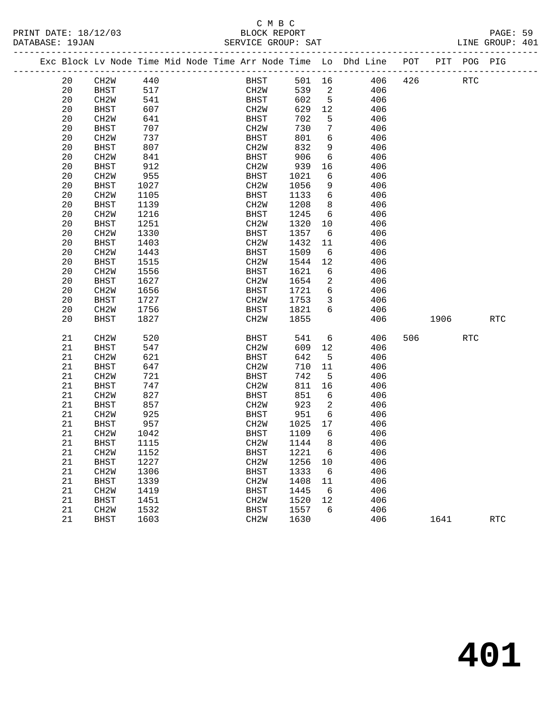|                                         |    |                   |      |  | C M B C                            |       |                          |                                                                                |           |          |                             |  |
|-----------------------------------------|----|-------------------|------|--|------------------------------------|-------|--------------------------|--------------------------------------------------------------------------------|-----------|----------|-----------------------------|--|
| PRINT DATE: 18/12/03<br>DATABASE: 19JAN |    |                   |      |  | BLOCK REPORT<br>SERVICE GROUP: SAT |       |                          |                                                                                |           |          | PAGE: 59<br>LINE GROUP: 401 |  |
|                                         |    |                   |      |  |                                    |       |                          | Exc Block Lv Node Time Mid Node Time Arr Node Time Lo Dhd Line POT PIT POG PIG |           |          |                             |  |
|                                         | 20 | CH2W 440          |      |  |                                    |       |                          | BHST 501 16 406                                                                | 426 RTC   |          |                             |  |
|                                         | 20 | BHST              | 517  |  | CH2W                               |       |                          | 539 2<br>406                                                                   |           |          |                             |  |
|                                         | 20 | CH2W              | 541  |  | BHST                               | 602 5 |                          | 406                                                                            |           |          |                             |  |
|                                         | 20 | <b>BHST</b>       | 607  |  | CH2W                               | 629   | 12                       | 406                                                                            |           |          |                             |  |
|                                         | 20 | CH2W              | 641  |  | BHST                               | 702   | $5^{\circ}$              | 406                                                                            |           |          |                             |  |
|                                         | 20 | BHST              | 707  |  | CH2W                               | 730   | 7                        | 406                                                                            |           |          |                             |  |
|                                         | 20 | CH2W              | 737  |  | BHST                               | 801   | 6                        | 406                                                                            |           |          |                             |  |
|                                         | 20 | BHST              | 807  |  | CH2W                               | 832   | 9                        | 406                                                                            |           |          |                             |  |
|                                         | 20 | CH2W              | 841  |  | BHST                               | 906   | 6                        | 406                                                                            |           |          |                             |  |
|                                         | 20 | BHST              | 912  |  | CH2W                               | 939   | 16                       | 406                                                                            |           |          |                             |  |
|                                         | 20 | CH <sub>2</sub> W | 955  |  | BHST                               | 1021  | 6                        | 406                                                                            |           |          |                             |  |
|                                         | 20 | BHST              | 1027 |  | CH2W                               | 1056  | 9                        | 406                                                                            |           |          |                             |  |
|                                         | 20 | CH2W              | 1105 |  | BHST                               | 1133  | 6                        | 406                                                                            |           |          |                             |  |
|                                         | 20 | BHST              | 1139 |  | CH2W                               | 1208  | 8                        | 406                                                                            |           |          |                             |  |
|                                         | 20 | CH <sub>2</sub> W | 1216 |  | BHST                               | 1245  | 6                        | 406                                                                            |           |          |                             |  |
|                                         | 20 | BHST              | 1251 |  | CH2W                               | 1320  | 10                       | 406                                                                            |           |          |                             |  |
|                                         | 20 | CH2W              | 1330 |  | BHST                               | 1357  | 6                        | 406                                                                            |           |          |                             |  |
|                                         | 20 | BHST              | 1403 |  | CH2W                               | 1432  | 11                       | 406                                                                            |           |          |                             |  |
|                                         | 20 | CH <sub>2</sub> W | 1443 |  | BHST                               | 1509  | 6                        | 406                                                                            |           |          |                             |  |
|                                         | 20 | BHST              | 1515 |  | CH2W                               | 1544  | 12                       | 406                                                                            |           |          |                             |  |
|                                         | 20 | CH2W              | 1556 |  | BHST                               | 1621  | 6                        | 406                                                                            |           |          |                             |  |
|                                         | 20 | BHST              | 1627 |  | CH2W                               | 1654  | 2                        | 406                                                                            |           |          |                             |  |
|                                         | 20 | CH2W              | 1656 |  | BHST                               | 1721  | 6                        | 406                                                                            |           |          |                             |  |
|                                         | 20 | BHST              | 1727 |  | CH2W                               | 1753  | $\overline{\mathbf{3}}$  | 406                                                                            |           |          |                             |  |
|                                         | 20 | CH2W              | 1756 |  | BHST                               | 1821  | 6                        | 406                                                                            |           |          |                             |  |
|                                         | 20 | BHST              | 1827 |  | CH2W                               | 1855  |                          | 406                                                                            |           | 1906 190 | RTC                         |  |
|                                         | 21 | CH <sub>2</sub> W | 520  |  | BHST                               | 541   | 6                        | 406                                                                            | 506 — 100 | RTC      |                             |  |
|                                         | 21 | BHST              | 547  |  | CH2W                               | 609   | 12                       | 406                                                                            |           |          |                             |  |
|                                         | 21 | CH2W              | 621  |  | BHST                               | 642   | $5^{\circ}$              | 406                                                                            |           |          |                             |  |
|                                         | 21 | BHST              | 647  |  | CH2W                               | 710   | 11                       | 406                                                                            |           |          |                             |  |
|                                         | 21 | CH2W              | 721  |  | BHST                               | 742   | $5^{\circ}$              | 406                                                                            |           |          |                             |  |
|                                         | 21 | BHST              | 747  |  | CH2W                               | 811   | 16                       | 406                                                                            |           |          |                             |  |
|                                         | 21 | CH2W              | 827  |  | BHST                               | 851 6 |                          | 406                                                                            |           |          |                             |  |
|                                         | 21 | BHST              | 857  |  | CH2W                               | 923   | $\overline{\phantom{a}}$ | 406                                                                            |           |          |                             |  |
|                                         | 21 | CH <sub>2</sub> W | 925  |  | <b>BHST</b>                        | 951   | 6                        | 406                                                                            |           |          |                             |  |
|                                         | 21 | <b>BHST</b>       | 957  |  | CH2W 1025 17                       |       |                          | 406                                                                            |           |          |                             |  |
|                                         | 21 | CH <sub>2</sub> W | 1042 |  | BHST                               | 1109  | 6                        | 406                                                                            |           |          |                             |  |
|                                         | 21 | <b>BHST</b>       | 1115 |  | CH2W                               | 1144  | 8                        | 406                                                                            |           |          |                             |  |
|                                         | 21 | CH <sub>2</sub> W | 1152 |  | BHST                               | 1221  | 6                        | 406                                                                            |           |          |                             |  |
|                                         | 21 | <b>BHST</b>       | 1227 |  | CH2W                               | 1256  | 10                       | 406                                                                            |           |          |                             |  |
|                                         | 21 | CH <sub>2</sub> W | 1306 |  | BHST<br>CH <sub>2</sub> W          | 1333  | 6                        | 406                                                                            |           |          |                             |  |
|                                         | 21 | <b>BHST</b>       | 1339 |  |                                    | 1408  | 11                       | 406                                                                            |           |          |                             |  |
|                                         | 21 | CH <sub>2</sub> W | 1419 |  | <b>BHST</b>                        | 1445  | 6                        | 406                                                                            |           |          |                             |  |

 21 CH2W 1419 BHST 1445 6 406 21 BHST 1451 CH2W 1520 12 406 21 CH2W 1532 BHST 1557 6 406

21 BHST 1603 CH2W 1630 406 1641 RTC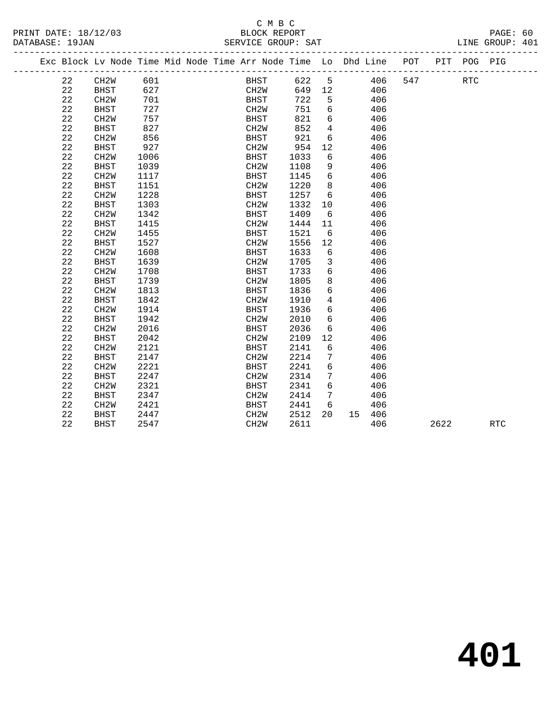PRINT DATE: 18/12/03<br>DATABASE: 19JAN

# C M B C<br>BLOCK REPORT<br>EDVICE CROUD: SAT

|  | DATABASE: 19JAN |                                    |                           |  | SERVICE GROUP: SAT |                |                                                                                |  |      | LINE GROUP: 401 |  |
|--|-----------------|------------------------------------|---------------------------|--|--------------------|----------------|--------------------------------------------------------------------------------|--|------|-----------------|--|
|  |                 |                                    |                           |  |                    |                | Exc Block Lv Node Time Mid Node Time Arr Node Time Lo Dhd Line POT PIT POG PIG |  |      |                 |  |
|  | 22              | CH2W                               | 601                       |  | BHST               | 622 5          | 406 547                                                                        |  | RTC. |                 |  |
|  | 22              | BHST                               | 627                       |  | CH2W               | 649 12         | 406                                                                            |  |      |                 |  |
|  | $\sim$          | $\sim$ $\sim$ $\sim$ $\sim$ $\sim$ | $\mathbf{r}$ $\mathbf{r}$ |  | $\mathbf{m}$       | $\overline{a}$ | $\sim$                                                                         |  |      |                 |  |

| 22          | CH <sub>2</sub> W | 701  | <b>BHST</b>       | 722  | 5  |    | 406 |      |            |
|-------------|-------------------|------|-------------------|------|----|----|-----|------|------------|
| 22          | <b>BHST</b>       | 727  | CH <sub>2</sub> W | 751  | 6  |    | 406 |      |            |
| 22          | CH2W              | 757  | <b>BHST</b>       | 821  | 6  |    | 406 |      |            |
| 22          | <b>BHST</b>       | 827  | CH <sub>2</sub> W | 852  | 4  |    | 406 |      |            |
| $2\sqrt{2}$ | CH <sub>2</sub> W | 856  | <b>BHST</b>       | 921  | 6  |    | 406 |      |            |
| 22          | <b>BHST</b>       | 927  | CH <sub>2</sub> W | 954  | 12 |    | 406 |      |            |
| 22          | CH <sub>2</sub> W | 1006 | <b>BHST</b>       | 1033 | 6  |    | 406 |      |            |
| 22          | <b>BHST</b>       | 1039 | CH2W              | 1108 | 9  |    | 406 |      |            |
| 22          | CH <sub>2</sub> W | 1117 | <b>BHST</b>       | 1145 | 6  |    | 406 |      |            |
| 22          | <b>BHST</b>       | 1151 | CH <sub>2</sub> W | 1220 | 8  |    | 406 |      |            |
| 22          | CH <sub>2</sub> W | 1228 | <b>BHST</b>       | 1257 | 6  |    | 406 |      |            |
| 22          | <b>BHST</b>       | 1303 | CH <sub>2</sub> W | 1332 | 10 |    | 406 |      |            |
| 22          | CH <sub>2</sub> W | 1342 | <b>BHST</b>       | 1409 | 6  |    | 406 |      |            |
| 22          | <b>BHST</b>       | 1415 | CH <sub>2</sub> W | 1444 | 11 |    | 406 |      |            |
| 22          | CH <sub>2</sub> W | 1455 | <b>BHST</b>       | 1521 | 6  |    | 406 |      |            |
| 22          | <b>BHST</b>       | 1527 | CH <sub>2</sub> W | 1556 | 12 |    | 406 |      |            |
| 22          | CH <sub>2</sub> W | 1608 | <b>BHST</b>       | 1633 | 6  |    | 406 |      |            |
| 22          | <b>BHST</b>       | 1639 | CH <sub>2</sub> W | 1705 | 3  |    | 406 |      |            |
| 22          | CH <sub>2</sub> W | 1708 | <b>BHST</b>       | 1733 | 6  |    | 406 |      |            |
| 22          | <b>BHST</b>       | 1739 | CH <sub>2</sub> W | 1805 | 8  |    | 406 |      |            |
| 22          | CH <sub>2</sub> W | 1813 | <b>BHST</b>       | 1836 | б  |    | 406 |      |            |
| 22          | <b>BHST</b>       | 1842 | CH <sub>2</sub> W | 1910 | 4  |    | 406 |      |            |
| 22          | CH <sub>2</sub> W | 1914 | <b>BHST</b>       | 1936 | б  |    | 406 |      |            |
| 22          | <b>BHST</b>       | 1942 | CH <sub>2</sub> W | 2010 | б  |    | 406 |      |            |
| 22          | CH <sub>2</sub> W | 2016 | <b>BHST</b>       | 2036 | 6  |    | 406 |      |            |
| 22          | <b>BHST</b>       | 2042 | CH <sub>2</sub> W | 2109 | 12 |    | 406 |      |            |
| 22          | CH <sub>2</sub> W | 2121 | <b>BHST</b>       | 2141 | 6  |    | 406 |      |            |
| 22          | <b>BHST</b>       | 2147 | CH <sub>2</sub> W | 2214 | 7  |    | 406 |      |            |
| 22          | CH <sub>2</sub> W | 2221 | <b>BHST</b>       | 2241 | 6  |    | 406 |      |            |
| 22          | <b>BHST</b>       | 2247 | CH <sub>2</sub> W | 2314 | 7  |    | 406 |      |            |
| 22          | CH <sub>2</sub> W | 2321 | <b>BHST</b>       | 2341 | 6  |    | 406 |      |            |
| 22          | <b>BHST</b>       | 2347 | CH <sub>2</sub> W | 2414 | 7  |    | 406 |      |            |
| 22          | CH <sub>2</sub> W | 2421 | <b>BHST</b>       | 2441 | 6  |    | 406 |      |            |
| 22          | <b>BHST</b>       | 2447 | CH <sub>2</sub> W | 2512 | 20 | 15 | 406 |      |            |
| 22          | <b>BHST</b>       | 2547 | CH <sub>2</sub> W | 2611 |    |    | 406 | 2622 | <b>RTC</b> |
|             |                   |      |                   |      |    |    |     |      |            |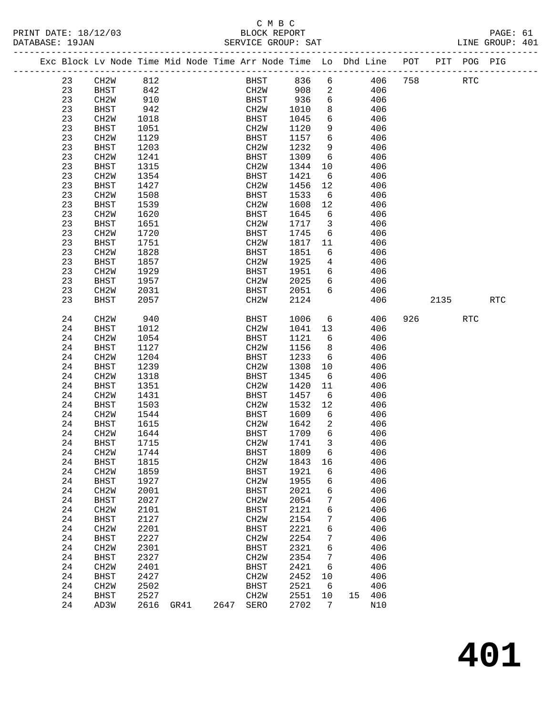#### C M B C<br>BLOCK REPORT SERVICE GROUP: SAT

|  |    |                   |      |           | Exc Block Lv Node Time Mid Node Time Arr Node Time Lo Dhd Line POT |         |                         |        |     |     |        | PIT POG PIG |            |
|--|----|-------------------|------|-----------|--------------------------------------------------------------------|---------|-------------------------|--------|-----|-----|--------|-------------|------------|
|  |    |                   |      |           |                                                                    |         |                         |        |     |     |        |             |            |
|  | 23 | CH2W              | 812  |           | BHST                                                               | 836     | 6                       |        | 406 | 758 |        | <b>RTC</b>  |            |
|  | 23 | BHST              | 842  |           | CH2W                                                               | 908     | $\overline{a}$          |        | 406 |     |        |             |            |
|  | 23 | CH2W              | 910  |           | BHST                                                               | 936     | 6                       |        | 406 |     |        |             |            |
|  | 23 | BHST              | 942  |           | CH2W                                                               | 1010    | 8                       |        | 406 |     |        |             |            |
|  | 23 | CH2W              | 1018 |           | BHST                                                               | 1045    | $6\overline{6}$         |        | 406 |     |        |             |            |
|  | 23 | BHST              | 1051 |           | CH2W                                                               | 1120    | 9                       |        | 406 |     |        |             |            |
|  | 23 | CH2W              | 1129 |           | BHST                                                               | 1157    | 6                       |        | 406 |     |        |             |            |
|  | 23 | BHST              | 1203 |           | CH2W                                                               | 1232    | 9                       |        | 406 |     |        |             |            |
|  | 23 | CH <sub>2</sub> W | 1241 |           | BHST                                                               | 1309    | 6                       |        | 406 |     |        |             |            |
|  | 23 | <b>BHST</b>       | 1315 |           | CH2W                                                               | 1344    | 10                      |        | 406 |     |        |             |            |
|  | 23 | CH <sub>2</sub> W | 1354 |           | BHST                                                               | 1421    | $6\overline{6}$         |        | 406 |     |        |             |            |
|  | 23 | <b>BHST</b>       | 1427 |           | CH2W                                                               | 1456    | 12                      |        | 406 |     |        |             |            |
|  | 23 | CH <sub>2</sub> W | 1508 |           | BHST                                                               | 1533    | $6\overline{6}$         |        | 406 |     |        |             |            |
|  | 23 | <b>BHST</b>       | 1539 |           | CH2W                                                               | 1608    | 12                      |        | 406 |     |        |             |            |
|  | 23 | CH2W              | 1620 |           | BHST                                                               | 1645    | $6\overline{6}$         |        | 406 |     |        |             |            |
|  | 23 | BHST              | 1651 |           | CH2W                                                               | 1717    | $\overline{\mathbf{3}}$ |        | 406 |     |        |             |            |
|  | 23 | CH <sub>2</sub> W | 1720 |           | BHST                                                               | 1745    | $6\overline{6}$         |        | 406 |     |        |             |            |
|  | 23 | <b>BHST</b>       | 1751 |           | CH2W                                                               | 1817    | 11                      |        | 406 |     |        |             |            |
|  | 23 | CH <sub>2</sub> M | 1828 |           | BHST                                                               | 1851    | 6                       |        | 406 |     |        |             |            |
|  | 23 | BHST              | 1857 |           | CH2W                                                               | 1925    | $\overline{4}$          |        | 406 |     |        |             |            |
|  | 23 | CH <sub>2</sub> M | 1929 |           | BHST                                                               | 1951    | 6                       |        | 406 |     |        |             |            |
|  | 23 | <b>BHST</b>       | 1957 |           | CH2W                                                               | 2025    | 6                       |        | 406 |     |        |             |            |
|  | 23 | CH2W              | 2031 |           | BHST                                                               | 2051    | 6                       |        | 406 |     |        |             |            |
|  | 23 | <b>BHST</b>       | 2057 |           | CH2W                                                               | 2124    |                         |        | 406 |     | 2135   |             | <b>RTC</b> |
|  |    |                   |      |           |                                                                    |         |                         |        |     |     |        |             |            |
|  | 24 | CH2W              | 940  |           | BHST                                                               | 1006    | 6                       |        | 406 |     | 926 72 | <b>RTC</b>  |            |
|  | 24 | BHST              | 1012 |           | CH2W                                                               | 1041 13 |                         |        | 406 |     |        |             |            |
|  | 24 | CH <sub>2</sub> W | 1054 |           | BHST                                                               | 1121    | 6                       |        | 406 |     |        |             |            |
|  | 24 | <b>BHST</b>       | 1127 |           | CH2W                                                               | 1156    | 8 <sup>8</sup>          |        | 406 |     |        |             |            |
|  | 24 | CH <sub>2</sub> W | 1204 |           | BHST                                                               | 1233    | $6\overline{6}$         |        | 406 |     |        |             |            |
|  | 24 | BHST              | 1239 |           | CH2W                                                               | 1308    | 10                      |        | 406 |     |        |             |            |
|  | 24 | CH2W              | 1318 |           | BHST                                                               | 1345    | $6\overline{6}$         |        | 406 |     |        |             |            |
|  | 24 | <b>BHST</b>       | 1351 |           | CH2W                                                               | 1420    | 11                      |        | 406 |     |        |             |            |
|  | 24 | CH <sub>2</sub> W | 1431 |           | BHST                                                               | 1457    | 6                       |        | 406 |     |        |             |            |
|  | 24 | <b>BHST</b>       | 1503 |           | CH2W                                                               | 1532    | 12                      |        | 406 |     |        |             |            |
|  | 24 | CH2W              | 1544 |           | BHST                                                               | 1609    | 6                       |        | 406 |     |        |             |            |
|  | 24 | <b>BHST</b>       | 1615 |           | CH2W                                                               | 1642    | 2                       |        | 406 |     |        |             |            |
|  | 24 | CH <sub>2</sub> W | 1644 |           | BHST                                                               | 1709    | $6\overline{6}$         |        | 406 |     |        |             |            |
|  | 24 | <b>BHST</b>       | 1715 |           | CH2W                                                               | 1741    | $\overline{\mathbf{3}}$ |        | 406 |     |        |             |            |
|  | 24 | CH2W              | 1744 |           | BHST                                                               | 1809 6  |                         |        | 406 |     |        |             |            |
|  | 24 | BHST              | 1815 |           | CH2W                                                               | 1843    | 16                      |        | 406 |     |        |             |            |
|  | 24 | CH2W              | 1859 |           | <b>BHST</b>                                                        | 1921    | 6                       |        | 406 |     |        |             |            |
|  | 24 | <b>BHST</b>       | 1927 |           | CH2W                                                               | 1955    | 6                       |        | 406 |     |        |             |            |
|  | 24 | CH2W              | 2001 |           | BHST                                                               | 2021    | 6                       |        | 406 |     |        |             |            |
|  | 24 | <b>BHST</b>       | 2027 |           | CH2W                                                               | 2054    | 7                       |        | 406 |     |        |             |            |
|  | 24 | CH <sub>2</sub> W | 2101 |           | BHST                                                               | 2121    | 6                       |        | 406 |     |        |             |            |
|  | 24 | <b>BHST</b>       | 2127 |           | CH2W                                                               | 2154    | 7                       |        | 406 |     |        |             |            |
|  | 24 | CH2W              | 2201 |           | BHST                                                               | 2221    | 6                       |        | 406 |     |        |             |            |
|  | 24 | <b>BHST</b>       | 2227 |           | CH <sub>2</sub> W                                                  | 2254    | 7                       |        | 406 |     |        |             |            |
|  | 24 | CH <sub>2</sub> W | 2301 |           | BHST                                                               | 2321    | 6                       |        | 406 |     |        |             |            |
|  | 24 | <b>BHST</b>       | 2327 |           | CH2W                                                               | 2354    | 7                       |        | 406 |     |        |             |            |
|  | 24 | CH2W              | 2401 |           | BHST                                                               | 2421    | - 6                     |        | 406 |     |        |             |            |
|  | 24 | <b>BHST</b>       | 2427 |           | CH2W                                                               | 2452    | 10                      |        | 406 |     |        |             |            |
|  | 24 | CH <sub>2</sub> M | 2502 |           | BHST                                                               | 2521    | - 6                     |        | 406 |     |        |             |            |
|  | 24 | <b>BHST</b>       | 2527 |           | CH2W                                                               | 2551    | 10                      | 15 406 |     |     |        |             |            |
|  | 24 | AD3W              |      | 2616 GR41 | 2647 SERO                                                          | 2702    | $7\phantom{.0}$         |        | N10 |     |        |             |            |

**401**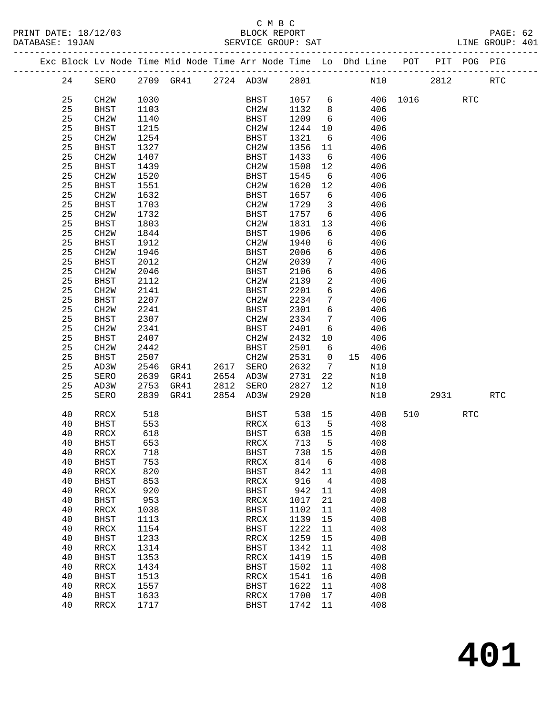|  |          |                   |              | Exc Block Lv Node Time Mid Node Time Arr Node Time Lo Dhd Line POT PIT POG PIG |      |                     |              |                         |            |          |      |            |            |
|--|----------|-------------------|--------------|--------------------------------------------------------------------------------|------|---------------------|--------------|-------------------------|------------|----------|------|------------|------------|
|  | 24       | SERO              |              | 2709 GR41 2724 AD3W 2801                                                       |      |                     |              |                         | N10        |          | 2812 |            | <b>RTC</b> |
|  | 25       | CH <sub>2</sub> W | 1030         |                                                                                |      | BHST                | 1057 6       |                         |            | 406 1016 |      | <b>RTC</b> |            |
|  | 25       | <b>BHST</b>       | 1103         |                                                                                |      | CH2W                | 1132         | 8 <sup>8</sup>          | 406        |          |      |            |            |
|  | 25       | CH <sub>2</sub> W | 1140         |                                                                                |      | BHST                | 1209         | 6                       | 406        |          |      |            |            |
|  | 25       | BHST              | 1215         |                                                                                |      | CH2W                | 1244         | 10                      | 406        |          |      |            |            |
|  | 25       | CH2W              | 1254         |                                                                                |      | BHST                | 1321         | 6                       | 406        |          |      |            |            |
|  | 25       | BHST              | 1327         |                                                                                |      | CH2W                | 1356         | 11                      | 406        |          |      |            |            |
|  | 25       | CH2W              | 1407         |                                                                                |      | BHST                | 1433         | 6                       | 406        |          |      |            |            |
|  | 25       | BHST              | 1439         |                                                                                |      | CH2W                | 1508         | 12                      | 406        |          |      |            |            |
|  | 25       |                   |              |                                                                                |      | BHST                | 1545         | 6                       | 406        |          |      |            |            |
|  |          | CH2W              | 1520         |                                                                                |      |                     |              |                         | 406        |          |      |            |            |
|  | 25       | BHST              | 1551         |                                                                                |      | CH2W                | 1620         | 12                      |            |          |      |            |            |
|  | 25       | CH2W              | 1632         |                                                                                |      | BHST                | 1657         | 6                       | 406        |          |      |            |            |
|  | 25       | BHST              | 1703         |                                                                                |      | CH <sub>2</sub> M   | 1729         | $\overline{\mathbf{3}}$ | 406        |          |      |            |            |
|  | 25       | CH2W              | 1732         |                                                                                |      | BHST                | 1757         | 6                       | 406        |          |      |            |            |
|  | 25       | BHST              | 1803         |                                                                                |      | CH2W                | 1831         | 13                      | 406        |          |      |            |            |
|  | 25       | CH <sub>2</sub> W | 1844         |                                                                                |      | BHST                | 1906         | 6                       | 406        |          |      |            |            |
|  | 25       | BHST              | 1912         |                                                                                |      | CH2W                | 1940         | 6                       | 406        |          |      |            |            |
|  | 25       | CH <sub>2</sub> W | 1946         |                                                                                |      | BHST                | 2006         | 6                       | 406        |          |      |            |            |
|  | 25       | BHST              | 2012         |                                                                                |      | CH2W                | 2039         | 7                       | 406        |          |      |            |            |
|  | 25       | CH <sub>2</sub> W | 2046         |                                                                                |      | BHST                | 2106         | $6\overline{6}$         | 406        |          |      |            |            |
|  | 25       | <b>BHST</b>       | 2112         |                                                                                |      | CH2W                | 2139         | 2                       | 406        |          |      |            |            |
|  | 25       | CH2W              | 2141         |                                                                                |      | BHST                | 2201         | 6                       | 406        |          |      |            |            |
|  | 25       | BHST              | 2207         |                                                                                |      | CH2W                | 2234         | 7                       | 406        |          |      |            |            |
|  | 25       | CH <sub>2</sub> W | 2241         |                                                                                |      | BHST                | 2301         | 6                       | 406        |          |      |            |            |
|  | 25       | BHST              | 2307         |                                                                                |      | CH2W                | 2334         | $7\phantom{.0}$         | 406        |          |      |            |            |
|  | 25       | CH <sub>2</sub> W | 2341         |                                                                                |      | BHST                | 2401         | 6                       | 406        |          |      |            |            |
|  | 25       | BHST              | 2407         |                                                                                |      | CH <sub>2</sub> W   | 2432         | 10                      | 406        |          |      |            |            |
|  | 25       | CH <sub>2</sub> W | 2442         |                                                                                |      | BHST                | 2501         | 6                       | 406        |          |      |            |            |
|  | 25       | <b>BHST</b>       | 2507         |                                                                                |      | CH2W                | 2531         | $\overline{0}$          | 15 406     |          |      |            |            |
|  | 25       | AD3W              | 2546         | GR41                                                                           | 2617 | SERO                | 2632         | $7\overline{ }$         | N10        |          |      |            |            |
|  | 25       | SERO              | 2639         | GR41                                                                           |      | 2654 AD3W           | 2731         | 22                      | N10        |          |      |            |            |
|  | 25       | AD3W              | 2753         | GR41                                                                           | 2812 | SERO                | 2827         | 12                      | N10        |          |      |            |            |
|  | 25       | SERO              | 2839         | GR41                                                                           | 2854 | AD3W                | 2920         |                         | N10        |          | 2931 |            | RTC        |
|  | 40       | RRCX              | 518          |                                                                                |      | BHST                | 538 15       |                         | 408        | 510      |      | RTC        |            |
|  | 40       | BHST              | 553          |                                                                                |      | RRCX                | 613          | $5^{\circ}$             | 408        |          |      |            |            |
|  | 40       | RRCX              | 618          |                                                                                |      | BHST                | 638 15       |                         | 408        |          |      |            |            |
|  | 40       | BHST              | 653          |                                                                                |      | RRCX                | 713          | $-5$                    | 408        |          |      |            |            |
|  | 40       | RRCX              | 718          |                                                                                |      | BHST                | 738 15       |                         | 408        |          |      |            |            |
|  | 40       | <b>BHST</b>       | 753          |                                                                                |      | RRCX                | 814          | 6                       | 408        |          |      |            |            |
|  | 40       | RRCX              | 820          |                                                                                |      | <b>BHST</b>         | 842          | 11                      | 408        |          |      |            |            |
|  | 40       | <b>BHST</b>       | 853          |                                                                                |      | RRCX                | 916          | $\overline{4}$          | 408        |          |      |            |            |
|  | 40       | RRCX              | 920          |                                                                                |      | <b>BHST</b>         | 942          | 11                      | 408        |          |      |            |            |
|  | 40       | <b>BHST</b>       | 953          |                                                                                |      | RRCX                | 1017         | 21                      | 408        |          |      |            |            |
|  | 40       | <b>RRCX</b>       | 1038         |                                                                                |      | <b>BHST</b>         | 1102         | 11                      | 408        |          |      |            |            |
|  | 40       | <b>BHST</b>       | 1113         |                                                                                |      | RRCX                | 1139         | 15                      | 408        |          |      |            |            |
|  | 40       | RRCX              | 1154         |                                                                                |      | <b>BHST</b>         | 1222         | 11                      | 408        |          |      |            |            |
|  | 40       | <b>BHST</b>       | 1233         |                                                                                |      | RRCX                | 1259         | 15                      | 408        |          |      |            |            |
|  | 40       | RRCX              | 1314         |                                                                                |      | <b>BHST</b>         | 1342         | 11                      | 408        |          |      |            |            |
|  | 40       | <b>BHST</b>       | 1353         |                                                                                |      | RRCX                | 1419         | 15                      | 408        |          |      |            |            |
|  | 40       | <b>RRCX</b>       | 1434         |                                                                                |      | <b>BHST</b>         | 1502         | 11                      | 408        |          |      |            |            |
|  | 40       | <b>BHST</b>       | 1513         |                                                                                |      | RRCX                | 1541         | 16                      | 408        |          |      |            |            |
|  | 40       | <b>RRCX</b>       | 1557         |                                                                                |      | <b>BHST</b>         | 1622         | 11                      | 408        |          |      |            |            |
|  | 40<br>40 | <b>BHST</b>       | 1633<br>1717 |                                                                                |      | RRCX<br><b>BHST</b> | 1700<br>1742 | 17<br>11                | 408<br>408 |          |      |            |            |
|  |          | RRCX              |              |                                                                                |      |                     |              |                         |            |          |      |            |            |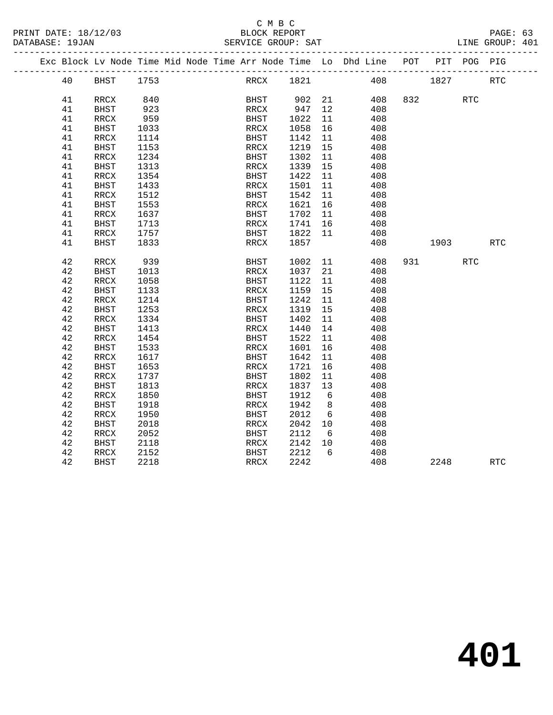### C M B C<br>BLOCK REPORT SERVICE GROUP: SAT

|  |          | Exc Block Lv Node Time Mid Node Time Arr Node Time Lo Dhd Line POT |              |  |              |              |                 |            |     |      | PIT POG PIG |            |
|--|----------|--------------------------------------------------------------------|--------------|--|--------------|--------------|-----------------|------------|-----|------|-------------|------------|
|  |          |                                                                    |              |  |              |              |                 |            |     |      |             |            |
|  | 40       | BHST                                                               | 1753         |  |              | RRCX 1821    |                 | 408        |     | 1827 |             | <b>RTC</b> |
|  |          |                                                                    |              |  |              |              |                 |            |     |      |             |            |
|  | 41       | RRCX                                                               | 840          |  | BHST         | 902 21       |                 | 408        |     | 832  | <b>RTC</b>  |            |
|  | 41       | <b>BHST</b>                                                        | 923          |  | RRCX         | 947          | 12              | 408        |     |      |             |            |
|  | 41       | RRCX                                                               | 959          |  | BHST         | 1022         | 11              | 408        |     |      |             |            |
|  | 41       | <b>BHST</b>                                                        | 1033         |  | RRCX         | 1058         | 16              | 408        |     |      |             |            |
|  | 41       | RRCX                                                               | 1114         |  | BHST         | 1142         | 11              | 408        |     |      |             |            |
|  | 41       | <b>BHST</b>                                                        | 1153         |  | RRCX         | 1219         | 15              | 408        |     |      |             |            |
|  | 41       | RRCX                                                               | 1234         |  | BHST         | 1302         | 11              | 408        |     |      |             |            |
|  | 41       | <b>BHST</b>                                                        | 1313         |  | RRCX         | 1339         | 15              | 408        |     |      |             |            |
|  | 41       | $\mathop{\mathrm{RRCX}}$                                           | 1354         |  | <b>BHST</b>  | 1422         | 11              | 408        |     |      |             |            |
|  | 41       | BHST                                                               | 1433         |  | RRCX         | 1501         | 11              | 408        |     |      |             |            |
|  | 41       | RRCX                                                               | 1512         |  | BHST         | 1542         | 11              | 408        |     |      |             |            |
|  | 41       | <b>BHST</b>                                                        | 1553         |  | RRCX         | 1621         | 16              | 408        |     |      |             |            |
|  | 41       | RRCX                                                               | 1637         |  | BHST         | 1702         | 11              | 408        |     |      |             |            |
|  | 41       | <b>BHST</b>                                                        | 1713         |  | RRCX         | 1741         | 16              | 408        |     |      |             |            |
|  | 41       | RRCX                                                               | 1757         |  | BHST         | 1822         | 11              | 408        |     |      |             |            |
|  | 41       | <b>BHST</b>                                                        | 1833         |  | RRCX         | 1857         |                 | 408        |     | 1903 |             | <b>RTC</b> |
|  |          |                                                                    |              |  |              |              |                 |            |     |      |             |            |
|  | 42       | RRCX                                                               | 939          |  | BHST         | 1002         | 11              | 408        | 931 |      | RTC         |            |
|  | 42       | <b>BHST</b>                                                        | 1013         |  | RRCX         | 1037         | 21              | 408        |     |      |             |            |
|  | 42       | RRCX                                                               | 1058         |  | BHST         | 1122         | 11              | 408        |     |      |             |            |
|  | 42<br>42 | <b>BHST</b>                                                        | 1133<br>1214 |  | RRCX         | 1159<br>1242 | 15<br>11        | 408<br>408 |     |      |             |            |
|  | 42       | RRCX                                                               | 1253         |  | BHST         | 1319         |                 | 408        |     |      |             |            |
|  | 42       | BHST<br>RRCX                                                       | 1334         |  | RRCX<br>BHST | 1402         | 15<br>11        | 408        |     |      |             |            |
|  | 42       |                                                                    |              |  |              | 1440         | 14              |            |     |      |             |            |
|  | 42       | <b>BHST</b><br>RRCX                                                | 1413<br>1454 |  | RRCX<br>BHST | 1522         | 11              | 408<br>408 |     |      |             |            |
|  | 42       | BHST                                                               | 1533         |  | RRCX         | 1601         | 16              | 408        |     |      |             |            |
|  | 42       | <b>RRCX</b>                                                        | 1617         |  | BHST         | 1642         | 11              | 408        |     |      |             |            |
|  | 42       | <b>BHST</b>                                                        | 1653         |  | RRCX         | 1721         | 16              | 408        |     |      |             |            |
|  | 42       | RRCX                                                               | 1737         |  | BHST         | 1802         | 11              | 408        |     |      |             |            |
|  | 42       | <b>BHST</b>                                                        | 1813         |  | RRCX         | 1837         | 13              | 408        |     |      |             |            |
|  | 42       | <b>RRCX</b>                                                        | 1850         |  | BHST         | 1912         | 6               | 408        |     |      |             |            |
|  | 42       | <b>BHST</b>                                                        | 1918         |  | RRCX         | 1942         | 8               | 408        |     |      |             |            |
|  | 42       | <b>RRCX</b>                                                        | 1950         |  | BHST         | 2012         | 6               | 408        |     |      |             |            |
|  | 42       | <b>BHST</b>                                                        | 2018         |  | RRCX         | 2042         | 10 <sup>°</sup> | 408        |     |      |             |            |
|  | 42       | RRCX                                                               | 2052         |  | BHST         | 2112         | 6               | 408        |     |      |             |            |
|  | 42       | <b>BHST</b>                                                        | 2118         |  | RRCX         | 2142         | 10              | 408        |     |      |             |            |
|  | 42       | RRCX                                                               | 2152         |  | BHST         | 2212         | 6               | 408        |     |      |             |            |
|  | 42       | <b>BHST</b>                                                        | 2218         |  | RRCX         | 2242         |                 | 408        |     | 2248 |             | <b>RTC</b> |
|  |          |                                                                    |              |  |              |              |                 |            |     |      |             |            |

**401**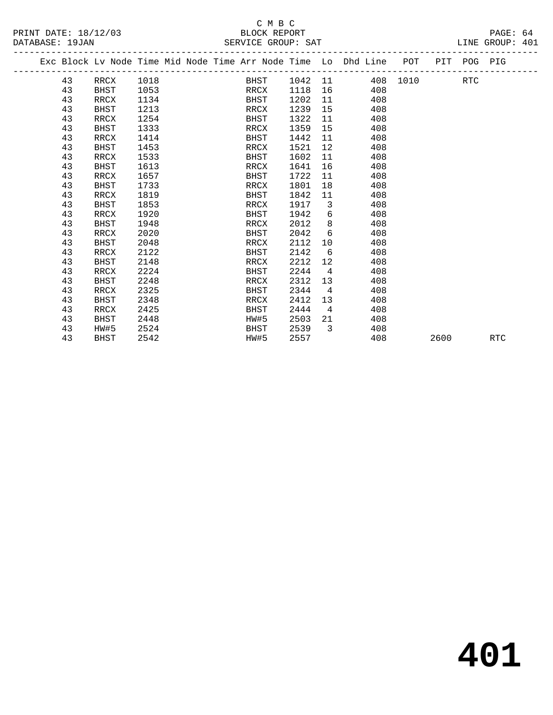#### C M B C<br>BLOCK REPORT PRINT DATE: 18/12/03 BLOCK REPORT PAGE: 64 SERVICE GROUP: SAT

|  |    | Exc Block Lv Node Time Mid Node Time Arr Node Time Lo Dhd Line POT PIT POG PIG |      |  |      |      |         |                         |     |          |      |            |            |
|--|----|--------------------------------------------------------------------------------|------|--|------|------|---------|-------------------------|-----|----------|------|------------|------------|
|  | 43 | RRCX                                                                           | 1018 |  |      | BHST | 1042 11 |                         |     | 408 1010 |      | <b>RTC</b> |            |
|  | 43 | <b>BHST</b>                                                                    | 1053 |  | RRCX |      | 1118    | 16                      | 408 |          |      |            |            |
|  | 43 | RRCX                                                                           | 1134 |  | BHST |      | 1202    | 11                      | 408 |          |      |            |            |
|  | 43 | <b>BHST</b>                                                                    | 1213 |  | RRCX |      | 1239    | 15                      | 408 |          |      |            |            |
|  | 43 | RRCX                                                                           | 1254 |  | BHST |      | 1322    | 11                      | 408 |          |      |            |            |
|  | 43 | <b>BHST</b>                                                                    | 1333 |  | RRCX |      | 1359    | 15                      | 408 |          |      |            |            |
|  | 43 | RRCX                                                                           | 1414 |  | BHST |      | 1442    | 11                      | 408 |          |      |            |            |
|  | 43 | <b>BHST</b>                                                                    | 1453 |  | RRCX |      | 1521    | 12                      | 408 |          |      |            |            |
|  | 43 | RRCX                                                                           | 1533 |  | BHST |      | 1602    | 11                      | 408 |          |      |            |            |
|  | 43 | <b>BHST</b>                                                                    | 1613 |  | RRCX |      | 1641    | 16                      | 408 |          |      |            |            |
|  | 43 | RRCX                                                                           | 1657 |  | BHST |      | 1722    | 11                      | 408 |          |      |            |            |
|  | 43 | <b>BHST</b>                                                                    | 1733 |  | RRCX |      | 1801    | 18                      | 408 |          |      |            |            |
|  | 43 | RRCX                                                                           | 1819 |  | BHST |      | 1842    | 11                      | 408 |          |      |            |            |
|  | 43 | <b>BHST</b>                                                                    | 1853 |  | RRCX |      | 1917    | $\overline{\mathbf{3}}$ | 408 |          |      |            |            |
|  | 43 | RRCX                                                                           | 1920 |  | BHST |      | 1942    | 6                       | 408 |          |      |            |            |
|  | 43 | <b>BHST</b>                                                                    | 1948 |  | RRCX |      | 2012    | 8                       | 408 |          |      |            |            |
|  | 43 | RRCX                                                                           | 2020 |  | BHST |      | 2042    | 6                       | 408 |          |      |            |            |
|  | 43 | <b>BHST</b>                                                                    | 2048 |  | RRCX |      | 2112    | $10 \,$                 | 408 |          |      |            |            |
|  | 43 | RRCX                                                                           | 2122 |  | BHST |      | 2142    | 6                       | 408 |          |      |            |            |
|  | 43 | <b>BHST</b>                                                                    | 2148 |  | RRCX |      | 2212    | $12 \overline{ }$       | 408 |          |      |            |            |
|  | 43 | RRCX                                                                           | 2224 |  | BHST |      | 2244    | $\overline{4}$          | 408 |          |      |            |            |
|  | 43 | <b>BHST</b>                                                                    | 2248 |  | RRCX |      | 2312    | 13 <sup>°</sup>         | 408 |          |      |            |            |
|  | 43 | RRCX                                                                           | 2325 |  | BHST |      | 2344    | $\overline{4}$          | 408 |          |      |            |            |
|  | 43 | <b>BHST</b>                                                                    | 2348 |  | RRCX |      | 2412    | 13 <sup>°</sup>         | 408 |          |      |            |            |
|  | 43 | RRCX                                                                           | 2425 |  | BHST |      | 2444    | $\overline{4}$          | 408 |          |      |            |            |
|  | 43 | <b>BHST</b>                                                                    | 2448 |  | HW#5 |      | 2503    | 21                      | 408 |          |      |            |            |
|  | 43 | HW#5                                                                           | 2524 |  | BHST |      | 2539    | $\overline{3}$          | 408 |          |      |            |            |
|  | 43 | BHST                                                                           | 2542 |  | HW#5 |      | 2557    |                         | 408 |          | 2600 |            | <b>RTC</b> |
|  |    |                                                                                |      |  |      |      |         |                         |     |          |      |            |            |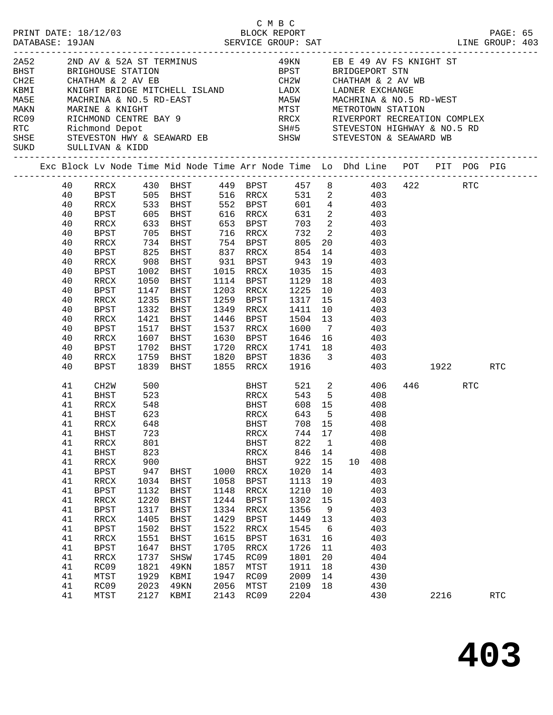|  |                                                                                                                                        | SUKD SULLIVAN & KIDD                                                                                                                                                                                                                                     |                                                                                                                                                                     | $\begin{tabular}{lllllllllllllllllllll} \multicolumn{3}{c }{2A52} & 2ND AV & $\delta$ & 52A$ ST TERMINUS & 49KN & EB E 49 AV FS KNIGHT ST \\ \multicolumn{3}{c }{BHST} & BRIGHOUSE STATION & BPST & BRIDGEPORT STN \\ \multicolumn{3}{c}{CH2E} & CHATHAM & 2 AV EB & CHATHAM & 2 AV WB \\ \multicolumn{3}{c}{KBMI} & KNIGHT BRIDGE MITCHELL ISLAND & LADX & LADNER EXCHANGE \\ \multicolumn{3}{c}{MASE} & MACHRINA & $\delta$ & NO.5 RD-EAST & MASH & MACHRINA & NO.5 RD-WEST \\ \multicolumn$<br>ROOS RICHMOND CENTRE BAY 9<br>RTC Richmond Depot SH#5 STEVESTON HIGHWAY & NO.5 RD<br>SH#5 STEVESTON HIGHWAY & NO.5 RD<br>SHSK STEVESTON & SEAWARD EB<br>SHSW STEVESTON & SEAWARD WB |                                                                                                              |                                                                                                                                                                                                                                                                                                                                 |                                                                                                                                                    |                                                                                                                                        |                                                                                                                                                                                                                                                                             |          |                 |            |  |
|--|----------------------------------------------------------------------------------------------------------------------------------------|----------------------------------------------------------------------------------------------------------------------------------------------------------------------------------------------------------------------------------------------------------|---------------------------------------------------------------------------------------------------------------------------------------------------------------------|---------------------------------------------------------------------------------------------------------------------------------------------------------------------------------------------------------------------------------------------------------------------------------------------------------------------------------------------------------------------------------------------------------------------------------------------------------------------------------------------------------------------------------------------------------------------------------------------------------------------------------------------------------------------------------------|--------------------------------------------------------------------------------------------------------------|---------------------------------------------------------------------------------------------------------------------------------------------------------------------------------------------------------------------------------------------------------------------------------------------------------------------------------|----------------------------------------------------------------------------------------------------------------------------------------------------|----------------------------------------------------------------------------------------------------------------------------------------|-----------------------------------------------------------------------------------------------------------------------------------------------------------------------------------------------------------------------------------------------------------------------------|----------|-----------------|------------|--|
|  |                                                                                                                                        |                                                                                                                                                                                                                                                          |                                                                                                                                                                     | Exc Block Lv Node Time Mid Node Time Arr Node Time Lo Dhd Line POT PIT POG PIG                                                                                                                                                                                                                                                                                                                                                                                                                                                                                                                                                                                                        |                                                                                                              |                                                                                                                                                                                                                                                                                                                                 |                                                                                                                                                    |                                                                                                                                        |                                                                                                                                                                                                                                                                             |          |                 |            |  |
|  | 40<br>40<br>40<br>40<br>40<br>40<br>40<br>40<br>40<br>40<br>40<br>40<br>40<br>40<br>40<br>40                                           | RRCX<br>BPST<br>RRCX<br>BPST<br>RRCX<br>BPST<br>RRCX<br>BPST<br>RRCX<br>BPST<br>RRCX<br>BPST<br>RRCX<br>BPST<br>RRCX                                                                                                                                     | 1002<br>1050<br>1147<br>1421<br>1517<br>1607                                                                                                                        | 40 RRCX 430 BHST 449 BPST 457 8 403 422 RTC<br>BPST 505 BHST 516 RRCX<br>533 BHST 552 BPST<br>605 BHST 616 RRCX<br>633 BHST 653 BPST<br>705 BHST 716 RRCX<br>734 BHST<br>825 BHST<br>908 BHST<br>BHST<br>BHST<br>BHST<br>1235 BHST<br>1332 BHST<br>BHST<br>BHST<br>BHST                                                                                                                                                                                                                                                                                                                                                                                                               |                                                                                                              | 754 BPST<br>837 RRCX<br>931 BPST 943<br>1015 RRCX<br>1114 BPST<br>1203 RRCX<br>1259 BPST<br>1349 RRCX 1411 10<br>1446 BPST<br>1537 RRCX                                                                                                                                                                                         | 805<br>854<br>1129<br>1225 10<br>1504 13<br>1600                                                                                                   | 14<br>$7\overline{ }$                                                                                                                  | 531 2 403<br>$\begin{array}{cccc} 601 & 4 & & 403 \\ 631 & 2 & & 403 \\ 703 & 2 & & 403 \end{array}$<br>732 2 403<br>20 403<br>403<br>$19$ $403$<br>1035 15 403<br>18 403<br>403<br>$1317$ $15$ $403$<br>403<br>403<br>403<br>1537 KKCA 1600 7 463<br>1630 BPST 1646 16 403 |          |                 |            |  |
|  | 40<br>40<br>40                                                                                                                         | BPST<br>RRCX<br>BPST                                                                                                                                                                                                                                     | 1702<br>1759<br>1839                                                                                                                                                | BHST<br>BHST<br>BHST                                                                                                                                                                                                                                                                                                                                                                                                                                                                                                                                                                                                                                                                  |                                                                                                              | 1855 RRCX                                                                                                                                                                                                                                                                                                                       | 1916                                                                                                                                               |                                                                                                                                        | 1720 RRCX 1741 18 403<br>1820 BPST 1836 3 403                                                                                                                                                                                                                               | 403 1922 |                 | RTC        |  |
|  | 41<br>41<br>41<br>41<br>41<br>41<br>41<br>41<br>41<br>41<br>41<br>41<br>41<br>41<br>41<br>41<br>41<br>41<br>41<br>41<br>41<br>41<br>41 | CH2W<br>BHST<br>RRCX<br>BHST<br>RRCX 648<br><b>BHST</b><br>$\verb!RRCX!$<br>BHST<br>$\verb!RRCX!$<br><b>BPST</b><br>$\verb!RRCX!$<br>BPST<br>$\verb!RRCX!$<br><b>BPST</b><br>RRCX<br><b>BPST</b><br>RRCX<br>BPST<br>RRCX<br>RC09<br>MTST<br>RC09<br>MTST | 500<br>523<br>548<br>623<br>723<br>801<br>823<br>900<br>947<br>1034<br>1132<br>1220<br>1317<br>1405<br>1502<br>1551<br>1647<br>1737<br>1821<br>1929<br>2023<br>2127 | RRCX<br>BHST<br>BHST<br>BHST<br>BHST<br>BHST<br>BHST<br>BHST<br><b>BHST</b><br>BHST<br>SHSW<br>49KN<br>KBMI<br>49KN<br>KBMI                                                                                                                                                                                                                                                                                                                                                                                                                                                                                                                                                           | 1000<br>1058<br>1148<br>1244<br>1334<br>1429<br>1522<br>1615<br>1705<br>1745<br>1857<br>1947<br>2056<br>2143 | <b>BHST</b><br>BHST<br>RRCX<br><b>EXECUTE IN THE BEAT THE BEAT THE BEAT THE BEAT THE BEAT THE BEAT THE BEAT THE BEAT THE BEAT THE BEAT THE BEAT</b><br>RRCX<br>BHST<br>RRCX<br>BHST<br>RRCX<br><b>BPST</b><br>RRCX<br><b>BPST</b><br>RRCX<br><b>BPST</b><br>RRCX<br><b>BPST</b><br>RRCX<br>RC09<br>MTST<br>RC09<br>MTST<br>RC09 | 643<br>744 17<br>822<br>846<br>922<br>1020<br>1113<br>1210<br>1302<br>1356<br>1449<br>1545<br>1631<br>1726<br>1801<br>1911<br>2009<br>2109<br>2204 | 5 <sup>5</sup><br>$\overline{1}$<br>14<br>15<br>14<br>19<br>10<br>15<br>9<br>13<br>$6\overline{6}$<br>16<br>11<br>20<br>18<br>14<br>18 | 521 2 406<br>543 5 408<br>608 15 408<br>408<br>708 15 408<br>408<br>408<br>408<br>10 <sup>1</sup><br>408<br>403<br>403<br>403<br>403<br>403<br>403<br>403<br>403<br>403<br>404<br>430<br>430<br>430<br>430                                                                  |          | 446 RTC<br>2216 | <b>RTC</b> |  |
|  |                                                                                                                                        |                                                                                                                                                                                                                                                          |                                                                                                                                                                     |                                                                                                                                                                                                                                                                                                                                                                                                                                                                                                                                                                                                                                                                                       |                                                                                                              |                                                                                                                                                                                                                                                                                                                                 |                                                                                                                                                    |                                                                                                                                        |                                                                                                                                                                                                                                                                             |          |                 |            |  |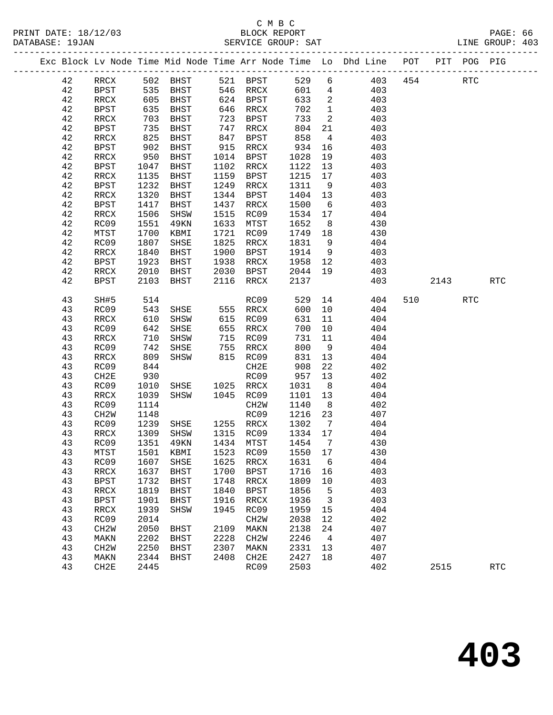|          |                          |              |                             |              |                   |                 |                          | Exc Block Lv Node Time Mid Node Time Arr Node Time Lo Dhd Line POT |     |        | PIT POG PIG |            |
|----------|--------------------------|--------------|-----------------------------|--------------|-------------------|-----------------|--------------------------|--------------------------------------------------------------------|-----|--------|-------------|------------|
| 42       | RRCX                     |              | 502 BHST                    |              | 521 BPST          | 529             | 6                        | 403                                                                | 454 |        | RTC         |            |
| 42       | BPST                     | 535<br>605   | BHST                        |              | 546 RRCX          | 601             | $4\overline{4}$          | 403                                                                |     |        |             |            |
| 42       | RRCX                     |              | BHST                        |              | 624 BPST          | 633             | $\overline{\phantom{a}}$ | 403                                                                |     |        |             |            |
| 42       | BPST                     | 635          | BHST                        |              | 646 RRCX          | 702             | $\overline{1}$           | 403                                                                |     |        |             |            |
| 42       | RRCX                     | 703          | BHST                        | 723          | BPST              | 733             | $\overline{\mathbf{c}}$  | 403                                                                |     |        |             |            |
| 42       | BPST                     | 735          | BHST                        |              | 747 RRCX          | 804             | 21                       | 403                                                                |     |        |             |            |
| 42       | $\verb!RRCX!$            | 825          | BHST                        | 847          | BPST              | 858             | $\overline{4}$           | 403                                                                |     |        |             |            |
| 42       | BPST                     | 902          | BHST                        | 915          | RRCX              | 934             | 16                       | 403                                                                |     |        |             |            |
| 42       | RRCX                     | 950          | BHST                        |              | 1014 BPST         | 1028            | 19                       | 403                                                                |     |        |             |            |
| 42       | <b>BPST</b>              | 1047         | BHST                        | 1102         | RRCX              | 1122            | 13                       | 403                                                                |     |        |             |            |
| 42       | RRCX                     | 1135         | BHST                        | 1159         | BPST              | 1215            | 17                       | 403                                                                |     |        |             |            |
| 42       | <b>BPST</b>              | 1232         | BHST                        | 1249         | RRCX              | 1311            | 9                        | 403                                                                |     |        |             |            |
| 42       | RRCX                     | 1320         | BHST                        | 1344         | BPST              | 1404            | 13                       | 403                                                                |     |        |             |            |
| 42       | <b>BPST</b>              | 1417         | BHST                        | 1437         | RRCX              | 1500            | 6                        | 403                                                                |     |        |             |            |
| 42       | $\mathop{\mathrm{RRCX}}$ | 1506         | SHSW                        | 1515         | RC09              | 1534            | 17                       | 404                                                                |     |        |             |            |
| 42       | RC09                     | 1551         | 49KN                        | 1633         | MTST              | 1652            | 8 <sup>8</sup>           | 430                                                                |     |        |             |            |
| 42       | MTST                     | 1700         | KBMI                        | 1721         | RC09              | 1749            | 18                       | 430                                                                |     |        |             |            |
| 42       | RC09                     | 1807         | SHSE                        | 1825         | RRCX              | 1831            | 9                        | 404                                                                |     |        |             |            |
| 42       | RRCX                     | 1840         | BHST                        | 1900         | BPST              | 1914            | 9                        | 403                                                                |     |        |             |            |
| 42<br>42 | <b>BPST</b><br>RRCX      | 1923<br>2010 | BHST<br>BHST                | 1938<br>2030 | RRCX<br>BPST      | 1958 12<br>2044 | 19                       | 403<br>403                                                         |     |        |             |            |
| 42       | <b>BPST</b>              | 2103         |                             | 2116         |                   | 2137            |                          | 403                                                                |     | 2143   |             | <b>RTC</b> |
|          |                          |              | BHST                        |              | RRCX              |                 |                          |                                                                    |     |        |             |            |
| 43       | SH#5                     | 514          |                             |              | RC09              | 529             |                          | 14<br>404                                                          |     | 510 72 | RTC         |            |
| 43       | RC09                     | 543          | SHSE                        |              | 555 RRCX          | 600             | 10                       | 404                                                                |     |        |             |            |
| 43       | RRCX                     | 610          | SHSW                        |              | 615 RC09          | 631             | 11                       | 404                                                                |     |        |             |            |
| 43       | RC09                     | 642          | SHSE                        | 655          | RRCX              | 700             | 10                       | 404                                                                |     |        |             |            |
| 43       | RRCX                     | 710          | SHSW                        | 715          | RC09              | 731             | 11                       | 404                                                                |     |        |             |            |
| 43       | RC09                     | 742          | SHSE                        | 755          | RRCX              | 800             | 9                        | 404                                                                |     |        |             |            |
| 43       | RRCX                     | 809          | SHSW                        |              | 815 RC09          | 831             | 13                       | 404                                                                |     |        |             |            |
| 43       | RC09                     | 844          |                             |              | CH2E              | 908             | 22                       | 402                                                                |     |        |             |            |
| 43       | CH2E                     | 930          |                             |              | RC09              | 957             | 13                       | 402                                                                |     |        |             |            |
| 43       | RC09                     | 1010         | SHSE                        |              | 1025 RRCX         | 1031            | 8 <sup>8</sup>           | 404                                                                |     |        |             |            |
| 43       | RRCX                     | 1039         | SHSW                        |              | 1045 RC09         | 1101            | 13                       | 404                                                                |     |        |             |            |
| 43       | RC09                     | 1114         |                             |              | CH2W              | 1140            | 8 <sup>8</sup>           | 402                                                                |     |        |             |            |
| 43       | CH <sub>2</sub> W        | 1148         |                             |              | RC09              | 1216            | 23                       | 407                                                                |     |        |             |            |
| 43       | RC09                     | 1239         | SHSE 1255 RRCX              |              |                   | 1302            | $\overline{7}$           | 404                                                                |     |        |             |            |
| 43       | RRCX                     | 1309         | SHSW                        |              | 1315 RC09         | 1334 17         |                          | 404                                                                |     |        |             |            |
| 43       | RC09                     | 1351         | 49KN                        |              | 1434 MTST         | 1454            | $\overline{7}$           | 430                                                                |     |        |             |            |
| 43       | MTST                     |              | 1501 KBMI 1523 RC09 1550 17 |              |                   |                 |                          | 430                                                                |     |        |             |            |
| 43       | RC09                     | 1607         | SHSE                        | 1625         | RRCX              | 1631            | 6                        | 404                                                                |     |        |             |            |
| 43       | RRCX                     | 1637         | BHST                        | 1700         | <b>BPST</b>       | 1716            | 16                       | 403                                                                |     |        |             |            |
| 43       | <b>BPST</b>              | 1732         | BHST                        | 1748         | RRCX              | 1809            | 10                       | 403                                                                |     |        |             |            |
| 43       | RRCX                     | 1819         | <b>BHST</b>                 | 1840         | <b>BPST</b>       | 1856            | 5                        | 403                                                                |     |        |             |            |
| 43       | <b>BPST</b>              | 1901         | <b>BHST</b>                 | 1916         | RRCX              | 1936            | 3                        | 403                                                                |     |        |             |            |
| 43       | RRCX                     | 1939         | SHSW                        | 1945         | RC09              | 1959            | 15                       | 404                                                                |     |        |             |            |
| 43       | RC09                     | 2014         |                             |              | CH <sub>2</sub> M | 2038            | 12                       | 402                                                                |     |        |             |            |
| 43       | CH <sub>2</sub> W        | 2050         | <b>BHST</b>                 | 2109         | MAKN              | 2138            | 24                       | 407                                                                |     |        |             |            |
| 43       | MAKN                     | 2202         | <b>BHST</b>                 | 2228         | CH <sub>2</sub> M | 2246            | 4                        | 407                                                                |     |        |             |            |
| 43       | CH <sub>2</sub> W        | 2250         | <b>BHST</b>                 | 2307<br>2408 | MAKN              | 2331<br>2427    | 13<br>18                 | 407<br>407                                                         |     |        |             |            |
| 43       | MAKN                     | 2344         | <b>BHST</b>                 |              | CH2E              |                 |                          |                                                                    |     |        |             |            |
| 43       | CH2E                     | 2445         |                             |              | RC09              | 2503            |                          | 402                                                                |     | 2515   |             | <b>RTC</b> |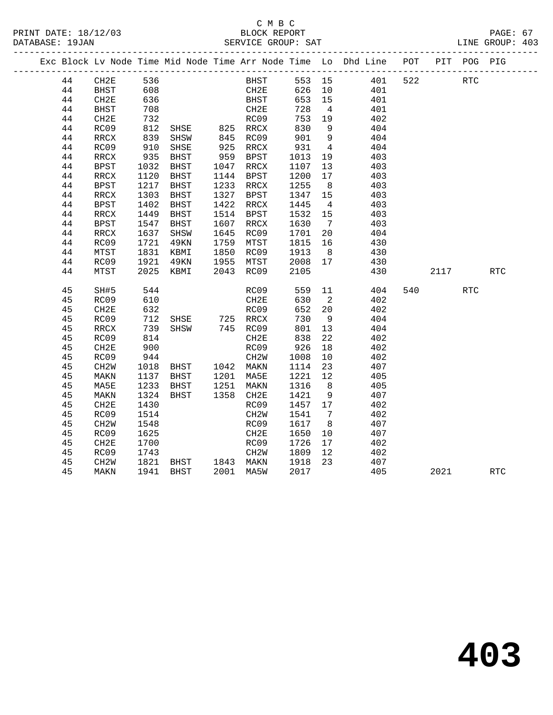|  |    |                   |            |                        |      |                   |                         |                            | Exc Block Lv Node Time Mid Node Time Arr Node Time Lo Dhd Line POT |     |         | PIT POG PIG |            |  |
|--|----|-------------------|------------|------------------------|------|-------------------|-------------------------|----------------------------|--------------------------------------------------------------------|-----|---------|-------------|------------|--|
|  | 44 | CH2E              | 536        |                        |      | <b>BHST</b>       |                         |                            | 553 15 401                                                         | 522 | RTC     |             |            |  |
|  | 44 | BHST              | 608        |                        |      | CH2E              |                         |                            | 626 10 401                                                         |     |         |             |            |  |
|  | 44 | CH2E              | 636        |                        |      | BHST              | 653 15                  |                            | 401                                                                |     |         |             |            |  |
|  | 44 | BHST              | 708        |                        |      | CH2E              | 728                     | $\overline{4}$             | 401                                                                |     |         |             |            |  |
|  | 44 | CH2E              | 732        |                        |      | RC09              | 753 19                  |                            | 402                                                                |     |         |             |            |  |
|  | 44 | RC09              | 812<br>839 |                        |      |                   | 830<br>901              | 9                          | 404                                                                |     |         |             |            |  |
|  | 44 | RRCX              |            |                        |      |                   |                         | 9                          | 404                                                                |     |         |             |            |  |
|  | 44 | RC09              | 910        | SHSE                   |      | 925 RRCX          | 931                     | $\overline{4}$             | 404                                                                |     |         |             |            |  |
|  | 44 | RRCX              | 935        | BHST                   |      | 959 BPST          | 1013                    | 19                         | 403                                                                |     |         |             |            |  |
|  | 44 | BPST              | 1032       | BHST                   |      | 1047 RRCX         | 1107                    | 13                         | 403                                                                |     |         |             |            |  |
|  | 44 | RRCX              | 1120       | <b>BHST</b>            |      | 1144 BPST         | 1200                    | 17                         | 403                                                                |     |         |             |            |  |
|  | 44 | <b>BPST</b>       | 1217       | BHST                   |      | 1233 RRCX         | 1255                    | 8                          | 403                                                                |     |         |             |            |  |
|  | 44 | RRCX              | 1303       | BHST                   | 1327 | BPST              | 1347 15                 |                            | 403                                                                |     |         |             |            |  |
|  | 44 | BPST              | 1402       | BHST                   | 1422 | RRCX              | 1445                    | $\overline{4}$             | 403                                                                |     |         |             |            |  |
|  | 44 | RRCX              | 1449       | BHST                   |      | 1514 BPST         | 1532 15                 |                            | 403                                                                |     |         |             |            |  |
|  | 44 | BPST              | 1547       | BHST                   |      | 1607 RRCX         | 1630                    | $7\overline{ }$            | 403                                                                |     |         |             |            |  |
|  | 44 | RRCX              | 1637       | SHSW                   |      | 1645 RC09         | 1701 20                 |                            | 404                                                                |     |         |             |            |  |
|  | 44 | RC09              | 1721       | 49KN                   |      | 1759 MTST         | 1815<br>1913<br>1815 16 |                            | 430                                                                |     |         |             |            |  |
|  | 44 | MTST              | 1831       | KBMI                   |      | 1850 RC09         |                         | 8 <sup>8</sup>             | 430                                                                |     |         |             |            |  |
|  | 44 | RC09              | 1921       | 49KN                   |      | 1955 MTST         | 2008 17                 |                            | 430                                                                |     |         |             |            |  |
|  | 44 | MTST              | 2025       | KBMI                   |      | 2043 RC09         | 2105                    |                            | 430                                                                |     | 2117    |             | <b>RTC</b> |  |
|  | 45 | SH#5              | 544        |                        |      | RC09              | 559                     | 11                         | 404                                                                |     | 540 540 | <b>RTC</b>  |            |  |
|  | 45 | RC09              | 610        |                        |      | CH2E              | 630                     | $\overline{\phantom{a}}^2$ | 402                                                                |     |         |             |            |  |
|  | 45 | CH2E              | 632        |                        |      | RC09              | 652                     | 20                         | 402                                                                |     |         |             |            |  |
|  | 45 | RC09              | 712        | SHSE 725 RRCX          |      |                   | 730                     | 9                          | 404                                                                |     |         |             |            |  |
|  | 45 | RRCX              | 739        | SHSW 745 RC09          |      |                   | 801                     | 13                         | 404                                                                |     |         |             |            |  |
|  | 45 | RC09              | 814        |                        |      | CH2E              | 838                     | 22                         | 402                                                                |     |         |             |            |  |
|  | 45 | CH2E              | 900        |                        |      | RC09              | 926                     | 18                         | 402                                                                |     |         |             |            |  |
|  | 45 | RC09              | 944        | CH2W<br>BHST 1042 MAKN |      |                   | 1008                    | 10                         | 402                                                                |     |         |             |            |  |
|  | 45 | CH2W              | 1018       |                        |      |                   | 1114 23                 |                            | 407                                                                |     |         |             |            |  |
|  | 45 | MAKN              | 1137       | BHST 1201 MA5E         |      |                   | 1221 12                 |                            | 405                                                                |     |         |             |            |  |
|  | 45 | MA5E              | 1233       | BHST                   |      | 1251 MAKN         | 1316                    | 8 <sup>8</sup>             | 405                                                                |     |         |             |            |  |
|  | 45 | MAKN              | 1324       | BHST                   |      | 1358 CH2E         | 1421                    | 9                          | 407                                                                |     |         |             |            |  |
|  | 45 | CH2E              | 1430       |                        |      | RC09              | 1457 17                 |                            | 402                                                                |     |         |             |            |  |
|  | 45 | RC09              | 1514       |                        |      | CH <sub>2</sub> W | 1541                    | $\overline{7}$             | 402                                                                |     |         |             |            |  |
|  | 45 | CH <sub>2</sub> W | 1548       |                        |      | RC09              | 1617                    | 8 <sup>8</sup>             | 407                                                                |     |         |             |            |  |
|  | 45 | RC09              | 1625       |                        |      | CH2E              | 1650                    | 10                         | 407                                                                |     |         |             |            |  |
|  | 45 | CH2E              | 1700       |                        |      | RC09              | 1726                    | 17                         | 402                                                                |     |         |             |            |  |
|  | 45 | RC09              | 1743       |                        |      | CH2W              | 1809                    | 12                         | 402                                                                |     |         |             |            |  |
|  | 45 | CH2W              | 1821       | BHST 1843 MAKN         |      |                   | 1918                    | 23                         | 407                                                                |     |         |             |            |  |
|  | 45 | MAKN              |            | 1941 BHST              |      | 2001 MA5W         | 2017                    |                            | 405                                                                |     | 2021    |             | <b>RTC</b> |  |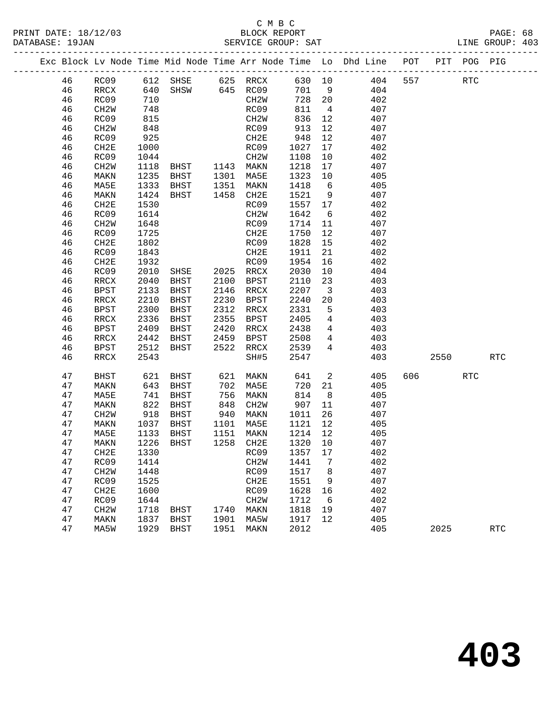#### C M B C<br>BLOCK REPORT PRINT DATE: 18/12/03 BLOCK REPORT PAGE: 68 SERVICE GROUP: SAT

|  |    |                          |                 |                                  |                                                                                                                          |                   |         |                         | Exc Block Lv Node Time Mid Node Time Arr Node Time Lo Dhd Line POT PIT POG PIG |     |         |            |            |
|--|----|--------------------------|-----------------|----------------------------------|--------------------------------------------------------------------------------------------------------------------------|-------------------|---------|-------------------------|--------------------------------------------------------------------------------|-----|---------|------------|------------|
|  | 46 |                          |                 | RC09 612 SHSE 625 RRCX 630 10    |                                                                                                                          |                   |         |                         | 404                                                                            | 557 |         | <b>RTC</b> |            |
|  | 46 | RRCX                     | 640             |                                  |                                                                                                                          | $SHSW$ 645 RC09   | 701 9   |                         | 404                                                                            |     |         |            |            |
|  | 46 | RC09                     | 710             |                                  |                                                                                                                          | CH2W              | 728 20  |                         | 402                                                                            |     |         |            |            |
|  | 46 | CH2W                     | 748             |                                  |                                                                                                                          | RC09              | 811     | $\overline{4}$          | 407                                                                            |     |         |            |            |
|  | 46 | RC09                     | 815             |                                  |                                                                                                                          | CH2W              | 836     | 12                      | 407                                                                            |     |         |            |            |
|  | 46 | CH2W                     | 848             |                                  |                                                                                                                          | RC09              | 913     | 12                      | 407                                                                            |     |         |            |            |
|  | 46 | RC09                     | 925             |                                  |                                                                                                                          | CH2E              | 948     | 12                      | 407                                                                            |     |         |            |            |
|  | 46 | CH2E                     | 1000            |                                  |                                                                                                                          | RC09              | 1027    | 17                      | 402                                                                            |     |         |            |            |
|  | 46 | RC09                     | 1044            |                                  |                                                                                                                          | CH2W              | 1108    | 10                      | 402                                                                            |     |         |            |            |
|  | 46 | CH2W                     | 1118            |                                  |                                                                                                                          |                   | 1218    | 17                      | 407                                                                            |     |         |            |            |
|  | 46 | MAKN                     | 1235            | BHST 1301 MA5E                   |                                                                                                                          |                   | 1323    | 10                      | 405                                                                            |     |         |            |            |
|  | 46 | MA5E                     | 1333            | BHST                             |                                                                                                                          | 1351 MAKN         | 1418    | $6\overline{6}$         | 405                                                                            |     |         |            |            |
|  | 46 | MAKN                     | 1424            | BHST                             |                                                                                                                          | 1458 CH2E         | 1521    | 9                       | 407                                                                            |     |         |            |            |
|  | 46 | CH2E                     | 1530            |                                  |                                                                                                                          | RC09              | 1557 17 |                         | 402                                                                            |     |         |            |            |
|  | 46 | RC09                     | 1614            |                                  |                                                                                                                          | CH2W              | 1642    | 6                       | 402                                                                            |     |         |            |            |
|  | 46 | CH2W                     | 1648            |                                  |                                                                                                                          | RC09              | 1714    | 11                      | 407                                                                            |     |         |            |            |
|  | 46 | RC09                     | 1725            |                                  |                                                                                                                          | CH2E              | 1750    | 12                      | 407                                                                            |     |         |            |            |
|  | 46 | CH2E                     | 1802            |                                  |                                                                                                                          | RC09              | 1828    | 15                      | 402                                                                            |     |         |            |            |
|  | 46 | RC09                     | 1843            |                                  |                                                                                                                          | CH2E              | 1911    | 21                      | 402                                                                            |     |         |            |            |
|  | 46 | CH2E                     | 1932            |                                  |                                                                                                                          | RC09              | 1954    | 16                      | 402                                                                            |     |         |            |            |
|  | 46 | RC09                     | 2010            | SHSE 2025 RRCX<br>BHST 2100 BPST |                                                                                                                          |                   | 2030    | 10                      | 404                                                                            |     |         |            |            |
|  | 46 | $\mathop{\mathrm{RRCX}}$ | 2040            | BHST                             |                                                                                                                          | 2100 BPST         | 2110    | 23                      | 403                                                                            |     |         |            |            |
|  | 46 | BPST                     | 2133            | BHST                             |                                                                                                                          | 2146 RRCX         | 2207    | $\overline{\mathbf{3}}$ | 403                                                                            |     |         |            |            |
|  | 46 | RRCX                     | 2210            | BHST                             |                                                                                                                          | 2230 BPST         | 2240    | 20                      | 403                                                                            |     |         |            |            |
|  | 46 | BPST                     | 2300            | BHST                             |                                                                                                                          | 2312 RRCX         | 2331    | $5^{\circ}$             | 403                                                                            |     |         |            |            |
|  | 46 | RRCX                     | 2336            | BHST                             |                                                                                                                          | 2355 BPST         | 2405    | $\overline{4}$          | 403                                                                            |     |         |            |            |
|  | 46 | BPST                     | 2409            | BHST                             | 2420                                                                                                                     | RRCX              | 2438    | $\overline{4}$          | 403                                                                            |     |         |            |            |
|  | 46 | RRCX                     | 2442            | BHST                             | 2459                                                                                                                     | BPST              | 2508    | $\overline{4}$          | 403                                                                            |     |         |            |            |
|  | 46 | BPST                     | 2512            | BHST                             | 2522                                                                                                                     | RRCX              | 2539    | $4\overline{ }$         | 403                                                                            |     |         |            |            |
|  | 46 | RRCX                     | 2543            |                                  |                                                                                                                          | SH#5              | 2547    |                         | 403                                                                            |     | 2550    |            | <b>RTC</b> |
|  | 47 | BHST                     | 621             | BHST                             | 621                                                                                                                      | MAKN              | 641     | $\overline{2}$          | 405                                                                            |     | 606 100 | <b>RTC</b> |            |
|  | 47 | MAKN                     | 643             | BHST                             | 702                                                                                                                      | MA5E              | 720     | 21                      | 405                                                                            |     |         |            |            |
|  | 47 | MA5E                     | 741             | BHST                             | 756                                                                                                                      | MAKN              | 814     | 8 <sup>8</sup>          | 405                                                                            |     |         |            |            |
|  | 47 | MAKN                     | $\frac{1}{822}$ | BHST                             | $\begin{array}{c} \n \overline{\phantom{0}} \\  848 \\  \overline{\phantom{0}} \\  \overline{\phantom{0}}\n \end{array}$ | CH2W              | 907     | 11                      | 407                                                                            |     |         |            |            |
|  | 47 | CH2W                     | 918             | BHST                             |                                                                                                                          | 940 MAKN          | 1011    | 26                      | 407                                                                            |     |         |            |            |
|  | 47 | MAKN                     | 1037            | BHST                             | 1101                                                                                                                     | MA5E              | 1121    | 12                      | 405                                                                            |     |         |            |            |
|  | 47 | MA5E                     | 1133            | BHST                             |                                                                                                                          | 1151 MAKN         | 1214 12 |                         | 405                                                                            |     |         |            |            |
|  | 47 | MAKN                     |                 | 1226 BHST                        |                                                                                                                          | 1258 CH2E         | 1320 10 |                         | 407                                                                            |     |         |            |            |
|  | 47 | CH2E                     |                 | 1330 RC09 1357 17                |                                                                                                                          |                   |         |                         | 402                                                                            |     |         |            |            |
|  | 47 | RC09                     | 1414            |                                  |                                                                                                                          | CH <sub>2</sub> W | 1441    | 7                       | 402                                                                            |     |         |            |            |
|  | 47 | CH <sub>2</sub> W        | 1448            |                                  |                                                                                                                          | RC09              | 1517    | 8                       | 407                                                                            |     |         |            |            |
|  | 47 | RC09                     | 1525            |                                  |                                                                                                                          | CH2E              | 1551    | 9                       | 407                                                                            |     |         |            |            |
|  | 47 | CH <sub>2E</sub>         | 1600            |                                  |                                                                                                                          | RC09              | 1628    | 16                      | 402                                                                            |     |         |            |            |
|  | 47 | RC09                     | 1644            |                                  |                                                                                                                          | CH <sub>2</sub> M | 1712    | 6                       | 402                                                                            |     |         |            |            |
|  | 47 | CH <sub>2</sub> W        | 1718            | BHST                             | 1740                                                                                                                     | MAKN              | 1818    | 19                      | 407                                                                            |     |         |            |            |
|  | 47 | MAKN                     | 1837            | BHST                             | 1901                                                                                                                     | MA5W              | 1917    | 12                      | 405                                                                            |     |         |            |            |
|  | 47 | MA5W                     |                 | 1929 BHST                        | 1951                                                                                                                     | MAKN              | 2012    |                         | 405                                                                            |     | 2025    |            | <b>RTC</b> |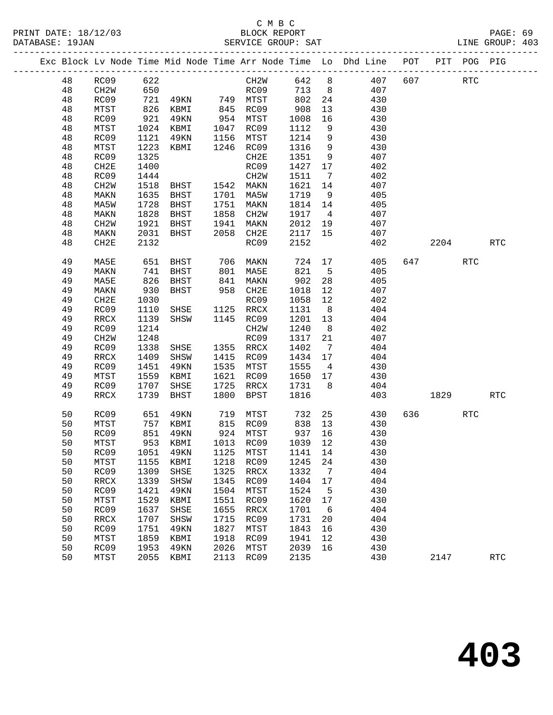#### C M B C<br>BLOCK REPORT PRINT DATE: 18/12/03 BLOCK REPORT PAGE: 69 SERVICE GROUP: SAT

|  |    |                   |      |             |      |                   | ___________________ |                | Exc Block Lv Node Time Mid Node Time Arr Node Time Lo Dhd Line POT | ____________ |      | PIT POG PIG          |            |
|--|----|-------------------|------|-------------|------|-------------------|---------------------|----------------|--------------------------------------------------------------------|--------------|------|----------------------|------------|
|  | 48 | RC09              | 622  |             |      | CH2W              | 642                 | 8              | 407                                                                | 607          |      | $\operatorname{RTC}$ |            |
|  | 48 | CH <sub>2</sub> W | 650  |             |      | RC09              | 713                 | 8 <sup>8</sup> | 407                                                                |              |      |                      |            |
|  | 48 | RC09              | 721  | 49KN        |      | 749 MTST          | 802                 | 24             | 430                                                                |              |      |                      |            |
|  | 48 | MTST              | 826  | KBMI        | 845  | RC09              | 908                 | 13             | 430                                                                |              |      |                      |            |
|  | 48 | RC09              | 921  | 49KN        | 954  | MTST              | 1008                | 16             | 430                                                                |              |      |                      |            |
|  | 48 | MTST              | 1024 | KBMI        | 1047 | RC09              | 1112                | 9              | 430                                                                |              |      |                      |            |
|  | 48 | RC09              | 1121 | 49KN        | 1156 | MTST              | 1214                | 9              | 430                                                                |              |      |                      |            |
|  | 48 | MTST              | 1223 | KBMI        | 1246 | RC09              | 1316                | 9              | 430                                                                |              |      |                      |            |
|  | 48 | RC09              | 1325 |             |      | CH2E              | 1351                | 9              | 407                                                                |              |      |                      |            |
|  | 48 | CH2E              | 1400 |             |      | RC09              | 1427                | 17             | 402                                                                |              |      |                      |            |
|  | 48 | RC09              | 1444 |             |      | CH <sub>2</sub> W | 1511                | 7              | 402                                                                |              |      |                      |            |
|  | 48 | CH2W              | 1518 | BHST        |      | 1542 MAKN         | 1621                | 14             | 407                                                                |              |      |                      |            |
|  | 48 | MAKN              | 1635 | BHST        | 1701 | MA5W              | 1719                | 9              | 405                                                                |              |      |                      |            |
|  | 48 | MA5W              | 1728 | BHST        | 1751 | MAKN              | 1814                | 14             | 405                                                                |              |      |                      |            |
|  | 48 | MAKN              | 1828 | BHST        | 1858 | CH <sub>2</sub> W | 1917                | $\overline{4}$ | 407                                                                |              |      |                      |            |
|  | 48 | CH <sub>2</sub> M | 1921 | <b>BHST</b> | 1941 | MAKN              | 2012                | 19             | 407                                                                |              |      |                      |            |
|  | 48 | MAKN              | 2031 | BHST        | 2058 | CH2E              | 2117                | 15             | 407                                                                |              |      |                      |            |
|  | 48 | CH2E              | 2132 |             |      | RC09              | 2152                |                | 402                                                                |              | 2204 |                      | <b>RTC</b> |
|  | 49 | MA5E              | 651  | BHST        | 706  | MAKN              | 724                 | 17             | 405                                                                | 647          |      | <b>RTC</b>           |            |
|  | 49 | MAKN              | 741  | BHST        | 801  | MA5E              | 821                 | $5^{\circ}$    | 405                                                                |              |      |                      |            |
|  | 49 | MA5E              | 826  | <b>BHST</b> | 841  | MAKN              | 902                 | 28             | 405                                                                |              |      |                      |            |
|  | 49 | MAKN              | 930  | <b>BHST</b> | 958  | CH2E              | 1018                | 12             | 407                                                                |              |      |                      |            |
|  | 49 | CH2E              | 1030 |             |      | RC09              | 1058                | 12             | 402                                                                |              |      |                      |            |
|  | 49 | RC09              | 1110 | SHSE        | 1125 | RRCX              | 1131                | 8 <sup>8</sup> | 404                                                                |              |      |                      |            |
|  | 49 | RRCX              | 1139 | SHSW        | 1145 | RC09              | 1201                | 13             | 404                                                                |              |      |                      |            |
|  | 49 | RC09              | 1214 |             |      | CH <sub>2</sub> W | 1240                | 8              | 402                                                                |              |      |                      |            |
|  | 49 | CH <sub>2</sub> M | 1248 |             |      | RC09              | 1317                | 21             | 407                                                                |              |      |                      |            |
|  | 49 | RC09              | 1338 | SHSE        | 1355 | RRCX              | 1402                | $\overline{7}$ | 404                                                                |              |      |                      |            |
|  | 49 | RRCX              | 1409 | SHSW        | 1415 | RC09              | 1434                | 17             | 404                                                                |              |      |                      |            |
|  | 49 | RC09              | 1451 | 49KN        | 1535 | MTST              | 1555                | $\overline{4}$ | 430                                                                |              |      |                      |            |
|  | 49 | MTST              | 1559 | KBMI        | 1621 | RC09              | 1650                | 17             | 430                                                                |              |      |                      |            |
|  | 49 | RC09              | 1707 | SHSE        | 1725 | RRCX              | 1731                | 8              | 404                                                                |              |      |                      |            |
|  | 49 | RRCX              | 1739 | <b>BHST</b> | 1800 | <b>BPST</b>       | 1816                |                | 403                                                                |              | 1829 |                      | <b>RTC</b> |
|  | 50 | RC09              | 651  | 49KN        | 719  | MTST              | 732                 | 25             | 430                                                                | 636          |      | <b>RTC</b>           |            |
|  | 50 | MTST              | 757  | KBMI        | 815  | RC09              | 838                 | 13             | 430                                                                |              |      |                      |            |
|  | 50 | RC09              | 851  | 49KN        | 924  | MTST              | 937                 | 16             | 430                                                                |              |      |                      |            |
|  | 50 | MTST              | 953  | KBMI        |      | 1013 RC09         | 1039                | 12             | 430                                                                |              |      |                      |            |
|  | 50 | RC09              | 1051 | 49KN        | 1125 | MTST              | 1141                | 14             | 430                                                                |              |      |                      |            |
|  | 50 | MTST              | 1155 | KBMI        | 1218 | RC09              | 1245                | 24             | 430                                                                |              |      |                      |            |
|  | 50 | RC09              | 1309 | SHSE        | 1325 | <b>RRCX</b>       | 1332                | 7              | 404                                                                |              |      |                      |            |
|  | 50 | <b>RRCX</b>       | 1339 | SHSW        | 1345 | RC09              | 1404                | 17             | 404                                                                |              |      |                      |            |
|  | 50 | RC09              | 1421 | 49KN        | 1504 | MTST              | 1524                | 5              | 430                                                                |              |      |                      |            |
|  | 50 | MTST              | 1529 | KBMI        | 1551 | RC09              | 1620                | 17             | 430                                                                |              |      |                      |            |
|  | 50 | RC09              | 1637 | SHSE        | 1655 | <b>RRCX</b>       | 1701                | 6              | 404                                                                |              |      |                      |            |
|  | 50 | <b>RRCX</b>       | 1707 | SHSW        | 1715 | RC09              | 1731                | 20             | 404                                                                |              |      |                      |            |
|  | 50 | RC09              | 1751 | 49KN        | 1827 | MTST              | 1843                | 16             | 430                                                                |              |      |                      |            |
|  | 50 | MTST              | 1859 | KBMI        | 1918 | RC09              | 1941                | 12             | 430                                                                |              |      |                      |            |
|  | 50 | RC09              | 1953 | 49KN        | 2026 | MTST              | 2039                | 16             | 430                                                                |              |      |                      |            |
|  | 50 | MTST              | 2055 | KBMI        | 2113 | RC09              | 2135                |                | 430                                                                |              | 2147 |                      | <b>RTC</b> |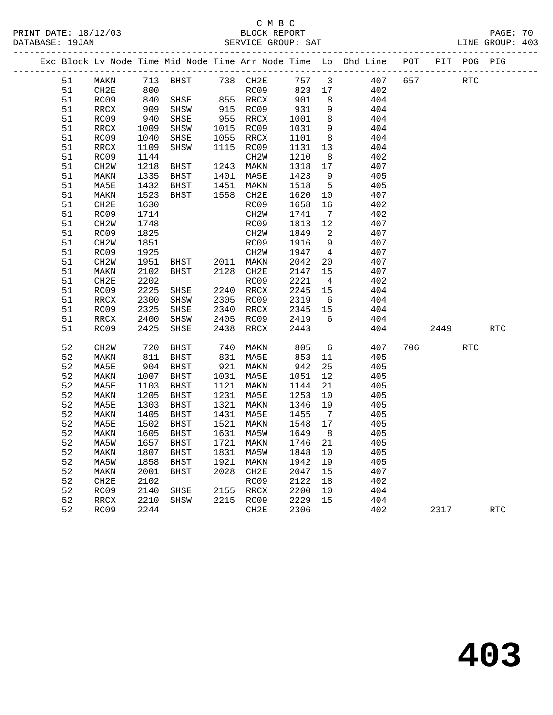# C M B C<br>BLOCK REPORT

|          |                   |              |                                    |      |                      |         |    | Exc Block Lv Node Time Mid Node Time Arr Node Time Lo Dhd Line POT PIT POG PIG            |         |     |            |  |
|----------|-------------------|--------------|------------------------------------|------|----------------------|---------|----|-------------------------------------------------------------------------------------------|---------|-----|------------|--|
|          |                   |              |                                    |      |                      |         |    | 51 MAKN 713 BHST 738 CH2E 757 3 407 657 RTC                                               |         |     |            |  |
| 51       | CH2E              | 800          |                                    |      |                      |         |    | RC09 823 17 402                                                                           |         |     |            |  |
| 51       | RC09              | 840          |                                    |      |                      |         |    | SHSE 855 RRCX 901 8 404                                                                   |         |     |            |  |
| 51       | RRCX              | 909<br>940   | SHSW                               |      | 915 RC09<br>955 RRCX |         |    |                                                                                           |         |     |            |  |
| 51       | RC09              |              | SHSE                               |      |                      |         |    | $\begin{array}{cccc} 931 & 9 & & 404 \\ 1001 & 8 & & 404 \\ 1031 & 9 & & 404 \end{array}$ |         |     |            |  |
| 51       | RRCX              | 1009         | SHSW                               |      | 1015 RC09            |         |    |                                                                                           |         |     |            |  |
| 51       | RC09              | 1040         | SHSE                               |      | 1055 RRCX            |         |    | 1101 8 404                                                                                |         |     |            |  |
| 51       | RRCX              | 1109         | SHSW                               |      | 1115 RC09            |         |    | 1131 13 404                                                                               |         |     |            |  |
| 51       | RC09              | 1144         | <b>BHST</b>                        |      | CH2W                 |         |    | $\begin{array}{cccc} 1210 & 8 & & 402 \\ 1318 & 17 & & 407 \end{array}$                   |         |     |            |  |
| 51       | CH <sub>2</sub> W | 1218         |                                    |      | 1243 MAKN            |         |    |                                                                                           |         |     |            |  |
| 51       | MAKN              | 1335         | BHST 1401 MA5E                     |      |                      |         |    | 1423 9 405                                                                                |         |     |            |  |
| 51       | MA5E              | 1432         | BHST 1451                          |      | MAKN                 |         |    | 1518 5 405                                                                                |         |     |            |  |
| 51       | MAKN              | 1523         | BHST 1558 CH2E                     |      |                      |         |    | $\begin{array}{ccc} 1620 & 10 & 407 \\ 1658 & 16 & 402 \end{array}$                       |         |     |            |  |
| 51       | CH2E              | 1630         |                                    |      | RC09                 |         |    | 7 402                                                                                     |         |     |            |  |
| 51       | RC09              | 1714         |                                    |      | CH2W                 | 1741    |    |                                                                                           |         |     |            |  |
| 51       | CH2W              | 1748<br>1825 |                                    |      | RC09<br>CH2W         | 1813 12 |    | 407                                                                                       |         |     |            |  |
| 51<br>51 | RC09              |              |                                    |      | RC09                 |         |    | 1849 2 407<br>1916 9 407                                                                  |         |     |            |  |
| 51       | CH2W<br>RC09      | 1851<br>1925 |                                    |      | CH2W                 |         |    | 1947 4 407                                                                                |         |     |            |  |
| 51       | CH <sub>2</sub> W | 1951         | BHST 2011 MAKN                     |      |                      | 2042    |    | 20 407                                                                                    |         |     |            |  |
| 51       | MAKN              | 2102         |                                    |      |                      |         |    |                                                                                           |         |     |            |  |
| 51       | CH2E              | 2202         | BHST 2128 CH2E                     |      | RC09                 | 2221 4  |    | $\begin{array}{cccc} 2147 & 15 & & 407 \\ 2221 & 4 & & 402 \end{array}$                   |         |     |            |  |
| 51       | RC09              | 2225         | SHSE                               |      | 2240 RRCX            |         |    | 2245 15 404                                                                               |         |     |            |  |
| 51       | RRCX              | 2300         | SHSW                               |      | 2305 RC09            |         |    | 2319 6 404                                                                                |         |     |            |  |
| 51       | RC09              | 2325         | SHSE                               |      | 2340 RRCX            |         |    | 2345 15 404                                                                               |         |     |            |  |
| 51       | RRCX              | 2400         | SHSW                               |      | 2405 RC09            | 2419 6  |    | 404                                                                                       |         |     |            |  |
| 51       | RC09              | 2425         | SHSE                               | 2438 | RRCX                 | 2443    |    | $\begin{array}{c} 101 \\ 404 \end{array}$                                                 | 2449    |     | <b>RTC</b> |  |
| 52       | CH <sub>2</sub> W |              | 720 BHST<br>811 BHST<br>BHST       |      | 740 MAKN             |         |    | 805 6 407<br>853 11 405                                                                   | 706 700 | RTC |            |  |
| 52       | MAKN              |              |                                    |      | 831 MA5E             |         |    |                                                                                           |         |     |            |  |
| 52       | MA5E              | 904          | BHST                               |      | 921 MAKN             | 942     |    | 25 405                                                                                    |         |     |            |  |
| 52       | MAKN              | 1007         | BHST                               |      | 1031 MA5E            |         |    | 1051 12 405                                                                               |         |     |            |  |
| 52       | MA5E              | 1103         | BHST                               | 1121 | MAKN                 |         |    | 1144 21 405                                                                               |         |     |            |  |
| 52       | MAKN              | 1205         | BHST                               |      | 1231 MA5E            |         |    |                                                                                           |         |     |            |  |
| 52       | MA5E              | 1303         | BHST                               |      | 1321 MAKN            |         |    |                                                                                           |         |     |            |  |
| 52       | MAKN              |              | 1405 BHST 1431 MA5E                |      |                      | 1455 7  |    | 405                                                                                       |         |     |            |  |
| 52       | MA5E              | 1502         | BHST                               |      | 1521 MAKN            | 1548 17 |    | 405                                                                                       |         |     |            |  |
|          |                   |              | 52 MAKN 1605 BHST 1631 MA5W 1649 8 |      |                      |         |    | 405                                                                                       |         |     |            |  |
| 52       | MA5W              | 1657         | BHST                               | 1721 | MAKN                 | 1746    | 21 | 405                                                                                       |         |     |            |  |
| 52       | <b>MAKN</b>       | 1807         | <b>BHST</b>                        | 1831 | MA5W                 | 1848    | 10 | 405                                                                                       |         |     |            |  |
| 52       | MA5W              | 1858         | <b>BHST</b>                        | 1921 | MAKN                 | 1942    | 19 | 405                                                                                       |         |     |            |  |
| 52       | MAKN              | 2001         | <b>BHST</b>                        | 2028 | CH2E                 | 2047    | 15 | 407                                                                                       |         |     |            |  |
| 52       | CH <sub>2E</sub>  | 2102         |                                    |      | RC09                 | 2122    | 18 | 402                                                                                       |         |     |            |  |
| 52       | RC09              | 2140         | SHSE                               | 2155 | <b>RRCX</b>          | 2200    | 10 | 404                                                                                       |         |     |            |  |
| 52       | RRCX              | 2210         | SHSW                               | 2215 | RC09                 | 2229    | 15 | 404                                                                                       |         |     |            |  |
| 52       | RC09              | 2244         |                                    |      | CH2E                 | 2306    |    | 402                                                                                       | 2317    |     | <b>RTC</b> |  |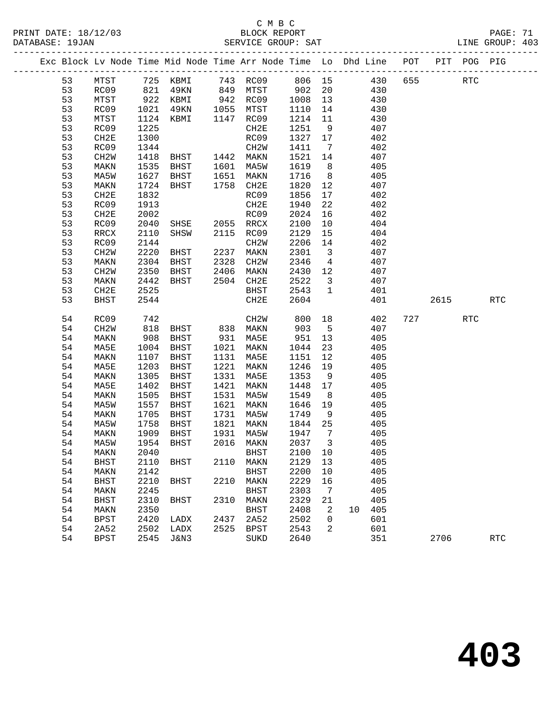#### C M B C<br>BLOCK REPORT SERVICE GROUP: SAT

|    |                   |      | Exc Block Lv Node Time Mid Node Time Arr Node Time Lo Dhd Line POT        |      |                   |             |                         |           |        |      | PIT POG PIG          |                      |
|----|-------------------|------|---------------------------------------------------------------------------|------|-------------------|-------------|-------------------------|-----------|--------|------|----------------------|----------------------|
| 53 | MTST              |      | 725 KBMI 743 RC09 806 15   430 655<br>821 49KN   849 MTST   902 20    430 |      |                   |             |                         |           |        |      | $\operatorname{RTC}$ |                      |
| 53 | RC09              |      |                                                                           |      |                   |             |                         |           |        |      |                      |                      |
| 53 | MTST              |      | 922 KBMI 942 RC09                                                         |      |                   | 1008 13 430 |                         |           |        |      |                      |                      |
| 53 | RC09              | 1021 | 49KN 1055 MTST                                                            |      |                   | 1110        |                         | 14 430    |        |      |                      |                      |
| 53 | MTST              | 1124 | KBMI                                                                      | 1147 | RC09              | 1214        | 11                      |           | 430    |      |                      |                      |
| 53 | RC09              | 1225 |                                                                           |      | CH2E              | 1251        | 9                       |           | 407    |      |                      |                      |
| 53 | CH2E              | 1300 |                                                                           |      | RC09              | 1327        |                         | 17 402    |        |      |                      |                      |
| 53 | RC09              | 1344 |                                                                           |      | CH2W              | 1411        | $\overline{7}$          | 402       |        |      |                      |                      |
| 53 | CH <sub>2</sub> W | 1418 | BHST 1442                                                                 |      | MAKN              | 1521        | 14                      |           | 407    |      |                      |                      |
| 53 | MAKN              | 1535 | <b>BHST</b>                                                               | 1601 | MA5W              | 1619        | 8 <sup>8</sup>          |           | 405    |      |                      |                      |
| 53 | MA5W              | 1627 | BHST                                                                      | 1651 | MAKN              | 1716        | 8 <sup>8</sup>          |           | 405    |      |                      |                      |
| 53 | MAKN              | 1724 | BHST                                                                      | 1758 | CH2E              | 1820        | 12                      | 407       |        |      |                      |                      |
| 53 | CH2E              | 1832 |                                                                           |      | RC09              | 1856        | 17                      |           | 402    |      |                      |                      |
| 53 | RC09              | 1913 |                                                                           |      | CH2E              | 1940        | 22                      |           | 402    |      |                      |                      |
| 53 | CH2E              | 2002 |                                                                           |      | RC09              | 2024        | 16                      |           | 402    |      |                      |                      |
| 53 | RC09              | 2040 | SHSE 2055                                                                 |      | RRCX              | 2100        |                         | 10        | 404    |      |                      |                      |
| 53 | RRCX              | 2110 | SHSW                                                                      | 2115 | RC09              | 2129        | 15                      | 404       |        |      |                      |                      |
| 53 | RC09              | 2144 |                                                                           |      | CH <sub>2</sub> W | 2206        | 14                      |           | 402    |      |                      |                      |
| 53 | CH <sub>2</sub> W | 2220 | BHST                                                                      | 2237 | MAKN              | 2301        | $\overline{\mathbf{3}}$ |           | 407    |      |                      |                      |
| 53 | MAKN              | 2304 | BHST                                                                      | 2328 | CH <sub>2</sub> W | 2346        |                         | 4 4 4 0 7 |        |      |                      |                      |
| 53 | CH <sub>2</sub> W | 2350 | BHST                                                                      | 2406 | MAKN              | 2430        |                         | 12 407    |        |      |                      |                      |
| 53 | MAKN              | 2442 | BHST                                                                      | 2504 | CH2E              | 2522        | $\overline{\mathbf{3}}$ |           | 407    |      |                      |                      |
| 53 | CH2E              | 2525 |                                                                           |      | BHST              | 2543        | $\mathbf{1}$            |           | 401    |      |                      |                      |
| 53 | BHST              | 2544 |                                                                           |      | CH2E              | 2604        |                         |           | 401    | 2615 |                      | <b>RTC</b>           |
| 54 | RC09              | 742  |                                                                           |      | CH2W              | 800         | 18                      |           | 402    | 727  | <b>RTC</b>           |                      |
| 54 | CH <sub>2</sub> W | 818  | BHST 838 MAKN                                                             |      |                   | 903         | $5^{\circ}$             |           | 407    |      |                      |                      |
| 54 | MAKN              | 908  | BHST                                                                      |      | 931 MA5E          | 951 13      |                         |           | 405    |      |                      |                      |
| 54 | MA5E              | 1004 | BHST                                                                      | 1021 | MAKN              | 1044        | 23                      |           | 405    |      |                      |                      |
| 54 | MAKN              | 1107 | BHST                                                                      | 1131 | MA5E              | 1151        | 12                      |           | 405    |      |                      |                      |
| 54 | MA5E              | 1203 | BHST                                                                      | 1221 | MAKN              | 1246        | 19                      |           | 405    |      |                      |                      |
| 54 | MAKN              | 1305 | BHST                                                                      | 1331 | MA5E              | 1353        | 9                       |           | 405    |      |                      |                      |
| 54 | MA5E              | 1402 | BHST                                                                      | 1421 | MAKN              | 1448        | 17                      |           | 405    |      |                      |                      |
| 54 | MAKN              | 1505 | BHST                                                                      | 1531 | MA5W              | 1549        | 8 <sup>8</sup>          |           | 405    |      |                      |                      |
| 54 | MA5W              | 1557 | BHST                                                                      | 1621 | MAKN              | 1646        | 19                      |           | 405    |      |                      |                      |
| 54 | MAKN              | 1705 | BHST                                                                      | 1731 | MA5W              | 1749        | 9                       |           | 405    |      |                      |                      |
| 54 | MA5W              | 1758 | BHST                                                                      | 1821 | MAKN              | 1844        | 25                      |           | 405    |      |                      |                      |
| 54 | MAKN              | 1909 | BHST                                                                      | 1931 | MA5W              | 1947        | $\overline{7}$          |           | 405    |      |                      |                      |
| 54 | MA5W              | 1954 | BHST                                                                      | 2016 | MAKN              | 2037        | $\overline{\mathbf{3}}$ |           | 405    |      |                      |                      |
| 54 | MAKN              |      | 2040 000                                                                  |      | BHST              | 2100 10     |                         |           | 405    |      |                      |                      |
| 54 | BHST              | 2110 | BHST                                                                      | 2110 | MAKN              | 2129        | 13                      |           | 405    |      |                      |                      |
| 54 | MAKN              | 2142 |                                                                           |      | BHST              | 2200        | 10                      |           | 405    |      |                      |                      |
| 54 | BHST              | 2210 | BHST                                                                      | 2210 | MAKN              | 2229        | 16                      |           | 405    |      |                      |                      |
| 54 | MAKN              | 2245 |                                                                           |      | BHST              | 2303        | $7\phantom{.0}$         |           | 405    |      |                      |                      |
| 54 | BHST              | 2310 | BHST                                                                      | 2310 | MAKN              | 2329        | 21                      |           | 405    |      |                      |                      |
| 54 | MAKN              | 2350 |                                                                           |      | BHST              | 2408        | 2                       |           | 10 405 |      |                      |                      |
| 54 | <b>BPST</b>       | 2420 | LADX                                                                      | 2437 | 2A52              | 2502        | $\overline{0}$          |           | 601    |      |                      |                      |
| 54 | 2A52              | 2502 | LADX                                                                      | 2525 | BPST              | 2543        | $\overline{a}$          |           | 601    |      |                      |                      |
| 54 | BPST              | 2545 | J&N3                                                                      |      | SUKD              | 2640        |                         |           | 351    | 2706 |                      | $\operatorname{RTC}$ |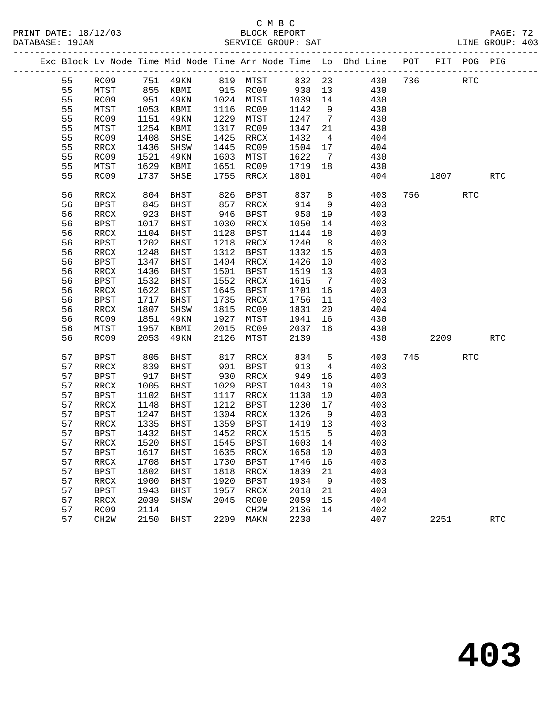|  |    |                   |      |          |      |                   |         |                 | Exc Block Lv Node Time Mid Node Time Arr Node Time Lo Dhd Line POT PIT POG PIG |     |            |            |                      |
|--|----|-------------------|------|----------|------|-------------------|---------|-----------------|--------------------------------------------------------------------------------|-----|------------|------------|----------------------|
|  | 55 | RC09              |      |          |      |                   |         |                 | 751 49KN 819 MTST 832 23 430                                                   | 736 |            | <b>RTC</b> |                      |
|  | 55 | MTST              |      | 855 KBMI |      | 915 RC09 938 13   |         |                 | 430                                                                            |     |            |            |                      |
|  | 55 | RC09              | 951  | 49KN     |      | 1024 MTST         | 1039 14 |                 | 430                                                                            |     |            |            |                      |
|  | 55 | MTST              | 1053 | KBMI     |      | 1116 RC09         | 1142    | 9               | 430                                                                            |     |            |            |                      |
|  | 55 | RC09              | 1151 | 49KN     |      | 1229 MTST         | 1247    | $7\overline{ }$ | 430                                                                            |     |            |            |                      |
|  | 55 | MTST              | 1254 | KBMI     | 1317 | RC09              | 1347    | 21              | 430                                                                            |     |            |            |                      |
|  | 55 | RC09              | 1408 | SHSE     | 1425 | RRCX              | 1432    | $\overline{4}$  | 404                                                                            |     |            |            |                      |
|  | 55 | RRCX              | 1436 | SHSW     |      | 1445 RC09         | 1504    | 17              | 404                                                                            |     |            |            |                      |
|  | 55 | RC09              | 1521 | 49KN     | 1603 | MTST              | 1622    | $7\phantom{0}$  | 430                                                                            |     |            |            |                      |
|  | 55 | MTST              | 1629 | KBMI     |      | 1651 RC09         | 1719 18 |                 | 430                                                                            |     |            |            |                      |
|  | 55 | RC09              | 1737 | SHSE     |      | 1755 RRCX         | 1801    |                 | 404                                                                            |     | 1807       |            | <b>RTC</b>           |
|  | 56 | RRCX              | 804  | BHST     | 826  | BPST              | 837     | 8 <sup>8</sup>  | 403                                                                            |     | 756 750 17 | <b>RTC</b> |                      |
|  | 56 | BPST              | 845  | BHST     | 857  | RRCX              | 914     | 9               | 403                                                                            |     |            |            |                      |
|  | 56 | RRCX              | 923  | BHST     |      | 946 BPST          | 958     | 19              | 403                                                                            |     |            |            |                      |
|  | 56 | BPST              | 1017 | BHST     |      | 1030 RRCX         | 1050    | 14              | 403                                                                            |     |            |            |                      |
|  | 56 | RRCX              | 1104 | BHST     |      | 1128 BPST         | 1144    | 18              | 403                                                                            |     |            |            |                      |
|  | 56 | BPST              | 1202 | BHST     |      | 1218 RRCX         | 1240    | 8 <sup>8</sup>  | 403                                                                            |     |            |            |                      |
|  | 56 | RRCX              | 1248 | BHST     | 1312 | BPST              | 1332    | 15              | 403                                                                            |     |            |            |                      |
|  | 56 | BPST              | 1347 | BHST     | 1404 | RRCX              | 1426    | 10              | 403                                                                            |     |            |            |                      |
|  | 56 | RRCX              | 1436 | BHST     | 1501 | BPST              | 1519    | 13              | 403                                                                            |     |            |            |                      |
|  | 56 | BPST              | 1532 | BHST     |      | 1552 RRCX         | 1615    | $\overline{7}$  | 403                                                                            |     |            |            |                      |
|  | 56 | RRCX              | 1622 | BHST     |      | 1645 BPST         | 1701    | 16              | 403                                                                            |     |            |            |                      |
|  | 56 | BPST              | 1717 | BHST     |      | 1735 RRCX         | 1756    | 11              | 403                                                                            |     |            |            |                      |
|  | 56 | RRCX              | 1807 | SHSW     |      | 1815 RC09         | 1831    | 20              | 404                                                                            |     |            |            |                      |
|  | 56 | RC09              | 1851 | 49KN     |      | 1927 MTST         | 1941    | 16              | 430                                                                            |     |            |            |                      |
|  | 56 | MTST              | 1957 | KBMI     | 2015 | RC09              | 2037    | 16              | 430                                                                            |     |            |            |                      |
|  | 56 | RC09              | 2053 | 49KN     | 2126 | MTST              | 2139    |                 | 430                                                                            |     | 2209       |            | $\operatorname{RTC}$ |
|  | 57 | <b>BPST</b>       | 805  | BHST     |      | 817 RRCX          | 834     | 5 <sup>5</sup>  | 403                                                                            |     | 745        | <b>RTC</b> |                      |
|  | 57 | RRCX              | 839  | BHST     |      | 901 BPST          | 913     | $\overline{4}$  | 403                                                                            |     |            |            |                      |
|  | 57 | BPST              | 917  | BHST     |      | 930 RRCX          | 949     | 16              | 403                                                                            |     |            |            |                      |
|  | 57 | RRCX              | 1005 | BHST     |      | 1029 BPST         | 1043    | 19              | 403                                                                            |     |            |            |                      |
|  | 57 | BPST              | 1102 | BHST     | 1117 | RRCX              | 1138    | 10              | 403                                                                            |     |            |            |                      |
|  | 57 | RRCX              | 1148 | BHST     | 1212 | BPST              | 1230    | 17              | 403                                                                            |     |            |            |                      |
|  | 57 | BPST              | 1247 | BHST     |      | 1304 RRCX         | 1326    | 9               | 403                                                                            |     |            |            |                      |
|  | 57 | RRCX              | 1335 | BHST     |      | 1359 BPST         | 1419 13 |                 | 403                                                                            |     |            |            |                      |
|  | 57 | BPST              | 1432 | BHST     |      | 1452 RRCX         | 1515    | $-5$            | 403                                                                            |     |            |            |                      |
|  | 57 | RRCX              | 1520 | BHST     |      | 1545 BPST         | 1603 14 |                 | 403                                                                            |     |            |            |                      |
|  | 57 | BPST 1617 BHST    |      |          |      |                   |         |                 | 1635 RRCX 1658 10 403                                                          |     |            |            |                      |
|  | 57 | RRCX              | 1708 | BHST     | 1730 | BPST              | 1746    | 16              | 403                                                                            |     |            |            |                      |
|  | 57 | <b>BPST</b>       | 1802 | BHST     | 1818 | RRCX              | 1839    | 21              | 403                                                                            |     |            |            |                      |
|  | 57 | RRCX              | 1900 | BHST     | 1920 | BPST              | 1934    | 9               | 403                                                                            |     |            |            |                      |
|  | 57 | <b>BPST</b>       | 1943 | BHST     | 1957 | RRCX              | 2018    | 21              | 403                                                                            |     |            |            |                      |
|  | 57 | RRCX              | 2039 | SHSW     | 2045 | RC09              | 2059    | 15              | 404                                                                            |     |            |            |                      |
|  | 57 | RC09              | 2114 |          |      | CH <sub>2</sub> M | 2136    | 14              | 402                                                                            |     |            |            |                      |
|  | 57 | CH <sub>2</sub> W | 2150 | BHST     | 2209 | MAKN              | 2238    |                 | 407                                                                            |     | 2251       |            | <b>RTC</b>           |
|  |    |                   |      |          |      |                   |         |                 |                                                                                |     |            |            |                      |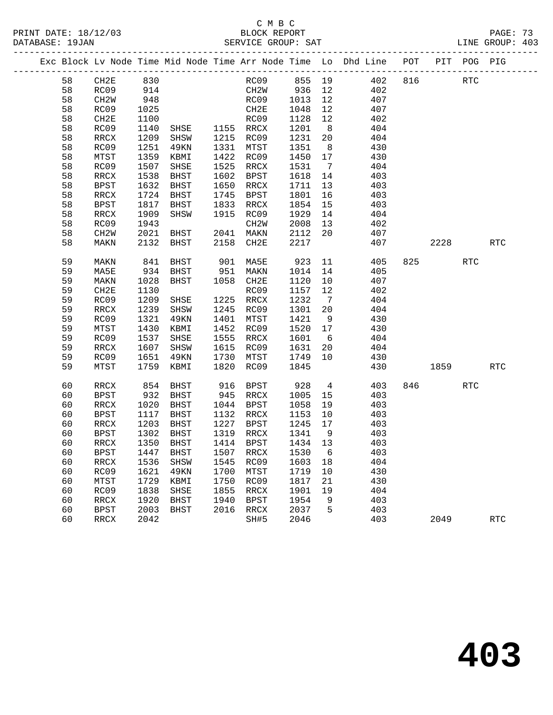|  |    |                   |            |                |      |                  |         |                | Exc Block Lv Node Time Mid Node Time Arr Node Time Lo Dhd Line POT |     |        | PIT POG PIG |            |
|--|----|-------------------|------------|----------------|------|------------------|---------|----------------|--------------------------------------------------------------------|-----|--------|-------------|------------|
|  | 58 | CH2E              | 830<br>914 |                |      |                  |         |                | RC09 855 19 402                                                    | 816 |        | RTC         |            |
|  | 58 | RC09              |            |                |      | CH2W 936 12      |         |                | 402                                                                |     |        |             |            |
|  | 58 | CH2W              | 948        |                |      | RC09 1013        |         | 12             | 407                                                                |     |        |             |            |
|  | 58 | RC09              | 1025       |                |      | CH2E             | 1048    | 12             | 407                                                                |     |        |             |            |
|  | 58 | CH2E              | 1100       |                |      | RC09             | 1128    | 12             | 402                                                                |     |        |             |            |
|  | 58 | RC09              | 1140       | SHSE 1155 RRCX |      |                  | 1201    | 8 <sup>8</sup> | 404                                                                |     |        |             |            |
|  | 58 | RRCX              | 1209       | SHSW           |      | 1215 RC09        | 1231    | 20             | 404                                                                |     |        |             |            |
|  | 58 | RC09              | 1251       | 49KN           |      | 1331 MTST        | 1351    | 8 <sup>8</sup> | 430                                                                |     |        |             |            |
|  | 58 | MTST              | 1359       | KBMI           |      | 1422 RC09        | 1450    | 17             | 430                                                                |     |        |             |            |
|  | 58 | RC09              | 1507       | SHSE           |      | 1525 RRCX        | 1531    | $\overline{7}$ | 404                                                                |     |        |             |            |
|  | 58 | $\verb!RRCX!$     | 1538       | BHST           | 1602 | BPST             | 1618    | 14             | 403                                                                |     |        |             |            |
|  | 58 | BPST              | 1632       | BHST           | 1650 | RRCX             | 1711    | 13             | 403                                                                |     |        |             |            |
|  | 58 | RRCX              | 1724       | BHST           | 1745 | BPST             | 1801    | 16             | 403                                                                |     |        |             |            |
|  | 58 | <b>BPST</b>       | 1817       | BHST           | 1833 | RRCX             | 1854    | 15             | 403                                                                |     |        |             |            |
|  | 58 | RRCX              | 1909       | SHSW           | 1915 | RC09             | 1929    | 14             | 404                                                                |     |        |             |            |
|  | 58 | RC09              | 1943       |                |      | CH2W             | 2008    | 13             | 402                                                                |     |        |             |            |
|  | 58 | CH <sub>2</sub> W | 2021       | BHST           |      | 2041 MAKN        | 2112    | 20             | 407                                                                |     |        |             |            |
|  | 58 | MAKN              | 2132       | BHST           | 2158 | CH2E             | 2217    |                | 407                                                                |     | 2228   |             | <b>RTC</b> |
|  | 59 | MAKN              | 841        | BHST           |      | 901 MA5E         | 923 11  |                | 405                                                                |     | 825 32 | RTC         |            |
|  | 59 | MA5E              | 934        | BHST           | 951  | MAKN             | 1014    | 14             | 405                                                                |     |        |             |            |
|  | 59 | MAKN              | 1028       | BHST           |      | 1058 CH2E        | 1120    | 10             | 407                                                                |     |        |             |            |
|  | 59 | CH2E              | 1130       |                |      | RC09             | 1157    | 12             | 402                                                                |     |        |             |            |
|  | 59 | RC09              | 1209       | SHSE           | 1225 | RRCX             | 1232    | $\overline{7}$ | 404                                                                |     |        |             |            |
|  | 59 | RRCX              | 1239       | SHSW           |      | 1245 RC09        | 1301    | 20             | 404                                                                |     |        |             |            |
|  | 59 | RC09              | 1321       | 49KN           | 1401 | MTST             | 1421    | 9              | 430                                                                |     |        |             |            |
|  | 59 | MTST              | 1430       | KBMI           | 1452 | RC09             | 1520 17 |                | 430                                                                |     |        |             |            |
|  | 59 | RC09              | 1537       | SHSE           | 1555 | RRCX             | 1601    | 6              | 404                                                                |     |        |             |            |
|  | 59 | RRCX              | 1607       | SHSW           | 1615 | RC09             | 1631    | 20             | 404                                                                |     |        |             |            |
|  | 59 | RC09              | 1651       | 49KN           | 1730 | MTST             | 1749    | 10             | 430                                                                |     |        |             |            |
|  | 59 | MTST              | 1759       | KBMI           | 1820 | RC09             | 1845    |                | 430                                                                |     | 1859   |             | <b>RTC</b> |
|  | 60 | RRCX              | 854        | BHST           | 916  | BPST             | 928     | $\overline{4}$ | 403                                                                |     | 846 70 | <b>RTC</b>  |            |
|  | 60 | <b>BPST</b>       | 932        | BHST           |      | 945 RRCX         | 1005    | 15             | 403                                                                |     |        |             |            |
|  | 60 | RRCX              | 1020       | BHST           |      | 1044 BPST        | 1058    | 19             | 403                                                                |     |        |             |            |
|  | 60 | BPST              | 1117       | BHST           |      | 1132 RRCX        | 1153    | 10             | 403                                                                |     |        |             |            |
|  | 60 | RRCX              | 1203       | BHST           |      | 1227 BPST        | 1245    | 17             | 403                                                                |     |        |             |            |
|  | 60 | BPST              | 1302       | BHST           |      | 1319 RRCX        | 1341    | $\overline{9}$ | 403                                                                |     |        |             |            |
|  | 60 | RRCX              | 1350       | BHST           |      | 1414 BPST        | 1434 13 |                | 403                                                                |     |        |             |            |
|  | 60 | BPST              |            | 1447 BHST      |      | 1507 RRCX 1530 6 |         |                | 403                                                                |     |        |             |            |
|  | 60 | RRCX              | 1536       | SHSW           | 1545 | RC09             | 1603 18 |                | 404                                                                |     |        |             |            |
|  | 60 | RC09              | 1621       | 49KN           | 1700 | MTST             | 1719    | 10             | 430                                                                |     |        |             |            |
|  | 60 | MTST              | 1729       | KBMI           | 1750 | RC09             | 1817    | 21             | 430                                                                |     |        |             |            |
|  | 60 | RC09              | 1838       | SHSE           | 1855 | RRCX             | 1901    | 19             | 404                                                                |     |        |             |            |
|  | 60 | RRCX              | 1920       | BHST           | 1940 | <b>BPST</b>      | 1954    | 9              | 403                                                                |     |        |             |            |
|  | 60 | <b>BPST</b>       | 2003       | BHST           | 2016 | RRCX             | 2037    | 5              | 403                                                                |     |        |             |            |
|  | 60 | RRCX              | 2042       |                |      | SH#5             | 2046    |                | 403                                                                |     | 2049   |             | <b>RTC</b> |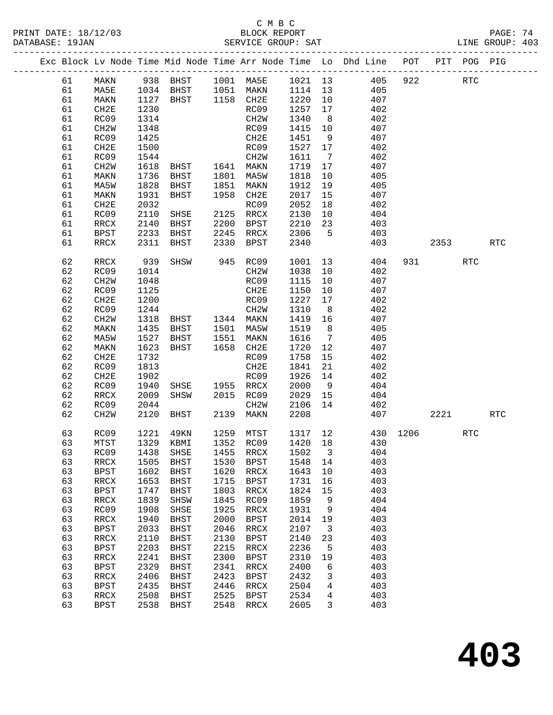#### C M B C<br>BLOCK REPORT PRINT DATE: 18/12/03 BLOCK REPORT PAGE: 74 SERVICE GROUP: SAT

|  |          |                          |              |                                                            |              |                          |              |                         | Exc Block Lv Node Time Mid Node Time Arr Node Time Lo Dhd Line POT |          |           | PIT POG PIG |            |
|--|----------|--------------------------|--------------|------------------------------------------------------------|--------------|--------------------------|--------------|-------------------------|--------------------------------------------------------------------|----------|-----------|-------------|------------|
|  | 61       | MAKN                     |              |                                                            |              |                          |              |                         | 938 BHST 1001 MA5E 1021 13 405                                     | 922      |           | <b>RTC</b>  |            |
|  | 61       | MA5E                     |              |                                                            |              |                          |              |                         | 405                                                                |          |           |             |            |
|  | 61       | MAKN                     |              | 1034 BHST 1051 MAKN 1114 13<br>1127 BHST 1158 CH2E 1220 10 |              |                          |              |                         | 407                                                                |          |           |             |            |
|  | 61       | CH2E                     | 1230         |                                                            |              | RC09                     | 1257         | 17                      | 402                                                                |          |           |             |            |
|  | 61       | RC09                     | 1314         |                                                            |              | CH2W                     | 1340         | 8 <sup>8</sup>          | 402                                                                |          |           |             |            |
|  | 61       | CH <sub>2</sub> W        | 1348         |                                                            |              | RC09                     | 1415         | 10                      | 407                                                                |          |           |             |            |
|  | 61       | RC09                     | 1425         |                                                            |              | CH2E                     | 1451         | 9                       | 407                                                                |          |           |             |            |
|  | 61       | CH2E                     | 1500         |                                                            |              | RC09                     | 1527         | 17                      | 402                                                                |          |           |             |            |
|  | 61       | RC09                     | 1544         |                                                            |              | CH2W                     | 1611         | $\overline{7}$          | 402                                                                |          |           |             |            |
|  | 61       | CH2W                     | 1618         | BHST 1641 MAKN                                             |              |                          | 1719         | 17                      | 407                                                                |          |           |             |            |
|  | 61       | MAKN                     | 1736         | BHST                                                       |              | 1801 MA5W                | 1818         | 10                      | 405                                                                |          |           |             |            |
|  | 61       | MA5W                     | 1828         | BHST                                                       | 1851         | MAKN                     | 1912         | 19                      | 405                                                                |          |           |             |            |
|  | 61       | MAKN                     | 1931         | BHST                                                       | 1958         | CH2E                     | 2017         | 15                      | 407                                                                |          |           |             |            |
|  | 61       | CH2E                     | 2032         |                                                            |              | RC09                     | 2052         | 18                      | 402                                                                |          |           |             |            |
|  | 61       | RC09                     | 2110         | SHSE                                                       |              | 2125 RRCX                | 2130         | 10                      | 404                                                                |          |           |             |            |
|  | 61       | RRCX                     | 2140         | BHST                                                       | 2200         | BPST                     | 2210         | 23                      | 403                                                                |          |           |             |            |
|  | 61       | BPST                     | 2233         | BHST                                                       | 2245         | RRCX                     | 2306         | $5^{\circ}$             | 403                                                                |          |           |             |            |
|  | 61       | RRCX                     | 2311         | BHST                                                       | 2330         | BPST                     | 2340         |                         | 403                                                                |          | 2353      |             | <b>RTC</b> |
|  | 62       | RRCX                     | 939          | SHSW                                                       |              | 945 RC09                 | 1001         | 13                      | 404                                                                |          | 931 — 100 | RTC         |            |
|  | 62       | RC09                     | 1014         |                                                            |              | CH2W                     | 1038         | 10                      | 402                                                                |          |           |             |            |
|  | 62       | CH <sub>2</sub> W        | 1048         |                                                            |              | RC09                     | 1115         | 10                      | 407                                                                |          |           |             |            |
|  | 62       | RC09                     | 1125         |                                                            |              | CH2E                     | 1150         | 10                      | 407                                                                |          |           |             |            |
|  | 62       | CH2E                     | 1200         |                                                            |              | RC09                     | 1227         | 17                      | 402                                                                |          |           |             |            |
|  | 62       | RC09                     | 1244         |                                                            |              | CH2W                     | 1310         | 8 <sup>8</sup>          | 402                                                                |          |           |             |            |
|  | 62       | CH <sub>2</sub> W        | 1318         | BHST 1344 MAKN                                             |              |                          | 1419         | 16                      | 407                                                                |          |           |             |            |
|  | 62       | MAKN                     | 1435         | BHST                                                       |              | 1501 MA5W                | 1519         | 8 <sup>8</sup>          | 405                                                                |          |           |             |            |
|  | 62       | MA5W                     | 1527         | BHST                                                       |              | 1551 MAKN                | 1616         | $\overline{7}$          | 405                                                                |          |           |             |            |
|  | 62       | MAKN                     | 1623         | BHST                                                       |              | 1658 CH2E                | 1720         | 12                      | 407                                                                |          |           |             |            |
|  | 62       | CH2E                     | 1732         |                                                            |              | RC09                     | 1758         | 15                      | 402                                                                |          |           |             |            |
|  | 62       | RC09                     | 1813         |                                                            |              | CH2E                     | 1841         | 21                      | 402                                                                |          |           |             |            |
|  | 62       | CH2E                     | 1902         |                                                            |              | RC09                     | 1926         | 14                      | 402                                                                |          |           |             |            |
|  | 62       | RC09                     | 1940         | SHSE                                                       |              | 1955 RRCX                | 2000         | 9                       | 404                                                                |          |           |             |            |
|  | 62       | RRCX                     | 2009         | SHSW                                                       |              | 2015 RC09                | 2029         | 15                      | 404                                                                |          |           |             |            |
|  | 62       | RC09                     | 2044         |                                                            |              | CH2W<br>2139 MAKN        | 2106         | 14                      | 402                                                                |          |           |             |            |
|  | 62       | CH <sub>2</sub> W        | 2120         | BHST                                                       |              |                          | 2208         |                         | 407                                                                |          | 2221      |             | RTC        |
|  | 63       | RC09                     | 1221         | 49KN                                                       |              | 1259 MTST                | 1317 12      |                         |                                                                    | 430 1206 |           | <b>RTC</b>  |            |
|  | 63       | MTST                     | 1329         | KBMI                                                       |              | 1352 RC09                | 1420 18      |                         | 430                                                                |          |           |             |            |
|  | 63       |                          |              | RC09 1438 SHSE 1455 RRCX 1502 3                            |              |                          |              |                         | 404                                                                |          |           |             |            |
|  | 63       | RRCX                     | 1505         | BHST                                                       | 1530         | BPST                     | 1548         | 14                      | 403                                                                |          |           |             |            |
|  | 63       | <b>BPST</b>              | 1602         | BHST                                                       | 1620         | RRCX                     | 1643         | 10                      | 403                                                                |          |           |             |            |
|  | 63       | RRCX                     | 1653         | BHST                                                       | 1715         | BPST                     | 1731         | 16                      | 403                                                                |          |           |             |            |
|  | 63       | <b>BPST</b>              | 1747         | <b>BHST</b>                                                | 1803         | RRCX                     | 1824         | 15                      | 403                                                                |          |           |             |            |
|  | 63       | RRCX                     | 1839         | SHSW                                                       | 1845         | RC09                     | 1859         | 9                       | 404                                                                |          |           |             |            |
|  | 63       | RC09                     | 1908         | SHSE                                                       | 1925         | RRCX                     | 1931         | 9                       | 404                                                                |          |           |             |            |
|  | 63       | RRCX                     | 1940         | <b>BHST</b>                                                | 2000         | <b>BPST</b>              | 2014         | 19                      | 403                                                                |          |           |             |            |
|  | 63       | <b>BPST</b>              | 2033         | <b>BHST</b>                                                | 2046         | RRCX                     | 2107         | $\overline{\mathbf{3}}$ | 403                                                                |          |           |             |            |
|  | 63       | RRCX                     | 2110         | <b>BHST</b>                                                | 2130         | BPST                     | 2140         | 23                      | 403                                                                |          |           |             |            |
|  | 63       | <b>BPST</b>              | 2203         | BHST                                                       | 2215         | RRCX                     | 2236         | 5                       | 403                                                                |          |           |             |            |
|  | 63       | RRCX                     | 2241         | <b>BHST</b>                                                | 2300         | <b>BPST</b>              | 2310         | 19                      | 403                                                                |          |           |             |            |
|  | 63       | <b>BPST</b>              | 2329         | BHST                                                       | 2341         | $\mathop{\mathrm{RRCX}}$ | 2400         | 6                       | 403                                                                |          |           |             |            |
|  | 63       | $\mathop{\mathrm{RRCX}}$ | 2406         | <b>BHST</b>                                                | 2423         | <b>BPST</b>              | 2432         | 3                       | 403                                                                |          |           |             |            |
|  | 63<br>63 | <b>BPST</b>              | 2435         | BHST                                                       | 2446<br>2525 | RRCX                     | 2504<br>2534 | 4                       | 403<br>403                                                         |          |           |             |            |
|  | 63       | $\mathop{\mathrm{RRCX}}$ | 2508<br>2538 | <b>BHST</b>                                                | 2548         | <b>BPST</b>              | 2605         | 4<br>3                  | 403                                                                |          |           |             |            |
|  |          | <b>BPST</b>              |              | BHST                                                       |              | RRCX                     |              |                         |                                                                    |          |           |             |            |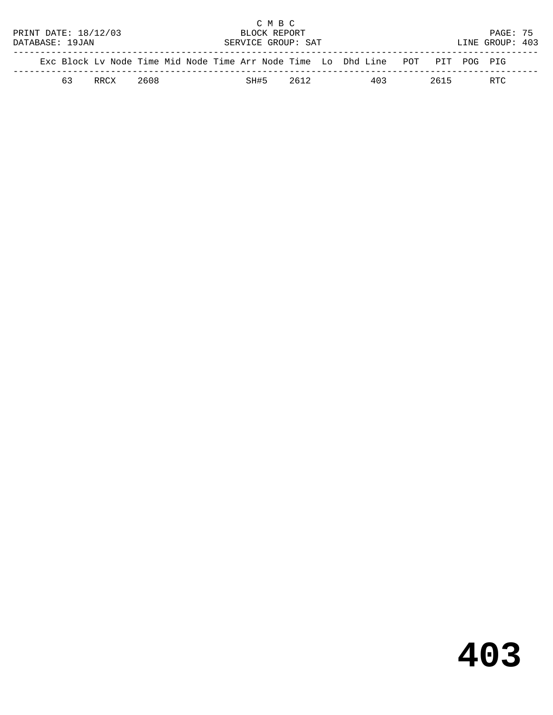|                                                                                |                                      |      |      |  |                    |  |      | C M B C |      |                 |     |          |  |      |  |
|--------------------------------------------------------------------------------|--------------------------------------|------|------|--|--------------------|--|------|---------|------|-----------------|-----|----------|--|------|--|
|                                                                                | PRINT DATE: 18/12/03<br>BLOCK REPORT |      |      |  |                    |  |      |         |      |                 |     | PAGE: 75 |  |      |  |
|                                                                                | DATABASE: 19JAN                      |      |      |  | SERVICE GROUP: SAT |  |      |         |      | LINE GROUP: 403 |     |          |  |      |  |
|                                                                                |                                      |      |      |  |                    |  |      |         |      |                 |     |          |  |      |  |
| Exc Block Ly Node Time Mid Node Time Arr Node Time Lo Dhd Line POT PIT POG PIG |                                      |      |      |  |                    |  |      |         |      |                 |     |          |  |      |  |
|                                                                                | 63                                   | RRCX | 2608 |  |                    |  | SH#5 |         | 2612 |                 | 403 | 2615     |  | RTC. |  |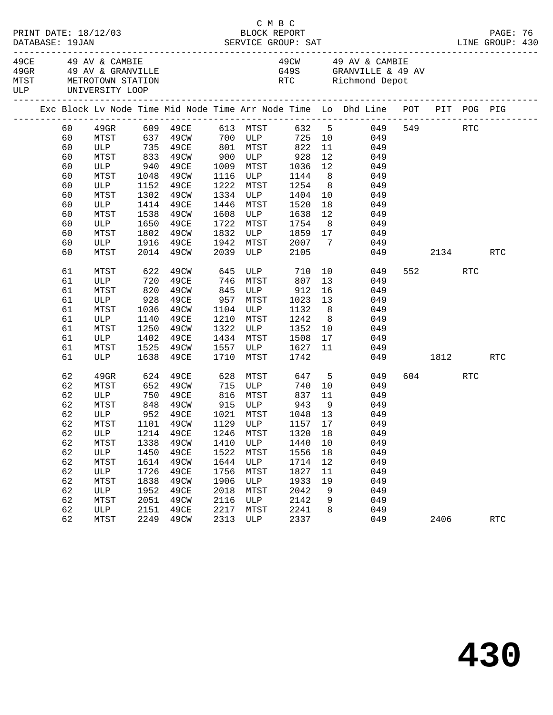|  | DATABASE: 19JAN | PRINT DATE: 18/12/03                                                 |             |                           |      |                       | C M B C<br>BLOCK REPORT         |                 |                                                                                |          |      |         | PAGE: 76   |  |
|--|-----------------|----------------------------------------------------------------------|-------------|---------------------------|------|-----------------------|---------------------------------|-----------------|--------------------------------------------------------------------------------|----------|------|---------|------------|--|
|  |                 | 49CE 49 AV & CAMBIE<br>MTST METROTOWN STATION<br>ULP UNIVERSITY LOOP |             | 49GR 49 AV & GRANVILLE    |      |                       |                                 |                 | 49CW 49 AV & CAMBIE<br>G49S GRANVILLE & 49 AV<br>RTC Richmond Depot            |          |      |         |            |  |
|  |                 |                                                                      |             |                           |      |                       |                                 |                 | Exc Block Lv Node Time Mid Node Time Arr Node Time Lo Dhd Line POT PIT POG PIG |          |      |         |            |  |
|  | 60              |                                                                      |             |                           |      |                       |                                 |                 |                                                                                |          |      | 549 RTC |            |  |
|  | 60              |                                                                      |             |                           |      |                       |                                 |                 |                                                                                |          |      |         |            |  |
|  | 60              |                                                                      |             | ULP 735 49CE 801 MTST 822 |      |                       |                                 | 11              | 049                                                                            |          |      |         |            |  |
|  | 60              | MTST                                                                 |             | 833 49CW                  |      |                       | 900 ULP 928                     | 12              | 049                                                                            |          |      |         |            |  |
|  | 60              | ULP                                                                  | 940<br>1048 | 49CE                      |      |                       | 1009 MTST 1036<br>1116 ULP 1144 | 12              | 049                                                                            |          |      |         |            |  |
|  | 60              | MTST                                                                 |             | 49CW                      |      |                       |                                 | 8 <sup>8</sup>  | 049                                                                            |          |      |         |            |  |
|  | 60              | ULP                                                                  | 1152        | 49CE                      | 1222 | MTST                  | 1254                            |                 | 8 <sup>1</sup><br>049                                                          |          |      |         |            |  |
|  | 60              | MTST                                                                 | 1302        | 49CW                      |      | 1334 ULP              | 1404                            | 10              | 049                                                                            |          |      |         |            |  |
|  | 60              | ULP                                                                  | 1414        | 49CE                      | 1446 | MTST                  | 1520                            | 18              | 049                                                                            |          |      |         |            |  |
|  | 60              | MTST                                                                 |             | 1538 49CW                 | 1608 |                       | ULP 1638                        | 12              | 049                                                                            |          |      |         |            |  |
|  | 60              | ULP                                                                  |             | 1650 49CE                 | 1722 | MTST                  | 1754                            |                 | 8 <sup>1</sup><br>049                                                          |          |      |         |            |  |
|  | 60              | MTST                                                                 | 1802        | 49CW                      | 1832 |                       | ULP 1859 17                     |                 | 049                                                                            |          |      |         |            |  |
|  | 60              | ULP                                                                  | 1916        | 49CE                      | 1942 | 1942 MTST<br>2039 ULP | 2007                            | $7\overline{ }$ | 049                                                                            |          |      |         |            |  |
|  | 60              | MTST                                                                 |             | 2014 49CW                 |      |                       | 2105                            |                 |                                                                                | 049      |      | 2134    | RTC        |  |
|  | 61              | MTST                                                                 | 622         | 49CW                      | 645  |                       | ULP 710                         |                 | 10<br>049                                                                      |          | 552  | RTC     |            |  |
|  | 61              |                                                                      |             |                           | 746  | MTST                  | 807                             | 13              | 049                                                                            |          |      |         |            |  |
|  | 61              |                                                                      |             |                           | 845  |                       | ULP 912<br>MTST 1023            | 16              | 049                                                                            |          |      |         |            |  |
|  | 61              | ULP 720 49CE<br>MTST 820 49CW<br>ULP 928 49CE                        |             |                           | 957  |                       |                                 | 13              | 049                                                                            |          |      |         |            |  |
|  | 61              | MTST                                                                 | 1036        | 49CW                      | 1104 | ULP                   | 1132                            | 8 <sup>8</sup>  | 049                                                                            |          |      |         |            |  |
|  | 61              | ULP                                                                  | 1140        | 49CE                      | 1210 | MTST                  | 1242                            | 8 <sup>8</sup>  | 049                                                                            |          |      |         |            |  |
|  | 61              | MTST                                                                 | 1250        | 49CW                      | 1322 | ULP                   | 1352                            | 10              | 049                                                                            |          |      |         |            |  |
|  | 61              | ULP                                                                  | 1402        | 49CE                      |      | 1434 MTST             | 1508                            |                 | $\begin{array}{c} 10 \\ 17 \end{array}$<br>049                                 |          |      |         |            |  |
|  | 61              | MTST                                                                 | 1525        | 49CW                      | 1557 | <b>ULP</b>            | 1627                            | 11              | 049                                                                            |          |      |         |            |  |
|  | 61              | ULP                                                                  | 1638        | 49CE                      | 1710 | MTST                  | 1742                            |                 |                                                                                | 049 1812 |      |         | RTC        |  |
|  | 62              | 49GR                                                                 |             | 624 49CE                  |      |                       | 628 MTST 647 5                  |                 | 049                                                                            |          |      | 604 RTC |            |  |
|  | 62              | MTST                                                                 |             | 652 49CW                  |      | 715 ULP               | 740                             |                 | 10<br>049                                                                      |          |      |         |            |  |
|  | 62              | ULP                                                                  |             | 750 49CE                  |      |                       | 816 MTST 837                    | 11              | 049                                                                            |          |      |         |            |  |
|  | 62              | MTST                                                                 |             | 848 49CW<br>952 49CE      |      |                       |                                 | 9               | 049                                                                            |          |      |         |            |  |
|  | 62              | ULP                                                                  |             |                           |      |                       |                                 |                 | 049                                                                            |          |      |         |            |  |
|  | 62              |                                                                      |             |                           |      |                       |                                 |                 | MTST 1101 49CW 1129 ULP 1157 17 049                                            |          |      |         |            |  |
|  | 62              | ULP                                                                  | 1214        | 49CE                      | 1246 | MTST                  | 1320                            | 18              | 049                                                                            |          |      |         |            |  |
|  | 62              | MTST                                                                 | 1338        | 49CW                      | 1410 | ULP                   | 1440                            | 10              | 049                                                                            |          |      |         |            |  |
|  | 62              | ULP                                                                  | 1450        | 49CE                      | 1522 | MTST                  | 1556                            | 18              | 049                                                                            |          |      |         |            |  |
|  | 62              | MTST                                                                 | 1614        | 49CW                      | 1644 | ULP                   | 1714                            | 12              | 049                                                                            |          |      |         |            |  |
|  | 62              | ULP                                                                  | 1726        | 49CE                      | 1756 | MTST                  | 1827                            | 11              | 049                                                                            |          |      |         |            |  |
|  | 62              | MTST                                                                 | 1838        | 49CW                      | 1906 | ULP                   | 1933                            | 19              | 049                                                                            |          |      |         |            |  |
|  | 62              | ULP                                                                  | 1952        | 49CE                      | 2018 | MTST                  | 2042                            | 9               | 049                                                                            |          |      |         |            |  |
|  | 62              | MTST                                                                 | 2051        | 49CW                      | 2116 | ULP                   | 2142                            | 9               | 049                                                                            |          |      |         |            |  |
|  | 62              | ULP                                                                  | 2151        | 49CE                      | 2217 | MTST                  | 2241                            | 8               | 049                                                                            |          |      |         |            |  |
|  | 62              | MTST                                                                 | 2249        | 49CW                      | 2313 | ULP                   | 2337                            |                 | 049                                                                            |          | 2406 |         | <b>RTC</b> |  |
|  |                 |                                                                      |             |                           |      |                       |                                 |                 |                                                                                |          |      |         |            |  |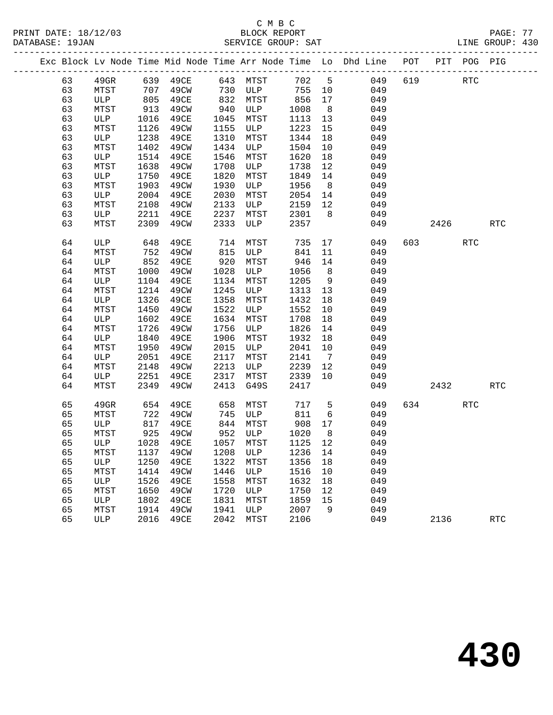|  |    |         |      |              |      |           |       |                 | Exc Block Lv Node Time Mid Node Time Arr Node Time Lo Dhd Line POT PIT POG PIG |     |            |     |            |
|--|----|---------|------|--------------|------|-----------|-------|-----------------|--------------------------------------------------------------------------------|-----|------------|-----|------------|
|  | 63 | $49$ GR |      |              |      |           | 702 5 |                 | 049                                                                            | 619 | <b>RTC</b> |     |            |
|  | 63 | MTST    |      | 707 49CW 730 |      | ULP       | 755   | 10              | 049                                                                            |     |            |     |            |
|  | 63 | ULP     |      | 805 49CE     |      | 832 MTST  | 856   | 17              | 049                                                                            |     |            |     |            |
|  | 63 | MTST    | 913  | 49CW         | 940  | ULP       | 1008  | 8 <sup>8</sup>  | 049                                                                            |     |            |     |            |
|  | 63 | ULP     | 1016 | 49CE         | 1045 | MTST      | 1113  | 13              | 049                                                                            |     |            |     |            |
|  | 63 | MTST    | 1126 | 49CW         | 1155 | ULP       | 1223  | 15              | 049                                                                            |     |            |     |            |
|  | 63 | ULP     | 1238 | 49CE         | 1310 | MTST      | 1344  | 18              | 049                                                                            |     |            |     |            |
|  | 63 | MTST    | 1402 | 49CW         | 1434 | ULP       | 1504  | 10              | 049                                                                            |     |            |     |            |
|  | 63 | ULP     | 1514 | 49CE         | 1546 | MTST      | 1620  | 18              | 049                                                                            |     |            |     |            |
|  | 63 | MTST    | 1638 | 49CW         | 1708 | ULP       | 1738  | 12              | 049                                                                            |     |            |     |            |
|  | 63 | ULP     | 1750 | 49CE         | 1820 | MTST      | 1849  | 14              | 049                                                                            |     |            |     |            |
|  | 63 | MTST    | 1903 | 49CW         | 1930 | ULP       | 1956  | 8 <sup>8</sup>  | 049                                                                            |     |            |     |            |
|  | 63 | ULP     | 2004 | 49CE         | 2030 | MTST      | 2054  | 14              | 049                                                                            |     |            |     |            |
|  | 63 | MTST    | 2108 | 49CW         | 2133 | ULP       | 2159  | 12              | 049                                                                            |     |            |     |            |
|  | 63 | ULP     | 2211 | 49CE         | 2237 | MTST      | 2301  | 8 <sup>8</sup>  | 049                                                                            |     |            |     |            |
|  | 63 | MTST    | 2309 | 49CW         | 2333 | ULP       | 2357  |                 | 049                                                                            |     | 2426       |     | <b>RTC</b> |
|  | 64 | ULP     | 648  | 49CE         | 714  | MTST      | 735   |                 | 17<br>049                                                                      |     | 603 — 100  | RTC |            |
|  | 64 | MTST    | 752  | 49CW         | 815  | ULP       | 841   | 11              | 049                                                                            |     |            |     |            |
|  | 64 | ULP     | 852  | 49CE         | 920  | MTST      | 946   | 14              | 049                                                                            |     |            |     |            |
|  | 64 | MTST    | 1000 | 49CW         | 1028 | ULP       | 1056  | 8 <sup>8</sup>  | 049                                                                            |     |            |     |            |
|  | 64 | ULP     | 1104 | 49CE         | 1134 | MTST      | 1205  | 9               | 049                                                                            |     |            |     |            |
|  | 64 | MTST    | 1214 | 49CW         | 1245 | ULP       | 1313  | 13              | 049                                                                            |     |            |     |            |
|  | 64 | ULP     | 1326 | 49CE         | 1358 | MTST      | 1432  | 18              | 049                                                                            |     |            |     |            |
|  | 64 | MTST    | 1450 | 49CW         | 1522 | ULP       | 1552  | 10              | 049                                                                            |     |            |     |            |
|  | 64 | ULP     | 1602 | 49CE         | 1634 | MTST      | 1708  | 18              | 049                                                                            |     |            |     |            |
|  | 64 | MTST    | 1726 | 49CW         | 1756 | ULP       | 1826  | 14              | 049                                                                            |     |            |     |            |
|  | 64 | ULP     | 1840 | 49CE         | 1906 | MTST      | 1932  | 18              | 049                                                                            |     |            |     |            |
|  | 64 | MTST    | 1950 | 49CW         | 2015 | ULP       | 2041  | 10              | 049                                                                            |     |            |     |            |
|  | 64 | ULP     | 2051 | 49CE         | 2117 | MTST      | 2141  | $7\overline{ }$ | 049                                                                            |     |            |     |            |
|  | 64 | MTST    | 2148 | 49CW         | 2213 | ULP       | 2239  | 12              | 049                                                                            |     |            |     |            |
|  | 64 | ULP     | 2251 | 49CE         | 2317 | MTST      | 2339  | 10              | 049                                                                            |     |            |     |            |
|  | 64 | MTST    | 2349 | 49CW         | 2413 | G49S      | 2417  |                 | 049                                                                            |     | 2432       |     | <b>RTC</b> |
|  | 65 | 49GR    | 654  | 49CE         | 658  | MTST      | 717   | $5^{\circ}$     | 049                                                                            |     | 634 639    | RTC |            |
|  | 65 | MTST    | 722  | 49CW         | 745  | ULP       | 811   | 6               | 049                                                                            |     |            |     |            |
|  | 65 | ULP     | 817  | 49CE         |      | 844 MTST  | 908   | 17              | 049                                                                            |     |            |     |            |
|  | 65 | MTST    | 925  | 49CW         |      | 952 ULP   | 1020  | 8 <sup>8</sup>  | 049                                                                            |     |            |     |            |
|  | 65 | ULP     |      | 1028 49CE    |      | 1057 MTST | 1125  | 12              | 049                                                                            |     |            |     |            |
|  | 65 |         |      |              |      |           |       |                 | MTST 1137 49CW 1208 ULP 1236 14 049                                            |     |            |     |            |
|  | 65 | ULP     | 1250 | 49CE         | 1322 | MTST      | 1356  | 18              | 049                                                                            |     |            |     |            |
|  | 65 | MTST    | 1414 | 49CW         | 1446 | ULP       | 1516  | 10              | 049                                                                            |     |            |     |            |
|  | 65 | ULP     | 1526 | 49CE         | 1558 | MTST      | 1632  | 18              | 049                                                                            |     |            |     |            |
|  | 65 | MTST    | 1650 | 49CW         | 1720 | ULP       | 1750  | 12              | 049                                                                            |     |            |     |            |
|  | 65 | ULP     | 1802 | 49CE         | 1831 | MTST      | 1859  | 15              | 049                                                                            |     |            |     |            |
|  | 65 | MTST    | 1914 | 49CW         | 1941 | ULP       | 2007  | 9               | 049                                                                            |     |            |     |            |
|  | 65 | ULP     | 2016 | 49CE         | 2042 | MTST      | 2106  |                 | 049                                                                            |     | 2136       |     | <b>RTC</b> |
|  |    |         |      |              |      |           |       |                 |                                                                                |     |            |     |            |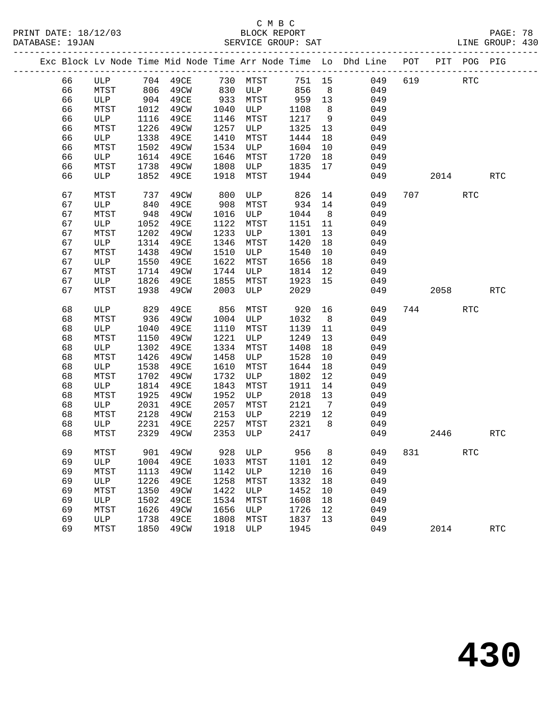|  |    |              |      | Exc Block Lv Node Time Mid Node Time Arr Node Time Lo Dhd Line POT PIT POG PIG |            |                   |        |                |     |            |                                                                                                      |            |            |
|--|----|--------------|------|--------------------------------------------------------------------------------|------------|-------------------|--------|----------------|-----|------------|------------------------------------------------------------------------------------------------------|------------|------------|
|  | 66 |              |      | ULP 704 49CE 730 MTST 751 15<br>MTST 806 49CW 830 ULP 856 8                    |            |                   |        |                |     | 049<br>619 |                                                                                                      | RTC        |            |
|  | 66 |              |      |                                                                                |            |                   |        |                | 049 |            |                                                                                                      |            |            |
|  | 66 | ULP          |      | 904 49CE                                                                       |            | 933 MTST          | 959 13 |                | 049 |            |                                                                                                      |            |            |
|  | 66 | MTST         | 1012 | 49CW                                                                           | 1040       | ULP               | 1108   | 8 <sup>8</sup> | 049 |            |                                                                                                      |            |            |
|  | 66 | ULP          | 1116 | 49CE                                                                           | 1146       | MTST              | 1217   | 9              | 049 |            |                                                                                                      |            |            |
|  | 66 | MTST         | 1226 | 49CW                                                                           | 1257       | ULP               | 1325   | 13             | 049 |            |                                                                                                      |            |            |
|  | 66 | ULP          | 1338 | 49CE                                                                           | 1410       | MTST              | 1444   | 18             | 049 |            |                                                                                                      |            |            |
|  | 66 | MTST         | 1502 | 49CW                                                                           | 1534       | ULP               | 1604   | 10             | 049 |            |                                                                                                      |            |            |
|  | 66 | ULP          | 1614 | 49CE                                                                           | 1646       | MTST              | 1720   | 18             | 049 |            |                                                                                                      |            |            |
|  | 66 | MTST         |      | 1738 49CW                                                                      | 1808       | ULP 1835          |        | 17             | 049 |            |                                                                                                      |            |            |
|  | 66 | ULP          |      | 1852 49CE                                                                      | 1918       | MTST              | 1944   |                | 049 |            | 2014                                                                                                 |            | <b>RTC</b> |
|  |    |              |      |                                                                                |            |                   |        |                |     |            |                                                                                                      |            |            |
|  | 67 | MTST         | 737  | 49CW                                                                           | 800<br>908 | ULP               | 826    | 14             | 049 |            | 707 — 2007 — 2014 — 2014 — 2025 — 2026 — 2026 — 2026 — 2027 — 2027 — 2027 — 2027 — 2027 — 2027 — 202 | RTC        |            |
|  | 67 | ULP          | 840  | 49CE                                                                           |            | MTST              | 934    | 14             | 049 |            |                                                                                                      |            |            |
|  | 67 | MTST         | 948  | 49CW                                                                           | 1016       | ULP               | 1044   | 8 <sup>8</sup> | 049 |            |                                                                                                      |            |            |
|  | 67 | ULP          | 1052 | 49CE                                                                           | 1122       | MTST              | 1151   | 11             | 049 |            |                                                                                                      |            |            |
|  | 67 | MTST         | 1202 | 49CW                                                                           | 1233       | ULP               | 1301   | 13             | 049 |            |                                                                                                      |            |            |
|  | 67 | ULP          | 1314 | 49CE                                                                           | 1346       | MTST              | 1420   | 18             | 049 |            |                                                                                                      |            |            |
|  | 67 | MTST         | 1438 | 49CW                                                                           | 1510       | ULP               | 1540   | 10             | 049 |            |                                                                                                      |            |            |
|  | 67 | ULP          | 1550 | 49CE                                                                           | 1622       | MTST              | 1656   | 18             | 049 |            |                                                                                                      |            |            |
|  | 67 | MTST         | 1714 | 49CW                                                                           | 1744       | ULP               | 1814   | 12             | 049 |            |                                                                                                      |            |            |
|  | 67 | ULP          | 1826 | 49CE                                                                           | 1855       | MTST              | 1923   | 15             | 049 |            |                                                                                                      |            |            |
|  | 67 | MTST         | 1938 | 49CW                                                                           | 2003       | ULP               | 2029   |                | 049 |            | 2058                                                                                                 |            | <b>RTC</b> |
|  | 68 | ULP          | 829  | 49CE                                                                           | 856        | MTST              | 920    | 16             | 049 |            | 744                                                                                                  | RTC        |            |
|  | 68 | MTST         | 936  | 49CW                                                                           | 1004       | ULP               | 1032   | 8 <sup>8</sup> | 049 |            |                                                                                                      |            |            |
|  | 68 | ULP          | 1040 | 49CE                                                                           | 1110       | MTST              | 1139   | 11             | 049 |            |                                                                                                      |            |            |
|  | 68 | MTST         | 1150 | 49CW                                                                           | 1221       | ULP               | 1249   | 13             | 049 |            |                                                                                                      |            |            |
|  | 68 | ULP          | 1302 | 49CE                                                                           | 1334       | MTST              | 1408   | 18             | 049 |            |                                                                                                      |            |            |
|  | 68 | MTST         | 1426 | 49CW                                                                           | 1458       | ULP               | 1528   | 10             | 049 |            |                                                                                                      |            |            |
|  | 68 | ULP          | 1538 | 49CE                                                                           | 1610       | MTST              | 1644   | 18             | 049 |            |                                                                                                      |            |            |
|  | 68 | MTST         | 1702 | 49CW                                                                           | 1732       | ULP               | 1802   | 12             | 049 |            |                                                                                                      |            |            |
|  | 68 | ULP          | 1814 | 49CE                                                                           | 1843       | MTST              | 1911   | 14             | 049 |            |                                                                                                      |            |            |
|  | 68 | MTST         | 1925 | 49CW                                                                           | 1952       | ULP               | 2018   | 13             | 049 |            |                                                                                                      |            |            |
|  | 68 | ULP          | 2031 | 49CE                                                                           | 2057       | MTST              | 2121   | $\overline{7}$ | 049 |            |                                                                                                      |            |            |
|  | 68 | MTST         | 2128 | 49CW                                                                           | 2153       | ULP               | 2219   | 12             | 049 |            |                                                                                                      |            |            |
|  | 68 | ULP          | 2231 | 49CE                                                                           | 2257       | MTST              | 2321   | 8 <sup>8</sup> | 049 |            |                                                                                                      |            |            |
|  | 68 | MTST         | 2329 | 49CW                                                                           | 2353       | ULP               | 2417   |                | 049 |            | 2446                                                                                                 |            | <b>RTC</b> |
|  |    |              |      |                                                                                |            |                   |        |                |     |            |                                                                                                      |            |            |
|  | 69 | ${\tt MTST}$ |      | 901 49CW                                                                       |            | 928 ULP 956 8 049 |        |                |     |            | 831                                                                                                  | <b>RTC</b> |            |
|  | 69 | ULP          | 1004 | 49CE                                                                           | 1033       | MTST              | 1101   | 12             | 049 |            |                                                                                                      |            |            |
|  | 69 | MTST         | 1113 | 49CW                                                                           | 1142       | ULP               | 1210   | 16             | 049 |            |                                                                                                      |            |            |
|  | 69 | ULP          | 1226 | 49CE                                                                           | 1258       | MTST              | 1332   | 18             | 049 |            |                                                                                                      |            |            |
|  | 69 | MTST         | 1350 | 49CW                                                                           | 1422       | ULP               | 1452   | 10             | 049 |            |                                                                                                      |            |            |
|  | 69 | ULP          | 1502 | 49CE                                                                           | 1534       | MTST              | 1608   | 18             | 049 |            |                                                                                                      |            |            |
|  | 69 | MTST         | 1626 | 49CW                                                                           | 1656       | ULP               | 1726   | 12             | 049 |            |                                                                                                      |            |            |
|  | 69 | ULP          | 1738 | 49CE                                                                           | 1808       | MTST              | 1837   | 13             | 049 |            |                                                                                                      |            |            |
|  | 69 | MTST         | 1850 | 49CW                                                                           | 1918       | ULP               | 1945   |                | 049 |            | 2014                                                                                                 |            | <b>RTC</b> |
|  |    |              |      |                                                                                |            |                   |        |                |     |            |                                                                                                      |            |            |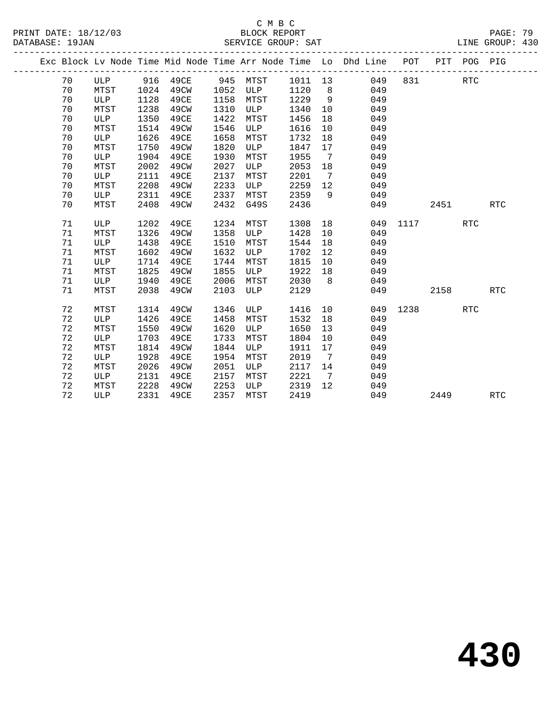|  |    |      |      |                       |      |      |      |                              | Exc Block Lv Node Time Mid Node Time Arr Node Time Lo Dhd Line POT PIT POG PIG<br>_______________________________ |      |       |            |            |
|--|----|------|------|-----------------------|------|------|------|------------------------------|-------------------------------------------------------------------------------------------------------------------|------|-------|------------|------------|
|  | 70 |      |      | ULP 916 49CE 945 MTST |      |      |      |                              | 1011 13 049                                                                                                       |      | 831 7 | <b>RTC</b> |            |
|  | 70 | MTST | 1024 | 49CW                  | 1052 | ULP  | 1120 | 8 <sup>8</sup>               | 049                                                                                                               |      |       |            |            |
|  | 70 | ULP  | 1128 | 49CE                  | 1158 | MTST | 1229 | $\overline{9}$               | 049                                                                                                               |      |       |            |            |
|  | 70 | MTST | 1238 | 49CW                  | 1310 | ULP  | 1340 | 10                           | 049                                                                                                               |      |       |            |            |
|  | 70 | ULP  | 1350 | 49CE                  | 1422 | MTST | 1456 | 18                           | 049                                                                                                               |      |       |            |            |
|  | 70 | MTST | 1514 | 49CW                  | 1546 | ULP  | 1616 | 10                           | 049                                                                                                               |      |       |            |            |
|  | 70 | ULP  | 1626 | 49CE                  | 1658 | MTST | 1732 | 18                           | 049                                                                                                               |      |       |            |            |
|  | 70 | MTST | 1750 | 49CW                  | 1820 | ULP  | 1847 | 17                           | 049                                                                                                               |      |       |            |            |
|  | 70 | ULP  | 1904 | 49CE                  | 1930 | MTST | 1955 | $7\phantom{.0}\phantom{.0}7$ | 049                                                                                                               |      |       |            |            |
|  | 70 | MTST | 2002 | 49CW                  | 2027 | ULP  | 2053 | 18                           | 049                                                                                                               |      |       |            |            |
|  | 70 | ULP  | 2111 | 49CE                  | 2137 | MTST | 2201 | 7                            | 049                                                                                                               |      |       |            |            |
|  | 70 | MTST | 2208 | 49CW                  | 2233 | ULP  | 2259 | 12                           | 049                                                                                                               |      |       |            |            |
|  | 70 | ULP  | 2311 | 49CE                  | 2337 | MTST | 2359 | 9                            | 049                                                                                                               |      |       |            |            |
|  | 70 | MTST | 2408 | 49CW                  | 2432 | G49S | 2436 |                              | 049                                                                                                               |      | 2451  |            | <b>RTC</b> |
|  |    |      |      |                       |      |      |      |                              |                                                                                                                   |      |       |            |            |
|  | 71 | ULP  | 1202 | 49CE                  | 1234 | MTST | 1308 | 18                           | 049                                                                                                               |      | 1117  | <b>RTC</b> |            |
|  | 71 | MTST | 1326 | 49CW                  | 1358 | ULP  | 1428 | 10                           | 049                                                                                                               |      |       |            |            |
|  | 71 | ULP  | 1438 | 49CE                  | 1510 | MTST | 1544 | 18                           | 049                                                                                                               |      |       |            |            |
|  | 71 | MTST | 1602 | 49CW                  | 1632 | ULP  | 1702 | 12                           | 049                                                                                                               |      |       |            |            |
|  | 71 | ULP  | 1714 | 49CE                  | 1744 | MTST | 1815 | 10                           | 049                                                                                                               |      |       |            |            |
|  | 71 | MTST | 1825 | 49CW                  | 1855 | ULP  | 1922 | 18                           | 049                                                                                                               |      |       |            |            |
|  | 71 | ULP  | 1940 | 49CE                  | 2006 | MTST | 2030 | 8 <sup>8</sup>               | 049                                                                                                               |      |       |            |            |
|  | 71 | MTST | 2038 | 49CW                  | 2103 | ULP  | 2129 |                              | 049                                                                                                               |      | 2158  |            | <b>RTC</b> |
|  | 72 | MTST | 1314 | 49CW                  | 1346 | ULP  | 1416 | 10                           | 049                                                                                                               | 1238 |       | RTC        |            |
|  | 72 | ULP  | 1426 | 49CE                  | 1458 | MTST | 1532 | 18                           | 049                                                                                                               |      |       |            |            |
|  | 72 | MTST | 1550 | 49CW                  | 1620 | ULP  | 1650 | 13                           | 049                                                                                                               |      |       |            |            |
|  | 72 | ULP  | 1703 | 49CE                  | 1733 | MTST | 1804 | 10                           | 049                                                                                                               |      |       |            |            |
|  | 72 | MTST | 1814 | 49CW                  | 1844 | ULP  | 1911 | 17                           | 049                                                                                                               |      |       |            |            |
|  | 72 | ULP  | 1928 | 49CE                  | 1954 | MTST | 2019 | $\overline{7}$               | 049                                                                                                               |      |       |            |            |
|  | 72 | MTST | 2026 | 49CW                  | 2051 | ULP  | 2117 | 14                           | 049                                                                                                               |      |       |            |            |
|  | 72 | ULP  | 2131 | 49CE                  | 2157 | MTST | 2221 | $\overline{7}$               | 049                                                                                                               |      |       |            |            |
|  | 72 | MTST | 2228 | 49CW                  | 2253 | ULP  | 2319 | 12                           | 049                                                                                                               |      |       |            |            |
|  | 72 | ULP  | 2331 | 49CE                  | 2357 | MTST | 2419 |                              | 049                                                                                                               |      | 2449  |            | <b>RTC</b> |
|  |    |      |      |                       |      |      |      |                              |                                                                                                                   |      |       |            |            |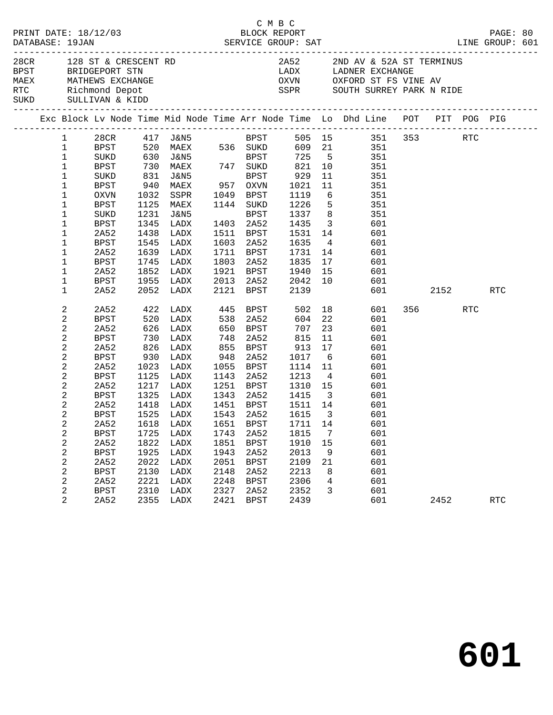|                                                                                                                         |                                                                                                                                                                                                                                                       |                                                                                                                                                                                                 |                                                                                                           |                                                                                                                                                                                                                     |                                                                                                                         | C M B C                                                                                                                                                                                      |                                                                                                                                                            |                                                                                                                   | PRINT DATE: 18/12/03<br>BLOCK REPORT BLOCK PRESS BAT BLOCK REPORT DATABASE: 19JAN SERVICE GROUP: SAT LINE GROUP: 601                                                                                                                                                                                                                                                                                                        |                |     |            |  |
|-------------------------------------------------------------------------------------------------------------------------|-------------------------------------------------------------------------------------------------------------------------------------------------------------------------------------------------------------------------------------------------------|-------------------------------------------------------------------------------------------------------------------------------------------------------------------------------------------------|-----------------------------------------------------------------------------------------------------------|---------------------------------------------------------------------------------------------------------------------------------------------------------------------------------------------------------------------|-------------------------------------------------------------------------------------------------------------------------|----------------------------------------------------------------------------------------------------------------------------------------------------------------------------------------------|------------------------------------------------------------------------------------------------------------------------------------------------------------|-------------------------------------------------------------------------------------------------------------------|-----------------------------------------------------------------------------------------------------------------------------------------------------------------------------------------------------------------------------------------------------------------------------------------------------------------------------------------------------------------------------------------------------------------------------|----------------|-----|------------|--|
| 28CR 128 ST & CRESCENT RD<br>BPST BRIDGEPORT STN<br>MAEX MATHEWS EXCHANGE<br>RTC Richmond Depot<br>SUKD SULLIVAN & KIDD |                                                                                                                                                                                                                                                       |                                                                                                                                                                                                 |                                                                                                           |                                                                                                                                                                                                                     |                                                                                                                         |                                                                                                                                                                                              |                                                                                                                                                            |                                                                                                                   | 2A52 2ND AV & 52A ST TERMINUS<br>LADX         LADNER EXCHANGE<br>OXVN          OXFORD ST FS VINE AV<br>SSPR SOUTH SURREY PARK N RIDE                                                                                                                                                                                                                                                                                        |                |     |            |  |
|                                                                                                                         |                                                                                                                                                                                                                                                       |                                                                                                                                                                                                 |                                                                                                           |                                                                                                                                                                                                                     |                                                                                                                         |                                                                                                                                                                                              |                                                                                                                                                            |                                                                                                                   | Exc Block Lv Node Time Mid Node Time Arr Node Time Lo Dhd Line POT PIT POG PIG                                                                                                                                                                                                                                                                                                                                              |                |     |            |  |
|                                                                                                                         | 1<br>$\mathbf{1}$<br>$\mathbf 1$<br>$\mathbf{1}$<br>$\mathbf{1}$<br>$\mathbf{1}$<br>1<br>1<br>1<br>1<br>1<br>1<br>1<br>1<br>1<br>1                                                                                                                    | SUKD<br>BPST<br>OXVN<br><b>BPST</b><br>SUKD<br>BPST<br>2A52<br>BPST<br>2A52<br>BPST<br>2A52<br>BPST                                                                                             | 831<br>940<br>1032<br>1231<br>1345<br>1438<br>1639<br>1745<br>1852                                        | J&N5<br>MAEX<br>SSPR<br>1125 MAEX<br>J&N5<br>LADX<br>LADX<br>1545 LADX<br>LADX<br>LADX<br>LADX<br>1955 LADX                                                                                                         | 1803                                                                                                                    | BPST<br>957 OXVN<br>1049 BPST<br>1144 SUKD<br>BPST<br>1403 2A52<br>1511 BPST<br>1603 2A52<br>1711 BPST<br>2A52<br>1921 BPST<br>2013 2A52                                                     | 929<br>1021<br>1119<br>1226<br>1337<br>$1433$<br>$1531$<br>1635<br>1731<br>1835<br>1940<br>2042                                                            | 11<br>11<br>$6\overline{6}$<br>14<br>17                                                                           | 28CR 417 J&N5<br>BPST 520 MAEX 536 SUKD 609 21 351 353<br>SUKD 630 J&N5<br>BPST 725 5 351<br>BPST 725 5 351<br>BPST 725 5 351<br>BPST 725 5 351<br>BPST 725 5 351<br>351<br>351<br>351<br>$5 \overline{\smash)351}$<br>8 351<br>$\begin{array}{ccc} 3 & \phantom{0}601 \\ 14 & \phantom{0}601 \end{array}$<br>$\overline{4}$<br>601<br>601<br>601<br>$\begin{array}{cc} 15 & \qquad & 601 \\ 10 & \qquad & 601 \end{array}$ |                | RTC |            |  |
|                                                                                                                         | 1                                                                                                                                                                                                                                                     | 2A52                                                                                                                                                                                            |                                                                                                           | 2052 LADX                                                                                                                                                                                                           | 2121                                                                                                                    | BPST                                                                                                                                                                                         | 2139                                                                                                                                                       |                                                                                                                   |                                                                                                                                                                                                                                                                                                                                                                                                                             | 601 2152       |     | <b>RTC</b> |  |
|                                                                                                                         | 2<br>$\sqrt{2}$<br>$\sqrt{2}$<br>2<br>$\sqrt{2}$<br>$\mathbf{2}$<br>$\overline{c}$<br>2<br>$\sqrt{2}$<br>$\mathbf{2}$<br>$\mathbf{2}$<br>2<br>$\overline{a}$<br>2<br>$\sqrt{2}$<br>2<br>$\sqrt{2}$<br>$\sqrt{2}$<br>2<br>$\sqrt{2}$<br>$\overline{2}$ | 2A52<br>BPST<br>2A52<br>BPST<br>2A52<br>BPST<br>2A52<br><b>BPST</b><br>2A52<br>BPST<br>2A52<br><b>BPST</b><br>BPST<br>2A52<br><b>BPST</b><br>2A52<br><b>BPST</b><br>2A52<br><b>BPST</b><br>2A52 | 730<br>826<br>930<br>1023<br>1125<br>1325<br>1725<br>1822<br>1925<br>2022<br>2130<br>2221<br>2310<br>2355 | 422 LADX<br>520 LADX<br>626 LADX<br>LADX<br>LADX<br>LADX<br>LADX<br>LADX<br>1217 LADX<br>LADX<br>1418 LADX<br>1525 LADX<br>2A52 1618 LADX 1651 BPST 1711 14<br>LADX<br>LADX<br>LADX<br>LADX<br>LADX<br>LADX<br>LADX | 538<br>650<br>748<br>855<br>948<br>1055<br>1143<br>1251<br>1743<br>1851<br>1943<br>2051<br>2148<br>2248<br>2327<br>2421 | 445 BPST<br>2A52<br>BPST<br>2A52<br>BPST<br>2A52<br>BPST<br>2A52<br>BPST<br>1343 2A52<br>1451 BPST<br>1543 2A52<br>2A52<br><b>BPST</b><br>2A52<br><b>BPST</b><br>2A52<br><b>BPST</b><br>2A52 | 502<br>604<br>707<br>815<br>913<br>1017<br>1114<br>1213<br>1310<br>1415<br>1511 14<br>1615<br>1815<br>1910<br>2013<br>2109<br>2213<br>2306<br>2352<br>2439 | 22<br>23<br>11<br>17<br>6<br>11<br>$\overline{4}$<br>$\overline{\mathbf{3}}$<br>7<br>15<br>9<br>21<br>8<br>4<br>3 | 18 601<br>601<br>601<br>601<br>601<br>601<br>601<br>601<br>$\begin{array}{ccc}\n & & & \circ \circ \bot \\ 15 & & 601 \\ 3 & & & \end{array}$<br>601<br>601<br>601<br>601<br>601<br>601<br>601<br>601<br>601<br>601<br>601                                                                                                                                                                                                  | 356 11<br>2452 | RTC | <b>RTC</b> |  |
|                                                                                                                         |                                                                                                                                                                                                                                                       |                                                                                                                                                                                                 |                                                                                                           | LADX                                                                                                                                                                                                                |                                                                                                                         | <b>BPST</b>                                                                                                                                                                                  |                                                                                                                                                            |                                                                                                                   |                                                                                                                                                                                                                                                                                                                                                                                                                             |                |     |            |  |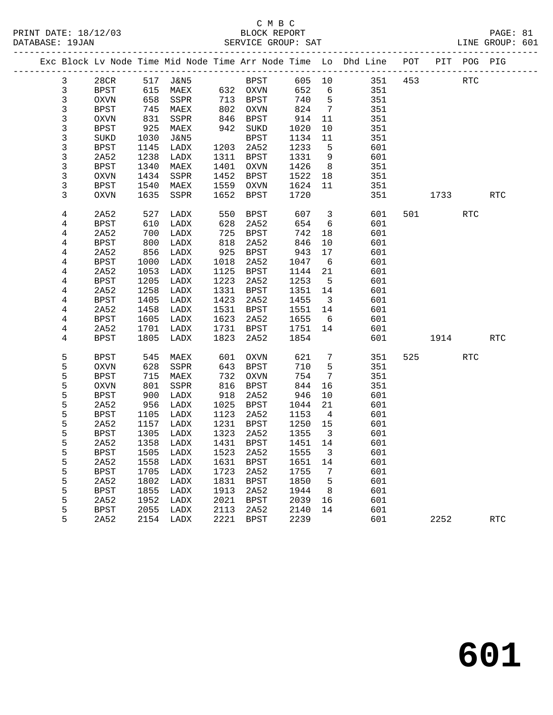|              |             |      |                     |      |             |         |                         | Exc Block Lv Node Time Mid Node Time Arr Node Time Lo Dhd Line POT |     |         | PIT POG PIG |            |
|--------------|-------------|------|---------------------|------|-------------|---------|-------------------------|--------------------------------------------------------------------|-----|---------|-------------|------------|
| $\mathbf{3}$ | 28CR        |      | 517 J&N5            |      | <b>BPST</b> | 605 10  |                         | 351                                                                | 453 |         | <b>RTC</b>  |            |
| 3            | BPST        | 615  | MAEX                |      | 632 OXVN    | 652     | 6                       | 351                                                                |     |         |             |            |
| 3            | OXVN        | 658  | SSPR                | 713  | BPST        | 740     | $5^{\circ}$             | 351                                                                |     |         |             |            |
| 3            | BPST        | 745  | MAEX                | 802  | OXVN        | 824     | $\overline{7}$          | 351                                                                |     |         |             |            |
| 3            | OXVN        | 831  | SSPR                | 846  | BPST        | 914     | 11                      | 351                                                                |     |         |             |            |
| 3            | BPST        | 925  | MAEX                | 942  | SUKD        | 1020    | 10                      | 351                                                                |     |         |             |            |
| 3            | SUKD        | 1030 | J&N5                |      | <b>BPST</b> | 1134    | 11                      | 351                                                                |     |         |             |            |
| 3            | <b>BPST</b> | 1145 | LADX                | 1203 | 2A52        | 1233    | $5^{\circ}$             | 601                                                                |     |         |             |            |
| 3            | 2A52        | 1238 | LADX                | 1311 | BPST        | 1331    | 9                       | 601                                                                |     |         |             |            |
| 3            | <b>BPST</b> | 1340 | MAEX                | 1401 | OXVN        | 1426    | 8 <sup>8</sup>          | 351                                                                |     |         |             |            |
| 3            | <b>OXVN</b> | 1434 | SSPR                | 1452 | <b>BPST</b> | 1522    | 18                      | 351                                                                |     |         |             |            |
| 3            | BPST        | 1540 | MAEX                | 1559 | OXVN        | 1624    | 11                      | 351                                                                |     |         |             |            |
| 3            | <b>OXVN</b> | 1635 | SSPR                | 1652 | BPST        | 1720    |                         | 351                                                                |     | 1733    |             | <b>RTC</b> |
| 4            | 2A52        | 527  | LADX                | 550  | BPST        | 607     | $\overline{\mathbf{3}}$ | 601                                                                |     | 501 700 | RTC         |            |
| 4            | <b>BPST</b> | 610  | LADX                | 628  | 2A52        | 654     | 6                       | 601                                                                |     |         |             |            |
| 4            | 2A52        | 700  | LADX                | 725  | BPST        | 742     | 18                      | 601                                                                |     |         |             |            |
| 4            | <b>BPST</b> | 800  | LADX                | 818  | 2A52        | 846     | $10\,$                  | 601                                                                |     |         |             |            |
| 4            | 2A52        | 856  | LADX                | 925  | BPST        | 943     | 17                      | 601                                                                |     |         |             |            |
| 4            | BPST        | 1000 | LADX                | 1018 | 2A52        | 1047    | $6\overline{6}$         | 601                                                                |     |         |             |            |
| 4            | 2A52        | 1053 | LADX                | 1125 | BPST        | 1144    | 21                      | 601                                                                |     |         |             |            |
| 4            | <b>BPST</b> | 1205 | LADX                | 1223 | 2A52        | 1253    | 5                       | 601                                                                |     |         |             |            |
| 4            | 2A52        | 1258 | LADX                | 1331 | <b>BPST</b> | 1351    | 14                      | 601                                                                |     |         |             |            |
| 4            | <b>BPST</b> | 1405 | LADX                | 1423 | 2A52        | 1455    | $\overline{\mathbf{3}}$ | 601                                                                |     |         |             |            |
| 4            | 2A52        | 1458 | LADX                | 1531 | <b>BPST</b> | 1551    | 14                      | 601                                                                |     |         |             |            |
| 4            | <b>BPST</b> | 1605 | LADX                | 1623 | 2A52        | 1655    | $6\overline{6}$         | 601                                                                |     |         |             |            |
| 4            | 2A52        | 1701 | LADX                | 1731 | BPST        | 1751    | 14                      | 601                                                                |     |         |             |            |
| 4            | <b>BPST</b> | 1805 | LADX                | 1823 | 2A52        | 1854    |                         | 601                                                                |     | 1914    |             | <b>RTC</b> |
| 5            | <b>BPST</b> | 545  | MAEX                | 601  | OXVN        | 621     | 7                       | 351                                                                | 525 |         | <b>RTC</b>  |            |
| 5            | <b>OXVN</b> | 628  | SSPR                | 643  | BPST        | 710     | 5                       | 351                                                                |     |         |             |            |
| 5            | <b>BPST</b> | 715  | MAEX                | 732  | OXVN        | 754     | $7\phantom{.0}$         | 351                                                                |     |         |             |            |
| 5            | <b>OXVN</b> | 801  | SSPR                | 816  | <b>BPST</b> | 844     | 16                      | 351                                                                |     |         |             |            |
| 5            | <b>BPST</b> | 900  | LADX                | 918  | 2A52        | 946     | $10\,$                  | 601                                                                |     |         |             |            |
| 5            | 2A52        | 956  | LADX                | 1025 | BPST        | 1044    | 21                      | 601                                                                |     |         |             |            |
| 5            | <b>BPST</b> | 1105 | LADX                | 1123 | 2A52        | 1153    | $\overline{4}$          | 601                                                                |     |         |             |            |
| 5            | 2A52        | 1157 | LADX                | 1231 | BPST        | 1250    | 15                      | 601                                                                |     |         |             |            |
| 5            | BPST        | 1305 | LADX                | 1323 | 2A52        | 1355    | $\overline{\mathbf{3}}$ | 601                                                                |     |         |             |            |
| 5            | 2A52        | 1358 | LADX                | 1431 | BPST        | 1451 14 |                         | 601                                                                |     |         |             |            |
| 5            | BPST        |      | 1505 LADX 1523 2A52 |      |             | 1555 3  |                         | 601                                                                |     |         |             |            |
| 5            | 2A52        | 1558 | LADX                | 1631 | <b>BPST</b> | 1651    | 14                      | 601                                                                |     |         |             |            |
| 5            | <b>BPST</b> | 1705 | LADX                | 1723 | 2A52        | 1755    | 7                       | 601                                                                |     |         |             |            |
| 5            | 2A52        | 1802 | LADX                | 1831 | <b>BPST</b> | 1850    | 5                       | 601                                                                |     |         |             |            |
| 5            | <b>BPST</b> | 1855 | LADX                | 1913 | 2A52        | 1944    | 8                       | 601                                                                |     |         |             |            |
| 5            | 2A52        | 1952 | LADX                | 2021 | <b>BPST</b> | 2039    | 16                      | 601                                                                |     |         |             |            |
| 5            | <b>BPST</b> | 2055 | LADX                | 2113 | 2A52        | 2140    | 14                      | 601                                                                |     |         |             |            |
| 5            | 2A52        | 2154 | LADX                | 2221 | <b>BPST</b> | 2239    |                         | 601                                                                |     | 2252    |             | <b>RTC</b> |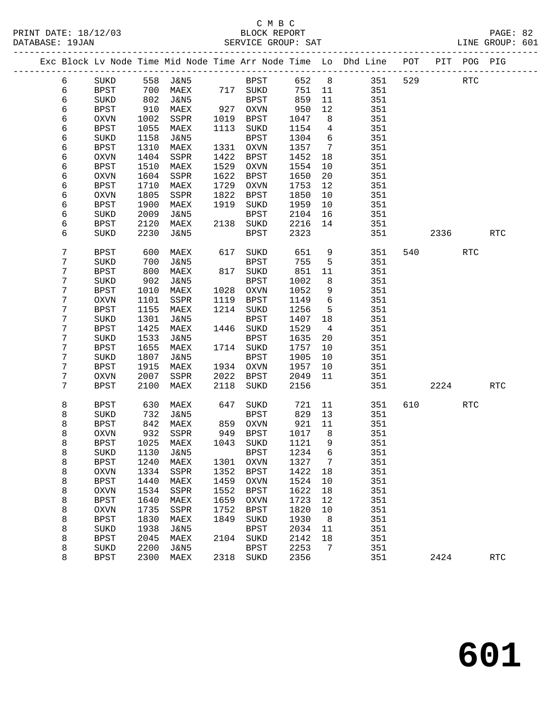# C M B C

|  | DATABASE: 19JAN |             |              |                          |      | SERVICE GROUP: SAT   |               |                |                                                                                |             |         |            | LINE GROUP: 601      |  |
|--|-----------------|-------------|--------------|--------------------------|------|----------------------|---------------|----------------|--------------------------------------------------------------------------------|-------------|---------|------------|----------------------|--|
|  |                 |             |              |                          |      |                      |               |                | Exc Block Lv Node Time Mid Node Time Arr Node Time Lo Dhd Line POT PIT POG PIG |             |         |            |                      |  |
|  | 6               |             |              | SUKD 558 J&N5 BPST 652 8 |      |                      |               |                |                                                                                | 351 529 RTC |         |            |                      |  |
|  | 6               | BPST        | 700          |                          |      | MAEX 717 SUKD        | 751 11        |                | 351                                                                            |             |         |            |                      |  |
|  | 6               | SUKD        | 802          | J&N5                     |      | BPST                 | 859           | 11             | 351                                                                            |             |         |            |                      |  |
|  | 6               | BPST        | 910          | MAEX                     |      | 927 OXVN             | 950           | 12             | 351                                                                            |             |         |            |                      |  |
|  | 6               | OXVN        | 1002         | SSPR                     |      | 1019 BPST            | 1047          | 8              | 351                                                                            |             |         |            |                      |  |
|  | 6               | BPST        | 1055         | MAEX                     | 1113 | SUKD                 | 1154          | $\overline{4}$ | 351                                                                            |             |         |            |                      |  |
|  | 6               | SUKD        | 1158         | J&N5                     |      | <b>BPST</b>          | 1304          | 6              | 351                                                                            |             |         |            |                      |  |
|  | 6               | BPST        | 1310         | MAEX                     |      | 1331 OXVN            | 1357          | $\overline{7}$ | 351                                                                            |             |         |            |                      |  |
|  | 6               | OXVN        | 1404         | SSPR                     | 1422 | BPST                 | 1452          | 18             | 351                                                                            |             |         |            |                      |  |
|  | 6               | BPST        | 1510         | MAEX                     | 1529 | OXVN                 | 1554          | 10             | 351                                                                            |             |         |            |                      |  |
|  | 6               | OXVN        | 1604         | SSPR                     | 1622 | BPST                 | 1650          | 20             | 351                                                                            |             |         |            |                      |  |
|  | 6               | <b>BPST</b> | 1710         | MAEX                     | 1729 | OXVN                 | 1753          | 12             | 351                                                                            |             |         |            |                      |  |
|  | 6               | OXVN        | 1805         | SSPR                     | 1822 | BPST                 | 1850          | 10             | 351                                                                            |             |         |            |                      |  |
|  | 6               | <b>BPST</b> | 1900         | MAEX                     | 1919 | SUKD                 | 1959          | 10             | 351                                                                            |             |         |            |                      |  |
|  | 6               | SUKD        | 2009         | J&N5                     |      | BPST                 | 2104          | 16             | 351                                                                            |             |         |            |                      |  |
|  | 6               | BPST        | 2120         | MAEX                     |      | 2138 SUKD            | 2216          | 14             | 351                                                                            |             |         |            |                      |  |
|  | 6               | SUKD        | 2230         | J&N5                     |      | <b>BPST</b>          | 2323          |                | 351                                                                            |             | 2336    |            | RTC                  |  |
|  | 7               | <b>BPST</b> | 600          | MAEX                     |      | 617 SUKD             | 651           | 9              | 351                                                                            |             | 540 540 | RTC        |                      |  |
|  | 7               | SUKD        | 700          | J&N5                     |      | BPST                 | 755           | $5^{\circ}$    | 351                                                                            |             |         |            |                      |  |
|  | 7               | <b>BPST</b> | 800          | MAEX                     |      | 817 SUKD             | 851           | 11             | 351                                                                            |             |         |            |                      |  |
|  | 7               | SUKD        | 902          | J&N5                     |      | <b>BPST</b>          | 1002          | 8              | 351                                                                            |             |         |            |                      |  |
|  | 7               | BPST        | 1010         | MAEX                     |      | 1028 OXVN            | 1052          | 9              | 351                                                                            |             |         |            |                      |  |
|  | 7               | OXVN        | 1101         | SSPR                     |      | 1119 BPST            | 1149          | 6              | 351                                                                            |             |         |            |                      |  |
|  | 7               | BPST        | 1155         | MAEX                     |      | 1214 SUKD            | 1256          | $5^{\circ}$    | 351                                                                            |             |         |            |                      |  |
|  | 7               | SUKD        | 1301         | J&N5                     |      | BPST                 | 1407          | 18             | 351                                                                            |             |         |            |                      |  |
|  | 7               | BPST        | 1425         | MAEX                     |      | 1446 SUKD            | 1529          | $\overline{4}$ | 351                                                                            |             |         |            |                      |  |
|  | 7               | SUKD        | 1533         | J&N5                     |      | BPST                 | 1635          | 20             | 351                                                                            |             |         |            |                      |  |
|  | 7               | BPST        | 1655         | MAEX                     |      | 1714 SUKD            | 1757          | 10             | 351                                                                            |             |         |            |                      |  |
|  | 7               | SUKD        | 1807         | J&N5                     |      | BPST                 | 1905          | 10             | 351                                                                            |             |         |            |                      |  |
|  | 7<br>7          | BPST        | 1915         | MAEX                     |      | 1934 OXVN            | 1957          | 10<br>11       | 351<br>351                                                                     |             |         |            |                      |  |
|  | 7               | OXVN        | 2007<br>2100 | SSPR                     | 2118 | 2022 BPST<br>SUKD    | 2049<br>2156  |                |                                                                                |             |         |            |                      |  |
|  |                 | BPST        |              | MAEX                     |      |                      |               |                | 351                                                                            |             | 2224    |            | RTC                  |  |
|  | 8               | BPST        | 630          | MAEX                     | 647  | SUKD                 | 721           | 11             | 351                                                                            |             | 610 000 | <b>RTC</b> |                      |  |
|  | 8               | SUKD        | 732          | J&N5                     |      | BPST                 | 829           | 13             | 351                                                                            |             |         |            |                      |  |
|  | 8               | BPST        | 842          | MAEX                     |      | 859 OXVN<br>949 BPST | $921$<br>1017 | 11             | 351                                                                            |             |         |            |                      |  |
|  | 8               | <b>OXVN</b> |              | 932 SSPR                 |      |                      | 1017          | 8 <sup>8</sup> | 351                                                                            |             |         |            |                      |  |
|  | 8               | BPST        |              | 1025 MAEX 1043 SUKD 1121 |      |                      |               | 9              | 351                                                                            |             |         |            |                      |  |
|  | 8               | SUKD        | 1130         | J&N5                     |      | <b>BPST</b>          | 1234          | 6              | 351                                                                            |             |         |            |                      |  |
|  | 8               | <b>BPST</b> | 1240         | MAEX                     | 1301 | OXVN                 | 1327          | 7              | 351                                                                            |             |         |            |                      |  |
|  | 8               | <b>OXVN</b> | 1334         | SSPR                     | 1352 | BPST                 | 1422          | 18             | 351                                                                            |             |         |            |                      |  |
|  | 8               | <b>BPST</b> | 1440         | MAEX                     | 1459 | <b>OXVN</b>          | 1524          | 10             | 351                                                                            |             |         |            |                      |  |
|  | 8               | <b>OXVN</b> | 1534         | SSPR                     | 1552 | <b>BPST</b>          | 1622          | 18             | 351                                                                            |             |         |            |                      |  |
|  | 8               | <b>BPST</b> | 1640         | MAEX                     | 1659 | <b>OXVN</b>          | 1723          | 12             | 351                                                                            |             |         |            |                      |  |
|  | 8               | <b>OXVN</b> | 1735         | SSPR                     | 1752 | <b>BPST</b>          | 1820          | 10             | 351                                                                            |             |         |            |                      |  |
|  | 8               | <b>BPST</b> | 1830         | MAEX                     | 1849 | SUKD                 | 1930          | 8 <sup>8</sup> | 351                                                                            |             |         |            |                      |  |
|  | 8               | SUKD        | 1938         | <b>J&amp;N5</b>          |      | <b>BPST</b>          | 2034          | 11             | 351                                                                            |             |         |            |                      |  |
|  | 8               | <b>BPST</b> | 2045         | MAEX                     | 2104 | SUKD                 | 2142          | 18             | 351                                                                            |             |         |            |                      |  |
|  | 8               | SUKD        | 2200         | <b>J&amp;N5</b>          |      | <b>BPST</b>          | 2253          | 7              | 351                                                                            |             |         |            |                      |  |
|  | 8               | <b>BPST</b> | 2300         | MAEX                     |      | 2318 SUKD            | 2356          |                | 351                                                                            |             | 2424    |            | $\operatorname{RTC}$ |  |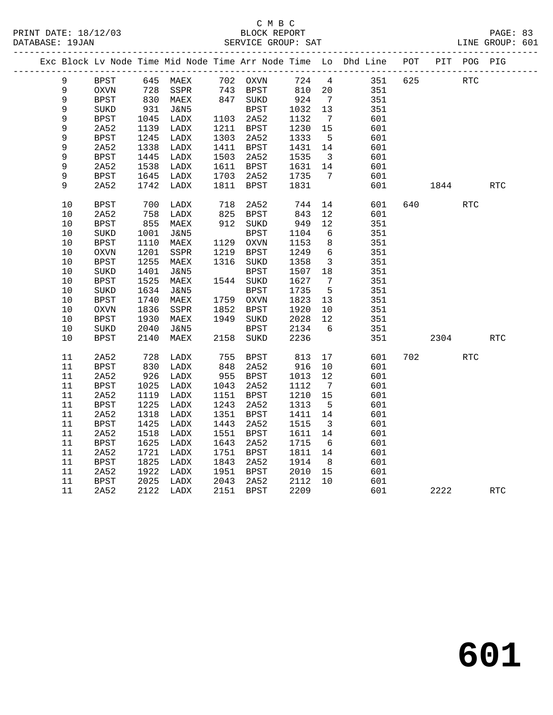|  |             |             |      | Exc Block Lv Node Time Mid Node Time Arr Node Time Lo Dhd Line POT |      |                      |                      |                         |         |     |      | PIT POG PIG |            |
|--|-------------|-------------|------|--------------------------------------------------------------------|------|----------------------|----------------------|-------------------------|---------|-----|------|-------------|------------|
|  | 9           | <b>BPST</b> |      | 645 MAEX 702 OXVN                                                  |      |                      | 724 4                |                         | 351 625 |     | RTC  |             |            |
|  | $\mathsf 9$ | OXVN        |      | SSPR                                                               |      |                      | 810 20               |                         | 351     |     |      |             |            |
|  | $\mathsf 9$ | <b>BPST</b> |      | 728 SSPR<br>830 MAEX                                               |      | 743 BPST<br>847 SUKD | $8_{+}$<br>924<br>22 | $\overline{7}$          | 351     |     |      |             |            |
|  | 9           | SUKD        | 931  | J&N5                                                               |      | <b>BPST</b>          | 1032                 | 13                      | 351     |     |      |             |            |
|  | 9           | <b>BPST</b> | 1045 | LADX                                                               |      | 1103 2A52            | 1132                 | $7\overline{ }$         | 601     |     |      |             |            |
|  | 9           | 2A52        | 1139 | LADX                                                               |      | 1211 BPST            | 1230                 | 15                      | 601     |     |      |             |            |
|  | 9           | <b>BPST</b> | 1245 | LADX                                                               | 1303 | 2A52                 | 1333                 | $5^{\circ}$             | 601     |     |      |             |            |
|  | 9           | 2A52        | 1338 | LADX                                                               |      | 1411 BPST            | 1431                 | 14                      | 601     |     |      |             |            |
|  | 9           | <b>BPST</b> | 1445 | LADX                                                               | 1503 | 2A52                 | 1535                 | $\overline{\mathbf{3}}$ | 601     |     |      |             |            |
|  | 9           | 2A52        | 1538 | LADX                                                               |      | 1611 BPST            | 1631                 | 14                      | 601     |     |      |             |            |
|  | 9           | BPST        | 1645 | LADX                                                               |      | 1703 2A52            | 1735                 | $\overline{7}$          | 601     |     |      |             |            |
|  | 9           | 2A52        | 1742 | LADX                                                               | 1811 | BPST                 | 1831                 |                         | 601     |     | 1844 |             | <b>RTC</b> |
|  | 10          | <b>BPST</b> | 700  | LADX                                                               |      | 718 2A52<br>825 BPST | 744                  | 14                      | 601     |     |      | <b>RTC</b>  |            |
|  | 10          | 2A52        | 758  | LADX                                                               |      |                      | 843                  | 12                      | 601     |     |      |             |            |
|  | 10          | <b>BPST</b> | 855  | MAEX                                                               |      | 912 SUKD             | 949                  | 12                      | 351     |     |      |             |            |
|  | 10          | $\rm SUKD$  | 1001 | J&N5                                                               |      | BPST                 | 1104                 | 6                       | 351     |     |      |             |            |
|  | 10          | <b>BPST</b> | 1110 | MAEX                                                               |      | 1129 OXVN            | 1153                 | 8                       | 351     |     |      |             |            |
|  | 10          | <b>OXVN</b> | 1201 | SSPR                                                               |      | 1219 BPST            | 1249                 | $6\overline{6}$         | 351     |     |      |             |            |
|  | 10          | BPST        | 1255 | MAEX                                                               |      | 1316 SUKD            | 1358                 | $\overline{\mathbf{3}}$ | 351     |     |      |             |            |
|  | 10          | SUKD        | 1401 | <b>J&amp;N5</b>                                                    |      | <b>BPST</b>          | 1507                 | 18                      | 351     |     |      |             |            |
|  | 10          | <b>BPST</b> | 1525 | MAEX                                                               |      | 1544 SUKD            | 1627                 | $\overline{7}$          | 351     |     |      |             |            |
|  | 10          | SUKD        | 1634 | J&N5                                                               |      | BPST                 | 1735                 | $5^{\circ}$             | 351     |     |      |             |            |
|  | 10          | <b>BPST</b> | 1740 | MAEX                                                               |      | 1759 OXVN            | 1823                 | 13                      | 351     |     |      |             |            |
|  | 10          | <b>OXVN</b> | 1836 | SSPR                                                               | 1852 | BPST                 | 1920                 | 10                      | 351     |     |      |             |            |
|  | 10          | BPST        | 1930 | MAEX                                                               | 1949 | SUKD                 | 2028                 | 12                      | 351     |     |      |             |            |
|  | 10          | $\rm SUKD$  | 2040 | J&N5                                                               |      | BPST                 | 2134                 | 6                       | 351     |     |      |             |            |
|  | 10          | <b>BPST</b> | 2140 | MAEX                                                               | 2158 | SUKD                 | 2236                 |                         | 351     |     | 2304 |             | <b>RTC</b> |
|  | 11          | 2A52        | 728  | LADX                                                               | 755  | BPST                 | 813                  | 17                      | 601     | 702 |      | <b>RTC</b>  |            |
|  | 11          | <b>BPST</b> | 830  | LADX                                                               | 848  | 2A52                 | 916                  | 10                      | 601     |     |      |             |            |
|  | 11          | 2A52        | 926  | LADX                                                               |      | $955$ BPST           | 1013                 | 12                      | 601     |     |      |             |            |
|  | 11          | BPST        | 1025 | LADX                                                               | 1043 | 2A52                 | 1112                 | $\overline{7}$          | 601     |     |      |             |            |
|  | 11          | 2A52        | 1119 | LADX                                                               | 1151 | BPST                 | 1210                 | 15                      | 601     |     |      |             |            |
|  | 11          | <b>BPST</b> | 1225 | LADX                                                               | 1243 | 2A52                 | 1313                 | $5^{\circ}$             | 601     |     |      |             |            |
|  | 11          | 2A52        | 1318 | LADX                                                               | 1351 | <b>BPST</b>          | 1411                 | 14                      | 601     |     |      |             |            |
|  | 11          | <b>BPST</b> | 1425 | LADX                                                               | 1443 | 2A52                 | 1515                 | $\overline{\mathbf{3}}$ | 601     |     |      |             |            |
|  | 11          | 2A52        | 1518 | LADX                                                               | 1551 | BPST                 | 1611                 | 14                      | 601     |     |      |             |            |
|  | 11          | <b>BPST</b> | 1625 | LADX                                                               | 1643 | 2A52                 | 1715                 | 6                       | 601     |     |      |             |            |
|  | 11          | 2A52        | 1721 | LADX                                                               | 1751 | BPST                 | 1811                 | 14                      | 601     |     |      |             |            |
|  | 11          | <b>BPST</b> | 1825 | LADX                                                               | 1843 | 2A52                 | 1914                 | 8 <sup>8</sup>          | 601     |     |      |             |            |
|  | 11          | 2A52        | 1922 | LADX                                                               |      | 1951 BPST            | 2010                 | 15                      | 601     |     |      |             |            |
|  | 11          | BPST        | 2025 | LADX                                                               | 2043 | 2A52                 | 2112                 | 10                      | 601     |     |      |             |            |
|  | 11          | 2A52        |      | 2122 LADX                                                          |      | 2151 BPST            | 2209                 |                         | 601     |     | 2222 |             | RTC        |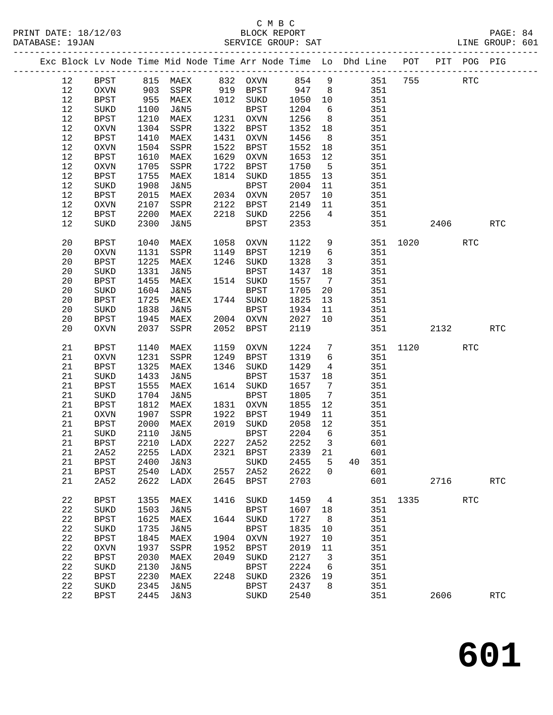|  |      |             |      | Exc Block Lv Node Time Mid Node Time Arr Node Time Lo Dhd Line POT                       |      |             |         |                         |         |     |          |          | PIT POG PIG |                      |
|--|------|-------------|------|------------------------------------------------------------------------------------------|------|-------------|---------|-------------------------|---------|-----|----------|----------|-------------|----------------------|
|  | 12   | BPST        |      | 815 MAEX       832  OXVN       854     9<br>903   SSPR       919   BPST        947     8 |      |             |         |                         | 351 755 |     |          |          | RTC         |                      |
|  | 12   | OXVN        |      |                                                                                          |      |             |         |                         |         | 351 |          |          |             |                      |
|  | 12   | BPST        | 955  | MAEX                                                                                     |      | 1012 SUKD   | 1050 10 |                         |         | 351 |          |          |             |                      |
|  | 12   | SUKD        | 1100 | J&N5                                                                                     |      | BPST        | 1204    | 6                       |         | 351 |          |          |             |                      |
|  | 12   | <b>BPST</b> | 1210 | MAEX                                                                                     |      | 1231 OXVN   | 1256    | 8 <sup>8</sup>          |         | 351 |          |          |             |                      |
|  | 12   | OXVN        | 1304 | SSPR                                                                                     |      | 1322 BPST   | 1352    | 18                      |         | 351 |          |          |             |                      |
|  | 12   | <b>BPST</b> | 1410 | MAEX                                                                                     |      | 1431 OXVN   | 1456    | 8 <sup>8</sup>          |         | 351 |          |          |             |                      |
|  | $12$ | OXVN        | 1504 | SSPR                                                                                     |      | 1522 BPST   | 1552    | 18                      |         | 351 |          |          |             |                      |
|  | 12   | BPST        | 1610 | MAEX                                                                                     |      | 1629 OXVN   | 1653    | 12                      |         | 351 |          |          |             |                      |
|  | 12   | OXVN        | 1705 | SSPR                                                                                     | 1722 | BPST        | 1750    | $5^{\circ}$             |         | 351 |          |          |             |                      |
|  | 12   | <b>BPST</b> | 1755 | MAEX                                                                                     |      | 1814 SUKD   | 1855    | 13                      |         | 351 |          |          |             |                      |
|  | 12   | SUKD        | 1908 | J&N5                                                                                     |      | BPST        | 2004    | 11                      |         | 351 |          |          |             |                      |
|  | 12   | BPST        | 2015 | MAEX                                                                                     |      | 2034 OXVN   | 2057    | 10                      |         | 351 |          |          |             |                      |
|  | 12   | OXVN        | 2107 | SSPR                                                                                     | 2122 | BPST        | 2149    | 11                      |         | 351 |          |          |             |                      |
|  |      |             |      |                                                                                          |      |             | 2256    |                         |         |     |          |          |             |                      |
|  | 12   | BPST        | 2200 | MAEX                                                                                     | 2218 | SUKD        |         | $\overline{4}$          |         | 351 |          |          |             |                      |
|  | 12   | SUKD        | 2300 | J&N5                                                                                     |      | BPST        | 2353    |                         |         | 351 |          | 2406     |             | <b>RTC</b>           |
|  | 20   | BPST        | 1040 | MAEX                                                                                     |      | 1058 OXVN   | 1122    | 9                       |         |     |          | 351 1020 | <b>RTC</b>  |                      |
|  | 20   | OXVN        | 1131 | SSPR                                                                                     |      | 1149 BPST   | 1219    | $6\overline{6}$         |         | 351 |          |          |             |                      |
|  | 20   | BPST        | 1225 | MAEX                                                                                     | 1246 | SUKD        | 1328    | $\overline{\mathbf{3}}$ |         | 351 |          |          |             |                      |
|  | 20   | SUKD        | 1331 | J&N5                                                                                     |      | BPST        | 1437    | 18                      |         | 351 |          |          |             |                      |
|  | 20   | <b>BPST</b> | 1455 | MAEX                                                                                     |      | 1514 SUKD   | 1557    | $\overline{7}$          |         | 351 |          |          |             |                      |
|  | 20   | $\rm SUKD$  | 1604 | J&N5                                                                                     |      | BPST        | 1705    | 20                      |         | 351 |          |          |             |                      |
|  | 20   | BPST        | 1725 | MAEX                                                                                     |      | 1744 SUKD   | 1825    | 13                      |         | 351 |          |          |             |                      |
|  | 20   | SUKD        | 1838 | J&N5                                                                                     |      | BPST        | 1934    | 11                      |         | 351 |          |          |             |                      |
|  | 20   |             | 1945 | MAEX                                                                                     |      | 2004 OXVN   | 2027    | 10                      |         | 351 |          |          |             |                      |
|  | 20   | BPST        | 2037 |                                                                                          |      | 2052 BPST   | 2119    |                         |         | 351 |          |          |             | RTC                  |
|  |      | OXVN        |      | SSPR                                                                                     |      |             |         |                         |         |     |          | 2132     |             |                      |
|  | 21   | BPST        | 1140 | MAEX                                                                                     | 1159 | OXVN        | 1224    | $7\overline{ }$         |         |     | 351 1120 |          | <b>RTC</b>  |                      |
|  | 21   | $\rm OXVN$  | 1231 | SSPR                                                                                     | 1249 | BPST        | 1319    | 6                       |         | 351 |          |          |             |                      |
|  | 21   | <b>BPST</b> | 1325 | MAEX                                                                                     |      | 1346 SUKD   | 1429    | $\overline{4}$          |         | 351 |          |          |             |                      |
|  | 21   | SUKD        | 1433 | J&N5                                                                                     |      | BPST        | 1537    | 18                      |         | 351 |          |          |             |                      |
|  | 21   | BPST        | 1555 | MAEX                                                                                     |      | 1614 SUKD   | 1657    | $\overline{7}$          |         | 351 |          |          |             |                      |
|  | 21   | SUKD        | 1704 | J&N5                                                                                     |      | <b>BPST</b> | 1805    | $\overline{7}$          |         | 351 |          |          |             |                      |
|  | 21   | BPST        | 1812 | MAEX                                                                                     |      | 1831 OXVN   | 1855    | 12                      |         | 351 |          |          |             |                      |
|  | 21   | OXVN        | 1907 | SSPR                                                                                     | 1922 | BPST        | 1949    | 11                      |         | 351 |          |          |             |                      |
|  | 21   | BPST        | 2000 | MAEX                                                                                     |      | 2019 SUKD   | 2058    | 12                      |         | 351 |          |          |             |                      |
|  | 21   | SUKD        | 2110 | J&N5                                                                                     |      | BPST        | 2204    | $6\overline{6}$         |         | 351 |          |          |             |                      |
|  | 21   | BPST        | 2210 | LADX                                                                                     |      | 2227 2A52   | 2252    | $\overline{\mathbf{3}}$ |         | 601 |          |          |             |                      |
|  | 21   | 2A52        |      | 2255 LADX 2321 BPST 2339 21                                                              |      |             |         |                         |         | 601 |          |          |             |                      |
|  | 21   | <b>BPST</b> | 2400 | J&N3                                                                                     |      | SUKD        | 2455    | 5                       | 40      | 351 |          |          |             |                      |
|  | 21   | <b>BPST</b> | 2540 | LADX                                                                                     | 2557 | 2A52        | 2622    | $\overline{0}$          |         | 601 |          |          |             |                      |
|  | 21   | 2A52        | 2622 | LADX                                                                                     | 2645 | BPST        | 2703    |                         |         | 601 |          | 2716     |             | <b>RTC</b>           |
|  |      |             |      |                                                                                          |      |             |         |                         |         |     |          |          |             |                      |
|  | 22   | <b>BPST</b> | 1355 | MAEX                                                                                     | 1416 | SUKD        | 1459    | $\overline{4}$          |         |     | 351 1335 |          | <b>RTC</b>  |                      |
|  | 22   | SUKD        | 1503 | J&N5                                                                                     |      | BPST        | 1607    | 18                      |         | 351 |          |          |             |                      |
|  | 22   | <b>BPST</b> | 1625 | MAEX                                                                                     |      | 1644 SUKD   | 1727    | - 8                     |         | 351 |          |          |             |                      |
|  | 22   | SUKD        | 1735 | J&N5                                                                                     |      | <b>BPST</b> | 1835    | 10                      |         | 351 |          |          |             |                      |
|  | 22   | <b>BPST</b> | 1845 | MAEX                                                                                     | 1904 | OXVN        | 1927    | $10\,$                  |         | 351 |          |          |             |                      |
|  | 22   | OXVN        | 1937 | SSPR                                                                                     | 1952 | BPST        | 2019    | 11                      |         | 351 |          |          |             |                      |
|  | 22   | <b>BPST</b> | 2030 | MAEX                                                                                     | 2049 | SUKD        | 2127    | $\overline{\mathbf{3}}$ |         | 351 |          |          |             |                      |
|  | 22   | SUKD        | 2130 | <b>J&amp;N5</b>                                                                          |      | <b>BPST</b> | 2224    | 6                       |         | 351 |          |          |             |                      |
|  | 22   | <b>BPST</b> | 2230 | MAEX                                                                                     | 2248 | SUKD        | 2326    | 19                      |         | 351 |          |          |             |                      |
|  | 22   | SUKD        | 2345 | <b>J&amp;N5</b>                                                                          |      | BPST        | 2437    | 8                       |         | 351 |          |          |             |                      |
|  | 22   | BPST        | 2445 | J&N3                                                                                     |      | SUKD        | 2540    |                         |         | 351 |          | 2606     |             | $\operatorname{RTC}$ |
|  |      |             |      |                                                                                          |      |             |         |                         |         |     |          |          |             |                      |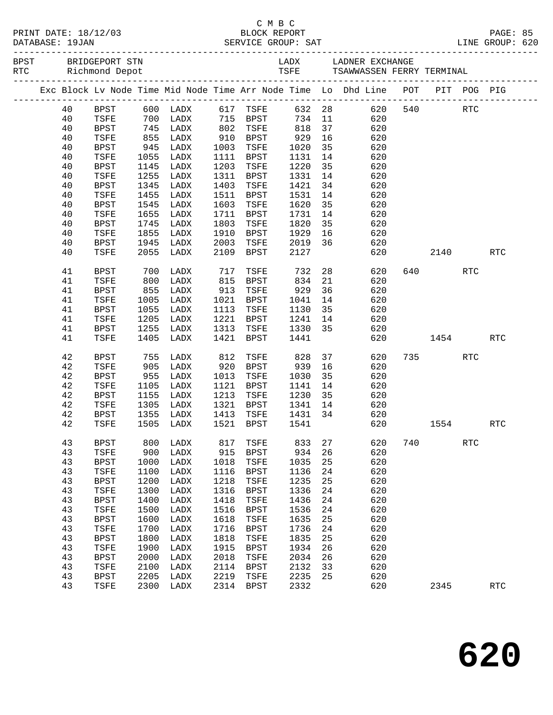| PRINT DATE: 18/12/03<br>DATABASE: 19JAN |             |            |                                  |      | CMBC<br>BLOCK REPORT |             |    |                                                                                |     |          |            | PAGE: 85             |  |
|-----------------------------------------|-------------|------------|----------------------------------|------|----------------------|-------------|----|--------------------------------------------------------------------------------|-----|----------|------------|----------------------|--|
|                                         |             |            |                                  |      |                      |             |    |                                                                                |     |          |            |                      |  |
|                                         |             |            |                                  |      |                      |             |    | Exc Block Lv Node Time Mid Node Time Arr Node Time Lo Dhd Line POT PIT POG PIG |     |          |            |                      |  |
| 40                                      | BPST        |            | $600$ LADX                       |      | 617 TSFE             |             |    | 632 28<br>620                                                                  |     | 540      | RTC        |                      |  |
| 40                                      | TSFE        |            | 700 LADX                         |      | 715 BPST             |             |    | 734 11<br>620                                                                  |     |          |            |                      |  |
| 40                                      | BPST        | 745        | LADX                             |      | 802 TSFE             | 818         | 37 | 620                                                                            |     |          |            |                      |  |
| 40                                      | TSFE        | 855<br>945 | LADX                             |      | 910 BPST             | 929<br>1020 | 16 | 620                                                                            |     |          |            |                      |  |
| 40                                      | BPST        |            | LADX                             | 1003 | TSFE                 | 1020        | 35 | 620                                                                            |     |          |            |                      |  |
| 40                                      | TSFE        | 1055       | LADX                             | 1111 | BPST                 | 1131        | 14 | 620                                                                            |     |          |            |                      |  |
| 40                                      | BPST        | 1145       | LADX                             | 1203 | TSFE                 | 1220        | 35 | 620                                                                            |     |          |            |                      |  |
| 40                                      | TSFE        | 1255       | LADX                             | 1311 | BPST                 | 1331        | 14 | 620                                                                            |     |          |            |                      |  |
| 40                                      | BPST        | 1345       | LADX                             | 1403 | TSFE                 | 1421        | 34 | 620                                                                            |     |          |            |                      |  |
| 40                                      | TSFE        | 1455       | LADX                             | 1511 | BPST                 | 1531        | 14 | 620                                                                            |     |          |            |                      |  |
| 40                                      | BPST        | 1545       | LADX                             | 1603 | TSFE                 | 1620        | 35 | 620                                                                            |     |          |            |                      |  |
| 40                                      | TSFE        | 1655       | LADX                             | 1711 | BPST                 | 1731        | 14 | 620                                                                            |     |          |            |                      |  |
| 40                                      | BPST        | 1745       | LADX                             | 1803 | TSFE                 | 1820        | 35 | 620                                                                            |     |          |            |                      |  |
| 40                                      | TSFE        | 1855       | LADX                             | 1910 | BPST                 | 1929        | 16 | 620                                                                            |     |          |            |                      |  |
| 40                                      | BPST        | 1945       | LADX                             | 2003 | TSFE                 | 2019        | 36 | 620                                                                            |     |          |            |                      |  |
| 40                                      | TSFE        | 2055       | LADX                             | 2109 | BPST                 | 2127        |    | 620                                                                            |     | 2140     |            | <b>RTC</b>           |  |
| 41                                      | BPST        | 700        | LADX                             | 717  | TSFE                 | 732         |    | 28 3<br>620                                                                    |     | 640 — 10 | <b>RTC</b> |                      |  |
| 41                                      | TSFE        | 800        | LADX                             | 815  | BPST                 | 834         | 21 | 620                                                                            |     |          |            |                      |  |
| 41                                      | BPST        | 855        | LADX                             | 913  | TSFE                 | 929         | 36 | 620                                                                            |     |          |            |                      |  |
| 41                                      | TSFE        | 1005       | LADX                             | 1021 | BPST                 | 1041        | 14 | 620                                                                            |     |          |            |                      |  |
| 41                                      | BPST        | 1055       | LADX                             | 1113 | TSFE                 | 1130        | 35 | 620                                                                            |     |          |            |                      |  |
| 41                                      | TSFE        | 1205       | LADX                             | 1221 | BPST                 | 1241        | 14 | 620                                                                            |     |          |            |                      |  |
| 41                                      | <b>BPST</b> | 1255       | LADX                             | 1313 | TSFE                 | 1330 35     |    | 620                                                                            |     |          |            |                      |  |
| 41                                      | TSFE        | 1405       | LADX                             | 1421 | BPST                 | 1441        |    | 620                                                                            |     | 1454     |            | RTC                  |  |
| 42                                      | BPST        | 755        | LADX                             | 812  | TSFE                 | 828         | 37 | 620                                                                            |     | 735 — 13 | RTC        |                      |  |
| 42                                      | TSFE        | 905        | LADX                             | 920  | BPST                 | 939         | 16 | 620                                                                            |     |          |            |                      |  |
| 42                                      | BPST        | 955        | LADX                             | 1013 | TSFE                 | 1030        | 35 | 620                                                                            |     |          |            |                      |  |
| 42                                      | TSFE        | 1105       | LADX                             | 1121 | BPST                 | 1141        | 14 | 620                                                                            |     |          |            |                      |  |
| 42                                      | BPST        | 1155       | LADX                             | 1213 | TSFE                 | 1230        | 35 | 620                                                                            |     |          |            |                      |  |
| 42                                      | TSFE        | 1305       | LADX                             |      | 1321 BPST            | 1341 14     |    | 620                                                                            |     |          |            |                      |  |
| 42                                      | BPST        | 1355       | LADX                             |      | 1413 TSFE            | 1431 34     |    | 620                                                                            |     |          |            |                      |  |
|                                         |             |            | 42 TSFE 1505 LADX 1521 BPST 1541 |      |                      |             |    | 620                                                                            |     | 1554     |            | RTC                  |  |
| 43                                      | <b>BPST</b> | 800        | LADX                             | 817  | TSFE                 | 833         | 27 | 620                                                                            | 740 |          | <b>RTC</b> |                      |  |
| 43                                      | TSFE        | 900        | LADX                             | 915  | <b>BPST</b>          | 934         | 26 | 620                                                                            |     |          |            |                      |  |
| 43                                      | <b>BPST</b> | 1000       | LADX                             | 1018 | TSFE                 | 1035        | 25 | 620                                                                            |     |          |            |                      |  |
| 43                                      | TSFE        | 1100       | LADX                             | 1116 | <b>BPST</b>          | 1136        | 24 | 620                                                                            |     |          |            |                      |  |
| 43                                      | <b>BPST</b> | 1200       | LADX                             | 1218 | TSFE                 | 1235        | 25 | 620                                                                            |     |          |            |                      |  |
| 43                                      | TSFE        | 1300       | LADX                             | 1316 | <b>BPST</b>          | 1336        | 24 | 620                                                                            |     |          |            |                      |  |
| 43                                      | <b>BPST</b> | 1400       | LADX                             | 1418 | TSFE                 | 1436        | 24 | 620                                                                            |     |          |            |                      |  |
| 43                                      | TSFE        | 1500       | LADX                             | 1516 | <b>BPST</b>          | 1536        | 24 | 620                                                                            |     |          |            |                      |  |
| 43                                      | <b>BPST</b> | 1600       | LADX                             | 1618 | TSFE                 | 1635        | 25 | 620                                                                            |     |          |            |                      |  |
| 43                                      | TSFE        | 1700       | LADX                             | 1716 | <b>BPST</b>          | 1736        | 24 | 620                                                                            |     |          |            |                      |  |
| 43                                      | <b>BPST</b> | 1800       | LADX                             | 1818 | TSFE                 | 1835        | 25 | 620                                                                            |     |          |            |                      |  |
| 43                                      | TSFE        | 1900       | LADX                             | 1915 | <b>BPST</b>          | 1934        | 26 | 620                                                                            |     |          |            |                      |  |
| 43                                      | <b>BPST</b> | 2000       | LADX                             | 2018 | TSFE                 | 2034        | 26 | 620                                                                            |     |          |            |                      |  |
| 43                                      | TSFE        | 2100       | LADX                             | 2114 | <b>BPST</b>          | 2132        | 33 | 620                                                                            |     |          |            |                      |  |
| 43                                      | <b>BPST</b> | 2205       | LADX                             | 2219 | TSFE                 | 2235        | 25 | 620                                                                            |     |          |            |                      |  |
| 43                                      | TSFE        | 2300       | LADX                             | 2314 | <b>BPST</b>          | 2332        |    | 620                                                                            |     | 2345     |            | $\operatorname{RTC}$ |  |
|                                         |             |            |                                  |      |                      |             |    |                                                                                |     |          |            |                      |  |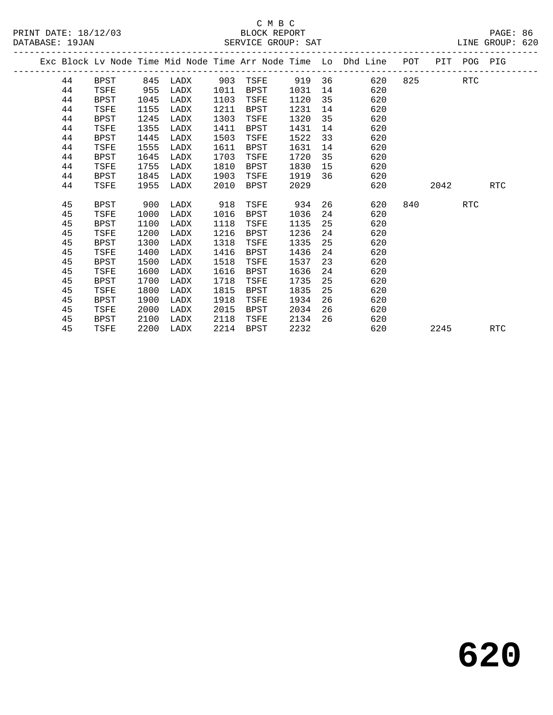|  |    |             |      |          |      |             |      |    | Exc Block Lv Node Time Mid Node Time Arr Node Time Lo Dhd Line | POT |        | PIT POG PIG |            |
|--|----|-------------|------|----------|------|-------------|------|----|----------------------------------------------------------------|-----|--------|-------------|------------|
|  | 44 | BPST        |      | 845 LADX | 903  | TSFE 919 36 |      |    | 620                                                            |     | 825 32 | RTC         |            |
|  | 44 | TSFE        | 955  | LADX     | 1011 | BPST        | 1031 | 14 | 620                                                            |     |        |             |            |
|  | 44 | <b>BPST</b> | 1045 | LADX     | 1103 | TSFE        | 1120 | 35 | 620                                                            |     |        |             |            |
|  | 44 | TSFE        | 1155 | LADX     | 1211 | BPST        | 1231 | 14 | 620                                                            |     |        |             |            |
|  | 44 | <b>BPST</b> | 1245 | LADX     | 1303 | TSFE        | 1320 | 35 | 620                                                            |     |        |             |            |
|  | 44 | TSFE        | 1355 | LADX     | 1411 | BPST        | 1431 | 14 | 620                                                            |     |        |             |            |
|  | 44 | <b>BPST</b> | 1445 | LADX     | 1503 | TSFE        | 1522 | 33 | 620                                                            |     |        |             |            |
|  | 44 | TSFE        | 1555 | LADX     | 1611 | BPST        | 1631 | 14 | 620                                                            |     |        |             |            |
|  | 44 | <b>BPST</b> | 1645 | LADX     | 1703 | TSFE        | 1720 | 35 | 620                                                            |     |        |             |            |
|  | 44 | TSFE        | 1755 | LADX     | 1810 | BPST        | 1830 | 15 | 620                                                            |     |        |             |            |
|  | 44 | <b>BPST</b> | 1845 | LADX     | 1903 | TSFE        | 1919 | 36 | 620                                                            |     |        |             |            |
|  | 44 | TSFE        | 1955 | LADX     | 2010 | BPST        | 2029 |    | 620                                                            |     | 2042   |             | RTC        |
|  |    |             |      |          |      |             |      |    |                                                                |     |        |             |            |
|  | 45 | <b>BPST</b> | 900  | LADX     | 918  | TSFE        | 934  |    | 26<br>620                                                      | 840 |        | RTC         |            |
|  | 45 | TSFE        | 1000 | LADX     | 1016 | BPST        | 1036 | 24 | 620                                                            |     |        |             |            |
|  | 45 | <b>BPST</b> | 1100 | LADX     | 1118 | TSFE        | 1135 | 25 | 620                                                            |     |        |             |            |
|  | 45 | TSFE        | 1200 | LADX     | 1216 | BPST        | 1236 | 24 | 620                                                            |     |        |             |            |
|  | 45 | <b>BPST</b> | 1300 | LADX     | 1318 | TSFE        | 1335 | 25 | 620                                                            |     |        |             |            |
|  | 45 | TSFE        | 1400 | LADX     | 1416 | BPST        | 1436 | 24 | 620                                                            |     |        |             |            |
|  | 45 | <b>BPST</b> | 1500 | LADX     | 1518 | TSFE        | 1537 | 23 | 620                                                            |     |        |             |            |
|  | 45 | TSFE        | 1600 | LADX     | 1616 | BPST        | 1636 | 24 | 620                                                            |     |        |             |            |
|  | 45 | <b>BPST</b> | 1700 | LADX     | 1718 | TSFE        | 1735 | 25 | 620                                                            |     |        |             |            |
|  | 45 | TSFE        | 1800 | LADX     | 1815 | BPST        | 1835 | 25 | 620                                                            |     |        |             |            |
|  | 45 | <b>BPST</b> | 1900 | LADX     | 1918 | TSFE        | 1934 | 26 | 620                                                            |     |        |             |            |
|  | 45 | TSFE        | 2000 | LADX     | 2015 | BPST        | 2034 | 26 | 620                                                            |     |        |             |            |
|  | 45 | <b>BPST</b> | 2100 | LADX     | 2118 | TSFE        | 2134 | 26 | 620                                                            |     |        |             |            |
|  | 45 | TSFE        | 2200 | LADX     | 2214 | BPST        | 2232 |    | 620                                                            |     | 2245   |             | <b>RTC</b> |
|  |    |             |      |          |      |             |      |    |                                                                |     |        |             |            |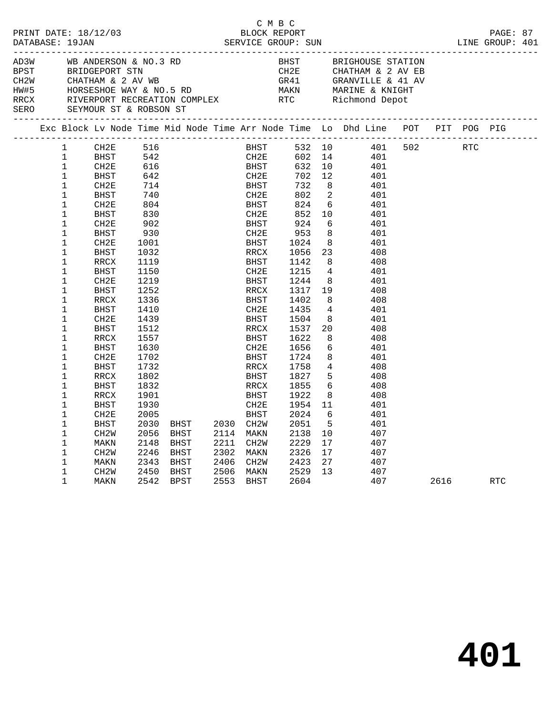| PRINT DATE: 18/12/03<br>DATABASE: 19JAN<br>WB ANDERSON & NO.3 RD |  |                                                                                                                                                                                                                                                                                                                                                                                                                                                                                                                              |                                                                                                                                                                                                                                                                                                                                               |                                                                                                                                                                                                                                                                            | BLOCK REPORT                         | C M B C |                                                                                                                                                                                                                                                                                                                                |  |                                                                                                                                                                                                                                                                                  |                                                                                                                                                                                                                                                                                                                                                                                                    |                                                                       |                                                                                                                                                                                                                                            |         | PAGE: 87<br>LINE GROUP: 401 |            |     |  |
|------------------------------------------------------------------|--|------------------------------------------------------------------------------------------------------------------------------------------------------------------------------------------------------------------------------------------------------------------------------------------------------------------------------------------------------------------------------------------------------------------------------------------------------------------------------------------------------------------------------|-----------------------------------------------------------------------------------------------------------------------------------------------------------------------------------------------------------------------------------------------------------------------------------------------------------------------------------------------|----------------------------------------------------------------------------------------------------------------------------------------------------------------------------------------------------------------------------------------------------------------------------|--------------------------------------|---------|--------------------------------------------------------------------------------------------------------------------------------------------------------------------------------------------------------------------------------------------------------------------------------------------------------------------------------|--|----------------------------------------------------------------------------------------------------------------------------------------------------------------------------------------------------------------------------------------------------------------------------------|----------------------------------------------------------------------------------------------------------------------------------------------------------------------------------------------------------------------------------------------------------------------------------------------------------------------------------------------------------------------------------------------------|-----------------------------------------------------------------------|--------------------------------------------------------------------------------------------------------------------------------------------------------------------------------------------------------------------------------------------|---------|-----------------------------|------------|-----|--|
| AD3W                                                             |  |                                                                                                                                                                                                                                                                                                                                                                                                                                                                                                                              | BEST BRIDGEPORT STN BRIDGER STATION CH2E CHATHAM & 2 AV I<br>CH2W CHATHAM & 2 AV WB<br>HW#5 HORSESHOE WAY & NO.5 RD MAKN MARINE & KNIGHT<br>RRCX RIVERPORT RECREATION COMPLEX RTC RIChmond Depot<br>SERO SEYMOUR ST & ROBSON ST                                                                                                               |                                                                                                                                                                                                                                                                            |                                      |         |                                                                                                                                                                                                                                                                                                                                |  |                                                                                                                                                                                                                                                                                  |                                                                                                                                                                                                                                                                                                                                                                                                    | BHST BRIGHOUSE STATION<br>CH2E CHATHAM & 2 AV EB<br>GRANVILLE & 41 AV |                                                                                                                                                                                                                                            |         |                             |            |     |  |
|                                                                  |  |                                                                                                                                                                                                                                                                                                                                                                                                                                                                                                                              | Exc Block Lv Node Time Mid Node Time Arr Node Time Lo Dhd Line POT PIT POG PIG                                                                                                                                                                                                                                                                |                                                                                                                                                                                                                                                                            |                                      |         |                                                                                                                                                                                                                                                                                                                                |  |                                                                                                                                                                                                                                                                                  |                                                                                                                                                                                                                                                                                                                                                                                                    |                                                                       |                                                                                                                                                                                                                                            |         |                             |            |     |  |
|                                                                  |  | $\mathbf{1}$<br>$\mathbf 1$<br>$\mathbf 1$<br>$\mathbf{1}$<br>$\mathbf{1}$<br>$\mathbf{1}$<br>$\mathbf 1$<br>$\mathbf 1$<br>$\mathbf 1$<br>$\mathbf 1$<br>$\mathbf 1$<br>$\mathbf 1$<br>$\mathbf 1$<br>$\mathbf 1$<br>$\mathbf 1$<br>$\mathbf 1$<br>$\mathbf 1$<br>$\mathbf 1$<br>$\mathbf 1$<br>$\mathbf 1$<br>$\mathbf 1$<br>$\mathbf 1$<br>$\mathbf 1$<br>$\mathbf 1$<br>$\mathbf 1$<br>$\mathbf{1}$<br>$\mathbf 1$<br>$\mathbf 1$<br>1<br>$\mathbf{1}$<br>$\mathbf 1$<br>$\mathbf{1}$<br>$\mathbf 1$<br>$\mathbf 1$<br>1 | CH2E<br>BHST<br>CH2E<br>BHST<br>CH2E<br>BHST<br>CH2E<br>BHST<br>CH2E<br>BHST<br>CH2E<br>BHST<br>RRCX<br>BHST<br>CH2E<br>BHST<br>RRCX<br>BHST<br>CH <sub>2E</sub><br><b>BHST</b><br>RRCX<br><b>BHST</b><br>CH <sub>2E</sub><br><b>BHST</b><br>RRCX<br>BHST<br>RRCX<br>BHST<br>CH <sub>2E</sub><br>BHST<br>CH2W<br>MAKN<br>CH2W<br>MAKN<br>CH2W | 516<br>542<br>616<br>642<br>714<br>740<br>804<br>830<br>902<br>930<br>1001<br>1032<br>1119<br>1150<br>1219<br>1252<br>1336<br>1410<br>1439<br>1512<br>1557<br>1630<br>1702<br>1732<br>1802<br>1832<br>1901<br>1930<br>2005<br>2030<br>2056<br>2148<br>2246<br>2343<br>2450 | BHST<br>BHST<br>BHST<br>BHST<br>BHST |         | <b>BHST</b><br>CH2E<br>BHST<br>CH2E<br>BHST<br>CH2E<br>BHST<br>CH2E<br>BHST<br>CH2E<br>BHST<br>RRCX<br>BHST<br>CH2E<br>BHST<br>RRCX<br>BHST<br>CH2E<br>BHST<br>RRCX<br>BHST<br>CH2E<br>BHST<br>RRCX<br>BHST<br>RRCX<br>BHST<br>CH2E<br>BHST<br>BHST 2030 CH2W<br>2114 MAKN<br>2211 CH2W<br>2302 MAKN<br>2406 CH2W<br>2506 MAKN |  | 532 10<br>602<br>632<br>702<br>732<br>802<br>824<br>852<br>924<br>953<br>1024<br>1056<br>1142<br>1215<br>1244<br>1317<br>1402<br>1435<br>1504<br>1537<br>1622<br>1656<br>1724<br>1758<br>1827<br>1855<br>1922<br>1954 11<br>2024<br>2051<br>2138<br>2229<br>2326<br>2423<br>2529 | 14<br>10<br>12 <sup>°</sup><br>8 <sup>8</sup><br>$\overline{\phantom{0}}^2$<br>$6\overline{6}$<br>10<br>- 6<br>8 <sup>8</sup><br>8 <sup>8</sup><br>23<br>8 <sup>8</sup><br>$\overline{4}$<br>8 <sup>8</sup><br>19<br>8<br>$\overline{4}$<br>8<br>20<br>8<br>6<br>8 <sup>8</sup><br>$\overline{4}$<br>5 <sup>5</sup><br>$6\overline{6}$<br>8 <sup>8</sup><br>- 6<br>5<br>10<br>17<br>17<br>27<br>13 |                                                                       | 401<br>401<br>401<br>401<br>401<br>401<br>401<br>401<br>401<br>401<br>408<br>408<br>401<br>401<br>408<br>408<br>401<br>401<br>408<br>408<br>401<br>401<br>408<br>408<br>408<br>408<br>401<br>401<br>401<br>407<br>407<br>407<br>407<br>407 | 401 502 |                             | <b>RTC</b> |     |  |
|                                                                  |  | $\mathbf 1$                                                                                                                                                                                                                                                                                                                                                                                                                                                                                                                  | MAKN                                                                                                                                                                                                                                                                                                                                          |                                                                                                                                                                                                                                                                            | 2542 BPST                            |         | 2553 BHST                                                                                                                                                                                                                                                                                                                      |  | 2604                                                                                                                                                                                                                                                                             |                                                                                                                                                                                                                                                                                                                                                                                                    |                                                                       | 407                                                                                                                                                                                                                                        |         | 2616 70                     |            | RTC |  |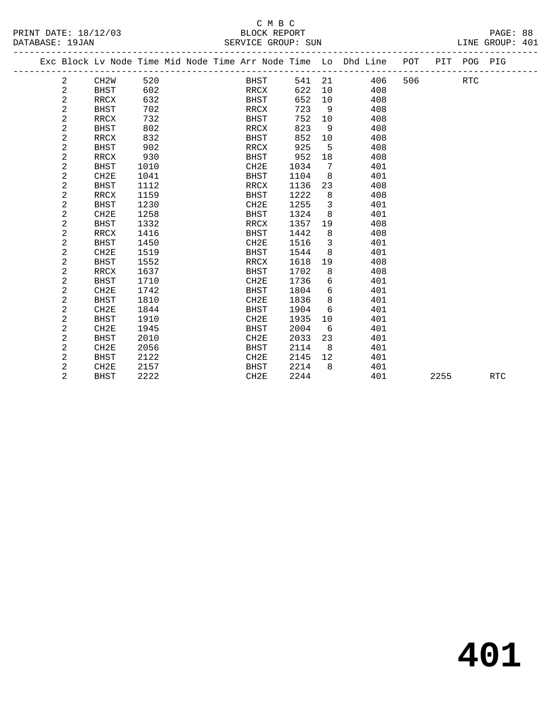# C M B C<br>BLOCK REPORT

|                 |                      | -----              |                 |
|-----------------|----------------------|--------------------|-----------------|
|                 | PRINT DATE: 18/12/03 | BLOCK REPORT       | PAGE: 88        |
| DATABASE: 19JAN |                      | SERVICE GROUP: SUN | LINE GROUP: 401 |

|                |                   |      |  |                  |      |    | Exc Block Lv Node Time Mid Node Time Arr Node Time Lo Dhd Line | POT |      | PIT POG PIG |            |
|----------------|-------------------|------|--|------------------|------|----|----------------------------------------------------------------|-----|------|-------------|------------|
| 2              | CH <sub>2</sub> W | 520  |  | <b>BHST</b>      | 541  | 21 | 406                                                            | 506 |      | <b>RTC</b>  |            |
| 2              | <b>BHST</b>       | 602  |  | RRCX             | 622  | 10 | 408                                                            |     |      |             |            |
| 2              | RRCX              | 632  |  | BHST             | 652  | 10 | 408                                                            |     |      |             |            |
| 2              | <b>BHST</b>       | 702  |  | RRCX             | 723  | 9  | 408                                                            |     |      |             |            |
| 2              | RRCX              | 732  |  | BHST             | 752  | 10 | 408                                                            |     |      |             |            |
| 2              | <b>BHST</b>       | 802  |  | RRCX             | 823  | 9  | 408                                                            |     |      |             |            |
| 2              | <b>RRCX</b>       | 832  |  | <b>BHST</b>      | 852  | 10 | 408                                                            |     |      |             |            |
| 2              | <b>BHST</b>       | 902  |  | RRCX             | 925  | 5  | 408                                                            |     |      |             |            |
| 2              | RRCX              | 930  |  | <b>BHST</b>      | 952  | 18 | 408                                                            |     |      |             |            |
| 2              | <b>BHST</b>       | 1010 |  | CH2E             | 1034 | 7  | 401                                                            |     |      |             |            |
| $\overline{c}$ | CH2E              | 1041 |  | <b>BHST</b>      | 1104 | 8  | 401                                                            |     |      |             |            |
| 2              | <b>BHST</b>       | 1112 |  | RRCX             | 1136 | 23 | 408                                                            |     |      |             |            |
| 2              | RRCX              | 1159 |  | <b>BHST</b>      | 1222 | 8  | 408                                                            |     |      |             |            |
| $\overline{c}$ | <b>BHST</b>       | 1230 |  | CH2E             | 1255 | 3  | 401                                                            |     |      |             |            |
| 2              | CH2E              | 1258 |  | <b>BHST</b>      | 1324 | 8  | 401                                                            |     |      |             |            |
| 2              | <b>BHST</b>       | 1332 |  | RRCX             | 1357 | 19 | 408                                                            |     |      |             |            |
| 2              | RRCX              | 1416 |  | <b>BHST</b>      | 1442 | 8  | 408                                                            |     |      |             |            |
| 2              | <b>BHST</b>       | 1450 |  | CH2E             | 1516 | 3  | 401                                                            |     |      |             |            |
| 2              | CH2E              | 1519 |  | <b>BHST</b>      | 1544 | 8  | 401                                                            |     |      |             |            |
| 2              | <b>BHST</b>       | 1552 |  | RRCX             | 1618 | 19 | 408                                                            |     |      |             |            |
| 2              | <b>RRCX</b>       | 1637 |  | <b>BHST</b>      | 1702 | 8  | 408                                                            |     |      |             |            |
| 2              | <b>BHST</b>       | 1710 |  | CH2E             | 1736 | 6  | 401                                                            |     |      |             |            |
| 2              | CH2E              | 1742 |  | <b>BHST</b>      | 1804 | 6  | 401                                                            |     |      |             |            |
| 2              | <b>BHST</b>       | 1810 |  | CH2E             | 1836 | 8  | 401                                                            |     |      |             |            |
| 2              | CH2E              | 1844 |  | BHST             | 1904 | 6  | 401                                                            |     |      |             |            |
| 2              | <b>BHST</b>       | 1910 |  | CH <sub>2E</sub> | 1935 | 10 | 401                                                            |     |      |             |            |
| $\overline{c}$ | CH2E              | 1945 |  | <b>BHST</b>      | 2004 | 6  | 401                                                            |     |      |             |            |
| 2              | <b>BHST</b>       | 2010 |  | CH2E             | 2033 | 23 | 401                                                            |     |      |             |            |
| 2              | CH2E              | 2056 |  | <b>BHST</b>      | 2114 | 8  | 401                                                            |     |      |             |            |
| 2              | <b>BHST</b>       | 2122 |  | CH2E             | 2145 | 12 | 401                                                            |     |      |             |            |
| 2              | CH2E              | 2157 |  | <b>BHST</b>      | 2214 | 8  | 401                                                            |     |      |             |            |
| $\overline{2}$ | <b>BHST</b>       | 2222 |  | CH2E             | 2244 |    | 401                                                            |     | 2255 |             | <b>RTC</b> |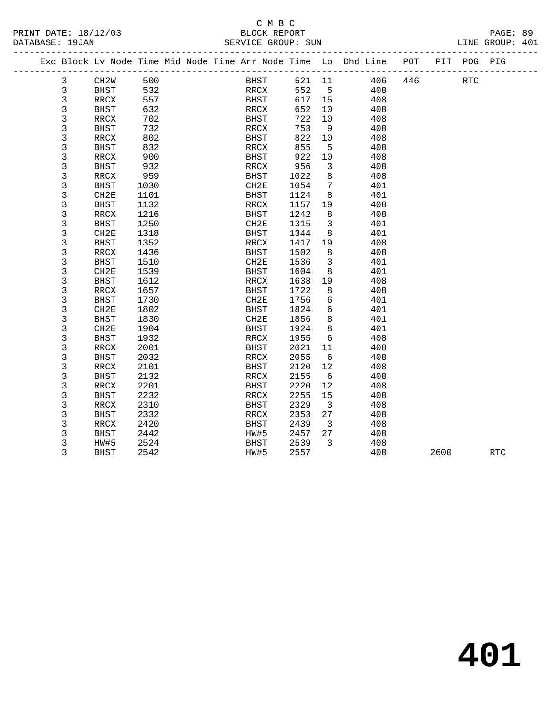#### C M B C<br>BLOCK REPORT PRINT DATE: 18/12/03 BLOCK REPORT PAGE: 89 SERVICE GROUP: SUN

|  |             | -------------------                                                |      |  |             |        |                         |     |     |             |  |
|--|-------------|--------------------------------------------------------------------|------|--|-------------|--------|-------------------------|-----|-----|-------------|--|
|  |             | Exc Block Lv Node Time Mid Node Time Arr Node Time Lo Dhd Line POT |      |  |             |        |                         |     |     | PIT POG PIG |  |
|  | 3           | CH <sub>2</sub> W                                                  | 500  |  | BHST        | 521 11 |                         | 406 | 446 | <b>RTC</b>  |  |
|  | 3           | <b>BHST</b>                                                        | 532  |  | RRCX        | 552    | $5^{\circ}$             | 408 |     |             |  |
|  | 3           | RRCX                                                               | 557  |  | BHST        | 617    | 15                      | 408 |     |             |  |
|  | 3           | <b>BHST</b>                                                        | 632  |  | RRCX        | 652    | 10                      | 408 |     |             |  |
|  | 3           | RRCX                                                               | 702  |  | BHST        | 722    | 10                      | 408 |     |             |  |
|  | 3           | BHST                                                               | 732  |  | RRCX        | 753    | - 9                     | 408 |     |             |  |
|  | 3           | RRCX                                                               | 802  |  | BHST        | 822    | 10                      | 408 |     |             |  |
|  | 3           | <b>BHST</b>                                                        | 832  |  | RRCX        | 855    | 5                       | 408 |     |             |  |
|  | 3           | RRCX                                                               | 900  |  | BHST        | 922    | 10                      | 408 |     |             |  |
|  | 3           | <b>BHST</b>                                                        | 932  |  | RRCX        | 956    | $\mathbf{3}$            | 408 |     |             |  |
|  | 3           | RRCX                                                               | 959  |  | BHST        | 1022   | 8                       | 408 |     |             |  |
|  | 3           | <b>BHST</b>                                                        | 1030 |  | CH2E        | 1054   | $7\phantom{.0}$         | 401 |     |             |  |
|  | 3           | CH <sub>2E</sub>                                                   | 1101 |  | BHST        | 1124   | 8                       | 401 |     |             |  |
|  | 3           | <b>BHST</b>                                                        | 1132 |  | RRCX        | 1157   | 19                      | 408 |     |             |  |
|  | 3           | RRCX                                                               | 1216 |  | BHST        | 1242   | 8                       | 408 |     |             |  |
|  | 3           | <b>BHST</b>                                                        | 1250 |  | CH2E        | 1315   | $\overline{\mathbf{3}}$ | 401 |     |             |  |
|  | 3           | CH2E                                                               | 1318 |  | BHST        | 1344   | 8                       | 401 |     |             |  |
|  | 3           | <b>BHST</b>                                                        | 1352 |  | RRCX        | 1417   | 19                      | 408 |     |             |  |
|  | 3           | RRCX                                                               | 1436 |  | BHST        | 1502   | 8                       | 408 |     |             |  |
|  | 3           | <b>BHST</b>                                                        | 1510 |  | CH2E        | 1536   | $\overline{\mathbf{3}}$ | 401 |     |             |  |
|  | 3           | CH2E                                                               | 1539 |  | BHST        | 1604   | 8                       | 401 |     |             |  |
|  | 3           | <b>BHST</b>                                                        | 1612 |  | RRCX        | 1638   | 19                      | 408 |     |             |  |
|  | 3           | RRCX                                                               | 1657 |  | <b>BHST</b> | 1722   | 8                       | 408 |     |             |  |
|  | 3           | <b>BHST</b>                                                        | 1730 |  | CH2E        | 1756   | 6                       | 401 |     |             |  |
|  | $\mathsf 3$ | CH2E                                                               | 1802 |  | <b>BHST</b> | 1824   | 6                       | 401 |     |             |  |
|  | 3           | <b>BHST</b>                                                        | 1830 |  | CH2E        | 1856   | 8                       | 401 |     |             |  |
|  | 3           | CH2E                                                               | 1904 |  | BHST        | 1924   | 8                       | 401 |     |             |  |
|  | 3           | <b>BHST</b>                                                        | 1932 |  | RRCX        | 1955   | 6                       | 408 |     |             |  |
|  | 3           | RRCX                                                               | 2001 |  | BHST        | 2021   | 11                      | 408 |     |             |  |
|  | 3           | <b>BHST</b>                                                        | 2032 |  | RRCX        | 2055   | 6                       | 408 |     |             |  |
|  | $\mathsf 3$ | RRCX                                                               | 2101 |  | BHST        | 2120   | 12                      | 408 |     |             |  |
|  | 3           | <b>BHST</b>                                                        | 2132 |  | RRCX        | 2155   | 6                       | 408 |     |             |  |
|  | 3           | RRCX                                                               | 2201 |  | BHST        | 2220   | 12                      | 408 |     |             |  |
|  | 3           | <b>BHST</b>                                                        | 2232 |  | RRCX        | 2255   | 15                      | 408 |     |             |  |
|  | 3           | RRCX                                                               | 2310 |  | BHST        | 2329   | $\overline{\mathbf{3}}$ | 408 |     |             |  |
|  | 3           | <b>BHST</b>                                                        | 2332 |  | RRCX        | 2353   | 27                      | 408 |     |             |  |
|  |             |                                                                    |      |  |             |        |                         |     |     |             |  |

 3 RRCX 2420 BHST 2439 3 408 3 BHST 2442 HW#5 2457 27 408 3 HW#5 2524 BHST 2539 3 408

3 RRCX 2420<br>
3 BHST 2442 HW#5 2457 27 408<br>
3 HW#5 2524 BHST 2539 3 408<br>
3 BHST 2542 HW#5 2557 408 2600 RTC

**401**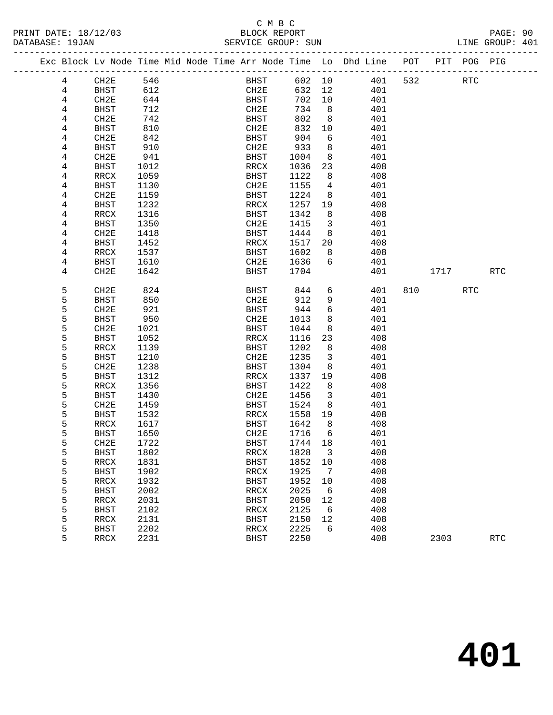#### C M B C<br>BLOCK REPORT SERVICE GROUP: SUN

| Exc Block Lv Node Time Mid Node Time Arr Node Time Lo Dhd Line POT |                  |      |  |                          |        |                         |     |     |      | PIT POG PIG |     |
|--------------------------------------------------------------------|------------------|------|--|--------------------------|--------|-------------------------|-----|-----|------|-------------|-----|
| 4                                                                  | CH2E             | 546  |  | BHST                     | 602 10 |                         | 401 | 532 |      | RTC         |     |
| 4                                                                  | BHST             | 612  |  | CH2E                     | 632    | 12                      | 401 |     |      |             |     |
| 4                                                                  | CH2E             | 644  |  | BHST                     | 702    | 10                      | 401 |     |      |             |     |
| 4                                                                  | <b>BHST</b>      | 712  |  | CH2E                     | 734    | 8                       | 401 |     |      |             |     |
| 4                                                                  | CH2E             | 742  |  | BHST                     | 802    | 8                       | 401 |     |      |             |     |
| 4                                                                  | <b>BHST</b>      | 810  |  | CH2E                     | 832    | $10$                    | 401 |     |      |             |     |
| 4                                                                  | CH2E             | 842  |  | <b>BHST</b>              | 904    | 6                       | 401 |     |      |             |     |
| 4                                                                  | BHST             | 910  |  | CH2E                     | 933    | 8                       | 401 |     |      |             |     |
| 4                                                                  | CH2E             | 941  |  | <b>BHST</b>              | 1004   | 8                       | 401 |     |      |             |     |
| 4                                                                  | BHST             | 1012 |  | RRCX                     | 1036   | 23                      | 408 |     |      |             |     |
| 4                                                                  | RRCX             | 1059 |  | <b>BHST</b>              | 1122   | 8                       | 408 |     |      |             |     |
| 4                                                                  | BHST             | 1130 |  | CH2E                     | 1155   | 4                       | 401 |     |      |             |     |
| 4                                                                  | CH2E             | 1159 |  | <b>BHST</b>              | 1224   | 8                       | 401 |     |      |             |     |
| 4                                                                  | BHST             | 1232 |  | $\mathtt{RRCX}$          | 1257   | 19                      | 408 |     |      |             |     |
| 4                                                                  | RRCX             | 1316 |  | <b>BHST</b>              | 1342   | 8                       | 408 |     |      |             |     |
| 4                                                                  | <b>BHST</b>      | 1350 |  | CH2E                     | 1415   | $\mathbf{3}$            | 401 |     |      |             |     |
| 4                                                                  | CH2E             | 1418 |  | <b>BHST</b>              | 1444   | 8                       | 401 |     |      |             |     |
| 4                                                                  | <b>BHST</b>      | 1452 |  | RRCX                     | 1517   | 20                      | 408 |     |      |             |     |
| 4                                                                  | RRCX             | 1537 |  | BHST                     | 1602   | 8                       | 408 |     |      |             |     |
| 4                                                                  | BHST             | 1610 |  | CH2E                     | 1636   | 6                       | 401 |     |      |             |     |
| 4                                                                  | CH <sub>2E</sub> | 1642 |  | <b>BHST</b>              | 1704   |                         | 401 |     | 1717 |             | RTC |
| 5                                                                  | CH2E             | 824  |  | BHST                     | 844    | 6                       | 401 | 810 |      | <b>RTC</b>  |     |
| 5                                                                  | BHST             | 850  |  | CH2E                     | 912    | 9                       | 401 |     |      |             |     |
| 5                                                                  | CH <sub>2E</sub> | 921  |  | <b>BHST</b>              | 944    | 6                       | 401 |     |      |             |     |
| 5                                                                  | BHST             | 950  |  | CH2E                     | 1013   | 8                       | 401 |     |      |             |     |
| 5                                                                  | CH2E             | 1021 |  | BHST                     | 1044   | 8                       | 401 |     |      |             |     |
| 5                                                                  | BHST             | 1052 |  | $\mathop{\mathrm{RRCX}}$ | 1116   | 23                      | 408 |     |      |             |     |
| 5                                                                  | RRCX             | 1139 |  | <b>BHST</b>              | 1202   | 8                       | 408 |     |      |             |     |
| 5                                                                  | BHST             | 1210 |  | CH2E                     | 1235   | $\mathbf{3}$            | 401 |     |      |             |     |
| 5                                                                  | CH2E             | 1238 |  | BHST                     | 1304   | 8                       | 401 |     |      |             |     |
| 5                                                                  | <b>BHST</b>      | 1312 |  | RRCX                     | 1337   | 19                      | 408 |     |      |             |     |
| 5                                                                  | RRCX             | 1356 |  | BHST                     | 1422   | 8                       | 408 |     |      |             |     |
| 5                                                                  | <b>BHST</b>      | 1430 |  | CH2E                     | 1456   | $\mathbf{3}$            | 401 |     |      |             |     |
| 5                                                                  | CH2E             | 1459 |  | <b>BHST</b>              | 1524   | 8                       | 401 |     |      |             |     |
| 5                                                                  | BHST             | 1532 |  | RRCX                     | 1558   | 19                      | 408 |     |      |             |     |
| 5                                                                  | RRCX             | 1617 |  | BHST                     | 1642   | 8                       | 408 |     |      |             |     |
| 5                                                                  | BHST             | 1650 |  | CH2E                     | 1716   | 6                       | 401 |     |      |             |     |
| 5                                                                  | CH2E             | 1722 |  | <b>BHST</b>              | 1744   | 18                      | 401 |     |      |             |     |
| 5                                                                  | BHST             | 1802 |  | $\mathtt{RRCX}$          | 1828   | $\overline{\mathbf{3}}$ | 408 |     |      |             |     |
| 5                                                                  | RRCX             | 1831 |  | BHST                     | 1852   | 10                      | 408 |     |      |             |     |
| 5                                                                  | <b>BHST</b>      | 1902 |  | RRCX                     | 1925   | 7                       | 408 |     |      |             |     |

5 RRCX 2231 BHST 2250 408 2303 RTC

 5 RRCX 1932 BHST 1952 10 408 5 BHST 2002 RRCX 2025 6 408

 5 BHST 2102 RRCX 2125 6 408 5 RRCX 2131 BHST 2150 12 408 5 BHST 2202 RRCX 2225 6 408

5 RRCX 2031 BHST 2050 12 408<br>5 BHST 2102 RRCX 2125 6 408

# **401**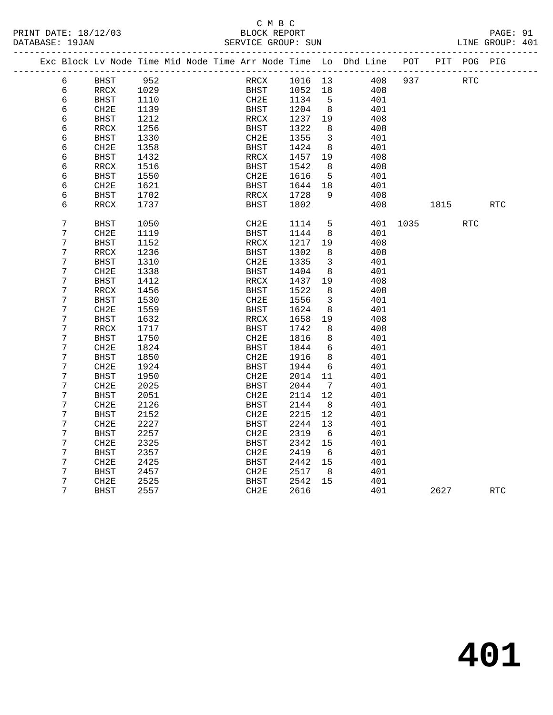| <b>RTC</b> |
|------------|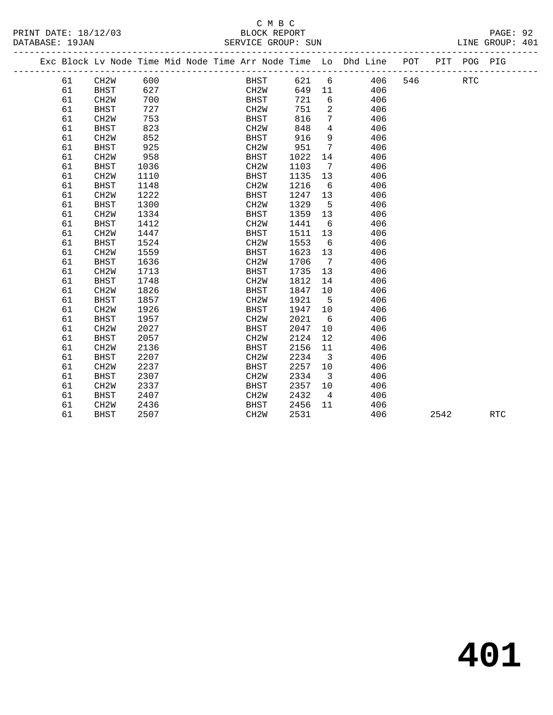# C M B C

LINE GROUP: 401

| DATABASE: 19JAN |    |                                                                |      |  |                   | SERVICE GROUP: SUN |                 |                   |     |     |             | LINE GROUP: 401 |  |
|-----------------|----|----------------------------------------------------------------|------|--|-------------------|--------------------|-----------------|-------------------|-----|-----|-------------|-----------------|--|
|                 |    | Exc Block Lv Node Time Mid Node Time Arr Node Time Lo Dhd Line |      |  |                   |                    |                 |                   |     | POT | PIT POG PIG |                 |  |
|                 | 61 | CH <sub>2</sub> W                                              | 600  |  | BHST              | 621                |                 | $6 \qquad \qquad$ | 406 | 546 | RTC         |                 |  |
|                 | 61 | BHST                                                           | 627  |  | CH2W              | 649                | 11              |                   | 406 |     |             |                 |  |
|                 | 61 | CH <sub>2</sub> M                                              | 700  |  | BHST              | 721                | 6               |                   | 406 |     |             |                 |  |
|                 | 61 | <b>BHST</b>                                                    | 727  |  | CH2W              | 751                | 2               |                   | 406 |     |             |                 |  |
|                 | 61 | CH <sub>2</sub> M                                              | 753  |  | BHST              | 816                | 7               |                   | 406 |     |             |                 |  |
|                 | 61 | BHST                                                           | 823  |  | CH2W              | 848                | 4               |                   | 406 |     |             |                 |  |
|                 | 61 | CH <sub>2</sub> M                                              | 852  |  | BHST              | 916                | 9               |                   | 406 |     |             |                 |  |
|                 | 61 | BHST                                                           | 925  |  | CH2W              | 951                | 7               |                   | 406 |     |             |                 |  |
|                 | 61 | CH <sub>2</sub> M                                              | 958  |  | BHST              | 1022               | 14              |                   | 406 |     |             |                 |  |
|                 | 61 | BHST                                                           | 1036 |  | CH2W              | 1103               | 7               |                   | 406 |     |             |                 |  |
|                 | 61 | CH <sub>2</sub> M                                              | 1110 |  | BHST              | 1135               | 13              |                   | 406 |     |             |                 |  |
|                 | 61 | BHST                                                           | 1148 |  | CH <sub>2</sub> W | 1216               | 6               |                   | 406 |     |             |                 |  |
|                 | 61 | CH <sub>2</sub> M                                              | 1222 |  | BHST              | 1247               | 13              |                   | 406 |     |             |                 |  |
|                 | 61 | BHST                                                           | 1300 |  | CH <sub>2</sub> W | 1329               | 5               |                   | 406 |     |             |                 |  |
|                 | 61 | CH <sub>2</sub> M                                              | 1334 |  | BHST              | 1359               | 13 <sup>°</sup> |                   | 406 |     |             |                 |  |
|                 | 61 | <b>BHST</b>                                                    | 1412 |  | CH <sub>2</sub> W | 1441               | 6               |                   | 406 |     |             |                 |  |
|                 | 61 | CH <sub>2</sub> M                                              | 1447 |  | BHST              | 1511               | 13 <sup>°</sup> |                   | 406 |     |             |                 |  |
|                 | 61 | BHST                                                           | 1524 |  | CH <sub>2</sub> M | 1553               | 6               |                   | 406 |     |             |                 |  |

 61 CH2W 1559 BHST 1623 13 406 61 BHST 1636 CH2W 1706 7 406 61 CH2W 1713 BHST 1735 13 406 61 BHST 1748 CH2W 1812 14 406 61 CH2W 1826 BHST 1847 10 406

61 BHST 1857 CH2W 1921 5 406<br>61 CH2W 1926 BHST 1947 10 406

61 CH2W 1926 <br>61 BHST 1957 <br>61 BHST 1957 <br>61 CH2W 2021 6 61 BHST 1957 CH2W 2021 6 406 61 CH2W 2027 BHST 2047 10 406 61 BHST 2057 CH2W 2124 12 406 61 CH2W 2136 BHST 2156 11 406 61 BHST 2207 CH2W 2234 3 406 61 BHST 2207 CH2W 2234 3<br>
61 CH2W 2237 BHST 2257 10<br>
61 BHST 2307 CH2W 2334 3 61 BHST 2307 CH2W 2334 3 406 61 CH2W 2337 BHST 2357 10 61 BHST 2407 CH2W 2432 4 406 61 BASI 2307<br>
61 CH2W 2436 BHST 2456 11<br>
61 BHST 2507 CH2W 2531 61 BHST 2507 CH2W 2531 406 2542 RTC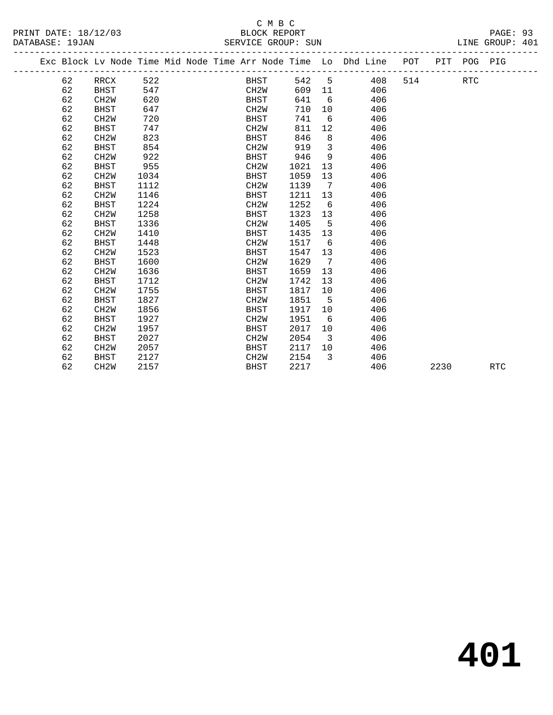## C M B C DATABASE: 19JAN SERVICE GROUP: SUN LINE GROUP: 401

|  |    |                   |      |  |                   |      |                         | Exc Block Lv Node Time Mid Node Time Arr Node Time Lo Dhd Line POT PIT POG PIG |     |      |            |            |  |
|--|----|-------------------|------|--|-------------------|------|-------------------------|--------------------------------------------------------------------------------|-----|------|------------|------------|--|
|  | 62 | RRCX              | 522  |  | BHST              | 542  | $5^{\circ}$             | 408                                                                            | 514 |      | <b>RTC</b> |            |  |
|  | 62 | BHST              | 547  |  | CH2W              | 609  | 11                      | 406                                                                            |     |      |            |            |  |
|  | 62 | CH <sub>2</sub> W | 620  |  | BHST              | 641  | 6                       | 406                                                                            |     |      |            |            |  |
|  | 62 | <b>BHST</b>       | 647  |  | CH <sub>2</sub> W | 710  | 10 <sup>°</sup>         | 406                                                                            |     |      |            |            |  |
|  | 62 | CH <sub>2</sub> W | 720  |  | BHST              | 741  | 6                       | 406                                                                            |     |      |            |            |  |
|  | 62 | <b>BHST</b>       | 747  |  | CH <sub>2</sub> W | 811  | 12                      | 406                                                                            |     |      |            |            |  |
|  | 62 | CH <sub>2</sub> W | 823  |  | <b>BHST</b>       | 846  | 8                       | 406                                                                            |     |      |            |            |  |
|  | 62 | BHST              | 854  |  | CH <sub>2</sub> W | 919  | $\overline{\mathbf{3}}$ | 406                                                                            |     |      |            |            |  |
|  | 62 | CH <sub>2</sub> W | 922  |  | <b>BHST</b>       | 946  | 9                       | 406                                                                            |     |      |            |            |  |
|  | 62 | BHST              | 955  |  | CH <sub>2</sub> M | 1021 | 13                      | 406                                                                            |     |      |            |            |  |
|  | 62 | CH <sub>2</sub> W | 1034 |  | BHST              | 1059 | 13                      | 406                                                                            |     |      |            |            |  |
|  | 62 | BHST              | 1112 |  | CH <sub>2</sub> W | 1139 | $\overline{7}$          | 406                                                                            |     |      |            |            |  |
|  | 62 | CH <sub>2</sub> W | 1146 |  | <b>BHST</b>       | 1211 | 13                      | 406                                                                            |     |      |            |            |  |
|  | 62 | <b>BHST</b>       | 1224 |  | CH <sub>2</sub> W | 1252 | 6                       | 406                                                                            |     |      |            |            |  |
|  | 62 | CH <sub>2</sub> W | 1258 |  | BHST              | 1323 | 13                      | 406                                                                            |     |      |            |            |  |
|  | 62 | BHST              | 1336 |  | CH <sub>2</sub> W | 1405 | $-5$                    | 406                                                                            |     |      |            |            |  |
|  | 62 | CH <sub>2</sub> W | 1410 |  | <b>BHST</b>       | 1435 | 13                      | 406                                                                            |     |      |            |            |  |
|  | 62 | <b>BHST</b>       | 1448 |  | CH <sub>2</sub> W | 1517 | 6                       | 406                                                                            |     |      |            |            |  |
|  | 62 | CH <sub>2</sub> W | 1523 |  | <b>BHST</b>       | 1547 | 13                      | 406                                                                            |     |      |            |            |  |
|  | 62 | <b>BHST</b>       | 1600 |  | CH <sub>2</sub> W | 1629 | 7                       | 406                                                                            |     |      |            |            |  |
|  | 62 | CH <sub>2</sub> W | 1636 |  | BHST              | 1659 | 13                      | 406                                                                            |     |      |            |            |  |
|  | 62 | <b>BHST</b>       | 1712 |  | CH <sub>2</sub> W | 1742 | 13                      | 406                                                                            |     |      |            |            |  |
|  | 62 | CH <sub>2</sub> W | 1755 |  | <b>BHST</b>       | 1817 | 10                      | 406                                                                            |     |      |            |            |  |
|  | 62 | <b>BHST</b>       | 1827 |  | CH <sub>2</sub> W | 1851 | -5                      | 406                                                                            |     |      |            |            |  |
|  | 62 | CH <sub>2</sub> W | 1856 |  | BHST              | 1917 | 10                      | 406                                                                            |     |      |            |            |  |
|  | 62 | <b>BHST</b>       | 1927 |  | CH <sub>2</sub> M | 1951 | 6                       | 406                                                                            |     |      |            |            |  |
|  | 62 | CH <sub>2</sub> W | 1957 |  | <b>BHST</b>       | 2017 | 10                      | 406                                                                            |     |      |            |            |  |
|  | 62 | <b>BHST</b>       | 2027 |  | CH <sub>2</sub> W | 2054 | $\overline{3}$          | 406                                                                            |     |      |            |            |  |
|  | 62 | CH <sub>2</sub> W | 2057 |  | BHST              | 2117 | 10                      | 406                                                                            |     |      |            |            |  |
|  | 62 | <b>BHST</b>       | 2127 |  | CH <sub>2</sub> W | 2154 | 3                       | 406                                                                            |     |      |            |            |  |
|  | 62 | CH <sub>2</sub> W | 2157 |  | <b>BHST</b>       | 2217 |                         | 406                                                                            |     | 2230 |            | <b>RTC</b> |  |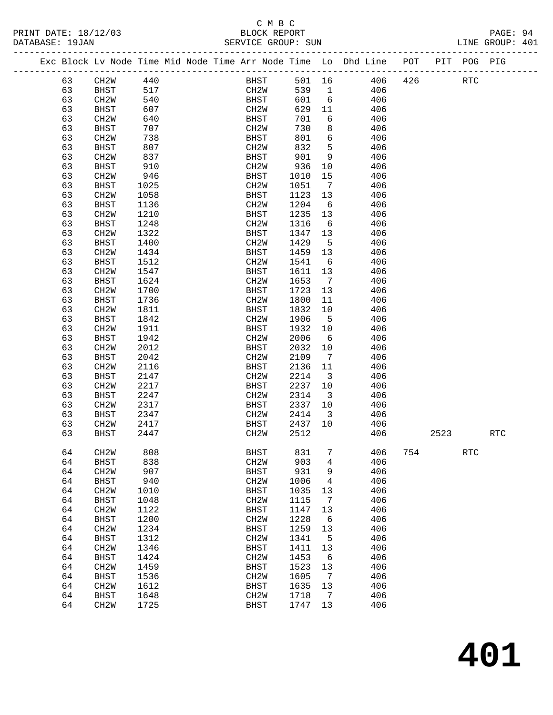#### C M B C<br>BLOCK REPORT SERVICE GROUP: SUN

-------------------------------------------------------------------------------------------------

|  |    |                   |      |  |                   |      |                | Exc Block Lv Node Time Mid Node Time Arr Node Time Lo Dhd Line | POT | PIT  | POG PIG    |                      |  |
|--|----|-------------------|------|--|-------------------|------|----------------|----------------------------------------------------------------|-----|------|------------|----------------------|--|
|  | 63 | CH2W              | 440  |  | BHST              | 501  | 16             | 406                                                            | 426 |      | <b>RTC</b> |                      |  |
|  | 63 | <b>BHST</b>       | 517  |  | CH <sub>2</sub> M | 539  | $\mathbf{1}$   | 406                                                            |     |      |            |                      |  |
|  | 63 | CH <sub>2</sub> W | 540  |  | <b>BHST</b>       | 601  | 6              | 406                                                            |     |      |            |                      |  |
|  | 63 | BHST              | 607  |  | CH <sub>2</sub> W | 629  | 11             | 406                                                            |     |      |            |                      |  |
|  | 63 | CH <sub>2</sub> W | 640  |  | BHST              | 701  | 6              | 406                                                            |     |      |            |                      |  |
|  | 63 | <b>BHST</b>       | 707  |  | CH <sub>2</sub> M | 730  | 8              | 406                                                            |     |      |            |                      |  |
|  | 63 | CH <sub>2</sub> W | 738  |  | <b>BHST</b>       | 801  | 6              | 406                                                            |     |      |            |                      |  |
|  | 63 | <b>BHST</b>       | 807  |  | CH <sub>2</sub> M | 832  | 5              | 406                                                            |     |      |            |                      |  |
|  | 63 | CH <sub>2</sub> W | 837  |  | <b>BHST</b>       | 901  | 9              | 406                                                            |     |      |            |                      |  |
|  | 63 | <b>BHST</b>       | 910  |  | CH <sub>2</sub> M | 936  | 10             | 406                                                            |     |      |            |                      |  |
|  | 63 | CH <sub>2</sub> W | 946  |  | <b>BHST</b>       | 1010 | 15             | 406                                                            |     |      |            |                      |  |
|  | 63 | <b>BHST</b>       | 1025 |  | CH <sub>2</sub> W | 1051 | 7              | 406                                                            |     |      |            |                      |  |
|  | 63 | CH <sub>2</sub> W | 1058 |  | $_{\rm BHST}$     | 1123 | 13             | 406                                                            |     |      |            |                      |  |
|  | 63 | <b>BHST</b>       | 1136 |  | CH <sub>2</sub> M | 1204 | 6              | 406                                                            |     |      |            |                      |  |
|  | 63 | CH <sub>2</sub> W | 1210 |  | <b>BHST</b>       | 1235 | 13             | 406                                                            |     |      |            |                      |  |
|  | 63 | <b>BHST</b>       | 1248 |  | CH <sub>2</sub> M | 1316 | 6              | 406                                                            |     |      |            |                      |  |
|  | 63 | CH <sub>2</sub> W | 1322 |  | <b>BHST</b>       | 1347 | 13             | 406                                                            |     |      |            |                      |  |
|  | 63 | <b>BHST</b>       | 1400 |  | CH <sub>2</sub> M | 1429 | 5              | 406                                                            |     |      |            |                      |  |
|  | 63 | CH <sub>2</sub> W | 1434 |  | <b>BHST</b>       | 1459 | 13             | 406                                                            |     |      |            |                      |  |
|  | 63 | <b>BHST</b>       | 1512 |  | CH <sub>2</sub> W | 1541 | 6              | 406                                                            |     |      |            |                      |  |
|  | 63 | CH <sub>2</sub> W | 1547 |  | <b>BHST</b>       | 1611 | 13             | 406                                                            |     |      |            |                      |  |
|  | 63 | <b>BHST</b>       | 1624 |  | CH <sub>2</sub> M | 1653 | 7              | 406                                                            |     |      |            |                      |  |
|  | 63 | CH <sub>2</sub> W | 1700 |  | <b>BHST</b>       | 1723 | 13             | 406                                                            |     |      |            |                      |  |
|  | 63 | <b>BHST</b>       | 1736 |  | CH <sub>2</sub> M | 1800 | 11             | 406                                                            |     |      |            |                      |  |
|  | 63 | CH <sub>2</sub> W | 1811 |  | <b>BHST</b>       | 1832 | 10             | 406                                                            |     |      |            |                      |  |
|  | 63 | <b>BHST</b>       | 1842 |  | CH <sub>2</sub> M | 1906 | 5              | 406                                                            |     |      |            |                      |  |
|  | 63 | CH <sub>2</sub> W | 1911 |  | <b>BHST</b>       | 1932 | 10             | 406                                                            |     |      |            |                      |  |
|  | 63 | <b>BHST</b>       | 1942 |  | CH <sub>2</sub> M | 2006 | 6              | 406                                                            |     |      |            |                      |  |
|  | 63 | CH <sub>2</sub> W | 2012 |  | <b>BHST</b>       | 2032 | 10             | 406                                                            |     |      |            |                      |  |
|  | 63 | <b>BHST</b>       | 2042 |  | CH <sub>2</sub> M | 2109 | 7              | 406                                                            |     |      |            |                      |  |
|  | 63 | CH <sub>2</sub> W | 2116 |  | <b>BHST</b>       | 2136 | 11             | 406                                                            |     |      |            |                      |  |
|  | 63 | <b>BHST</b>       | 2147 |  | CH <sub>2</sub> M | 2214 | 3              | 406                                                            |     |      |            |                      |  |
|  | 63 | CH <sub>2</sub> W | 2217 |  | BHST              | 2237 | 10             | 406                                                            |     |      |            |                      |  |
|  | 63 | <b>BHST</b>       | 2247 |  | CH <sub>2</sub> M | 2314 | 3              | 406                                                            |     |      |            |                      |  |
|  | 63 | CH <sub>2</sub> W | 2317 |  | <b>BHST</b>       | 2337 | 10             | 406                                                            |     |      |            |                      |  |
|  | 63 | <b>BHST</b>       | 2347 |  | CH <sub>2</sub> M | 2414 | 3              | 406                                                            |     |      |            |                      |  |
|  | 63 | CH <sub>2</sub> W | 2417 |  | <b>BHST</b>       | 2437 | 10             | 406                                                            |     |      |            |                      |  |
|  | 63 | <b>BHST</b>       | 2447 |  | CH <sub>2</sub> W | 2512 |                | 406                                                            |     | 2523 |            | $\operatorname{RTC}$ |  |
|  |    |                   |      |  |                   |      |                |                                                                |     |      |            |                      |  |
|  | 64 | CH <sub>2</sub> W | 808  |  | $_{\rm BHST}$     | 831  | 7              | 406                                                            | 754 |      | <b>RTC</b> |                      |  |
|  | 64 | <b>BHST</b>       | 838  |  | CH2W              | 903  | $\overline{4}$ | 406                                                            |     |      |            |                      |  |
|  | 64 | CH <sub>2</sub> W | 907  |  | <b>BHST</b>       | 931  | 9              | 406                                                            |     |      |            |                      |  |
|  | 64 | <b>BHST</b>       | 940  |  | CH <sub>2</sub> M | 1006 | 4              | 406                                                            |     |      |            |                      |  |
|  | 64 | CH <sub>2</sub> W | 1010 |  | <b>BHST</b>       | 1035 | 13             | 406                                                            |     |      |            |                      |  |
|  | 64 | <b>BHST</b>       | 1048 |  | CH <sub>2</sub> M | 1115 | 7              | 406                                                            |     |      |            |                      |  |
|  | 64 | CH <sub>2</sub> W | 1122 |  | <b>BHST</b>       | 1147 | 13             | 406                                                            |     |      |            |                      |  |
|  | 64 | <b>BHST</b>       | 1200 |  | CH <sub>2</sub> M | 1228 | 6              | 406                                                            |     |      |            |                      |  |
|  | 64 | CH <sub>2</sub> W | 1234 |  | <b>BHST</b>       | 1259 | 13             | 406                                                            |     |      |            |                      |  |
|  | 64 | <b>BHST</b>       | 1312 |  | CH <sub>2</sub> M | 1341 | $5^{\circ}$    | 406                                                            |     |      |            |                      |  |
|  | 64 | CH <sub>2</sub> W | 1346 |  | <b>BHST</b>       | 1411 | 13             | 406                                                            |     |      |            |                      |  |
|  | 64 | <b>BHST</b>       | 1424 |  | CH <sub>2</sub> M | 1453 | 6              | 406                                                            |     |      |            |                      |  |
|  | 64 | CH <sub>2</sub> W | 1459 |  | <b>BHST</b>       | 1523 | 13             | 406                                                            |     |      |            |                      |  |
|  | 64 | <b>BHST</b>       | 1536 |  | CH <sub>2</sub> M | 1605 | $\overline{7}$ | 406                                                            |     |      |            |                      |  |
|  | 64 | CH <sub>2</sub> W | 1612 |  | <b>BHST</b>       | 1635 | 13             | 406                                                            |     |      |            |                      |  |
|  | 64 | <b>BHST</b>       | 1648 |  | CH <sub>2</sub> W | 1718 | 7              | 406                                                            |     |      |            |                      |  |

64 CH2W 1725 BHST 1747 13 406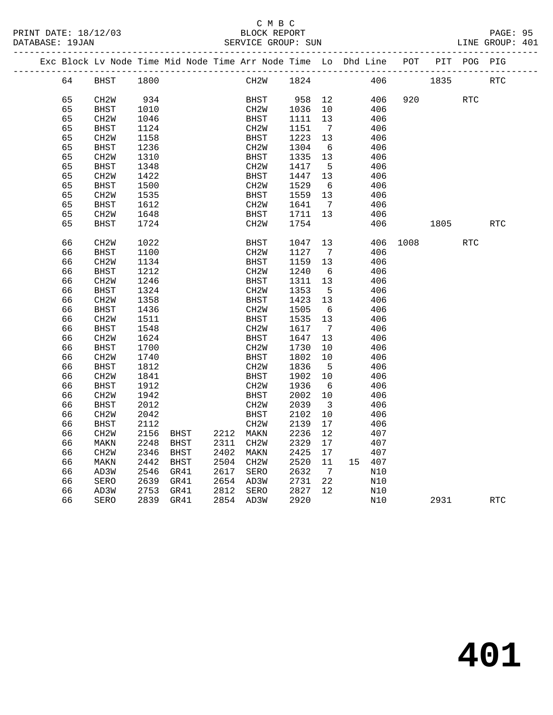|    |      | Exc Block Ly Node Time Mid Node Time Arr Node Time Lo Dhd Line |      |      |     |     | POT | PIT  | POG | PIG        |
|----|------|----------------------------------------------------------------|------|------|-----|-----|-----|------|-----|------------|
|    |      |                                                                |      |      |     |     |     |      |     |            |
| 64 | BHST | 1800                                                           | CH2W | 1824 |     | 406 |     | 1835 |     | <b>RTC</b> |
|    |      |                                                                |      |      |     |     |     |      |     |            |
| 65 | CH2W | 934                                                            | BHST | 958  | 12  | 406 | 920 |      | RTC |            |
| 65 | BHST | 1010                                                           | CH2W | 1036 | 10  | 406 |     |      |     |            |
| 65 | CH2W | 1046                                                           | BHST | 1111 | 13  | 406 |     |      |     |            |
| 65 | BHST | 1124                                                           | CH2W | 1151 | 7   | 406 |     |      |     |            |
| 65 | CH2W | 1158                                                           | BHST | 1223 | -13 | 406 |     |      |     |            |
| 65 | BHST | 1236                                                           | CH2W | 1304 | 6   | 406 |     |      |     |            |
| 65 | CH2W | 1310                                                           | BHST | 1335 | 1 3 | 406 |     |      |     |            |

| 65 | CH <sub>2</sub> W | 1310 |             |      | <b>BHST</b>       | 1335 | 13 |    | 406 |      |      |            |            |
|----|-------------------|------|-------------|------|-------------------|------|----|----|-----|------|------|------------|------------|
| 65 | <b>BHST</b>       | 1348 |             |      | CH <sub>2</sub> W | 1417 | 5  |    | 406 |      |      |            |            |
| 65 | CH <sub>2</sub> W | 1422 |             |      | <b>BHST</b>       | 1447 | 13 |    | 406 |      |      |            |            |
| 65 | <b>BHST</b>       | 1500 |             |      | CH <sub>2</sub> W | 1529 | 6  |    | 406 |      |      |            |            |
| 65 | CH <sub>2</sub> W | 1535 |             |      | <b>BHST</b>       | 1559 | 13 |    | 406 |      |      |            |            |
| 65 | <b>BHST</b>       | 1612 |             |      | CH <sub>2</sub> W | 1641 | 7  |    | 406 |      |      |            |            |
| 65 | CH <sub>2</sub> W | 1648 |             |      | <b>BHST</b>       | 1711 | 13 |    | 406 |      |      |            |            |
| 65 | <b>BHST</b>       | 1724 |             |      | CH <sub>2</sub> W | 1754 |    |    | 406 |      | 1805 |            | <b>RTC</b> |
|    |                   |      |             |      |                   |      |    |    |     |      |      |            |            |
| 66 | CH <sub>2</sub> W | 1022 |             |      | <b>BHST</b>       | 1047 | 13 |    | 406 | 1008 |      | <b>RTC</b> |            |
| 66 | <b>BHST</b>       | 1100 |             |      | CH <sub>2</sub> W | 1127 | 7  |    | 406 |      |      |            |            |
| 66 | CH <sub>2</sub> W | 1134 |             |      | <b>BHST</b>       | 1159 | 13 |    | 406 |      |      |            |            |
| 66 | <b>BHST</b>       | 1212 |             |      | CH <sub>2</sub> W | 1240 | 6  |    | 406 |      |      |            |            |
| 66 | CH <sub>2</sub> W | 1246 |             |      | <b>BHST</b>       | 1311 | 13 |    | 406 |      |      |            |            |
| 66 | <b>BHST</b>       | 1324 |             |      | CH2W              | 1353 | 5  |    | 406 |      |      |            |            |
| 66 | CH <sub>2</sub> W | 1358 |             |      | <b>BHST</b>       | 1423 | 13 |    | 406 |      |      |            |            |
| 66 | <b>BHST</b>       | 1436 |             |      | CH <sub>2</sub> M | 1505 | 6  |    | 406 |      |      |            |            |
| 66 | CH <sub>2</sub> W | 1511 |             |      | <b>BHST</b>       | 1535 | 13 |    | 406 |      |      |            |            |
| 66 | <b>BHST</b>       | 1548 |             |      | CH <sub>2</sub> W | 1617 | 7  |    | 406 |      |      |            |            |
| 66 | CH <sub>2</sub> W | 1624 |             |      | <b>BHST</b>       | 1647 | 13 |    | 406 |      |      |            |            |
| 66 | <b>BHST</b>       | 1700 |             |      | CH <sub>2</sub> W | 1730 | 10 |    | 406 |      |      |            |            |
| 66 | CH <sub>2</sub> W | 1740 |             |      | <b>BHST</b>       | 1802 | 10 |    | 406 |      |      |            |            |
| 66 | <b>BHST</b>       | 1812 |             |      | CH <sub>2</sub> W | 1836 | 5  |    | 406 |      |      |            |            |
| 66 | CH <sub>2</sub> W | 1841 |             |      | <b>BHST</b>       | 1902 | 10 |    | 406 |      |      |            |            |
| 66 | <b>BHST</b>       | 1912 |             |      | CH <sub>2</sub> W | 1936 | 6  |    | 406 |      |      |            |            |
| 66 | CH <sub>2</sub> W | 1942 |             |      | <b>BHST</b>       | 2002 | 10 |    | 406 |      |      |            |            |
| 66 | <b>BHST</b>       | 2012 |             |      | CH <sub>2</sub> W | 2039 | 3  |    | 406 |      |      |            |            |
| 66 | CH <sub>2</sub> W | 2042 |             |      | <b>BHST</b>       | 2102 | 10 |    | 406 |      |      |            |            |
| 66 | <b>BHST</b>       | 2112 |             |      | CH2W              | 2139 | 17 |    | 406 |      |      |            |            |
| 66 | CH2W              | 2156 | <b>BHST</b> | 2212 | MAKN              | 2236 | 12 |    | 407 |      |      |            |            |
| 66 | MAKN              | 2248 | <b>BHST</b> | 2311 | CH <sub>2</sub> W | 2329 | 17 |    | 407 |      |      |            |            |
| 66 | CH <sub>2</sub> W | 2346 | <b>BHST</b> | 2402 | MAKN              | 2425 | 17 |    | 407 |      |      |            |            |
| 66 | MAKN              | 2442 | <b>BHST</b> | 2504 | CH <sub>2</sub> W | 2520 | 11 | 15 | 407 |      |      |            |            |
| 66 | AD3W              | 2546 | GR41        | 2617 | SERO              | 2632 | 7  |    | N10 |      |      |            |            |
| 66 | SERO              | 2639 | GR41        | 2654 | AD3W              | 2731 | 22 |    | N10 |      |      |            |            |
| 66 | AD3W              | 2753 | GR41        | 2812 | SERO              | 2827 | 12 |    | N10 |      |      |            |            |
| 66 | <b>SERO</b>       | 2839 | GR41        | 2854 | AD3W              | 2920 |    |    | N10 |      | 2931 |            | <b>RTC</b> |
|    |                   |      |             |      |                   |      |    |    |     |      |      |            |            |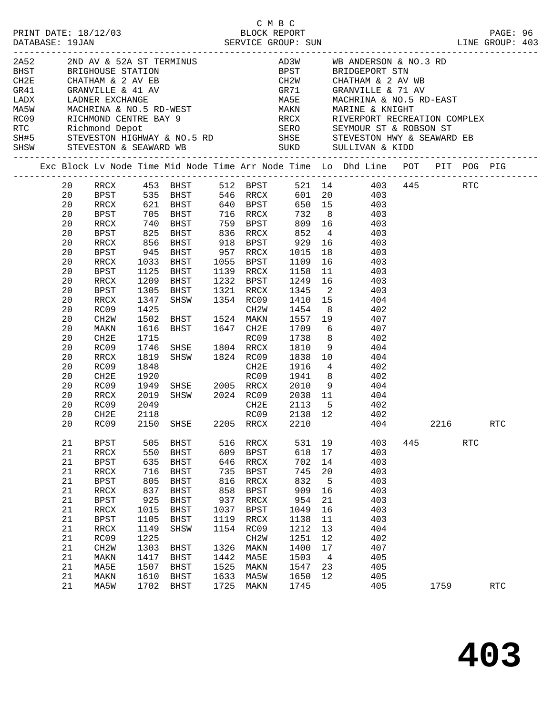|  | DATABASE: 19JAN | PRINT DATE: 18/12/03     |              | C M B C<br>2/03 BLOCK REPORT<br>SERVICE GROUP: SUN |              |                           |              |                |                                                                                                                                                                                                                                |     |      |            | PAGE: 96<br>LINE GROUP: 403  |
|--|-----------------|--------------------------|--------------|----------------------------------------------------|--------------|---------------------------|--------------|----------------|--------------------------------------------------------------------------------------------------------------------------------------------------------------------------------------------------------------------------------|-----|------|------------|------------------------------|
|  |                 |                          |              |                                                    |              |                           |              |                | 2A52 2ND AV & 52A ST TERMINUS AD3W WB ANDERSON & NO.3 RD<br>BHST BRIGHOUSE STATION BPST BRIDGEPORT STN<br>CH2E CHATHAM & 2 AV EB CH2W CHATHAM & 2 AV WB                                                                        |     |      |            |                              |
|  |                 |                          |              |                                                    |              |                           |              |                |                                                                                                                                                                                                                                |     |      |            |                              |
|  |                 |                          |              |                                                    |              |                           |              |                |                                                                                                                                                                                                                                |     |      |            |                              |
|  |                 |                          |              |                                                    |              |                           |              |                | GR71 GRANVILLE & 71 AV<br>MA5E MACHRINA & NO.5 RD-EAST<br>MAKN MARINE & KNIGHT<br>RRCX RIVERPORT RECREATION COMPLEX                                                                                                            |     |      |            |                              |
|  |                 |                          |              |                                                    |              |                           |              |                |                                                                                                                                                                                                                                |     |      |            |                              |
|  |                 |                          |              |                                                    |              |                           |              |                |                                                                                                                                                                                                                                |     |      |            |                              |
|  |                 |                          |              |                                                    |              |                           |              |                |                                                                                                                                                                                                                                |     |      |            |                              |
|  |                 |                          |              |                                                    |              |                           |              |                |                                                                                                                                                                                                                                |     |      |            |                              |
|  |                 |                          |              |                                                    |              |                           |              |                |                                                                                                                                                                                                                                |     |      |            |                              |
|  |                 |                          |              |                                                    |              |                           |              |                | CHARRY CHATHAM & 2 AV EB CHANNILLE & 41 AV GRANTILLE & 41 AV GRANTILLE & 71 AV GRANTILLE & 71 AV GRANTILLE & 71 AV GRANTILLE & 71 AV GRANTILLE & 71 AV GRANTILLE & 71 AV GRANTILLE & 71 AV GRANTILLE & 71 AV GRANTILLE & 71 AV |     |      |            |                              |
|  |                 |                          |              |                                                    |              |                           |              |                | Exc Block Lv Node Time Mid Node Time Arr Node Time Lo Dhd Line POT PIT POG PIG                                                                                                                                                 |     |      |            | ---------------------------- |
|  | 20              | RRCX                     |              |                                                    |              |                           |              |                |                                                                                                                                                                                                                                |     |      |            |                              |
|  | 20              | BPST                     |              |                                                    |              |                           |              |                |                                                                                                                                                                                                                                |     |      |            |                              |
|  | 20              | RRCX                     |              | 621 BHST 640 BPST                                  |              |                           |              |                | 650 15 403                                                                                                                                                                                                                     |     |      |            |                              |
|  | 20              | BPST                     |              |                                                    |              |                           |              |                | 705 BHST 716 RRCX 732 8 403<br>740 BHST 759 BPST 809 16 403<br>825 BHST 836 RRCX 852 4 403                                                                                                                                     |     |      |            |                              |
|  | 20              | RRCX                     |              |                                                    |              |                           |              |                |                                                                                                                                                                                                                                |     |      |            |                              |
|  | 20              | BPST                     |              |                                                    |              |                           |              |                | 856 BHST 918 BPST 929 16 403                                                                                                                                                                                                   |     |      |            |                              |
|  | 20              | RRCX                     |              |                                                    |              |                           |              |                |                                                                                                                                                                                                                                |     |      |            |                              |
|  | 20<br>20        | BPST                     | 945          | BHST                                               |              | 957 RRCX                  | 1015         | 18             | 403                                                                                                                                                                                                                            |     |      |            |                              |
|  | 20              | RRCX<br>BPST             | 1033<br>1125 | BHST<br>BHST                                       |              | 1055 BPST<br>1139 RRCX    | 1158         | 11             | $1109$ $16$ $403$<br>$1158$ $11$ $403$<br>403                                                                                                                                                                                  |     |      |            |                              |
|  | 20              | RRCX                     | 1209         | BHST                                               |              |                           |              |                | 1232 BPST 1249 16 403                                                                                                                                                                                                          |     |      |            |                              |
|  | 20              | BPST                     | 1305         | BHST                                               |              | 1321 RRCX 1345 2          |              |                | 403                                                                                                                                                                                                                            |     |      |            |                              |
|  | 20              | RRCX                     | 1347         | SHSW                                               |              | 1354 RC09                 |              |                |                                                                                                                                                                                                                                |     |      |            |                              |
|  | 20              | RC09                     | 1425         |                                                    |              | CH2W                      | 1454 8       |                | $1410$ $15$ $404$<br>$1454$ $8$ $402$<br>402                                                                                                                                                                                   |     |      |            |                              |
|  | 20              | CH2W                     | 1502         | BHST 1524 MAKN                                     |              |                           |              |                | 1557 19 407                                                                                                                                                                                                                    |     |      |            |                              |
|  | 20              | MAKN                     | 1616         | BHST 1647 CH2E                                     |              |                           |              |                | 1709 6 407                                                                                                                                                                                                                     |     |      |            |                              |
|  | 20              | CH2E                     | 1715         |                                                    |              |                           | 1738         |                | 8 402                                                                                                                                                                                                                          |     |      |            |                              |
|  | 20              | RC09                     | 1746         | RC09<br>SHSE 1804 RRCX<br>SHSW 1824 RC09           |              |                           | 1810         | 9              | 404                                                                                                                                                                                                                            |     |      |            |                              |
|  | 20              | RRCX                     | 1819         |                                                    |              |                           |              |                | 1838 10 404                                                                                                                                                                                                                    |     |      |            |                              |
|  | 20              | RC09                     | 1848         |                                                    |              | CH2E                      | 1916         |                | 4 4 4 0 2                                                                                                                                                                                                                      |     |      |            |                              |
|  | 20              | CH2E                     | 1920         |                                                    |              |                           |              |                | RCO9 1941 8 402<br>SHSE 2005 RRCX 2010 9 404<br>SHSW 2024 RCO9 2038 11 404                                                                                                                                                     |     |      |            |                              |
|  | 20              | RC09                     | 1949         |                                                    |              |                           |              |                |                                                                                                                                                                                                                                |     |      |            |                              |
|  | 20              | RRCX                     | 2019         |                                                    |              |                           |              |                |                                                                                                                                                                                                                                |     |      |            |                              |
|  | 20              | RC09                     | 2049         |                                                    |              | CH2E                      | 2113 5       |                | 402                                                                                                                                                                                                                            |     |      |            |                              |
|  | 20              | CH2E                     | 2118         |                                                    |              | RC09                      | 2138 12      |                | 402                                                                                                                                                                                                                            |     |      |            |                              |
|  |                 | 20 RC09 2150 SHSE        |              |                                                    |              | 2205 RRCX 2210            |              |                | 404                                                                                                                                                                                                                            |     | 2216 |            | <b>RTC</b>                   |
|  | 21              | <b>BPST</b>              | 505          | <b>BHST</b>                                        | 516          | RRCX                      | 531          | 19             | 403                                                                                                                                                                                                                            | 445 |      | <b>RTC</b> |                              |
|  | 21              | $\mathop{\mathrm{RRCX}}$ | 550          | BHST                                               | 609          | <b>BPST</b>               | 618          | 17             | 403                                                                                                                                                                                                                            |     |      |            |                              |
|  | 21              | <b>BPST</b>              | 635          | BHST                                               | 646          | RRCX                      | 702          | 14             | 403                                                                                                                                                                                                                            |     |      |            |                              |
|  | 21              | $\mathop{\mathrm{RRCX}}$ | 716          | <b>BHST</b>                                        | 735          | <b>BPST</b>               | 745          | 20             | 403                                                                                                                                                                                                                            |     |      |            |                              |
|  | 21              | <b>BPST</b>              | 805          | <b>BHST</b>                                        | 816          | RRCX                      | 832          | 5              | 403                                                                                                                                                                                                                            |     |      |            |                              |
|  | 21              | RRCX                     | 837          | <b>BHST</b>                                        | 858          | <b>BPST</b>               | 909          | 16             | 403                                                                                                                                                                                                                            |     |      |            |                              |
|  | 21              | BPST                     | 925          | <b>BHST</b>                                        | 937          | RRCX                      | 954          | 21             | 403                                                                                                                                                                                                                            |     |      |            |                              |
|  | 21              | RRCX                     | 1015         | <b>BHST</b>                                        | 1037         | <b>BPST</b>               | 1049         | 16             | 403                                                                                                                                                                                                                            |     |      |            |                              |
|  | 21<br>21        | <b>BPST</b>              | 1105         | <b>BHST</b>                                        | 1119<br>1154 | RRCX                      | 1138         | 11             | 403                                                                                                                                                                                                                            |     |      |            |                              |
|  | 21              | RRCX<br>RC09             | 1149<br>1225 | SHSW                                               |              | RC09<br>CH <sub>2</sub> M | 1212<br>1251 | 13<br>12       | 404<br>402                                                                                                                                                                                                                     |     |      |            |                              |
|  | 21              | CH2W                     | 1303         | <b>BHST</b>                                        | 1326         | MAKN                      | 1400         | 17             | 407                                                                                                                                                                                                                            |     |      |            |                              |
|  | 21              | MAKN                     | 1417         | <b>BHST</b>                                        | 1442         | MA5E                      | 1503         | $\overline{4}$ | 405                                                                                                                                                                                                                            |     |      |            |                              |
|  | 21              | MA5E                     | 1507         | <b>BHST</b>                                        | 1525         | MAKN                      | 1547         | 23             | 405                                                                                                                                                                                                                            |     |      |            |                              |
|  | 21              | MAKN                     | 1610         | <b>BHST</b>                                        | 1633         | MA5W                      | 1650         | 12             | 405                                                                                                                                                                                                                            |     |      |            |                              |
|  | 21              | MA5W                     | 1702         | <b>BHST</b>                                        | 1725         | MAKN                      | 1745         |                | 405                                                                                                                                                                                                                            |     | 1759 |            | <b>RTC</b>                   |
|  |                 |                          |              |                                                    |              |                           |              |                |                                                                                                                                                                                                                                |     |      |            |                              |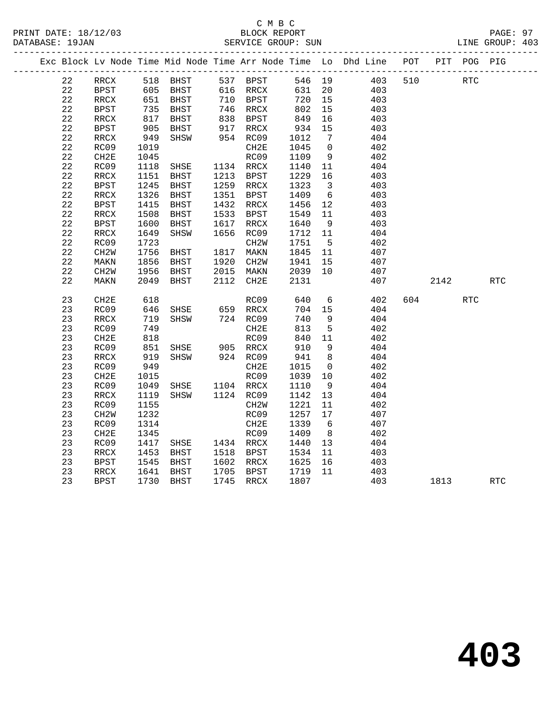#### C M B C<br>BLOCK REPORT SERVICE GROUP: SUN

|             |                          |             |                                |      |                              |      |                         | Exc Block Lv Node Time Mid Node Time Arr Node Time Lo Dhd Line POT |     | PIT  | POG        | PIG |
|-------------|--------------------------|-------------|--------------------------------|------|------------------------------|------|-------------------------|--------------------------------------------------------------------|-----|------|------------|-----|
| 22          | RRCX                     |             | 518 BHST                       |      | 537 BPST                     |      |                         | 546 19 403                                                         | 510 |      | <b>RTC</b> |     |
| 22          | BPST                     |             | 605 BHST                       |      | 616 RRCX                     | 631  | 20                      | 403                                                                |     |      |            |     |
| 22          | RRCX                     | 651         | BHST                           |      | 710 BPST                     | 720  | 15                      | 403                                                                |     |      |            |     |
| 22          | BPST                     | 735         | BHST                           |      | 746 RRCX                     | 802  | 15                      | 403                                                                |     |      |            |     |
| 22          | RRCX                     | 817         | BHST                           | 838  | BPST                         | 849  | 16                      | 403                                                                |     |      |            |     |
| 22          | BPST                     | 905         | BHST                           |      | 917 RRCX<br>954 RC09<br>RRCX | 934  | 15                      | 403                                                                |     |      |            |     |
| 22          | RRCX                     | $52$<br>949 | SHSW                           |      |                              | 1012 | $\overline{7}$          | 404                                                                |     |      |            |     |
| $2\sqrt{2}$ | RC09                     | 1019        |                                |      | CH2E                         | 1045 | $\overline{0}$          | 402                                                                |     |      |            |     |
| 22          | CH2E                     | 1045        |                                |      | RC09                         | 1109 | 9                       | 402                                                                |     |      |            |     |
| 22          | RC09                     | 1118        | SHSE                           | 1134 | RRCX                         | 1140 | 11                      | 404                                                                |     |      |            |     |
| 22          | $\mathop{\mathrm{RRCX}}$ | 1151        | BHST                           | 1213 | <b>BPST</b>                  | 1229 | 16                      | 403                                                                |     |      |            |     |
| 22          | BPST                     | 1245        | BHST                           | 1259 | RRCX                         | 1323 | $\overline{\mathbf{3}}$ | 403                                                                |     |      |            |     |
| 22          | RRCX                     | 1326        | BHST                           | 1351 | BPST                         | 1409 |                         | 6 403                                                              |     |      |            |     |
| 22          | BPST                     | 1415        | BHST                           | 1432 | RRCX                         | 1456 | 12                      | 403                                                                |     |      |            |     |
| 22          | RRCX                     | 1508        | BHST                           | 1533 | BPST                         | 1549 | 11                      | 403                                                                |     |      |            |     |
| 22          | <b>BPST</b>              | 1600        | BHST                           | 1617 | $\mathop{\mathrm{RRCX}}$     | 1640 | 9                       | 403                                                                |     |      |            |     |
| 22          | RRCX                     | 1649        | SHSW                           | 1656 | RC09                         | 1712 | 11                      | 404                                                                |     |      |            |     |
| 22          | RC09                     | 1723        |                                |      | CH <sub>2</sub> W            | 1751 | $5^{\circ}$             | 402                                                                |     |      |            |     |
| 22          | CH <sub>2</sub> W        | 1756        | BHST                           | 1817 | MAKN                         | 1845 |                         | 11 407                                                             |     |      |            |     |
| 22          | MAKN                     | 1856        | BHST                           | 1920 | CH2W                         | 1941 | 15                      | 407                                                                |     |      |            |     |
| 22          | CH2W                     | 1956        | BHST                           | 2015 | MAKN                         | 2039 | 10                      | 407                                                                |     |      |            |     |
| 22          | MAKN                     | 2049        | BHST                           | 2112 | CH2E                         | 2131 |                         | 407                                                                |     | 2142 |            | RTC |
| 23          | CH2E                     | 618         |                                |      | RC09                         | 640  | $6\overline{6}$         | 402                                                                | 604 |      | <b>RTC</b> |     |
| 23          | RC09                     | 646         | SHSE                           |      | $659$ RRCX<br>724 RCM        | 704  | 15                      | 404                                                                |     |      |            |     |
| 23          | $\mathop{\mathrm{RRCX}}$ | 719         | SHSW                           |      | 724 RC09                     | 740  | 9                       | 404                                                                |     |      |            |     |
| 23          | RC09                     | 749         |                                |      | CH2E                         | 813  | $5^{\circ}$             | 402                                                                |     |      |            |     |
| 23          | CH2E                     | 818         |                                |      | RC09                         | 840  | 11                      | 402                                                                |     |      |            |     |
| 23          | RC09                     | 851         |                                |      |                              | 910  | 9                       | 404                                                                |     |      |            |     |
| 23          | RRCX                     | 919         | SHSE 905 RRCX<br>SHSW 924 RC09 |      |                              | 941  | 8 <sup>8</sup>          | 404                                                                |     |      |            |     |
| 23          | RC09                     | 949         |                                |      | CH2E                         | 1015 | $\overline{0}$          | 402                                                                |     |      |            |     |
| 23          | CH2E                     | 1015        |                                |      | RC09                         | 1039 | 10                      | 402                                                                |     |      |            |     |
| 23          | RC09                     | 1049        | SHSE                           |      | 1104 RRCX                    | 1110 | 9                       | 404                                                                |     |      |            |     |
| 23          | RRCX                     | 1119        | SHSW                           |      | 1124 RC09                    | 1142 | 13                      | 404                                                                |     |      |            |     |
| 23          | RC09                     | 1155        |                                |      | CH <sub>2</sub> W            | 1221 | 11                      | 402                                                                |     |      |            |     |
| 23          | CH2W                     | 1232        |                                |      | RC09                         | 1257 | 17                      | 407                                                                |     |      |            |     |
| 23          | RC09                     | 1314        |                                |      | CH2E                         | 1339 | 6                       | 407                                                                |     |      |            |     |
| 23          | CH2E                     | 1345        |                                |      | RC09                         | 1409 |                         | 8 402                                                              |     |      |            |     |
| 23          | RC09                     |             | 1417 SHSE                      |      | 1434 RRCX                    | 1440 | 13                      | 404                                                                |     |      |            |     |

 23 RRCX 1453 BHST 1518 BPST 1534 11 403 23 BPST 1545 BHST 1602 RRCX 1625 16 403 23 RRCX 1641 BHST 1705 BPST 1719 11 403

23 BPST 1730 BHST 1745 RRCX 1807 403 1813 RTC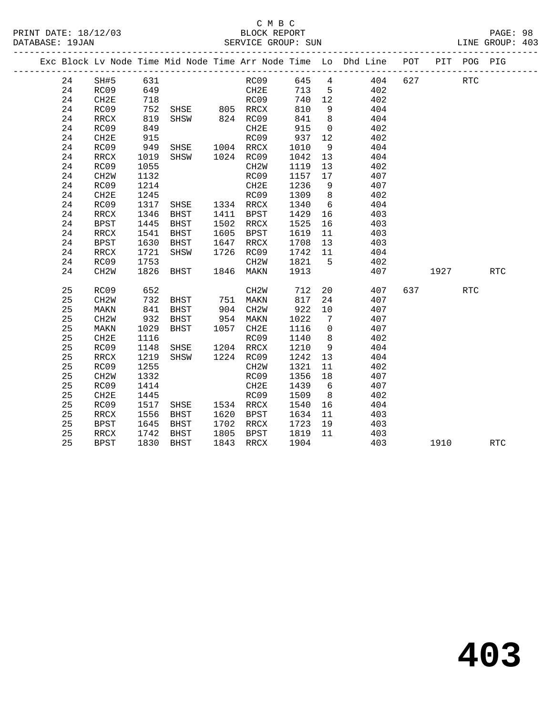#### C M B C<br>BLOCK REPORT PRINT DATE: 18/12/03 BLOCK REPORT PAGE: 98 SERVICE GROUP: SUN

|  |    |                   |            |                                |      |                   |                                                 |                 | Exc Block Lv Node Time Mid Node Time Arr Node Time Lo Dhd Line POT |     |             | PIT POG PIG |            |  |
|--|----|-------------------|------------|--------------------------------|------|-------------------|-------------------------------------------------|-----------------|--------------------------------------------------------------------|-----|-------------|-------------|------------|--|
|  | 24 | SH#5              | 631        |                                |      | RC09              |                                                 |                 | 645 4 404                                                          | 627 |             | <b>RTC</b>  |            |  |
|  | 24 | RC09              |            |                                |      |                   | 713 5                                           |                 | 402                                                                |     |             |             |            |  |
|  | 24 | CH2E              | 649<br>718 |                                |      | CH2E<br>RC09      | 740 12                                          |                 | 402                                                                |     |             |             |            |  |
|  | 24 | RC09              | 752        | SHSE 805 RRCX                  |      |                   | 810                                             | 9               | 404                                                                |     |             |             |            |  |
|  | 24 | RRCX              | 819        | SHSW 824 RC09                  |      |                   | 841                                             | 8 <sup>8</sup>  | 404                                                                |     |             |             |            |  |
|  | 24 | RC09              | 849        |                                |      | CH2E              | 915                                             | $\overline{0}$  | 402                                                                |     |             |             |            |  |
|  | 24 | CH2E              | 915        |                                |      | RC09              | 937                                             | 12              | 402                                                                |     |             |             |            |  |
|  | 24 | RC09              | 949        | SHSE 1004 RRCX                 |      |                   | 1010                                            | 9               | 404                                                                |     |             |             |            |  |
|  | 24 | RRCX              | 1019       | SHSW 1024 RC09                 |      |                   | 1042                                            | 13              | 404                                                                |     |             |             |            |  |
|  | 24 | RC09              | 1055       |                                |      | CH2W              | 1119                                            | 13              | 402                                                                |     |             |             |            |  |
|  | 24 | CH <sub>2</sub> W | 1132       |                                |      | RC09              | 1157 17                                         |                 | 407                                                                |     |             |             |            |  |
|  | 24 | RC09              | 1214       |                                |      | CH2E              | 1236                                            | 9               | 407                                                                |     |             |             |            |  |
|  | 24 | CH2E              | 1245       |                                |      | RC09              | 1309                                            | 8 <sup>8</sup>  | 402                                                                |     |             |             |            |  |
|  | 24 | RC09              | 1317       | SHSE 1334 RRCX                 |      |                   | 1340                                            | $6\overline{6}$ | 404                                                                |     |             |             |            |  |
|  | 24 | RRCX              | 1346       | BHST                           |      | 1411 BPST         | 1429                                            | 16              | 403                                                                |     |             |             |            |  |
|  | 24 | <b>BPST</b>       | 1445       | BHST                           |      | 1502 RRCX         | 1525                                            | 16              | 403                                                                |     |             |             |            |  |
|  | 24 | RRCX              | 1541       | BHST                           |      | 1605 BPST         | 1619                                            | 11              | 403                                                                |     |             |             |            |  |
|  | 24 | BPST              | 1630       | BHST                           | 1647 | RRCX              | 1708                                            | 13              | 403                                                                |     |             |             |            |  |
|  | 24 | RRCX              | 1721       | SHSW                           |      | 1726 RC09         | 1742 11                                         |                 | 404                                                                |     |             |             |            |  |
|  | 24 | RC09              | 1753       |                                |      | CH2W              | $\begin{array}{c} 1821 \ 5 \\ 1913 \end{array}$ |                 | 402                                                                |     |             |             |            |  |
|  | 24 | CH <sub>2</sub> W | 1826       | BHST 1846 MAKN                 |      |                   | 1913                                            |                 | 407                                                                |     | 1927 - 1920 |             | RTC        |  |
|  | 25 | RC09              | 652        |                                |      | CH <sub>2</sub> W | 712                                             | 20              | 407                                                                |     | 637 — 100   | <b>RTC</b>  |            |  |
|  | 25 | CH2W              | 732<br>841 | BHST 751 MAKN<br>BHST 904 CH2W |      |                   | 817                                             | 24              | 407                                                                |     |             |             |            |  |
|  | 25 | MAKN              |            |                                |      |                   | 922                                             | 10              | 407                                                                |     |             |             |            |  |
|  | 25 | CH <sub>2</sub> W | 932        | BHST                           |      | 954 MAKN          | 1022                                            | $\overline{7}$  | 407                                                                |     |             |             |            |  |
|  | 25 | MAKN              | 1029       | <b>BHST</b>                    |      | 1057 CH2E         | 1116                                            | $\overline{0}$  | 407                                                                |     |             |             |            |  |
|  | 25 | CH2E              | 1116       |                                |      | RC09              | 1140                                            | 8 <sup>8</sup>  | 402                                                                |     |             |             |            |  |
|  | 25 | RC09              | 1148       | SHSE 1204 RRCX                 |      |                   | 1210                                            | 9               | 404                                                                |     |             |             |            |  |
|  | 25 | RRCX              | 1219       | SHSW 1224 RC09                 |      |                   | 1242                                            | 13              | 404                                                                |     |             |             |            |  |
|  | 25 | RC09              | 1255       |                                |      | CH2W              | 1321                                            | 11              | 402                                                                |     |             |             |            |  |
|  | 25 | CH <sub>2</sub> W | 1332       |                                |      | RC09              | 1356                                            | 18              | 407                                                                |     |             |             |            |  |
|  | 25 | RC09              | 1414       |                                |      | CH2E              | 1439                                            | 6               | 407                                                                |     |             |             |            |  |
|  | 25 | CH2E              | 1445       |                                |      | RC09              | 1509                                            | 8 <sup>8</sup>  | 402                                                                |     |             |             |            |  |
|  | 25 | RC09              | 1517       | SHSE 1534 RRCX                 |      |                   | 1540                                            | 16              | 404                                                                |     |             |             |            |  |
|  | 25 | RRCX              | 1556       | <b>BHST</b>                    |      | 1620 BPST         | 1634                                            | 11              | 403                                                                |     |             |             |            |  |
|  | 25 | <b>BPST</b>       | 1645       | BHST                           |      | 1702 RRCX         | 1723                                            | 19              | 403                                                                |     |             |             |            |  |
|  | 25 | RRCX              | 1742       | BHST                           |      | 1805 BPST         | 1819                                            | 11              | 403                                                                |     |             |             |            |  |
|  | 25 | <b>BPST</b>       | 1830       | BHST                           |      | 1843 RRCX         | 1904                                            |                 | 403                                                                |     | 1910        |             | <b>RTC</b> |  |
|  |    |                   |            |                                |      |                   |                                                 |                 |                                                                    |     |             |             |            |  |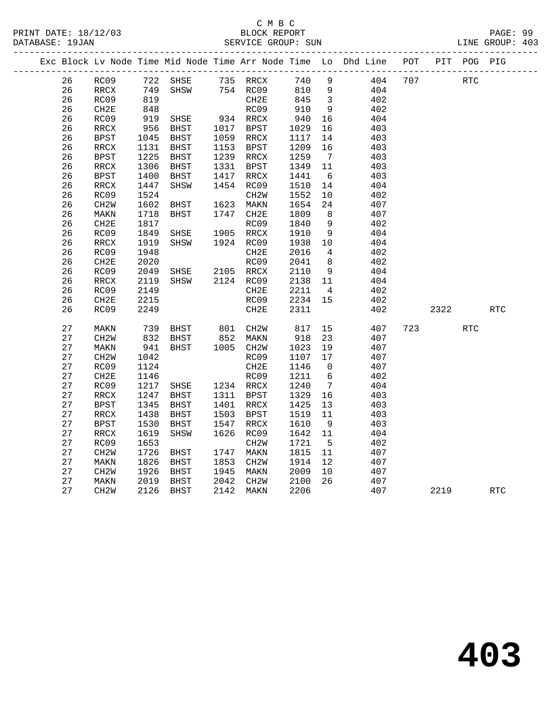|  |          | _______________   |              |              |              |                           |              |                         | Exc Block Lv Node Time Mid Node Time Arr Node Time Lo Dhd Line | POT |           | PIT POG PIG |            |
|--|----------|-------------------|--------------|--------------|--------------|---------------------------|--------------|-------------------------|----------------------------------------------------------------|-----|-----------|-------------|------------|
|  | 26       | RC09              | 722          | SHSE         |              | 735 RRCX                  | 740          | 9                       | 404                                                            | 707 |           | <b>RTC</b>  |            |
|  | 26       | RRCX              | 749          | SHSW         |              | 754 RC09                  | 810          | $\overline{9}$          | 404                                                            |     |           |             |            |
|  | 26       | RC09              | 819          |              |              | CH <sub>2E</sub>          | 845          | $\overline{\mathbf{3}}$ | 402                                                            |     |           |             |            |
|  | 26       | CH2E              | 848          |              |              | RC09                      | 910          | 9                       | 402                                                            |     |           |             |            |
|  | 26       | RC09              | 919          | SHSE         |              | 934 RRCX                  | 940          | 16                      | 404                                                            |     |           |             |            |
|  | 26       | RRCX              | 956          | BHST         | 1017         | BPST                      | 1029         | 16                      | 403                                                            |     |           |             |            |
|  | 26       | <b>BPST</b>       | 1045         | BHST         |              | 1059 RRCX                 | 1117         | 14                      | 403                                                            |     |           |             |            |
|  | 26       | RRCX              | 1131         | BHST         |              | 1153 BPST                 | 1209         | 16                      | 403                                                            |     |           |             |            |
|  | 26       | <b>BPST</b>       | 1225         | BHST         |              | 1239 RRCX                 | 1259         | $\overline{7}$          | 403                                                            |     |           |             |            |
|  | 26       | RRCX              | 1306         | BHST         | 1331         | BPST                      | 1349         | 11                      | 403                                                            |     |           |             |            |
|  | 26       | <b>BPST</b>       | 1400         | BHST         | 1417         | RRCX                      | 1441         | 6                       | 403                                                            |     |           |             |            |
|  | 26       | RRCX              | 1447         | SHSW         | 1454         | RC09                      | 1510         | 14                      | 404                                                            |     |           |             |            |
|  | 26       | RC09              | 1524         |              |              | CH <sub>2</sub> W         | 1552         | 10                      | 402                                                            |     |           |             |            |
|  | 26       | CH <sub>2</sub> W | 1602         | BHST         | 1623         | MAKN                      | 1654         | 24                      | 407                                                            |     |           |             |            |
|  | 26       | MAKN              | 1718         | BHST         | 1747         | CH2E                      | 1809         | 8 <sup>8</sup>          | 407                                                            |     |           |             |            |
|  | 26       | CH2E              | 1817         |              |              | RC09                      | 1840         | 9                       | 402                                                            |     |           |             |            |
|  | 26       | RC09              | 1849         | SHSE         |              | 1905 RRCX                 | 1910         | 9                       | 404                                                            |     |           |             |            |
|  | 26       | RRCX              | 1919         | SHSW         |              | 1924 RC09                 | 1938         | 10                      | 404                                                            |     |           |             |            |
|  | 26       | RC09              | 1948         |              |              | CH2E                      | 2016         | $\overline{4}$          | 402                                                            |     |           |             |            |
|  | 26       | CH2E              | 2020         |              |              | RC09                      | 2041         | 8 <sup>8</sup>          | 402                                                            |     |           |             |            |
|  | 26       | RC09              | 2049         | SHSE         |              | 2105 RRCX                 | 2110         | 9                       | 404                                                            |     |           |             |            |
|  | 26       | RRCX              | 2119         | SHSW         |              | 2124 RC09                 | 2138         | 11                      | 404                                                            |     |           |             |            |
|  | 26       | RC09              | 2149         |              |              | CH2E                      | 2211         | $\overline{4}$          | 402                                                            |     |           |             |            |
|  | 26       | CH <sub>2E</sub>  | 2215         |              |              | RC09                      | 2234         | 15                      | 402                                                            |     |           |             |            |
|  | 26       | RC09              | 2249         |              |              | CH2E                      | 2311         |                         | 402                                                            |     | 2322      |             | <b>RTC</b> |
|  | 27       | MAKN              | 739          | BHST         |              | 801 CH2W                  | 817          | 15                      | 407                                                            |     | 723 — 120 | <b>RTC</b>  |            |
|  | 27       | CH <sub>2</sub> W | 832          | BHST         |              | 852 MAKN                  | 918          | 23                      | 407                                                            |     |           |             |            |
|  | 27       | MAKN              | 941          | BHST         |              | $1005$ CH2W               | 1023         | 19                      | 407                                                            |     |           |             |            |
|  | 27       | CH <sub>2</sub> M | 1042         |              |              | RC09                      | 1107         | 17                      | 407                                                            |     |           |             |            |
|  | 27       | RC09              | 1124         |              |              | CH2E                      | 1146         | $\overline{0}$          | 407                                                            |     |           |             |            |
|  | 27       | CH2E              | 1146         |              |              | RC09                      | 1211         | 6                       | 402                                                            |     |           |             |            |
|  | 27       | RC09              | 1217         | SHSE         |              | 1234 RRCX                 | 1240         | $\overline{7}$          | 404                                                            |     |           |             |            |
|  | 27       | RRCX              | 1247         | BHST         |              | 1311 BPST                 | 1329         | 16                      | 403                                                            |     |           |             |            |
|  | 27       | <b>BPST</b>       | 1345         | <b>BHST</b>  | 1401         | RRCX                      | 1425         | 13                      | 403                                                            |     |           |             |            |
|  | 27       | RRCX              | 1438         | BHST         | 1503         | BPST                      | 1519         | 11                      | 403                                                            |     |           |             |            |
|  | 27       | <b>BPST</b>       | 1530         | BHST         | 1547         | RRCX                      | 1610         | - 9                     | 403                                                            |     |           |             |            |
|  | 27       | RRCX              | 1619         | SHSW         | 1626         | RC09                      | 1642         | 11                      | 404                                                            |     |           |             |            |
|  | 27       | RC09              | 1653         |              |              | CH <sub>2</sub> W         | 1721         | $5^{\circ}$             | 402                                                            |     |           |             |            |
|  | 27<br>27 | CH <sub>2</sub> W | 1726         | BHST         | 1747<br>1853 | MAKN                      | 1815<br>1914 | 11<br>12                | 407                                                            |     |           |             |            |
|  | 27       | MAKN              | 1826         | BHST         |              | CH <sub>2</sub> W         |              |                         | 407                                                            |     |           |             |            |
|  | 27       | CH <sub>2</sub> W | 1926<br>2019 | BHST<br>BHST | 1945<br>2042 | MAKN<br>CH <sub>2</sub> W | 2009<br>2100 | 10<br>26                | 407<br>407                                                     |     |           |             |            |
|  | 27       | MAKN<br>CH2W      | 2126         | BHST         | 2142         | MAKN                      | 2206         |                         | 407                                                            |     | 2219      |             | <b>RTC</b> |
|  |          |                   |              |              |              |                           |              |                         |                                                                |     |           |             |            |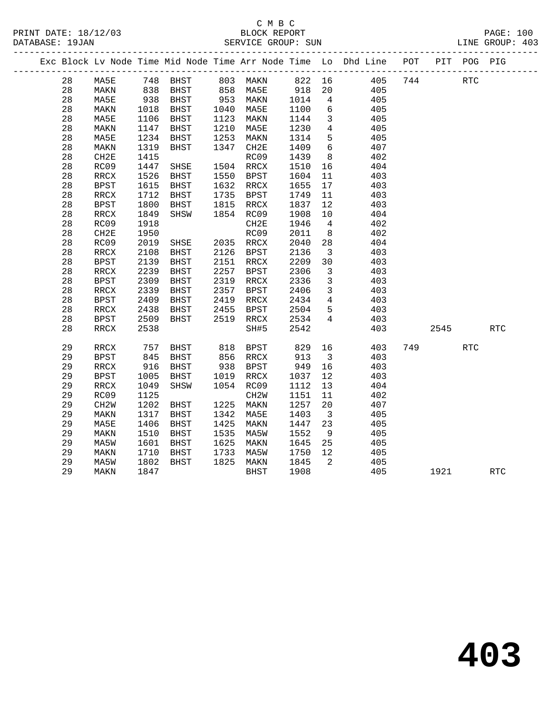#### C M B C SERVICE GROUP: SUN

|  |    |      |      |             |      |              |         |                | Exc Block Lv Node Time Mid Node Time Arr Node Time Lo Dhd Line POT PIT POG PIG |         |            |  |
|--|----|------|------|-------------|------|--------------|---------|----------------|--------------------------------------------------------------------------------|---------|------------|--|
|  |    |      |      |             |      |              |         |                | 28 MA5E 748 BHST 803 MAKN 822 16 405                                           | 744 RTC |            |  |
|  | 28 | MAKN |      | 838 BHST    |      | 858 MA5E 918 |         |                | 20<br>405                                                                      |         |            |  |
|  | 28 | MA5E | 938  | BHST        |      | 953 MAKN     | 1014 4  |                | 405                                                                            |         |            |  |
|  | 28 | MAKN | 1018 | BHST        | 1040 | MA5E         | 1100 6  |                | 405                                                                            |         |            |  |
|  | 28 | MA5E | 1106 | BHST        | 1123 | MAKN         | 1144    |                | 405<br>$3 \left( \frac{1}{2} \right)$                                          |         |            |  |
|  | 28 | MAKN | 1147 | BHST        | 1210 | MA5E         | 1230 4  |                | 405                                                                            |         |            |  |
|  | 28 | MA5E | 1234 | BHST        | 1253 | MAKN         | 1314    |                | $5^{\circ}$<br>405                                                             |         |            |  |
|  | 28 | MAKN | 1319 | BHST        |      | 1347 CH2E    | 1409 6  |                | 407                                                                            |         |            |  |
|  | 28 | CH2E | 1415 |             |      | RC09         | 1439    |                | 402<br>$8\overline{)}$                                                         |         |            |  |
|  | 28 | RC09 | 1447 | SHSE        |      | 1504 RRCX    | 1510    |                | 404<br>16                                                                      |         |            |  |
|  | 28 | RRCX | 1526 | BHST        | 1550 | BPST         | 1604    | 11             | 403                                                                            |         |            |  |
|  | 28 | BPST | 1615 | <b>BHST</b> | 1632 | RRCX         | 1655 17 |                | 403                                                                            |         |            |  |
|  | 28 | RRCX | 1712 | BHST        | 1735 | BPST         | 1749    | 11             | 403                                                                            |         |            |  |
|  | 28 | BPST | 1800 | BHST        | 1815 | RRCX         | 1837    | 12             | 403                                                                            |         |            |  |
|  | 28 | RRCX | 1849 | SHSW        |      | 1854 RC09    | 1908 10 |                | 404                                                                            |         |            |  |
|  | 28 | RC09 | 1918 |             |      | CH2E         | 1946 4  |                | 402                                                                            |         |            |  |
|  | 28 | CH2E | 1950 |             |      | RC09         | 2011    | 8 <sup>1</sup> | 402                                                                            |         |            |  |
|  | 28 | RC09 | 2019 | SHSE        |      | 2035 RRCX    | 2040    |                | 28 3<br>404                                                                    |         |            |  |
|  | 28 | RRCX | 2108 | <b>BHST</b> | 2126 | BPST         | 2136    |                | $\overline{\mathbf{3}}$<br>403                                                 |         |            |  |
|  | 28 | BPST | 2139 | <b>BHST</b> | 2151 | RRCX         | 2209    | 30             | 403                                                                            |         |            |  |
|  | 28 | RRCX | 2239 | <b>BHST</b> | 2257 | BPST         | 2306    |                | 403<br>$\overline{\mathbf{3}}$                                                 |         |            |  |
|  | 28 | BPST | 2309 | <b>BHST</b> | 2319 | RRCX         | 2336    |                | 3 <sup>7</sup><br>403                                                          |         |            |  |
|  | 28 | RRCX | 2339 | <b>BHST</b> | 2357 | BPST         | 2406    |                | 3 <sup>7</sup><br>403                                                          |         |            |  |
|  | 28 | BPST | 2409 | <b>BHST</b> | 2419 | RRCX         | 2434    |                | $4\overline{ }$<br>403                                                         |         |            |  |
|  | 28 | RRCX | 2438 | BHST        | 2455 | BPST         | 2504    | $5 -$          | 403                                                                            |         |            |  |
|  | 28 | BPST | 2509 | BHST 2519   |      | RRCX         | 2534    | $\overline{4}$ | 403                                                                            |         |            |  |
|  | 28 | RRCX | 2538 |             |      | SH#5         | 2542    |                | 403                                                                            | 2545    | RTC        |  |
|  | 29 | RRCX | 757  | BHST        |      | 818 BPST     |         |                | 829 16<br>403                                                                  | 749     | <b>RTC</b> |  |
|  | 29 | BPST | 845  | BHST        |      | 856 RRCX     |         |                | 913 3<br>403                                                                   |         |            |  |
|  | 29 | RRCX | 916  | BHST        |      | 938 BPST     | 949 16  |                | 403                                                                            |         |            |  |
|  | 29 | BPST |      | 1005 BHST   |      | 1019 RRCX    | 1037 12 |                | 403                                                                            |         |            |  |

 29 RRCX 1049 SHSW 1054 RC09 1112 13 404 29 RC09 1125 CH2W 1151 11 402

 29 CH2W 1202 BHST 1225 MAKN 1257 20 407 MAKN 1317 BHST 1342 MA5E 1403 3 405

 29 MA5E 1406 BHST 1425 MAKN 1447 23 405 29 MAKN 1510 BHST 1535 MA5W 1552 9 405 29 MA5W 1601 BHST 1625 MAKN 1645 25 405 29 MAKN 1710 BHST 1733 MA5W 1750 12 405 29 MA5W 1802 BHST 1825 MAKN 1845 2 405

29 MAKN 1847 BHST 1908 405 1921 RTC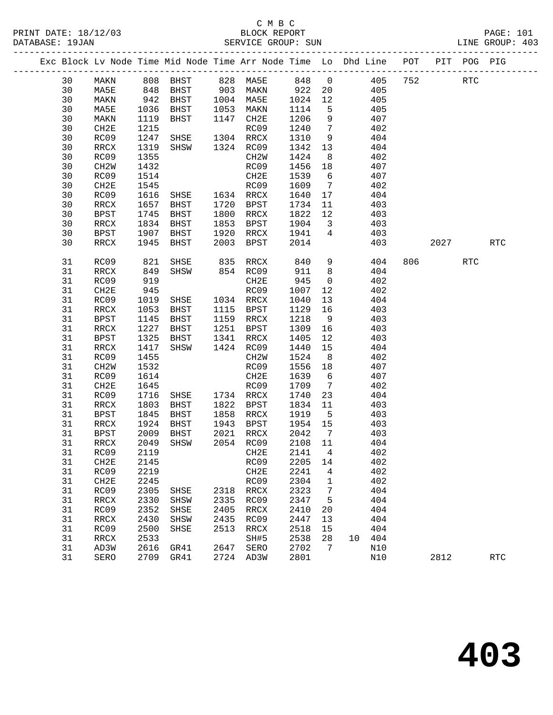#### C M B C<br>BLOCK REPORT PRINT DATE: 18/12/03 BLOCK REPORT PAGE: 101 SERVICE GROUP: SUN

|  |          |                   |              |                |      | Exc Block Lv Node Time Mid Node Time Arr Node Time Lo Dhd Line POT |                 |                         |    |            |     |      | PIT POG PIG |            |  |
|--|----------|-------------------|--------------|----------------|------|--------------------------------------------------------------------|-----------------|-------------------------|----|------------|-----|------|-------------|------------|--|
|  | 30       | MAKN              | 808          | BHST           |      | 828 MA5E                                                           | 848 0           |                         |    | 405        | 752 |      | <b>RTC</b>  |            |  |
|  | 30       | MA5E              |              | BHST           |      | 903 MAKN                                                           | 922             | 20                      |    | 405        |     |      |             |            |  |
|  | 30       | MAKN              | 848<br>942   | BHST           |      | 1004 MA5E                                                          | 1024            | 12                      |    | 405        |     |      |             |            |  |
|  | 30       | MA5E              | 1036         | BHST           | 1053 | MAKN                                                               | 1114            | $5^{\circ}$             |    | 405        |     |      |             |            |  |
|  | 30       | MAKN              | 1119         | BHST           | 1147 | CH2E                                                               | 1206            | 9                       |    | 407        |     |      |             |            |  |
|  | 30       | CH2E              | 1215         |                |      | RC09                                                               | 1240            | $\overline{7}$          |    | 402        |     |      |             |            |  |
|  | 30       | RC09              | 1247         | SHSE           |      | 1304 RRCX                                                          | 1310            | 9                       |    | 404        |     |      |             |            |  |
|  | 30       | RRCX              | 1319         | SHSW           |      | 1324 RC09                                                          | 1342            | 13                      |    | 404        |     |      |             |            |  |
|  | 30       | RC09              | 1355         |                |      | CH2W                                                               | 1424            | 8 <sup>8</sup>          |    | 402        |     |      |             |            |  |
|  | 30       | CH <sub>2</sub> W | 1432         |                |      | RC09                                                               | 1456            | 18                      |    | 407        |     |      |             |            |  |
|  | 30       | RC09              | 1514         |                |      | CH2E                                                               | 1539            | 6                       |    | 407        |     |      |             |            |  |
|  | 30       | CH2E              | 1545         |                |      | RC09                                                               | 1609            | $\overline{7}$          |    | 402        |     |      |             |            |  |
|  | 30       | RC09              | 1616         | SHSE 1634 RRCX |      |                                                                    | 1640            | 17                      |    | 404        |     |      |             |            |  |
|  | 30       | RRCX              | 1657         | BHST           | 1720 | BPST                                                               | 1734            | 11                      |    | 403        |     |      |             |            |  |
|  | 30       | <b>BPST</b>       | 1745         | BHST           | 1800 | RRCX                                                               | 1822            | 12                      |    | 403        |     |      |             |            |  |
|  | 30       | $\verb!RRCX!$     | 1834         | BHST           | 1853 | BPST                                                               | 1904            | $\overline{\mathbf{3}}$ |    | 403        |     |      |             |            |  |
|  | 30       | BPST              | 1907         | BHST           | 1920 | RRCX                                                               | 1941            | $4\overline{ }$         |    | 403        |     |      |             |            |  |
|  | 30       | RRCX              | 1945         | BHST           | 2003 | BPST                                                               | 2014            |                         |    | 403        |     | 2027 |             | <b>RTC</b> |  |
|  | 31       | RC09              | 821          | SHSE           | 835  | RRCX                                                               | 840             | 9                       |    | 404        | 806 |      | RTC         |            |  |
|  | 31       | RRCX              | 849          | SHSW           |      | 854 RC09                                                           | 911             | 8 <sup>8</sup>          |    | 404        |     |      |             |            |  |
|  | 31       | RC09              | 919          |                |      | CH2E                                                               | 945             | $\mathsf{O}$            |    | 402        |     |      |             |            |  |
|  | 31       | CH2E              | 945          |                |      | RC09                                                               | 1007            | 12                      |    | 402        |     |      |             |            |  |
|  | 31       | RC09              | 1019         | SHSE           |      | 1034 RRCX                                                          | 1040            | 13                      |    | 404        |     |      |             |            |  |
|  | 31       | RRCX              | 1053         | BHST           | 1115 | BPST                                                               | 1129            | 16                      |    | 403        |     |      |             |            |  |
|  | 31       | BPST              | 1145         | BHST           |      | 1159 RRCX                                                          | 1218            | 9                       |    | 403        |     |      |             |            |  |
|  | 31       | RRCX              | 1227         | BHST           | 1251 | BPST                                                               | 1309            | 16                      |    | 403        |     |      |             |            |  |
|  | 31       | BPST              | 1325         | BHST           | 1341 | RRCX                                                               | 1405            | 12                      |    | 403        |     |      |             |            |  |
|  | 31       | RRCX              | 1417         | SHSW           |      | 1424 RC09                                                          | 1440            | 15                      |    | 404        |     |      |             |            |  |
|  | 31       | RC09              | 1455         |                |      | CH2W                                                               | 1524            | 8 <sup>8</sup>          |    | 402        |     |      |             |            |  |
|  | 31       | CH <sub>2</sub> W | 1532         |                |      | RC09                                                               | 1556            | 18                      |    | 407        |     |      |             |            |  |
|  | 31       | RC09              | 1614         |                |      | CH2E                                                               | 1639            | 6                       |    | 407        |     |      |             |            |  |
|  | 31       | CH2E              | 1645         |                |      | RC09                                                               | 1709            | $\overline{7}$          |    | 402        |     |      |             |            |  |
|  | 31       | RC09              | 1716         | SHSE           |      | 1734 RRCX                                                          | 1740            | 23                      |    | 404        |     |      |             |            |  |
|  | 31       | RRCX              | 1803         | BHST           | 1822 | BPST                                                               | 1834            | 11<br>$5^{\circ}$       |    | 403        |     |      |             |            |  |
|  | 31<br>31 | <b>BPST</b>       | 1845<br>1924 | BHST<br>BHST   | 1858 | RRCX<br>1943 BPST                                                  | 1919<br>1954 15 |                         |    | 403<br>403 |     |      |             |            |  |
|  | 31       | RRCX<br>BPST      | 2009         | BHST           | 2021 | RRCX                                                               | 2042            | $\overline{7}$          |    | 403        |     |      |             |            |  |
|  | 31       | RRCX              | 2049         | SHSW           |      | 2054 RC09                                                          | 2108 11         |                         |    | 404        |     |      |             |            |  |
|  | 31       | RC09              |              | 2119           |      | CH2E 2141 4                                                        |                 |                         |    | 402        |     |      |             |            |  |
|  | 31       | CH <sub>2E</sub>  | 2145         |                |      | RC09                                                               | 2205            | 14                      |    | 402        |     |      |             |            |  |
|  | 31       | RC09              | 2219         |                |      | CH <sub>2E</sub>                                                   | 2241            | 4                       |    | 402        |     |      |             |            |  |
|  | 31       | CH <sub>2E</sub>  | 2245         |                |      | RC09                                                               | 2304            | 1                       |    | 402        |     |      |             |            |  |
|  | 31       | RC09              | 2305         | SHSE           | 2318 | RRCX                                                               | 2323            | 7                       |    | 404        |     |      |             |            |  |
|  | 31       | <b>RRCX</b>       | 2330         | SHSW           | 2335 | RC09                                                               | 2347            | 5                       |    | 404        |     |      |             |            |  |
|  | 31       | RC09              | 2352         | SHSE           | 2405 | RRCX                                                               | 2410            | 20                      |    | 404        |     |      |             |            |  |
|  | 31       | RRCX              | 2430         | SHSW           | 2435 | RC09                                                               | 2447            | 13                      |    | 404        |     |      |             |            |  |
|  | 31       | RC09              | 2500         | SHSE           | 2513 | RRCX                                                               | 2518            | 15                      |    | 404        |     |      |             |            |  |
|  | 31       | RRCX              | 2533         |                |      | SH#5                                                               | 2538            | 28                      | 10 | 404        |     |      |             |            |  |
|  | 31       | AD3W              | 2616         | GR41           | 2647 | SERO                                                               | 2702            | 7                       |    | N10        |     |      |             |            |  |
|  | 31       | SERO              | 2709         | GR41           | 2724 | AD3W                                                               | 2801            |                         |    | N10        |     | 2812 |             | <b>RTC</b> |  |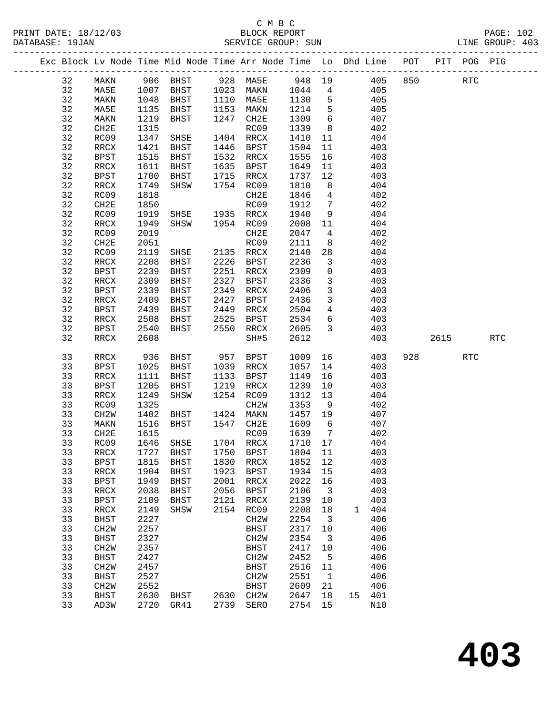|  |          |                                  |              | Exc Block Lv Node Time Mid Node Time Arr Node Time Lo Dhd Line POT PIT POG PIG |      |                           |              |                         |              |            |            |     |            |
|--|----------|----------------------------------|--------------|--------------------------------------------------------------------------------|------|---------------------------|--------------|-------------------------|--------------|------------|------------|-----|------------|
|  | 32       | MAKN                             |              |                                                                                |      |                           |              |                         |              |            | <b>RTC</b> |     |            |
|  | 32       | MA5E                             |              |                                                                                |      |                           |              |                         |              |            |            |     |            |
|  | 32       | MAKN                             | 1048         | BHST 1110 MA5E 1130                                                            |      |                           |              | $5^{\circ}$             | 405          |            |            |     |            |
|  | 32       | MA5E                             | 1135         | BHST                                                                           |      | 1153 MAKN                 | 1214         | $5^{\circ}$             |              | 405        |            |     |            |
|  | 32       | MAKN                             | 1219         | BHST                                                                           |      | 1247 CH2E                 | 1309         | 6                       |              | 407        |            |     |            |
|  | 32       | CH2E                             | 1315         |                                                                                |      | RC09                      | 1339         | 8 <sup>8</sup>          |              | 402        |            |     |            |
|  | 32       | RC09                             | 1347         | SHSE                                                                           |      | 1404 RRCX                 | 1410         | 11                      |              | 404        |            |     |            |
|  | 32       | RRCX                             | 1421         | BHST                                                                           |      | 1446 BPST                 | 1504         | 11                      |              | 403        |            |     |            |
|  | 32       | BPST                             | 1515         | BHST                                                                           |      | 1532 RRCX                 | 1555         | 16                      |              | 403        |            |     |            |
|  | 32       | RRCX                             |              | 1611 BHST                                                                      |      | 1635 BPST                 | 1649         | 11                      |              | 403        |            |     |            |
|  | 32       | BPST                             | 1700         | BHST                                                                           |      | 1715 RRCX                 | 1737         | 12                      |              | 403        |            |     |            |
|  | 32       | RRCX                             | 1749         | SHSW                                                                           |      | 1754 RC09                 | 1810         | 8 <sup>8</sup>          |              | 404        |            |     |            |
|  | 32       | RC09                             | 1818         |                                                                                |      | CH2E                      | 1846         | $\overline{4}$          |              | 402        |            |     |            |
|  | 32       | CH2E                             | 1850         |                                                                                |      | RC09                      | 1912         | $\overline{7}$          |              | 402        |            |     |            |
|  | 32       | RC09                             | 1919         | SHSE 1935 RRCX                                                                 |      |                           | 1940         | 9                       |              | 404        |            |     |            |
|  | 32       | RRCX                             | 1949         | SHSW                                                                           |      | 1954 RC09                 | 2008         | 11                      |              | 404        |            |     |            |
|  | 32       | RC09                             | 2019         |                                                                                |      | CH2E                      | 2047         | $\overline{4}$          |              | 402        |            |     |            |
|  | 32       | CH2E                             | 2051         |                                                                                |      | RC09                      | 2111         | 8 <sup>8</sup>          |              | 402        |            |     |            |
|  | 32       | RC09                             | 2119         | SHSE 2135 RRCX                                                                 |      |                           | 2140         | 28                      |              | 404        |            |     |            |
|  | 32       | RRCX                             | 2208         | BHST                                                                           |      | 2226 BPST                 | 2236         | $\overline{3}$          |              | 403        |            |     |            |
|  | 32       | <b>BPST</b>                      | 2239         | BHST                                                                           | 2251 | RRCX                      | 2309         | $\mathsf{O}$            |              | 403        |            |     |            |
|  | 32       | RRCX                             | 2309         | BHST                                                                           |      | 2327 BPST                 | 2336         | $\overline{3}$          |              | 403        |            |     |            |
|  | 32       | BPST                             | 2339         | BHST                                                                           |      | 2349 RRCX                 | 2406         | $\overline{3}$          |              | 403        |            |     |            |
|  | 32       | RRCX                             | 2409         | BHST                                                                           |      | 2427 BPST                 | 2436         | $\mathbf{3}$            |              | 403        |            |     |            |
|  | 32       | BPST                             | 2439         | BHST                                                                           | 2449 | RRCX                      | 2504         | $\overline{4}$          |              | 403        |            |     |            |
|  | 32       | RRCX                             | 2508         | BHST                                                                           |      | 2525 BPST                 | 2534         | $6\overline{6}$         |              | 403        |            |     |            |
|  | 32       | BPST                             | 2540         | BHST                                                                           |      | 2550 RRCX                 | 2605         | $\overline{\mathbf{3}}$ |              | 403        |            |     |            |
|  | 32       | RRCX                             | 2608         |                                                                                |      | SH#5                      | 2612         |                         |              | 403        | 2615       |     | <b>RTC</b> |
|  |          |                                  |              |                                                                                |      |                           |              |                         |              |            |            |     |            |
|  | 33       | RRCX                             | 936          | BHST 957 BPST                                                                  |      |                           | 1009         |                         | 16 10        | 403        | 928 32     | RTC |            |
|  | 33       | BPST                             | 1025         | <b>BHST</b>                                                                    |      | 1039 RRCX                 | 1057         | 14                      |              | 403        |            |     |            |
|  | 33       | RRCX                             | 1111         | BHST                                                                           |      | 1133 BPST                 | 1149         | 16                      |              | 403        |            |     |            |
|  | 33       | BPST                             | 1205         | BHST                                                                           |      | 1219 RRCX                 | 1239         | 10                      |              | 403        |            |     |            |
|  | 33       | RRCX                             | 1249         | SHSW                                                                           |      | 1254 RC09                 | 1312         | 13                      |              | 404        |            |     |            |
|  | 33       | RC09                             | 1325         |                                                                                |      | CH2W                      | 1353         | 9                       |              | 402        |            |     |            |
|  | 33       | CH2W                             | 1402         | BHST 1424 MAKN                                                                 |      |                           | 1457 19      |                         |              | 407        |            |     |            |
|  | 33       | MAKN                             | 1516         | BHST                                                                           |      | 1547 CH2E                 | 1609         | $6\overline{6}$         |              | 407        |            |     |            |
|  | 33       | CH2E                             | 1615         |                                                                                |      | RC09                      | 1639         | $\overline{7}$          |              | 402        |            |     |            |
|  | 33       | RC09                             |              | 1646 SHSE                                                                      |      | 1704 RRCX                 | 1710 17      |                         |              | 404        |            |     |            |
|  |          |                                  |              | 33 RRCX 1727 BHST 1750 BPST 1804 11 403                                        |      |                           |              |                         |              |            |            |     |            |
|  | 33       | BPST                             | 1815         | <b>BHST</b>                                                                    | 1830 | RRCX                      | 1852 12      |                         |              | 403        |            |     |            |
|  | 33       | RRCX                             | 1904         | BHST                                                                           | 1923 | <b>BPST</b>               | 1934         | 15                      |              | 403        |            |     |            |
|  | 33       | <b>BPST</b>                      | 1949         | BHST                                                                           | 2001 | RRCX                      | 2022         | 16                      |              | 403        |            |     |            |
|  | 33       | RRCX                             | 2038         | <b>BHST</b>                                                                    | 2056 | BPST                      | 2106         | $\overline{\mathbf{3}}$ |              | 403        |            |     |            |
|  | 33       | <b>BPST</b>                      | 2109         | <b>BHST</b>                                                                    | 2121 | RRCX                      | 2139         | 10                      |              | 403        |            |     |            |
|  | 33       | RRCX                             | 2149         | SHSW                                                                           | 2154 | RC09                      | 2208         | 18                      | $\mathbf{1}$ | 404        |            |     |            |
|  | 33       | BHST                             | 2227         |                                                                                |      | CH <sub>2</sub> W         | 2254         | $\overline{\mathbf{3}}$ |              | 406        |            |     |            |
|  | 33       | CH2W                             | 2257<br>2327 |                                                                                |      | BHST                      | 2317<br>2354 | 10                      |              | 406        |            |     |            |
|  | 33<br>33 | BHST                             | 2357         |                                                                                |      | CH <sub>2</sub> W         | 2417         | $\overline{\mathbf{3}}$ |              | 406<br>406 |            |     |            |
|  | 33       | CH2W                             |              |                                                                                |      | BHST<br>CH <sub>2</sub> W | 2452         | 10                      |              | 406        |            |     |            |
|  | 33       | <b>BHST</b><br>CH2W              | 2427<br>2457 |                                                                                |      |                           | 2516         | $5^{\circ}$             |              | 406        |            |     |            |
|  | 33       |                                  | 2527         |                                                                                |      | BHST                      | 2551         | 11                      |              | 406        |            |     |            |
|  | 33       | BHST                             | 2552         |                                                                                |      | CH <sub>2</sub> W         | 2609         | $\overline{1}$          |              | 406        |            |     |            |
|  | 33       | CH <sub>2</sub> W<br><b>BHST</b> | 2630         | BHST                                                                           |      | <b>BHST</b><br>2630 CH2W  | 2647         | 21<br>18                |              | 15 401     |            |     |            |
|  | 33       | AD3W                             | 2720         | GR41                                                                           | 2739 | SERO                      | 2754 15      |                         |              | N10        |            |     |            |
|  |          |                                  |              |                                                                                |      |                           |              |                         |              |            |            |     |            |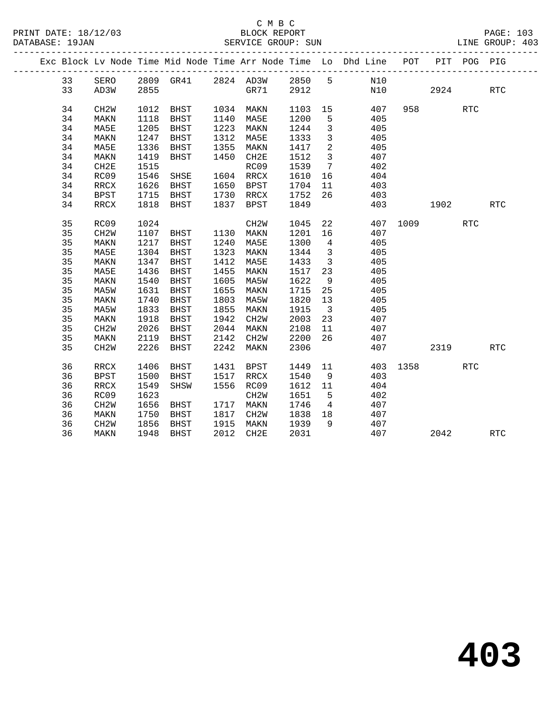|  |    |                   |      |                     |      |           |         |                         | Exc Block Lv Node Time Mid Node Time Arr Node Time Lo Dhd Line POT |          |        | PIT POG PIG |            |
|--|----|-------------------|------|---------------------|------|-----------|---------|-------------------------|--------------------------------------------------------------------|----------|--------|-------------|------------|
|  | 33 | SERO              |      |                     |      |           |         |                         | 2809 GR41 2824 AD3W 2850 5 N10                                     |          |        |             |            |
|  | 33 | AD3W              | 2855 |                     |      | GR71 2912 |         |                         | N10                                                                |          | 2924   |             | RTC        |
|  | 34 | CH <sub>2</sub> W |      | 1012 BHST 1034 MAKN |      |           |         |                         | 1103 15 407                                                        |          | 958 30 | RTC         |            |
|  | 34 | MAKN              | 1118 | BHST 1140 MA5E      |      |           | 1200    | 5 <sup>5</sup>          | 405                                                                |          |        |             |            |
|  | 34 | MA5E              | 1205 | BHST                |      | 1223 MAKN | 1244    | $\overline{\mathbf{3}}$ | 405                                                                |          |        |             |            |
|  | 34 | MAKN              | 1247 | BHST                |      | 1312 MA5E | 1333    | $\overline{\mathbf{3}}$ | 405                                                                |          |        |             |            |
|  | 34 | MA5E              | 1336 | BHST                |      | 1355 MAKN | 1417    | $\overline{2}$          | 405                                                                |          |        |             |            |
|  | 34 | MAKN              | 1419 | BHST                |      | 1450 CH2E | 1512    | $\overline{\mathbf{3}}$ | 407                                                                |          |        |             |            |
|  | 34 | CH2E              | 1515 |                     |      | RC09      | 1539    | $7\phantom{0}$          | 402                                                                |          |        |             |            |
|  | 34 | RC09              | 1546 | SHSE                |      | 1604 RRCX | 1610    | 16                      | 404                                                                |          |        |             |            |
|  | 34 | RRCX              | 1626 | BHST 1650 BPST      |      |           | 1704    | 11                      | 403                                                                |          |        |             |            |
|  | 34 | BPST              | 1715 | BHST                |      | 1730 RRCX | 1752    | 26                      | 403                                                                |          |        |             |            |
|  | 34 | RRCX              |      | 1818 BHST           |      | 1837 BPST | 1849    |                         |                                                                    | 403      | 1902   |             | RTC        |
|  |    |                   |      |                     |      |           |         |                         |                                                                    |          |        |             |            |
|  | 35 | RC09              | 1024 |                     |      | CH2W      | 1045    |                         | 22                                                                 | 407 1009 |        | <b>RTC</b>  |            |
|  | 35 | CH <sub>2</sub> W | 1107 | BHST 1130 MAKN      |      |           | 1201 16 |                         | 407                                                                |          |        |             |            |
|  | 35 | MAKN              | 1217 | BHST 1240 MA5E      |      |           | 1300    | $\overline{4}$          | 405                                                                |          |        |             |            |
|  | 35 | MA5E              | 1304 | BHST                |      | 1323 MAKN | 1344    | $\overline{\mathbf{3}}$ | 405                                                                |          |        |             |            |
|  | 35 | MAKN              | 1347 | BHST                |      | 1412 MA5E | 1433    | $\overline{\mathbf{3}}$ | 405                                                                |          |        |             |            |
|  | 35 | MA5E              | 1436 | BHST                | 1455 | MAKN      | 1517    | 23                      | 405                                                                |          |        |             |            |
|  | 35 | MAKN              | 1540 | BHST                | 1605 | MA5W      | 1622    | 9                       | 405                                                                |          |        |             |            |
|  | 35 | MA5W              | 1631 | BHST                | 1655 | MAKN      | 1715    | 25                      | 405                                                                |          |        |             |            |
|  | 35 | MAKN              | 1740 | BHST                | 1803 | MA5W      | 1820    | 13                      | 405                                                                |          |        |             |            |
|  | 35 | MA5W              | 1833 | BHST                | 1855 | MAKN      | 1915    | $\overline{\mathbf{3}}$ | 405                                                                |          |        |             |            |
|  | 35 | MAKN              | 1918 | BHST                | 1942 | CH2W      | 2003    | 23                      | 407                                                                |          |        |             |            |
|  | 35 | CH2W              | 2026 | BHST                | 2044 | MAKN      | 2108    | 11                      | 407                                                                |          |        |             |            |
|  | 35 | MAKN              | 2119 | BHST                |      | 2142 CH2W | 2200    | 26                      | 407                                                                |          |        |             |            |
|  | 35 | CH <sub>2</sub> W | 2226 | BHST                | 2242 | MAKN      | 2306    |                         |                                                                    | 407 2319 |        |             | RTC        |
|  | 36 | RRCX              | 1406 | BHST                |      | 1431 BPST | 1449    | 11                      |                                                                    | 403 1358 |        | RTC         |            |
|  | 36 | <b>BPST</b>       | 1500 | BHST                |      | 1517 RRCX | 1540    | 9                       | 403                                                                |          |        |             |            |
|  | 36 | RRCX              | 1549 | SHSW                |      | 1556 RC09 | 1612 11 |                         | 404                                                                |          |        |             |            |
|  | 36 | RC09              | 1623 |                     |      | CH2W      | 1651    | $5^{\circ}$             | 402                                                                |          |        |             |            |
|  | 36 | CH <sub>2</sub> W | 1656 | BHST 1717 MAKN      |      |           | 1746    |                         | $4\overline{ }$<br>407                                             |          |        |             |            |
|  | 36 | MAKN              | 1750 | BHST                |      | 1817 CH2W | 1838 18 |                         | 407                                                                |          |        |             |            |
|  | 36 | CH2W              | 1856 | BHST                |      | 1915 MAKN | 1939    | 9                       | 407                                                                |          |        |             |            |
|  | 36 | MAKN              |      | 1948 BHST           |      | 2012 CH2E | 2031    |                         | 407                                                                |          | 2042   |             | <b>RTC</b> |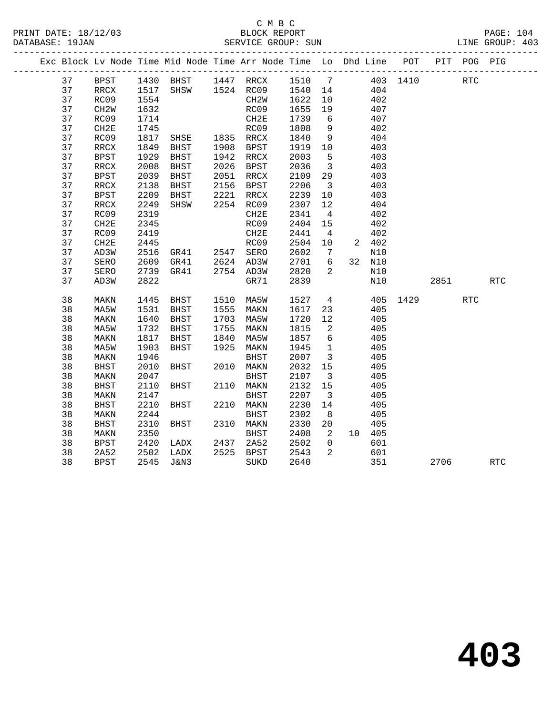|  |          |                          |              |                                          |      | Exc Block Lv Node Time Mid Node Time Arr Node Time Lo Dhd Line POT |              |                               |     |            |      |      | PIT POG PIG |            |
|--|----------|--------------------------|--------------|------------------------------------------|------|--------------------------------------------------------------------|--------------|-------------------------------|-----|------------|------|------|-------------|------------|
|  | 37       | BPST                     |              |                                          |      | 1430 BHST 1447 RRCX 1510 7 403 1410                                |              |                               |     |            |      |      | <b>RTC</b>  |            |
|  | 37       | RRCX                     |              |                                          |      | 1517 SHSW 1524 RC09 1540 14                                        |              |                               | 404 |            |      |      |             |            |
|  | 37       | RC09                     | 1554         |                                          |      | CH2W                                                               | 1622         | 10                            |     | 402        |      |      |             |            |
|  | 37       | CH <sub>2</sub> W        | 1632         |                                          |      | RC09                                                               | 1655         | 19                            |     | 407        |      |      |             |            |
|  | 37       | RC09                     | 1714         |                                          |      | CH2E                                                               | 1739         | 6                             |     | 407        |      |      |             |            |
|  | 37       | CH2E                     | 1745         |                                          |      |                                                                    | 1808         | 9                             |     | 402        |      |      |             |            |
|  | 37       | RC09                     | 1817         | RC09<br>SHSE 1835 RRCX<br>BHST 1908 BPST |      |                                                                    | 1840         | 9                             |     | 404        |      |      |             |            |
|  | 37       | $\verb!RRCX!$            | 1849         |                                          |      |                                                                    | 1919         | 10                            |     | 403        |      |      |             |            |
|  | 37       | <b>BPST</b>              | 1929         | BHST                                     |      | 1942 RRCX                                                          | 2003         | $5^{\circ}$                   |     | 403        |      |      |             |            |
|  | 37       | $\mathop{\mathrm{RRCX}}$ | 2008         | BHST                                     | 2026 | BPST                                                               | 2036         | $\overline{\mathbf{3}}$       |     | 403        |      |      |             |            |
|  | 37       | <b>BPST</b>              | 2039         | BHST                                     |      | 2051 RRCX                                                          | 2109         | 29                            |     | 403        |      |      |             |            |
|  | 37       | RRCX                     | 2138         | BHST                                     |      | 2156 BPST                                                          | 2206         | $\overline{\mathbf{3}}$       |     | 403        |      |      |             |            |
|  | 37       | <b>BPST</b>              | 2209         | BHST                                     |      | 2221 RRCX                                                          | 2239         | 10                            |     | 403        |      |      |             |            |
|  | 37       | $\mathop{\mathrm{RRCX}}$ | 2249         | SHSW                                     |      | 2254 RC09                                                          | 2307         | 12                            |     | 404        |      |      |             |            |
|  | 37       | RC09                     | 2319         |                                          |      | CH2E                                                               | 2341         | $\overline{4}$                |     | 402        |      |      |             |            |
|  | 37       | CH2E                     | 2345         |                                          |      | RC09                                                               | 2404         | 15                            |     | 402        |      |      |             |            |
|  | 37       | RC09                     | 2419         |                                          |      | CH2E                                                               | 2441         | $\overline{4}$                |     | 402        |      |      |             |            |
|  | 37       | CH2E                     | 2445         |                                          |      | RC09                                                               | 2504         | 10                            |     | 2 402      |      |      |             |            |
|  | 37       | AD3W                     | 2516         | GR41 2547 SERO                           |      |                                                                    | 2602         | $\overline{7}$                |     | N10        |      |      |             |            |
|  | 37       | SERO                     | 2609         | GR41  2624  AD3W<br>GR41  2754  AD3W     |      |                                                                    |              | 6                             |     | 32 N10     |      |      |             |            |
|  | 37       | SERO                     | 2739         |                                          |      |                                                                    | 2701<br>2820 | 2                             |     | N10        |      |      |             |            |
|  | 37       | AD3W                     | 2822         |                                          |      | GR71                                                               | 2839         |                               |     | N10        |      | 2851 |             | <b>RTC</b> |
|  |          |                          |              |                                          |      |                                                                    |              |                               |     |            |      |      |             |            |
|  | 38       | MAKN                     | 1445         | BHST                                     |      | 1510 MA5W                                                          | 1527         | $\overline{4}$                |     | 405        | 1429 |      | <b>RTC</b>  |            |
|  | 38       | MA5W                     | 1531         | BHST                                     |      | 1555 MAKN                                                          | 1617         | 23                            |     | 405        |      |      |             |            |
|  | 38       | MAKN                     | 1640         | BHST                                     | 1703 | MA5W                                                               | 1720         | 12                            |     | 405        |      |      |             |            |
|  | 38       | MA5W                     | 1732         | BHST                                     | 1755 | MAKN                                                               | 1815         | $\overline{2}$                |     | 405        |      |      |             |            |
|  | 38       | MAKN                     | 1817         | BHST                                     | 1840 | MA5W                                                               | 1857         | $6\overline{6}$               |     | 405        |      |      |             |            |
|  | 38       | MA5W                     | 1903         | BHST                                     | 1925 | MAKN                                                               | 1945         | $\overline{1}$                |     | 405        |      |      |             |            |
|  | 38       | MAKN                     | 1946         |                                          |      | BHST                                                               | 2007         | $\overline{\mathbf{3}}$<br>15 |     | 405        |      |      |             |            |
|  | 38<br>38 | <b>BHST</b>              | 2010<br>2047 | BHST                                     |      | 2010 MAKN<br><b>BHST</b>                                           | 2032<br>2107 |                               |     | 405<br>405 |      |      |             |            |
|  | 38       | MAKN                     | 2110         | BHST                                     |      | 2110 MAKN                                                          | 2132         | $\overline{\mathbf{3}}$<br>15 |     | 405        |      |      |             |            |
|  | 38       | <b>BHST</b>              | 2147         |                                          |      | <b>BHST</b>                                                        | 2207         | $\overline{\mathbf{3}}$       |     | 405        |      |      |             |            |
|  |          | MAKN                     |              |                                          |      |                                                                    |              |                               |     |            |      |      |             |            |
|  | 38<br>38 | <b>BHST</b>              | 2210<br>2244 | BHST                                     |      | 2210 MAKN                                                          | 2230<br>2302 | 14                            |     | 405<br>405 |      |      |             |            |
|  | 38       | MAKN<br><b>BHST</b>      | 2310         | BHST                                     |      | BHST<br>2310 MAKN                                                  | 2330         | 8 <sup>8</sup><br>20          |     | 405        |      |      |             |            |
|  | 38       |                          | 2350         |                                          |      | <b>BHST</b>                                                        | 2408         | $\overline{2}$                |     | 10 405     |      |      |             |            |
|  | 38       | MAKN                     | 2420         |                                          | 2437 | 2A52                                                               | 2502         | $\overline{0}$                |     | 601        |      |      |             |            |
|  |          | <b>BPST</b>              |              | LADX                                     |      | 2525 BPST                                                          |              | 2                             |     |            |      |      |             |            |
|  | 38       | 2A52                     | 2502         | LADX                                     |      |                                                                    | 2543         |                               |     | 601        |      |      |             |            |
|  | 38       | <b>BPST</b>              | 2545         | J&N3                                     |      | SUKD                                                               | 2640         |                               |     | 351        |      | 2706 |             | RTC        |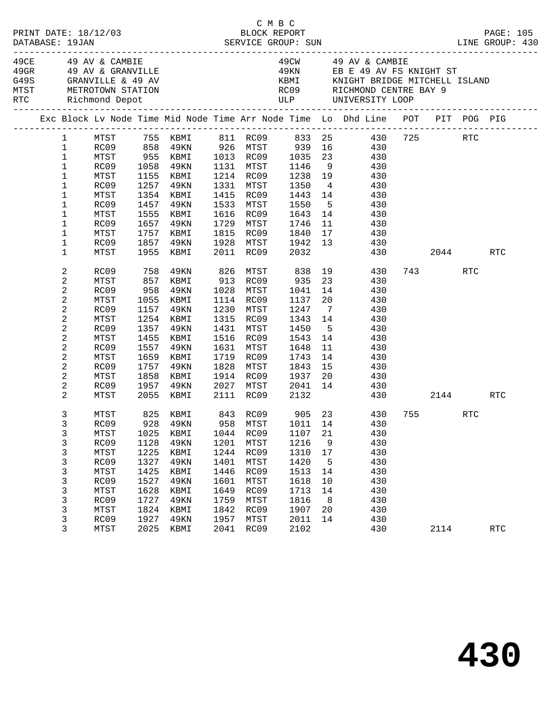|  |  |                                                                                                               |                                                                                              |                                                                              |                                                                                                                                   |                                                                              | C M B C                                                                                              |                                                                              |                                                          | LINE GROUP: 430                                                                                                                                                                                                                                                 |          |            | PAGE: 105            |
|--|--|---------------------------------------------------------------------------------------------------------------|----------------------------------------------------------------------------------------------|------------------------------------------------------------------------------|-----------------------------------------------------------------------------------------------------------------------------------|------------------------------------------------------------------------------|------------------------------------------------------------------------------------------------------|------------------------------------------------------------------------------|----------------------------------------------------------|-----------------------------------------------------------------------------------------------------------------------------------------------------------------------------------------------------------------------------------------------------------------|----------|------------|----------------------|
|  |  |                                                                                                               | MTST METROTOWN STATION<br>RTC Richmond Depot<br>____________________________                 |                                                                              | 49CE               49   AV   &  CAMBIE<br>49GR              49   AV   &  GRANVILLE<br>G49S                GRANVILLE   &   49   AV |                                                                              |                                                                                                      |                                                                              |                                                          | 49CW 49 AV & CAMBIE<br>ROOS RICHMOND CENTRE BAY 9<br>ULP UNIVERSITY LOOP                                                                                                                                                                                        |          |            |                      |
|  |  |                                                                                                               |                                                                                              |                                                                              |                                                                                                                                   |                                                                              |                                                                                                      |                                                                              |                                                          | Exc Block Lv Node Time Mid Node Time Arr Node Time Lo Dhd Line POT PIT POG PIG                                                                                                                                                                                  |          |            |                      |
|  |  | 1<br>$\mathbf{1}$<br>$\mathbf 1$<br>$\mathbf{1}$<br>$\mathbf 1$<br>$\mathbf{1}$<br>1<br>1<br>1<br>1<br>1<br>1 | MTST<br>MTST<br>RC09<br>MTST<br>RC09<br>MTST<br>RC09<br>MTST<br>RC09                         | 1257<br>1457<br>1555<br>1657                                                 | 1155 KBMI<br>49KN<br>1354 KBMI<br>49KN<br>KBMI<br>49KN<br>1757 KBMI<br>1857 49KN                                                  |                                                                              | 1214 RC09<br>1331 MTST<br>1415 RC09<br>1533 MTST<br>1616 RC09<br>1729 MTST<br>1815 RC09<br>1928 MTST | 1238 19<br>1350<br>1443<br>1550<br>1643<br>1746<br>1840<br>1942              | 11<br>17<br>13                                           | MTST 755 KBMI 811 RC09 833 25 430 725<br>RC09 858 49KN 926 MTST 939 16 430<br>MTST 955 KBMI 1013 RC09 1035 23 430<br>RC09 1058 49KN 1131 MTST 1146 9 430<br>430<br>$\begin{array}{ccc} 4 & 430 \\ 14 & 430 \end{array}$<br>5 430<br>14 430<br>430<br>430<br>430 |          | RTC        |                      |
|  |  | $\mathbf 1$<br>2<br>2<br>$\overline{c}$<br>2                                                                  | MTST<br>RC09<br>MTST<br>RC09<br>MTST                                                         | 958<br>1055                                                                  | 1955 KBMI<br>758 49KN<br>857 KBMI<br>49KN<br>KBMI                                                                                 |                                                                              | 2011 RC09 2032<br>826 MTST<br>913 RC09<br>1028 MTST<br>1114 RC09                                     | 838<br>935<br>1041<br>1137                                                   | 23<br>14<br>20                                           | 430 2044 RTC<br>19 430<br>430<br>430<br>430                                                                                                                                                                                                                     | 743 — 10 | RTC        |                      |
|  |  | $\boldsymbol{2}$<br>2<br>$\overline{c}$<br>2<br>$\overline{c}$<br>2                                           | RC09<br>MTST<br>RC09<br>MTST<br>RC09<br>MTST                                                 | 1157<br>1357<br>1455<br>1557                                                 | 49KN<br>1254 KBMI<br>49KN<br>KBMI<br>49KN<br>1659 KBMI                                                                            | 1431<br>1516                                                                 | 1230 MTST<br>1315 RC09<br>MTST<br>RC09<br>1631 MTST<br>1719 RC09                                     | 1247<br>1343<br>1450<br>1543<br>1648<br>1743                                 | $\overline{7}$<br>14<br>5 <sup>5</sup><br>14<br>11<br>14 | 430<br>430<br>430<br>430<br>430<br>430                                                                                                                                                                                                                          |          |            |                      |
|  |  | $\overline{c}$<br>2<br>2<br>2                                                                                 | RC09<br>MTST<br>RC09<br>MTST                                                                 | 1757<br>1858                                                                 | 49KN<br>KBMI<br>1957 49KN<br>2055 KBMI                                                                                            |                                                                              | 1828 MTST<br>1914 RC09<br>2027 MTST<br>2111 RC09                                                     | 1843<br>1937<br>2041<br>2132                                                 | 15<br>20<br>14                                           | 430<br>430<br>430<br>430                                                                                                                                                                                                                                        |          | 2144 RTC   |                      |
|  |  | 3<br>$\mathfrak{Z}$<br>3<br>3<br>3<br>3<br>3<br>3<br>3<br>3<br>3<br>3                                         | MTST<br>RC09<br>MTST<br>RC09<br>MTST<br>RC09<br>MTST<br>RC09<br>MTST<br>RC09<br>MTST<br>RC09 | 1025<br>1128<br>1225<br>1327<br>1425<br>1527<br>1628<br>1727<br>1824<br>1927 | 825 KBMI<br>928 49KN<br>KBMI<br>49KN<br>KBMI<br><b>49KN</b><br>KBMI<br>49KN<br>KBMI<br>49KN<br>KBMI<br>49KN                       | 1044<br>1201<br>1244<br>1401<br>1446<br>1601<br>1649<br>1759<br>1842<br>1957 | 958 MTST 1011 14<br>RC09<br>MTST<br>RC09<br>MTST<br>RC09<br>MTST<br>RC09<br>MTST<br>RC09<br>MTST     | 1107<br>1216<br>1310<br>1420<br>1513<br>1618<br>1713<br>1816<br>1907<br>2011 | 21<br>9<br>17<br>5<br>14<br>10<br>14<br>8<br>20<br>14    | 843 RC09 905 23 430 755<br>430<br>430<br>430<br>430<br>430<br>430<br>430<br>430<br>430<br>430<br>430                                                                                                                                                            |          | <b>RTC</b> |                      |
|  |  | 3                                                                                                             | MTST                                                                                         | 2025                                                                         | KBMI                                                                                                                              | 2041                                                                         | RC09                                                                                                 | 2102                                                                         |                                                          | 430                                                                                                                                                                                                                                                             | 2114     |            | $\operatorname{RTC}$ |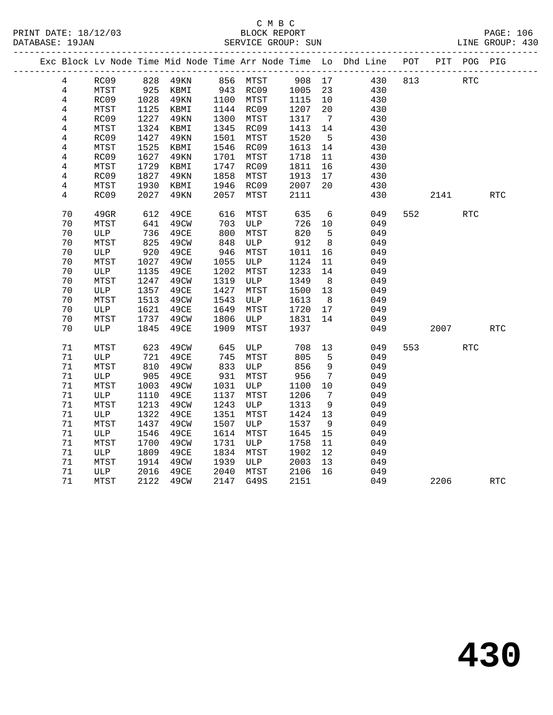|  |                |      |      |             |      |                       |        |                 | Exc Block Lv Node Time Mid Node Time Arr Node Time Lo Dhd Line POT |     |                             | PIT POG PIG |            |
|--|----------------|------|------|-------------|------|-----------------------|--------|-----------------|--------------------------------------------------------------------|-----|-----------------------------|-------------|------------|
|  | $\overline{4}$ | RC09 |      | 828 49KN    |      | 856 MTST              | 908 17 |                 | 430                                                                | 813 |                             | <b>RTC</b>  |            |
|  | $\overline{4}$ | MTST | 925  | KBMI        |      | 943 RC09<br>1100 MTCT | 1005   | 23              | 430                                                                |     |                             |             |            |
|  | $\overline{4}$ | RC09 | 1028 | 49KN        |      | 1100 MTST             | 1115   | 10              | 430                                                                |     |                             |             |            |
|  | 4              | MTST | 1125 | KBMI        |      | 1144 RC09             | 1207   | 20              | 430                                                                |     |                             |             |            |
|  | 4              | RC09 | 1227 | 49KN        | 1300 | MTST                  | 1317   | $\overline{7}$  | 430                                                                |     |                             |             |            |
|  | $\overline{4}$ | MTST | 1324 | KBMI        | 1345 | RC09                  | 1413   | 14              | 430                                                                |     |                             |             |            |
|  | 4              | RC09 | 1427 | 49KN        | 1501 | MTST                  | 1520   | $5^{\circ}$     | 430                                                                |     |                             |             |            |
|  | 4              | MTST | 1525 | KBMI        | 1546 | RC09                  | 1613   | 14              | 430                                                                |     |                             |             |            |
|  | $\overline{4}$ | RC09 | 1627 | 49KN        | 1701 | MTST                  | 1718   | 11              | 430                                                                |     |                             |             |            |
|  | 4              | MTST | 1729 | KBMI        | 1747 | RC09                  | 1811   | 16              | 430                                                                |     |                             |             |            |
|  | $\overline{4}$ | RC09 | 1827 | 49KN        | 1858 | MTST                  | 1913   | 17              | 430                                                                |     |                             |             |            |
|  | $\overline{4}$ | MTST | 1930 | KBMI        | 1946 | RC09                  | 2007   | 20              | 430                                                                |     |                             |             |            |
|  | 4              | RC09 | 2027 | <b>49KN</b> | 2057 | MTST                  | 2111   |                 | 430                                                                |     | 2141                        |             | RTC        |
|  |                |      |      |             |      |                       |        |                 |                                                                    |     |                             |             |            |
|  | 70             | 49GR | 612  | 49CE        | 616  | MTST                  | 635    | 6               | 049                                                                |     | 552 and the state of $\sim$ | <b>RTC</b>  |            |
|  | 70             | MTST | 641  | 49CW        | 703  | ULP                   | 726    | 10              | 049                                                                |     |                             |             |            |
|  | 70             | ULP  | 736  | 49CE        | 800  | MTST                  | 820    | $5^{\circ}$     | 049                                                                |     |                             |             |            |
|  | 70             | MTST | 825  | 49CW        | 848  | ULP                   | 912    | 8 <sup>8</sup>  | 049                                                                |     |                             |             |            |
|  | 70             | ULP  | 920  | 49CE        | 946  | MTST                  | 1011   | 16              | 049                                                                |     |                             |             |            |
|  | 70             | MTST | 1027 | 49CW        | 1055 | ULP                   | 1124   | 11              | 049                                                                |     |                             |             |            |
|  | 70             | ULP  | 1135 | 49CE        | 1202 | MTST                  | 1233   | 14              | 049                                                                |     |                             |             |            |
|  | 70             | MTST | 1247 | 49CW        | 1319 | ULP                   | 1349   | 8 <sup>8</sup>  | 049                                                                |     |                             |             |            |
|  | 70             | ULP  | 1357 | 49CE        | 1427 | MTST                  | 1500   | 13              | 049                                                                |     |                             |             |            |
|  | 70             | MTST | 1513 | 49CW        | 1543 | ULP                   | 1613   | 8 <sup>8</sup>  | 049                                                                |     |                             |             |            |
|  | 70             | ULP  | 1621 | 49CE        | 1649 | MTST                  | 1720   | 17              | 049                                                                |     |                             |             |            |
|  | 70             | MTST | 1737 | 49CW        | 1806 | <b>ULP</b>            | 1831   | 14              | 049                                                                |     |                             |             |            |
|  | 70             | ULP  | 1845 | 49CE        | 1909 | MTST                  | 1937   |                 | 049                                                                |     | 2007                        |             | <b>RTC</b> |
|  |                |      |      |             |      |                       |        |                 |                                                                    |     |                             |             |            |
|  | 71             | MTST | 623  | 49CW        | 645  | ULP                   | 708    | 13              | 049                                                                | 553 |                             | <b>RTC</b>  |            |
|  | 71             | ULP  | 721  | 49CE        | 745  | MTST                  | 805    | $5^{\circ}$     | 049                                                                |     |                             |             |            |
|  | 71             | MTST | 810  | 49CW        | 833  | ULP                   | 856    | 9               | 049                                                                |     |                             |             |            |
|  | 71             | ULP  | 905  | 49CE        | 931  | MTST                  | 956    | $7\phantom{.0}$ | 049                                                                |     |                             |             |            |
|  | 71             | MTST | 1003 | 49CW        | 1031 | ULP                   | 1100   | 10              | 049                                                                |     |                             |             |            |
|  | $71$           | ULP  | 1110 | 49CE        | 1137 | MTST                  | 1206   | $7\overline{ }$ | 049                                                                |     |                             |             |            |
|  | 71             | MTST | 1213 | 49CW        | 1243 | ULP                   | 1313   | 9               | 049                                                                |     |                             |             |            |
|  | 71             | ULP  | 1322 | 49CE        | 1351 | MTST                  | 1424   | 13              | 049                                                                |     |                             |             |            |
|  | 71             | MTST | 1437 | 49CW        | 1507 | ULP                   | 1537   | 9               | 049                                                                |     |                             |             |            |
|  | $71$           | ULP  | 1546 | 49CE        | 1614 | MTST                  | 1645   | 15              | 049                                                                |     |                             |             |            |
|  | $71$           | MTST | 1700 | 49CW        | 1731 | ULP                   | 1758   | 11              | 049                                                                |     |                             |             |            |
|  | 71             | ULP  | 1809 | 49CE        | 1834 | MTST                  | 1902   | 12              | 049                                                                |     |                             |             |            |
|  | 71             | MTST | 1914 | 49CW        | 1939 | ULP                   | 2003   | 13              | 049                                                                |     |                             |             |            |
|  | 71             | ULP  | 2016 | 49CE        | 2040 | MTST                  | 2106   | 16              | 049                                                                |     |                             |             |            |
|  | 71             | MTST | 2122 | 49CW        |      | 2147 G49S             | 2151   |                 | 049                                                                |     | 2206                        |             | <b>RTC</b> |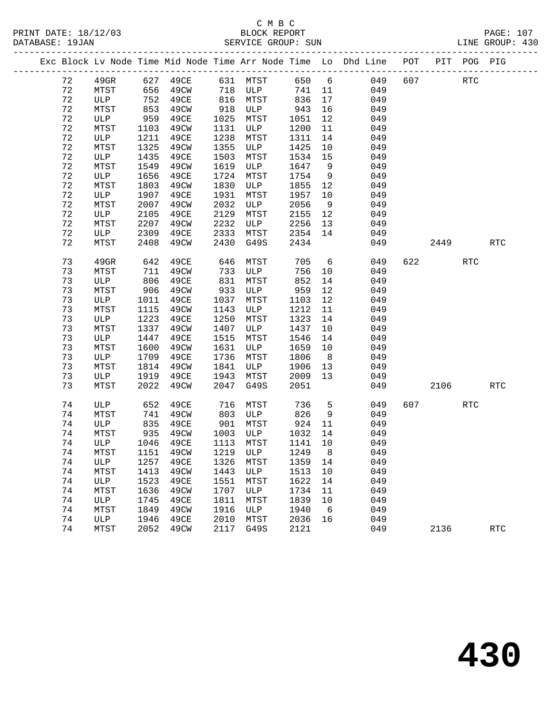#### C M B C<br>BLOCK REPORT PRINT DATE: 18/12/03 BLOCK REPORT PAGE: 107 SERVICE GROUP: SUN

|  |          |                      |              |                                |              |                      |              |                | Exc Block Lv Node Time Mid Node Time Arr Node Time Lo Dhd Line POT PIT POG PIG |     |      |            |            |
|--|----------|----------------------|--------------|--------------------------------|--------------|----------------------|--------------|----------------|--------------------------------------------------------------------------------|-----|------|------------|------------|
|  | 72       | $49$ GR              |              | 627 49CE                       |              | 631 MTST             | 650 6        |                | 049                                                                            | 607 |      | RTC        |            |
|  | 72       | MTST                 | 656          | 49CW                           | 718          | ULP                  | 741          | 11             | 049                                                                            |     |      |            |            |
|  | 72       | ULP                  | 752          | 49CE                           | 816          | MTST                 | 836          | 17             | 049                                                                            |     |      |            |            |
|  | 72       | MTST                 | 853          | 49CW                           | 918          | ULP                  | 943          | 16             | 049                                                                            |     |      |            |            |
|  | 72       | ULP                  | 959          | 49CE                           | 1025         | MTST                 | 1051         | 12             | 049                                                                            |     |      |            |            |
|  | $7\,2$   | MTST                 | 1103         | 49CW                           | 1131         | ULP                  | 1200         | 11             | 049                                                                            |     |      |            |            |
|  | 72       | ULP                  | 1211         | 49CE                           | 1238         | MTST                 | 1311         | 14             | 049                                                                            |     |      |            |            |
|  | 72       | MTST                 | 1325         | 49CW                           | 1355         | ULP                  | 1425         | 10             | 049                                                                            |     |      |            |            |
|  | 72       | ULP                  | 1435         | 49CE                           | 1503         | MTST                 | 1534         | 15             | 049                                                                            |     |      |            |            |
|  | 72       | MTST                 | 1549         | 49CW                           | 1619         | ULP                  | 1647         | 9              | 049                                                                            |     |      |            |            |
|  | 72       | ULP                  | 1656         | 49CE                           | 1724         | MTST                 | 1754         | 9              | 049                                                                            |     |      |            |            |
|  | 72       | MTST                 | 1803         | 49CW                           | 1830         | ULP                  | 1855         | 12             | 049                                                                            |     |      |            |            |
|  | 72       | ULP                  | 1907         | 49CE                           | 1931         | MTST                 | 1957         | 10             | 049                                                                            |     |      |            |            |
|  | 72       | MTST                 | 2007         | 49CW                           | 2032         | ULP                  | 2056         | 9              | 049                                                                            |     |      |            |            |
|  | 72       | ULP                  | 2105         | 49CE                           | 2129         | MTST                 | 2155         | 12             | 049                                                                            |     |      |            |            |
|  | 72       | MTST                 | 2207         | 49CW                           | 2232         | ULP                  | 2256         | 13             | 049                                                                            |     |      |            |            |
|  | 72       | ULP                  | 2309         | 49CE                           | 2333         | MTST                 | 2354         | 14             | 049                                                                            |     |      |            |            |
|  | 72       | MTST                 | 2408         | 49CW                           | 2430         | G49S                 | 2434         |                | 049                                                                            |     | 2449 |            | <b>RTC</b> |
|  | 73       | 49GR                 | 642          | 49CE                           | 646          | MTST                 | 705          | 6              | 049                                                                            | 622 |      | <b>RTC</b> |            |
|  | 73       | MTST                 | 711          | 49CW                           | 733          | ULP                  | 756          | 10             | 049                                                                            |     |      |            |            |
|  | 73       | ULP                  | 806          | 49CE                           | 831          | MTST                 | 852          | 14             | 049                                                                            |     |      |            |            |
|  | 73       | MTST                 | 906          | 49CW                           | 933          | ULP                  | 959          | 12             | 049                                                                            |     |      |            |            |
|  | 73       | ULP                  | 1011         | 49CE                           | 1037         | MTST                 | 1103         | 12             | 049                                                                            |     |      |            |            |
|  | 73       | MTST                 | 1115         | 49CW                           | 1143         | ULP                  | 1212         | 11             | 049                                                                            |     |      |            |            |
|  | 73       | ULP                  | 1223         | 49CE                           | 1250         | MTST                 | 1323         | 14             | 049                                                                            |     |      |            |            |
|  | 73       | MTST                 | 1337         | 49CW                           | 1407         | ULP                  | 1437         | 10             | 049                                                                            |     |      |            |            |
|  | 73       | ULP                  | 1447         | 49CE                           | 1515         | MTST                 | 1546         | 14             | 049                                                                            |     |      |            |            |
|  | 73       | MTST                 | 1600         | 49CW                           | 1631         | ULP                  | 1659         | 10             | 049                                                                            |     |      |            |            |
|  | 73       | ULP                  | 1709         | 49CE                           | 1736         | MTST                 | 1806         | 8 <sup>8</sup> | 049                                                                            |     |      |            |            |
|  | 73       | MTST                 | 1814         | 49CW                           | 1841         | ULP                  | 1906         | 13             | 049                                                                            |     |      |            |            |
|  | 73       | ULP                  | 1919         | 49CE                           | 1943         | MTST                 | 2009         | 13             | 049                                                                            |     |      |            |            |
|  | 73       | MTST                 | 2022         | 49CW                           | 2047         | G49S                 | 2051         |                | 049                                                                            |     | 2106 |            | <b>RTC</b> |
|  | 74       | ULP                  | 652          | 49CE                           | 716          | MTST                 | 736          | 5              | 049                                                                            | 607 |      | <b>RTC</b> |            |
|  | 74       | MTST                 | 741          | 49CW                           | 803          | ULP                  | 826          | 9              | 049                                                                            |     |      |            |            |
|  | 74       | ULP                  | 835          | 49CE                           | 901          | MTST                 | 924          | 11             | 049                                                                            |     |      |            |            |
|  | 74       | MTST                 | 935          | 49CW                           | 1003         | ULP                  | 1032         | 14             | 049                                                                            |     |      |            |            |
|  | 74       | ULP                  |              | 1046 49CE                      |              | 1113 MTST            | 1141         | 10             | 049                                                                            |     |      |            |            |
|  | 74       |                      |              | MTST 1151 49CW 1219 ULP 1249 8 |              |                      |              |                | 049                                                                            |     |      |            |            |
|  | 74       | ULP                  | 1257         | 49CE                           | 1326         | MTST                 | 1359         | 14             | 049                                                                            |     |      |            |            |
|  | 74       | MTST                 | 1413         | 49CW                           | 1443         | ULP                  | 1513         | 10             | 049                                                                            |     |      |            |            |
|  | 74       | ULP                  | 1523         | 49CE                           | 1551         | MTST                 | 1622         | 14             | 049                                                                            |     |      |            |            |
|  | 74<br>74 | MTST<br>$_{\rm ULP}$ | 1636         | 49CW                           | 1707<br>1811 | $_{\rm ULP}$<br>MTST | 1734<br>1839 | 11             | 049<br>049                                                                     |     |      |            |            |
|  | 74       |                      | 1745<br>1849 | 49CE<br>49CW                   | 1916         | ULP                  | 1940         | 10<br>6        | 049                                                                            |     |      |            |            |
|  | 74       | MTST<br>ULP          | 1946         | 49CE                           | 2010         | MTST                 | 2036         | 16             | 049                                                                            |     |      |            |            |
|  | 74       | MTST                 | 2052         | 49CW                           | 2117         | G49S                 | 2121         |                | 049                                                                            |     | 2136 |            | <b>RTC</b> |
|  |          |                      |              |                                |              |                      |              |                |                                                                                |     |      |            |            |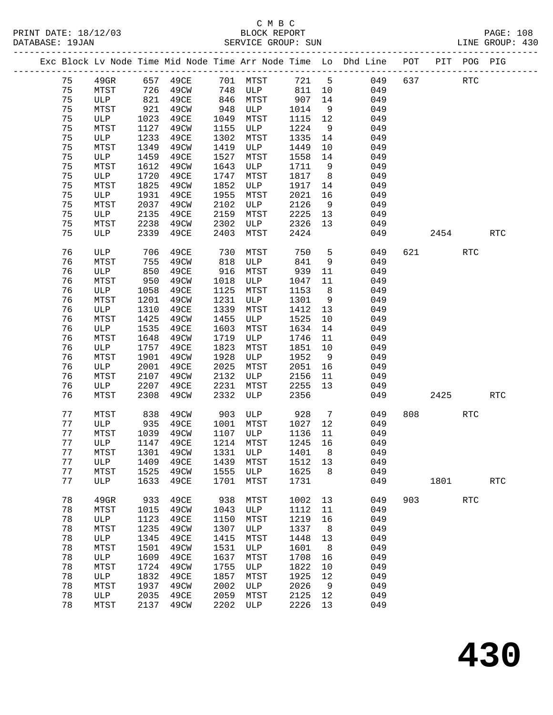#### C M B C SERVICE GROUP: SUN

| 75 |               |      | Exc Block Lv Node Time Mid Node Time Arr Node Time Lo Dhd Line POT PIT POG PIG |      |                |         |                 |     |         |            |            |            |
|----|---------------|------|--------------------------------------------------------------------------------|------|----------------|---------|-----------------|-----|---------|------------|------------|------------|
|    |               |      |                                                                                |      |                |         |                 |     |         |            |            |            |
|    | 49GR 657 49CE |      |                                                                                |      | 701 MTST 721 5 |         |                 |     | 049 637 | <b>RTC</b> |            |            |
| 75 | MTST          | 726  | 49CW                                                                           | 748  | <b>ULP</b>     | 811 10  |                 | 049 |         |            |            |            |
| 75 | ULP           | 821  | 49CE                                                                           | 846  | MTST           | 907 14  |                 | 049 |         |            |            |            |
| 75 | MTST          | 921  | 49CW                                                                           | 948  | ULP            | 1014    | 9               | 049 |         |            |            |            |
| 75 | ULP           | 1023 | 49CE                                                                           | 1049 | MTST           | 1115 12 |                 | 049 |         |            |            |            |
| 75 | MTST          | 1127 | 49CW                                                                           | 1155 | ULP            | 1224    | 9               | 049 |         |            |            |            |
| 75 | ULP           | 1233 | 49CE                                                                           | 1302 | MTST           | 1335    | 14              | 049 |         |            |            |            |
| 75 | MTST          | 1349 | 49CW                                                                           | 1419 | ULP            | 1449    | 10              | 049 |         |            |            |            |
| 75 | ULP           | 1459 | 49CE                                                                           | 1527 | MTST           | 1558    | 14              | 049 |         |            |            |            |
| 75 | MTST          | 1612 | 49CW                                                                           | 1643 | ULP            | 1711    | 9               | 049 |         |            |            |            |
| 75 | ULP           | 1720 | 49CE                                                                           | 1747 | MTST           | 1817    | 8               | 049 |         |            |            |            |
| 75 | MTST          | 1825 | 49CW                                                                           | 1852 | ULP            | 1917 14 |                 | 049 |         |            |            |            |
| 75 | ULP           | 1931 | 49CE                                                                           | 1955 | MTST           | 2021    | 16              | 049 |         |            |            |            |
| 75 | MTST          | 2037 | 49CW                                                                           | 2102 | ULP            | 2126    | 9               | 049 |         |            |            |            |
| 75 | ULP           | 2135 | 49CE                                                                           | 2159 | MTST           | 2225    | 13              | 049 |         |            |            |            |
| 75 | MTST          | 2238 | 49CW                                                                           | 2302 | ULP            | 2326    | 13              | 049 |         |            |            |            |
| 75 | ULP           | 2339 | 49CE                                                                           | 2403 | MTST           | 2424    |                 | 049 |         | 2454       |            | <b>RTC</b> |
| 76 | ULP           | 706  | 49CE                                                                           | 730  | MTST           | 750     | 5               | 049 | 621     |            | <b>RTC</b> |            |
| 76 | MTST          | 755  | 49CW                                                                           | 818  | ULP            | 841     | 9               | 049 |         |            |            |            |
| 76 | ULP           | 850  | 49CE                                                                           | 916  | MTST           | 939     | 11              | 049 |         |            |            |            |
| 76 | MTST          | 950  | 49CW                                                                           | 1018 | ULP            | 1047    | 11              | 049 |         |            |            |            |
| 76 | ULP           | 1058 | 49CE                                                                           | 1125 | MTST           | 1153    | 8               | 049 |         |            |            |            |
| 76 | MTST          | 1201 | 49CW                                                                           | 1231 | ULP            | 1301    | 9               | 049 |         |            |            |            |
| 76 | ULP           | 1310 | 49CE                                                                           | 1339 | MTST           | 1412    | 13              | 049 |         |            |            |            |
| 76 | MTST          | 1425 | 49CW                                                                           | 1455 | ULP            | 1525    | 10              | 049 |         |            |            |            |
| 76 | ULP           | 1535 | 49CE                                                                           | 1603 | MTST           | 1634    | 14              | 049 |         |            |            |            |
| 76 | MTST          | 1648 | 49CW                                                                           | 1719 | ULP            | 1746    | 11              | 049 |         |            |            |            |
| 76 | ULP           | 1757 | 49CE                                                                           | 1823 | MTST           | 1851    | 10              | 049 |         |            |            |            |
| 76 | MTST          | 1901 | 49CW                                                                           | 1928 | ULP            | 1952    | 9               | 049 |         |            |            |            |
| 76 | ULP           | 2001 | 49CE                                                                           | 2025 | MTST           | 2051    | 16              | 049 |         |            |            |            |
| 76 | MTST          | 2107 | 49CW                                                                           | 2132 | ULP            | 2156    | 11              | 049 |         |            |            |            |
| 76 | ULP           | 2207 | 49CE                                                                           | 2231 | MTST           | 2255    | 13              | 049 |         |            |            |            |
| 76 | MTST          | 2308 | 49CW                                                                           | 2332 | ULP            | 2356    |                 | 049 |         | 2425       |            | <b>RTC</b> |
| 77 | MTST          | 838  | 49CW                                                                           | 903  | ULP            | 928     | $7\overline{ }$ | 049 | 808     | <b>RTC</b> |            |            |
| 77 | ULP           | 935  | 49CE                                                                           | 1001 | MTST           | 1027    | 12              | 049 |         |            |            |            |
| 77 | MTST          | 1039 | 49CW                                                                           | 1107 | ULP            | 1136    | 11              | 049 |         |            |            |            |
| 77 | ULP           | 1147 | 49CE                                                                           | 1214 | MTST           | 1245    | 16              | 049 |         |            |            |            |
| 77 | MTST          | 1301 | 49CW                                                                           | 1331 | ULP            | 1401    | 8               | 049 |         |            |            |            |
| 77 | ULP           | 1409 | 49CE                                                                           | 1439 | MTST           | 1512    | 13              | 049 |         |            |            |            |
| 77 | MTST          | 1525 | 49CW                                                                           | 1555 | <b>ULP</b>     | 1625    | 8 <sup>8</sup>  | 049 |         |            |            |            |
| 77 | ULP           | 1633 | 49CE                                                                           |      | 1701 MTST      | 1731    |                 | 049 |         | 1801       |            | RTC        |

78 49GR 933 49CE 938 MTST 1002 13 049 903 RTC

78 MTST 1015 49CW 1043 ULP 1112 11 049

 78 ULP 1345 49CE 1415 MTST 1448 13 049 78 MTST 1501 49CW 1531 ULP 1601 8 049 78 ULP 1609 49CE 1637 MTST 1708 16 049 78 MTST 1724 49CW 1755 ULP 1822 10 049 78 ULP 1832 49CE 1857 MTST 1925 12 049

78 MTST 2137 49CW 2202 ULP 2226 13 049

 78 ULP 1123 49CE 1150 MTST 1219 16 049 78 MTST 1235 49CW 1307 ULP 1337 8 049

 78 MTST 1937 49CW 2002 ULP 2026 9 049 78 ULP 2035 49CE 2059 MTST 2125 12 049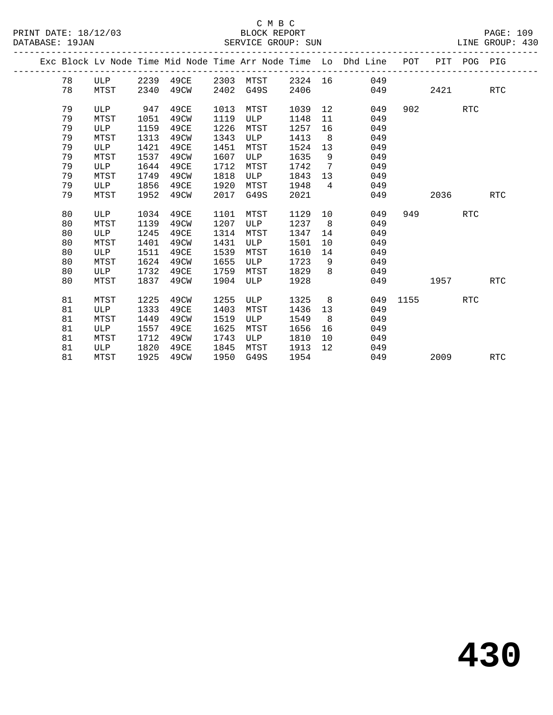## C M B C<br>BLOCK REPORT SERVICE GROUP: SUN

|  |    |            |      |           |      |      |         |                   | Exc Block Lv Node Time Mid Node Time Arr Node Time Lo Dhd Line POT |      |      | PIT POG PIG |            |
|--|----|------------|------|-----------|------|------|---------|-------------------|--------------------------------------------------------------------|------|------|-------------|------------|
|  | 78 | ULP        |      | 2239 49CE | 2303 | MTST | 2324 16 |                   | 049                                                                |      |      |             |            |
|  | 78 | MTST       | 2340 | 49CW      | 2402 | G49S | 2406    |                   | 049                                                                |      | 2421 |             | <b>RTC</b> |
|  | 79 | ULP        | 947  | 49CE      | 1013 | MTST | 1039    | 12                | 049                                                                | 902  |      | <b>RTC</b>  |            |
|  | 79 | MTST       | 1051 | 49CW      | 1119 | ULP  | 1148    | 11                | 049                                                                |      |      |             |            |
|  | 79 | <b>ULP</b> | 1159 | 49CE      | 1226 | MTST | 1257    | 16                | 049                                                                |      |      |             |            |
|  | 79 | MTST       | 1313 | 49CW      | 1343 | ULP  | 1413    | 8                 | 049                                                                |      |      |             |            |
|  | 79 | ULP        | 1421 | 49CE      | 1451 | MTST | 1524    | 13                | 049                                                                |      |      |             |            |
|  | 79 | MTST       | 1537 | 49CW      | 1607 | ULP  | 1635    | $\overline{9}$    | 049                                                                |      |      |             |            |
|  | 79 | ULP        | 1644 | 49CE      | 1712 | MTST | 1742    | 7                 | 049                                                                |      |      |             |            |
|  | 79 | MTST       | 1749 | 49CW      | 1818 | ULP  | 1843    | 13                | 049                                                                |      |      |             |            |
|  | 79 | ULP        | 1856 | 49CE      | 1920 | MTST | 1948    | $\overline{4}$    | 049                                                                |      |      |             |            |
|  | 79 | MTST       | 1952 | 49CW      | 2017 | G49S | 2021    |                   | 049                                                                |      | 2036 |             | RTC        |
|  |    |            |      |           |      |      |         |                   |                                                                    |      |      |             |            |
|  | 80 | ULP        | 1034 | 49CE      | 1101 | MTST | 1129    | 10                | 049                                                                | 949  |      | <b>RTC</b>  |            |
|  | 80 | MTST       | 1139 | 49CW      | 1207 | ULP  | 1237    | 8                 | 049                                                                |      |      |             |            |
|  | 80 | ULP        | 1245 | 49CE      | 1314 | MTST | 1347    | 14                | 049                                                                |      |      |             |            |
|  | 80 | MTST       | 1401 | 49CW      | 1431 | ULP  | 1501    | 10                | 049                                                                |      |      |             |            |
|  | 80 | ULP        | 1511 | 49CE      | 1539 | MTST | 1610    | 14                | 049                                                                |      |      |             |            |
|  | 80 | MTST       | 1624 | 49CW      | 1655 | ULP  | 1723    | 9                 | 049                                                                |      |      |             |            |
|  | 80 | ULP        | 1732 | 49CE      | 1759 | MTST | 1829    | 8                 | 049                                                                |      |      |             |            |
|  | 80 | MTST       | 1837 | 49CW      | 1904 | ULP  | 1928    |                   | 049                                                                |      | 1957 |             | <b>RTC</b> |
|  |    |            |      |           |      |      |         |                   |                                                                    |      |      |             |            |
|  | 81 | MTST       | 1225 | 49CW      | 1255 | ULP  | 1325    | 8                 | 049                                                                | 1155 |      | <b>RTC</b>  |            |
|  | 81 | ULP        | 1333 | 49CE      | 1403 | MTST | 1436    | 13                | 049                                                                |      |      |             |            |
|  | 81 | MTST       | 1449 | 49CW      | 1519 | ULP  | 1549    | 8                 | 049                                                                |      |      |             |            |
|  | 81 | <b>ULP</b> | 1557 | 49CE      | 1625 | MTST | 1656    | 16                | 049                                                                |      |      |             |            |
|  | 81 | MTST       | 1712 | 49CW      | 1743 | ULP  | 1810    | 10                | 049                                                                |      |      |             |            |
|  | 81 | ULP        | 1820 | 49CE      | 1845 | MTST | 1913    | $12 \overline{ }$ | 049                                                                |      |      |             |            |
|  | 81 | MTST       | 1925 | 49CW      | 1950 | G49S | 1954    |                   | 049                                                                |      | 2009 |             | <b>RTC</b> |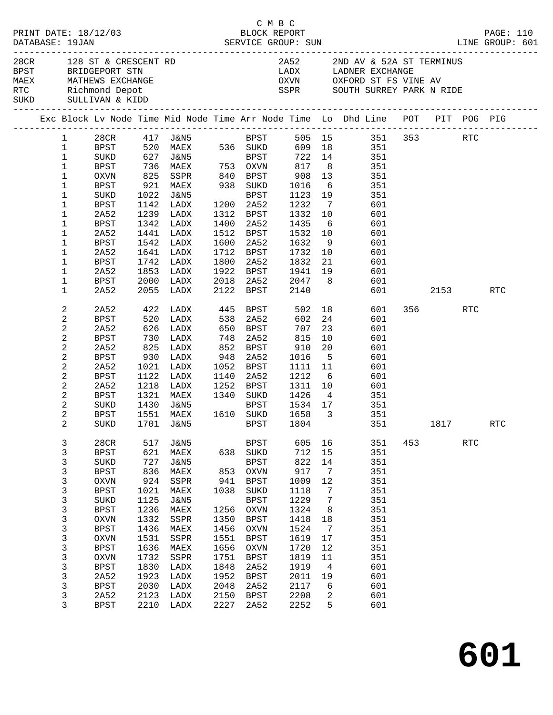| 28CR 128 ST & CRESCENT RD<br>BPST BRIDGEPORT STN<br>MAEX MATHEWS EXCHANGE<br>RTC Richmond Depot<br>SUKD SULLIVAN & KIDD |                        |                     |              | 2A52 2ND AV & 52A ST TERMINUS<br>LADX LADNER EXCHANGE   |              |                           |                                         |                 |                                                                                |     |         |            |            |
|-------------------------------------------------------------------------------------------------------------------------|------------------------|---------------------|--------------|---------------------------------------------------------|--------------|---------------------------|-----------------------------------------|-----------------|--------------------------------------------------------------------------------|-----|---------|------------|------------|
|                                                                                                                         |                        |                     |              |                                                         |              |                           |                                         |                 | OXVN OXFORD ST FS VINE AV                                                      |     |         |            |            |
|                                                                                                                         |                        |                     |              |                                                         |              |                           |                                         |                 | SSPR SOUTH SURREY PARK N RIDE                                                  |     |         |            |            |
|                                                                                                                         |                        |                     |              |                                                         |              |                           |                                         |                 |                                                                                |     |         |            |            |
|                                                                                                                         |                        |                     |              |                                                         |              |                           |                                         |                 | Exc Block Lv Node Time Mid Node Time Arr Node Time Lo Dhd Line POT PIT POG PIG |     |         |            |            |
|                                                                                                                         | $1 \quad \blacksquare$ |                     |              |                                                         |              |                           |                                         |                 | 28CR 417 J&N5 BPST 505 15 351 353 RTC                                          |     |         |            |            |
|                                                                                                                         | $\mathbf{1}$           |                     |              |                                                         |              |                           |                                         |                 | BPST 520 MAEX 536 SUKD 609 18 351                                              |     |         |            |            |
| $\mathbf{1}$                                                                                                            |                        | SUKD                |              | 627 J&N5 BPST<br>736 MAEX 753 OXVN<br>825 SSPR 840 BPST |              |                           |                                         |                 | BPST 722 14 351                                                                |     |         |            |            |
| $\mathbf{1}$                                                                                                            |                        | BPST                |              |                                                         |              |                           |                                         |                 | 351<br>351                                                                     |     |         |            |            |
| $\mathbf{1}$                                                                                                            |                        | OXVN                |              |                                                         |              |                           |                                         |                 |                                                                                |     |         |            |            |
| $\mathbf{1}$                                                                                                            |                        | BPST                |              | 921 MAEX 938 SUKD                                       |              |                           |                                         |                 | 351                                                                            |     |         |            |            |
| 1                                                                                                                       |                        | SUKD                |              | 1022 J&N5                                               |              | BPST                      | 1123 19                                 |                 | 351                                                                            |     |         |            |            |
| 1                                                                                                                       |                        | <b>BPST</b>         |              | 1142 LADX                                               |              | 1200 2A52                 |                                         |                 | 601                                                                            |     |         |            |            |
| 1                                                                                                                       |                        | 2A52                |              | 1239 LADX                                               |              | 1312 BPST                 | 1232 7<br>1332 10<br>1435 6             |                 | 601                                                                            |     |         |            |            |
| 1                                                                                                                       |                        | BPST                |              | 1342 LADX                                               |              | 1400 2A52                 |                                         |                 | 601                                                                            |     |         |            |            |
| 1<br>1                                                                                                                  |                        | 2A52<br><b>BPST</b> | 1542         | 1441 LADX<br>LADX                                       |              | 1600 2A52                 | 1512 BPST 1532 10                       |                 | 601<br>601                                                                     |     |         |            |            |
| 1                                                                                                                       |                        | 2A52                |              | 1641 LADX                                               |              | 1712 BPST                 | 1632 9<br>1732 10                       |                 | 601                                                                            |     |         |            |            |
| 1                                                                                                                       |                        | <b>BPST</b>         |              | 1742 LADX                                               |              | 1800 2A52                 | 1832                                    | 21              | 601                                                                            |     |         |            |            |
| 1                                                                                                                       |                        | 2A52                |              | 1853 LADX                                               |              |                           | 1922 BPST 1941 19                       |                 | 601                                                                            |     |         |            |            |
| 1                                                                                                                       |                        | BPST                |              | 2000 LADX                                               |              |                           |                                         |                 | 601                                                                            |     |         |            |            |
| $\mathbf 1$                                                                                                             |                        | 2A52                |              | 2055 LADX                                               |              |                           | 2018  2A52  2047  8<br>2122  BPST  2140 |                 | 601 000                                                                        |     | 2153    |            | RTC        |
| 2                                                                                                                       |                        | 2A52                |              | 422 LADX 445 BPST                                       |              |                           |                                         |                 | 502 18<br>601                                                                  |     | 356 RTC |            |            |
| 2                                                                                                                       |                        | <b>BPST</b>         | 520          | LADX                                                    | 538          | 2A52                      | 602                                     |                 | 24<br>601                                                                      |     |         |            |            |
| $\sqrt{2}$                                                                                                              |                        | 2A52                |              |                                                         |              |                           | 707                                     | 23              | 601                                                                            |     |         |            |            |
| $\sqrt{2}$                                                                                                              |                        | BPST                |              | 626 LADX<br>730 LADX                                    |              | 650 BPST<br>748 2A52      | 815                                     | 10              | 601                                                                            |     |         |            |            |
| $\overline{c}$                                                                                                          |                        | 2A52                |              | 825 LADX                                                |              | 852 BPST                  | 910                                     | 20              | 601                                                                            |     |         |            |            |
| 2                                                                                                                       |                        | <b>BPST</b>         |              | 930 LADX                                                | 948          | 2A52                      | 1016                                    | $5^{\circ}$     | 601                                                                            |     |         |            |            |
| $\sqrt{2}$                                                                                                              |                        | 2A52                |              | 1021 LADX                                               |              | 1052 BPST                 | 1111 11                                 |                 | 601                                                                            |     |         |            |            |
| $\sqrt{2}$                                                                                                              |                        | BPST                |              | 1122 LADX                                               | 1140         | 2A52                      | 1212                                    | $6\overline{6}$ | 601                                                                            |     |         |            |            |
| $\overline{a}$                                                                                                          |                        | 2A52                |              | 1218 LADX                                               |              |                           | 1252 BPST 1311 10                       |                 | 601                                                                            |     |         |            |            |
|                                                                                                                         | 2                      | BPST                |              | 1321 MAEX                                               |              | 1340 SUKD                 | 1426                                    | $\overline{4}$  | 351                                                                            |     |         |            |            |
| $\sqrt{2}$                                                                                                              |                        | SUKD                | 1430         | J&N5                                                    |              | BPST<br>1610 SUKD<br>BPST | 1534 17<br>1658 <sup>2</sup>            |                 | 351                                                                            |     |         |            |            |
| 2                                                                                                                       |                        | BPST                |              | 1551 MAEX                                               |              |                           | 1658 3                                  |                 | 351                                                                            |     |         |            |            |
| 2                                                                                                                       |                        |                     |              |                                                         |              |                           |                                         |                 | SUKD 1701 J&N5 BPST 1804 351 1817                                              |     |         |            | <b>RTC</b> |
| 3                                                                                                                       |                        | 28CR                | 517          | J&N5                                                    |              | BPST                      | 605                                     | 16              | 351                                                                            | 453 |         | <b>RTC</b> |            |
| $\mathsf 3$                                                                                                             |                        | <b>BPST</b>         | 621          | MAEX                                                    | 638          | SUKD                      | 712                                     | 15              | 351                                                                            |     |         |            |            |
| 3                                                                                                                       |                        | SUKD                | 727          | <b>J&amp;N5</b>                                         |              | <b>BPST</b>               | 822                                     | 14              | 351                                                                            |     |         |            |            |
| 3                                                                                                                       |                        | <b>BPST</b>         | 836          | MAEX                                                    | 853          | OXVN                      | 917                                     | 7               | 351                                                                            |     |         |            |            |
| $\mathsf 3$                                                                                                             |                        | <b>OXVN</b>         | 924          | SSPR                                                    | 941          | <b>BPST</b>               | 1009                                    | 12              | 351                                                                            |     |         |            |            |
| $\mathsf 3$                                                                                                             |                        | <b>BPST</b>         | 1021         | MAEX                                                    | 1038         | SUKD                      | 1118                                    | 7               | 351                                                                            |     |         |            |            |
| 3                                                                                                                       |                        | SUKD                | 1125         | <b>J&amp;N5</b>                                         |              | <b>BPST</b>               | 1229                                    | 7               | 351                                                                            |     |         |            |            |
| $\mathsf 3$                                                                                                             |                        | <b>BPST</b>         | 1236         | MAEX                                                    | 1256         | OXVN                      | 1324                                    | 8               | 351                                                                            |     |         |            |            |
| $\mathsf 3$                                                                                                             |                        | <b>OXVN</b>         | 1332         | SSPR                                                    | 1350         | <b>BPST</b>               | 1418                                    | 18              | 351                                                                            |     |         |            |            |
| $\mathsf 3$                                                                                                             |                        | <b>BPST</b>         | 1436         | MAEX                                                    | 1456         | <b>OXVN</b>               | 1524                                    | $7\phantom{.0}$ | 351                                                                            |     |         |            |            |
| $\mathsf 3$                                                                                                             |                        | <b>OXVN</b>         | 1531         | SSPR                                                    | 1551         | <b>BPST</b>               | 1619                                    | 17              | 351                                                                            |     |         |            |            |
| $\mathsf 3$                                                                                                             |                        | <b>BPST</b>         | 1636         | MAEX                                                    | 1656         | OXVN                      | 1720                                    | 12              | 351                                                                            |     |         |            |            |
| $\mathsf 3$                                                                                                             |                        | <b>OXVN</b>         | 1732         | SSPR                                                    | 1751         | BPST                      | 1819                                    | 11              | 351                                                                            |     |         |            |            |
| $\mathsf 3$                                                                                                             |                        | <b>BPST</b>         | 1830         | LADX                                                    | 1848         | 2A52                      | 1919                                    | $\overline{4}$  | 601                                                                            |     |         |            |            |
| $\mathsf 3$                                                                                                             |                        | 2A52                | 1923         | LADX                                                    | 1952         | <b>BPST</b>               | 2011                                    | 19              | 601                                                                            |     |         |            |            |
| 3<br>3                                                                                                                  |                        | <b>BPST</b><br>2A52 | 2030<br>2123 | LADX<br>LADX                                            | 2048<br>2150 | 2A52                      | 2117<br>2208                            | 6<br>2          | 601<br>601                                                                     |     |         |            |            |
|                                                                                                                         | 3                      | <b>BPST</b>         |              | 2210 LADX                                               | 2227         | BPST<br>2A52              | 2252                                    | 5               | 601                                                                            |     |         |            |            |
|                                                                                                                         |                        |                     |              |                                                         |              |                           |                                         |                 |                                                                                |     |         |            |            |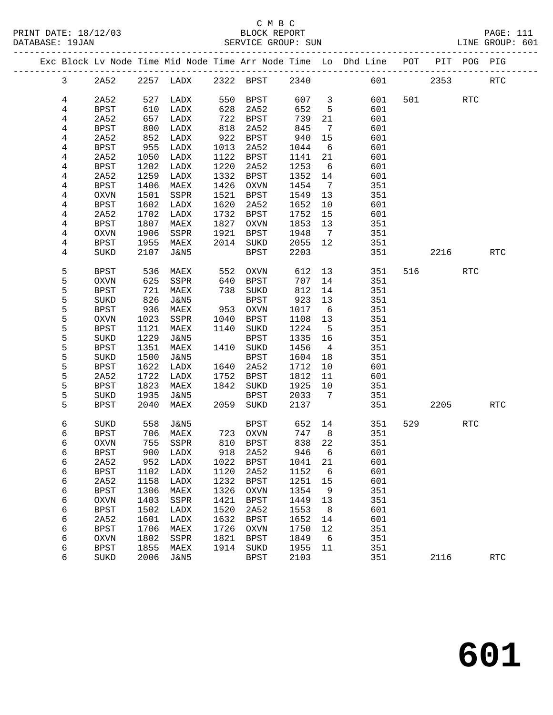## C M B C<br>BLOCK REPORT SERVICE GROUP: SUN

**601**

|                |                     |                 |                          |              |                            |              |                 | Exc Block Lv Node Time Mid Node Time Arr Node Time Lo Dhd Line POT |         |         | PIT POG PIG          |            |
|----------------|---------------------|-----------------|--------------------------|--------------|----------------------------|--------------|-----------------|--------------------------------------------------------------------|---------|---------|----------------------|------------|
| $\mathbf{3}$   | 2A52                |                 | 2257 LADX 2322 BPST 2340 |              |                            |              |                 |                                                                    | 601 000 | 2353    |                      | <b>RTC</b> |
| 4              | 2A52                |                 | 527 LADX                 |              | 550 BPST                   | 607 3        |                 | 601                                                                |         | 501 700 | <b>RTC</b>           |            |
| 4              | BPST                | 610             | LADX                     | 628          | 2A52                       | 652          | $5^{\circ}$     | 601                                                                |         |         |                      |            |
| 4              | 2A52                | 657             | LADX                     |              |                            | 739          | 21              | 601                                                                |         |         |                      |            |
| 4              | BPST                | $\frac{1}{800}$ | LADX                     |              | 722 BPST<br>818 2A52       | 845          | $\overline{7}$  | 601                                                                |         |         |                      |            |
| 4              | 2A52                | 852             | LADX                     |              | 922 BPST                   | 940          | 15              | 601                                                                |         |         |                      |            |
| 4              | BPST                | 955             | LADX                     | 1013         | 2A52                       | 1044         | 6               | 601                                                                |         |         |                      |            |
| $\overline{4}$ | 2A52                | 1050            | LADX                     |              | 1122 BPST                  | 1141         | 21              | 601                                                                |         |         |                      |            |
| $\overline{4}$ | BPST                | 1202            | LADX                     |              | 1220 2A52                  | 1253         | 6               | 601                                                                |         |         |                      |            |
| 4              | 2A52                | 1259            | LADX                     |              | 1332 BPST                  | 1352         | 14              | 601                                                                |         |         |                      |            |
| 4              | BPST                | 1406            | MAEX                     |              | 1426 OXVN                  | 1454         | $\overline{7}$  | 351                                                                |         |         |                      |            |
| 4              | OXVN                | 1501            | SSPR                     |              | 1521 BPST                  | 1549         | 13              | 351                                                                |         |         |                      |            |
| 4              | BPST                | 1602            | LADX                     |              | 1620 2A52                  | 1652         | 10              | 601                                                                |         |         |                      |            |
| 4              | 2A52                | 1702            | LADX                     |              | 1732 BPST                  | 1752         | 15              | 601                                                                |         |         |                      |            |
| 4              | BPST                | 1807            | MAEX                     |              | 1827 OXVN                  | 1853         | 13              | 351                                                                |         |         |                      |            |
| 4              | OXVN                | 1906            | SSPR                     |              | 1921 BPST                  | 1948         | $\overline{7}$  | 351                                                                |         |         |                      |            |
| $\overline{4}$ | BPST                | 1955            | MAEX                     |              | 2014 SUKD                  | 2055 12      |                 | 351                                                                |         |         |                      |            |
| 4              | SUKD                | 2107            | J&N5                     |              | BPST                       | 2203         |                 | 351                                                                |         | 2216    |                      | RTC        |
| 5              | BPST                | 536             | MAEX                     |              | 552 OXVN                   | 612          | 13              | 351                                                                |         | 516 70  | <b>RTC</b>           |            |
| 5              | OXVN                | 625             | SSPR                     |              | 140 BPST)<br>738 Stikn     | 707          | 14              | 351                                                                |         |         |                      |            |
| 5              | BPST                | 721             | MAEX                     |              | 738 SUKD                   | 812          | 14              | 351                                                                |         |         |                      |            |
| 5              | SUKD                | 826             | J&N5                     |              | BPST                       | 923          | 13              | 351                                                                |         |         |                      |            |
| 5              | BPST                | 936             | MAEX                     |              | 953 OXVN                   | 1017         | 6               | 351                                                                |         |         |                      |            |
| 5              | OXVN                | 1023            | SSPR                     |              | 1040 BPST                  | 1108 13      |                 | 351                                                                |         |         |                      |            |
| 5              | BPST                | 1121            | MAEX                     |              | 1140 SUKD                  | 1224         | $5^{\circ}$     | 351                                                                |         |         |                      |            |
| 5              | SUKD                | 1229            | J&N5                     |              | BPST                       | 1335 16      |                 | 351                                                                |         |         |                      |            |
| 5              | BPST                | 1351            | MAEX                     |              | 1410 SUKD                  | 1456         | $\overline{4}$  | 351                                                                |         |         |                      |            |
| 5              | SUKD                | 1500            | J&N5                     |              | <b>BPST</b>                | 1604         | 18              | 351                                                                |         |         |                      |            |
| 5              | <b>BPST</b>         | 1622            | LADX                     |              | 1640 2A52                  | 1712         | 10              | 601                                                                |         |         |                      |            |
| 5              | 2A52                | 1722            | LADX                     |              | 1752 BPST                  | 1812         | 11              | 601                                                                |         |         |                      |            |
| 5              | BPST                | 1823            | MAEX                     |              | 1842 SUKD                  | 1925         | 10              | 351                                                                |         |         |                      |            |
| 5<br>5         | SUKD                | 1935            | J&N5                     |              | BPST                       | 2033<br>2137 | $7\overline{ }$ | 351                                                                |         |         |                      |            |
|                | BPST                | 2040            | MAEX                     |              | 2059 SUKD                  |              |                 | 351                                                                |         | 2205    |                      | RTC        |
| б              | SUKD                | 558             | J&N5                     |              | BPST 652 14                |              |                 | 351                                                                |         | 529 32  | $\operatorname{RTC}$ |            |
| 6              | BPST                |                 | 706 MAEX                 |              | 723 OXVN<br>810 BPST       | 747 8        |                 | 351                                                                |         |         |                      |            |
| 6              | OXVN                |                 | 755 SSPR                 |              | 810 BPST                   | 838 22       |                 | 351                                                                |         |         |                      |            |
| 6              | BPST                |                 | 900 LADX 918 2A52 946 6  |              |                            |              |                 | 601                                                                |         |         |                      |            |
| 6              | 2A52                | 952             | LADX                     | 1022         | BPST                       | 1041         | - 21            | 601                                                                |         |         |                      |            |
| 6              | <b>BPST</b>         | 1102            | LADX                     | 1120         | 2A52                       | 1152         | 6               | 601                                                                |         |         |                      |            |
| 6              | 2A52                | 1158            | LADX                     | 1232         | <b>BPST</b>                | 1251         | 15              | 601                                                                |         |         |                      |            |
| 6              | <b>BPST</b>         | 1306            | MAEX                     | 1326         | <b>OXVN</b>                | 1354         | 9               | 351                                                                |         |         |                      |            |
| 6              | <b>OXVN</b>         | 1403            | SSPR                     | 1421         | <b>BPST</b>                | 1449         | 13              | 351                                                                |         |         |                      |            |
| 6              | <b>BPST</b>         | 1502            | LADX                     | 1520<br>1632 | 2A52                       | 1553         | - 8<br>14       | 601                                                                |         |         |                      |            |
| 6<br>6         | 2A52<br><b>BPST</b> | 1601<br>1706    | LADX<br>MAEX             | 1726         | <b>BPST</b><br><b>OXVN</b> | 1652<br>1750 | 12              | 601<br>351                                                         |         |         |                      |            |
| 6              | <b>OXVN</b>         | 1802            | SSPR                     | 1821         | <b>BPST</b>                | 1849         | $6\overline{6}$ | 351                                                                |         |         |                      |            |
| 6              | <b>BPST</b>         | 1855            | MAEX                     | 1914         | SUKD                       | 1955         | 11              | 351                                                                |         |         |                      |            |
| 6              | SUKD                | 2006            | J&N5                     |              | <b>BPST</b>                | 2103         |                 | 351                                                                |         | 2116    |                      | <b>RTC</b> |
|                |                     |                 |                          |              |                            |              |                 |                                                                    |         |         |                      |            |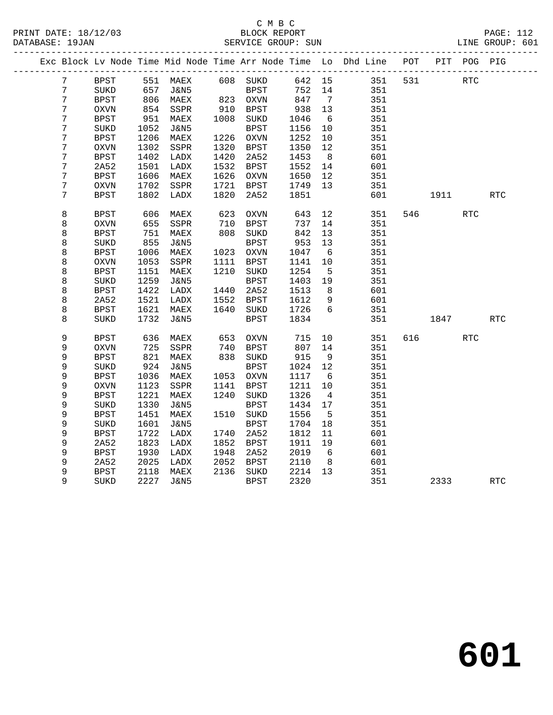#### C M B C<br>BLOCK REPORT PRINT DATE: 18/12/03 BLOCK REPORT PAGE: 112 SERVICE GROUP: SUN

|                |             |      | Exc Block Lv Node Time Mid Node Time Arr Node Time Lo Dhd Line |                  |             |        |                 |     | POT |            | PIT POG PIG |            |
|----------------|-------------|------|----------------------------------------------------------------|------------------|-------------|--------|-----------------|-----|-----|------------|-------------|------------|
| $7\phantom{.}$ | <b>BPST</b> |      | 551 MAEX 608 SUKD                                              |                  |             | 642 15 |                 | 351 | 531 | <b>RTC</b> |             |            |
| 7              | SUKD        | 657  | J&N5                                                           |                  |             | 752 14 |                 | 351 |     |            |             |            |
| 7              | <b>BPST</b> | 806  | MAEX                                                           | BPST<br>823 OXVN |             | 847    | $\overline{7}$  | 351 |     |            |             |            |
| 7              | <b>OXVN</b> | 854  | SSPR                                                           | 910              | BPST        | 938    | 13              | 351 |     |            |             |            |
| 7              | <b>BPST</b> | 951  | MAEX                                                           | 1008             | SUKD        | 1046   | $6\overline{6}$ | 351 |     |            |             |            |
| $\sqrt{ }$     | SUKD        | 1052 | J&N5                                                           |                  | BPST        | 1156   | 10              | 351 |     |            |             |            |
| 7              | <b>BPST</b> | 1206 | MAEX                                                           | 1226             | OXVN        | 1252   | 10              | 351 |     |            |             |            |
| 7              | <b>OXVN</b> | 1302 | SSPR                                                           | 1320             | BPST        | 1350   | 12              | 351 |     |            |             |            |
| 7              | <b>BPST</b> | 1402 | LADX                                                           | 1420             | 2A52        | 1453   | 8 <sup>8</sup>  | 601 |     |            |             |            |
| 7              | 2A52        | 1501 | LADX                                                           | 1532             | BPST        | 1552   | 14              | 601 |     |            |             |            |
| 7              | <b>BPST</b> | 1606 | MAEX                                                           | 1626             | OXVN        | 1650   | 12              | 351 |     |            |             |            |
| $\sqrt{ }$     | OXVN        | 1702 | SSPR                                                           | 1721             | BPST        | 1749   | 13              | 351 |     |            |             |            |
| 7              | <b>BPST</b> | 1802 | LADX                                                           | 1820             | 2A52        | 1851   |                 | 601 |     | 1911 7     |             | <b>RTC</b> |
|                |             |      |                                                                |                  |             |        |                 |     |     |            |             |            |
| 8              | <b>BPST</b> | 606  | MAEX                                                           | 623              | <b>OXVN</b> | 643    | 12              | 351 |     | 546        | <b>RTC</b>  |            |
| 8              | <b>OXVN</b> | 655  | SSPR                                                           | 710              | BPST        | 737    | 14              | 351 |     |            |             |            |
| 8              | <b>BPST</b> | 751  | MAEX                                                           | 808              | SUKD        | 842    | 13              | 351 |     |            |             |            |
| 8              | SUKD        | 855  | J&N5                                                           |                  | BPST        | 953    | 13              | 351 |     |            |             |            |
| 8              | <b>BPST</b> | 1006 | MAEX                                                           |                  | 1023 OXVN   | 1047   | $6\overline{6}$ | 351 |     |            |             |            |
| 8              | OXVN        | 1053 | SSPR                                                           |                  | 1111 BPST   | 1141   | 10              | 351 |     |            |             |            |
| 8              | <b>BPST</b> | 1151 | MAEX                                                           | 1210             | SUKD        | 1254   | 5               | 351 |     |            |             |            |
| 8              | SUKD        | 1259 | J&N5                                                           |                  | BPST        | 1403   | 19              | 351 |     |            |             |            |
| 8              | <b>BPST</b> | 1422 | LADX                                                           | 1440             | 2A52        | 1513   | 8               | 601 |     |            |             |            |
| 8              | 2A52        | 1521 | LADX                                                           | 1552             | BPST        | 1612   | 9               | 601 |     |            |             |            |
| 8              | <b>BPST</b> | 1621 | MAEX                                                           | 1640             | SUKD        | 1726   | 6               | 351 |     |            |             |            |
| 8              | SUKD        | 1732 | J&N5                                                           |                  | BPST        | 1834   |                 | 351 |     | 1847       |             | RTC        |
|                |             |      |                                                                |                  |             |        |                 |     |     |            |             |            |
| 9              | <b>BPST</b> | 636  | MAEX                                                           | 653              | OXVN        | 715    | 10              | 351 |     | 616 — 10   | RTC         |            |
| 9              | <b>OXVN</b> | 725  | SSPR                                                           | 740              | BPST        | 807    | 14              | 351 |     |            |             |            |
| 9              | <b>BPST</b> | 821  | MAEX                                                           |                  | 838 SUKD    | 915    | 9               | 351 |     |            |             |            |
| 9              | SUKD        | 924  | <b>J&amp;N5</b>                                                |                  | <b>BPST</b> | 1024   | 12              | 351 |     |            |             |            |
| 9              | <b>BPST</b> | 1036 | MAEX                                                           | 1053             | OXVN        | 1117   | 6               | 351 |     |            |             |            |
| 9              | <b>OXVN</b> | 1123 | SSPR                                                           | 1141             | BPST        | 1211   | 10              | 351 |     |            |             |            |
| 9              | <b>BPST</b> | 1221 | MAEX                                                           | 1240             | SUKD        | 1326   | $\overline{4}$  | 351 |     |            |             |            |
| 9              | SUKD        | 1330 | J&N5                                                           |                  | <b>BPST</b> | 1434   | 17              | 351 |     |            |             |            |
| 9              | <b>BPST</b> | 1451 | MAEX                                                           | 1510             | SUKD        | 1556   | $5^{\circ}$     | 351 |     |            |             |            |
| 9              | SUKD        | 1601 | J&N5                                                           |                  | <b>BPST</b> | 1704   | 18              | 351 |     |            |             |            |
| 9              | BPST        | 1722 | LADX                                                           | 1740             | 2A52        | 1812   | 11              | 601 |     |            |             |            |
| 9              | 2A52        | 1823 | LADX                                                           | 1852             | BPST        | 1911   | 19              | 601 |     |            |             |            |
| 9              | <b>BPST</b> | 1930 | LADX                                                           | 1948             | 2A52        | 2019   | 6               | 601 |     |            |             |            |
| 9              | 2A52        | 2025 | LADX                                                           | 2052             | BPST        | 2110   | 8 <sup>8</sup>  | 601 |     |            |             |            |
| 9              | <b>BPST</b> | 2118 | MAEX                                                           |                  | 2136 SUKD   | 2214   | 13              | 351 |     |            |             |            |
| 9              | SUKD        | 2227 | J&N5                                                           |                  | <b>BPST</b> | 2320   |                 | 351 |     | 2333       |             | <b>RTC</b> |

**601**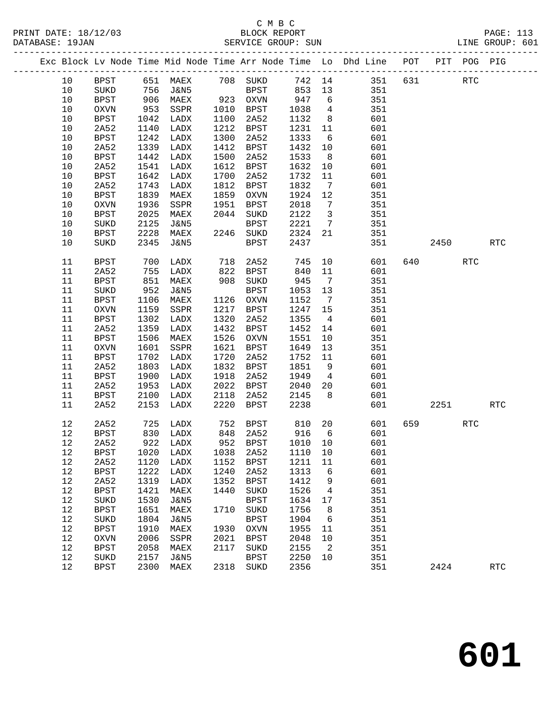## C M B C

|      |             |            |                        |      |                       |         |                         | Exc Block Lv Node Time Mid Node Time Arr Node Time Lo Dhd Line POT PIT POG PIG |          |             |            |            |  |
|------|-------------|------------|------------------------|------|-----------------------|---------|-------------------------|--------------------------------------------------------------------------------|----------|-------------|------------|------------|--|
| 10   |             |            | BPST 651 MAEX 708 SUKD |      |                       |         |                         | 742 14                                                                         |          | 351 631 RTC |            |            |  |
| 10   | SUKD        | 756        | <b>J&amp;N5</b>        |      | <b>BPST</b>           | 853     | 13                      | 351                                                                            |          |             |            |            |  |
| 10   | BPST        | 906<br>953 | MAEX                   |      | 923 OXVN<br>1010 PDCT | 947     | $6\overline{6}$         | 351                                                                            |          |             |            |            |  |
| 10   | OXVN        |            | SSPR                   |      | 1010 BPST             | 1038    | $\overline{4}$          | 351                                                                            |          |             |            |            |  |
| 10   | BPST        | 1042       | LADX                   | 1100 | 2A52                  | 1132    | 8 <sup>8</sup>          | 601                                                                            |          |             |            |            |  |
| 10   | 2A52        | 1140       | LADX                   | 1212 | BPST                  | 1231    | 11                      | 601                                                                            |          |             |            |            |  |
| 10   | BPST        | 1242       | LADX                   | 1300 | 2A52                  | 1333    | $6\overline{6}$         | 601                                                                            |          |             |            |            |  |
| 10   | 2A52        | 1339       | LADX                   | 1412 | BPST                  | 1432    | 10                      | 601                                                                            |          |             |            |            |  |
| 10   | BPST        | 1442       | LADX                   | 1500 | 2A52                  | 1533    | 8 <sup>8</sup>          | 601                                                                            |          |             |            |            |  |
| 10   | 2A52        | 1541       | LADX                   | 1612 | BPST                  | 1632    | 10                      | 601                                                                            |          |             |            |            |  |
| 10   | BPST        | 1642       | LADX                   | 1700 | 2A52                  | 1732    | 11                      | 601                                                                            |          |             |            |            |  |
| $10$ | 2A52        | 1743       | LADX                   | 1812 | BPST                  | 1832    | $\overline{7}$          | 601                                                                            |          |             |            |            |  |
| $10$ | <b>BPST</b> | 1839       | MAEX                   | 1859 | OXVN                  | 1924    | 12                      | 351                                                                            |          |             |            |            |  |
| 10   | <b>OXVN</b> | 1936       | SSPR                   | 1951 | BPST                  | 2018    | 7                       | 351                                                                            |          |             |            |            |  |
| $10$ | <b>BPST</b> | 2025       | MAEX                   |      | 2044 SUKD             | 2122    | $\overline{\mathbf{3}}$ | 351                                                                            |          |             |            |            |  |
| $10$ | SUKD        | 2125       | J&N5                   |      | BPST                  | 2221    | $7\overline{ }$         | 351                                                                            |          |             |            |            |  |
| 10   | BPST        | 2228       | MAEX                   |      | 2246 SUKD             | 2324    | 21                      | 351                                                                            |          |             |            |            |  |
| 10   | SUKD        | 2345       | J&N5                   |      | <b>BPST</b>           | 2437    |                         | 351                                                                            |          | 2450        |            | <b>RTC</b> |  |
| 11   | BPST        | 700        | LADX                   |      | 718 2A52              | 745     | 10                      | 601                                                                            |          | 640 640     | <b>RTC</b> |            |  |
| 11   | 2A52        | 755        | LADX                   |      | 822 BPST              | 840     | 11                      | 601                                                                            |          |             |            |            |  |
| 11   | <b>BPST</b> | 851        | MAEX                   | 908  | SUKD                  | 945     | $\overline{7}$          | 351                                                                            |          |             |            |            |  |
| 11   | SUKD        | 952        | J&N5                   |      | <b>BPST</b>           | 1053    | 13                      | 351                                                                            |          |             |            |            |  |
| 11   | BPST        | 1106       | MAEX                   |      | 1126 OXVN             | 1152    | $\overline{7}$          | 351                                                                            |          |             |            |            |  |
| 11   | OXVN        | 1159       | SSPR                   | 1217 | BPST                  | 1247    | 15                      | 351                                                                            |          |             |            |            |  |
| 11   | BPST        | 1302       | LADX                   | 1320 | 2A52                  | 1355    | $\overline{4}$          | 601                                                                            |          |             |            |            |  |
| 11   | 2A52        | 1359       | LADX                   | 1432 | BPST                  | 1452    | 14                      | 601                                                                            |          |             |            |            |  |
| 11   | <b>BPST</b> | 1506       | MAEX                   | 1526 | OXVN                  | 1551    | 10                      | 351                                                                            |          |             |            |            |  |
| 11   | $\rm OXVN$  | 1601       | SSPR                   | 1621 | BPST                  | 1649    | 13                      | 351                                                                            |          |             |            |            |  |
| 11   | BPST        | 1702       | LADX                   | 1720 | 2A52                  | 1752    | 11                      | 601                                                                            |          |             |            |            |  |
| 11   | 2A52        | 1803       | LADX                   | 1832 | BPST                  | 1851    | 9                       | 601                                                                            |          |             |            |            |  |
| 11   | BPST        | 1900       | LADX                   | 1918 | 2A52                  | 1949    | $\overline{4}$          | 601                                                                            |          |             |            |            |  |
| 11   | 2A52        | 1953       | LADX                   | 2022 | BPST                  | 2040    | 20                      | 601                                                                            |          |             |            |            |  |
| 11   | BPST        | 2100       | LADX                   | 2118 | 2A52                  | 2145    | 8 <sup>8</sup>          | 601                                                                            |          |             |            |            |  |
| 11   | 2A52        | 2153       | LADX                   | 2220 | BPST                  | 2238    |                         | 601                                                                            |          | 2251        |            | <b>RTC</b> |  |
| 12   | 2A52        |            | 725 LADX               |      | 752 BPST              | 810 20  |                         | 601                                                                            | 659 — 10 |             | <b>RTC</b> |            |  |
| 12   |             |            |                        |      |                       |         |                         | BPST 830 LADX 848 2A52 916 6 601                                               |          |             |            |            |  |
| 12   | 2A52        | 922        | LADX                   | 952  | <b>BPST</b>           | 1010 10 |                         | 601                                                                            |          |             |            |            |  |
| 12   | <b>BPST</b> | 1020       | LADX                   | 1038 | 2A52                  | 1110    | 10                      | 601                                                                            |          |             |            |            |  |
| 12   | 2A52        | 1120       | LADX                   | 1152 | BPST                  | 1211    | 11                      | 601                                                                            |          |             |            |            |  |
| 12   | <b>BPST</b> | 1222       | LADX                   | 1240 | 2A52                  | 1313    | 6                       | 601                                                                            |          |             |            |            |  |
| 12   | 2A52        | 1319       | LADX                   | 1352 | BPST                  | 1412    | 9                       | 601                                                                            |          |             |            |            |  |
| 12   | <b>BPST</b> | 1421       | MAEX                   | 1440 | SUKD                  | 1526    | $\overline{4}$          | 351                                                                            |          |             |            |            |  |
| 12   | SUKD        | 1530       | J&N5                   |      | <b>BPST</b>           | 1634 17 |                         | 351                                                                            |          |             |            |            |  |

 12 BPST 1651 MAEX 1710 SUKD 1756 8 351 12 SUKD 1804 J&N5 BPST 1904 6 351 12 BPST 1910 MAEX 1930 OXVN 1955 11 351

12 SUKD 2157 J&N5 BPST 2250 10 351

12 BPST 1910 MAEX 1930 OXVN 1955 11 351<br>12 OXVN 2006 SSPR 2021 BPST 2048 10 351 12 BPST 2058 MAEX 2117 SUKD 2155 2 351

12 BPST 2300 MAEX 2318 SUKD 2356 351 2424 RTC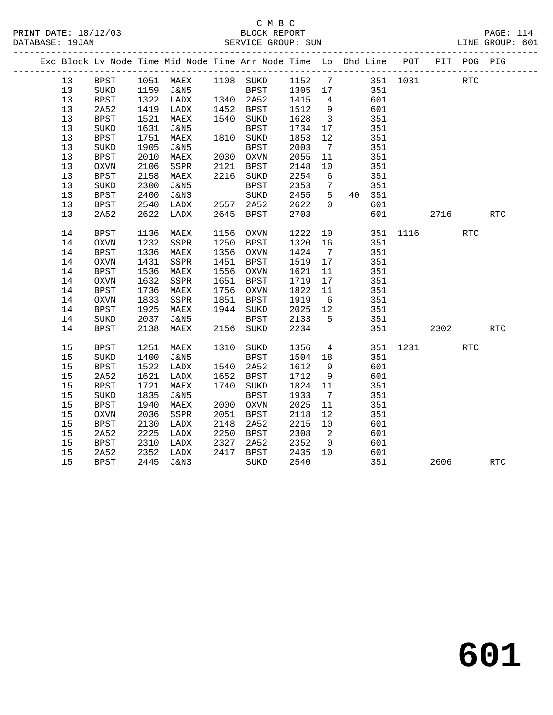## C M B C<br>BLOCK REPORT SERVICE GROUP: SUN

|  |    |             |      |           |      | Exc Block Lv Node Time Mid Node Time Arr Node Time Lo Dhd Line POT |              |                          |        |          |      | PIT POG PIG |            |
|--|----|-------------|------|-----------|------|--------------------------------------------------------------------|--------------|--------------------------|--------|----------|------|-------------|------------|
|  | 13 | <b>BPST</b> |      |           |      | 1051 MAEX 1108 SUKD 1152 7 351 1031                                |              |                          |        |          |      | <b>RTC</b>  |            |
|  | 13 | SUKD        |      | 1159 J&N5 |      | BPST 1305 17                                                       |              |                          | 351    |          |      |             |            |
|  | 13 | <b>BPST</b> |      | 1322 LADX |      | 1340 2A52 1415                                                     |              | $\overline{4}$           | 601    |          |      |             |            |
|  | 13 | 2A52        | 1419 | LADX      |      | 1452 BPST                                                          | 1512<br>1628 | 9                        | 601    |          |      |             |            |
|  | 13 | <b>BPST</b> | 1521 | MAEX      |      | 1540 SUKD                                                          | 1628         | $\overline{\mathbf{3}}$  | 351    |          |      |             |            |
|  | 13 | SUKD        | 1631 | J&N5      |      | BPST                                                               | 1734         | 17                       | 351    |          |      |             |            |
|  | 13 | <b>BPST</b> | 1751 | MAEX      |      | 1810 SUKD                                                          | 1853         | 12                       | 351    |          |      |             |            |
|  | 13 | $\rm SUKD$  | 1905 | J&N5      |      | <b>BPST</b>                                                        | 2003         | $7\overline{ }$          | 351    |          |      |             |            |
|  | 13 | BPST        | 2010 | MAEX      |      | 2030 OXVN                                                          | 2055         | 11                       | 351    |          |      |             |            |
|  | 13 | OXVN        | 2106 | SSPR      | 2121 | BPST                                                               | 2148         | 10                       | 351    |          |      |             |            |
|  | 13 | <b>BPST</b> | 2158 | MAEX      |      | 2216 SUKD                                                          | 2254         | 6                        | 351    |          |      |             |            |
|  | 13 | SUKD        | 2300 | J&N5      |      | <b>BPST</b>                                                        | 2353         | $7\phantom{0}$           | 351    |          |      |             |            |
|  | 13 | BPST        | 2400 | J&N3      |      | SUKD                                                               | 2455         | 5 <sup>5</sup>           | 40 351 |          |      |             |            |
|  | 13 | BPST        | 2540 | LADX      |      | 2557 2A52                                                          | 2622         | $\Omega$                 | 601    |          |      |             |            |
|  | 13 | 2A52        | 2622 | LADX      |      | 2645 BPST                                                          | 2703         |                          | 601    |          | 2716 |             | RTC        |
|  | 14 | <b>BPST</b> | 1136 | MAEX      | 1156 | OXVN                                                               | 1222         | 10                       |        | 351 1116 |      | <b>RTC</b>  |            |
|  | 14 | $\rm OXVN$  | 1232 | SSPR      | 1250 | BPST                                                               | 1320         | 16                       | 351    |          |      |             |            |
|  | 14 | <b>BPST</b> | 1336 | MAEX      |      | 1356 OXVN                                                          | 1424         | $\overline{7}$           | 351    |          |      |             |            |
|  | 14 | $\rm OXVN$  | 1431 | SSPR      | 1451 | BPST                                                               | 1519         | 17                       | 351    |          |      |             |            |
|  | 14 | <b>BPST</b> | 1536 | MAEX      |      | 1556 OXVN                                                          | 1621         | 11                       | 351    |          |      |             |            |
|  | 14 | OXVN        | 1632 | SSPR      |      | 1651 BPST                                                          | 1719         | 17                       | 351    |          |      |             |            |
|  | 14 | <b>BPST</b> | 1736 | MAEX      |      | 1756 OXVN                                                          | 1822         | 11                       | 351    |          |      |             |            |
|  | 14 | $\rm OXVN$  | 1833 | SSPR      | 1851 | BPST                                                               | 1919         | 6                        | 351    |          |      |             |            |
|  | 14 | <b>BPST</b> | 1925 | MAEX      |      | 1944 SUKD                                                          | $2025$ 12    |                          | 351    |          |      |             |            |
|  | 14 | SUKD        | 2037 | J&N5      |      | BPST                                                               | 2133         | $5^{\circ}$              | 351    |          |      |             |            |
|  | 14 | <b>BPST</b> | 2138 | MAEX      |      | 2156 SUKD                                                          | 2234         |                          | 351    |          | 2302 |             | <b>RTC</b> |
|  | 15 | BPST        | 1251 | MAEX      |      | 1310 SUKD                                                          | 1356         | $\overline{4}$           |        | 351 1231 |      | <b>RTC</b>  |            |
|  | 15 | SUKD        | 1400 | J&N5      |      | <b>BPST</b>                                                        | 1504         | 18                       | 351    |          |      |             |            |
|  | 15 | <b>BPST</b> | 1522 | LADX      |      | 1540 2A52                                                          | 1612         | 9                        | 601    |          |      |             |            |
|  | 15 | 2A52        | 1621 | LADX      |      | 1652 BPST                                                          | 1712         | 9                        | 601    |          |      |             |            |
|  | 15 | <b>BPST</b> | 1721 | MAEX      | 1740 | SUKD                                                               | 1824         | 11                       | 351    |          |      |             |            |
|  | 15 | SUKD        | 1835 | J&N5      |      | <b>BPST</b>                                                        | 1933         | $\overline{7}$           | 351    |          |      |             |            |
|  | 15 | <b>BPST</b> | 1940 | MAEX      |      | 2000 OXVN                                                          | 2025         | 11                       | 351    |          |      |             |            |
|  | 15 | OXVN        | 2036 | SSPR      | 2051 | BPST                                                               | 2118         | 12                       | 351    |          |      |             |            |
|  | 15 | BPST        | 2130 | LADX      | 2148 | 2A52                                                               | 2215         | 10                       | 601    |          |      |             |            |
|  | 15 | 2A52        | 2225 | LADX      |      | 2250 BPST                                                          | 2308         | $\overline{\phantom{a}}$ | 601    |          |      |             |            |
|  | 15 | <b>BPST</b> | 2310 | LADX      | 2327 | 2A52                                                               | 2352         | $\overline{0}$           | 601    |          |      |             |            |
|  | 15 | 2A52        | 2352 | LADX      | 2417 | BPST                                                               | 2435         | 10                       | 601    |          |      |             |            |
|  | 15 | <b>BPST</b> | 2445 | J&N3      |      | SUKD                                                               | 2540         |                          | 351    |          | 2606 |             | <b>RTC</b> |

**601**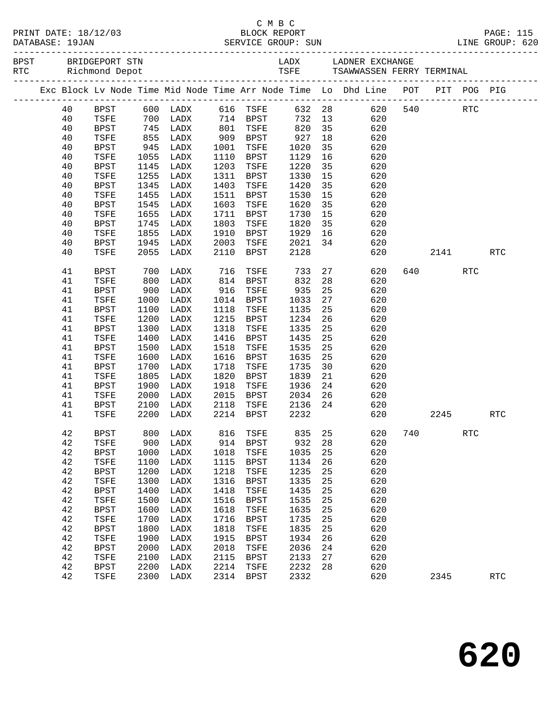|  |  |          |                     |              |                          |              |                     |              |          | Exc Block Lv Node Time Mid Node Time Arr Node Time Lo Dhd Line POT PIT POG PIG |                            |     |            |  |
|--|--|----------|---------------------|--------------|--------------------------|--------------|---------------------|--------------|----------|--------------------------------------------------------------------------------|----------------------------|-----|------------|--|
|  |  | 40       | BPST                |              | 600 LADX 616 TSFE 632 28 |              |                     |              |          |                                                                                | 620 540 RTC                |     |            |  |
|  |  | 40       | TSFE                |              | 700 LADX 714 BPST        |              |                     |              |          | 732 13<br>620                                                                  |                            |     |            |  |
|  |  | 40       | BPST                | 745          | LADX                     |              | 801 TSFE            | 820 35       |          | 620                                                                            |                            |     |            |  |
|  |  | 40       | TSFE                | 855<br>945   | LADX                     |              | 909 BPST            | 927<br>1020  | 18       | 620                                                                            |                            |     |            |  |
|  |  | 40       | BPST                |              | LADX                     | 1001         | TSFE                | 1020         | 35       | 620                                                                            |                            |     |            |  |
|  |  | 40<br>40 | TSFE<br>BPST        | 1055<br>1145 | LADX                     | 1110<br>1203 | BPST                | 1129         | 16       | 620<br>620                                                                     |                            |     |            |  |
|  |  | 40       | TSFE                | 1255         | LADX<br>LADX             | 1311         | TSFE<br>BPST        | 1220<br>1330 | 35<br>15 | 620                                                                            |                            |     |            |  |
|  |  | 40       | BPST                | 1345         | LADX                     | 1403         | TSFE                | 1420         | 35       | 620                                                                            |                            |     |            |  |
|  |  | 40       | TSFE                | 1455         | LADX                     | 1511         | BPST                | 1530         | 15       | 620                                                                            |                            |     |            |  |
|  |  | 40       | BPST                | 1545         | LADX                     | 1603         | TSFE                | 1620         | 35       | 620                                                                            |                            |     |            |  |
|  |  | 40       | TSFE                | 1655         | LADX                     | 1711         | BPST                | 1730         | 15       | 620                                                                            |                            |     |            |  |
|  |  | 40       | BPST                | 1745         | LADX                     | 1803         | TSFE                | 1820         | 35       | 620                                                                            |                            |     |            |  |
|  |  | 40       | TSFE                | 1855         | LADX                     | 1910         | BPST                | 1929         | 16       | 620                                                                            |                            |     |            |  |
|  |  | 40       | BPST                | 1945         | LADX                     | 2003         | TSFE                | 2021         | 34       | 620                                                                            |                            |     |            |  |
|  |  | 40       | <b>TSFE</b>         | 2055         | LADX                     | 2110         | BPST                | 2128         |          | 620                                                                            | 2141                       |     | <b>RTC</b> |  |
|  |  | 41       | BPST                | 700          | LADX                     | 716          | TSFE                | 733          |          | 27 8<br>620                                                                    | 640 640 640 640 640 650 70 | RTC |            |  |
|  |  | 41       | TSFE                | 800          | LADX                     |              | 814 BPST            | 832          | 28       | 620                                                                            |                            |     |            |  |
|  |  | 41       | BPST                | 900          | LADX                     | 916          | TSFE                | 935          | 25       | 620                                                                            |                            |     |            |  |
|  |  | 41       | TSFE                | 1000         | LADX                     | 1014         | BPST                | 1033         | 27       | 620                                                                            |                            |     |            |  |
|  |  | 41       | BPST                | 1100         | LADX                     | 1118         | TSFE                | 1135         | 25       | 620                                                                            |                            |     |            |  |
|  |  | 41       | TSFE                | 1200         | LADX                     | 1215         | BPST                | 1234         | 26       | 620                                                                            |                            |     |            |  |
|  |  | 41       | <b>BPST</b>         | 1300         | LADX                     | 1318         | TSFE                | 1335         | 25       | 620                                                                            |                            |     |            |  |
|  |  | 41<br>41 | TSFE<br>BPST        | 1400<br>1500 | LADX<br>LADX             | 1416<br>1518 | BPST<br>TSFE        | 1435<br>1535 | 25<br>25 | 620<br>620                                                                     |                            |     |            |  |
|  |  | 41       | TSFE                | 1600         | LADX                     | 1616         | BPST                | 1635         | 25       | 620                                                                            |                            |     |            |  |
|  |  | 41       | BPST                | 1700         | LADX                     | 1718         | TSFE                | 1735         | 30       | 620                                                                            |                            |     |            |  |
|  |  | 41       | TSFE                | 1805         | LADX                     | 1820         | BPST                | 1839         | 21       | 620                                                                            |                            |     |            |  |
|  |  | 41       | BPST                | 1900         | LADX                     | 1918         | TSFE                | 1936         | 24       | 620                                                                            |                            |     |            |  |
|  |  | 41       | TSFE                | 2000         | LADX                     | 2015         | <b>BPST</b>         | 2034         | 26       | 620                                                                            |                            |     |            |  |
|  |  | 41       | BPST                | 2100         | LADX                     | 2118         | TSFE                | 2136         | 24       | 620                                                                            |                            |     |            |  |
|  |  | 41       | TSFE                | 2200         | LADX                     |              | 2214 BPST           | 2232         |          | 620                                                                            | 2245                       |     | <b>RTC</b> |  |
|  |  | 42       | BPST                |              |                          |              |                     |              |          | 800 LADX 816 TSFE 835 25 620 740                                               |                            | RTC |            |  |
|  |  | 42       | TSFE                | 900          | LADX                     | 914          | BPST                | 932          | 28       | 620                                                                            |                            |     |            |  |
|  |  | 42       | <b>BPST</b>         | 1000         | LADX                     | 1018         | TSFE                | 1035         | 25       | 620                                                                            |                            |     |            |  |
|  |  | 42       | TSFE                | 1100         | LADX                     | 1115         | <b>BPST</b>         | 1134         | 26       | 620                                                                            |                            |     |            |  |
|  |  | 42       | <b>BPST</b>         | 1200         | LADX                     | 1218         | TSFE                | 1235         | 25       | 620                                                                            |                            |     |            |  |
|  |  | 42       | TSFE                | 1300         | LADX                     | 1316         | <b>BPST</b>         | 1335         | 25       | 620                                                                            |                            |     |            |  |
|  |  | 42       | <b>BPST</b>         | 1400         | LADX                     | 1418         | TSFE                | 1435         | 25       | 620                                                                            |                            |     |            |  |
|  |  | 42       | TSFE                | 1500         | LADX                     | 1516         | <b>BPST</b>         | 1535         | 25       | 620                                                                            |                            |     |            |  |
|  |  | 42       | <b>BPST</b>         | 1600<br>1700 | LADX                     | 1618<br>1716 | TSFE                | 1635         | 25       | 620<br>620                                                                     |                            |     |            |  |
|  |  | 42<br>42 | TSFE<br><b>BPST</b> | 1800         | LADX<br>LADX             | 1818         | <b>BPST</b><br>TSFE | 1735<br>1835 | 25<br>25 | 620                                                                            |                            |     |            |  |
|  |  | 42       | TSFE                | 1900         | LADX                     | 1915         | <b>BPST</b>         | 1934         | 26       | 620                                                                            |                            |     |            |  |
|  |  | 42       | <b>BPST</b>         | 2000         | LADX                     | 2018         | TSFE                | 2036         | 24       | 620                                                                            |                            |     |            |  |
|  |  | 42       | TSFE                | 2100         | LADX                     | 2115         | BPST                | 2133         | 27       | 620                                                                            |                            |     |            |  |
|  |  | 42       | <b>BPST</b>         | 2200         | LADX                     | 2214         | TSFE                | 2232         | 28       | 620                                                                            |                            |     |            |  |
|  |  | 42       | TSFE                |              | 2300 LADX                |              | 2314 BPST           | 2332         |          | 620                                                                            | 2345                       |     | <b>RTC</b> |  |
|  |  |          |                     |              |                          |              |                     |              |          |                                                                                |                            |     |            |  |

C M B C